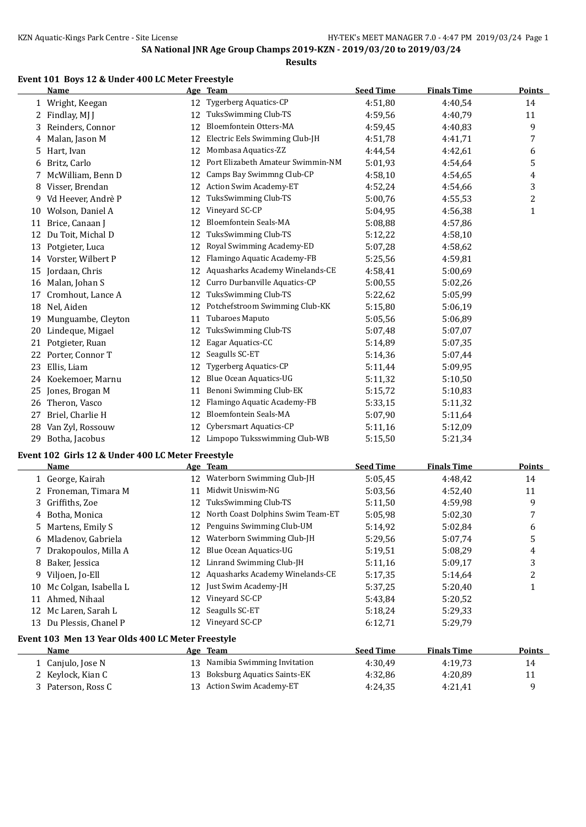#### **Results**

## **Event 101 Boys 12 & Under 400 LC Meter Freestyle**

|    | <b>Name</b>        |    | Age Team                          | <b>Seed Time</b> | <b>Finals Time</b> | <b>Points</b> |
|----|--------------------|----|-----------------------------------|------------------|--------------------|---------------|
| 1  | Wright, Keegan     | 12 | Tygerberg Aquatics-CP             | 4:51,80          | 4:40,54            | 14            |
| 2  | Findlay, MJ J      | 12 | TuksSwimming Club-TS              | 4:59,56          | 4:40,79            | 11            |
| 3  | Reinders, Connor   | 12 | Bloemfontein Otters-MA            | 4:59,45          | 4:40.83            | 9             |
| 4  | Malan, Jason M     | 12 | Electric Eels Swimming Club-JH    | 4:51,78          | 4:41,71            | 7             |
| 5  | Hart, Ivan         | 12 | Mombasa Aquatics-ZZ               | 4:44,54          | 4:42,61            | 6             |
| 6  | Britz, Carlo       | 12 | Port Elizabeth Amateur Swimmin-NM | 5:01,93          | 4:54,64            | 5             |
| 7  | McWilliam, Benn D  | 12 | Camps Bay Swimmng Club-CP         | 4:58,10          | 4:54,65            | 4             |
| 8  | Visser, Brendan    | 12 | Action Swim Academy-ET            | 4:52,24          | 4:54,66            | 3             |
| 9  | Vd Heever, Andrè P | 12 | TuksSwimming Club-TS              | 5:00.76          | 4:55,53            | 2             |
| 10 | Wolson, Daniel A   | 12 | Vineyard SC-CP                    | 5:04,95          | 4:56,38            | 1             |
| 11 | Brice, Canaan J    | 12 | <b>Bloemfontein Seals-MA</b>      | 5:08.88          | 4:57,86            |               |
| 12 | Du Toit, Michal D  | 12 | TuksSwimming Club-TS              | 5:12,22          | 4:58,10            |               |
| 13 | Potgieter, Luca    | 12 | Royal Swimming Academy-ED         | 5:07,28          | 4:58,62            |               |
| 14 | Vorster, Wilbert P | 12 | Flamingo Aquatic Academy-FB       | 5:25,56          | 4:59,81            |               |
| 15 | Jordaan, Chris     | 12 | Aquasharks Academy Winelands-CE   | 4:58,41          | 5:00,69            |               |
| 16 | Malan, Johan S     | 12 | Curro Durbanville Aquatics-CP     | 5:00,55          | 5:02,26            |               |
| 17 | Cromhout, Lance A  | 12 | TuksSwimming Club-TS              | 5:22,62          | 5:05,99            |               |
| 18 | Nel, Aiden         | 12 | Potchefstroom Swimming Club-KK    | 5:15,80          | 5:06,19            |               |
| 19 | Munguambe, Cleyton | 11 | <b>Tubaroes Maputo</b>            | 5:05,56          | 5:06,89            |               |
| 20 | Lindeque, Migael   | 12 | TuksSwimming Club-TS              | 5:07,48          | 5:07,07            |               |
| 21 | Potgieter, Ruan    | 12 | Eagar Aquatics-CC                 | 5:14,89          | 5:07,35            |               |
| 22 | Porter, Connor T   | 12 | Seagulls SC-ET                    | 5:14,36          | 5:07,44            |               |
| 23 | Ellis, Liam        | 12 | Tygerberg Aquatics-CP             | 5:11,44          | 5:09,95            |               |
| 24 | Koekemoer, Marnu   | 12 | Blue Ocean Aquatics-UG            | 5:11,32          | 5:10,50            |               |
| 25 | Jones, Brogan M    | 11 | Benoni Swimming Club-EK           | 5:15,72          | 5:10,83            |               |
| 26 | Theron, Vasco      | 12 | Flamingo Aquatic Academy-FB       | 5:33,15          | 5:11,32            |               |
| 27 | Briel, Charlie H   | 12 | Bloemfontein Seals-MA             | 5:07,90          | 5:11,64            |               |
| 28 | Van Zyl, Rossouw   | 12 | Cybersmart Aquatics-CP            | 5:11,16          | 5:12,09            |               |
| 29 | Botha, Jacobus     | 12 | Limpopo Tuksswimming Club-WB      | 5:15,50          | 5:21,34            |               |

# **Event 102 Girls 12 & Under 400 LC Meter Freestyle**

|    | Name                                              |    | Age Team                           | <b>Seed Time</b> | <b>Finals Time</b> | Points |  |  |  |
|----|---------------------------------------------------|----|------------------------------------|------------------|--------------------|--------|--|--|--|
|    | 1 George, Kairah                                  | 12 | Waterborn Swimming Club-JH         | 5:05,45          | 4:48.42            | 14     |  |  |  |
|    | 2 Froneman, Timara M                              | 11 | Midwit Uniswim-NG                  | 5:03,56          | 4:52,40            | 11     |  |  |  |
|    | 3 Griffiths, Zoe                                  | 12 | TuksSwimming Club-TS               | 5:11,50          | 4:59,98            | 9      |  |  |  |
|    | 4 Botha, Monica                                   | 12 | North Coast Dolphins Swim Team-ET  | 5:05,98          | 5:02,30            | 7      |  |  |  |
|    | 5 Martens, Emily S                                | 12 | Penguins Swimming Club-UM          | 5:14,92          | 5:02,84            | 6      |  |  |  |
|    | 6 Mladenov, Gabriela                              | 12 | Waterborn Swimming Club-JH         | 5:29,56          | 5:07,74            | 5      |  |  |  |
|    | 7 Drakopoulos, Milla A                            | 12 | <b>Blue Ocean Aquatics-UG</b>      | 5:19,51          | 5:08,29            | 4      |  |  |  |
| 8  | Baker, Jessica                                    | 12 | Linrand Swimming Club-JH           | 5:11,16          | 5:09.17            | 3      |  |  |  |
| 9  | Viljoen, Jo-Ell                                   | 12 | Aquasharks Academy Winelands-CE    | 5:17,35          | 5:14,64            | 2      |  |  |  |
| 10 | Mc Colgan, Isabella L                             | 12 | Just Swim Academy-JH               | 5:37,25          | 5:20,40            |        |  |  |  |
| 11 | Ahmed, Nihaal                                     | 12 | Vineyard SC-CP                     | 5:43.84          | 5:20,52            |        |  |  |  |
| 12 | Mc Laren, Sarah L                                 | 12 | Seagulls SC-ET                     | 5:18,24          | 5:29,33            |        |  |  |  |
| 13 | Du Plessis, Chanel P                              | 12 | Vineyard SC-CP                     | 6:12,71          | 5:29,79            |        |  |  |  |
|    | Event 103 Men 13 Year Olds 400 LC Meter Freestyle |    |                                    |                  |                    |        |  |  |  |
|    | Name                                              |    | Age Team                           | <b>Seed Time</b> | <b>Finals Time</b> | Points |  |  |  |
|    | 1 Canjulo, Jose N                                 | 13 | Namibia Swimming Invitation        | 4:30,49          | 4:19.73            | 14     |  |  |  |
|    | 2 Keylock, Kian C                                 | 13 | <b>Boksburg Aquatics Saints-EK</b> | 4:32,86          | 4:20,89            | 11     |  |  |  |
|    | 3 Paterson, Ross C                                | 13 | Action Swim Academy-ET             | 4:24,35          | 4:21,41            | 9      |  |  |  |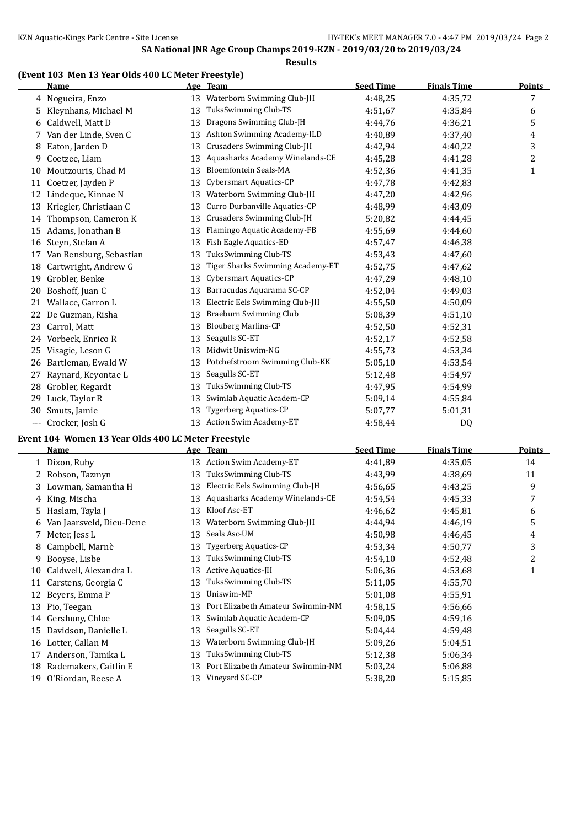## **(Event 103 Men 13 Year Olds 400 LC Meter Freestyle)**

|     | <b>Name</b>             |    | Age Team                         | <b>Seed Time</b> | <b>Finals Time</b> | <b>Points</b> |
|-----|-------------------------|----|----------------------------------|------------------|--------------------|---------------|
|     | 4 Nogueira, Enzo        | 13 | Waterborn Swimming Club-JH       | 4:48,25          | 4:35,72            | 7             |
|     | Kleynhans, Michael M    | 13 | TuksSwimming Club-TS             | 4:51.67          | 4:35,84            | 6             |
| 6   | Caldwell, Matt D        | 13 | Dragons Swimming Club-JH         | 4:44.76          | 4:36,21            | 5             |
| 7.  | Van der Linde, Sven C   | 13 | Ashton Swimming Academy-ILD      | 4:40.89          | 4:37,40            | 4             |
| 8   | Eaton, Jarden D         | 13 | Crusaders Swimming Club-JH       | 4:42.94          | 4:40,22            | 3             |
| 9   | Coetzee, Liam           | 13 | Aquasharks Academy Winelands-CE  | 4:45,28          | 4:41,28            | 2             |
| 10  | Moutzouris, Chad M      | 13 | <b>Bloemfontein Seals-MA</b>     | 4:52.36          | 4:41,35            | 1             |
| 11  | Coetzer, Jayden P       | 13 | Cybersmart Aquatics-CP           | 4:47.78          | 4:42,83            |               |
| 12  | Lindeque, Kinnae N      | 13 | Waterborn Swimming Club-JH       | 4:47,20          | 4:42,96            |               |
| 13  | Kriegler, Christiaan C  | 13 | Curro Durbanville Aquatics-CP    | 4:48,99          | 4:43,09            |               |
| 14  | Thompson, Cameron K     | 13 | Crusaders Swimming Club-JH       | 5:20,82          | 4:44,45            |               |
| 15  | Adams, Jonathan B       | 13 | Flamingo Aquatic Academy-FB      | 4:55,69          | 4:44,60            |               |
| 16  | Steyn, Stefan A         | 13 | Fish Eagle Aquatics-ED           | 4:57,47          | 4:46,38            |               |
| 17  | Van Rensburg, Sebastian | 13 | TuksSwimming Club-TS             | 4:53,43          | 4:47,60            |               |
| 18  | Cartwright, Andrew G    | 13 | Tiger Sharks Swimming Academy-ET | 4:52,75          | 4:47,62            |               |
| 19  | Grobler, Benke          | 13 | Cybersmart Aquatics-CP           | 4:47,29          | 4:48,10            |               |
| 20  | Boshoff, Juan C         | 13 | Barracudas Aquarama SC-CP        | 4:52,04          | 4:49.03            |               |
| 21  | Wallace, Garron L       | 13 | Electric Eels Swimming Club-JH   | 4:55,50          | 4:50.09            |               |
| 22  | De Guzman, Risha        | 13 | Braeburn Swimming Club           | 5:08.39          | 4:51,10            |               |
| 23  | Carrol, Matt            | 13 | <b>Blouberg Marlins-CP</b>       | 4:52,50          | 4:52,31            |               |
| 24  | Vorbeck, Enrico R       | 13 | Seagulls SC-ET                   | 4:52,17          | 4:52,58            |               |
| 25  | Visagie, Leson G        | 13 | Midwit Uniswim-NG                | 4:55,73          | 4:53,34            |               |
| 26  | Bartleman, Ewald W      | 13 | Potchefstroom Swimming Club-KK   | 5:05,10          | 4:53,54            |               |
| 27  | Raynard, Keyontae L     | 13 | Seagulls SC-ET                   | 5:12,48          | 4:54,97            |               |
| 28  | Grobler, Regardt        | 13 | TuksSwimming Club-TS             | 4:47,95          | 4:54,99            |               |
| 29  | Luck, Taylor R          | 13 | Swimlab Aquatic Academ-CP        | 5:09,14          | 4:55,84            |               |
| 30  | Smuts, Jamie            | 13 | <b>Tygerberg Aquatics-CP</b>     | 5:07,77          | 5:01,31            |               |
| --- | Crocker, Josh G         | 13 | Action Swim Academy-ET           | 4:58,44          | DQ                 |               |

#### **Event 104 Women 13 Year Olds 400 LC Meter Freestyle**

|    | Name                     |    | Age Team                          | <b>Seed Time</b> | <b>Finals Time</b> | Points |
|----|--------------------------|----|-----------------------------------|------------------|--------------------|--------|
|    | 1 Dixon, Ruby            | 13 | <b>Action Swim Academy-ET</b>     | 4:41.89          | 4:35.05            | 14     |
|    | Robson, Tazmyn           | 13 | TuksSwimming Club-TS              | 4:43,99          | 4:38,69            | 11     |
|    | Lowman, Samantha H       | 13 | Electric Eels Swimming Club-JH    | 4:56.65          | 4:43.25            | 9      |
|    | King, Mischa             | 13 | Aquasharks Academy Winelands-CE   | 4:54,54          | 4:45.33            | 7      |
| 5. | Haslam, Tayla J          | 13 | Kloof Asc-ET                      | 4:46.62          | 4:45,81            | 6      |
| 6  | Van Jaarsveld, Dieu-Dene | 13 | Waterborn Swimming Club-JH        | 4:44,94          | 4:46.19            | 5      |
|    | Meter, Jess L            | 13 | Seals Asc-UM                      | 4:50,98          | 4:46.45            | 4      |
| 8  | Campbell, Marnè          | 13 | <b>Tygerberg Aquatics-CP</b>      | 4:53,34          | 4:50,77            | 3      |
| 9. | Booyse, Lisbe            | 13 | TuksSwimming Club-TS              | 4:54,10          | 4:52,48            | 2      |
| 10 | Caldwell, Alexandra L    | 13 | <b>Active Aquatics-JH</b>         | 5:06,36          | 4:53,68            |        |
| 11 | Carstens, Georgia C      | 13 | TuksSwimming Club-TS              | 5:11,05          | 4:55,70            |        |
| 12 | Beyers, Emma P           | 13 | Uniswim-MP                        | 5:01,08          | 4:55,91            |        |
| 13 | Pio, Teegan              | 13 | Port Elizabeth Amateur Swimmin-NM | 4:58.15          | 4:56.66            |        |
| 14 | Gershuny, Chloe          | 13 | Swimlab Aquatic Academ-CP         | 5:09.05          | 4:59.16            |        |
| 15 | Davidson, Danielle L     | 13 | Seagulls SC-ET                    | 5:04,44          | 4:59,48            |        |
| 16 | Lotter, Callan M         | 13 | Waterborn Swimming Club-JH        | 5:09.26          | 5:04.51            |        |
| 17 | Anderson, Tamika L       | 13 | TuksSwimming Club-TS              | 5:12,38          | 5:06,34            |        |
| 18 | Rademakers, Caitlin E    | 13 | Port Elizabeth Amateur Swimmin-NM | 5:03,24          | 5:06,88            |        |
| 19 | O'Riordan, Reese A       |    | 13 Vineyard SC-CP                 | 5:38,20          | 5:15,85            |        |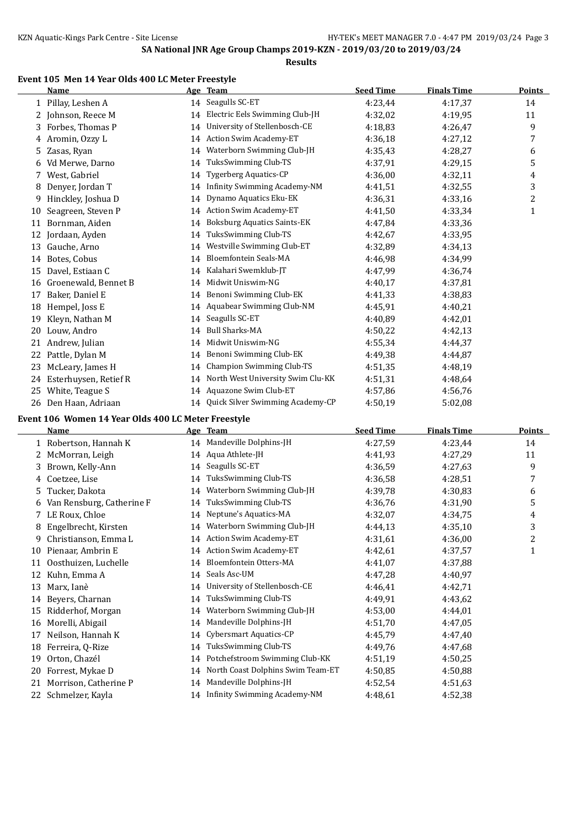#### **Results**

#### **Event 105 Men 14 Year Olds 400 LC Meter Freestyle**

|    | <b>Name</b>           |    | Age Team                            | <b>Seed Time</b> | <b>Finals Time</b> | <b>Points</b> |
|----|-----------------------|----|-------------------------------------|------------------|--------------------|---------------|
|    | 1 Pillay, Leshen A    |    | 14 Seagulls SC-ET                   | 4:23,44          | 4:17,37            | 14            |
|    | 2 Johnson, Reece M    | 14 | Electric Eels Swimming Club-JH      | 4:32,02          | 4:19,95            | 11            |
| 3  | Forbes, Thomas P      | 14 | University of Stellenbosch-CE       | 4:18.83          | 4:26,47            | 9             |
| 4  | Aromin, Ozzy L        | 14 | <b>Action Swim Academy-ET</b>       | 4:36.18          | 4:27,12            | 7             |
| 5. | Zasas, Ryan           | 14 | Waterborn Swimming Club-JH          | 4:35,43          | 4:28,27            | 6             |
| 6  | Vd Merwe, Darno       | 14 | TuksSwimming Club-TS                | 4:37,91          | 4:29,15            | 5             |
| 7  | West, Gabriel         | 14 | <b>Tygerberg Aquatics-CP</b>        | 4:36,00          | 4:32,11            | 4             |
| 8  | Denyer, Jordan T      | 14 | <b>Infinity Swimming Academy-NM</b> | 4:41,51          | 4:32,55            | 3             |
| 9  | Hinckley, Joshua D    | 14 | Dynamo Aquatics Eku-EK              | 4:36,31          | 4:33,16            | 2             |
| 10 | Seagreen, Steven P    | 14 | <b>Action Swim Academy-ET</b>       | 4:41,50          | 4:33,34            | 1             |
| 11 | Bornman, Aiden        | 14 | <b>Boksburg Aquatics Saints-EK</b>  | 4:47,84          | 4:33,36            |               |
| 12 | Jordaan, Ayden        | 14 | TuksSwimming Club-TS                | 4:42,67          | 4:33,95            |               |
| 13 | Gauche, Arno          | 14 | Westville Swimming Club-ET          | 4:32,89          | 4:34.13            |               |
| 14 | Botes, Cobus          | 14 | Bloemfontein Seals-MA               | 4:46,98          | 4:34,99            |               |
| 15 | Davel, Estiaan C      | 14 | Kalahari Swemklub-JT                | 4:47,99          | 4:36,74            |               |
| 16 | Groenewald, Bennet B  | 14 | Midwit Uniswim-NG                   | 4:40.17          | 4:37,81            |               |
| 17 | Baker, Daniel E       | 14 | Benoni Swimming Club-EK             | 4:41,33          | 4:38,83            |               |
| 18 | Hempel, Joss E        | 14 | Aquabear Swimming Club-NM           | 4:45,91          | 4:40,21            |               |
| 19 | Kleyn, Nathan M       | 14 | Seagulls SC-ET                      | 4:40.89          | 4:42,01            |               |
| 20 | Louw, Andro           | 14 | <b>Bull Sharks-MA</b>               | 4:50,22          | 4:42,13            |               |
| 21 | Andrew, Julian        | 14 | Midwit Uniswim-NG                   | 4:55,34          | 4:44.37            |               |
| 22 | Pattle, Dylan M       | 14 | Benoni Swimming Club-EK             | 4:49.38          | 4:44,87            |               |
| 23 | McLeary, James H      | 14 | <b>Champion Swimming Club-TS</b>    | 4:51,35          | 4:48.19            |               |
| 24 | Esterhuysen, Retief R | 14 | North West University Swim Clu-KK   | 4:51,31          | 4:48,64            |               |
| 25 | White, Teague S       | 14 | Aquazone Swim Club-ET               | 4:57,86          | 4:56,76            |               |
| 26 | Den Haan, Adriaan     |    | 14 Quick Silver Swimming Academy-CP | 4:50.19          | 5:02.08            |               |

#### **Event 106 Women 14 Year Olds 400 LC Meter Freestyle**

|    | Name                      |    | Age Team                            | <b>Seed Time</b> | <b>Finals Time</b> | <b>Points</b> |
|----|---------------------------|----|-------------------------------------|------------------|--------------------|---------------|
|    | 1 Robertson, Hannah K     | 14 | Mandeville Dolphins-JH              | 4:27,59          | 4:23,44            | 14            |
| 2  | McMorran, Leigh           |    | 14 Aqua Athlete-JH                  | 4:41,93          | 4:27,29            | 11            |
|    | Brown, Kelly-Ann          | 14 | Seagulls SC-ET                      | 4:36.59          | 4:27,63            | 9             |
|    | Coetzee, Lise             | 14 | TuksSwimming Club-TS                | 4:36,58          | 4:28,51            | 7             |
| 5. | Tucker, Dakota            | 14 | Waterborn Swimming Club-JH          | 4:39,78          | 4:30,83            | 6             |
|    | Van Rensburg, Catherine F | 14 | TuksSwimming Club-TS                | 4:36,76          | 4:31,90            | 5             |
|    | LE Roux, Chloe            | 14 | Neptune's Aquatics-MA               | 4:32,07          | 4:34.75            | 4             |
| 8  | Engelbrecht, Kirsten      | 14 | Waterborn Swimming Club-JH          | 4:44,13          | 4:35.10            | 3             |
| 9  | Christianson, Emma L      | 14 | <b>Action Swim Academy-ET</b>       | 4:31,61          | 4:36,00            | 2             |
| 10 | Pienaar, Ambrin E         | 14 | <b>Action Swim Academy-ET</b>       | 4:42,61          | 4:37,57            | $\mathbf{1}$  |
| 11 | Oosthuizen, Luchelle      | 14 | Bloemfontein Otters-MA              | 4:41,07          | 4:37,88            |               |
| 12 | Kuhn, Emma A              | 14 | Seals Asc-UM                        | 4:47,28          | 4:40,97            |               |
| 13 | Marx, Ianè                | 14 | University of Stellenbosch-CE       | 4:46,41          | 4:42,71            |               |
| 14 | Beyers, Charnan           | 14 | TuksSwimming Club-TS                | 4:49,91          | 4:43,62            |               |
| 15 | Ridderhof, Morgan         | 14 | Waterborn Swimming Club-JH          | 4:53,00          | 4:44,01            |               |
| 16 | Morelli, Abigail          | 14 | Mandeville Dolphins-JH              | 4:51,70          | 4:47,05            |               |
| 17 | Neilson, Hannah K         | 14 | Cybersmart Aquatics-CP              | 4:45.79          | 4:47,40            |               |
| 18 | Ferreira, Q-Rize          | 14 | TuksSwimming Club-TS                | 4:49.76          | 4:47,68            |               |
| 19 | Orton, Chazél             | 14 | Potchefstroom Swimming Club-KK      | 4:51,19          | 4:50,25            |               |
| 20 | Forrest, Mykae D          | 14 | North Coast Dolphins Swim Team-ET   | 4:50,85          | 4:50,88            |               |
| 21 | Morrison, Catherine P     | 14 | Mandeville Dolphins-JH              | 4:52,54          | 4:51,63            |               |
| 22 | Schmelzer, Kayla          | 14 | <b>Infinity Swimming Academy-NM</b> | 4:48,61          | 4:52,38            |               |
|    |                           |    |                                     |                  |                    |               |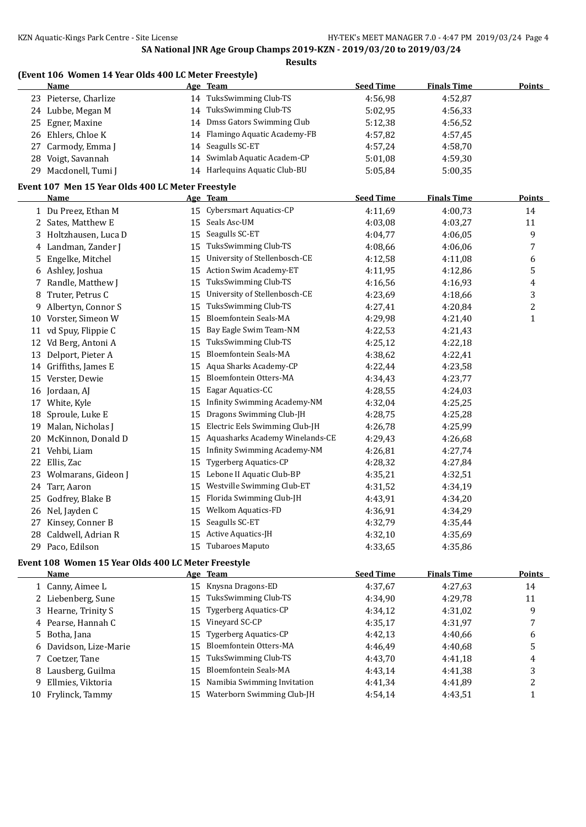#### **(Event 106 Women 14 Year Olds 400 LC Meter Freestyle)**

|    | <b>Name</b>                                         |    | Age Team                         | <b>Seed Time</b> | <b>Finals Time</b> | Points         |
|----|-----------------------------------------------------|----|----------------------------------|------------------|--------------------|----------------|
|    | 23 Pieterse, Charlize                               |    | 14 TuksSwimming Club-TS          | 4:56,98          | 4:52,87            |                |
|    | 24 Lubbe, Megan M                                   | 14 | TuksSwimming Club-TS             | 5:02,95          | 4:56,33            |                |
|    | 25 Egner, Maxine                                    | 14 | Dmss Gators Swimming Club        | 5:12,38          | 4:56,52            |                |
|    | 26 Ehlers, Chloe K                                  |    | 14 Flamingo Aquatic Academy-FB   | 4:57,82          | 4:57,45            |                |
| 27 | Carmody, Emma J                                     | 14 | Seagulls SC-ET                   | 4:57,24          | 4:58,70            |                |
|    | 28 Voigt, Savannah                                  | 14 | Swimlab Aquatic Academ-CP        | 5:01,08          | 4:59,30            |                |
|    | 29 Macdonell, Tumi J                                |    | 14 Harlequins Aquatic Club-BU    | 5:05,84          | 5:00,35            |                |
|    | Event 107 Men 15 Year Olds 400 LC Meter Freestyle   |    |                                  |                  |                    |                |
|    | <u>Name</u>                                         |    | Age Team                         | <b>Seed Time</b> | <b>Finals Time</b> | <b>Points</b>  |
|    | 1 Du Preez, Ethan M                                 |    | 15 Cybersmart Aquatics-CP        | 4:11,69          | 4:00,73            | 14             |
|    | 2 Sates, Matthew E                                  |    | 15 Seals Asc-UM                  | 4:03,08          | 4:03,27            | 11             |
|    | 3 Holtzhausen, Luca D                               |    | 15 Seagulls SC-ET                | 4:04,77          | 4:06,05            | 9              |
| 4  | Landman, Zander J                                   |    | 15 TuksSwimming Club-TS          | 4:08,66          | 4:06,06            | 7              |
| 5. | Engelke, Mitchel                                    |    | 15 University of Stellenbosch-CE | 4:12,58          | 4:11,08            | 6              |
| 6  | Ashley, Joshua                                      | 15 | Action Swim Academy-ET           | 4:11,95          | 4:12,86            | 5              |
|    | 7 Randle, Matthew J                                 | 15 | TuksSwimming Club-TS             | 4:16,56          | 4:16,93            | $\overline{4}$ |
| 8  | Truter, Petrus C                                    | 15 | University of Stellenbosch-CE    | 4:23,69          | 4:18,66            | 3              |
|    | 9 Albertyn, Connor S                                | 15 | TuksSwimming Club-TS             | 4:27,41          | 4:20,84            | $\overline{c}$ |
|    | 10 Vorster, Simeon W                                | 15 | Bloemfontein Seals-MA            | 4:29,98          | 4:21,40            | $\mathbf{1}$   |
|    | 11 vd Spuy, Flippie C                               | 15 | Bay Eagle Swim Team-NM           | 4:22,53          | 4:21,43            |                |
|    | 12 Vd Berg, Antoni A                                | 15 | TuksSwimming Club-TS             | 4:25,12          | 4:22,18            |                |
|    | 13 Delport, Pieter A                                | 15 | Bloemfontein Seals-MA            | 4:38,62          | 4:22,41            |                |
|    | 14 Griffiths, James E                               | 15 | Aqua Sharks Academy-CP           | 4:22,44          | 4:23,58            |                |
|    | 15 Verster, Dewie                                   | 15 | Bloemfontein Otters-MA           | 4:34,43          | 4:23,77            |                |
|    | 16 Jordaan, AJ                                      |    | 15 Eagar Aquatics-CC             | 4:28,55          | 4:24,03            |                |
|    | 17 White, Kyle                                      | 15 | Infinity Swimming Academy-NM     | 4:32,04          | 4:25,25            |                |
|    | 18 Sproule, Luke E                                  | 15 | Dragons Swimming Club-JH         | 4:28,75          | 4:25,28            |                |
|    | 19 Malan, Nicholas J                                | 15 | Electric Eels Swimming Club-JH   | 4:26,78          | 4:25,99            |                |
|    | 20 McKinnon, Donald D                               | 15 | Aquasharks Academy Winelands-CE  | 4:29,43          | 4:26,68            |                |
|    | 21 Vehbi, Liam                                      | 15 | Infinity Swimming Academy-NM     | 4:26,81          | 4:27,74            |                |
|    | 22 Ellis, Zac                                       | 15 | Tygerberg Aquatics-CP            | 4:28,32          | 4:27,84            |                |
|    | 23 Wolmarans, Gideon J                              | 15 | Lebone II Aquatic Club-BP        | 4:35,21          | 4:32,51            |                |
|    | 24 Tarr, Aaron                                      | 15 | Westville Swimming Club-ET       | 4:31,52          | 4:34,19            |                |
| 25 | Godfrey, Blake B                                    | 15 | Florida Swimming Club-JH         | 4:43,91          | 4:34,20            |                |
|    | 26 Nel, Jayden C                                    | 15 | <b>Welkom Aquatics-FD</b>        | 4:36,91          | 4:34,29            |                |
| 27 | Kinsey, Conner B                                    | 15 | Seagulls SC-ET                   | 4:32,79          | 4:35,44            |                |
|    | 28 Caldwell, Adrian R                               | 15 | Active Aquatics-JH               | 4:32,10          | 4:35,69            |                |
|    | 29 Paco, Edilson                                    |    | 15 Tubaroes Maputo               | 4:33,65          | 4:35,86            |                |
|    | Event 108 Women 15 Year Olds 400 LC Meter Freestyle |    |                                  |                  |                    |                |

|    | <b>Name</b>            |    | Age Team                       | <b>Seed Time</b> | <b>Finals Time</b> | Points |
|----|------------------------|----|--------------------------------|------------------|--------------------|--------|
|    | 1 Canny, Aimee L       |    | 15 Knysna Dragons-ED           | 4:37,67          | 4:27.63            | 14     |
|    | 2 Liebenberg, Sune     |    | 15 TuksSwimming Club-TS        | 4:34.90          | 4:29.78            | 11     |
|    | 3 Hearne, Trinity S    |    | 15 Tygerberg Aquatics-CP       | 4:34.12          | 4:31.02            | 9      |
|    | 4 Pearse, Hannah C     |    | 15 Vinevard SC-CP              | 4:35,17          | 4:31,97            |        |
|    | 5 Botha, Jana          |    | 15 Tygerberg Aquatics-CP       | 4:42.13          | 4:40,66            | 6      |
|    | 6 Davidson, Lize-Marie |    | 15 Bloemfontein Otters-MA      | 4:46.49          | 4:40.68            | כ      |
|    | 7 Coetzer, Tane        |    | 15 TuksSwimming Club-TS        | 4:43.70          | 4:41.18            | 4      |
|    | 8 Lausberg, Guilma     |    | 15 Bloemfontein Seals-MA       | 4:43.14          | 4:41.38            | 3      |
|    | 9 Ellmies, Viktoria    |    | 15 Namibia Swimming Invitation | 4:41.34          | 4:41.89            |        |
| 10 | Frylinck, Tammy        | 15 | Waterborn Swimming Club-JH     | 4:54.14          | 4:43.51            |        |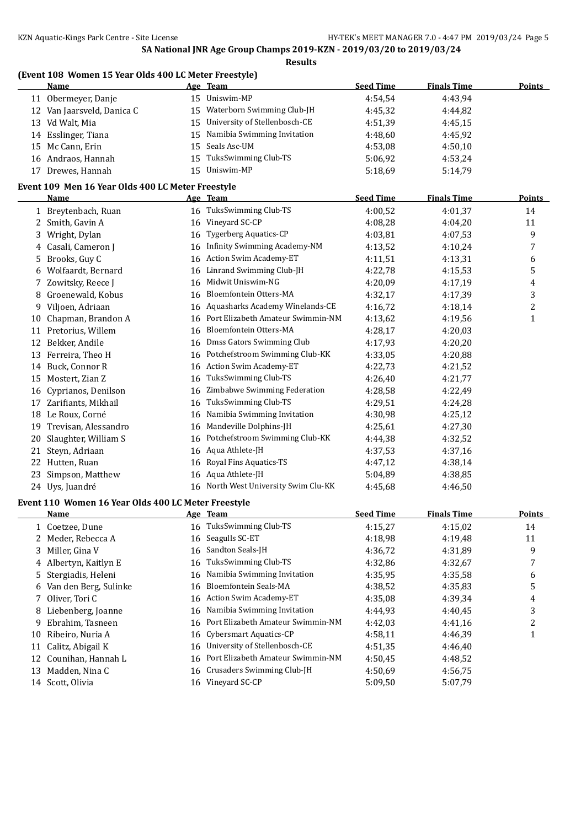#### **(Event 108 Women 15 Year Olds 400 LC Meter Freestyle)**

|    | <u>Name</u>                                         |    | Age Team                            | <b>Seed Time</b> | <b>Finals Time</b> | Points                  |
|----|-----------------------------------------------------|----|-------------------------------------|------------------|--------------------|-------------------------|
|    | 11 Obermeyer, Danje                                 |    | 15 Uniswim-MP                       | 4:54,54          | 4:43,94            |                         |
|    | 12 Van Jaarsveld, Danica C                          | 15 | Waterborn Swimming Club-JH          | 4:45,32          | 4:44,82            |                         |
|    | 13 Vd Walt, Mia                                     | 15 | University of Stellenbosch-CE       | 4:51,39          | 4:45,15            |                         |
| 14 | Esslinger, Tiana                                    | 15 | Namibia Swimming Invitation         | 4:48,60          | 4:45,92            |                         |
| 15 | Mc Cann, Erin                                       | 15 | Seals Asc-UM                        | 4:53,08          | 4:50,10            |                         |
|    | 16 Andraos, Hannah                                  | 15 | TuksSwimming Club-TS                | 5:06,92          | 4:53,24            |                         |
|    | 17 Drewes, Hannah                                   | 15 | Uniswim-MP                          | 5:18,69          | 5:14,79            |                         |
|    | Event 109 Men 16 Year Olds 400 LC Meter Freestyle   |    |                                     |                  |                    |                         |
|    | Name                                                |    | Age Team                            | <b>Seed Time</b> | <b>Finals Time</b> | <b>Points</b>           |
|    | 1 Breytenbach, Ruan                                 |    | 16 TuksSwimming Club-TS             | 4:00,52          | 4:01,37            | 14                      |
| 2  | Smith, Gavin A                                      | 16 | Vineyard SC-CP                      | 4:08,28          | 4:04,20            | 11                      |
| 3  | Wright, Dylan                                       | 16 | <b>Tygerberg Aquatics-CP</b>        | 4:03,81          | 4:07,53            | 9                       |
| 4  | Casali, Cameron J                                   | 16 | <b>Infinity Swimming Academy-NM</b> | 4:13,52          | 4:10,24            | 7                       |
| 5  | Brooks, Guy C                                       | 16 | Action Swim Academy-ET              | 4:11,51          | 4:13,31            | 6                       |
| 6  | Wolfaardt, Bernard                                  | 16 | Linrand Swimming Club-JH            | 4:22,78          | 4:15,53            | 5                       |
| 7  | Zowitsky, Reece J                                   | 16 | Midwit Uniswim-NG                   | 4:20,09          | 4:17,19            | 4                       |
| 8  | Groenewald, Kobus                                   | 16 | Bloemfontein Otters-MA              | 4:32,17          | 4:17,39            | 3                       |
| 9  | Viljoen, Adriaan                                    | 16 | Aquasharks Academy Winelands-CE     | 4:16,72          | 4:18,14            | $\overline{c}$          |
| 10 | Chapman, Brandon A                                  | 16 | Port Elizabeth Amateur Swimmin-NM   | 4:13,62          | 4:19,56            | 1                       |
| 11 | Pretorius, Willem                                   | 16 | Bloemfontein Otters-MA              | 4:28,17          | 4:20,03            |                         |
| 12 | Bekker, Andile                                      | 16 | Dmss Gators Swimming Club           | 4:17,93          | 4:20,20            |                         |
| 13 | Ferreira, Theo H                                    | 16 | Potchefstroom Swimming Club-KK      | 4:33,05          | 4:20,88            |                         |
| 14 | Buck, Connor R                                      | 16 | Action Swim Academy-ET              | 4:22,73          | 4:21,52            |                         |
| 15 | Mostert, Zian Z                                     | 16 | TuksSwimming Club-TS                | 4:26,40          | 4:21,77            |                         |
| 16 | Cyprianos, Denilson                                 | 16 | Zimbabwe Swimming Federation        | 4:28,58          | 4:22,49            |                         |
| 17 | Zarifiants, Mikhail                                 | 16 | TuksSwimming Club-TS                | 4:29,51          | 4:24,28            |                         |
| 18 | Le Roux, Corné                                      | 16 | Namibia Swimming Invitation         | 4:30,98          | 4:25,12            |                         |
| 19 | Trevisan, Alessandro                                | 16 | Mandeville Dolphins-JH              | 4:25,61          | 4:27,30            |                         |
| 20 | Slaughter, William S                                | 16 | Potchefstroom Swimming Club-KK      | 4:44,38          | 4:32,52            |                         |
| 21 | Steyn, Adriaan                                      | 16 | Aqua Athlete-JH                     | 4:37,53          | 4:37,16            |                         |
| 22 | Hutten, Ruan                                        | 16 | Royal Fins Aquatics-TS              | 4:47,12          | 4:38,14            |                         |
| 23 | Simpson, Matthew                                    | 16 | Aqua Athlete-JH                     | 5:04,89          | 4:38,85            |                         |
|    | 24 Uys, Juandré                                     | 16 | North West University Swim Clu-KK   | 4:45,68          | 4:46.50            |                         |
|    | Event 110 Women 16 Year Olds 400 LC Meter Freestyle |    |                                     |                  |                    |                         |
|    | <u>Name</u>                                         |    | <u>Age Team</u>                     | <b>Seed Time</b> | <b>Finals Time</b> | <b>Points</b>           |
| 1  | Coetzee, Dune                                       | 16 | TuksSwimming Club-TS                | 4:15,27          | 4:15,02            | 14                      |
| 2  | Meder, Rebecca A                                    | 16 | Seagulls SC-ET                      | 4:18,98          | 4:19,48            | 11                      |
| 3  | Miller, Gina V                                      | 16 | Sandton Seals-JH                    | 4:36,72          | 4:31,89            | 9                       |
| 4  | Albertyn, Kaitlyn E                                 | 16 | TuksSwimming Club-TS                | 4:32,86          | 4:32,67            | 7                       |
| 5  | Stergiadis, Heleni                                  | 16 | Namibia Swimming Invitation         | 4:35,95          | 4:35,58            | 6                       |
| 6  | Van den Berg, Sulinke                               | 16 | Bloemfontein Seals-MA               | 4:38,52          | 4:35,83            | 5                       |
| 7  | Oliver, Tori C                                      | 16 | <b>Action Swim Academy-ET</b>       | 4:35,08          | 4:39,34            | 4                       |
| 8  | Liebenberg, Joanne                                  | 16 | Namibia Swimming Invitation         | 4:44,93          | 4:40,45            | 3                       |
| 9  | Ebrahim, Tasneen                                    | 16 | Port Elizabeth Amateur Swimmin-NM   | 4:42,03          | 4:41,16            | $\overline{\mathbf{c}}$ |
| 10 | Ribeiro, Nuria A                                    | 16 | Cybersmart Aquatics-CP              | 4:58,11          | 4:46,39            | 1                       |
| 11 | Calitz, Abigail K                                   | 16 | University of Stellenbosch-CE       | 4:51,35          | 4:46,40            |                         |
| 12 | Counihan, Hannah L                                  | 16 | Port Elizabeth Amateur Swimmin-NM   | 4:50,45          | 4:48,52            |                         |
| 13 | Madden, Nina C                                      | 16 | Crusaders Swimming Club-JH          | 4:50,69          | 4:56,75            |                         |
|    | 14 Scott, Olivia                                    |    | 16 Vineyard SC-CP                   | 5:09,50          | 5:07,79            |                         |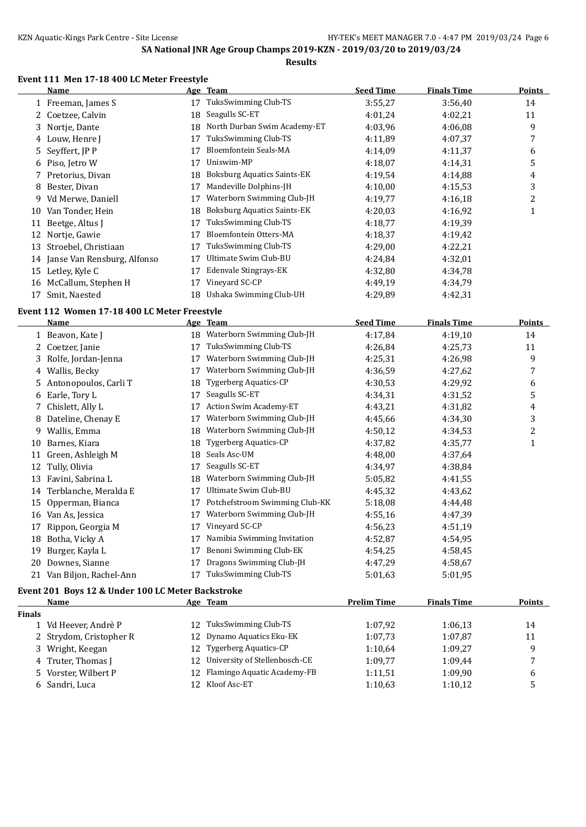#### **Event 111 Men 17-18 400 LC Meter Freestyle**

|    | Name                           |    | Age Team                           | <b>Seed Time</b> | <b>Finals Time</b> | <b>Points</b> |
|----|--------------------------------|----|------------------------------------|------------------|--------------------|---------------|
|    | 1 Freeman, James S             | 17 | TuksSwimming Club-TS               | 3:55,27          | 3:56,40            | 14            |
|    | 2 Coetzee, Calvin              | 18 | Seagulls SC-ET                     | 4:01.24          | 4:02,21            | 11            |
|    | 3 Nortje, Dante                | 18 | North Durban Swim Academy-ET       | 4:03.96          | 4:06.08            | 9             |
|    | 4 Louw, Henre J                | 17 | TuksSwimming Club-TS               | 4:11.89          | 4:07.37            | 7             |
|    | 5 Seyffert, JP P               | 17 | Bloemfontein Seals-MA              | 4:14.09          | 4:11,37            | 6             |
| 6  | Piso, Jetro W                  | 17 | Uniswim-MP                         | 4:18.07          | 4:14.31            | 5             |
|    | Pretorius, Divan               | 18 | <b>Boksburg Aquatics Saints-EK</b> | 4:19.54          | 4:14.88            | 4             |
| 8  | Bester, Divan                  | 17 | Mandeville Dolphins-JH             | 4:10,00          | 4:15.53            | 3             |
| 9  | Vd Merwe, Daniell              | 17 | Waterborn Swimming Club-JH         | 4:19,77          | 4:16,18            | 2             |
| 10 | Van Tonder, Hein               | 18 | Boksburg Aquatics Saints-EK        | 4:20.03          | 4:16,92            | 1             |
| 11 | Beetge, Altus I                | 17 | TuksSwimming Club-TS               | 4:18.77          | 4:19.39            |               |
| 12 | Nortie, Gawie                  | 17 | Bloemfontein Otters-MA             | 4:18.37          | 4:19,42            |               |
| 13 | Stroebel, Christiaan           | 17 | TuksSwimming Club-TS               | 4:29,00          | 4:22,21            |               |
|    | 14 Janse Van Rensburg, Alfonso | 17 | Ultimate Swim Club-BU              | 4:24,84          | 4:32,01            |               |
| 15 | Letley, Kyle C                 | 17 | Edenvale Stingrays-EK              | 4:32,80          | 4:34.78            |               |
| 16 | McCallum, Stephen H            | 17 | Vineyard SC-CP                     | 4:49.19          | 4:34,79            |               |
| 17 | Smit, Naested                  | 18 | Ushaka Swimming Club-UH            | 4:29,89          | 4:42,31            |               |

## **Event 112 Women 17-18 400 LC Meter Freestyle**

|    | <b>Name</b>               |    | Age Team                       | <b>Seed Time</b> | <b>Finals Time</b> | <b>Points</b> |
|----|---------------------------|----|--------------------------------|------------------|--------------------|---------------|
|    | 1 Beavon, Kate J          | 18 | Waterborn Swimming Club-JH     | 4:17,84          | 4:19,10            | 14            |
|    | 2 Coetzer, Janie          | 17 | TuksSwimming Club-TS           | 4:26,84          | 4:25,73            | 11            |
|    | 3 Rolfe, Jordan-Jenna     | 17 | Waterborn Swimming Club-JH     | 4:25,31          | 4:26,98            | 9             |
| 4  | Wallis, Becky             | 17 | Waterborn Swimming Club-JH     | 4:36,59          | 4:27,62            | 7             |
| 5. | Antonopoulos, Carli T     | 18 | <b>Tygerberg Aquatics-CP</b>   | 4:30.53          | 4:29,92            | 6             |
|    | 6 Earle, Tory L           | 17 | Seagulls SC-ET                 | 4:34,31          | 4:31,52            | 5             |
|    | 7 Chislett, Ally L        | 17 | Action Swim Academy-ET         | 4:43,21          | 4:31,82            | 4             |
| 8  | Dateline, Chenay E        | 17 | Waterborn Swimming Club-JH     | 4:45,66          | 4:34,30            | 3             |
| 9. | Wallis, Emma              | 18 | Waterborn Swimming Club-JH     | 4:50,12          | 4:34.53            | 2             |
| 10 | Barnes, Kiara             | 18 | <b>Tygerberg Aquatics-CP</b>   | 4:37,82          | 4:35,77            | 1             |
| 11 | Green, Ashleigh M         | 18 | Seals Asc-UM                   | 4:48,00          | 4:37,64            |               |
| 12 | Tully, Olivia             | 17 | Seagulls SC-ET                 | 4:34,97          | 4:38,84            |               |
| 13 | Favini, Sabrina L         | 18 | Waterborn Swimming Club-JH     | 5:05,82          | 4:41,55            |               |
| 14 | Terblanche, Meralda E     | 17 | Ultimate Swim Club-BU          | 4:45,32          | 4:43,62            |               |
| 15 | Opperman, Bianca          | 17 | Potchefstroom Swimming Club-KK | 5:18,08          | 4:44,48            |               |
| 16 | Van As, Jessica           | 17 | Waterborn Swimming Club-JH     | 4:55,16          | 4:47.39            |               |
| 17 | Rippon, Georgia M         | 17 | Vineyard SC-CP                 | 4:56,23          | 4:51,19            |               |
| 18 | Botha, Vicky A            | 17 | Namibia Swimming Invitation    | 4:52,87          | 4:54,95            |               |
| 19 | Burger, Kayla L           | 17 | Benoni Swimming Club-EK        | 4:54,25          | 4:58,45            |               |
| 20 | Downes, Sianne            | 17 | Dragons Swimming Club-JH       | 4:47,29          | 4:58,67            |               |
|    | 21 Van Biljon, Rachel-Ann | 17 | TuksSwimming Club-TS           | 5:01,63          | 5:01,95            |               |

## **Event 201 Boys 12 & Under 100 LC Meter Backstroke**

|               | Name                    |     | Age Team                         | <b>Prelim Time</b> | <b>Finals Time</b> | <b>Points</b> |
|---------------|-------------------------|-----|----------------------------------|--------------------|--------------------|---------------|
| <b>Finals</b> |                         |     |                                  |                    |                    |               |
|               | 1 Vd Heever, Andrè P    | 12. | TuksSwimming Club-TS             | 1:07.92            | 1:06.13            | 14            |
|               | 2 Strydom, Cristopher R |     | 12 Dynamo Aquatics Eku-EK        | 1:07.73            | 1:07.87            | 11            |
|               | 3 Wright, Keegan        | 12. | Tygerberg Aquatics-CP            | 1:10.64            | 1:09.27            | q             |
|               | 4 Truter, Thomas J      |     | 12 University of Stellenbosch-CE | 1:09.77            | 1:09.44            | 7             |
|               | 5 Vorster, Wilbert P    | 12. | Flamingo Aquatic Academy-FB      | 1:11,51            | 1:09.90            | 6             |
|               | 6 Sandri, Luca          |     | 12 Kloof Asc-ET                  | 1:10.63            | 1:10,12            |               |
|               |                         |     |                                  |                    |                    |               |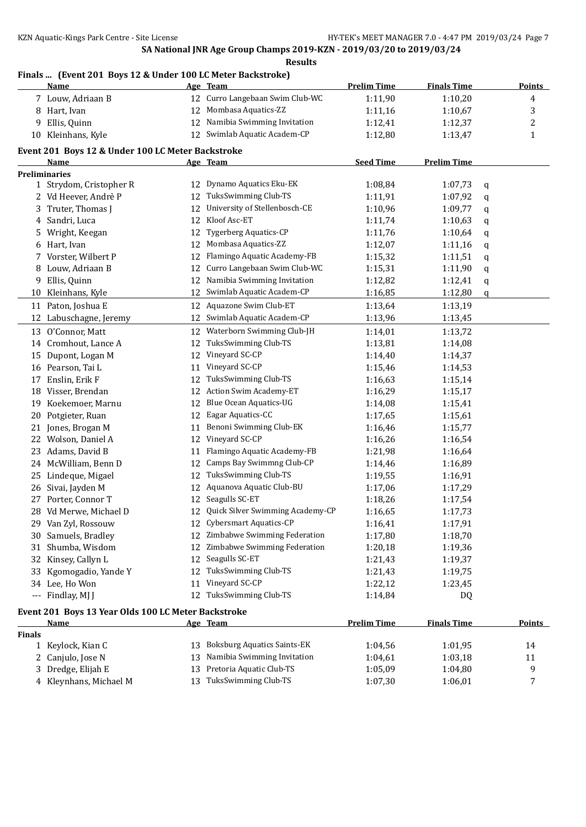## **Finals ... (Event 201 Boys 12 & Under 100 LC Meter Backstroke)**

|               | <u>Name</u>                                         |    | Age Team                           | <b>Prelim Time</b> | <b>Finals Time</b> | <b>Points</b> |
|---------------|-----------------------------------------------------|----|------------------------------------|--------------------|--------------------|---------------|
|               | 7 Louw, Adriaan B                                   |    | 12 Curro Langebaan Swim Club-WC    | 1:11,90            | 1:10,20            | 4             |
|               | 8 Hart, Ivan                                        | 12 | Mombasa Aquatics-ZZ                | 1:11,16            | 1:10,67            | 3             |
| 9             | Ellis, Quinn                                        | 12 | Namibia Swimming Invitation        | 1:12,41            | 1:12,37            | 2             |
|               | 10 Kleinhans, Kyle                                  |    | 12 Swimlab Aquatic Academ-CP       | 1:12,80            | 1:13,47            | 1             |
|               | Event 201 Boys 12 & Under 100 LC Meter Backstroke   |    |                                    |                    |                    |               |
|               | Name                                                |    | Age Team                           | <b>Seed Time</b>   | <b>Prelim Time</b> |               |
|               | Preliminaries                                       |    |                                    |                    |                    |               |
|               | 1 Strydom, Cristopher R                             | 12 | Dynamo Aquatics Eku-EK             | 1:08,84            | 1:07,73            | q             |
|               | 2 Vd Heever, Andrè P                                | 12 | TuksSwimming Club-TS               | 1:11,91            | 1:07,92            | q             |
|               | Truter, Thomas J                                    | 12 | University of Stellenbosch-CE      | 1:10,96            | 1:09,77            | q             |
| 4             | Sandri, Luca                                        | 12 | Kloof Asc-ET                       | 1:11,74            | 1:10,63            | q             |
| 5             | Wright, Keegan                                      | 12 | Tygerberg Aquatics-CP              | 1:11,76            | 1:10,64            | q             |
| 6             | Hart, Ivan                                          | 12 | Mombasa Aquatics-ZZ                | 1:12,07            | 1:11,16            | q             |
| 7             | Vorster, Wilbert P                                  | 12 | Flamingo Aquatic Academy-FB        | 1:15,32            | 1:11,51            | q             |
| 8             | Louw, Adriaan B                                     | 12 | Curro Langebaan Swim Club-WC       | 1:15,31            | 1:11,90            | q             |
| 9             | Ellis, Quinn                                        | 12 | Namibia Swimming Invitation        | 1:12,82            | 1:12,41            | q             |
| 10            | Kleinhans, Kyle                                     | 12 | Swimlab Aquatic Academ-CP          | 1:16,85            | 1:12,80            | q             |
|               | 11 Paton, Joshua E                                  | 12 | Aquazone Swim Club-ET              | 1:13,64            | 1:13,19            |               |
|               | 12 Labuschagne, Jeremy                              |    | 12 Swimlab Aquatic Academ-CP       | 1:13,96            | 1:13,45            |               |
|               | 13 O'Connor, Matt                                   | 12 | Waterborn Swimming Club-JH         | 1:14,01            | 1:13,72            |               |
|               | 14 Cromhout, Lance A                                | 12 | TuksSwimming Club-TS               | 1:13,81            | 1:14,08            |               |
|               | 15 Dupont, Logan M                                  | 12 | Vineyard SC-CP                     | 1:14,40            | 1:14,37            |               |
|               | 16 Pearson, Tai L                                   | 11 | Vineyard SC-CP                     | 1:15,46            | 1:14,53            |               |
| 17            | Enslin, Erik F                                      | 12 | TuksSwimming Club-TS               | 1:16,63            | 1:15,14            |               |
| 18            | Visser, Brendan                                     | 12 | Action Swim Academy-ET             | 1:16,29            | 1:15,17            |               |
| 19            | Koekemoer, Marnu                                    | 12 | <b>Blue Ocean Aquatics-UG</b>      |                    | 1:15,41            |               |
|               |                                                     | 12 | Eagar Aquatics-CC                  | 1:14,08            |                    |               |
| 20            | Potgieter, Ruan                                     | 11 | Benoni Swimming Club-EK            | 1:17,65            | 1:15,61            |               |
| 21            | Jones, Brogan M                                     | 12 | Vineyard SC-CP                     | 1:16,46            | 1:15,77            |               |
| 22            | Wolson, Daniel A                                    |    | Flamingo Aquatic Academy-FB        | 1:16,26            | 1:16,54            |               |
| 23            | Adams, David B                                      | 11 |                                    | 1:21,98            | 1:16,64            |               |
| 24            | McWilliam, Benn D                                   | 12 | Camps Bay Swimmng Club-CP          | 1:14,46            | 1:16,89            |               |
| 25            | Lindeque, Migael                                    | 12 | TuksSwimming Club-TS               | 1:19,55            | 1:16,91            |               |
| 26            | Sivai, Jayden M                                     | 12 | Aquanova Aquatic Club-BU           | 1:17,06            | 1:17,29            |               |
| 27            | Porter, Connor T                                    | 12 | Seagulls SC-ET                     | 1:18,26            | 1:17,54            |               |
|               | 28 Vd Merwe, Michael D                              | 12 | Quick Silver Swimming Academy-CP   | 1:16,65            | 1:17,73            |               |
|               | 29 Van Zyl, Rossouw                                 |    | 12 Cybersmart Aquatics-CP          | 1:16,41            | 1:17,91            |               |
|               | 30 Samuels, Bradley                                 |    | 12 Zimbabwe Swimming Federation    | 1:17,80            | 1:18,70            |               |
| 31            | Shumba, Wisdom                                      | 12 | Zimbabwe Swimming Federation       | 1:20,18            | 1:19,36            |               |
|               | 32 Kinsey, Callyn L                                 | 12 | Seagulls SC-ET                     | 1:21,43            | 1:19,37            |               |
|               | 33 Kgomogadio, Yande Y                              | 12 | TuksSwimming Club-TS               | 1:21,43            | 1:19,75            |               |
|               | 34 Lee, Ho Won                                      | 11 | Vineyard SC-CP                     | 1:22,12            | 1:23,45            |               |
|               | --- Findlay, MJ J                                   | 12 | TuksSwimming Club-TS               | 1:14,84            | DQ                 |               |
|               | Event 201 Boys 13 Year Olds 100 LC Meter Backstroke |    |                                    |                    |                    |               |
|               | <u>Name</u>                                         |    | Age Team                           | <b>Prelim Time</b> | <b>Finals Time</b> | <b>Points</b> |
| <b>Finals</b> |                                                     |    |                                    |                    |                    |               |
|               | 1 Keylock, Kian C                                   | 13 | <b>Boksburg Aquatics Saints-EK</b> | 1:04,56            | 1:01,95            | 14            |
|               | 2 Canjulo, Jose N                                   | 13 | Namibia Swimming Invitation        | 1:04,61            | 1:03,18            | 11            |
| 3             | Dredge, Elijah E                                    | 13 | Pretoria Aquatic Club-TS           | 1:05,09            | 1:04,80            | 9             |
|               | 4 Kleynhans, Michael M                              | 13 | TuksSwimming Club-TS               | 1:07,30            | 1:06,01            | 7             |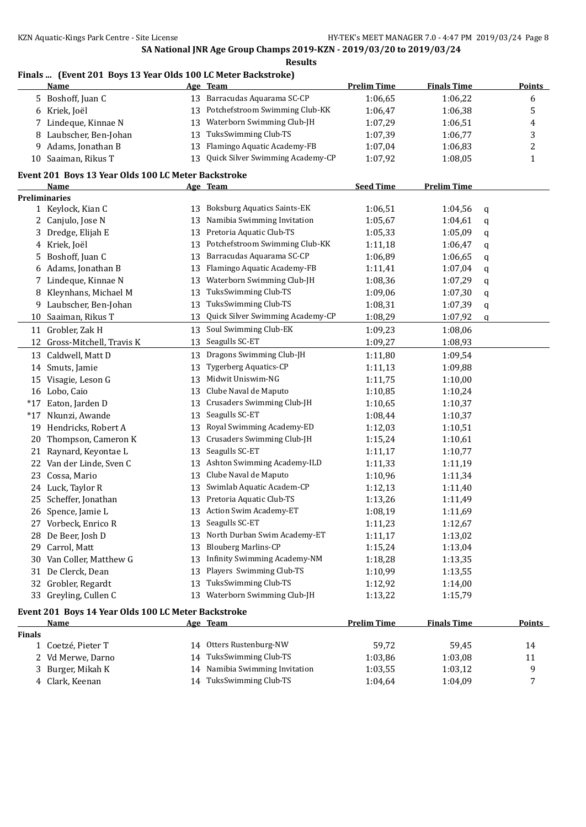## **Finals ... (Event 201 Boys 13 Year Olds 100 LC Meter Backstroke)**

|               | <u>Name</u>                                         |    | Age Team                                     | <b>Prelim Time</b> | <b>Finals Time</b> | <b>Points</b> |
|---------------|-----------------------------------------------------|----|----------------------------------------------|--------------------|--------------------|---------------|
|               | 5 Boshoff, Juan C                                   |    | 13 Barracudas Aquarama SC-CP                 | 1:06,65            | 1:06,22            | 6             |
|               | 6 Kriek, Joël                                       | 13 | Potchefstroom Swimming Club-KK               | 1:06,47            | 1:06,38            | 5             |
| 7             | Lindeque, Kinnae N                                  | 13 | Waterborn Swimming Club-JH                   | 1:07,29            | 1:06,51            | 4             |
| 8             | Laubscher, Ben-Johan                                | 13 | TuksSwimming Club-TS                         | 1:07,39            | 1:06,77            | 3             |
| 9             | Adams, Jonathan B                                   | 13 | Flamingo Aquatic Academy-FB                  | 1:07,04            | 1:06,83            | 2             |
| 10            | Saaiman, Rikus T                                    | 13 | Quick Silver Swimming Academy-CP             | 1:07,92            | 1:08,05            | $\mathbf{1}$  |
|               |                                                     |    |                                              |                    |                    |               |
|               | Event 201 Boys 13 Year Olds 100 LC Meter Backstroke |    |                                              |                    |                    |               |
|               | Name<br><b>Preliminaries</b>                        |    | Age Team                                     | <b>Seed Time</b>   | <b>Prelim Time</b> |               |
|               | 1 Keylock, Kian C                                   | 13 | <b>Boksburg Aquatics Saints-EK</b>           | 1:06,51            | 1:04,56            | q             |
|               | 2 Canjulo, Jose N                                   | 13 | Namibia Swimming Invitation                  | 1:05,67            | 1:04,61            | q             |
|               | Dredge, Elijah E                                    | 13 | Pretoria Aquatic Club-TS                     | 1:05,33            | 1:05,09            | q             |
| 4             | Kriek, Joël                                         | 13 | Potchefstroom Swimming Club-KK               | 1:11,18            | 1:06,47            | q             |
| 5             | Boshoff, Juan C                                     | 13 | Barracudas Aquarama SC-CP                    | 1:06,89            | 1:06,65            |               |
|               | Adams, Jonathan B                                   | 13 | Flamingo Aquatic Academy-FB                  | 1:11,41            | 1:07,04            | q             |
| 6             |                                                     |    | Waterborn Swimming Club-JH                   |                    | 1:07,29            | q             |
|               | 7 Lindeque, Kinnae N                                | 13 |                                              | 1:08,36            |                    | q             |
| 8             | Kleynhans, Michael M                                | 13 | TuksSwimming Club-TS<br>TuksSwimming Club-TS | 1:09,06            | 1:07,30            | q             |
| 9             | Laubscher, Ben-Johan                                | 13 |                                              | 1:08,31            | 1:07,39            | q             |
| 10            | Saaiman, Rikus T                                    | 13 | Quick Silver Swimming Academy-CP             | 1:08,29            | 1:07,92            | q             |
| 11            | Grobler, Zak H                                      | 13 | Soul Swimming Club-EK                        | 1:09,23            | 1:08,06            |               |
| 12            | Gross-Mitchell, Travis K                            | 13 | Seagulls SC-ET                               | 1:09,27            | 1:08,93            |               |
| 13            | Caldwell, Matt D                                    | 13 | Dragons Swimming Club-JH                     | 1:11,80            | 1:09,54            |               |
| 14            | Smuts, Jamie                                        | 13 | <b>Tygerberg Aquatics-CP</b>                 | 1:11,13            | 1:09,88            |               |
| 15            | Visagie, Leson G                                    | 13 | Midwit Uniswim-NG                            | 1:11,75            | 1:10,00            |               |
|               | 16 Lobo, Caio                                       | 13 | Clube Naval de Maputo                        | 1:10,85            | 1:10,24            |               |
| $*17$         | Eaton, Jarden D                                     | 13 | Crusaders Swimming Club-JH                   | 1:10,65            | 1:10,37            |               |
| $*17$         | Nkunzi, Awande                                      | 13 | Seagulls SC-ET                               | 1:08,44            | 1:10,37            |               |
|               | 19 Hendricks, Robert A                              | 13 | Royal Swimming Academy-ED                    | 1:12,03            | 1:10,51            |               |
| 20            | Thompson, Cameron K                                 | 13 | Crusaders Swimming Club-JH                   | 1:15,24            | 1:10,61            |               |
| 21            | Raynard, Keyontae L                                 | 13 | Seagulls SC-ET                               | 1:11,17            | 1:10,77            |               |
| 22            | Van der Linde, Sven C                               | 13 | Ashton Swimming Academy-ILD                  | 1:11,33            | 1:11,19            |               |
| 23            | Cossa, Mario                                        | 13 | Clube Naval de Maputo                        | 1:10,96            | 1:11,34            |               |
|               | 24 Luck, Taylor R                                   | 13 | Swimlab Aquatic Academ-CP                    | 1:12,13            | 1:11,40            |               |
| 25            | Scheffer, Jonathan                                  | 13 | Pretoria Aquatic Club-TS                     | 1:13,26            | 1:11,49            |               |
|               | 26 Spence, Jamie L                                  |    | 13 Action Swim Academy-ET                    | 1:08,19            | 1:11,69            |               |
|               | 27 Vorbeck, Enrico R                                | 13 | Seagulls SC-ET                               | 1:11,23            | 1:12,67            |               |
|               | 28 De Beer, Josh D                                  | 13 | North Durban Swim Academy-ET                 | 1:11,17            | 1:13,02            |               |
| 29            | Carrol, Matt                                        | 13 | <b>Blouberg Marlins-CP</b>                   | 1:15,24            | 1:13,04            |               |
| 30            | Van Coller, Matthew G                               | 13 | <b>Infinity Swimming Academy-NM</b>          | 1:18,28            | 1:13,35            |               |
| 31            | De Clerck, Dean                                     | 13 | Players Swimming Club-TS                     | 1:10,99            | 1:13,55            |               |
| 32            | Grobler, Regardt                                    | 13 | TuksSwimming Club-TS                         | 1:12,92            | 1:14,00            |               |
|               | 33 Greyling, Cullen C                               | 13 | Waterborn Swimming Club-JH                   | 1:13,22            | 1:15,79            |               |
|               | Event 201 Boys 14 Year Olds 100 LC Meter Backstroke |    |                                              |                    |                    |               |
|               | <u>Name</u>                                         |    | Age Team                                     | <b>Prelim Time</b> | <b>Finals Time</b> | <b>Points</b> |
| <b>Finals</b> |                                                     |    |                                              |                    |                    |               |
|               | 1 Coetzé, Pieter T                                  |    | 14 Otters Rustenburg-NW                      | 59,72              | 59,45              | 14            |
|               | Vd Merwe, Darno                                     | 14 | TuksSwimming Club-TS                         | 1:03,86            | 1:03,08            | 11            |
|               | 3 Burger, Mikah K                                   |    | 14 Namibia Swimming Invitation               | 1:03,55            | 1:03,12            | 9             |

Clark, Keenan 14 TuksSwimming Club-TS 1:04,64 1:04,09 7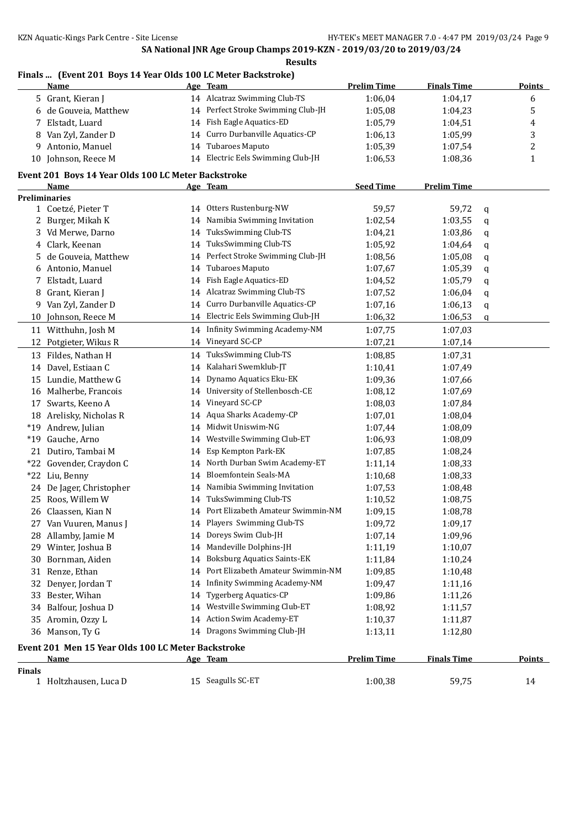# **Finals ... (Event 201 Boys 14 Year Olds 100 LC Meter Backstroke)**

|               | <u>Name</u>                                                 |    | Age Team                             | <b>Prelim Time</b> | <b>Finals Time</b> |        | <b>Points</b> |
|---------------|-------------------------------------------------------------|----|--------------------------------------|--------------------|--------------------|--------|---------------|
|               | 5 Grant, Kieran J                                           |    | 14 Alcatraz Swimming Club-TS         | 1:06,04            | 1:04,17            |        | 6             |
| 6             | de Gouveia, Matthew                                         |    | 14 Perfect Stroke Swimming Club-JH   | 1:05,08            | 1:04,23            |        | 5             |
| 7             | Elstadt, Luard                                              |    | 14 Fish Eagle Aquatics-ED            | 1:05,79            | 1:04,51            |        | 4             |
| 8             | Van Zyl, Zander D                                           |    | 14 Curro Durbanville Aquatics-CP     | 1:06,13            | 1:05,99            |        | 3             |
| 9             | Antonio, Manuel                                             | 14 | Tubaroes Maputo                      | 1:05,39            | 1:07,54            |        | 2             |
| 10            | Johnson, Reece M                                            |    | 14 Electric Eels Swimming Club-JH    | 1:06,53            | 1:08,36            |        | $\mathbf{1}$  |
|               |                                                             |    |                                      |                    |                    |        |               |
|               | Event 201 Boys 14 Year Olds 100 LC Meter Backstroke<br>Name |    | Age Team                             | <b>Seed Time</b>   | <b>Prelim Time</b> |        |               |
|               | <b>Preliminaries</b>                                        |    |                                      |                    |                    |        |               |
|               | 1 Coetzé, Pieter T                                          |    | 14 Otters Rustenburg-NW              | 59,57              | 59,72              | q      |               |
|               | 2 Burger, Mikah K                                           | 14 | Namibia Swimming Invitation          | 1:02,54            | 1:03,55            | q      |               |
| 3             | Vd Merwe, Darno                                             | 14 | TuksSwimming Club-TS                 | 1:04,21            | 1:03,86            | q      |               |
| 4             | Clark, Keenan                                               | 14 | TuksSwimming Club-TS                 | 1:05,92            | 1:04,64            | q      |               |
|               | de Gouveia, Matthew                                         | 14 | Perfect Stroke Swimming Club-JH      | 1:08,56            | 1:05,08            | q      |               |
| 6             | Antonio, Manuel                                             | 14 | <b>Tubaroes Maputo</b>               | 1:07,67            | 1:05,39            | q      |               |
| 7             | Elstadt, Luard                                              | 14 | Fish Eagle Aquatics-ED               | 1:04,52            | 1:05,79            | q      |               |
| 8             | Grant, Kieran J                                             | 14 | Alcatraz Swimming Club-TS            | 1:07,52            | 1:06,04            | q      |               |
| 9             | Van Zyl, Zander D                                           | 14 | Curro Durbanville Aquatics-CP        | 1:07,16            | 1:06,13            |        |               |
| 10            | Johnson, Reece M                                            |    | 14 Electric Eels Swimming Club-JH    | 1:06,32            | 1:06,53            | q<br>q |               |
|               | 11 Witthuhn, Josh M                                         |    | 14 Infinity Swimming Academy-NM      | 1:07,75            | 1:07,03            |        |               |
| 12            | Potgieter, Wikus R                                          |    | 14 Vineyard SC-CP                    | 1:07,21            | 1:07,14            |        |               |
|               |                                                             |    | TuksSwimming Club-TS                 |                    |                    |        |               |
|               | 13 Fildes, Nathan H                                         | 14 |                                      | 1:08,85            | 1:07,31            |        |               |
| 14            | Davel, Estiaan C                                            | 14 | Kalahari Swemklub-JT                 | 1:10,41            | 1:07,49            |        |               |
|               | 15 Lundie, Matthew G                                        | 14 | Dynamo Aquatics Eku-EK               | 1:09,36            | 1:07,66            |        |               |
| 16            | Malherbe, Francois                                          | 14 | University of Stellenbosch-CE        | 1:08,12            | 1:07,69            |        |               |
| 17            | Swarts, Keeno A                                             | 14 | Vineyard SC-CP                       | 1:08,03            | 1:07,84            |        |               |
|               | 18 Arelisky, Nicholas R                                     | 14 | Aqua Sharks Academy-CP               | 1:07,01            | 1:08,04            |        |               |
| $*19$         | Andrew, Julian                                              | 14 | Midwit Uniswim-NG                    | 1:07,44            | 1:08,09            |        |               |
| $*19$         | Gauche, Arno                                                | 14 | Westville Swimming Club-ET           | 1:06,93            | 1:08,09            |        |               |
| 21            | Dutiro, Tambai M                                            | 14 | Esp Kempton Park-EK                  | 1:07,85            | 1:08,24            |        |               |
| $*22$         | Govender, Craydon C                                         | 14 | North Durban Swim Academy-ET         | 1:11,14            | 1:08,33            |        |               |
| $*22$         | Liu, Benny                                                  | 14 | <b>Bloemfontein Seals-MA</b>         | 1:10,68            | 1:08,33            |        |               |
|               | 24 De Jager, Christopher                                    | 14 | Namibia Swimming Invitation          | 1:07,53            | 1:08,48            |        |               |
| 25            | Roos, Willem W                                              |    | 14 TuksSwimming Club-TS              | 1:10,52            | 1:08,75            |        |               |
|               | 26 Claassen, Kian N                                         |    | 14 Port Elizabeth Amateur Swimmin-NM | 1:09,15            | 1:08,78            |        |               |
|               | 27 Van Vuuren, Manus J                                      |    | 14 Players Swimming Club-TS          | 1:09,72            | 1:09,17            |        |               |
|               | 28 Allamby, Jamie M                                         |    | 14 Doreys Swim Club-JH               | 1:07,14            | 1:09,96            |        |               |
| 29.           | Winter, Joshua B                                            | 14 | Mandeville Dolphins-JH               | 1:11,19            | 1:10,07            |        |               |
| 30            | Bornman, Aiden                                              | 14 | <b>Boksburg Aquatics Saints-EK</b>   | 1:11,84            | 1:10,24            |        |               |
| 31            | Renze, Ethan                                                | 14 | Port Elizabeth Amateur Swimmin-NM    | 1:09,85            | 1:10,48            |        |               |
| 32            | Denyer, Jordan T                                            | 14 | Infinity Swimming Academy-NM         | 1:09,47            | 1:11,16            |        |               |
| 33            | Bester, Wihan                                               | 14 | <b>Tygerberg Aquatics-CP</b>         | 1:09,86            | 1:11,26            |        |               |
| 34            | Balfour, Joshua D                                           | 14 | Westville Swimming Club-ET           | 1:08,92            | 1:11,57            |        |               |
| 35            | Aromin, Ozzy L                                              | 14 | Action Swim Academy-ET               | 1:10,37            | 1:11,87            |        |               |
|               | 36 Manson, Ty G                                             |    | 14 Dragons Swimming Club-JH          | 1:13,11            | 1:12,80            |        |               |
|               | Event 201 Men 15 Year Olds 100 LC Meter Backstroke          |    |                                      |                    |                    |        |               |
|               | Name                                                        |    | Age Team                             | <b>Prelim Time</b> | <b>Finals Time</b> |        | <b>Points</b> |
| <b>Finals</b> |                                                             |    |                                      |                    |                    |        |               |
|               | 1 Holtzhausen, Luca D                                       |    | 15 Seagulls SC-ET                    | 1:00,38            | 59,75              |        | 14            |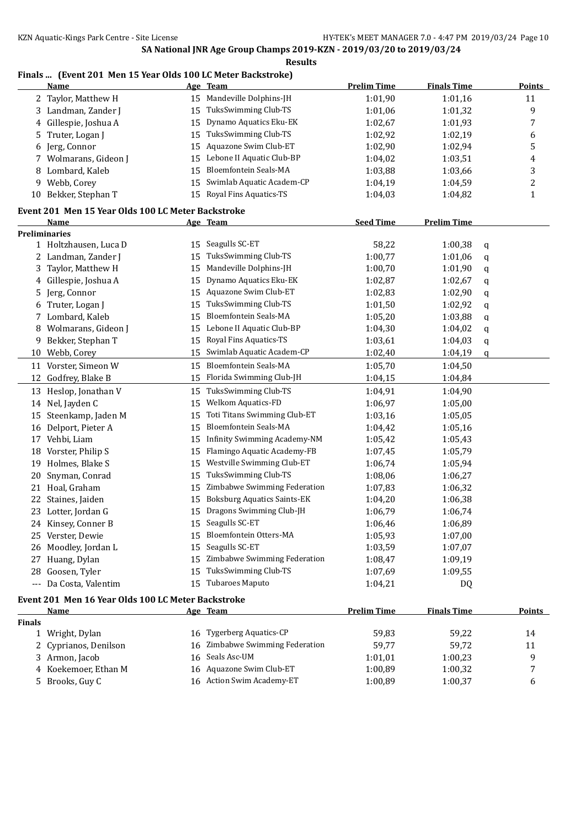## **Finals ... (Event 201 Men 15 Year Olds 100 LC Meter Backstroke)**

|               | <b>Name</b>                                                |    | Age Team                                                  | <b>Prelim Time</b> | <b>Finals Time</b> |   | <b>Points</b>  |
|---------------|------------------------------------------------------------|----|-----------------------------------------------------------|--------------------|--------------------|---|----------------|
|               | 2 Taylor, Matthew H                                        |    | 15 Mandeville Dolphins-JH                                 | 1:01,90            | 1:01,16            |   | 11             |
| 3             | Landman, Zander J                                          | 15 | TuksSwimming Club-TS                                      | 1:01,06            | 1:01,32            |   | 9              |
| 4             | Gillespie, Joshua A                                        | 15 | Dynamo Aquatics Eku-EK                                    | 1:02,67            | 1:01,93            |   | 7              |
| 5             | Truter, Logan J                                            | 15 | TuksSwimming Club-TS                                      | 1:02,92            | 1:02,19            |   | 6              |
| 6             | Jerg, Connor                                               | 15 | Aquazone Swim Club-ET                                     | 1:02,90            | 1:02,94            |   | 5              |
| 7             | Wolmarans, Gideon J                                        | 15 | Lebone II Aquatic Club-BP                                 | 1:04,02            | 1:03,51            |   | 4              |
| 8             | Lombard, Kaleb                                             | 15 | Bloemfontein Seals-MA                                     | 1:03,88            | 1:03,66            |   | 3              |
| 9             | Webb, Corey                                                | 15 | Swimlab Aquatic Academ-CP                                 | 1:04,19            | 1:04,59            |   | $\overline{c}$ |
| 10            | Bekker, Stephan T                                          |    | 15 Royal Fins Aquatics-TS                                 | 1:04,03            | 1:04,82            |   | 1              |
|               |                                                            |    |                                                           |                    |                    |   |                |
|               | Event 201 Men 15 Year Olds 100 LC Meter Backstroke<br>Name |    |                                                           | <b>Seed Time</b>   | <b>Prelim Time</b> |   |                |
|               | <b>Preliminaries</b>                                       |    | Age Team                                                  |                    |                    |   |                |
|               | 1 Holtzhausen, Luca D                                      | 15 | Seagulls SC-ET                                            | 58,22              | 1:00,38            | q |                |
|               | 2 Landman, Zander J                                        | 15 | TuksSwimming Club-TS                                      | 1:00,77            | 1:01,06            | q |                |
| 3             | Taylor, Matthew H                                          | 15 | Mandeville Dolphins-JH                                    | 1:00,70            | 1:01,90            | q |                |
| 4             | Gillespie, Joshua A                                        | 15 | Dynamo Aquatics Eku-EK                                    | 1:02,87            | 1:02,67            | q |                |
| 5             | Jerg, Connor                                               | 15 | Aquazone Swim Club-ET                                     | 1:02,83            | 1:02,90            | q |                |
| 6             | Truter, Logan J                                            | 15 | TuksSwimming Club-TS                                      | 1:01,50            | 1:02,92            | q |                |
| 7             | Lombard, Kaleb                                             | 15 | <b>Bloemfontein Seals-MA</b>                              | 1:05,20            | 1:03,88            | q |                |
| 8             | Wolmarans, Gideon J                                        | 15 | Lebone II Aquatic Club-BP                                 | 1:04,30            | 1:04,02            | q |                |
| 9             | Bekker, Stephan T                                          | 15 | Royal Fins Aquatics-TS                                    | 1:03,61            | 1:04,03            | q |                |
| 10            | Webb, Corey                                                | 15 | Swimlab Aquatic Academ-CP                                 | 1:02,40            | 1:04,19            | q |                |
| 11            | Vorster, Simeon W                                          | 15 | <b>Bloemfontein Seals-MA</b>                              | 1:05,70            | 1:04,50            |   |                |
| 12            | Godfrey, Blake B                                           | 15 | Florida Swimming Club-JH                                  | 1:04,15            | 1:04,84            |   |                |
|               |                                                            |    | TuksSwimming Club-TS                                      |                    |                    |   |                |
|               | 13 Heslop, Jonathan V                                      | 15 |                                                           | 1:04,91            | 1:04,90            |   |                |
|               | 14 Nel, Jayden C                                           | 15 | <b>Welkom Aquatics-FD</b><br>Toti Titans Swimming Club-ET | 1:06,97            | 1:05,00            |   |                |
| 15            | Steenkamp, Jaden M                                         | 15 |                                                           | 1:03,16            | 1:05,05            |   |                |
| 16            | Delport, Pieter A                                          | 15 | Bloemfontein Seals-MA                                     | 1:04,42            | 1:05,16            |   |                |
| 17            | Vehbi, Liam                                                | 15 | Infinity Swimming Academy-NM                              | 1:05,42            | 1:05,43            |   |                |
| 18            | Vorster, Philip S                                          | 15 | Flamingo Aquatic Academy-FB                               | 1:07,45            | 1:05,79            |   |                |
| 19            | Holmes, Blake S                                            | 15 | Westville Swimming Club-ET                                | 1:06,74            | 1:05,94            |   |                |
| 20            | Snyman, Conrad                                             | 15 | TuksSwimming Club-TS                                      | 1:08,06            | 1:06,27            |   |                |
| 21            | Hoal, Graham                                               | 15 | Zimbabwe Swimming Federation                              | 1:07,83            | 1:06,32            |   |                |
| 22            | Staines, Jaiden                                            | 15 | <b>Boksburg Aquatics Saints-EK</b>                        | 1:04,20            | 1:06,38            |   |                |
|               | 23 Lotter, Jordan G                                        | 15 | Dragons Swimming Club-JH                                  | 1:06,79            | 1:06,74            |   |                |
|               | 24 Kinsey, Conner B                                        |    | 15 Seagulls SC-ET                                         | 1:06,46            | 1:06,89            |   |                |
|               | 25 Verster, Dewie                                          | 15 | Bloemfontein Otters-MA                                    | 1:05,93            | 1:07,00            |   |                |
|               | 26 Moodley, Jordan L                                       | 15 | Seagulls SC-ET                                            | 1:03,59            | 1:07,07            |   |                |
|               | 27 Huang, Dylan                                            | 15 | Zimbabwe Swimming Federation                              | 1:08,47            | 1:09,19            |   |                |
|               | 28 Goosen, Tyler                                           | 15 | TuksSwimming Club-TS                                      | 1:07,69            | 1:09,55            |   |                |
|               | --- Da Costa, Valentim                                     |    | 15 Tubaroes Maputo                                        | 1:04,21            | DQ                 |   |                |
|               | Event 201 Men 16 Year Olds 100 LC Meter Backstroke         |    |                                                           |                    |                    |   |                |
|               | Name                                                       |    | Age Team                                                  | <b>Prelim Time</b> | <b>Finals Time</b> |   | <b>Points</b>  |
| <b>Finals</b> |                                                            |    |                                                           |                    |                    |   |                |
|               | 1 Wright, Dylan                                            |    | 16 Tygerberg Aquatics-CP                                  | 59,83              | 59,22              |   | 14             |
|               | 2 Cyprianos, Denilson                                      | 16 | Zimbabwe Swimming Federation                              | 59,77              | 59,72              |   | 11             |
| 3.            | Armon, Jacob                                               |    | 16 Seals Asc-UM                                           | 1:01,01            | 1:00,23            |   | 9              |
| 4             | Koekemoer, Ethan M                                         |    | 16 Aquazone Swim Club-ET                                  | 1:00,89            | 1:00,32            |   | 7              |
|               | 5 Brooks, Guy C                                            |    | 16 Action Swim Academy-ET                                 | 1:00,89            | 1:00,37            |   | 6              |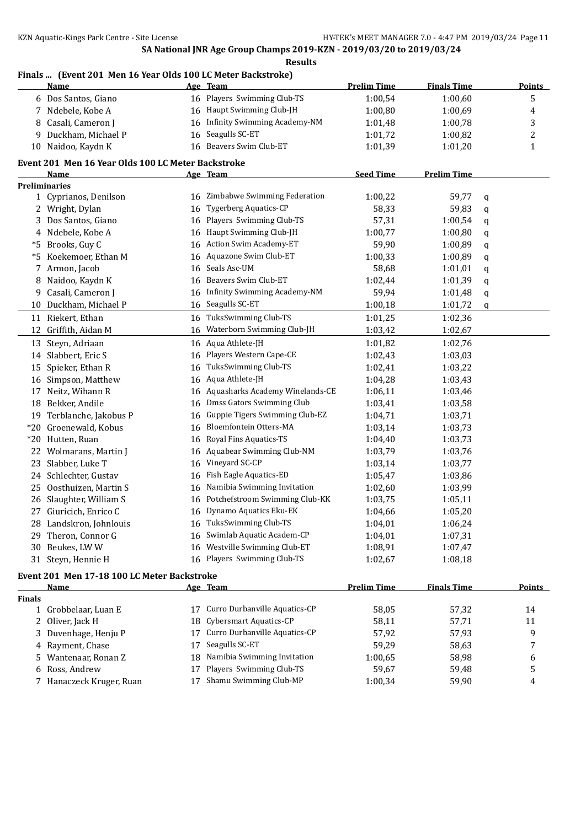## **Finals ... (Event 201 Men 16 Year Olds 100 LC Meter Backstroke)**

|    | <u>Name</u>                                        |    | Age Team                           | <b>Prelim Time</b> | <b>Finals Time</b> |   | <b>Points</b>    |
|----|----------------------------------------------------|----|------------------------------------|--------------------|--------------------|---|------------------|
|    | 6 Dos Santos, Giano                                |    | 16 Players Swimming Club-TS        | 1:00,54            | 1:00,60            |   | 5                |
| 7  | Ndebele, Kobe A                                    |    | 16 Haupt Swimming Club-JH          | 1:00,80            | 1:00,69            |   | $\boldsymbol{4}$ |
| 8  | Casali, Cameron J                                  |    | 16 Infinity Swimming Academy-NM    | 1:01,48            | 1:00,78            |   | 3                |
| 9  | Duckham, Michael P                                 |    | 16 Seagulls SC-ET                  | 1:01,72            | 1:00,82            |   | 2                |
|    | 10 Naidoo, Kaydn K                                 | 16 | Beavers Swim Club-ET               | 1:01,39            | 1:01,20            |   | $\mathbf 1$      |
|    | Event 201 Men 16 Year Olds 100 LC Meter Backstroke |    |                                    |                    |                    |   |                  |
|    | Name                                               |    | Age Team                           | <b>Seed Time</b>   | <b>Prelim Time</b> |   |                  |
|    | <b>Preliminaries</b>                               |    |                                    |                    |                    |   |                  |
|    | 1 Cyprianos, Denilson                              |    | 16 Zimbabwe Swimming Federation    | 1:00,22            | 59,77              | q |                  |
|    | 2 Wright, Dylan                                    | 16 | <b>Tygerberg Aquatics-CP</b>       | 58,33              | 59,83              | q |                  |
|    | 3 Dos Santos, Giano                                | 16 | Players Swimming Club-TS           | 57,31              | 1:00,54            | q |                  |
|    | 4 Ndebele, Kobe A                                  | 16 | Haupt Swimming Club-JH             | 1:00,77            | 1:00,80            | q |                  |
|    | *5 Brooks, Guy C                                   | 16 | <b>Action Swim Academy-ET</b>      | 59,90              | 1:00,89            | q |                  |
| *5 | Koekemoer, Ethan M                                 | 16 | Aquazone Swim Club-ET              | 1:00,33            | 1:00,89            | q |                  |
| 7  | Armon, Jacob                                       | 16 | Seals Asc-UM                       | 58,68              | 1:01,01            | q |                  |
| 8  | Naidoo, Kaydn K                                    | 16 | Beavers Swim Club-ET               | 1:02,44            | 1:01,39            | q |                  |
| 9  | Casali, Cameron J                                  |    | 16 Infinity Swimming Academy-NM    | 59,94              | 1:01,48            | q |                  |
| 10 | Duckham, Michael P                                 |    | 16 Seagulls SC-ET                  | 1:00,18            | 1:01,72            | q |                  |
|    | 11 Riekert, Ethan                                  |    | 16 TuksSwimming Club-TS            | 1:01,25            | 1:02,36            |   |                  |
|    | 12 Griffith, Aidan M                               |    | 16 Waterborn Swimming Club-JH      | 1:03,42            | 1:02,67            |   |                  |
|    | 13 Steyn, Adriaan                                  |    | 16 Aqua Athlete-JH                 | 1:01,82            | 1:02,76            |   |                  |
|    | 14 Slabbert, Eric S                                | 16 | Players Western Cape-CE            | 1:02,43            | 1:03,03            |   |                  |
|    | 15 Spieker, Ethan R                                | 16 | TuksSwimming Club-TS               | 1:02,41            | 1:03,22            |   |                  |
|    | 16 Simpson, Matthew                                | 16 | Aqua Athlete-JH                    | 1:04,28            | 1:03,43            |   |                  |
|    | 17 Neitz, Wihann R                                 |    | 16 Aquasharks Academy Winelands-CE | 1:06,11            | 1:03,46            |   |                  |
|    | 18 Bekker, Andile                                  | 16 | Dmss Gators Swimming Club          | 1:03,41            | 1:03,58            |   |                  |
|    | 19 Terblanche, Jakobus P                           | 16 | Guppie Tigers Swimming Club-EZ     | 1:04,71            | 1:03,71            |   |                  |
|    | *20 Groenewald, Kobus                              | 16 | Bloemfontein Otters-MA             | 1:03,14            | 1:03,73            |   |                  |
|    | *20 Hutten, Ruan                                   | 16 | Royal Fins Aquatics-TS             | 1:04,40            | 1:03.73            |   |                  |
|    | 22 Wolmarans, Martin J                             | 16 | Aquabear Swimming Club-NM          | 1:03,79            | 1:03,76            |   |                  |
|    | 23 Slabber, Luke T                                 | 16 | Vineyard SC-CP                     | 1:03,14            | 1:03,77            |   |                  |
|    | 24 Schlechter, Gustav                              | 16 | Fish Eagle Aquatics-ED             | 1:05,47            | 1:03,86            |   |                  |
|    | 25 Oosthuizen, Martin S                            | 16 | Namibia Swimming Invitation        | 1:02,60            | 1:03,99            |   |                  |
|    | 26 Slaughter, William S                            | 16 | Potchefstroom Swimming Club-KK     | 1:03,75            | 1:05,11            |   |                  |
|    | 27 Giuricich, Enrico C                             | 16 | Dynamo Aquatics Eku-EK             | 1:04,66            | 1:05,20            |   |                  |
|    | 28 Landskron, Johnlouis                            |    | 16 TuksSwimming Club-TS            | 1:04,01            | 1:06,24            |   |                  |
| 29 | Theron, Connor G                                   | 16 | Swimlab Aquatic Academ-CP          | 1:04,01            | 1:07,31            |   |                  |
| 30 | Beukes, LWW                                        | 16 | Westville Swimming Club-ET         | 1:08,91            | 1:07,47            |   |                  |
|    | 31 Steyn, Hennie H                                 |    | 16 Players Swimming Club-TS        | 1:02,67            | 1:08,18            |   |                  |
|    |                                                    |    |                                    |                    |                    |   |                  |

# **Event 201 Men 17-18 100 LC Meter Backstroke**

|               | Name                     |    | Age Team                      | <b>Prelim Time</b> | <b>Finals Time</b> | <b>Points</b> |
|---------------|--------------------------|----|-------------------------------|--------------------|--------------------|---------------|
| <b>Finals</b> |                          |    |                               |                    |                    |               |
|               | 1 Grobbelaar, Luan E     | 17 | Curro Durbanville Aquatics-CP | 58.05              | 57.32              | 14            |
|               | 2 Oliver, Jack H         | 18 | Cybersmart Aquatics-CP        | 58.11              | 57.71              | 11            |
|               | 3 Duvenhage, Henju P     | 17 | Curro Durbanville Aquatics-CP | 57.92              | 57.93              | q             |
|               | 4 Rayment, Chase         | 17 | Seagulls SC-ET                | 59.29              | 58,63              |               |
|               | 5 Wantenaar, Ronan Z     | 18 | Namibia Swimming Invitation   | 1:00.65            | 58.98              | 6             |
|               | 6 Ross, Andrew           | 17 | Players Swimming Club-TS      | 59.67              | 59.48              |               |
|               | 7 Hanaczeck Kruger, Ruan | 17 | Shamu Swimming Club-MP        | 1:00.34            | 59,90              | 4             |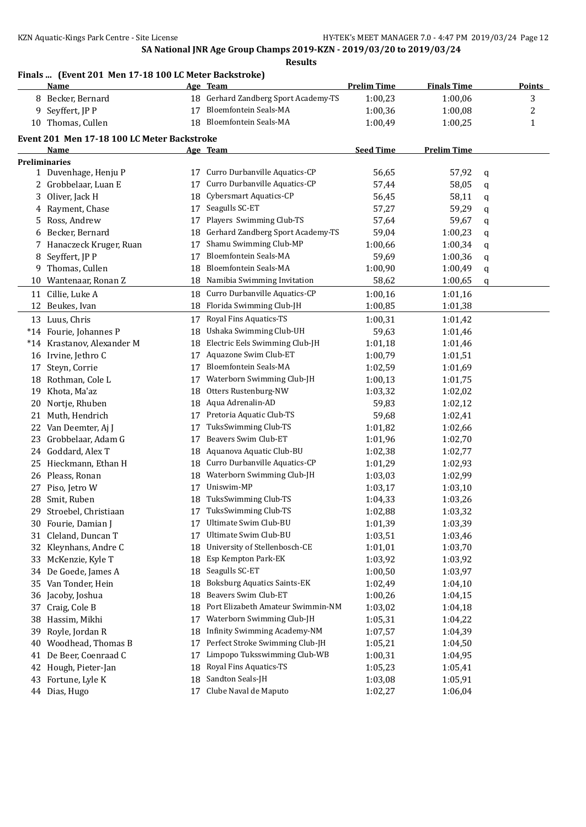#### **Finals ... (Event 201 Men 17-18 100 LC Meter Backstroke)**

|    | <u>Name</u>                                 |    | Age Team                            | <b>Prelim Time</b> | <b>Finals Time</b> |   | <b>Points</b> |
|----|---------------------------------------------|----|-------------------------------------|--------------------|--------------------|---|---------------|
|    | 8 Becker, Bernard                           | 18 | Gerhard Zandberg Sport Academy-TS   | 1:00,23            | 1:00,06            |   | 3             |
|    | 9 Seyffert, JP P                            | 17 | Bloemfontein Seals-MA               | 1:00,36            | 1:00,08            |   | 2             |
|    | 10 Thomas, Cullen                           | 18 | <b>Bloemfontein Seals-MA</b>        | 1:00,49            | 1:00,25            |   | 1             |
|    | Event 201 Men 17-18 100 LC Meter Backstroke |    |                                     |                    |                    |   |               |
|    | Name                                        |    | Age Team                            | <b>Seed Time</b>   | <b>Prelim Time</b> |   |               |
|    | <b>Preliminaries</b>                        |    |                                     |                    |                    |   |               |
|    | 1 Duvenhage, Henju P                        | 17 | Curro Durbanville Aquatics-CP       | 56,65              | 57,92              | q |               |
|    | 2 Grobbelaar, Luan E                        | 17 | Curro Durbanville Aquatics-CP       | 57,44              | 58,05              | q |               |
| 3  | Oliver, Jack H                              | 18 | Cybersmart Aquatics-CP              | 56,45              | 58,11              | q |               |
|    | 4 Rayment, Chase                            | 17 | Seagulls SC-ET                      | 57,27              | 59,29              | q |               |
| 5  | Ross, Andrew                                | 17 | Players Swimming Club-TS            | 57,64              | 59,67              | q |               |
| 6  | Becker, Bernard                             | 18 | Gerhard Zandberg Sport Academy-TS   | 59,04              | 1:00,23            | q |               |
|    | 7 Hanaczeck Kruger, Ruan                    | 17 | Shamu Swimming Club-MP              | 1:00,66            | 1:00,34            | q |               |
| 8  | Seyffert, JP P                              | 17 | Bloemfontein Seals-MA               | 59,69              | 1:00,36            | q |               |
| 9  | Thomas, Cullen                              | 18 | <b>Bloemfontein Seals-MA</b>        | 1:00,90            | 1:00,49            | q |               |
| 10 | Wantenaar, Ronan Z                          | 18 | Namibia Swimming Invitation         | 58,62              | 1:00,65            | q |               |
| 11 | Cillie, Luke A                              | 18 | Curro Durbanville Aquatics-CP       | 1:00,16            | 1:01,16            |   |               |
|    | 12 Beukes, Ivan                             | 18 | Florida Swimming Club-JH            | 1:00,85            | 1:01,38            |   |               |
|    | 13 Luus, Chris                              | 17 | Royal Fins Aquatics-TS              | 1:00,31            | 1:01,42            |   |               |
|    | *14 Fourie, Johannes P                      | 18 | Ushaka Swimming Club-UH             | 59,63              | 1:01,46            |   |               |
|    | *14 Krastanov, Alexander M                  | 18 | Electric Eels Swimming Club-JH      | 1:01,18            | 1:01,46            |   |               |
|    | 16 Irvine, Jethro C                         | 17 | Aquazone Swim Club-ET               | 1:00,79            | 1:01,51            |   |               |
| 17 | Steyn, Corrie                               | 17 | Bloemfontein Seals-MA               | 1:02,59            | 1:01,69            |   |               |
|    | 18 Rothman, Cole L                          | 17 | Waterborn Swimming Club-JH          | 1:00,13            | 1:01,75            |   |               |
|    | 19 Khota, Ma'az                             | 18 | Otters Rustenburg-NW                | 1:03,32            | 1:02,02            |   |               |
|    | 20 Nortje, Rhuben                           | 18 | Aqua Adrenalin-AD                   | 59,83              | 1:02,12            |   |               |
| 21 | Muth, Hendrich                              | 17 | Pretoria Aquatic Club-TS            | 59,68              | 1:02,41            |   |               |
| 22 | Van Deemter, Aj J                           | 17 | TuksSwimming Club-TS                | 1:01,82            | 1:02,66            |   |               |
| 23 | Grobbelaar, Adam G                          | 17 | Beavers Swim Club-ET                | 1:01,96            | 1:02,70            |   |               |
| 24 | Goddard, Alex T                             | 18 | Aquanova Aquatic Club-BU            | 1:02,38            | 1:02,77            |   |               |
| 25 | Hieckmann, Ethan H                          | 18 | Curro Durbanville Aquatics-CP       | 1:01,29            | 1:02,93            |   |               |
| 26 | Pleass, Ronan                               | 18 | Waterborn Swimming Club-JH          | 1:03,03            | 1:02,99            |   |               |
| 27 | Piso, Jetro W                               | 17 | Uniswim-MP                          | 1:03,17            | 1:03,10            |   |               |
| 28 | Smit, Ruben                                 | 18 | TuksSwimming Club-TS                | 1:04,33            | 1:03,26            |   |               |
|    | 29 Stroebel, Christiaan                     |    | 17 TuksSwimming Club-TS             | 1:02,88            | 1:03,32            |   |               |
|    | 30 Fourie, Damian J                         |    | Ultimate Swim Club-BU               | 1:01,39            | 1:03,39            |   |               |
| 31 | Cleland, Duncan T                           | 17 | Ultimate Swim Club-BU               | 1:03,51            | 1:03,46            |   |               |
| 32 | Kleynhans, Andre C                          | 18 | University of Stellenbosch-CE       | 1:01,01            | 1:03,70            |   |               |
| 33 | McKenzie, Kyle T                            | 18 | Esp Kempton Park-EK                 | 1:03,92            | 1:03,92            |   |               |
| 34 | De Goede, James A                           | 18 | Seagulls SC-ET                      | 1:00,50            | 1:03,97            |   |               |
| 35 | Van Tonder, Hein                            | 18 | <b>Boksburg Aquatics Saints-EK</b>  | 1:02,49            | 1:04,10            |   |               |
| 36 | Jacoby, Joshua                              | 18 | Beavers Swim Club-ET                | 1:00,26            | 1:04,15            |   |               |
| 37 | Craig, Cole B                               | 18 | Port Elizabeth Amateur Swimmin-NM   | 1:03,02            | 1:04,18            |   |               |
| 38 | Hassim, Mikhi                               | 17 | Waterborn Swimming Club-JH          | 1:05,31            | 1:04,22            |   |               |
| 39 | Royle, Jordan R                             | 18 | <b>Infinity Swimming Academy-NM</b> | 1:07,57            | 1:04,39            |   |               |
| 40 | Woodhead, Thomas B                          | 17 | Perfect Stroke Swimming Club-JH     | 1:05,21            | 1:04,50            |   |               |
| 41 | De Beer, Coenraad C                         | 17 | Limpopo Tuksswimming Club-WB        | 1:00,31            | 1:04,95            |   |               |
| 42 | Hough, Pieter-Jan                           | 18 | Royal Fins Aquatics-TS              | 1:05,23            | 1:05,41            |   |               |
| 43 | Fortune, Lyle K                             | 18 | Sandton Seals-JH                    | 1:03,08            | 1:05,91            |   |               |
|    | 44 Dias, Hugo                               | 17 | Clube Naval de Maputo               | 1:02,27            | 1:06,04            |   |               |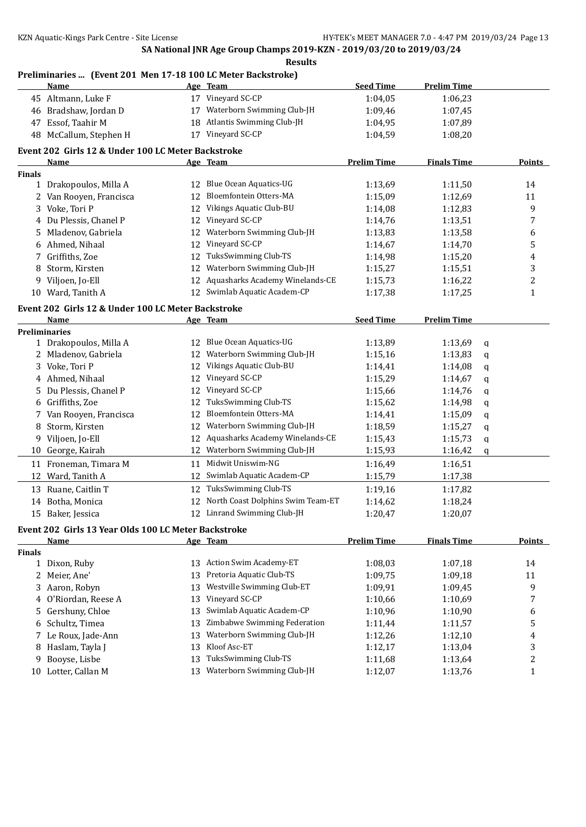## **Preliminaries ... (Event 201 Men 17-18 100 LC Meter Backstroke)**

|               | <b>Name</b>                                          |    | Age Team                          | <b>Seed Time</b>   | <b>Prelim Time</b> |   |                  |
|---------------|------------------------------------------------------|----|-----------------------------------|--------------------|--------------------|---|------------------|
|               | 45 Altmann, Luke F                                   |    | 17 Vineyard SC-CP                 | 1:04,05            | 1:06,23            |   |                  |
|               | 46 Bradshaw, Jordan D                                | 17 | Waterborn Swimming Club-JH        | 1:09,46            | 1:07,45            |   |                  |
| 47            | Essof, Taahir M                                      | 18 | Atlantis Swimming Club-JH         | 1:04,95            | 1:07,89            |   |                  |
|               | 48 McCallum, Stephen H                               |    | 17 Vineyard SC-CP                 | 1:04,59            | 1:08,20            |   |                  |
|               | Event 202 Girls 12 & Under 100 LC Meter Backstroke   |    |                                   |                    |                    |   |                  |
|               | <u>Name</u>                                          |    | Age Team                          | <b>Prelim Time</b> | <b>Finals Time</b> |   | Points           |
| <b>Finals</b> |                                                      |    |                                   |                    |                    |   |                  |
|               | 1 Drakopoulos, Milla A                               |    | 12 Blue Ocean Aquatics-UG         | 1:13,69            | 1:11,50            |   | 14               |
|               | 2 Van Rooyen, Francisca                              | 12 | Bloemfontein Otters-MA            | 1:15,09            | 1:12,69            |   | 11               |
| 3             | Voke, Tori P                                         | 12 | Vikings Aquatic Club-BU           | 1:14,08            | 1:12,83            |   | 9                |
| 4             | Du Plessis, Chanel P                                 | 12 | Vineyard SC-CP                    | 1:14,76            | 1:13,51            |   | 7                |
| 5             | Mladenov, Gabriela                                   | 12 | Waterborn Swimming Club-JH        | 1:13,83            | 1:13,58            |   | 6                |
|               | 6 Ahmed, Nihaal                                      | 12 | Vineyard SC-CP                    | 1:14,67            | 1:14,70            |   | 5                |
| 7             | Griffiths, Zoe                                       | 12 | TuksSwimming Club-TS              | 1:14,98            | 1:15,20            |   | 4                |
| 8             | Storm, Kirsten                                       | 12 | Waterborn Swimming Club-JH        | 1:15,27            | 1:15,51            |   | 3                |
| 9             | Viljoen, Jo-Ell                                      | 12 | Aquasharks Academy Winelands-CE   | 1:15,73            | 1:16,22            |   | $\overline{c}$   |
|               | 10 Ward, Tanith A                                    | 12 | Swimlab Aquatic Academ-CP         | 1:17,38            | 1:17,25            |   | $\mathbf 1$      |
|               |                                                      |    |                                   |                    |                    |   |                  |
|               | Event 202 Girls 12 & Under 100 LC Meter Backstroke   |    |                                   |                    |                    |   |                  |
|               | Name                                                 |    | Age Team                          | <b>Seed Time</b>   | <b>Prelim Time</b> |   |                  |
|               | <b>Preliminaries</b>                                 |    |                                   |                    |                    |   |                  |
|               | 1 Drakopoulos, Milla A                               | 12 | Blue Ocean Aquatics-UG            | 1:13,89            | 1:13,69            | q |                  |
|               | 2 Mladenov, Gabriela                                 | 12 | Waterborn Swimming Club-JH        | 1:15,16            | 1:13,83            | q |                  |
| 3             | Voke, Tori P                                         | 12 | Vikings Aquatic Club-BU           | 1:14,41            | 1:14,08            | q |                  |
|               | 4 Ahmed, Nihaal                                      | 12 | Vineyard SC-CP                    | 1:15,29            | 1:14,67            | q |                  |
| 5             | Du Plessis, Chanel P                                 | 12 | Vineyard SC-CP                    | 1:15,66            | 1:14,76            | q |                  |
| 6             | Griffiths, Zoe                                       | 12 | TuksSwimming Club-TS              | 1:15,62            | 1:14,98            | q |                  |
| 7             | Van Rooyen, Francisca                                | 12 | Bloemfontein Otters-MA            | 1:14,41            | 1:15,09            | q |                  |
| 8             | Storm, Kirsten                                       | 12 | Waterborn Swimming Club-JH        | 1:18,59            | 1:15,27            | q |                  |
| 9             | Viljoen, Jo-Ell                                      | 12 | Aquasharks Academy Winelands-CE   | 1:15,43            | 1:15,73            | q |                  |
| 10            | George, Kairah                                       | 12 | Waterborn Swimming Club-JH        | 1:15,93            | 1:16,42            | q |                  |
|               | 11 Froneman, Timara M                                | 11 | Midwit Uniswim-NG                 | 1:16,49            | 1:16,51            |   |                  |
| 12            | Ward, Tanith A                                       | 12 | Swimlab Aquatic Academ-CP         | 1:15,79            | 1:17,38            |   |                  |
|               | 13 Ruane, Caitlin T                                  | 12 | TuksSwimming Club-TS              | 1:19,16            | 1:17,82            |   |                  |
|               | 14 Botha, Monica                                     | 12 | North Coast Dolphins Swim Team-ET | 1:14,62            | 1:18,24            |   |                  |
|               | 15 Baker, Jessica                                    |    | 12 Linrand Swimming Club-JH       | 1:20,47            | 1:20,07            |   |                  |
|               | Event 202 Girls 13 Year Olds 100 LC Meter Backstroke |    |                                   |                    |                    |   |                  |
|               | Name                                                 |    | Age Team                          | <b>Prelim Time</b> | <b>Finals Time</b> |   | <b>Points</b>    |
| Finals        |                                                      |    |                                   |                    |                    |   |                  |
|               | 1 Dixon, Ruby                                        | 13 | <b>Action Swim Academy-ET</b>     | 1:08,03            | 1:07,18            |   | 14               |
|               | 2 Meier, Ane'                                        | 13 | Pretoria Aquatic Club-TS          | 1:09,75            | 1:09,18            |   | 11               |
|               | 3 Aaron, Robyn                                       | 13 | Westville Swimming Club-ET        | 1:09,91            | 1:09,45            |   | 9                |
|               | 4 O'Riordan, Reese A                                 | 13 | Vineyard SC-CP                    | 1:10,66            | 1:10,69            |   | 7                |
| 5             | Gershuny, Chloe                                      | 13 | Swimlab Aquatic Academ-CP         | 1:10,96            | 1:10,90            |   | 6                |
| 6             | Schultz, Timea                                       | 13 | Zimbabwe Swimming Federation      | 1:11,44            | 1:11,57            |   | 5                |
| 7             | Le Roux, Jade-Ann                                    | 13 | Waterborn Swimming Club-JH        | 1:12,26            | 1:12,10            |   | 4                |
| 8             | Haslam, Tayla J                                      | 13 | Kloof Asc-ET                      | 1:12,17            | 1:13,04            |   | 3                |
| 9             | Booyse, Lisbe                                        | 13 | TuksSwimming Club-TS              | 1:11,68            | 1:13,64            |   | $\boldsymbol{2}$ |
|               | 10 Lotter, Callan M                                  | 13 | Waterborn Swimming Club-JH        |                    |                    |   |                  |
|               |                                                      |    |                                   | 1:12,07            | 1:13,76            |   | $\mathbf{1}$     |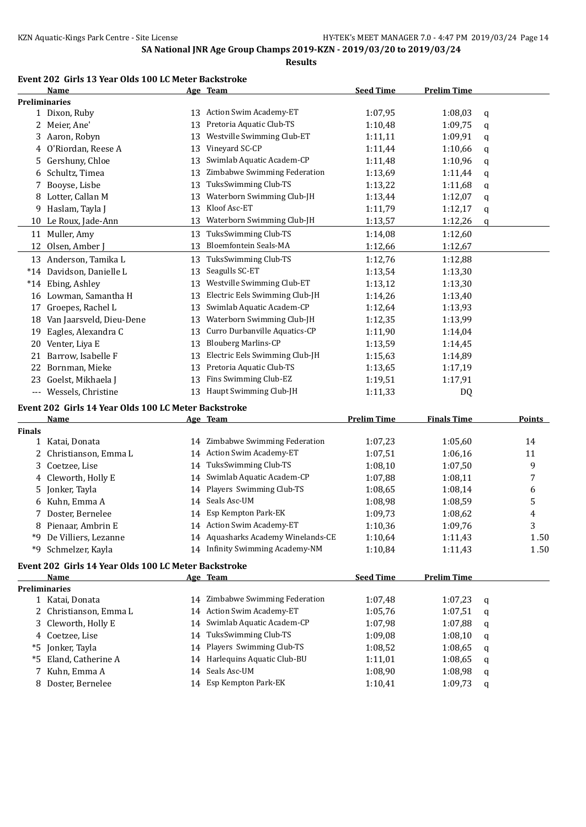## **Event 202 Girls 13 Year Olds 100 LC Meter Backstroke**

|               | Name                                                 |    | Age Team                           | <b>Seed Time</b>   | <b>Prelim Time</b> |   |        |
|---------------|------------------------------------------------------|----|------------------------------------|--------------------|--------------------|---|--------|
|               | <b>Preliminaries</b>                                 |    |                                    |                    |                    |   |        |
|               | 1 Dixon, Ruby                                        |    | 13 Action Swim Academy-ET          | 1:07,95            | 1:08,03            | q |        |
|               | 2 Meier, Ane'                                        | 13 | Pretoria Aquatic Club-TS           | 1:10,48            | 1:09,75            | q |        |
| 3             | Aaron, Robyn                                         | 13 | Westville Swimming Club-ET         | 1:11,11            | 1:09,91            | q |        |
| 4             | O'Riordan, Reese A                                   | 13 | Vineyard SC-CP                     | 1:11,44            | 1:10,66            | q |        |
| 5.            | Gershuny, Chloe                                      | 13 | Swimlab Aquatic Academ-CP          | 1:11,48            | 1:10,96            | q |        |
| 6             | Schultz, Timea                                       | 13 | Zimbabwe Swimming Federation       | 1:13,69            | 1:11,44            | q |        |
| 7             | Booyse, Lisbe                                        | 13 | TuksSwimming Club-TS               | 1:13,22            | 1:11,68            | q |        |
| 8             | Lotter, Callan M                                     | 13 | Waterborn Swimming Club-JH         | 1:13,44            | 1:12,07            | q |        |
| 9             | Haslam, Tayla J                                      | 13 | Kloof Asc-ET                       | 1:11,79            | 1:12,17            | q |        |
|               | 10 Le Roux, Jade-Ann                                 | 13 | Waterborn Swimming Club-JH         | 1:13,57            | 1:12,26            | q |        |
|               | 11 Muller, Amy                                       | 13 | TuksSwimming Club-TS               | 1:14,08            | 1:12,60            |   |        |
|               | 12 Olsen, Amber ]                                    | 13 | Bloemfontein Seals-MA              | 1:12,66            | 1:12,67            |   |        |
|               | 13 Anderson, Tamika L                                | 13 | TuksSwimming Club-TS               | 1:12,76            | 1:12,88            |   |        |
|               | *14 Davidson, Danielle L                             | 13 | Seagulls SC-ET                     | 1:13,54            | 1:13,30            |   |        |
| $*14$         | Ebing, Ashley                                        | 13 | Westville Swimming Club-ET         | 1:13,12            | 1:13,30            |   |        |
|               | 16 Lowman, Samantha H                                | 13 | Electric Eels Swimming Club-JH     | 1:14,26            | 1:13,40            |   |        |
|               | Groepes, Rachel L                                    | 13 | Swimlab Aquatic Academ-CP          | 1:12,64            | 1:13,93            |   |        |
| 17            | 18 Van Jaarsveld, Dieu-Dene                          | 13 | Waterborn Swimming Club-JH         | 1:12,35            |                    |   |        |
|               |                                                      |    | Curro Durbanville Aquatics-CP      | 1:11,90            | 1:13,99            |   |        |
| 19            | Eagles, Alexandra C                                  | 13 | <b>Blouberg Marlins-CP</b>         |                    | 1:14,04            |   |        |
|               | 20 Venter, Liya E                                    | 13 |                                    | 1:13,59            | 1:14,45            |   |        |
| 21            | Barrow, Isabelle F                                   | 13 | Electric Eels Swimming Club-JH     | 1:15,63            | 1:14,89            |   |        |
| 22            | Bornman, Mieke                                       | 13 | Pretoria Aquatic Club-TS           | 1:13,65            | 1:17,19            |   |        |
| 23            | Goelst, Mikhaela J                                   | 13 | Fins Swimming Club-EZ              | 1:19,51            | 1:17,91            |   |        |
|               | --- Wessels, Christine                               |    | 13 Haupt Swimming Club-JH          | 1:11,33            | DQ                 |   |        |
|               | Event 202 Girls 14 Year Olds 100 LC Meter Backstroke |    |                                    |                    |                    |   |        |
|               | Name                                                 |    | Age Team                           | <b>Prelim Time</b> | <b>Finals Time</b> |   | Points |
| <b>Finals</b> |                                                      |    |                                    |                    |                    |   |        |
| $\mathbf{1}$  | Katai, Donata                                        | 14 | Zimbabwe Swimming Federation       | 1:07,23            | 1:05,60            |   | 14     |
| 2             | Christianson, Emma L                                 |    | 14 Action Swim Academy-ET          | 1:07,51            | 1:06,16            |   | 11     |
| 3             | Coetzee, Lise                                        | 14 | TuksSwimming Club-TS               | 1:08,10            | 1:07,50            |   | 9      |
| 4             | Cleworth, Holly E                                    | 14 | Swimlab Aquatic Academ-CP          | 1:07,88            | 1:08,11            |   | 7      |
| 5.            | Jonker, Tayla                                        | 14 | Players Swimming Club-TS           | 1:08,65            | 1:08,14            |   | 6      |
|               | Kuhn, Emma A                                         | 14 | Seals Asc-UM                       | 1:08,98            | 1:08,59            |   | 5      |
|               | Doster, Bernelee                                     |    | 14 Esp Kempton Park-EK             | 1:09,73            | 1:08,62            |   | 4      |
| 8             | Pienaar, Ambrin E                                    |    | 14 Action Swim Academy-ET          | 1:10,36            | 1:09,76            |   | 3      |
|               | *9 De Villiers, Lezanne                              |    | 14 Aquasharks Academy Winelands-CE | 1:10,64            | 1:11,43            |   | 1.50   |
| *9            | Schmelzer, Kayla                                     |    | 14 Infinity Swimming Academy-NM    | 1:10,84            | 1:11,43            |   | 1.50   |
|               | Event 202 Girls 14 Year Olds 100 LC Meter Backstroke |    |                                    |                    |                    |   |        |
|               | Name                                                 |    | Age Team                           | <b>Seed Time</b>   | <b>Prelim Time</b> |   |        |
|               | <b>Preliminaries</b>                                 |    |                                    |                    |                    |   |        |
|               | 1 Katai, Donata                                      |    | 14 Zimbabwe Swimming Federation    | 1:07,48            | 1:07,23            | q |        |
|               | 2 Christianson, Emma L                               |    | 14 Action Swim Academy-ET          | 1:05,76            | 1:07,51            | q |        |
|               | 3 Cleworth, Holly E                                  | 14 | Swimlab Aquatic Academ-CP          | 1:07,98            | 1:07,88            | q |        |
|               | 4 Coetzee, Lise                                      |    | 14 TuksSwimming Club-TS            | 1:09,08            | 1:08,10            | q |        |
|               | *5 Jonker, Tayla                                     |    | 14 Players Swimming Club-TS        | 1:08,52            | 1:08,65            | q |        |
|               | *5 Eland, Catherine A                                |    | 14 Harlequins Aquatic Club-BU      | 1:11,01            | 1:08,65            | q |        |
| 7             | Kuhn, Emma A                                         |    | 14 Seals Asc-UM                    | 1:08,90            | 1:08,98            | q |        |
|               | 8 Doster, Bernelee                                   |    | 14 Esp Kempton Park-EK             | 1:10,41            | 1:09,73            | q |        |
|               |                                                      |    |                                    |                    |                    |   |        |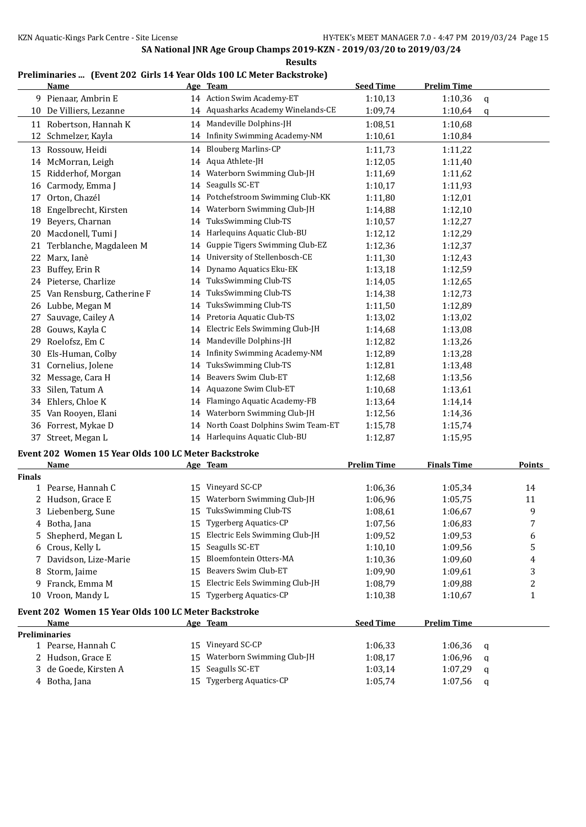**Results**

#### **Preliminaries ... (Event 202 Girls 14 Year Olds 100 LC Meter Backstroke)**

|    | Name                      |    | Age Team                            | <b>Seed Time</b> | <b>Prelim Time</b> |   |
|----|---------------------------|----|-------------------------------------|------------------|--------------------|---|
|    | 9 Pienaar, Ambrin E       |    | 14 Action Swim Academy-ET           | 1:10,13          | 1:10,36            | q |
| 10 | De Villiers, Lezanne      |    | 14 Aquasharks Academy Winelands-CE  | 1:09,74          | 1:10,64            | q |
|    | 11 Robertson, Hannah K    | 14 | Mandeville Dolphins-JH              | 1:08,51          | 1:10,68            |   |
| 12 | Schmelzer, Kayla          | 14 | <b>Infinity Swimming Academy-NM</b> | 1:10,61          | 1:10,84            |   |
| 13 | Rossouw, Heidi            | 14 | <b>Blouberg Marlins-CP</b>          | 1:11,73          | 1:11,22            |   |
| 14 | McMorran, Leigh           | 14 | Aqua Athlete-JH                     | 1:12,05          | 1:11,40            |   |
| 15 | Ridderhof, Morgan         | 14 | Waterborn Swimming Club-JH          | 1:11,69          | 1:11,62            |   |
| 16 | Carmody, Emma J           | 14 | Seagulls SC-ET                      | 1:10,17          | 1:11,93            |   |
| 17 | Orton, Chazél             | 14 | Potchefstroom Swimming Club-KK      | 1:11,80          | 1:12,01            |   |
| 18 | Engelbrecht, Kirsten      | 14 | Waterborn Swimming Club-JH          | 1:14,88          | 1:12,10            |   |
| 19 | Beyers, Charnan           | 14 | TuksSwimming Club-TS                | 1:10,57          | 1:12,27            |   |
| 20 | Macdonell, Tumi J         | 14 | Harlequins Aquatic Club-BU          | 1:12,12          | 1:12,29            |   |
| 21 | Terblanche, Magdaleen M   | 14 | Guppie Tigers Swimming Club-EZ      | 1:12,36          | 1:12,37            |   |
| 22 | Marx, Ianè                | 14 | University of Stellenbosch-CE       | 1:11,30          | 1:12,43            |   |
| 23 | Buffey, Erin R            | 14 | Dynamo Aquatics Eku-EK              | 1:13,18          | 1:12,59            |   |
| 24 | Pieterse, Charlize        | 14 | TuksSwimming Club-TS                | 1:14,05          | 1:12,65            |   |
| 25 | Van Rensburg, Catherine F | 14 | TuksSwimming Club-TS                | 1:14,38          | 1:12,73            |   |
| 26 | Lubbe, Megan M            | 14 | <b>TuksSwimming Club-TS</b>         | 1:11,50          | 1:12,89            |   |
| 27 | Sauvage, Cailey A         | 14 | Pretoria Aquatic Club-TS            | 1:13,02          | 1:13,02            |   |
| 28 | Gouws, Kayla C            | 14 | Electric Eels Swimming Club-JH      | 1:14,68          | 1:13,08            |   |
| 29 | Roelofsz, Em C            | 14 | Mandeville Dolphins-JH              | 1:12,82          | 1:13,26            |   |
| 30 | Els-Human, Colby          | 14 | <b>Infinity Swimming Academy-NM</b> | 1:12,89          | 1:13,28            |   |
| 31 | Cornelius, Jolene         | 14 | TuksSwimming Club-TS                | 1:12,81          | 1:13,48            |   |
| 32 | Message, Cara H           | 14 | Beavers Swim Club-ET                | 1:12,68          | 1:13,56            |   |
| 33 | Silen, Tatum A            |    | 14 Aquazone Swim Club-ET            | 1:10,68          | 1:13,61            |   |
| 34 | Ehlers, Chloe K           | 14 | Flamingo Aquatic Academy-FB         | 1:13,64          | 1:14,14            |   |
| 35 | Van Rooyen, Elani         | 14 | Waterborn Swimming Club-JH          | 1:12,56          | 1:14,36            |   |
| 36 | Forrest, Mykae D          | 14 | North Coast Dolphins Swim Team-ET   | 1:15,78          | 1:15,74            |   |
| 37 | Street, Megan L           |    | 14 Harlequins Aquatic Club-BU       | 1:12.87          | 1:15,95            |   |

#### **Event 202 Women 15 Year Olds 100 LC Meter Backstroke**

|               | Name                                                 |    | Age Team                       | Prelim Time      | <b>Finals Time</b> |   | <b>Points</b> |
|---------------|------------------------------------------------------|----|--------------------------------|------------------|--------------------|---|---------------|
| <b>Finals</b> |                                                      |    |                                |                  |                    |   |               |
|               | 1 Pearse, Hannah C                                   | 15 | Vineyard SC-CP                 | 1:06.36          | 1:05.34            |   | 14            |
|               | 2 Hudson, Grace E                                    | 15 | Waterborn Swimming Club-JH     | 1:06.96          | 1:05.75            |   | 11            |
|               | 3 Liebenberg, Sune                                   | 15 | TuksSwimming Club-TS           | 1:08,61          | 1:06.67            |   | 9             |
|               | 4 Botha, Jana                                        | 15 | <b>Tygerberg Aquatics-CP</b>   | 1:07,56          | 1:06.83            |   | 7             |
|               | 5 Shepherd, Megan L                                  | 15 | Electric Eels Swimming Club-JH | 1:09.52          | 1:09.53            |   | 6             |
|               | 6 Crous, Kelly L                                     | 15 | Seagulls SC-ET                 | 1:10,10          | 1:09.56            |   | 5             |
|               | 7 Davidson, Lize-Marie                               | 15 | Bloemfontein Otters-MA         | 1:10,36          | 1:09.60            |   | 4             |
|               | 8 Storm, Jaime                                       | 15 | Beavers Swim Club-ET           | 1:09.90          | 1:09.61            |   | 3             |
|               | 9 Franck, Emma M                                     | 15 | Electric Eels Swimming Club-JH | 1:08.79          | 1:09.88            |   | 2             |
| 10            | Vroon, Mandy L                                       | 15 | <b>Tygerberg Aquatics-CP</b>   | 1:10,38          | 1:10.67            |   | 1             |
|               | Event 202 Women 15 Year Olds 100 LC Meter Backstroke |    |                                |                  |                    |   |               |
|               | <b>Name</b>                                          |    | Age Team                       | <b>Seed Time</b> | <b>Prelim Time</b> |   |               |
|               | <b>Preliminaries</b>                                 |    |                                |                  |                    |   |               |
|               | 1 Pearse, Hannah C                                   | 15 | Vineyard SC-CP                 | 1:06.33          | 1:06.36            | a |               |
|               | 2 Hudson, Grace E                                    | 15 | Waterborn Swimming Club-JH     | 1:08,17          | 1:06,96            | a |               |

 de Goede, Kirsten A 15 Seagulls SC-ET 1:03,14 1:07,29 q 4 Botha, Jana 15 Tygerberg Aquatics-CP 1:05,74 1:07,56 q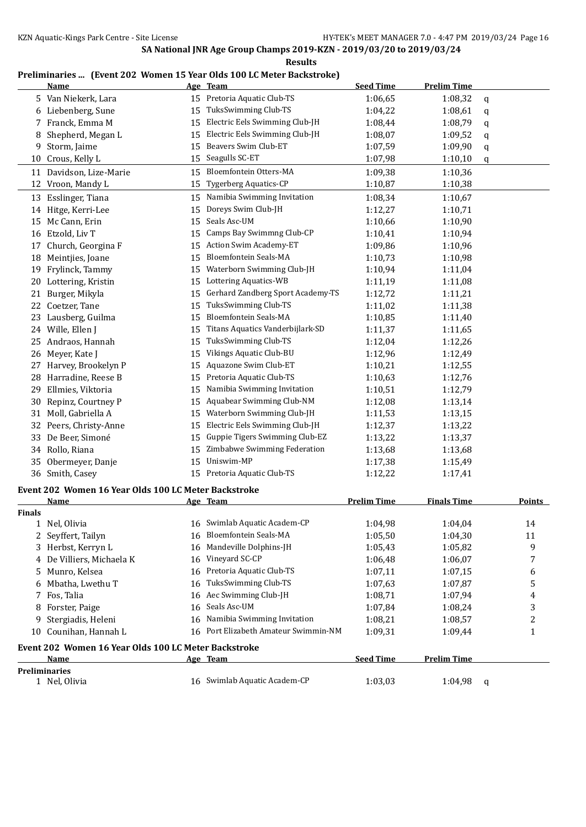## **Preliminaries ... (Event 202 Women 15 Year Olds 100 LC Meter Backstroke)**

|               | <b>Name</b>                                          |    | Age Team                                                            | <b>Seed Time</b>   | <b>Prelim Time</b> |              |
|---------------|------------------------------------------------------|----|---------------------------------------------------------------------|--------------------|--------------------|--------------|
|               | 5 Van Niekerk, Lara                                  |    | 15 Pretoria Aquatic Club-TS                                         | 1:06,65            | 1:08,32            | q            |
|               | 6 Liebenberg, Sune                                   | 15 | TuksSwimming Club-TS                                                | 1:04,22            | 1:08,61            | q            |
|               | 7 Franck, Emma M                                     | 15 | Electric Eels Swimming Club-JH                                      | 1:08,44            | 1:08,79            | q            |
| 8             | Shepherd, Megan L                                    | 15 | Electric Eels Swimming Club-JH                                      | 1:08,07            | 1:09,52            | q            |
| 9.            | Storm, Jaime                                         | 15 | Beavers Swim Club-ET                                                | 1:07,59            | 1:09,90            | q            |
| 10            | Crous, Kelly L                                       | 15 | Seagulls SC-ET                                                      | 1:07,98            | 1:10,10            | q            |
| 11            | Davidson, Lize-Marie                                 | 15 | Bloemfontein Otters-MA                                              | 1:09,38            | 1:10,36            |              |
|               | 12 Vroon, Mandy L                                    | 15 | <b>Tygerberg Aquatics-CP</b>                                        | 1:10,87            | 1:10,38            |              |
|               | 13 Esslinger, Tiana                                  | 15 | Namibia Swimming Invitation                                         | 1:08,34            | 1:10,67            |              |
|               | 14 Hitge, Kerri-Lee                                  | 15 | Doreys Swim Club-JH                                                 | 1:12,27            | 1:10,71            |              |
|               | 15 Mc Cann, Erin                                     | 15 | Seals Asc-UM                                                        | 1:10,66            | 1:10,90            |              |
|               | 16 Etzold, Liv T                                     | 15 | Camps Bay Swimmng Club-CP                                           | 1:10,41            | 1:10,94            |              |
| 17            | Church, Georgina F                                   | 15 | Action Swim Academy-ET                                              | 1:09,86            | 1:10,96            |              |
|               | 18 Meintjies, Joane                                  | 15 | <b>Bloemfontein Seals-MA</b>                                        | 1:10,73            | 1:10,98            |              |
| 19            | Frylinck, Tammy                                      | 15 | Waterborn Swimming Club-JH                                          | 1:10,94            | 1:11,04            |              |
| 20            | Lottering, Kristin                                   | 15 | Lottering Aquatics-WB                                               | 1:11,19            | 1:11,08            |              |
| 21            | Burger, Mikyla                                       | 15 | Gerhard Zandberg Sport Academy-TS                                   | 1:12,72            | 1:11,21            |              |
| 22            | Coetzer, Tane                                        | 15 | TuksSwimming Club-TS                                                | 1:11,02            | 1:11,38            |              |
| 23            | Lausberg, Guilma                                     | 15 | <b>Bloemfontein Seals-MA</b>                                        | 1:10,85            | 1:11,40            |              |
|               | 24 Wille, Ellen J                                    | 15 | Titans Aquatics Vanderbijlark-SD                                    | 1:11,37            | 1:11,65            |              |
|               | 25 Andraos, Hannah                                   | 15 | TuksSwimming Club-TS                                                | 1:12,04            | 1:12,26            |              |
| 26            | Meyer, Kate J                                        | 15 | Vikings Aquatic Club-BU                                             | 1:12,96            | 1:12,49            |              |
| 27            | Harvey, Brookelyn P                                  | 15 | Aquazone Swim Club-ET                                               | 1:10,21            | 1:12,55            |              |
| 28            | Harradine, Reese B                                   | 15 | Pretoria Aquatic Club-TS                                            | 1:10,63            | 1:12,76            |              |
| 29            | Ellmies, Viktoria                                    | 15 | Namibia Swimming Invitation                                         | 1:10,51            | 1:12,79            |              |
| 30            | Repinz, Courtney P                                   | 15 | Aquabear Swimming Club-NM                                           | 1:12,08            | 1:13,14            |              |
| 31            | Moll, Gabriella A                                    | 15 | Waterborn Swimming Club-JH                                          | 1:11,53            | 1:13,15            |              |
|               | 32 Peers, Christy-Anne                               | 15 | Electric Eels Swimming Club-JH                                      | 1:12,37            | 1:13,22            |              |
| 33            | De Beer, Simoné                                      | 15 | Guppie Tigers Swimming Club-EZ                                      | 1:13,22            | 1:13,37            |              |
|               | 34 Rollo, Riana                                      | 15 | Zimbabwe Swimming Federation                                        | 1:13,68            | 1:13,68            |              |
| 35            | Obermeyer, Danje                                     | 15 | Uniswim-MP                                                          | 1:17,38            | 1:15,49            |              |
|               | 36 Smith, Casey                                      |    | 15 Pretoria Aquatic Club-TS                                         | 1:12,22            | 1:17,41            |              |
|               |                                                      |    |                                                                     |                    |                    |              |
|               | Event 202 Women 16 Year Olds 100 LC Meter Backstroke |    |                                                                     |                    |                    |              |
|               | <b>Name</b>                                          |    | Age Team                                                            | <b>Prelim Time</b> | <b>Finals Time</b> | Points       |
| <b>Finals</b> | 1 Nel, Olivia                                        |    | 16 Swimlab Aquatic Academ-CP                                        | 1:04,98            | 1:04,04            |              |
|               |                                                      |    | Bloemfontein Seals-MA                                               |                    |                    | 14           |
|               | 2 Seyffert, Tailyn                                   | 16 | Mandeville Dolphins-JH                                              | 1:05,50            | 1:04,30            | 11           |
|               | 3 Herbst, Kerryn L                                   | 16 | Vineyard SC-CP                                                      | 1:05,43            | 1:05,82            | 9            |
|               | 4 De Villiers, Michaela K                            | 16 | Pretoria Aquatic Club-TS                                            | 1:06,48            | 1:06,07            | 7            |
| 5.            | Munro, Kelsea                                        | 16 | TuksSwimming Club-TS                                                | 1:07,11            | 1:07,15            | 6            |
| 6             | Mbatha, Lwethu T                                     | 16 |                                                                     | 1:07,63            | 1:07,87            | 5            |
| 7.            | Fos, Talia                                           | 16 | Aec Swimming Club-JH<br>Seals Asc-UM                                | 1:08,71            | 1:07,94            | 4            |
| 8             | Forster, Paige                                       | 16 |                                                                     | 1:07,84            | 1:08,24            | 3            |
| 9.            | Stergiadis, Heleni                                   | 16 | Namibia Swimming Invitation<br>16 Port Elizabeth Amateur Swimmin-NM | 1:08,21            | 1:08,57            | 2            |
| 10            | Counihan, Hannah L                                   |    |                                                                     | 1:09,31            | 1:09,44            | 1            |
|               | Event 202 Women 16 Year Olds 100 LC Meter Backstroke |    |                                                                     |                    |                    |              |
|               | Name                                                 |    | Age Team                                                            | <b>Seed Time</b>   | <b>Prelim Time</b> |              |
|               | <b>Preliminaries</b>                                 |    |                                                                     |                    |                    |              |
|               | 1 Nel, Olivia                                        |    | 16 Swimlab Aquatic Academ-CP                                        | 1:03,03            | 1:04,98            | $\mathbf{q}$ |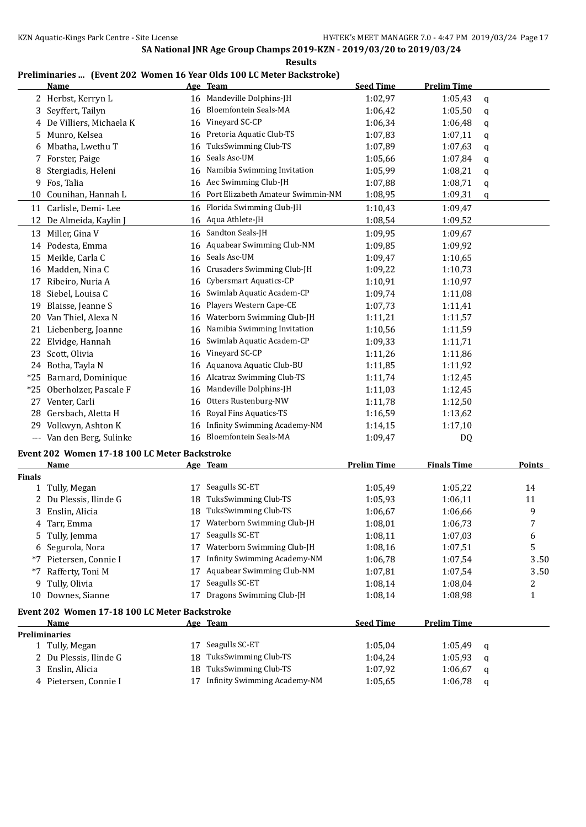| `SIII.<br>- - |
|---------------|
|---------------|

## **Preliminaries ... (Event 202 Women 16 Year Olds 100 LC Meter Backstroke)**

|       | <b>Name</b>             |    | Age Team                          | <b>Seed Time</b> | <b>Prelim Time</b> |             |
|-------|-------------------------|----|-----------------------------------|------------------|--------------------|-------------|
|       | 2 Herbst, Kerryn L      | 16 | Mandeville Dolphins-JH            | 1:02,97          | 1:05,43            | q           |
| 3     | Seyffert, Tailyn        | 16 | <b>Bloemfontein Seals-MA</b>      | 1:06,42          | 1:05,50            | q           |
| 4     | De Villiers, Michaela K | 16 | Vineyard SC-CP                    | 1:06,34          | 1:06,48            | $\mathbf q$ |
| 5.    | Munro, Kelsea           | 16 | Pretoria Aquatic Club-TS          | 1:07,83          | 1:07,11            | q           |
| 6     | Mbatha, Lwethu T        | 16 | TuksSwimming Club-TS              | 1:07.89          | 1:07.63            | q           |
| 7     | Forster, Paige          | 16 | Seals Asc-UM                      | 1:05,66          | 1:07,84            | q           |
| 8     | Stergiadis, Heleni      | 16 | Namibia Swimming Invitation       | 1:05,99          | 1:08,21            | $\mathbf q$ |
| 9     | Fos, Talia              | 16 | Aec Swimming Club-JH              | 1:07,88          | 1:08,71            | q           |
| 10    | Counihan, Hannah L      | 16 | Port Elizabeth Amateur Swimmin-NM | 1:08,95          | 1:09,31            | q           |
| 11    | Carlisle, Demi-Lee      | 16 | Florida Swimming Club-JH          | 1:10,43          | 1:09.47            |             |
| 12    | De Almeida, Kaylin J    | 16 | Aqua Athlete-JH                   | 1:08,54          | 1:09,52            |             |
| 13    | Miller, Gina V          | 16 | Sandton Seals-JH                  | 1:09,95          | 1:09,67            |             |
| 14    | Podesta, Emma           | 16 | Aquabear Swimming Club-NM         | 1:09.85          | 1:09.92            |             |
| 15    | Meikle, Carla C         | 16 | Seals Asc-UM                      | 1:09,47          | 1:10.65            |             |
| 16    | Madden, Nina C          | 16 | Crusaders Swimming Club-JH        | 1:09,22          | 1:10,73            |             |
| 17    | Ribeiro, Nuria A        | 16 | Cybersmart Aquatics-CP            | 1:10,91          | 1:10,97            |             |
| 18    | Siebel, Louisa C        | 16 | Swimlab Aquatic Academ-CP         | 1:09.74          | 1:11,08            |             |
| 19    | Blaisse, Jeanne S       | 16 | Players Western Cape-CE           | 1:07,73          | 1:11,41            |             |
| 20    | Van Thiel, Alexa N      | 16 | Waterborn Swimming Club-JH        | 1:11,21          | 1:11,57            |             |
| 21    | Liebenberg, Joanne      | 16 | Namibia Swimming Invitation       | 1:10.56          | 1:11,59            |             |
| 22    | Elvidge, Hannah         | 16 | Swimlab Aquatic Academ-CP         | 1:09.33          | 1:11,71            |             |
| 23    | Scott, Olivia           | 16 | Vineyard SC-CP                    | 1:11,26          | 1:11,86            |             |
| 24    | Botha, Tayla N          | 16 | Aquanova Aquatic Club-BU          | 1:11,85          | 1:11,92            |             |
| $*25$ | Barnard, Dominique      | 16 | Alcatraz Swimming Club-TS         | 1:11,74          | 1:12,45            |             |
| $*25$ | Oberholzer, Pascale F   | 16 | Mandeville Dolphins-JH            | 1:11,03          | 1:12,45            |             |
| 27    | Venter, Carli           | 16 | Otters Rustenburg-NW              | 1:11,78          | 1:12,50            |             |
| 28    | Gersbach, Aletta H      | 16 | Royal Fins Aquatics-TS            | 1:16,59          | 1:13,62            |             |
| 29    | Volkwyn, Ashton K       | 16 | Infinity Swimming Academy-NM      | 1:14,15          | 1:17,10            |             |
| $---$ | Van den Berg, Sulinke   | 16 | <b>Bloemfontein Seals-MA</b>      | 1:09,47          | D <sub>0</sub>     |             |

# **Event 202 Women 17-18 100 LC Meter Backstroke**

|               | <b>Name</b>                                   |    | Age Team                            | Prelim Time      | <b>Finals Time</b> |   | <b>Points</b> |
|---------------|-----------------------------------------------|----|-------------------------------------|------------------|--------------------|---|---------------|
| <b>Finals</b> |                                               |    |                                     |                  |                    |   |               |
|               | 1 Tully, Megan                                | 17 | Seagulls SC-ET                      | 1:05,49          | 1:05,22            |   | 14            |
|               | 2 Du Plessis, Ilinde G                        | 18 | TuksSwimming Club-TS                | 1:05.93          | 1:06.11            |   | 11            |
|               | 3 Enslin, Alicia                              | 18 | TuksSwimming Club-TS                | 1:06.67          | 1:06.66            |   | 9             |
|               | 4 Tarr, Emma                                  | 17 | Waterborn Swimming Club-JH          | 1:08.01          | 1:06.73            |   | 7             |
|               | 5 Tully, Jemma                                | 17 | Seagulls SC-ET                      | 1:08,11          | 1:07.03            |   | 6             |
|               | 6 Segurola, Nora                              | 17 | Waterborn Swimming Club-JH          | 1:08.16          | 1:07.51            |   | 5             |
| *7            | Pietersen, Connie I                           | 17 | <b>Infinity Swimming Academy-NM</b> | 1:06.78          | 1:07,54            |   | 3.50          |
| $*7$          | Rafferty, Toni M                              | 17 | Aquabear Swimming Club-NM           | 1:07,81          | 1:07,54            |   | 3.50          |
|               | 9 Tully, Olivia                               | 17 | Seagulls SC-ET                      | 1:08.14          | 1:08.04            |   | 2             |
| 10            | Downes, Sianne                                | 17 | Dragons Swimming Club-JH            | 1:08,14          | 1:08.98            |   |               |
|               | Event 202 Women 17-18 100 LC Meter Backstroke |    |                                     |                  |                    |   |               |
|               | Name                                          |    | Age Team                            | <b>Seed Time</b> | <b>Prelim Time</b> |   |               |
|               | <b>Preliminaries</b>                          |    |                                     |                  |                    |   |               |
|               | 1 Tully, Megan                                | 17 | Seagulls SC-ET                      | 1:05,04          | 1:05.49            | a |               |
|               | 2 Du Plessis, Ilinde G                        | 18 | TuksSwimming Club-TS                | 1:04,24          | 1:05,93            | a |               |
|               | 3 Enslin, Alicia                              | 18 | TuksSwimming Club-TS                | 1:07,92          | 1:06,67            | a |               |

4 Pietersen, Connie I 17 Infinity Swimming Academy-NM 1:05,65 1:06,78 q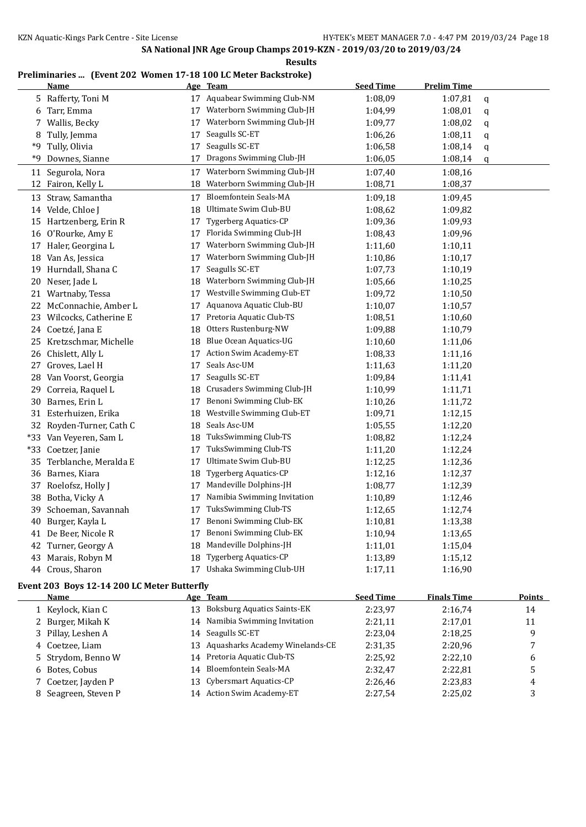#### **Results**

## **Preliminaries ... (Event 202 Women 17-18 100 LC Meter Backstroke)**

|       | <b>Name</b>              |    | Age Team                      | <b>Seed Time</b> | <b>Prelim Time</b> |              |
|-------|--------------------------|----|-------------------------------|------------------|--------------------|--------------|
|       | 5 Rafferty, Toni M       |    | 17 Aquabear Swimming Club-NM  | 1:08,09          | 1:07,81            | $\mathsf{q}$ |
|       | 6 Tarr, Emma             |    | 17 Waterborn Swimming Club-JH | 1:04,99          | 1:08,01            | q            |
|       | 7 Wallis, Becky          | 17 | Waterborn Swimming Club-JH    | 1:09,77          | 1:08,02            | q            |
|       | 8 Tully, Jemma           | 17 | Seagulls SC-ET                | 1:06,26          | 1:08,11            | q            |
|       | *9 Tully, Olivia         | 17 | Seagulls SC-ET                | 1:06,58          | 1:08,14            | q            |
| *9    | Downes, Sianne           | 17 | Dragons Swimming Club-JH      | 1:06,05          | 1:08,14            | q            |
|       | 11 Segurola, Nora        | 17 | Waterborn Swimming Club-JH    | 1:07,40          | 1:08,16            |              |
|       | 12 Fairon, Kelly L       | 18 | Waterborn Swimming Club-JH    | 1:08,71          | 1:08,37            |              |
|       | 13 Straw, Samantha       | 17 | <b>Bloemfontein Seals-MA</b>  | 1:09,18          | 1:09,45            |              |
|       | 14 Velde, Chloe J        | 18 | Ultimate Swim Club-BU         | 1:08,62          | 1:09,82            |              |
|       | 15 Hartzenberg, Erin R   | 17 | <b>Tygerberg Aquatics-CP</b>  | 1:09,36          | 1:09,93            |              |
|       | 16 O'Rourke, Amy E       | 17 | Florida Swimming Club-JH      | 1:08,43          | 1:09,96            |              |
|       | 17 Haler, Georgina L     | 17 | Waterborn Swimming Club-JH    | 1:11,60          | 1:10,11            |              |
|       | 18 Van As, Jessica       | 17 | Waterborn Swimming Club-JH    | 1:10,86          | 1:10,17            |              |
|       | 19 Hurndall, Shana C     | 17 | Seagulls SC-ET                | 1:07,73          | 1:10,19            |              |
|       | 20 Neser, Jade L         | 18 | Waterborn Swimming Club-JH    | 1:05,66          | 1:10,25            |              |
|       | 21 Wartnaby, Tessa       | 17 | Westville Swimming Club-ET    | 1:09,72          | 1:10,50            |              |
|       | 22 McConnachie, Amber L  | 17 | Aquanova Aquatic Club-BU      | 1:10,07          | 1:10,57            |              |
|       | 23 Wilcocks, Catherine E | 17 | Pretoria Aquatic Club-TS      | 1:08,51          | 1:10,60            |              |
|       | 24 Coetzé, Jana E        | 18 | Otters Rustenburg-NW          | 1:09,88          | 1:10,79            |              |
|       | 25 Kretzschmar, Michelle | 18 | <b>Blue Ocean Aquatics-UG</b> | 1:10,60          | 1:11,06            |              |
|       | 26 Chislett, Ally L      | 17 | Action Swim Academy-ET        | 1:08,33          | 1:11,16            |              |
|       | 27 Groves, Lael H        | 17 | Seals Asc-UM                  | 1:11,63          | 1:11,20            |              |
|       | 28 Van Voorst, Georgia   | 17 | Seagulls SC-ET                | 1:09.84          | 1:11,41            |              |
| 29    | Correia, Raquel L        | 18 | Crusaders Swimming Club-JH    | 1:10,99          | 1:11,71            |              |
|       | 30 Barnes, Erin L        | 17 | Benoni Swimming Club-EK       | 1:10,26          | 1:11,72            |              |
|       | 31 Esterhuizen, Erika    | 18 | Westville Swimming Club-ET    | 1:09,71          | 1:12,15            |              |
|       | 32 Royden-Turner, Cath C | 18 | Seals Asc-UM                  | 1:05,55          | 1:12,20            |              |
|       | *33 Van Veyeren, Sam L   | 18 | TuksSwimming Club-TS          | 1:08,82          | 1:12,24            |              |
| $*33$ | Coetzer, Janie           | 17 | TuksSwimming Club-TS          | 1:11,20          | 1:12,24            |              |
|       | 35 Terblanche, Meralda E | 17 | Ultimate Swim Club-BU         | 1:12,25          | 1:12,36            |              |
|       | 36 Barnes, Kiara         | 18 | <b>Tygerberg Aquatics-CP</b>  | 1:12,16          | 1:12,37            |              |
| 37    | Roelofsz, Holly J        | 17 | Mandeville Dolphins-JH        | 1:08,77          | 1:12,39            |              |
|       | 38 Botha, Vicky A        | 17 | Namibia Swimming Invitation   | 1:10,89          | 1:12,46            |              |
| 39    | Schoeman, Savannah       | 17 | TuksSwimming Club-TS          | 1:12,65          | 1:12,74            |              |
| 40    | Burger, Kayla L          | 17 | Benoni Swimming Club-EK       | 1:10,81          | 1:13,38            |              |
|       | 41 De Beer, Nicole R     | 17 | Benoni Swimming Club-EK       | 1:10,94          | 1:13,65            |              |
|       | 42 Turner, Georgy A      | 18 | Mandeville Dolphins-JH        | 1:11,01          | 1:15,04            |              |
| 43    | Marais, Robyn M          | 18 | <b>Tygerberg Aquatics-CP</b>  | 1:13,89          | 1:15,12            |              |
|       | 44 Crous, Sharon         |    | 17 Ushaka Swimming Club-UH    | 1:17,11          | 1:16,90            |              |

#### **Event 203 Boys 12-14 200 LC Meter Butterfly**

 $\overline{a}$ 

|   | Name                |    | Age Team                           | <b>Seed Time</b> | <b>Finals Time</b> | <b>Points</b> |
|---|---------------------|----|------------------------------------|------------------|--------------------|---------------|
|   | 1 Keylock, Kian C   | 13 | <b>Boksburg Aquatics Saints-EK</b> | 2:23,97          | 2:16.74            | 14            |
|   | 2 Burger, Mikah K   |    | 14 Namibia Swimming Invitation     | 2:21,11          | 2:17.01            | 11            |
|   | 3 Pillay, Leshen A  |    | 14 Seagulls SC-ET                  | 2:23,04          | 2:18,25            | 9             |
|   | 4 Coetzee, Liam     |    | 13 Aquasharks Academy Winelands-CE | 2:31,35          | 2:20.96            |               |
|   | 5 Strydom, Benno W  |    | 14 Pretoria Aquatic Club-TS        | 2:25,92          | 2:22.10            | 6             |
|   | 6 Botes, Cobus      |    | 14 Bloemfontein Seals-MA           | 2:32,47          | 2:22.81            | 5             |
|   | 7 Coetzer, Jayden P |    | 13 Cybersmart Aquatics-CP          | 2:26.46          | 2:23,83            | 4             |
| 8 | Seagreen, Steven P  |    | 14 Action Swim Academy-ET          | 2:27,54          | 2:25,02            |               |
|   |                     |    |                                    |                  |                    |               |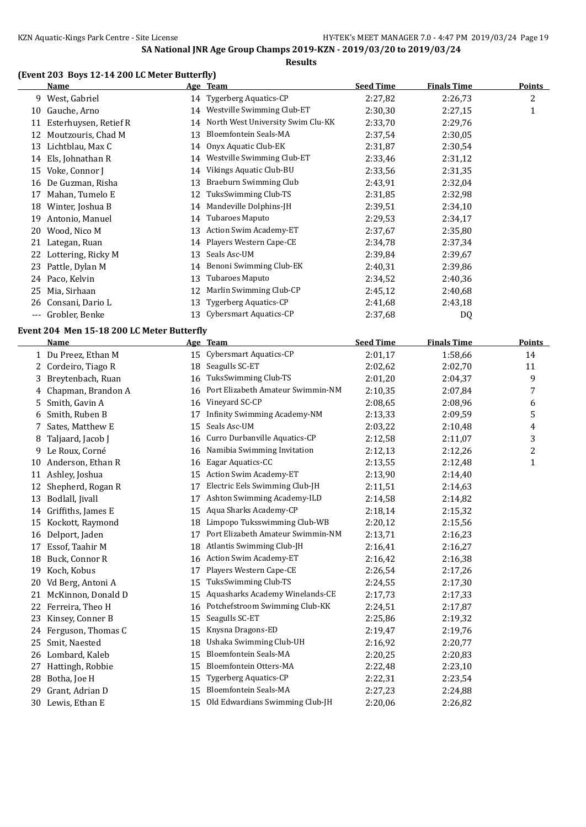**Results**

#### **(Event 203 Boys 12-14 200 LC Meter Butterfly)**

|                     | <u>Name</u>                                |    | Age Team                                                  | <b>Seed Time</b> | <b>Finals Time</b> | <b>Points</b> |
|---------------------|--------------------------------------------|----|-----------------------------------------------------------|------------------|--------------------|---------------|
|                     | 9 West, Gabriel                            |    | 14 Tygerberg Aquatics-CP                                  | 2:27,82          | 2:26,73            | 2             |
|                     | 10 Gauche, Arno                            |    | 14 Westville Swimming Club-ET                             | 2:30,30          | 2:27,15            | $\mathbf{1}$  |
|                     | 11 Esterhuysen, Retief R                   | 14 | North West University Swim Clu-KK                         | 2:33,70          | 2:29,76            |               |
|                     | 12 Moutzouris, Chad M                      | 13 | Bloemfontein Seals-MA                                     | 2:37,54          | 2:30,05            |               |
|                     | 13 Lichtblau, Max C                        | 14 | Onyx Aquatic Club-EK                                      | 2:31,87          | 2:30,54            |               |
|                     | 14 Els, Johnathan R                        | 14 | Westville Swimming Club-ET                                | 2:33,46          | 2:31,12            |               |
|                     | 15 Voke, Connor J                          | 14 | Vikings Aquatic Club-BU                                   | 2:33,56          | 2:31,35            |               |
|                     | 16 De Guzman, Risha                        | 13 | <b>Braeburn Swimming Club</b>                             | 2:43,91          | 2:32,04            |               |
| 17                  | Mahan, Tumelo E                            | 12 | TuksSwimming Club-TS                                      | 2:31,85          | 2:32,98            |               |
|                     | 18 Winter, Joshua B                        | 14 | Mandeville Dolphins-JH                                    | 2:39,51          | 2:34,10            |               |
|                     | 19 Antonio, Manuel                         | 14 | Tubaroes Maputo                                           | 2:29,53          | 2:34,17            |               |
| 20                  | Wood, Nico M                               | 13 | Action Swim Academy-ET                                    | 2:37,67          | 2:35,80            |               |
|                     | 21 Lategan, Ruan                           | 14 | Players Western Cape-CE                                   | 2:34,78          | 2:37,34            |               |
|                     | 22 Lottering, Ricky M                      | 13 | Seals Asc-UM                                              | 2:39,84          | 2:39,67            |               |
|                     | 23 Pattle, Dylan M                         | 14 | Benoni Swimming Club-EK                                   | 2:40,31          | 2:39,86            |               |
|                     | 24 Paco, Kelvin                            | 13 | Tubaroes Maputo                                           | 2:34,52          | 2:40,36            |               |
| 25                  | Mia, Sirhaan                               | 12 | Marlin Swimming Club-CP                                   | 2:45,12          | 2:40,68            |               |
|                     | 26 Consani, Dario L                        | 13 | Tygerberg Aquatics-CP                                     | 2:41,68          | 2:43,18            |               |
| $\qquad \qquad - -$ | Grobler, Benke                             | 13 | Cybersmart Aquatics-CP                                    | 2:37,68          | DQ                 |               |
|                     |                                            |    |                                                           |                  |                    |               |
|                     | Event 204 Men 15-18 200 LC Meter Butterfly |    |                                                           | <b>Seed Time</b> | <b>Finals Time</b> |               |
|                     | Name                                       |    | Age Team                                                  |                  |                    | <b>Points</b> |
|                     | 1 Du Preez, Ethan M                        | 15 | Cybersmart Aquatics-CP<br>Seagulls SC-ET                  | 2:01,17          | 1:58,66            | 14            |
|                     | 2 Cordeiro, Tiago R                        | 18 |                                                           | 2:02,62          | 2:02,70            | 11            |
| 3                   | Breytenbach, Ruan                          | 16 | TuksSwimming Club-TS<br>Port Elizabeth Amateur Swimmin-NM | 2:01,20          | 2:04,37            | 9             |
| 4                   | Chapman, Brandon A                         | 16 | Vineyard SC-CP                                            | 2:10,35          | 2:07,84            | 7             |
| 5.                  | Smith, Gavin A                             | 16 |                                                           | 2:08,65          | 2:08,96            | 6             |
| 6                   | Smith, Ruben B                             | 17 | Infinity Swimming Academy-NM                              | 2:13,33          | 2:09,59            | 5             |
| 7                   | Sates, Matthew E                           | 15 | Seals Asc-UM                                              | 2:03,22          | 2:10,48            | 4             |
| 8                   | Taljaard, Jacob J                          | 16 | Curro Durbanville Aquatics-CP                             | 2:12,58          | 2:11,07            | 3             |
| 9.                  | Le Roux, Corné                             | 16 | Namibia Swimming Invitation                               | 2:12,13          | 2:12,26            | 2             |
|                     | 10 Anderson, Ethan R                       | 16 | Eagar Aquatics-CC                                         | 2:13,55          | 2:12,48            | $\mathbf{1}$  |
| 11                  | Ashley, Joshua                             | 15 | Action Swim Academy-ET                                    | 2:13,90          | 2:14,40            |               |
| 12                  | Shepherd, Rogan R                          | 17 | Electric Eels Swimming Club-JH                            | 2:11,51          | 2:14.63            |               |
|                     | 13 Bodlall, Jivall                         | 17 | Ashton Swimming Academy-ILD                               | 2:14,58          | 2:14,82            |               |
|                     | 14 Griffiths, James E                      |    | 15 Aqua Sharks Academy-CP                                 | 2:18,14          | 2:15,32            |               |
|                     | 15 Kockott, Raymond                        |    | 18 Limpopo Tuksswimming Club-WB                           | 2:20,12          | 2:15,56            |               |
|                     | 16 Delport, Jaden                          | 17 | Port Elizabeth Amateur Swimmin-NM                         | 2:13,71          | 2:16,23            |               |
| 17                  | Essof, Taahir M                            | 18 | Atlantis Swimming Club-JH                                 | 2:16,41          | 2:16,27            |               |
| 18                  | Buck, Connor R                             | 16 | Action Swim Academy-ET                                    | 2:16,42          | 2:16,38            |               |
| 19                  | Koch, Kobus                                | 17 | Players Western Cape-CE                                   | 2:26,54          | 2:17,26            |               |
| 20                  | Vd Berg, Antoni A                          | 15 | TuksSwimming Club-TS                                      | 2:24,55          | 2:17,30            |               |
| 21                  | McKinnon, Donald D                         | 15 | Aquasharks Academy Winelands-CE                           | 2:17,73          | 2:17,33            |               |
| 22                  | Ferreira, Theo H                           | 16 | Potchefstroom Swimming Club-KK                            | 2:24,51          | 2:17,87            |               |
| 23                  | Kinsey, Conner B                           | 15 | Seagulls SC-ET                                            | 2:25,86          | 2:19,32            |               |
| 24                  | Ferguson, Thomas C                         | 15 | Knysna Dragons-ED                                         | 2:19,47          | 2:19,76            |               |
| 25                  | Smit, Naested                              | 18 | Ushaka Swimming Club-UH                                   | 2:16,92          | 2:20,77            |               |
| 26                  | Lombard, Kaleb                             | 15 | Bloemfontein Seals-MA                                     | 2:20,25          | 2:20,83            |               |
| 27                  | Hattingh, Robbie                           | 15 | Bloemfontein Otters-MA                                    | 2:22,48          | 2:23,10            |               |
| 28                  | Botha, Joe H                               | 15 | <b>Tygerberg Aquatics-CP</b>                              | 2:22,31          | 2:23,54            |               |
| 29                  | Grant, Adrian D                            | 15 | Bloemfontein Seals-MA                                     | 2:27,23          | 2:24,88            |               |
|                     | 30 Lewis, Ethan E                          | 15 | Old Edwardians Swimming Club-JH                           | 2:20,06          | 2:26,82            |               |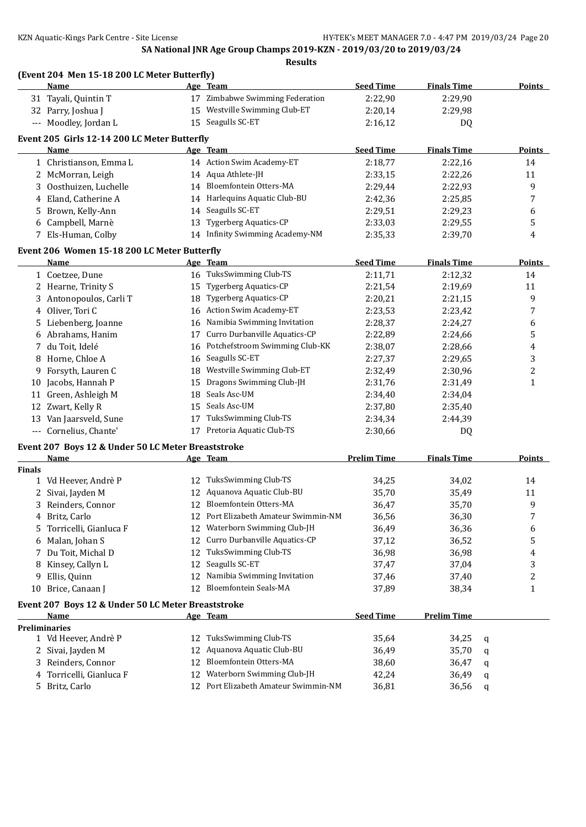|               | (Event 204 Men 15-18 200 LC Meter Butterfly)<br>Name       |    | Age Team                             | <b>Seed Time</b>   | <b>Finals Time</b> |   | <b>Points</b>  |
|---------------|------------------------------------------------------------|----|--------------------------------------|--------------------|--------------------|---|----------------|
|               | 31 Tayali, Quintin T                                       |    | 17 Zimbabwe Swimming Federation      | 2:22,90            | 2:29,90            |   |                |
|               | 32 Parry, Joshua J                                         |    | 15 Westville Swimming Club-ET        | 2:20,14            | 2:29,98            |   |                |
|               | --- Moodley, Jordan L                                      |    | 15 Seagulls SC-ET                    | 2:16,12            | DQ                 |   |                |
|               |                                                            |    |                                      |                    |                    |   |                |
|               | Event 205 Girls 12-14 200 LC Meter Butterfly               |    |                                      |                    |                    |   |                |
|               | <u>Name</u>                                                |    | Age Team                             | <b>Seed Time</b>   | <b>Finals Time</b> |   | <b>Points</b>  |
|               | 1 Christianson, Emma L                                     |    | 14 Action Swim Academy-ET            | 2:18,77            | 2:22,16            |   | 14             |
|               | 2 McMorran, Leigh                                          |    | 14 Aqua Athlete-JH                   | 2:33,15            | 2:22,26            |   | 11             |
|               | 3 Oosthuizen, Luchelle                                     |    | 14 Bloemfontein Otters-MA            | 2:29,44            | 2:22,93            |   | 9              |
|               | 4 Eland, Catherine A                                       |    | 14 Harlequins Aquatic Club-BU        | 2:42,36            | 2:25,85            |   | 7              |
| 5.            | Brown, Kelly-Ann                                           |    | 14 Seagulls SC-ET                    | 2:29,51            | 2:29,23            |   | 6              |
|               | 6 Campbell, Marnè                                          | 13 | <b>Tygerberg Aquatics-CP</b>         | 2:33,03            | 2:29,55            |   | 5              |
|               | 7 Els-Human, Colby                                         |    | 14 Infinity Swimming Academy-NM      | 2:35,33            | 2:39,70            |   | 4              |
|               | Event 206 Women 15-18 200 LC Meter Butterfly               |    |                                      |                    |                    |   |                |
|               | Name                                                       |    | Age Team                             | <b>Seed Time</b>   | <b>Finals Time</b> |   | <b>Points</b>  |
|               | 1 Coetzee, Dune                                            |    | 16 TuksSwimming Club-TS              | 2:11,71            | 2:12,32            |   | 14             |
|               | 2 Hearne, Trinity S                                        | 15 | <b>Tygerberg Aquatics-CP</b>         | 2:21,54            | 2:19,69            |   | 11             |
|               | 3 Antonopoulos, Carli T                                    | 18 | <b>Tygerberg Aquatics-CP</b>         | 2:20,21            | 2:21,15            |   | 9              |
|               | 4 Oliver, Tori C                                           | 16 | <b>Action Swim Academy-ET</b>        | 2:23,53            | 2:23,42            |   | 7              |
| 5.            | Liebenberg, Joanne                                         | 16 | Namibia Swimming Invitation          | 2:28,37            | 2:24,27            |   | 6              |
| 6             | Abrahams, Hanim                                            | 17 | Curro Durbanville Aquatics-CP        | 2:22,89            | 2:24,66            |   | 5              |
|               | 7 du Toit, Idelé                                           | 16 | Potchefstroom Swimming Club-KK       | 2:38,07            | 2:28,66            |   | 4              |
| 8             | Horne, Chloe A                                             | 16 | Seagulls SC-ET                       | 2:27,37            | 2:29,65            |   | 3              |
| 9             | Forsyth, Lauren C                                          |    | 18 Westville Swimming Club-ET        | 2:32,49            | 2:30,96            |   | $\overline{c}$ |
| 10            | Jacobs, Hannah P                                           | 15 | Dragons Swimming Club-JH             | 2:31,76            | 2:31,49            |   | 1              |
|               | 11 Green, Ashleigh M                                       | 18 | Seals Asc-UM                         | 2:34,40            | 2:34,04            |   |                |
|               | 12 Zwart, Kelly R                                          | 15 | Seals Asc-UM                         | 2:37,80            | 2:35,40            |   |                |
|               | 13 Van Jaarsveld, Sune                                     | 17 | TuksSwimming Club-TS                 | 2:34,34            | 2:44,39            |   |                |
|               | --- Cornelius, Chante'                                     |    | 17 Pretoria Aquatic Club-TS          | 2:30,66            | DQ                 |   |                |
|               | Event 207 Boys 12 & Under 50 LC Meter Breaststroke         |    |                                      |                    |                    |   |                |
|               | Name                                                       |    | Age Team                             | <b>Prelim Time</b> | <b>Finals Time</b> |   | Points         |
| <b>Finals</b> |                                                            |    |                                      |                    |                    |   |                |
|               | 1 Vd Heever, Andrè P                                       |    | 12 TuksSwimming Club-TS              | 34,25              | 34,02              |   | 14             |
|               | 2 Sivai, Jayden M                                          |    | 12 Aquanova Aquatic Club-BU          | 35,70              | 35,49              |   | 11             |
| 3             | Reinders, Connor                                           |    | 12 Bloemfontein Otters-MA            | 36,47              | 35,70              |   | 9              |
|               | 4 Britz, Carlo                                             | 12 | Port Elizabeth Amateur Swimmin-NM    | 36,56              | 36,30              |   | 7              |
| 5.            | Torricelli, Gianluca F                                     | 12 | Waterborn Swimming Club-JH           | 36,49              | 36,36              |   | 6              |
| 6             | Malan, Johan S                                             | 12 | Curro Durbanville Aquatics-CP        | 37,12              | 36,52              |   | 5              |
| 7             | Du Toit, Michal D                                          | 12 | TuksSwimming Club-TS                 | 36,98              | 36,98              |   | 4              |
| 8             | Kinsey, Callyn L                                           | 12 | Seagulls SC-ET                       | 37,47              | 37,04              |   | 3              |
| 9             | Ellis, Quinn                                               | 12 | Namibia Swimming Invitation          | 37,46              | 37,40              |   | 2              |
| 10            | Brice, Canaan J                                            |    | 12 Bloemfontein Seals-MA             | 37,89              | 38,34              |   | 1              |
|               |                                                            |    |                                      |                    |                    |   |                |
|               | Event 207 Boys 12 & Under 50 LC Meter Breaststroke<br>Name |    |                                      | <b>Seed Time</b>   | <b>Prelim Time</b> |   |                |
|               | <b>Preliminaries</b>                                       |    | Age Team                             |                    |                    |   |                |
|               | 1 Vd Heever, Andrè P                                       | 12 | TuksSwimming Club-TS                 | 35,64              | 34,25              | q |                |
|               | 2 Sivai, Jayden M                                          | 12 | Aquanova Aquatic Club-BU             | 36,49              | 35,70              | q |                |
|               | 3 Reinders, Connor                                         | 12 | Bloemfontein Otters-MA               | 38,60              | 36,47              | q |                |
| 4             | Torricelli, Gianluca F                                     | 12 | Waterborn Swimming Club-JH           | 42,24              | 36,49              |   |                |
|               | 5 Britz, Carlo                                             |    | 12 Port Elizabeth Amateur Swimmin-NM | 36,81              | 36,56              | q |                |
|               |                                                            |    |                                      |                    |                    | a |                |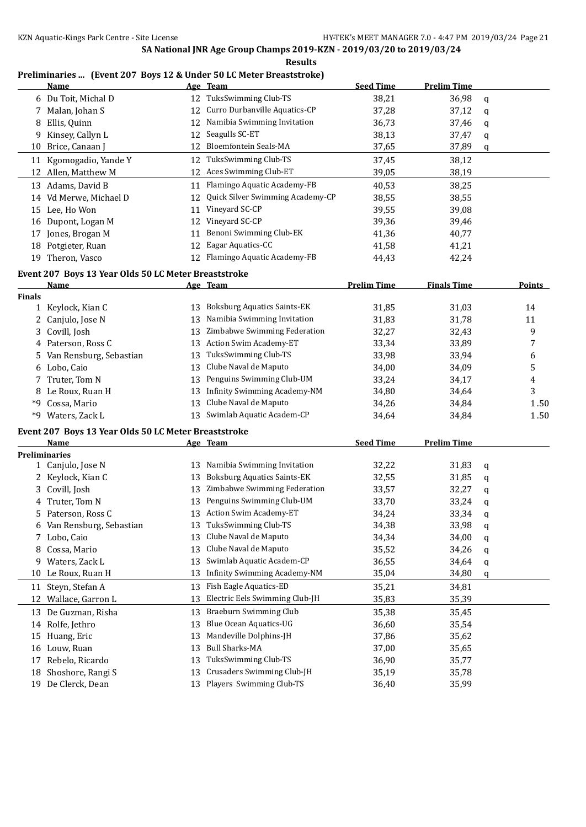**Results**

## **Preliminaries ... (Event 207 Boys 12 & Under 50 LC Meter Breaststroke)**

|               | Name                                                 |    | Age Team                            | <b>Seed Time</b>   | <b>Prelim Time</b> |   |               |
|---------------|------------------------------------------------------|----|-------------------------------------|--------------------|--------------------|---|---------------|
|               | 6 Du Toit, Michal D                                  |    | 12 TuksSwimming Club-TS             | 38,21              | 36,98              | q |               |
|               | 7 Malan, Johan S                                     | 12 | Curro Durbanville Aquatics-CP       | 37,28              | 37,12              | q |               |
|               | 8 Ellis, Quinn                                       | 12 | Namibia Swimming Invitation         | 36,73              | 37,46              | q |               |
|               | 9 Kinsey, Callyn L                                   | 12 | Seagulls SC-ET                      | 38,13              | 37,47              | q |               |
|               | 10 Brice, Canaan J                                   | 12 | Bloemfontein Seals-MA               | 37,65              | 37,89              | q |               |
| 11            | Kgomogadio, Yande Y                                  | 12 | TuksSwimming Club-TS                | 37,45              | 38,12              |   |               |
|               | 12 Allen, Matthew M                                  | 12 | Aces Swimming Club-ET               | 39,05              | 38,19              |   |               |
|               | 13 Adams, David B                                    | 11 | Flamingo Aquatic Academy-FB         | 40,53              | 38,25              |   |               |
|               | 14 Vd Merwe, Michael D                               | 12 | Quick Silver Swimming Academy-CP    | 38,55              | 38,55              |   |               |
|               | 15 Lee, Ho Won                                       | 11 | Vineyard SC-CP                      | 39,55              | 39,08              |   |               |
|               | 16 Dupont, Logan M                                   | 12 | Vineyard SC-CP                      | 39,36              | 39,46              |   |               |
|               | 17 Jones, Brogan M                                   | 11 | Benoni Swimming Club-EK             | 41,36              | 40,77              |   |               |
|               | 18 Potgieter, Ruan                                   | 12 | Eagar Aquatics-CC                   | 41,58              | 41,21              |   |               |
|               | 19 Theron, Vasco                                     |    | 12 Flamingo Aquatic Academy-FB      | 44,43              | 42,24              |   |               |
|               |                                                      |    |                                     |                    |                    |   |               |
|               | Event 207 Boys 13 Year Olds 50 LC Meter Breaststroke |    |                                     |                    |                    |   |               |
|               | Name                                                 |    | Age Team                            | <b>Prelim Time</b> | <b>Finals Time</b> |   | <b>Points</b> |
| <b>Finals</b> |                                                      |    |                                     |                    |                    |   |               |
|               | 1 Keylock, Kian C                                    | 13 | <b>Boksburg Aquatics Saints-EK</b>  | 31,85              | 31,03              |   | 14            |
|               | 2 Canjulo, Jose N                                    | 13 | Namibia Swimming Invitation         | 31,83              | 31,78              |   | 11            |
| 3             | Covill, Josh                                         | 13 | Zimbabwe Swimming Federation        | 32,27              | 32,43              |   | 9             |
|               | 4 Paterson, Ross C                                   | 13 | Action Swim Academy-ET              | 33,34              | 33,89              |   | 7             |
|               | 5 Van Rensburg, Sebastian                            | 13 | TuksSwimming Club-TS                | 33,98              | 33,94              |   | 6             |
| 6             | Lobo, Caio                                           | 13 | Clube Naval de Maputo               | 34,00              | 34,09              |   | 5             |
| 7             | Truter, Tom N                                        | 13 | Penguins Swimming Club-UM           | 33,24              | 34,17              |   | 4             |
| 8             | Le Roux, Ruan H                                      | 13 | <b>Infinity Swimming Academy-NM</b> | 34,80              | 34,64              |   | 3             |
| *9            | Cossa, Mario                                         | 13 | Clube Naval de Maputo               | 34,26              | 34,84              |   | 1.50          |
|               | *9 Waters, Zack L                                    | 13 | Swimlab Aquatic Academ-CP           | 34,64              | 34,84              |   | 1.50          |
|               | Event 207 Boys 13 Year Olds 50 LC Meter Breaststroke |    |                                     |                    |                    |   |               |
|               | Name                                                 |    | Age Team                            | <b>Seed Time</b>   | <b>Prelim Time</b> |   |               |
|               | <b>Preliminaries</b>                                 |    |                                     |                    |                    |   |               |
|               | 1 Canjulo, Jose N                                    | 13 | Namibia Swimming Invitation         | 32,22              | 31,83              | q |               |
|               | 2 Keylock, Kian C                                    | 13 | <b>Boksburg Aquatics Saints-EK</b>  | 32,55              | 31,85              | q |               |
|               | 3 Covill, Josh                                       | 13 | Zimbabwe Swimming Federation        | 33,57              | 32,27              | q |               |
|               | Truter, Tom N                                        | 13 | Penguins Swimming Club-UM           | 33,70              | 33,24              | q |               |
|               | 5 Paterson, Ross C                                   |    | 13 Action Swim Academy-ET           | 34,24              | 33,34              | q |               |
|               | 6 Van Rensburg, Sebastian                            |    | TuksSwimming Club-TS                | 34,38              | 33,98              | q |               |
|               | 7 Lobo, Caio                                         | 13 | Clube Naval de Maputo               | 34,34              | 34,00              | q |               |
| 8             | Cossa, Mario                                         | 13 | Clube Naval de Maputo               | 35,52              | 34,26              | q |               |
|               | 9 Waters, Zack L                                     | 13 | Swimlab Aquatic Academ-CP           | 36,55              | 34,64              | q |               |
| 10            | Le Roux, Ruan H                                      | 13 | Infinity Swimming Academy-NM        | 35,04              | 34,80              | q |               |
| 11            | Steyn, Stefan A                                      | 13 | Fish Eagle Aquatics-ED              | 35,21              | 34,81              |   |               |
| 12            | Wallace, Garron L                                    | 13 | Electric Eels Swimming Club-JH      | 35,83              | 35,39              |   |               |
| 13            | De Guzman, Risha                                     | 13 | Braeburn Swimming Club              | 35,38              | 35,45              |   |               |
|               | 14 Rolfe, Jethro                                     | 13 | <b>Blue Ocean Aquatics-UG</b>       | 36,60              | 35,54              |   |               |
| 15            | Huang, Eric                                          | 13 | Mandeville Dolphins-JH              | 37,86              | 35,62              |   |               |
| 16            | Louw, Ruan                                           | 13 | <b>Bull Sharks-MA</b>               | 37,00              | 35,65              |   |               |
| 17            | Rebelo, Ricardo                                      | 13 | TuksSwimming Club-TS                | 36,90              | 35,77              |   |               |
|               | Shoshore, Rangi S                                    | 13 | Crusaders Swimming Club-JH          |                    | 35,78              |   |               |
| 18            | 19 De Clerck, Dean                                   | 13 | Players Swimming Club-TS            | 35,19<br>36,40     | 35,99              |   |               |
|               |                                                      |    |                                     |                    |                    |   |               |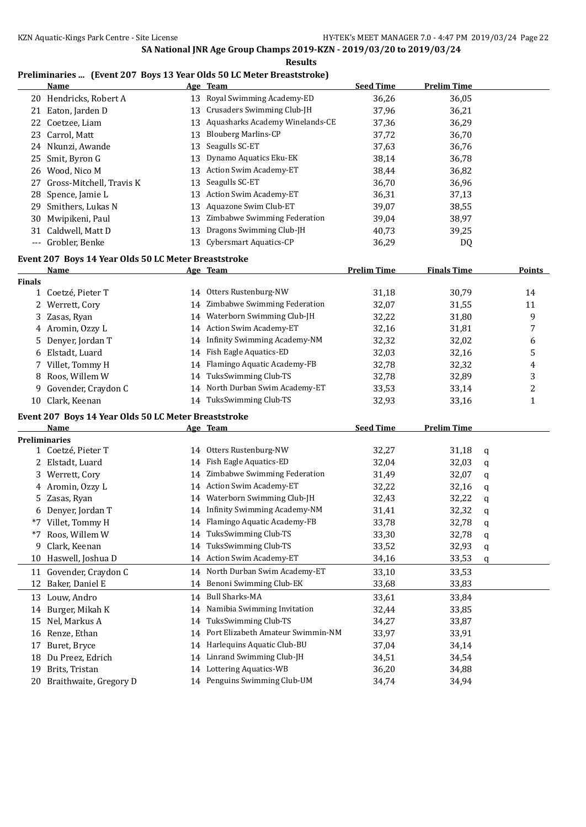| <b>Results</b> |                                                      |    |                                                                                   |                    |                    |   |               |
|----------------|------------------------------------------------------|----|-----------------------------------------------------------------------------------|--------------------|--------------------|---|---------------|
|                | Name                                                 |    | Preliminaries  (Event 207 Boys 13 Year Olds 50 LC Meter Breaststroke)<br>Age Team | <b>Seed Time</b>   | <b>Prelim Time</b> |   |               |
|                | 20 Hendricks, Robert A                               |    | 13 Royal Swimming Academy-ED                                                      | 36,26              | 36,05              |   |               |
|                | 21 Eaton, Jarden D                                   |    | 13 Crusaders Swimming Club-JH                                                     | 37,96              | 36,21              |   |               |
|                | 22 Coetzee, Liam                                     |    | 13 Aquasharks Academy Winelands-CE                                                | 37,36              | 36,29              |   |               |
|                | 23 Carrol, Matt                                      | 13 | <b>Blouberg Marlins-CP</b>                                                        | 37,72              | 36,70              |   |               |
|                | 24 Nkunzi, Awande                                    | 13 | Seagulls SC-ET                                                                    | 37,63              | 36,76              |   |               |
| 25             | Smit, Byron G                                        | 13 | Dynamo Aquatics Eku-EK                                                            | 38,14              | 36,78              |   |               |
|                | 26 Wood, Nico M                                      | 13 | Action Swim Academy-ET                                                            | 38,44              | 36,82              |   |               |
| 27             | Gross-Mitchell, Travis K                             | 13 | Seagulls SC-ET                                                                    | 36,70              | 36,96              |   |               |
|                | 28 Spence, Jamie L                                   | 13 | <b>Action Swim Academy-ET</b>                                                     | 36,31              | 37,13              |   |               |
|                | 29 Smithers, Lukas N                                 | 13 | Aquazone Swim Club-ET                                                             | 39,07              | 38,55              |   |               |
| 30             | Mwipikeni, Paul                                      | 13 | Zimbabwe Swimming Federation                                                      | 39,04              | 38,97              |   |               |
|                | 31 Caldwell, Matt D                                  | 13 | Dragons Swimming Club-JH                                                          | 40,73              | 39,25              |   |               |
|                | --- Grobler, Benke                                   |    | 13 Cybersmart Aquatics-CP                                                         | 36,29              | DQ                 |   |               |
|                | Event 207 Boys 14 Year Olds 50 LC Meter Breaststroke |    |                                                                                   |                    |                    |   |               |
|                | <u>Name</u>                                          |    | Age Team                                                                          | <b>Prelim Time</b> | <b>Finals Time</b> |   | <b>Points</b> |
| <b>Finals</b>  |                                                      |    |                                                                                   |                    |                    |   |               |
|                | 1 Coetzé, Pieter T                                   |    | 14 Otters Rustenburg-NW                                                           | 31,18              | 30,79              |   | 14            |
|                | 2 Werrett, Cory                                      |    | 14 Zimbabwe Swimming Federation                                                   | 32,07              | 31,55              |   | 11            |
| 3              | Zasas, Ryan                                          |    | 14 Waterborn Swimming Club-JH                                                     | 32,22              | 31,80              |   | 9             |
|                | 4 Aromin, Ozzy L                                     |    | 14 Action Swim Academy-ET                                                         | 32,16              | 31,81              |   | 7             |
| 5.             | Denyer, Jordan T                                     |    | 14 Infinity Swimming Academy-NM                                                   | 32,32              | 32,02              |   | 6             |
|                | 6 Elstadt, Luard                                     |    | 14 Fish Eagle Aquatics-ED                                                         | 32,03              | 32,16              |   | 5             |
|                | 7 Villet, Tommy H                                    |    | 14 Flamingo Aquatic Academy-FB                                                    | 32,78              | 32,32              |   | 4             |
|                | 8 Roos, Willem W                                     |    | 14 TuksSwimming Club-TS                                                           | 32,78              | 32,89              |   | 3             |
| 9              | Govender, Craydon C                                  |    | 14 North Durban Swim Academy-ET                                                   | 33,53              | 33,14              |   | 2             |
|                | 10 Clark, Keenan                                     |    | 14 TuksSwimming Club-TS                                                           | 32,93              | 33,16              |   | $\mathbf{1}$  |
|                | Event 207 Boys 14 Year Olds 50 LC Meter Breaststroke |    |                                                                                   |                    |                    |   |               |
|                | Name                                                 |    | Age Team                                                                          | <b>Seed Time</b>   | <b>Prelim Time</b> |   |               |
|                | <b>Preliminaries</b>                                 |    |                                                                                   |                    |                    |   |               |
|                | 1 Coetzé, Pieter T                                   |    | 14 Otters Rustenburg-NW                                                           | 32,27              | 31,18              | q |               |
|                | 2 Elstadt, Luard                                     |    | 14 Fish Eagle Aquatics-ED                                                         | 32,04              | 32,03              | q |               |
|                | 3 Werrett, Cory                                      |    | 14 Zimbabwe Swimming Federation                                                   | 31,49              | 32,07              | q |               |
|                | 4 Aromin, Ozzy L                                     |    | 14 Action Swim Academy-ET                                                         | 32,22              | 32,16              | q |               |
|                | 5 Zasas, Ryan                                        |    | 14 Waterborn Swimming Club-JH                                                     | 32,43              | 32,22              | q |               |
|                | 6 Denyer, Jordan T                                   |    | 14 Infinity Swimming Academy-NM                                                   | 31,41              | 32,32              | q |               |
|                | *7 Villet, Tommy H                                   |    | 14 Flamingo Aquatic Academy-FB                                                    | 33,78              | 32,78              | q |               |
| *7             | Roos, Willem W                                       | 14 | TuksSwimming Club-TS                                                              | 33,30              | 32,78              | q |               |
| 9              | Clark, Keenan                                        | 14 | TuksSwimming Club-TS                                                              | 33,52              | 32,93              | q |               |
|                | 10 Haswell, Joshua D                                 |    | 14 Action Swim Academy-ET                                                         | 34,16              | 33,53              | q |               |
|                | 11 Govender, Craydon C                               |    | 14 North Durban Swim Academy-ET                                                   | 33,10              | 33,53              |   |               |
| 12             | Baker, Daniel E                                      |    | 14 Benoni Swimming Club-EK                                                        | 33,68              | 33,83              |   |               |
|                | 13 Louw, Andro                                       |    | 14 Bull Sharks-MA                                                                 | 33,61              | 33,84              |   |               |
| 14             | Burger, Mikah K                                      |    | 14 Namibia Swimming Invitation                                                    | 32,44              | 33,85              |   |               |
| 15             | Nel, Markus A                                        | 14 | TuksSwimming Club-TS                                                              | 34,27              | 33,87              |   |               |
| 16             | Renze, Ethan                                         |    | 14 Port Elizabeth Amateur Swimmin-NM                                              | 33,97              | 33,91              |   |               |
| 17             | Buret, Bryce                                         |    | 14 Harlequins Aquatic Club-BU                                                     | 37,04              | 34,14              |   |               |
| 18             | Du Preez, Edrich                                     |    | 14 Linrand Swimming Club-JH                                                       | 34,51              | 34,54              |   |               |
| 19             | Brits, Tristan                                       |    | 14 Lottering Aquatics-WB                                                          | 36,20              | 34,88              |   |               |
| 20             | Braithwaite, Gregory D                               |    | 14 Penguins Swimming Club-UM                                                      | 34,74              | 34,94              |   |               |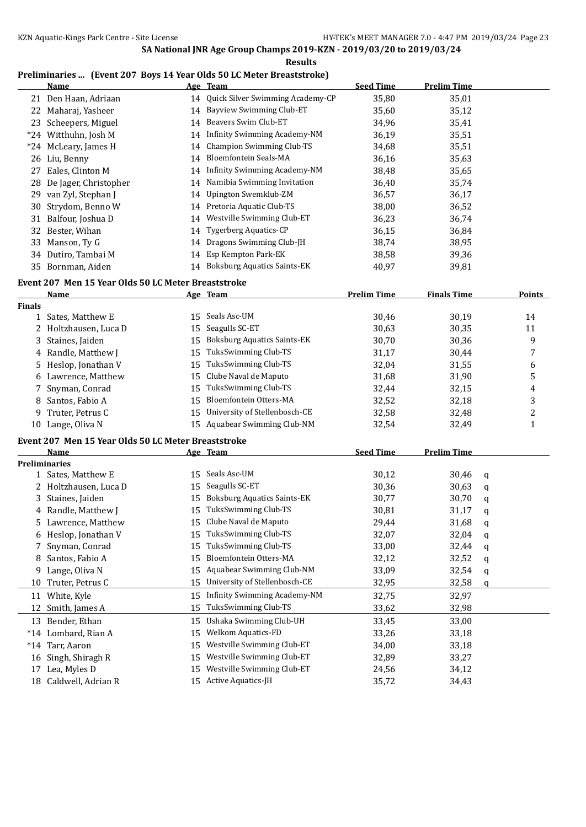#### **Results**

## **Preliminaries ... (Event 207 Boys 14 Year Olds 50 LC Meter Breaststroke)**

|               | <b>Name</b>                                         |    | Age Team                            | <b>Seed Time</b>   | <b>Prelim Time</b> |   |                |
|---------------|-----------------------------------------------------|----|-------------------------------------|--------------------|--------------------|---|----------------|
|               | 21 Den Haan, Adriaan                                | 14 | Quick Silver Swimming Academy-CP    | 35,80              | 35,01              |   |                |
|               | 22 Maharaj, Yasheer                                 | 14 | Bayview Swimming Club-ET            | 35,60              | 35,12              |   |                |
|               | 23 Scheepers, Miguel                                | 14 | Beavers Swim Club-ET                | 34,96              | 35,41              |   |                |
|               | *24 Witthuhn, Josh M                                | 14 | <b>Infinity Swimming Academy-NM</b> | 36,19              | 35,51              |   |                |
|               | *24 McLeary, James H                                | 14 | <b>Champion Swimming Club-TS</b>    | 34,68              | 35,51              |   |                |
|               | 26 Liu, Benny                                       | 14 | <b>Bloemfontein Seals-MA</b>        | 36,16              | 35,63              |   |                |
| 27            | Eales, Clinton M                                    | 14 | <b>Infinity Swimming Academy-NM</b> | 38,48              | 35,65              |   |                |
| 28            | De Jager, Christopher                               | 14 | Namibia Swimming Invitation         | 36,40              | 35,74              |   |                |
| 29            | van Zyl, Stephan J                                  | 14 | Upington Swemklub-ZM                | 36,57              | 36,17              |   |                |
| 30            | Strydom, Benno W                                    | 14 | Pretoria Aquatic Club-TS            | 38,00              | 36,52              |   |                |
|               | 31 Balfour, Joshua D                                | 14 | Westville Swimming Club-ET          | 36,23              | 36,74              |   |                |
|               | 32 Bester, Wihan                                    | 14 | <b>Tygerberg Aquatics-CP</b>        | 36,15              | 36,84              |   |                |
|               | 33 Manson, Ty G                                     | 14 | Dragons Swimming Club-JH            | 38,74              | 38,95              |   |                |
|               | 34 Dutiro, Tambai M                                 |    | 14 Esp Kempton Park-EK              | 38,58              | 39,36              |   |                |
|               | 35 Bornman, Aiden                                   |    | 14 Boksburg Aquatics Saints-EK      | 40,97              | 39,81              |   |                |
|               |                                                     |    |                                     |                    |                    |   |                |
|               | Event 207 Men 15 Year Olds 50 LC Meter Breaststroke |    |                                     |                    | <b>Finals Time</b> |   | <b>Points</b>  |
| <b>Finals</b> | <u>Name</u>                                         |    | Age Team                            | <b>Prelim Time</b> |                    |   |                |
|               | 1 Sates, Matthew E                                  | 15 | Seals Asc-UM                        | 30,46              | 30,19              |   | 14             |
|               | 2 Holtzhausen, Luca D                               | 15 | Seagulls SC-ET                      | 30,63              | 30,35              |   | 11             |
| 3             | Staines, Jaiden                                     | 15 | <b>Boksburg Aquatics Saints-EK</b>  | 30,70              | 30,36              |   | 9              |
|               | 4 Randle, Matthew J                                 | 15 | TuksSwimming Club-TS                | 31,17              | 30,44              |   | 7              |
|               | 5 Heslop, Jonathan V                                | 15 | TuksSwimming Club-TS                | 32,04              | 31,55              |   | 6              |
|               | Lawrence, Matthew                                   | 15 | Clube Naval de Maputo               | 31,68              | 31,90              |   | 5              |
| 6             |                                                     |    | TuksSwimming Club-TS                |                    |                    |   |                |
| 7             | Snyman, Conrad                                      | 15 | Bloemfontein Otters-MA              | 32,44              | 32,15              |   | 4              |
| 8             | Santos, Fabio A                                     | 15 | University of Stellenbosch-CE       | 32,52              | 32,18              |   | 3              |
| 9             | Truter, Petrus C                                    | 15 |                                     | 32,58              | 32,48              |   | $\overline{c}$ |
|               | 10 Lange, Oliva N                                   |    | 15 Aquabear Swimming Club-NM        | 32,54              | 32,49              |   | $\mathbf{1}$   |
|               | Event 207 Men 15 Year Olds 50 LC Meter Breaststroke |    |                                     |                    |                    |   |                |
|               | Name                                                |    | Age Team                            | <b>Seed Time</b>   | <b>Prelim Time</b> |   |                |
|               | <b>Preliminaries</b>                                |    |                                     |                    |                    |   |                |
|               | 1 Sates, Matthew E                                  |    | 15 Seals Asc-UM                     | 30,12              | 30,46              | q |                |
|               | 2 Holtzhausen, Luca D                               | 15 | Seagulls SC-ET                      | 30,36              | 30,63              | q |                |
|               | 3 Staines, Jaiden                                   |    | 15 Boksburg Aquatics Saints-EK      | 30,77              | 30,70              | q |                |
|               | 4 Randle, Matthew J                                 |    | 15 TuksSwimming Club-TS             | 30,81              | 31,17              | q |                |
|               | 5 Lawrence, Matthew                                 |    | 15 Clube Naval de Maputo            | 29,44              | 31,68              | q |                |
|               | 6 Heslop, Jonathan V                                | 15 | TuksSwimming Club-TS                | 32,07              | 32,04              | q |                |
| 7             | Snyman, Conrad                                      | 15 | TuksSwimming Club-TS                | 33,00              | 32,44              | q |                |
| 8             | Santos, Fabio A                                     | 15 | Bloemfontein Otters-MA              | 32,12              | 32,52              | q |                |
| 9.            | Lange, Oliva N                                      | 15 | Aquabear Swimming Club-NM           | 33,09              | 32,54              | q |                |
| 10            | Truter, Petrus C                                    | 15 | University of Stellenbosch-CE       | 32,95              | 32,58              | q |                |
|               | 11 White, Kyle                                      | 15 | <b>Infinity Swimming Academy-NM</b> | 32,75              | 32,97              |   |                |
| 12            | Smith, James A                                      | 15 | TuksSwimming Club-TS                | 33,62              | 32,98              |   |                |
| 13            | Bender, Ethan                                       | 15 | Ushaka Swimming Club-UH             | 33,45              | 33,00              |   |                |
|               | *14 Lombard, Rian A                                 | 15 | Welkom Aquatics-FD                  | 33,26              | 33,18              |   |                |
|               | *14 Tarr, Aaron                                     | 15 | Westville Swimming Club-ET          | 34,00              | 33,18              |   |                |
| 16            | Singh, Shiragh R                                    | 15 | Westville Swimming Club-ET          | 32,89              | 33,27              |   |                |
| 17            | Lea, Myles D                                        | 15 | Westville Swimming Club-ET          | 24,56              | 34,12              |   |                |
|               | 18 Caldwell, Adrian R                               |    | 15 Active Aquatics-JH               | 35,72              | 34,43              |   |                |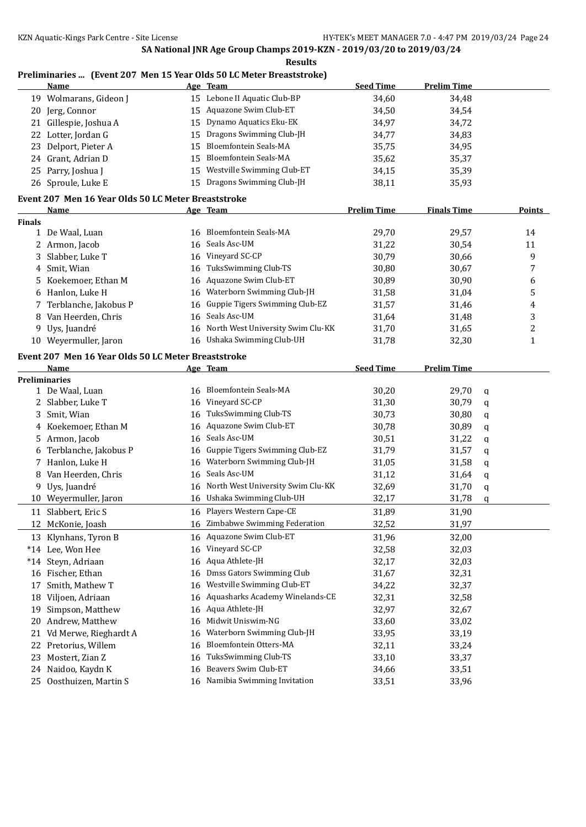**Results**

## **Preliminaries ... (Event 207 Men 15 Year Olds 50 LC Meter Breaststroke)**

|               | Name                                                |    | Age Team                          | <b>Seed Time</b>   | <b>Prelim Time</b> |                         |
|---------------|-----------------------------------------------------|----|-----------------------------------|--------------------|--------------------|-------------------------|
|               | 19 Wolmarans, Gideon J                              |    | 15 Lebone II Aquatic Club-BP      | 34,60              | 34,48              |                         |
| 20            | Jerg, Connor                                        | 15 | Aquazone Swim Club-ET             | 34,50              | 34,54              |                         |
| 21            | Gillespie, Joshua A                                 | 15 | Dynamo Aquatics Eku-EK            | 34,97              | 34,72              |                         |
| 22            | Lotter, Jordan G                                    | 15 | Dragons Swimming Club-JH          | 34,77              | 34,83              |                         |
| 23            | Delport, Pieter A                                   | 15 | Bloemfontein Seals-MA             | 35,75              | 34,95              |                         |
|               | 24 Grant, Adrian D                                  | 15 | <b>Bloemfontein Seals-MA</b>      | 35,62              | 35,37              |                         |
| 25            | Parry, Joshua J                                     | 15 | Westville Swimming Club-ET        | 34,15              | 35,39              |                         |
|               | 26 Sproule, Luke E                                  |    | 15 Dragons Swimming Club-JH       | 38,11              | 35,93              |                         |
|               | Event 207 Men 16 Year Olds 50 LC Meter Breaststroke |    |                                   |                    |                    |                         |
|               | <b>Name</b>                                         |    | Age Team                          | <b>Prelim Time</b> | <b>Finals Time</b> | <b>Points</b>           |
| <b>Finals</b> |                                                     |    |                                   |                    |                    |                         |
|               | 1 De Waal, Luan                                     | 16 | <b>Bloemfontein Seals-MA</b>      | 29,70              | 29,57              | 14                      |
|               | 2 Armon, Jacob                                      | 16 | Seals Asc-UM                      | 31,22              | 30,54              | 11                      |
| 3             | Slabber, Luke T                                     | 16 | Vineyard SC-CP                    | 30,79              | 30,66              | 9                       |
|               | 4 Smit, Wian                                        | 16 | TuksSwimming Club-TS              | 30,80              | 30,67              | 7                       |
| 5             | Koekemoer, Ethan M                                  | 16 | Aquazone Swim Club-ET             | 30,89              | 30,90              | 6                       |
| 6             | Hanlon, Luke H                                      | 16 | Waterborn Swimming Club-JH        | 31,58              | 31,04              | 5                       |
| 7             | Terblanche, Jakobus P                               | 16 | Guppie Tigers Swimming Club-EZ    | 31,57              | 31,46              | $\overline{\mathbf{4}}$ |
| 8             | Van Heerden, Chris                                  | 16 | Seals Asc-UM                      | 31,64              | 31,48              | 3                       |
|               | 9 Uys, Juandré                                      | 16 | North West University Swim Clu-KK | 31,70              | 31,65              | $\overline{c}$          |
|               | 10 Weyermuller, Jaron                               | 16 | Ushaka Swimming Club-UH           | 31,78              | 32,30              | $\mathbf{1}$            |
|               |                                                     |    |                                   |                    |                    |                         |
|               | Event 207 Men 16 Year Olds 50 LC Meter Breaststroke |    |                                   |                    |                    |                         |
|               | Name                                                |    | Age Team                          | <b>Seed Time</b>   | <b>Prelim Time</b> |                         |
|               | <b>Preliminaries</b>                                |    | <b>Bloemfontein Seals-MA</b>      |                    |                    |                         |
|               | 1 De Waal, Luan                                     | 16 | Vineyard SC-CP                    | 30,20              | 29,70<br>q         |                         |
|               | 2 Slabber, Luke T                                   | 16 | TuksSwimming Club-TS              | 31,30              | 30,79<br>q         |                         |
| 3             | Smit, Wian                                          | 16 | Aquazone Swim Club-ET             | 30,73              | 30,80<br>q         |                         |
| 4             | Koekemoer, Ethan M                                  | 16 | Seals Asc-UM                      | 30,78              | 30,89<br>q         |                         |
| 5.            | Armon, Jacob                                        | 16 | Guppie Tigers Swimming Club-EZ    | 30,51              | 31,22<br>q         |                         |
| 6             | Terblanche, Jakobus P                               | 16 | Waterborn Swimming Club-JH        | 31,79              | 31,57<br>q         |                         |
| 7             | Hanlon, Luke H                                      | 16 | Seals Asc-UM                      | 31,05              | 31,58<br>q         |                         |
| 8             | Van Heerden, Chris                                  | 16 |                                   | 31,12              | 31,64<br>q         |                         |
|               | 9 Uys, Juandré                                      | 16 | North West University Swim Clu-KK | 32,69              | 31,70<br>q         |                         |
|               | 10 Weyermuller, Jaron                               |    | 16 Ushaka Swimming Club-UH        | 32,17              | 31,78<br>q         |                         |
|               | 11 Slabbert, Eric S                                 |    | 16 Players Western Cape-CE        | 31,89              | 31,90              |                         |
| ΙZ            | McKonie, Joash                                      |    | 16 Zimbabwe Swimming Federation   | 32,52              | 31,97              |                         |
| 13            | Klynhans, Tyron B                                   | 16 | Aquazone Swim Club-ET             | 31,96              | 32,00              |                         |
|               | *14 Lee, Won Hee                                    | 16 | Vineyard SC-CP                    | 32,58              | 32,03              |                         |
|               | *14 Steyn, Adriaan                                  | 16 | Aqua Athlete-JH                   | 32,17              | 32,03              |                         |
|               | 16 Fischer, Ethan                                   | 16 | Dmss Gators Swimming Club         | 31,67              | 32,31              |                         |
| 17            | Smith, Mathew T                                     | 16 | Westville Swimming Club-ET        | 34,22              | 32,37              |                         |
| 18            | Viljoen, Adriaan                                    | 16 | Aquasharks Academy Winelands-CE   | 32,31              | 32,58              |                         |
| 19            | Simpson, Matthew                                    | 16 | Aqua Athlete-JH                   | 32,97              | 32,67              |                         |
| 20            | Andrew, Matthew                                     | 16 | Midwit Uniswim-NG                 | 33,60              | 33,02              |                         |
| 21            | Vd Merwe, Rieghardt A                               | 16 | Waterborn Swimming Club-JH        | 33,95              | 33,19              |                         |
| 22            | Pretorius, Willem                                   | 16 | Bloemfontein Otters-MA            | 32,11              | 33,24              |                         |
| 23            | Mostert, Zian Z                                     | 16 | TuksSwimming Club-TS              | 33,10              | 33,37              |                         |
|               | 24 Naidoo, Kaydn K                                  | 16 | Beavers Swim Club-ET              | 34,66              | 33,51              |                         |
|               | 25 Oosthuizen, Martin S                             | 16 | Namibia Swimming Invitation       | 33,51              | 33,96              |                         |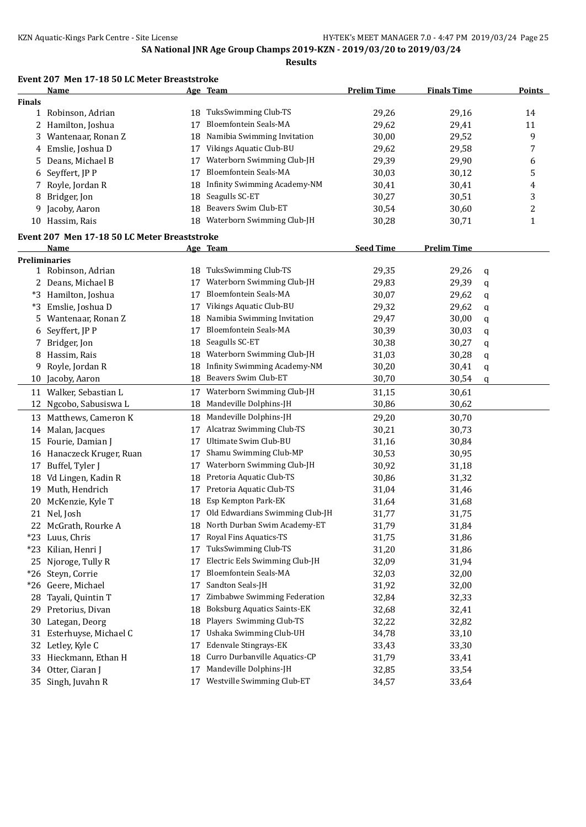**Results**

#### **Event 207 Men 17-18 50 LC Meter Breaststroke**

|               | <b>Name</b>                                  |    | Age Team                           | <b>Prelim Time</b> | <b>Finals Time</b> |   | <b>Points</b> |  |  |
|---------------|----------------------------------------------|----|------------------------------------|--------------------|--------------------|---|---------------|--|--|
| <b>Finals</b> |                                              |    |                                    |                    |                    |   |               |  |  |
|               | 1 Robinson, Adrian                           | 18 | TuksSwimming Club-TS               | 29,26              | 29,16              |   | 14            |  |  |
|               | 2 Hamilton, Joshua                           | 17 | Bloemfontein Seals-MA              | 29,62              | 29,41              |   | 11            |  |  |
| 3             | Wantenaar, Ronan Z                           | 18 | Namibia Swimming Invitation        | 30,00              | 29,52              |   | 9             |  |  |
| 4             | Emslie, Joshua D                             | 17 | Vikings Aquatic Club-BU            | 29,62              | 29,58              |   | 7             |  |  |
| 5             | Deans, Michael B                             | 17 | Waterborn Swimming Club-JH         | 29,39              | 29,90              |   | 6             |  |  |
| 6             | Seyffert, JP P                               | 17 | <b>Bloemfontein Seals-MA</b>       | 30,03              | 30,12              |   | 5             |  |  |
| 7             | Royle, Jordan R                              | 18 | Infinity Swimming Academy-NM       | 30,41              | 30,41              |   | 4             |  |  |
| 8             | Bridger, Jon                                 | 18 | Seagulls SC-ET                     | 30,27              | 30,51              |   | 3             |  |  |
| 9             | Jacoby, Aaron                                | 18 | Beavers Swim Club-ET               | 30,54              | 30,60              |   | 2             |  |  |
|               | 10 Hassim, Rais                              | 18 | Waterborn Swimming Club-JH         | 30,28              | 30,71              |   | $\mathbf{1}$  |  |  |
|               | Event 207 Men 17-18 50 LC Meter Breaststroke |    |                                    |                    |                    |   |               |  |  |
|               | Name                                         |    | <u>Age Team</u>                    | <b>Seed Time</b>   | <b>Prelim Time</b> |   |               |  |  |
|               | <b>Preliminaries</b>                         |    |                                    |                    |                    |   |               |  |  |
|               | 1 Robinson, Adrian                           | 18 | TuksSwimming Club-TS               | 29,35              | 29,26              | q |               |  |  |
|               | 2 Deans, Michael B                           | 17 | Waterborn Swimming Club-JH         | 29,83              | 29,39              | q |               |  |  |
| $*3$          | Hamilton, Joshua                             | 17 | Bloemfontein Seals-MA              | 30,07              | 29,62              | q |               |  |  |
| *3            | Emslie, Joshua D                             | 17 | Vikings Aquatic Club-BU            | 29,32              | 29,62              | q |               |  |  |
| 5             | Wantenaar, Ronan Z                           | 18 | Namibia Swimming Invitation        | 29,47              | 30,00              | q |               |  |  |
| 6             | Seyffert, JP P                               | 17 | <b>Bloemfontein Seals-MA</b>       | 30,39              | 30,03              | q |               |  |  |
| 7             | Bridger, Jon                                 | 18 | Seagulls SC-ET                     | 30,38              | 30,27              | q |               |  |  |
| 8             | Hassim, Rais                                 | 18 | Waterborn Swimming Club-JH         | 31,03              | 30,28              | q |               |  |  |
| 9             | Royle, Jordan R                              | 18 | Infinity Swimming Academy-NM       | 30,20              | 30,41              | q |               |  |  |
| 10            | Jacoby, Aaron                                | 18 | Beavers Swim Club-ET               | 30,70              | 30,54              | q |               |  |  |
| 11            | Walker, Sebastian L                          | 17 | Waterborn Swimming Club-JH         | 31,15              | 30,61              |   |               |  |  |
| 12            | Ngcobo, Sabusiswa L                          | 18 | Mandeville Dolphins-JH             | 30,86              | 30,62              |   |               |  |  |
| 13            | Matthews, Cameron K                          | 18 | Mandeville Dolphins-JH             | 29,20              | 30,70              |   |               |  |  |
| 14            | Malan, Jacques                               | 17 | Alcatraz Swimming Club-TS          | 30,21              | 30,73              |   |               |  |  |
| 15            | Fourie, Damian J                             | 17 | Ultimate Swim Club-BU              | 31,16              | 30,84              |   |               |  |  |
| 16            | Hanaczeck Kruger, Ruan                       | 17 | Shamu Swimming Club-MP             | 30,53              | 30,95              |   |               |  |  |
| 17            | Buffel, Tyler J                              | 17 | Waterborn Swimming Club-JH         | 30,92              | 31,18              |   |               |  |  |
| 18            | Vd Lingen, Kadin R                           | 18 | Pretoria Aquatic Club-TS           | 30,86              | 31,32              |   |               |  |  |
| 19            | Muth, Hendrich                               | 17 | Pretoria Aquatic Club-TS           | 31,04              | 31,46              |   |               |  |  |
| 20            | McKenzie, Kyle T                             | 18 | Esp Kempton Park-EK                | 31,64              | 31,68              |   |               |  |  |
|               | 21 Nel, Josh                                 | 17 | Old Edwardians Swimming Club-JH    | 31,77              | 31,75              |   |               |  |  |
| 22            | McGrath, Rourke A                            | 18 | North Durban Swim Academy-ET       | 31,79              | 31,84              |   |               |  |  |
|               | *23 Luus, Chris                              | 17 | Royal Fins Aquatics-TS             | 31,75              | 31,86              |   |               |  |  |
| *23           | Kilian, Henri J                              | 17 | TuksSwimming Club-TS               | 31,20              | 31,86              |   |               |  |  |
| 25            | Njoroge, Tully R                             | 17 | Electric Eels Swimming Club-JH     | 32,09              | 31,94              |   |               |  |  |
| $*26$         | Steyn, Corrie                                | 17 | Bloemfontein Seals-MA              | 32,03              | 32,00              |   |               |  |  |
|               | *26 Geere, Michael                           | 17 | Sandton Seals-JH                   | 31,92              | 32,00              |   |               |  |  |
| 28            | Tayali, Quintin T                            | 17 | Zimbabwe Swimming Federation       | 32,84              | 32,33              |   |               |  |  |
| 29            | Pretorius, Divan                             | 18 | <b>Boksburg Aquatics Saints-EK</b> | 32,68              | 32,41              |   |               |  |  |
| 30            | Lategan, Deorg                               | 18 | Players Swimming Club-TS           | 32,22              | 32,82              |   |               |  |  |
| 31            | Esterhuyse, Michael C                        | 17 | Ushaka Swimming Club-UH            | 34,78              | 33,10              |   |               |  |  |
| 32            | Letley, Kyle C                               | 17 | Edenvale Stingrays-EK              | 33,43              | 33,30              |   |               |  |  |
| 33            | Hieckmann, Ethan H                           | 18 | Curro Durbanville Aquatics-CP      | 31,79              | 33,41              |   |               |  |  |
|               | 34 Otter, Ciaran J                           | 17 | Mandeville Dolphins-JH             | 32,85              | 33,54              |   |               |  |  |
|               | 35 Singh, Juvahn R                           | 17 | Westville Swimming Club-ET         | 34,57              | 33,64              |   |               |  |  |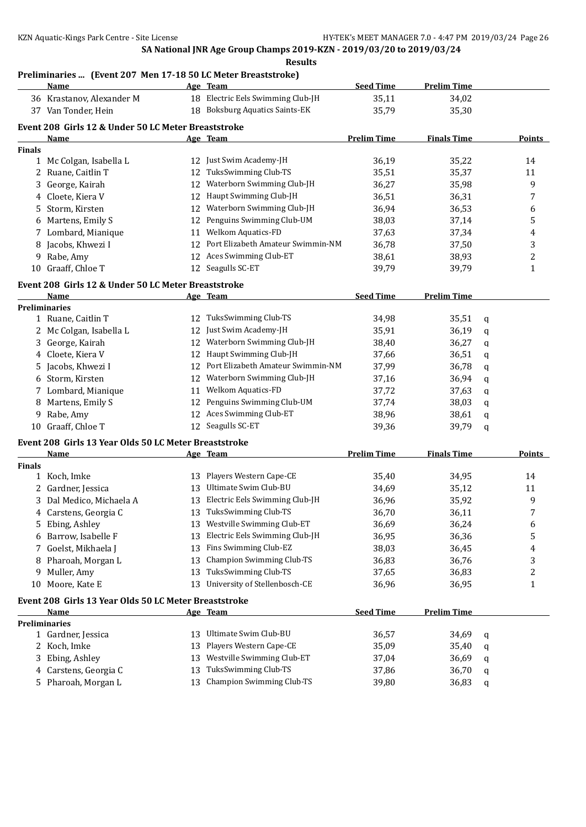#### **Preliminaries ... (Event 207 Men 17-18 50 LC Meter Breaststroke)**

| 18 Electric Eels Swimming Club-JH<br>35,11<br>36 Krastanov, Alexander M<br>34,02<br>18 Boksburg Aquatics Saints-EK<br>37 Van Tonder, Hein<br>35,79<br>35,30<br>Event 208 Girls 12 & Under 50 LC Meter Breaststroke<br><b>Prelim Time</b><br><b>Finals Time</b><br>Points<br>Name<br>Age Team<br><b>Finals</b><br>12 Just Swim Academy-JH<br>36,19<br>35,22<br>1 Mc Colgan, Isabella L<br>14<br>TuksSwimming Club-TS<br>2 Ruane, Caitlin T<br>35,51<br>35,37<br>11<br>12<br>12 Waterborn Swimming Club-JH<br>9<br>George, Kairah<br>36,27<br>35,98<br>3<br>Haupt Swimming Club-JH<br>4 Cloete, Kiera V<br>36,31<br>7<br>12<br>36,51<br>Waterborn Swimming Club-JH<br>Storm, Kirsten<br>36,94<br>36,53<br>12<br>6<br>5<br>Penguins Swimming Club-UM<br>Martens, Emily S<br>38,03<br>37,14<br>5<br>12<br>6<br>Welkom Aquatics-FD<br>Lombard, Mianique<br>37,34<br>37,63<br>11<br>4<br>7.<br>Port Elizabeth Amateur Swimmin-NM<br>Jacobs, Khwezi I<br>3<br>12<br>36,78<br>37,50<br>8<br>Aces Swimming Club-ET<br>2<br>Rabe, Amy<br>12<br>38,61<br>38,93<br>9<br>10 Graaff, Chloe T<br>12 Seagulls SC-ET<br>39,79<br>39,79<br>1<br>Event 208 Girls 12 & Under 50 LC Meter Breaststroke<br><b>Seed Time</b><br><b>Prelim Time</b><br>Age Team<br>Name<br><b>Preliminaries</b><br>12 TuksSwimming Club-TS<br>1 Ruane, Caitlin T<br>34,98<br>35,51<br>q<br>Just Swim Academy-JH<br>35,91<br>36,19<br>2 Mc Colgan, Isabella L<br>12<br>q<br>Waterborn Swimming Club-JH<br>3 George, Kairah<br>38,40<br>36,27<br>12<br>q<br>4 Cloete, Kiera V<br>Haupt Swimming Club-JH<br>37,66<br>36,51<br>12<br>q<br>Port Elizabeth Amateur Swimmin-NM<br>Jacobs, Khwezi I<br>37,99<br>36,78<br>12<br>5<br>q<br>Waterborn Swimming Club-JH<br>6 Storm, Kirsten<br>37,16<br>36,94<br>12<br>q<br><b>Welkom Aquatics-FD</b><br>7 Lombard, Mianique<br>37,72<br>37,63<br>11<br>q<br>Penguins Swimming Club-UM<br>8 Martens, Emily S<br>38,03<br>37,74<br>12<br>q<br>Aces Swimming Club-ET<br>Rabe, Amy<br>38,96<br>38,61<br>9<br>12<br>q<br>10 Graaff, Chloe T<br>12 Seagulls SC-ET<br>39,36<br>39,79<br>q<br>Event 208 Girls 13 Year Olds 50 LC Meter Breaststroke<br><b>Prelim Time</b><br><b>Finals Time</b><br>Points<br>Age Team<br><u>Name</u><br><b>Finals</b><br>13 Players Western Cape-CE<br>34,95<br>1 Koch, Imke<br>35,40<br>14<br>Ultimate Swim Club-BU<br>2 Gardner, Jessica<br>35,12<br>34,69<br>11<br>13<br>Electric Eels Swimming Club-JH<br>9<br>Dal Medico, Michaela A<br>35,92<br>13<br>36,96<br>3<br>13 TuksSwimming Club-TS<br>7<br>4 Carstens, Georgia C<br>36,70<br>36,11<br>Westville Swimming Club-ET<br>Ebing, Ashley<br>36,24<br>36,69<br>13<br>6<br>5<br>Electric Eels Swimming Club-JH<br>Barrow, Isabelle F<br>36,95<br>36,36<br>5<br>13<br>6<br>Fins Swimming Club-EZ<br>Goelst, Mikhaela J<br>38,03<br>36,45<br>13<br>4<br>7<br>Champion Swimming Club-TS<br>3<br>Pharoah, Morgan L<br>13<br>36,83<br>36,76<br>8<br>TuksSwimming Club-TS<br>2<br>Muller, Amy<br>37,65<br>36,83<br>13<br>9<br>University of Stellenbosch-CE<br>10 Moore, Kate E<br>36,96<br>36,95<br>$\mathbf{1}$<br>13<br>Event 208 Girls 13 Year Olds 50 LC Meter Breaststroke<br><b>Seed Time</b><br><b>Prelim Time</b><br><b>Name</b><br>Age Team<br><b>Preliminaries</b><br>Ultimate Swim Club-BU<br>1 Gardner, Jessica<br>13<br>36,57<br>34,69<br>q<br>Players Western Cape-CE<br>2 Koch, Imke<br>35,09<br>35,40<br>13<br>q<br>Westville Swimming Club-ET<br>3 Ebing, Ashley<br>13<br>37,04<br>36,69<br>q<br>TuksSwimming Club-TS<br>4 Carstens, Georgia C<br>13<br>37,86<br>36,70<br>q<br>5 Pharoah, Morgan L<br>13 Champion Swimming Club-TS<br>39,80<br>36,83<br>q | <u>Name</u> |  | Age Team | <b>Seed Time</b> | <b>Prelim Time</b> |  |  |  |  |  |
|--------------------------------------------------------------------------------------------------------------------------------------------------------------------------------------------------------------------------------------------------------------------------------------------------------------------------------------------------------------------------------------------------------------------------------------------------------------------------------------------------------------------------------------------------------------------------------------------------------------------------------------------------------------------------------------------------------------------------------------------------------------------------------------------------------------------------------------------------------------------------------------------------------------------------------------------------------------------------------------------------------------------------------------------------------------------------------------------------------------------------------------------------------------------------------------------------------------------------------------------------------------------------------------------------------------------------------------------------------------------------------------------------------------------------------------------------------------------------------------------------------------------------------------------------------------------------------------------------------------------------------------------------------------------------------------------------------------------------------------------------------------------------------------------------------------------------------------------------------------------------------------------------------------------------------------------------------------------------------------------------------------------------------------------------------------------------------------------------------------------------------------------------------------------------------------------------------------------------------------------------------------------------------------------------------------------------------------------------------------------------------------------------------------------------------------------------------------------------------------------------------------------------------------------------------------------------------------------------------------------------------------------------------------------------------------------------------------------------------------------------------------------------------------------------------------------------------------------------------------------------------------------------------------------------------------------------------------------------------------------------------------------------------------------------------------------------------------------------------------------------------------------------------------------------------------------------------------------------------------------------------------------------------------------------------------------------------------------------------------------------------------------------------------------------------------------------------------------------------------------------------------------------------------------------------------------------------------------------------------------------------------------------|-------------|--|----------|------------------|--------------------|--|--|--|--|--|
|                                                                                                                                                                                                                                                                                                                                                                                                                                                                                                                                                                                                                                                                                                                                                                                                                                                                                                                                                                                                                                                                                                                                                                                                                                                                                                                                                                                                                                                                                                                                                                                                                                                                                                                                                                                                                                                                                                                                                                                                                                                                                                                                                                                                                                                                                                                                                                                                                                                                                                                                                                                                                                                                                                                                                                                                                                                                                                                                                                                                                                                                                                                                                                                                                                                                                                                                                                                                                                                                                                                                                                                                                                                  |             |  |          |                  |                    |  |  |  |  |  |
|                                                                                                                                                                                                                                                                                                                                                                                                                                                                                                                                                                                                                                                                                                                                                                                                                                                                                                                                                                                                                                                                                                                                                                                                                                                                                                                                                                                                                                                                                                                                                                                                                                                                                                                                                                                                                                                                                                                                                                                                                                                                                                                                                                                                                                                                                                                                                                                                                                                                                                                                                                                                                                                                                                                                                                                                                                                                                                                                                                                                                                                                                                                                                                                                                                                                                                                                                                                                                                                                                                                                                                                                                                                  |             |  |          |                  |                    |  |  |  |  |  |
|                                                                                                                                                                                                                                                                                                                                                                                                                                                                                                                                                                                                                                                                                                                                                                                                                                                                                                                                                                                                                                                                                                                                                                                                                                                                                                                                                                                                                                                                                                                                                                                                                                                                                                                                                                                                                                                                                                                                                                                                                                                                                                                                                                                                                                                                                                                                                                                                                                                                                                                                                                                                                                                                                                                                                                                                                                                                                                                                                                                                                                                                                                                                                                                                                                                                                                                                                                                                                                                                                                                                                                                                                                                  |             |  |          |                  |                    |  |  |  |  |  |
|                                                                                                                                                                                                                                                                                                                                                                                                                                                                                                                                                                                                                                                                                                                                                                                                                                                                                                                                                                                                                                                                                                                                                                                                                                                                                                                                                                                                                                                                                                                                                                                                                                                                                                                                                                                                                                                                                                                                                                                                                                                                                                                                                                                                                                                                                                                                                                                                                                                                                                                                                                                                                                                                                                                                                                                                                                                                                                                                                                                                                                                                                                                                                                                                                                                                                                                                                                                                                                                                                                                                                                                                                                                  |             |  |          |                  |                    |  |  |  |  |  |
|                                                                                                                                                                                                                                                                                                                                                                                                                                                                                                                                                                                                                                                                                                                                                                                                                                                                                                                                                                                                                                                                                                                                                                                                                                                                                                                                                                                                                                                                                                                                                                                                                                                                                                                                                                                                                                                                                                                                                                                                                                                                                                                                                                                                                                                                                                                                                                                                                                                                                                                                                                                                                                                                                                                                                                                                                                                                                                                                                                                                                                                                                                                                                                                                                                                                                                                                                                                                                                                                                                                                                                                                                                                  |             |  |          |                  |                    |  |  |  |  |  |
|                                                                                                                                                                                                                                                                                                                                                                                                                                                                                                                                                                                                                                                                                                                                                                                                                                                                                                                                                                                                                                                                                                                                                                                                                                                                                                                                                                                                                                                                                                                                                                                                                                                                                                                                                                                                                                                                                                                                                                                                                                                                                                                                                                                                                                                                                                                                                                                                                                                                                                                                                                                                                                                                                                                                                                                                                                                                                                                                                                                                                                                                                                                                                                                                                                                                                                                                                                                                                                                                                                                                                                                                                                                  |             |  |          |                  |                    |  |  |  |  |  |
|                                                                                                                                                                                                                                                                                                                                                                                                                                                                                                                                                                                                                                                                                                                                                                                                                                                                                                                                                                                                                                                                                                                                                                                                                                                                                                                                                                                                                                                                                                                                                                                                                                                                                                                                                                                                                                                                                                                                                                                                                                                                                                                                                                                                                                                                                                                                                                                                                                                                                                                                                                                                                                                                                                                                                                                                                                                                                                                                                                                                                                                                                                                                                                                                                                                                                                                                                                                                                                                                                                                                                                                                                                                  |             |  |          |                  |                    |  |  |  |  |  |
|                                                                                                                                                                                                                                                                                                                                                                                                                                                                                                                                                                                                                                                                                                                                                                                                                                                                                                                                                                                                                                                                                                                                                                                                                                                                                                                                                                                                                                                                                                                                                                                                                                                                                                                                                                                                                                                                                                                                                                                                                                                                                                                                                                                                                                                                                                                                                                                                                                                                                                                                                                                                                                                                                                                                                                                                                                                                                                                                                                                                                                                                                                                                                                                                                                                                                                                                                                                                                                                                                                                                                                                                                                                  |             |  |          |                  |                    |  |  |  |  |  |
|                                                                                                                                                                                                                                                                                                                                                                                                                                                                                                                                                                                                                                                                                                                                                                                                                                                                                                                                                                                                                                                                                                                                                                                                                                                                                                                                                                                                                                                                                                                                                                                                                                                                                                                                                                                                                                                                                                                                                                                                                                                                                                                                                                                                                                                                                                                                                                                                                                                                                                                                                                                                                                                                                                                                                                                                                                                                                                                                                                                                                                                                                                                                                                                                                                                                                                                                                                                                                                                                                                                                                                                                                                                  |             |  |          |                  |                    |  |  |  |  |  |
|                                                                                                                                                                                                                                                                                                                                                                                                                                                                                                                                                                                                                                                                                                                                                                                                                                                                                                                                                                                                                                                                                                                                                                                                                                                                                                                                                                                                                                                                                                                                                                                                                                                                                                                                                                                                                                                                                                                                                                                                                                                                                                                                                                                                                                                                                                                                                                                                                                                                                                                                                                                                                                                                                                                                                                                                                                                                                                                                                                                                                                                                                                                                                                                                                                                                                                                                                                                                                                                                                                                                                                                                                                                  |             |  |          |                  |                    |  |  |  |  |  |
|                                                                                                                                                                                                                                                                                                                                                                                                                                                                                                                                                                                                                                                                                                                                                                                                                                                                                                                                                                                                                                                                                                                                                                                                                                                                                                                                                                                                                                                                                                                                                                                                                                                                                                                                                                                                                                                                                                                                                                                                                                                                                                                                                                                                                                                                                                                                                                                                                                                                                                                                                                                                                                                                                                                                                                                                                                                                                                                                                                                                                                                                                                                                                                                                                                                                                                                                                                                                                                                                                                                                                                                                                                                  |             |  |          |                  |                    |  |  |  |  |  |
|                                                                                                                                                                                                                                                                                                                                                                                                                                                                                                                                                                                                                                                                                                                                                                                                                                                                                                                                                                                                                                                                                                                                                                                                                                                                                                                                                                                                                                                                                                                                                                                                                                                                                                                                                                                                                                                                                                                                                                                                                                                                                                                                                                                                                                                                                                                                                                                                                                                                                                                                                                                                                                                                                                                                                                                                                                                                                                                                                                                                                                                                                                                                                                                                                                                                                                                                                                                                                                                                                                                                                                                                                                                  |             |  |          |                  |                    |  |  |  |  |  |
|                                                                                                                                                                                                                                                                                                                                                                                                                                                                                                                                                                                                                                                                                                                                                                                                                                                                                                                                                                                                                                                                                                                                                                                                                                                                                                                                                                                                                                                                                                                                                                                                                                                                                                                                                                                                                                                                                                                                                                                                                                                                                                                                                                                                                                                                                                                                                                                                                                                                                                                                                                                                                                                                                                                                                                                                                                                                                                                                                                                                                                                                                                                                                                                                                                                                                                                                                                                                                                                                                                                                                                                                                                                  |             |  |          |                  |                    |  |  |  |  |  |
|                                                                                                                                                                                                                                                                                                                                                                                                                                                                                                                                                                                                                                                                                                                                                                                                                                                                                                                                                                                                                                                                                                                                                                                                                                                                                                                                                                                                                                                                                                                                                                                                                                                                                                                                                                                                                                                                                                                                                                                                                                                                                                                                                                                                                                                                                                                                                                                                                                                                                                                                                                                                                                                                                                                                                                                                                                                                                                                                                                                                                                                                                                                                                                                                                                                                                                                                                                                                                                                                                                                                                                                                                                                  |             |  |          |                  |                    |  |  |  |  |  |
|                                                                                                                                                                                                                                                                                                                                                                                                                                                                                                                                                                                                                                                                                                                                                                                                                                                                                                                                                                                                                                                                                                                                                                                                                                                                                                                                                                                                                                                                                                                                                                                                                                                                                                                                                                                                                                                                                                                                                                                                                                                                                                                                                                                                                                                                                                                                                                                                                                                                                                                                                                                                                                                                                                                                                                                                                                                                                                                                                                                                                                                                                                                                                                                                                                                                                                                                                                                                                                                                                                                                                                                                                                                  |             |  |          |                  |                    |  |  |  |  |  |
|                                                                                                                                                                                                                                                                                                                                                                                                                                                                                                                                                                                                                                                                                                                                                                                                                                                                                                                                                                                                                                                                                                                                                                                                                                                                                                                                                                                                                                                                                                                                                                                                                                                                                                                                                                                                                                                                                                                                                                                                                                                                                                                                                                                                                                                                                                                                                                                                                                                                                                                                                                                                                                                                                                                                                                                                                                                                                                                                                                                                                                                                                                                                                                                                                                                                                                                                                                                                                                                                                                                                                                                                                                                  |             |  |          |                  |                    |  |  |  |  |  |
|                                                                                                                                                                                                                                                                                                                                                                                                                                                                                                                                                                                                                                                                                                                                                                                                                                                                                                                                                                                                                                                                                                                                                                                                                                                                                                                                                                                                                                                                                                                                                                                                                                                                                                                                                                                                                                                                                                                                                                                                                                                                                                                                                                                                                                                                                                                                                                                                                                                                                                                                                                                                                                                                                                                                                                                                                                                                                                                                                                                                                                                                                                                                                                                                                                                                                                                                                                                                                                                                                                                                                                                                                                                  |             |  |          |                  |                    |  |  |  |  |  |
|                                                                                                                                                                                                                                                                                                                                                                                                                                                                                                                                                                                                                                                                                                                                                                                                                                                                                                                                                                                                                                                                                                                                                                                                                                                                                                                                                                                                                                                                                                                                                                                                                                                                                                                                                                                                                                                                                                                                                                                                                                                                                                                                                                                                                                                                                                                                                                                                                                                                                                                                                                                                                                                                                                                                                                                                                                                                                                                                                                                                                                                                                                                                                                                                                                                                                                                                                                                                                                                                                                                                                                                                                                                  |             |  |          |                  |                    |  |  |  |  |  |
|                                                                                                                                                                                                                                                                                                                                                                                                                                                                                                                                                                                                                                                                                                                                                                                                                                                                                                                                                                                                                                                                                                                                                                                                                                                                                                                                                                                                                                                                                                                                                                                                                                                                                                                                                                                                                                                                                                                                                                                                                                                                                                                                                                                                                                                                                                                                                                                                                                                                                                                                                                                                                                                                                                                                                                                                                                                                                                                                                                                                                                                                                                                                                                                                                                                                                                                                                                                                                                                                                                                                                                                                                                                  |             |  |          |                  |                    |  |  |  |  |  |
|                                                                                                                                                                                                                                                                                                                                                                                                                                                                                                                                                                                                                                                                                                                                                                                                                                                                                                                                                                                                                                                                                                                                                                                                                                                                                                                                                                                                                                                                                                                                                                                                                                                                                                                                                                                                                                                                                                                                                                                                                                                                                                                                                                                                                                                                                                                                                                                                                                                                                                                                                                                                                                                                                                                                                                                                                                                                                                                                                                                                                                                                                                                                                                                                                                                                                                                                                                                                                                                                                                                                                                                                                                                  |             |  |          |                  |                    |  |  |  |  |  |
|                                                                                                                                                                                                                                                                                                                                                                                                                                                                                                                                                                                                                                                                                                                                                                                                                                                                                                                                                                                                                                                                                                                                                                                                                                                                                                                                                                                                                                                                                                                                                                                                                                                                                                                                                                                                                                                                                                                                                                                                                                                                                                                                                                                                                                                                                                                                                                                                                                                                                                                                                                                                                                                                                                                                                                                                                                                                                                                                                                                                                                                                                                                                                                                                                                                                                                                                                                                                                                                                                                                                                                                                                                                  |             |  |          |                  |                    |  |  |  |  |  |
|                                                                                                                                                                                                                                                                                                                                                                                                                                                                                                                                                                                                                                                                                                                                                                                                                                                                                                                                                                                                                                                                                                                                                                                                                                                                                                                                                                                                                                                                                                                                                                                                                                                                                                                                                                                                                                                                                                                                                                                                                                                                                                                                                                                                                                                                                                                                                                                                                                                                                                                                                                                                                                                                                                                                                                                                                                                                                                                                                                                                                                                                                                                                                                                                                                                                                                                                                                                                                                                                                                                                                                                                                                                  |             |  |          |                  |                    |  |  |  |  |  |
|                                                                                                                                                                                                                                                                                                                                                                                                                                                                                                                                                                                                                                                                                                                                                                                                                                                                                                                                                                                                                                                                                                                                                                                                                                                                                                                                                                                                                                                                                                                                                                                                                                                                                                                                                                                                                                                                                                                                                                                                                                                                                                                                                                                                                                                                                                                                                                                                                                                                                                                                                                                                                                                                                                                                                                                                                                                                                                                                                                                                                                                                                                                                                                                                                                                                                                                                                                                                                                                                                                                                                                                                                                                  |             |  |          |                  |                    |  |  |  |  |  |
|                                                                                                                                                                                                                                                                                                                                                                                                                                                                                                                                                                                                                                                                                                                                                                                                                                                                                                                                                                                                                                                                                                                                                                                                                                                                                                                                                                                                                                                                                                                                                                                                                                                                                                                                                                                                                                                                                                                                                                                                                                                                                                                                                                                                                                                                                                                                                                                                                                                                                                                                                                                                                                                                                                                                                                                                                                                                                                                                                                                                                                                                                                                                                                                                                                                                                                                                                                                                                                                                                                                                                                                                                                                  |             |  |          |                  |                    |  |  |  |  |  |
|                                                                                                                                                                                                                                                                                                                                                                                                                                                                                                                                                                                                                                                                                                                                                                                                                                                                                                                                                                                                                                                                                                                                                                                                                                                                                                                                                                                                                                                                                                                                                                                                                                                                                                                                                                                                                                                                                                                                                                                                                                                                                                                                                                                                                                                                                                                                                                                                                                                                                                                                                                                                                                                                                                                                                                                                                                                                                                                                                                                                                                                                                                                                                                                                                                                                                                                                                                                                                                                                                                                                                                                                                                                  |             |  |          |                  |                    |  |  |  |  |  |
|                                                                                                                                                                                                                                                                                                                                                                                                                                                                                                                                                                                                                                                                                                                                                                                                                                                                                                                                                                                                                                                                                                                                                                                                                                                                                                                                                                                                                                                                                                                                                                                                                                                                                                                                                                                                                                                                                                                                                                                                                                                                                                                                                                                                                                                                                                                                                                                                                                                                                                                                                                                                                                                                                                                                                                                                                                                                                                                                                                                                                                                                                                                                                                                                                                                                                                                                                                                                                                                                                                                                                                                                                                                  |             |  |          |                  |                    |  |  |  |  |  |
|                                                                                                                                                                                                                                                                                                                                                                                                                                                                                                                                                                                                                                                                                                                                                                                                                                                                                                                                                                                                                                                                                                                                                                                                                                                                                                                                                                                                                                                                                                                                                                                                                                                                                                                                                                                                                                                                                                                                                                                                                                                                                                                                                                                                                                                                                                                                                                                                                                                                                                                                                                                                                                                                                                                                                                                                                                                                                                                                                                                                                                                                                                                                                                                                                                                                                                                                                                                                                                                                                                                                                                                                                                                  |             |  |          |                  |                    |  |  |  |  |  |
|                                                                                                                                                                                                                                                                                                                                                                                                                                                                                                                                                                                                                                                                                                                                                                                                                                                                                                                                                                                                                                                                                                                                                                                                                                                                                                                                                                                                                                                                                                                                                                                                                                                                                                                                                                                                                                                                                                                                                                                                                                                                                                                                                                                                                                                                                                                                                                                                                                                                                                                                                                                                                                                                                                                                                                                                                                                                                                                                                                                                                                                                                                                                                                                                                                                                                                                                                                                                                                                                                                                                                                                                                                                  |             |  |          |                  |                    |  |  |  |  |  |
|                                                                                                                                                                                                                                                                                                                                                                                                                                                                                                                                                                                                                                                                                                                                                                                                                                                                                                                                                                                                                                                                                                                                                                                                                                                                                                                                                                                                                                                                                                                                                                                                                                                                                                                                                                                                                                                                                                                                                                                                                                                                                                                                                                                                                                                                                                                                                                                                                                                                                                                                                                                                                                                                                                                                                                                                                                                                                                                                                                                                                                                                                                                                                                                                                                                                                                                                                                                                                                                                                                                                                                                                                                                  |             |  |          |                  |                    |  |  |  |  |  |
|                                                                                                                                                                                                                                                                                                                                                                                                                                                                                                                                                                                                                                                                                                                                                                                                                                                                                                                                                                                                                                                                                                                                                                                                                                                                                                                                                                                                                                                                                                                                                                                                                                                                                                                                                                                                                                                                                                                                                                                                                                                                                                                                                                                                                                                                                                                                                                                                                                                                                                                                                                                                                                                                                                                                                                                                                                                                                                                                                                                                                                                                                                                                                                                                                                                                                                                                                                                                                                                                                                                                                                                                                                                  |             |  |          |                  |                    |  |  |  |  |  |
|                                                                                                                                                                                                                                                                                                                                                                                                                                                                                                                                                                                                                                                                                                                                                                                                                                                                                                                                                                                                                                                                                                                                                                                                                                                                                                                                                                                                                                                                                                                                                                                                                                                                                                                                                                                                                                                                                                                                                                                                                                                                                                                                                                                                                                                                                                                                                                                                                                                                                                                                                                                                                                                                                                                                                                                                                                                                                                                                                                                                                                                                                                                                                                                                                                                                                                                                                                                                                                                                                                                                                                                                                                                  |             |  |          |                  |                    |  |  |  |  |  |
|                                                                                                                                                                                                                                                                                                                                                                                                                                                                                                                                                                                                                                                                                                                                                                                                                                                                                                                                                                                                                                                                                                                                                                                                                                                                                                                                                                                                                                                                                                                                                                                                                                                                                                                                                                                                                                                                                                                                                                                                                                                                                                                                                                                                                                                                                                                                                                                                                                                                                                                                                                                                                                                                                                                                                                                                                                                                                                                                                                                                                                                                                                                                                                                                                                                                                                                                                                                                                                                                                                                                                                                                                                                  |             |  |          |                  |                    |  |  |  |  |  |
|                                                                                                                                                                                                                                                                                                                                                                                                                                                                                                                                                                                                                                                                                                                                                                                                                                                                                                                                                                                                                                                                                                                                                                                                                                                                                                                                                                                                                                                                                                                                                                                                                                                                                                                                                                                                                                                                                                                                                                                                                                                                                                                                                                                                                                                                                                                                                                                                                                                                                                                                                                                                                                                                                                                                                                                                                                                                                                                                                                                                                                                                                                                                                                                                                                                                                                                                                                                                                                                                                                                                                                                                                                                  |             |  |          |                  |                    |  |  |  |  |  |
|                                                                                                                                                                                                                                                                                                                                                                                                                                                                                                                                                                                                                                                                                                                                                                                                                                                                                                                                                                                                                                                                                                                                                                                                                                                                                                                                                                                                                                                                                                                                                                                                                                                                                                                                                                                                                                                                                                                                                                                                                                                                                                                                                                                                                                                                                                                                                                                                                                                                                                                                                                                                                                                                                                                                                                                                                                                                                                                                                                                                                                                                                                                                                                                                                                                                                                                                                                                                                                                                                                                                                                                                                                                  |             |  |          |                  |                    |  |  |  |  |  |
|                                                                                                                                                                                                                                                                                                                                                                                                                                                                                                                                                                                                                                                                                                                                                                                                                                                                                                                                                                                                                                                                                                                                                                                                                                                                                                                                                                                                                                                                                                                                                                                                                                                                                                                                                                                                                                                                                                                                                                                                                                                                                                                                                                                                                                                                                                                                                                                                                                                                                                                                                                                                                                                                                                                                                                                                                                                                                                                                                                                                                                                                                                                                                                                                                                                                                                                                                                                                                                                                                                                                                                                                                                                  |             |  |          |                  |                    |  |  |  |  |  |
|                                                                                                                                                                                                                                                                                                                                                                                                                                                                                                                                                                                                                                                                                                                                                                                                                                                                                                                                                                                                                                                                                                                                                                                                                                                                                                                                                                                                                                                                                                                                                                                                                                                                                                                                                                                                                                                                                                                                                                                                                                                                                                                                                                                                                                                                                                                                                                                                                                                                                                                                                                                                                                                                                                                                                                                                                                                                                                                                                                                                                                                                                                                                                                                                                                                                                                                                                                                                                                                                                                                                                                                                                                                  |             |  |          |                  |                    |  |  |  |  |  |
|                                                                                                                                                                                                                                                                                                                                                                                                                                                                                                                                                                                                                                                                                                                                                                                                                                                                                                                                                                                                                                                                                                                                                                                                                                                                                                                                                                                                                                                                                                                                                                                                                                                                                                                                                                                                                                                                                                                                                                                                                                                                                                                                                                                                                                                                                                                                                                                                                                                                                                                                                                                                                                                                                                                                                                                                                                                                                                                                                                                                                                                                                                                                                                                                                                                                                                                                                                                                                                                                                                                                                                                                                                                  |             |  |          |                  |                    |  |  |  |  |  |
|                                                                                                                                                                                                                                                                                                                                                                                                                                                                                                                                                                                                                                                                                                                                                                                                                                                                                                                                                                                                                                                                                                                                                                                                                                                                                                                                                                                                                                                                                                                                                                                                                                                                                                                                                                                                                                                                                                                                                                                                                                                                                                                                                                                                                                                                                                                                                                                                                                                                                                                                                                                                                                                                                                                                                                                                                                                                                                                                                                                                                                                                                                                                                                                                                                                                                                                                                                                                                                                                                                                                                                                                                                                  |             |  |          |                  |                    |  |  |  |  |  |
|                                                                                                                                                                                                                                                                                                                                                                                                                                                                                                                                                                                                                                                                                                                                                                                                                                                                                                                                                                                                                                                                                                                                                                                                                                                                                                                                                                                                                                                                                                                                                                                                                                                                                                                                                                                                                                                                                                                                                                                                                                                                                                                                                                                                                                                                                                                                                                                                                                                                                                                                                                                                                                                                                                                                                                                                                                                                                                                                                                                                                                                                                                                                                                                                                                                                                                                                                                                                                                                                                                                                                                                                                                                  |             |  |          |                  |                    |  |  |  |  |  |
|                                                                                                                                                                                                                                                                                                                                                                                                                                                                                                                                                                                                                                                                                                                                                                                                                                                                                                                                                                                                                                                                                                                                                                                                                                                                                                                                                                                                                                                                                                                                                                                                                                                                                                                                                                                                                                                                                                                                                                                                                                                                                                                                                                                                                                                                                                                                                                                                                                                                                                                                                                                                                                                                                                                                                                                                                                                                                                                                                                                                                                                                                                                                                                                                                                                                                                                                                                                                                                                                                                                                                                                                                                                  |             |  |          |                  |                    |  |  |  |  |  |
|                                                                                                                                                                                                                                                                                                                                                                                                                                                                                                                                                                                                                                                                                                                                                                                                                                                                                                                                                                                                                                                                                                                                                                                                                                                                                                                                                                                                                                                                                                                                                                                                                                                                                                                                                                                                                                                                                                                                                                                                                                                                                                                                                                                                                                                                                                                                                                                                                                                                                                                                                                                                                                                                                                                                                                                                                                                                                                                                                                                                                                                                                                                                                                                                                                                                                                                                                                                                                                                                                                                                                                                                                                                  |             |  |          |                  |                    |  |  |  |  |  |
|                                                                                                                                                                                                                                                                                                                                                                                                                                                                                                                                                                                                                                                                                                                                                                                                                                                                                                                                                                                                                                                                                                                                                                                                                                                                                                                                                                                                                                                                                                                                                                                                                                                                                                                                                                                                                                                                                                                                                                                                                                                                                                                                                                                                                                                                                                                                                                                                                                                                                                                                                                                                                                                                                                                                                                                                                                                                                                                                                                                                                                                                                                                                                                                                                                                                                                                                                                                                                                                                                                                                                                                                                                                  |             |  |          |                  |                    |  |  |  |  |  |
|                                                                                                                                                                                                                                                                                                                                                                                                                                                                                                                                                                                                                                                                                                                                                                                                                                                                                                                                                                                                                                                                                                                                                                                                                                                                                                                                                                                                                                                                                                                                                                                                                                                                                                                                                                                                                                                                                                                                                                                                                                                                                                                                                                                                                                                                                                                                                                                                                                                                                                                                                                                                                                                                                                                                                                                                                                                                                                                                                                                                                                                                                                                                                                                                                                                                                                                                                                                                                                                                                                                                                                                                                                                  |             |  |          |                  |                    |  |  |  |  |  |
|                                                                                                                                                                                                                                                                                                                                                                                                                                                                                                                                                                                                                                                                                                                                                                                                                                                                                                                                                                                                                                                                                                                                                                                                                                                                                                                                                                                                                                                                                                                                                                                                                                                                                                                                                                                                                                                                                                                                                                                                                                                                                                                                                                                                                                                                                                                                                                                                                                                                                                                                                                                                                                                                                                                                                                                                                                                                                                                                                                                                                                                                                                                                                                                                                                                                                                                                                                                                                                                                                                                                                                                                                                                  |             |  |          |                  |                    |  |  |  |  |  |
|                                                                                                                                                                                                                                                                                                                                                                                                                                                                                                                                                                                                                                                                                                                                                                                                                                                                                                                                                                                                                                                                                                                                                                                                                                                                                                                                                                                                                                                                                                                                                                                                                                                                                                                                                                                                                                                                                                                                                                                                                                                                                                                                                                                                                                                                                                                                                                                                                                                                                                                                                                                                                                                                                                                                                                                                                                                                                                                                                                                                                                                                                                                                                                                                                                                                                                                                                                                                                                                                                                                                                                                                                                                  |             |  |          |                  |                    |  |  |  |  |  |
|                                                                                                                                                                                                                                                                                                                                                                                                                                                                                                                                                                                                                                                                                                                                                                                                                                                                                                                                                                                                                                                                                                                                                                                                                                                                                                                                                                                                                                                                                                                                                                                                                                                                                                                                                                                                                                                                                                                                                                                                                                                                                                                                                                                                                                                                                                                                                                                                                                                                                                                                                                                                                                                                                                                                                                                                                                                                                                                                                                                                                                                                                                                                                                                                                                                                                                                                                                                                                                                                                                                                                                                                                                                  |             |  |          |                  |                    |  |  |  |  |  |
|                                                                                                                                                                                                                                                                                                                                                                                                                                                                                                                                                                                                                                                                                                                                                                                                                                                                                                                                                                                                                                                                                                                                                                                                                                                                                                                                                                                                                                                                                                                                                                                                                                                                                                                                                                                                                                                                                                                                                                                                                                                                                                                                                                                                                                                                                                                                                                                                                                                                                                                                                                                                                                                                                                                                                                                                                                                                                                                                                                                                                                                                                                                                                                                                                                                                                                                                                                                                                                                                                                                                                                                                                                                  |             |  |          |                  |                    |  |  |  |  |  |
|                                                                                                                                                                                                                                                                                                                                                                                                                                                                                                                                                                                                                                                                                                                                                                                                                                                                                                                                                                                                                                                                                                                                                                                                                                                                                                                                                                                                                                                                                                                                                                                                                                                                                                                                                                                                                                                                                                                                                                                                                                                                                                                                                                                                                                                                                                                                                                                                                                                                                                                                                                                                                                                                                                                                                                                                                                                                                                                                                                                                                                                                                                                                                                                                                                                                                                                                                                                                                                                                                                                                                                                                                                                  |             |  |          |                  |                    |  |  |  |  |  |
|                                                                                                                                                                                                                                                                                                                                                                                                                                                                                                                                                                                                                                                                                                                                                                                                                                                                                                                                                                                                                                                                                                                                                                                                                                                                                                                                                                                                                                                                                                                                                                                                                                                                                                                                                                                                                                                                                                                                                                                                                                                                                                                                                                                                                                                                                                                                                                                                                                                                                                                                                                                                                                                                                                                                                                                                                                                                                                                                                                                                                                                                                                                                                                                                                                                                                                                                                                                                                                                                                                                                                                                                                                                  |             |  |          |                  |                    |  |  |  |  |  |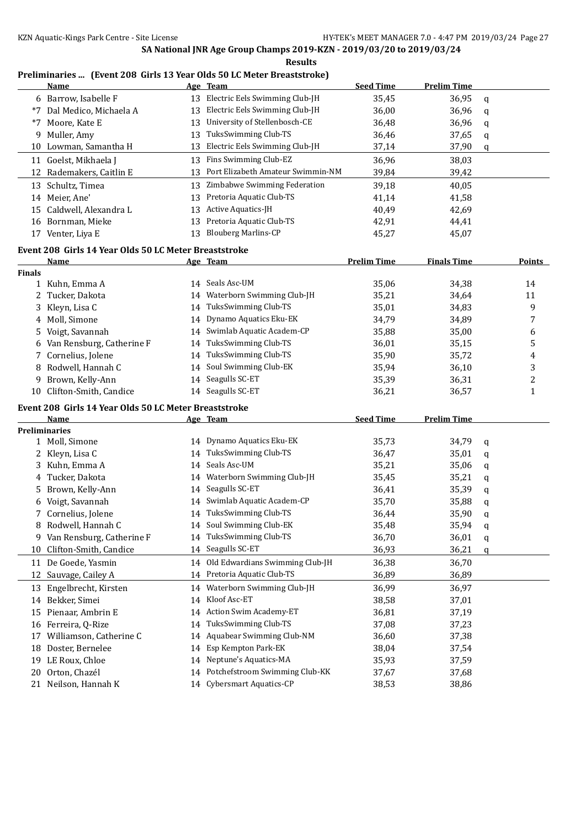| esult<br>×<br>n. |
|------------------|
|------------------|

## **Preliminaries ... (Event 208 Girls 13 Year Olds 50 LC Meter Breaststroke)**

|               | <b>Name</b>                                                          |    | Age Team                          | <b>Seed Time</b>   | <b>Prelim Time</b> |   |               |
|---------------|----------------------------------------------------------------------|----|-----------------------------------|--------------------|--------------------|---|---------------|
|               | 6 Barrow, Isabelle F                                                 | 13 | Electric Eels Swimming Club-JH    | 35,45              | 36,95              | q |               |
|               | *7 Dal Medico, Michaela A                                            | 13 | Electric Eels Swimming Club-JH    | 36,00              | 36,96              | q |               |
|               | *7 Moore, Kate E                                                     | 13 | University of Stellenbosch-CE     | 36,48              | 36,96              | q |               |
|               | 9 Muller, Amy                                                        | 13 | TuksSwimming Club-TS              | 36,46              | 37,65              | q |               |
|               | 10 Lowman, Samantha H                                                | 13 | Electric Eels Swimming Club-JH    | 37,14              | 37,90              | q |               |
|               | 11 Goelst, Mikhaela J                                                | 13 | Fins Swimming Club-EZ             | 36,96              | 38,03              |   |               |
| 12            | Rademakers, Caitlin E                                                | 13 | Port Elizabeth Amateur Swimmin-NM | 39,84              | 39,42              |   |               |
|               | Schultz, Timea                                                       | 13 | Zimbabwe Swimming Federation      | 39,18              | 40,05              |   |               |
| 13            |                                                                      |    | Pretoria Aquatic Club-TS          |                    |                    |   |               |
|               | 14 Meier, Ane'<br>15 Caldwell, Alexandra L                           | 13 | Active Aquatics-JH                | 41,14              | 41,58              |   |               |
|               |                                                                      | 13 |                                   | 40,49              | 42,69              |   |               |
|               | 16 Bornman, Mieke                                                    | 13 | Pretoria Aquatic Club-TS          | 42,91              | 44,41              |   |               |
|               | 17 Venter, Liya E                                                    | 13 | <b>Blouberg Marlins-CP</b>        | 45,27              | 45,07              |   |               |
|               | Event 208 Girls 14 Year Olds 50 LC Meter Breaststroke                |    |                                   |                    |                    |   |               |
|               | Name                                                                 |    | Age Team                          | <b>Prelim Time</b> | <b>Finals Time</b> |   | <b>Points</b> |
| <b>Finals</b> |                                                                      |    |                                   |                    |                    |   |               |
|               | 1 Kuhn, Emma A                                                       | 14 | Seals Asc-UM                      | 35,06              | 34,38              |   | 14            |
| 2             | Tucker, Dakota                                                       | 14 | Waterborn Swimming Club-JH        | 35,21              | 34,64              |   | 11            |
| 3             | Kleyn, Lisa C                                                        | 14 | TuksSwimming Club-TS              | 35,01              | 34,83              |   | 9             |
|               | 4 Moll, Simone                                                       | 14 | Dynamo Aquatics Eku-EK            | 34,79              | 34,89              |   | 7             |
| 5             | Voigt, Savannah                                                      | 14 | Swimlab Aquatic Academ-CP         | 35,88              | 35,00              |   | 6             |
| 6             | Van Rensburg, Catherine F                                            | 14 | TuksSwimming Club-TS              | 36,01              | 35,15              |   | 5             |
| 7             | Cornelius, Jolene                                                    | 14 | TuksSwimming Club-TS              | 35,90              | 35,72              |   | 4             |
|               | 8 Rodwell, Hannah C                                                  | 14 | Soul Swimming Club-EK             | 35,94              | 36,10              |   | 3             |
|               | 9 Brown, Kelly-Ann                                                   | 14 | Seagulls SC-ET                    | 35,39              | 36,31              |   | 2             |
| 10            | Clifton-Smith, Candice                                               |    | 14 Seagulls SC-ET                 | 36,21              | 36,57              |   | 1             |
|               |                                                                      |    |                                   |                    |                    |   |               |
|               | Event 208 Girls 14 Year Olds 50 LC Meter Breaststroke<br><b>Name</b> |    |                                   | <b>Seed Time</b>   | <b>Prelim Time</b> |   |               |
|               | <b>Preliminaries</b>                                                 |    | Age Team                          |                    |                    |   |               |
|               | 1 Moll, Simone                                                       | 14 | Dynamo Aquatics Eku-EK            | 35,73              | 34,79              | q |               |
|               | 2 Kleyn, Lisa C                                                      | 14 | TuksSwimming Club-TS              | 36,47              | 35,01              | q |               |
|               | 3 Kuhn, Emma A                                                       | 14 | Seals Asc-UM                      | 35,21              | 35,06              |   |               |
|               | Tucker, Dakota                                                       | 14 | Waterborn Swimming Club-JH        |                    | 35,21              | q |               |
| 4             | 5 Brown, Kelly-Ann                                                   | 14 | Seagulls SC-ET                    | 35,45              | 35,39              | q |               |
|               |                                                                      |    | Swimlab Aquatic Academ-CP         | 36,41              |                    | q |               |
|               | 6 Voigt, Savannah<br>7 Cornelius, Jolene                             | 14 | 14 TuksSwimming Club-TS           | 35,70              | 35,88              | q |               |
|               |                                                                      |    | Soul Swimming Club-EK             | 36,44              | 35,90              | q |               |
|               | 8 Rodwell, Hannah C                                                  |    | TuksSwimming Club-TS              | 35,48              | 35,94              | q |               |
|               | 9 Van Rensburg, Catherine F                                          | 14 |                                   | 36,70              | 36,01              | q |               |
| 10            | Clifton-Smith, Candice                                               | 14 | Seagulls SC-ET                    | 36,93              | 36,21              | q |               |
| 11            | De Goede, Yasmin                                                     | 14 | Old Edwardians Swimming Club-JH   | 36,38              | 36,70              |   |               |
|               | 12 Sauvage, Cailey A                                                 | 14 | Pretoria Aquatic Club-TS          | 36,89              | 36,89              |   |               |
|               | 13 Engelbrecht, Kirsten                                              | 14 | Waterborn Swimming Club-JH        | 36,99              | 36,97              |   |               |
|               | 14 Bekker, Simei                                                     | 14 | Kloof Asc-ET                      | 38,58              | 37,01              |   |               |
|               | 15 Pienaar, Ambrin E                                                 | 14 | Action Swim Academy-ET            | 36,81              | 37,19              |   |               |
|               | 16 Ferreira, Q-Rize                                                  | 14 | TuksSwimming Club-TS              | 37,08              | 37,23              |   |               |
| 17            | Williamson, Catherine C                                              | 14 | Aquabear Swimming Club-NM         | 36,60              | 37,38              |   |               |
| 18            | Doster, Bernelee                                                     | 14 | Esp Kempton Park-EK               | 38,04              | 37,54              |   |               |
| 19            | LE Roux, Chloe                                                       | 14 | Neptune's Aquatics-MA             | 35,93              | 37,59              |   |               |
|               |                                                                      |    |                                   |                    |                    |   |               |
| 20            | Orton, Chazél                                                        | 14 | Potchefstroom Swimming Club-KK    | 37,67              | 37,68              |   |               |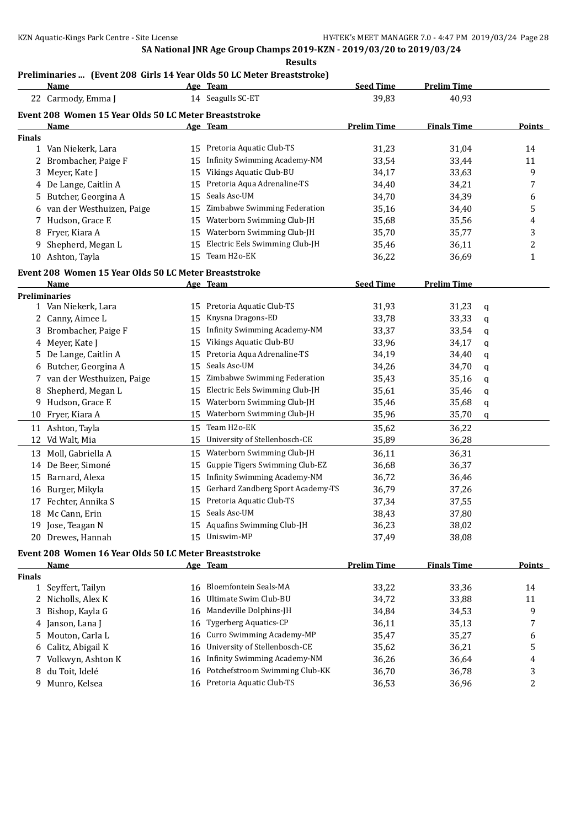## **Preliminaries ... (Event 208 Girls 14 Year Olds 50 LC Meter Breaststroke)**

|               | <b>Name</b>                                           |    | Age Team                            | <b>Seed Time</b>   | <b>Prelim Time</b> |   |                |
|---------------|-------------------------------------------------------|----|-------------------------------------|--------------------|--------------------|---|----------------|
|               | 22 Carmody, Emma J                                    |    | 14 Seagulls SC-ET                   | 39,83              | 40,93              |   |                |
|               | Event 208 Women 15 Year Olds 50 LC Meter Breaststroke |    |                                     |                    |                    |   |                |
|               | <u>Name</u>                                           |    | Age Team                            | <b>Prelim Time</b> | <b>Finals Time</b> |   | Points         |
| <b>Finals</b> |                                                       |    |                                     |                    |                    |   |                |
|               | 1 Van Niekerk, Lara                                   |    | 15 Pretoria Aquatic Club-TS         | 31,23              | 31,04              |   | 14             |
|               | 2 Brombacher, Paige F                                 | 15 | <b>Infinity Swimming Academy-NM</b> | 33,54              | 33,44              |   | 11             |
| 3             | Meyer, Kate J                                         | 15 | Vikings Aquatic Club-BU             | 34,17              | 33,63              |   | 9              |
|               | 4 De Lange, Caitlin A                                 |    | 15 Pretoria Aqua Adrenaline-TS      | 34,40              | 34,21              |   | 7              |
| 5             | Butcher, Georgina A                                   | 15 | Seals Asc-UM                        | 34,70              | 34,39              |   | 6              |
|               | 6 van der Westhuizen, Paige                           | 15 | Zimbabwe Swimming Federation        | 35,16              | 34,40              |   | 5              |
| 7             | Hudson, Grace E                                       | 15 | Waterborn Swimming Club-JH          | 35,68              | 35,56              |   | 4              |
| 8             | Fryer, Kiara A                                        | 15 | Waterborn Swimming Club-JH          | 35,70              | 35,77              |   | 3              |
| 9             | Shepherd, Megan L                                     | 15 | Electric Eels Swimming Club-JH      | 35,46              | 36,11              |   | 2              |
|               | 10 Ashton, Tayla                                      |    | 15 Team H2o-EK                      | 36,22              | 36,69              |   | $\mathbf{1}$   |
|               |                                                       |    |                                     |                    |                    |   |                |
|               | Event 208 Women 15 Year Olds 50 LC Meter Breaststroke |    |                                     | <b>Seed Time</b>   | <b>Prelim Time</b> |   |                |
|               | Name<br><b>Preliminaries</b>                          |    | Age Team                            |                    |                    |   |                |
|               | 1 Van Niekerk, Lara                                   |    | 15 Pretoria Aquatic Club-TS         | 31,93              | 31,23              | q |                |
|               | 2 Canny, Aimee L                                      | 15 | Knysna Dragons-ED                   | 33,78              | 33,33              | q |                |
|               | 3 Brombacher, Paige F                                 | 15 | <b>Infinity Swimming Academy-NM</b> | 33,37              | 33,54              | q |                |
|               | 4 Meyer, Kate J                                       | 15 | Vikings Aquatic Club-BU             | 33,96              | 34,17              | q |                |
|               | 5 De Lange, Caitlin A                                 | 15 | Pretoria Aqua Adrenaline-TS         | 34,19              | 34,40              | q |                |
|               | 6 Butcher, Georgina A                                 | 15 | Seals Asc-UM                        | 34,26              | 34,70              | q |                |
|               | 7 van der Westhuizen, Paige                           | 15 | Zimbabwe Swimming Federation        | 35,43              | 35,16              | q |                |
| 8             | Shepherd, Megan L                                     | 15 | Electric Eels Swimming Club-JH      | 35,61              | 35,46              | q |                |
| 9             | Hudson, Grace E                                       | 15 | Waterborn Swimming Club-JH          | 35,46              | 35,68              | q |                |
| 10            | Fryer, Kiara A                                        | 15 | Waterborn Swimming Club-JH          | 35,96              | 35,70              | q |                |
|               | 11 Ashton, Tayla                                      | 15 | Team H2o-EK                         | 35,62              | 36,22              |   |                |
|               | 12 Vd Walt, Mia                                       | 15 | University of Stellenbosch-CE       | 35,89              | 36,28              |   |                |
|               |                                                       |    |                                     |                    |                    |   |                |
|               | 13 Moll, Gabriella A                                  | 15 | Waterborn Swimming Club-JH          | 36,11              | 36,31              |   |                |
|               | 14 De Beer, Simoné                                    | 15 | Guppie Tigers Swimming Club-EZ      | 36,68              | 36,37              |   |                |
|               | 15 Barnard, Alexa                                     | 15 | Infinity Swimming Academy-NM        | 36,72              | 36,46              |   |                |
|               | 16 Burger, Mikyla                                     | 15 | Gerhard Zandberg Sport Academy-TS   | 36,79              | 37,26              |   |                |
| 17            | Fechter, Annika S                                     | 15 | Pretoria Aquatic Club-TS            | 37,34              | 37,55              |   |                |
|               | 18 Mc Cann, Erin                                      |    | 15 Seals Asc-UM                     | 38,43              | 37,80              |   |                |
|               | 19 Jose, Teagan N                                     |    | 15 Aquafins Swimming Club-JH        | 36,23              | 38,02              |   |                |
|               | 20 Drewes, Hannah                                     |    | 15 Uniswim-MP                       | 37,49              | 38,08              |   |                |
|               | Event 208 Women 16 Year Olds 50 LC Meter Breaststroke |    |                                     |                    |                    |   |                |
|               | Name                                                  |    | Age Team                            | <b>Prelim Time</b> | <b>Finals Time</b> |   | <b>Points</b>  |
| Finals        |                                                       |    |                                     |                    |                    |   |                |
|               | 1 Seyffert, Tailyn                                    | 16 | Bloemfontein Seals-MA               | 33,22              | 33,36              |   | 14             |
|               | 2 Nicholls, Alex K                                    | 16 | Ultimate Swim Club-BU               | 34,72              | 33,88              |   | 11             |
| 3             | Bishop, Kayla G                                       | 16 | Mandeville Dolphins-JH              | 34,84              | 34,53              |   | 9              |
| 4             | Janson, Lana J                                        | 16 | <b>Tygerberg Aquatics-CP</b>        | 36,11              | 35,13              |   | 7              |
| 5             | Mouton, Carla L                                       | 16 | Curro Swimming Academy-MP           | 35,47              | 35,27              |   | 6              |
| 6             | Calitz, Abigail K                                     | 16 | University of Stellenbosch-CE       | 35,62              | 36,21              |   | 5              |
| 7             | Volkwyn, Ashton K                                     | 16 | <b>Infinity Swimming Academy-NM</b> | 36,26              | 36,64              |   | $\overline{4}$ |
|               | 8 du Toit, Idelé                                      |    | 16 Potchefstroom Swimming Club-KK   | 36,70              | 36,78              |   | 3              |

9 Munro, Kelsea 16 Pretoria Aquatic Club-TS 36,53 36,96 2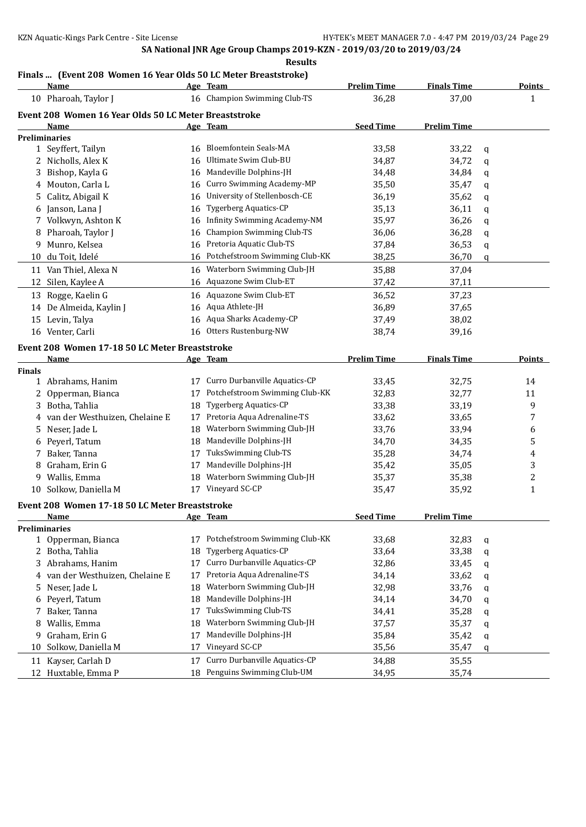# **Finals ... (Event 208 Women 16 Year Olds 50 LC Meter Breaststroke)**

|               | <b>Name</b>                                           |          | Age Team                            | <b>Prelim Time</b> | <b>Finals Time</b> |   | <b>Points</b>           |
|---------------|-------------------------------------------------------|----------|-------------------------------------|--------------------|--------------------|---|-------------------------|
|               | 10 Pharoah, Taylor J                                  |          | 16 Champion Swimming Club-TS        | 36,28              | 37,00              |   | $\mathbf{1}$            |
|               | Event 208 Women 16 Year Olds 50 LC Meter Breaststroke |          |                                     |                    |                    |   |                         |
|               | Name                                                  |          | Age Team                            | <b>Seed Time</b>   | <b>Prelim Time</b> |   |                         |
|               | <b>Preliminaries</b>                                  |          |                                     |                    |                    |   |                         |
|               | 1 Seyffert, Tailyn                                    |          | 16 Bloemfontein Seals-MA            | 33,58              | 33,22              | q |                         |
|               | 2 Nicholls, Alex K                                    | 16       | Ultimate Swim Club-BU               | 34,87              | 34,72              | q |                         |
| 3             | Bishop, Kayla G                                       | 16       | Mandeville Dolphins-JH              | 34,48              | 34,84              | q |                         |
| 4             | Mouton, Carla L                                       | 16       | Curro Swimming Academy-MP           | 35,50              | 35,47              | q |                         |
| 5.            | Calitz, Abigail K                                     | 16       | University of Stellenbosch-CE       | 36,19              | 35,62              | q |                         |
| 6             | Janson, Lana J                                        | 16       | <b>Tygerberg Aquatics-CP</b>        | 35,13              | 36,11              | q |                         |
| 7             | Volkwyn, Ashton K                                     | 16       | <b>Infinity Swimming Academy-NM</b> | 35,97              | 36,26              | q |                         |
| 8             | Pharoah, Taylor J                                     | 16       | <b>Champion Swimming Club-TS</b>    | 36,06              | 36,28              | q |                         |
| 9             | Munro, Kelsea                                         | 16       | Pretoria Aquatic Club-TS            | 37,84              | 36,53              | q |                         |
|               | 10 du Toit, Idelé                                     | 16       | Potchefstroom Swimming Club-KK      | 38,25              | 36,70              | q |                         |
|               | 11 Van Thiel, Alexa N                                 | 16       | Waterborn Swimming Club-JH          | 35,88              | 37,04              |   |                         |
| 12            | Silen, Kaylee A                                       |          | 16 Aquazone Swim Club-ET            | 37,42              | 37,11              |   |                         |
|               | 13 Rogge, Kaelin G                                    | 16       | Aquazone Swim Club-ET               | 36,52              | 37,23              |   |                         |
|               | 14 De Almeida, Kaylin J                               | 16       | Aqua Athlete-JH                     | 36,89              | 37,65              |   |                         |
|               | 15 Levin, Talya                                       | 16       | Aqua Sharks Academy-CP              | 37,49              | 38,02              |   |                         |
|               | 16 Venter, Carli                                      | 16       | Otters Rustenburg-NW                | 38,74              | 39,16              |   |                         |
|               |                                                       |          |                                     |                    |                    |   |                         |
|               | Event 208 Women 17-18 50 LC Meter Breaststroke        |          |                                     |                    |                    |   |                         |
|               | Name                                                  |          | Age Team                            | <b>Prelim Time</b> | <b>Finals Time</b> |   | <b>Points</b>           |
| <b>Finals</b> | 1 Abrahams, Hanim                                     | 17       | Curro Durbanville Aquatics-CP       | 33,45              | 32,75              |   | 14                      |
| 2             | Opperman, Bianca                                      | 17       | Potchefstroom Swimming Club-KK      | 32,83              | 32,77              |   | 11                      |
| 3             | Botha, Tahlia                                         | 18       | Tygerberg Aquatics-CP               | 33,38              | 33,19              |   | 9                       |
|               | van der Westhuizen, Chelaine E                        | 17       | Pretoria Aqua Adrenaline-TS         | 33,62              | 33,65              |   | 7                       |
| 5.            | Neser, Jade L                                         | 18       | Waterborn Swimming Club-JH          | 33,76              | 33,94              |   | 6                       |
| 6             | Peyerl, Tatum                                         | 18       | Mandeville Dolphins-JH              | 34,70              | 34,35              |   | 5                       |
|               | Baker, Tanna                                          | 17       | TuksSwimming Club-TS                | 35,28              | 34,74              |   | 4                       |
| 8             | Graham, Erin G                                        | 17       | Mandeville Dolphins-JH              | 35,42              | 35,05              |   | 3                       |
| 9.            | Wallis, Emma                                          | 18       | Waterborn Swimming Club-JH          | 35,37              | 35,38              |   | $\overline{\mathbf{c}}$ |
|               | 10 Solkow, Daniella M                                 |          | 17 Vineyard SC-CP                   | 35,47              | 35,92              |   | $\mathbf{1}$            |
|               |                                                       |          |                                     |                    |                    |   |                         |
|               | Event 208 Women 17-18 50 LC Meter Breaststroke        |          |                                     |                    |                    |   |                         |
|               | <u>Name</u>                                           |          | Age Team                            | <b>Seed Time</b>   | <b>Prelim Time</b> |   |                         |
|               | <b>Preliminaries</b><br>1 Opperman, Bianca            | 17       | Potchefstroom Swimming Club-KK      | 33,68              | 32,83              |   |                         |
| 2             | Botha, Tahlia                                         | 18       | Tygerberg Aquatics-CP               | 33,64              | 33,38              | q |                         |
|               | 3 Abrahams, Hanim                                     | 17       | Curro Durbanville Aquatics-CP       | 32,86              | 33,45              | q |                         |
|               | van der Westhuizen, Chelaine E                        | 17       | Pretoria Aqua Adrenaline-TS         | 34,14              | 33,62              | q |                         |
| 4             | Neser, Jade L                                         |          | Waterborn Swimming Club-JH          |                    |                    | q |                         |
| 5             | Peyerl, Tatum                                         | 18<br>18 | Mandeville Dolphins-JH              | 32,98<br>34,14     | 33,76<br>34,70     | q |                         |
| 6<br>7        | Baker, Tanna                                          | 17       | TuksSwimming Club-TS                | 34,41              | 35,28              | q |                         |
| 8             | Wallis, Emma                                          | 18       | Waterborn Swimming Club-JH          | 37,57              | 35,37              | q |                         |
| 9             | Graham, Erin G                                        | 17       | Mandeville Dolphins-JH              | 35,84              | 35,42              | q |                         |
| 10            | Solkow, Daniella M                                    | 17       | Vineyard SC-CP                      | 35,56              | 35,47              | q |                         |
|               |                                                       |          | Curro Durbanville Aquatics-CP       |                    |                    | q |                         |
|               | 11 Kayser, Carlah D<br>12 Huxtable, Emma P            | 17<br>18 | Penguins Swimming Club-UM           | 34,88              | 35,55              |   |                         |
|               |                                                       |          |                                     | 34,95              | 35,74              |   |                         |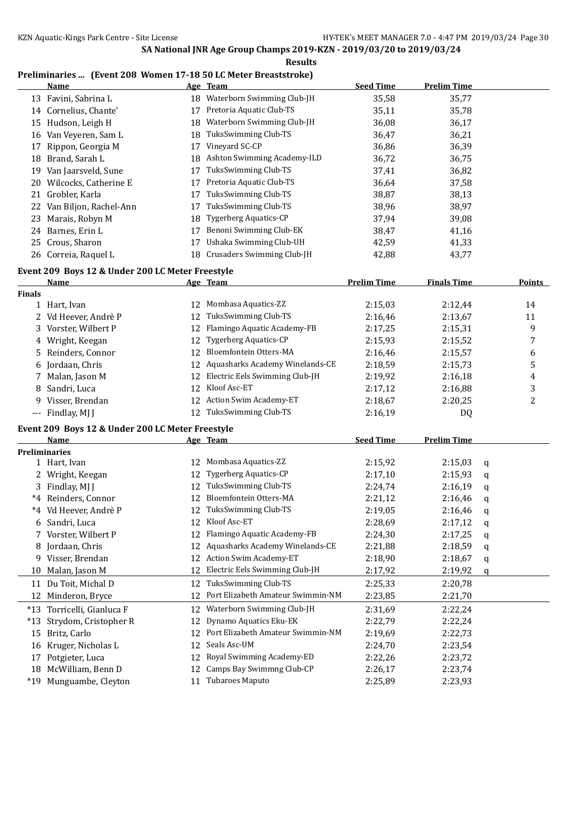**Results**

## **Preliminaries ... (Event 208 Women 17-18 50 LC Meter Breaststroke)**

|               | Name                                             |    | Age Team                          | <b>Seed Time</b>   | <b>Prelim Time</b> |   |               |
|---------------|--------------------------------------------------|----|-----------------------------------|--------------------|--------------------|---|---------------|
|               | 13 Favini, Sabrina L                             | 18 | Waterborn Swimming Club-JH        | 35,58              | 35,77              |   |               |
|               | 14 Cornelius, Chante'                            | 17 | Pretoria Aquatic Club-TS          | 35,11              | 35,78              |   |               |
|               | 15 Hudson, Leigh H                               | 18 | Waterborn Swimming Club-JH        | 36,08              | 36,17              |   |               |
|               | 16 Van Veyeren, Sam L                            | 18 | TuksSwimming Club-TS              | 36,47              | 36,21              |   |               |
| 17            | Rippon, Georgia M                                | 17 | Vineyard SC-CP                    | 36,86              | 36,39              |   |               |
|               | 18 Brand, Sarah L                                |    | 18 Ashton Swimming Academy-ILD    | 36,72              | 36,75              |   |               |
|               | 19 Van Jaarsveld, Sune                           | 17 | TuksSwimming Club-TS              | 37,41              | 36,82              |   |               |
|               | 20 Wilcocks, Catherine E                         | 17 | Pretoria Aquatic Club-TS          | 36,64              | 37,58              |   |               |
|               | 21 Grobler, Karla                                | 17 | TuksSwimming Club-TS              | 38,87              | 38,13              |   |               |
|               | 22 Van Biljon, Rachel-Ann                        | 17 | TuksSwimming Club-TS              | 38,96              | 38,97              |   |               |
|               | 23 Marais, Robyn M                               | 18 | <b>Tygerberg Aquatics-CP</b>      | 37,94              | 39,08              |   |               |
|               | 24 Barnes, Erin L                                | 17 | Benoni Swimming Club-EK           | 38,47              | 41,16              |   |               |
|               | 25 Crous, Sharon                                 | 17 | Ushaka Swimming Club-UH           | 42,59              | 41,33              |   |               |
|               | 26 Correia, Raquel L                             | 18 | Crusaders Swimming Club-JH        | 42,88              | 43,77              |   |               |
|               |                                                  |    |                                   |                    |                    |   |               |
|               | Event 209 Boys 12 & Under 200 LC Meter Freestyle |    |                                   | <b>Prelim Time</b> |                    |   | <b>Points</b> |
| <b>Finals</b> | Name                                             |    | Age Team                          |                    | <b>Finals Time</b> |   |               |
|               | 1 Hart, Ivan                                     | 12 | Mombasa Aquatics-ZZ               | 2:15,03            | 2:12,44            |   | 14            |
|               | 2 Vd Heever, Andrè P                             | 12 | TuksSwimming Club-TS              | 2:16,46            | 2:13,67            |   | 11            |
|               | 3 Vorster, Wilbert P                             | 12 | Flamingo Aquatic Academy-FB       | 2:17,25            | 2:15,31            |   | 9             |
|               | 4 Wright, Keegan                                 | 12 | <b>Tygerberg Aquatics-CP</b>      | 2:15,93            | 2:15,52            |   | 7             |
|               | 5 Reinders, Connor                               | 12 | Bloemfontein Otters-MA            |                    |                    |   |               |
|               |                                                  | 12 | Aquasharks Academy Winelands-CE   | 2:16,46            | 2:15,57<br>2:15,73 |   | 6             |
| 6             | Jordaan, Chris                                   |    | Electric Eels Swimming Club-JH    | 2:18,59            |                    |   | 5             |
| 7.            | Malan, Jason M                                   | 12 |                                   | 2:19,92            | 2:16,18            |   | 4             |
| 8             | Sandri, Luca                                     | 12 | Kloof Asc-ET                      | 2:17,12            | 2:16,88            |   | 3             |
|               | 9 Visser, Brendan                                |    | 12 Action Swim Academy-ET         | 2:18,67            | 2:20,25            |   | 2             |
|               | --- Findlay, MJ J                                |    | 12 TuksSwimming Club-TS           | 2:16,19            | DQ                 |   |               |
|               | Event 209 Boys 12 & Under 200 LC Meter Freestyle |    |                                   |                    |                    |   |               |
|               | Name                                             |    | Age Team                          | <b>Seed Time</b>   | <b>Prelim Time</b> |   |               |
|               | <b>Preliminaries</b>                             |    |                                   |                    |                    |   |               |
|               | 1 Hart, Ivan                                     |    | 12 Mombasa Aquatics-ZZ            | 2:15,92            | 2:15,03            | q |               |
|               | 2 Wright, Keegan                                 | 12 | <b>Tygerberg Aquatics-CP</b>      | 2:17,10            | 2:15,93            | q |               |
|               | 3 Findlay, MJ J                                  | 12 | TuksSwimming Club-TS              | 2:24,74            | 2:16,19            | q |               |
|               | *4 Reinders, Connor                              | 12 | Bloemfontein Otters-MA            | 2:21,12            | 2:16,46            | q |               |
|               | *4 Vd Heever, Andrè P                            |    | 12 TuksSwimming Club-TS           | 2:19,05            | 2:16,46            | q |               |
|               | 6 Sandri, Luca                                   |    | 12 Kloof Asc-ET                   | 2:28,69            | 2:17,12            | q |               |
|               | 7 Vorster, Wilbert P                             | 12 | Flamingo Aquatic Academy-FB       | 2:24,30            | 2:17,25            | q |               |
| 8             | Jordaan, Chris                                   | 12 | Aquasharks Academy Winelands-CE   | 2:21,88            | 2:18,59            | q |               |
|               | 9 Visser, Brendan                                | 12 | Action Swim Academy-ET            | 2:18,90            | 2:18,67            | q |               |
| 10            | Malan, Jason M                                   | 12 | Electric Eels Swimming Club-JH    | 2:17,92            | 2:19,92            | q |               |
|               | 11 Du Toit, Michal D                             |    | 12 TuksSwimming Club-TS           | 2:25,33            | 2:20,78            |   |               |
|               | 12 Minderon, Bryce                               | 12 | Port Elizabeth Amateur Swimmin-NM | 2:23,85            | 2:21,70            |   |               |
|               | *13 Torricelli, Gianluca F                       | 12 | Waterborn Swimming Club-JH        | 2:31,69            | 2:22,24            |   |               |
| $*13$         | Strydom, Cristopher R                            | 12 | Dynamo Aquatics Eku-EK            | 2:22,79            | 2:22,24            |   |               |
| 15            | Britz, Carlo                                     | 12 | Port Elizabeth Amateur Swimmin-NM | 2:19,69            | 2:22,73            |   |               |
| 16            | Kruger, Nicholas L                               | 12 | Seals Asc-UM                      | 2:24,70            | 2:23,54            |   |               |
| 17            | Potgieter, Luca                                  | 12 | Royal Swimming Academy-ED         | 2:22,26            | 2:23,72            |   |               |
| 18            | McWilliam, Benn D                                | 12 | Camps Bay Swimmng Club-CP         | 2:26,17            | 2:23,74            |   |               |
|               | *19 Munguambe, Cleyton                           | 11 | Tubaroes Maputo                   | 2:25,89            | 2:23,93            |   |               |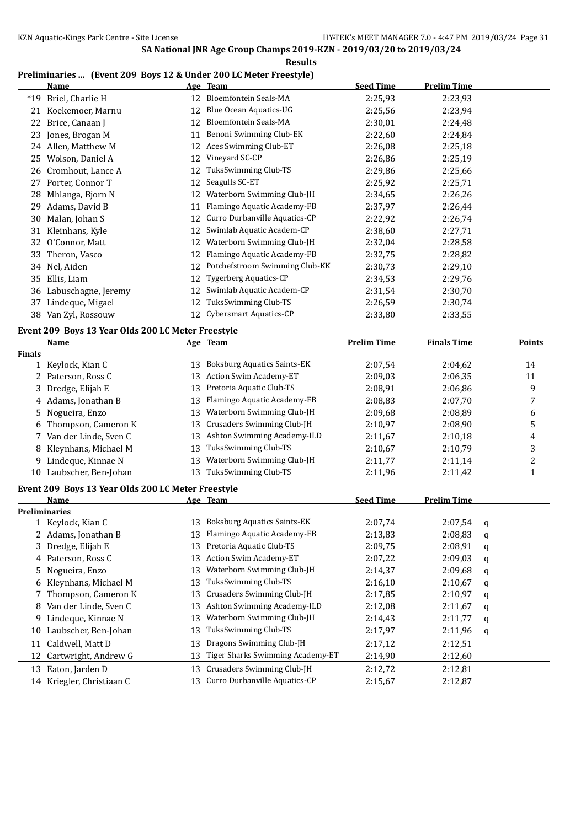**Results**

## **Preliminaries ... (Event 209 Boys 12 & Under 200 LC Meter Freestyle)**

|        | Name                                               |    | <u>Age Team</u>                                      | <b>Seed Time</b>   | <b>Prelim Time</b> |   |                  |
|--------|----------------------------------------------------|----|------------------------------------------------------|--------------------|--------------------|---|------------------|
| $*19$  | Briel, Charlie H                                   |    | 12 Bloemfontein Seals-MA                             | 2:25,93            | 2:23,93            |   |                  |
|        | 21 Koekemoer, Marnu                                | 12 | <b>Blue Ocean Aquatics-UG</b>                        | 2:25,56            | 2:23,94            |   |                  |
| 22     | Brice, Canaan J                                    | 12 | <b>Bloemfontein Seals-MA</b>                         | 2:30,01            | 2:24,48            |   |                  |
| 23     | Jones, Brogan M                                    | 11 | Benoni Swimming Club-EK                              | 2:22,60            | 2:24,84            |   |                  |
|        | 24 Allen, Matthew M                                | 12 | Aces Swimming Club-ET                                | 2:26,08            | 2:25,18            |   |                  |
|        | 25 Wolson, Daniel A                                | 12 | Vineyard SC-CP                                       | 2:26,86            | 2:25,19            |   |                  |
|        | 26 Cromhout, Lance A                               | 12 | TuksSwimming Club-TS                                 | 2:29,86            | 2:25,66            |   |                  |
|        | 27 Porter, Connor T                                | 12 | Seagulls SC-ET                                       | 2:25,92            | 2:25,71            |   |                  |
| 28     | Mhlanga, Bjorn N                                   | 12 | Waterborn Swimming Club-JH                           | 2:34,65            | 2:26,26            |   |                  |
| 29     | Adams, David B                                     | 11 | Flamingo Aquatic Academy-FB                          | 2:37,97            | 2:26,44            |   |                  |
|        | 30 Malan, Johan S                                  | 12 | Curro Durbanville Aquatics-CP                        | 2:22,92            | 2:26,74            |   |                  |
|        | 31 Kleinhans, Kyle                                 | 12 | Swimlab Aquatic Academ-CP                            | 2:38,60            | 2:27,71            |   |                  |
|        | 32 O'Connor, Matt                                  | 12 | Waterborn Swimming Club-JH                           | 2:32,04            | 2:28,58            |   |                  |
|        | 33 Theron, Vasco                                   | 12 | Flamingo Aquatic Academy-FB                          | 2:32,75            | 2:28,82            |   |                  |
|        | 34 Nel, Aiden                                      | 12 | Potchefstroom Swimming Club-KK                       | 2:30,73            | 2:29,10            |   |                  |
| 35     | Ellis, Liam                                        | 12 | <b>Tygerberg Aquatics-CP</b>                         | 2:34,53            | 2:29,76            |   |                  |
|        | 36 Labuschagne, Jeremy                             | 12 | Swimlab Aquatic Academ-CP                            | 2:31,54            | 2:30,70            |   |                  |
|        | 37 Lindeque, Migael                                | 12 | TuksSwimming Club-TS                                 | 2:26,59            | 2:30,74            |   |                  |
| 38     | Van Zyl, Rossouw                                   | 12 | Cybersmart Aquatics-CP                               | 2:33,80            | 2:33,55            |   |                  |
|        |                                                    |    |                                                      |                    |                    |   |                  |
|        | Event 209 Boys 13 Year Olds 200 LC Meter Freestyle |    | Age Team                                             |                    |                    |   |                  |
| Finals | Name                                               |    |                                                      | <b>Prelim Time</b> | <b>Finals Time</b> |   | <b>Points</b>    |
|        | 1 Keylock, Kian C                                  | 13 | <b>Boksburg Aquatics Saints-EK</b>                   | 2:07,54            | 2:04,62            |   | 14               |
|        | 2 Paterson, Ross C                                 | 13 | Action Swim Academy-ET                               | 2:09,03            | 2:06,35            |   | 11               |
| 3.     | Dredge, Elijah E                                   | 13 | Pretoria Aquatic Club-TS                             | 2:08,91            | 2:06,86            |   | 9                |
| 4      | Adams, Jonathan B                                  | 13 | Flamingo Aquatic Academy-FB                          | 2:08,83            | 2:07,70            |   | 7                |
| 5.     | Nogueira, Enzo                                     | 13 | Waterborn Swimming Club-JH                           | 2:09,68            | 2:08,89            |   | 6                |
| 6      | Thompson, Cameron K                                | 13 | Crusaders Swimming Club-JH                           | 2:10,97            | 2:08,90            |   | 5                |
| 7      | Van der Linde, Sven C                              | 13 | Ashton Swimming Academy-ILD                          | 2:11,67            | 2:10,18            |   | 4                |
| 8      | Kleynhans, Michael M                               | 13 | TuksSwimming Club-TS                                 | 2:10,67            | 2:10,79            |   | 3                |
|        | 9 Lindeque, Kinnae N                               | 13 | Waterborn Swimming Club-JH                           | 2:11,77            | 2:11,14            |   | $\boldsymbol{2}$ |
|        | 10 Laubscher, Ben-Johan                            |    | 13 TuksSwimming Club-TS                              | 2:11,96            | 2:11,42            |   | $\mathbf{1}$     |
|        |                                                    |    |                                                      |                    |                    |   |                  |
|        | Event 209 Boys 13 Year Olds 200 LC Meter Freestyle |    |                                                      |                    |                    |   |                  |
|        | Name                                               |    | Age Team                                             | <b>Seed Time</b>   | <b>Prelim Time</b> |   |                  |
|        | <b>Preliminaries</b>                               |    | <b>Boksburg Aquatics Saints-EK</b>                   |                    |                    |   |                  |
| 1      | Keylock, Kian C                                    |    | Flamingo Aquatic Academy-FB                          | 2:07,74            | 2:07,54            | q |                  |
|        | 2 Adams, Jonathan B                                | 13 |                                                      | 2:13,83            | 2:08,83            | q |                  |
| 3      | Dredge, Elijah E                                   | 13 | Pretoria Aquatic Club-TS                             | 2:09,75            | 2:08,91            | q |                  |
| 4      | Paterson, Ross C                                   | 13 | Action Swim Academy-ET<br>Waterborn Swimming Club-JH | 2:07,22            | 2:09,03            | q |                  |
| 5      | Nogueira, Enzo                                     | 13 |                                                      | 2:14,37            | 2:09,68            | q |                  |
| 6      | Kleynhans, Michael M                               | 13 | TuksSwimming Club-TS                                 | 2:16,10            | 2:10,67            | q |                  |
| 7      | Thompson, Cameron K                                | 13 | Crusaders Swimming Club-JH                           | 2:17,85            | 2:10,97            | q |                  |
| 8      | Van der Linde, Sven C                              | 13 | Ashton Swimming Academy-ILD                          | 2:12,08            | 2:11,67            | q |                  |
| 9      | Lindeque, Kinnae N                                 | 13 | Waterborn Swimming Club-JH                           | 2:14,43            | 2:11,77            | q |                  |
| 10     | Laubscher, Ben-Johan                               | 13 | TuksSwimming Club-TS                                 | 2:17,97            | 2:11,96            | q |                  |
| 11     | Caldwell, Matt D                                   | 13 | Dragons Swimming Club-JH                             | 2:17,12            | 2:12,51            |   |                  |
| 12     | Cartwright, Andrew G                               | 13 | Tiger Sharks Swimming Academy-ET                     | 2:14,90            | 2:12,60            |   |                  |
|        | 13 Eaton, Jarden D                                 | 13 | Crusaders Swimming Club-JH                           | 2:12,72            | 2:12,81            |   |                  |
|        | 14 Kriegler, Christiaan C                          | 13 | Curro Durbanville Aquatics-CP                        | 2:15,67            | 2:12,87            |   |                  |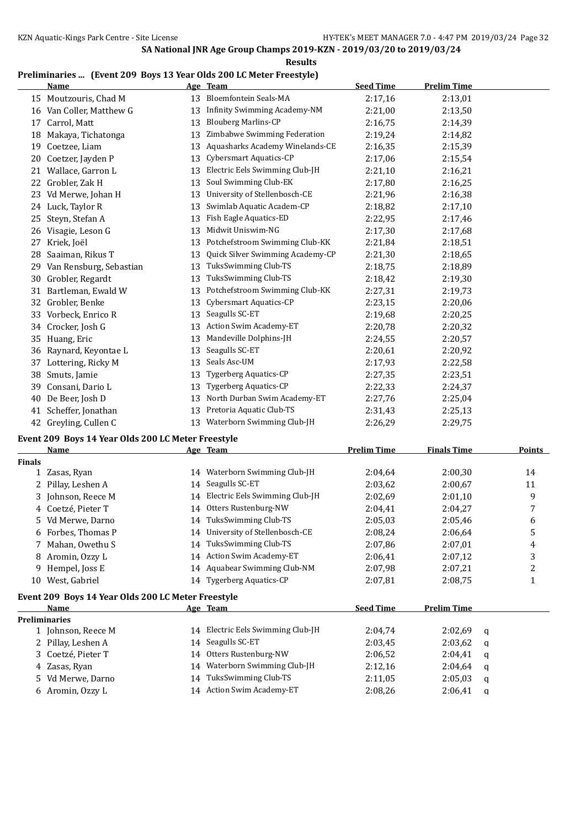#### **Results**

## **Preliminaries ... (Event 209 Boys 13 Year Olds 200 LC Meter Freestyle)**

|    | Name                    |    | Age Team                         | <b>Seed Time</b> | <b>Prelim Time</b> |
|----|-------------------------|----|----------------------------------|------------------|--------------------|
|    | 15 Moutzouris, Chad M   | 13 | <b>Bloemfontein Seals-MA</b>     | 2:17,16          | 2:13,01            |
| 16 | Van Coller, Matthew G   | 13 | Infinity Swimming Academy-NM     | 2:21,00          | 2:13,50            |
| 17 | Carrol, Matt            | 13 | <b>Blouberg Marlins-CP</b>       | 2:16,75          | 2:14,39            |
| 18 | Makaya, Tichatonga      | 13 | Zimbabwe Swimming Federation     | 2:19,24          | 2:14,82            |
| 19 | Coetzee, Liam           | 13 | Aquasharks Academy Winelands-CE  | 2:16,35          | 2:15,39            |
| 20 | Coetzer, Jayden P       | 13 | Cybersmart Aquatics-CP           | 2:17,06          | 2:15,54            |
| 21 | Wallace, Garron L       | 13 | Electric Eels Swimming Club-JH   | 2:21,10          | 2:16,21            |
| 22 | Grobler, Zak H          | 13 | Soul Swimming Club-EK            | 2:17,80          | 2:16,25            |
| 23 | Vd Merwe, Johan H       | 13 | University of Stellenbosch-CE    | 2:21,96          | 2:16,38            |
| 24 | Luck, Taylor R          | 13 | Swimlab Aquatic Academ-CP        | 2:18,82          | 2:17,10            |
| 25 | Steyn, Stefan A         | 13 | Fish Eagle Aquatics-ED           | 2:22,95          | 2:17,46            |
| 26 | Visagie, Leson G        | 13 | Midwit Uniswim-NG                | 2:17,30          | 2:17,68            |
| 27 | Kriek, Joël             | 13 | Potchefstroom Swimming Club-KK   | 2:21,84          | 2:18,51            |
| 28 | Saaiman, Rikus T        | 13 | Quick Silver Swimming Academy-CP | 2:21,30          | 2:18.65            |
| 29 | Van Rensburg, Sebastian | 13 | TuksSwimming Club-TS             | 2:18,75          | 2:18,89            |
| 30 | Grobler, Regardt        | 13 | TuksSwimming Club-TS             | 2:18,42          | 2:19,30            |
| 31 | Bartleman, Ewald W      | 13 | Potchefstroom Swimming Club-KK   | 2:27,31          | 2:19,73            |
| 32 | Grobler, Benke          | 13 | Cybersmart Aquatics-CP           | 2:23,15          | 2:20,06            |
| 33 | Vorbeck, Enrico R       | 13 | Seagulls SC-ET                   | 2:19,68          | 2:20,25            |
| 34 | Crocker, Josh G         | 13 | Action Swim Academy-ET           | 2:20,78          | 2:20,32            |
| 35 | Huang, Eric             | 13 | Mandeville Dolphins-JH           | 2:24,55          | 2:20,57            |
| 36 | Raynard, Keyontae L     | 13 | Seagulls SC-ET                   | 2:20,61          | 2:20,92            |
| 37 | Lottering, Ricky M      | 13 | Seals Asc-UM                     | 2:17,93          | 2:22,58            |
| 38 | Smuts, Jamie            | 13 | <b>Tygerberg Aquatics-CP</b>     | 2:27,35          | 2:23,51            |
| 39 | Consani, Dario L        | 13 | <b>Tygerberg Aquatics-CP</b>     | 2:22,33          | 2:24,37            |
| 40 | De Beer, Josh D         | 13 | North Durban Swim Academy-ET     | 2:27,76          | 2:25,04            |
| 41 | Scheffer, Jonathan      | 13 | Pretoria Aquatic Club-TS         | 2:31,43          | 2:25,13            |
| 42 | Greyling, Cullen C      | 13 | Waterborn Swimming Club-JH       | 2:26,29          | 2:29,75            |

#### **Event 209 Boys 14 Year Olds 200 LC Meter Freestyle**

|               | <b>Name</b>                                        |    | Age Team                       | <b>Prelim Time</b> | <b>Finals Time</b> |   | Points |
|---------------|----------------------------------------------------|----|--------------------------------|--------------------|--------------------|---|--------|
| <b>Finals</b> |                                                    |    |                                |                    |                    |   |        |
|               | Zasas, Ryan                                        | 14 | Waterborn Swimming Club-JH     | 2:04,64            | 2:00.30            |   | 14     |
|               | Pillay, Leshen A                                   | 14 | Seagulls SC-ET                 | 2:03.62            | 2:00.67            |   | 11     |
| 3             | Johnson, Reece M                                   | 14 | Electric Eels Swimming Club-JH | 2:02.69            | 2:01,10            |   | 9      |
|               | 4 Coetzé, Pieter T                                 | 14 | Otters Rustenburg-NW           | 2:04,41            | 2:04,27            |   | 7      |
| 5.            | Vd Merwe, Darno                                    | 14 | TuksSwimming Club-TS           | 2:05,03            | 2:05,46            |   | 6      |
|               | 6 Forbes, Thomas P                                 | 14 | University of Stellenbosch-CE  | 2:08.24            | 2:06,64            |   | 5      |
|               | Mahan, Owethu S                                    | 14 | TuksSwimming Club-TS           | 2:07,86            | 2:07,01            |   | 4      |
| 8             | Aromin, Ozzy L                                     | 14 | <b>Action Swim Academy-ET</b>  | 2:06.41            | 2:07,12            |   | 3      |
| 9.            | Hempel, Joss E                                     | 14 | Aquabear Swimming Club-NM      | 2:07,98            | 2:07,21            |   | 2      |
| 10            | West, Gabriel                                      | 14 | <b>Tygerberg Aquatics-CP</b>   | 2:07,81            | 2:08.75            |   | 1      |
|               | Event 209 Boys 14 Year Olds 200 LC Meter Freestyle |    |                                |                    |                    |   |        |
|               | Name                                               |    | Age Team                       | <b>Seed Time</b>   | <b>Prelim Time</b> |   |        |
|               | <b>Preliminaries</b>                               |    |                                |                    |                    |   |        |
|               | 1 Johnson, Reece M                                 | 14 | Electric Eels Swimming Club-JH | 2:04,74            | 2:02.69            | a |        |
|               | Pillay, Leshen A                                   | 14 | Seagulls SC-ET                 | 2:03,45            | 2:03,62            | a |        |
| 3.            | Coetzé, Pieter T                                   | 14 | Otters Rustenburg-NW           | 2:06.52            | 2:04,41            | a |        |
| 4             | Zasas, Ryan                                        | 14 | Waterborn Swimming Club-JH     | 2:12,16            | 2:04,64            | a |        |
| 5.            | Vd Merwe, Darno                                    | 14 | TuksSwimming Club-TS           | 2:11,05            | 2:05,03            | a |        |
|               | 6 Aromin, Ozzy L                                   | 14 | <b>Action Swim Academy-ET</b>  | 2:08.26            | 2:06,41            | q |        |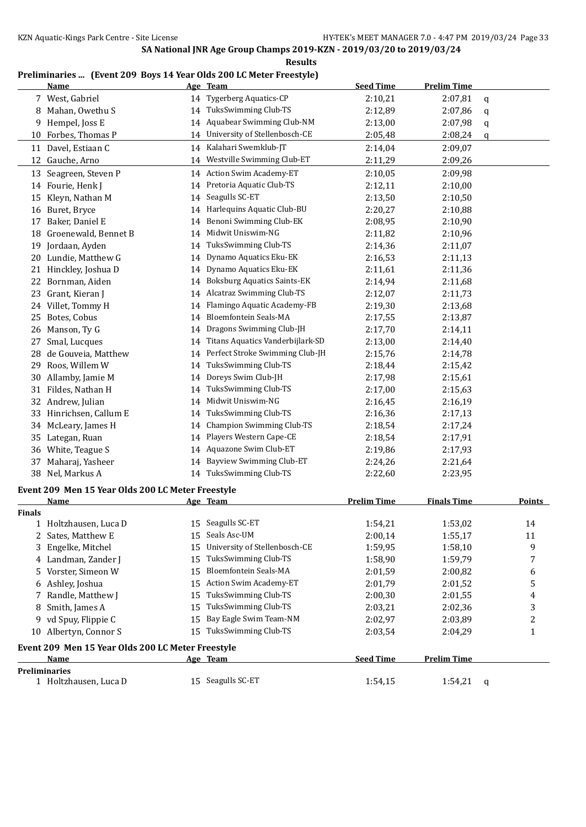#### **Results**

#### **Preliminaries ... (Event 209 Boys 14 Year Olds 200 LC Meter Freestyle)**

|               | <b>Name</b>                                       |          | Age Team                           | <b>Seed Time</b>   | <b>Prelim Time</b> |   |        |
|---------------|---------------------------------------------------|----------|------------------------------------|--------------------|--------------------|---|--------|
|               | 7 West, Gabriel                                   |          | 14 Tygerberg Aquatics-CP           | 2:10,21            | 2:07,81            | q |        |
|               | 8 Mahan, Owethu S                                 | 14       | TuksSwimming Club-TS               | 2:12,89            | 2:07,86            | q |        |
| 9.            | Hempel, Joss E                                    | 14       | Aquabear Swimming Club-NM          | 2:13,00            | 2:07,98            | q |        |
| 10            | Forbes, Thomas P                                  | 14       | University of Stellenbosch-CE      | 2:05,48            | 2:08,24            | q |        |
| 11            | Davel, Estiaan C                                  | 14       | Kalahari Swemklub-JT               | 2:14,04            | 2:09,07            |   |        |
|               | 12 Gauche, Arno                                   | 14       | Westville Swimming Club-ET         | 2:11,29            | 2:09,26            |   |        |
|               | 13 Seagreen, Steven P                             | 14       | <b>Action Swim Academy-ET</b>      | 2:10,05            | 2:09,98            |   |        |
|               | 14 Fourie, Henk J                                 | 14       | Pretoria Aquatic Club-TS           | 2:12,11            | 2:10,00            |   |        |
| 15            | Kleyn, Nathan M                                   | 14       | Seagulls SC-ET                     | 2:13,50            | 2:10,50            |   |        |
|               | 16 Buret, Bryce                                   | 14       | Harlequins Aquatic Club-BU         | 2:20,27            | 2:10,88            |   |        |
| 17            | Baker, Daniel E                                   | 14       | Benoni Swimming Club-EK            | 2:08,95            | 2:10,90            |   |        |
|               | 18 Groenewald, Bennet B                           | 14       | Midwit Uniswim-NG                  | 2:11,82            | 2:10,96            |   |        |
| 19            | Jordaan, Ayden                                    | 14       | TuksSwimming Club-TS               | 2:14,36            | 2:11,07            |   |        |
| 20            | Lundie, Matthew G                                 | 14       | Dynamo Aquatics Eku-EK             | 2:16,53            | 2:11,13            |   |        |
| 21            | Hinckley, Joshua D                                | 14       | Dynamo Aquatics Eku-EK             | 2:11,61            | 2:11,36            |   |        |
| 22            | Bornman, Aiden                                    | 14       | <b>Boksburg Aquatics Saints-EK</b> | 2:14,94            | 2:11,68            |   |        |
| 23            | Grant, Kieran J                                   | 14       | Alcatraz Swimming Club-TS          | 2:12,07            | 2:11,73            |   |        |
|               | 24 Villet, Tommy H                                | 14       | Flamingo Aquatic Academy-FB        | 2:19,30            | 2:13,68            |   |        |
| 25            | Botes, Cobus                                      | 14       | <b>Bloemfontein Seals-MA</b>       | 2:17,55            | 2:13,87            |   |        |
|               | 26 Manson, Ty G                                   | 14       | Dragons Swimming Club-JH           | 2:17,70            | 2:14,11            |   |        |
| 27            | Smal, Lucques                                     | 14       | Titans Aquatics Vanderbijlark-SD   | 2:13,00            | 2:14,40            |   |        |
| 28            | de Gouveia, Matthew                               | 14       | Perfect Stroke Swimming Club-JH    | 2:15,76            | 2:14,78            |   |        |
| 29            | Roos, Willem W                                    | 14       | TuksSwimming Club-TS               | 2:18,44            | 2:15,42            |   |        |
| 30            | Allamby, Jamie M                                  | 14       | Doreys Swim Club-JH                | 2:17,98            | 2:15,61            |   |        |
| 31            | Fildes, Nathan H                                  | 14       | TuksSwimming Club-TS               | 2:17,00            | 2:15,63            |   |        |
| 32            | Andrew, Julian                                    | 14       | Midwit Uniswim-NG                  | 2:16,45            | 2:16,19            |   |        |
| 33            | Hinrichsen, Callum E                              | 14       | TuksSwimming Club-TS               | 2:16,36            | 2:17,13            |   |        |
|               | McLeary, James H                                  | 14       | Champion Swimming Club-TS          | 2:18,54            | 2:17,24            |   |        |
| 34            | Lategan, Ruan                                     | 14       | Players Western Cape-CE            |                    | 2:17,91            |   |        |
| 35<br>36      | White, Teague S                                   |          | Aquazone Swim Club-ET              | 2:18,54<br>2:19,86 | 2:17,93            |   |        |
|               |                                                   | 14<br>14 | Bayview Swimming Club-ET           | 2:24,26            |                    |   |        |
| 37            | Maharaj, Yasheer<br>38 Nel, Markus A              |          | 14 TuksSwimming Club-TS            | 2:22,60            | 2:21,64<br>2:23,95 |   |        |
|               |                                                   |          |                                    |                    |                    |   |        |
|               | Event 209 Men 15 Year Olds 200 LC Meter Freestyle |          |                                    |                    |                    |   |        |
|               | <b>Name</b>                                       |          | Age Team                           | <b>Prelim Time</b> | <b>Finals Time</b> |   | Points |
| <b>Finals</b> |                                                   |          |                                    |                    |                    |   |        |
| T,            | Holtzhausen, Luca D                               |          | 15 Seagulls SC-ET                  | 1:54,21            | 1:53,02            |   | 14     |
|               | 2 Sates, Matthew E                                | 15       | Seals Asc-UM                       | 2:00,14            | 1:55,17            |   | 11     |
| 3             | Engelke, Mitchel                                  | 15       | University of Stellenbosch-CE      | 1:59,95            | 1:58,10            |   | 9      |
|               | 4 Landman, Zander J                               | 15       | TuksSwimming Club-TS               | 1:58,90            | 1:59,79            |   | 7      |
| 5.            | Vorster, Simeon W                                 | 15       | Bloemfontein Seals-MA              | 2:01,59            | 2:00,82            |   | 6      |
| 6             | Ashley, Joshua                                    | 15       | <b>Action Swim Academy-ET</b>      | 2:01,79            | 2:01,52            |   | 5      |
| 7             | Randle, Matthew J                                 | 15       | TuksSwimming Club-TS               | 2:00,30            | 2:01,55            |   | 4      |
| 8             | Smith, James A                                    | 15       | TuksSwimming Club-TS               | 2:03,21            | 2:02,36            |   | 3      |
| 9             | vd Spuy, Flippie C                                | 15       | Bay Eagle Swim Team-NM             | 2:02,97            | 2:03,89            |   | 2      |
|               | 10 Albertyn, Connor S                             |          | 15 TuksSwimming Club-TS            | 2:03,54            | 2:04,29            |   | 1      |
|               | Event 209 Men 15 Year Olds 200 LC Meter Freestyle |          |                                    |                    |                    |   |        |
|               | Name                                              |          | <u>Age Team</u>                    | <b>Seed Time</b>   | <b>Prelim Time</b> |   |        |
|               | <b>Preliminaries</b>                              |          |                                    |                    |                    |   |        |
|               | 1 Holtzhausen, Luca D                             |          | 15 Seagulls SC-ET                  | 1:54,15            | 1:54,21            | q |        |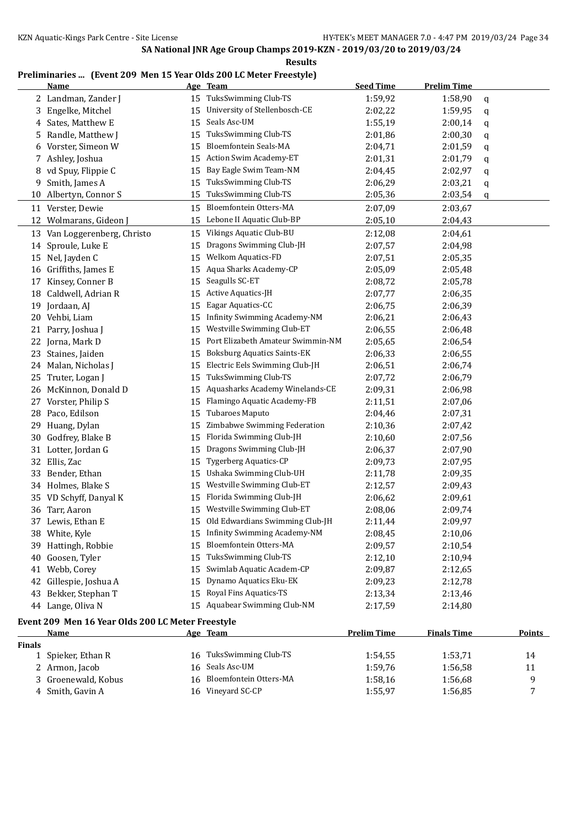## **Preliminaries ... (Event 209 Men 15 Year Olds 200 LC Meter Freestyle)**

|               | <b>Name</b>                                       |    | Age Team                                                                | <b>Seed Time</b>   | <b>Prelim Time</b> |               |
|---------------|---------------------------------------------------|----|-------------------------------------------------------------------------|--------------------|--------------------|---------------|
|               | 2 Landman, Zander J                               | 15 | TuksSwimming Club-TS                                                    | 1:59,92            | 1:58,90            | q             |
| 3             | Engelke, Mitchel                                  | 15 | University of Stellenbosch-CE                                           | 2:02,22            | 1:59,95            | q             |
| 4             | Sates, Matthew E                                  | 15 | Seals Asc-UM                                                            | 1:55,19            | 2:00,14            | q             |
| 5             | Randle, Matthew J                                 | 15 | TuksSwimming Club-TS                                                    | 2:01,86            | 2:00,30            | q             |
| 6             | Vorster, Simeon W                                 | 15 | Bloemfontein Seals-MA                                                   | 2:04,71            | 2:01,59            | q             |
| 7             | Ashley, Joshua                                    | 15 | Action Swim Academy-ET                                                  | 2:01,31            | 2:01,79            | q             |
| 8             | vd Spuy, Flippie C                                | 15 | Bay Eagle Swim Team-NM                                                  | 2:04,45            | 2:02,97            | q             |
| 9             | Smith, James A                                    | 15 | TuksSwimming Club-TS                                                    | 2:06,29            | 2:03,21            | q             |
| 10            | Albertyn, Connor S                                | 15 | TuksSwimming Club-TS                                                    | 2:05,36            | 2:03,54            | q             |
| 11            | Verster, Dewie                                    | 15 | Bloemfontein Otters-MA                                                  | 2:07,09            | 2:03,67            |               |
| 12            | Wolmarans, Gideon J                               | 15 | Lebone II Aquatic Club-BP                                               | 2:05,10            | 2:04,43            |               |
| 13            | Van Loggerenberg, Christo                         | 15 | Vikings Aquatic Club-BU                                                 | 2:12,08            | 2:04,61            |               |
| 14            | Sproule, Luke E                                   | 15 | Dragons Swimming Club-JH                                                | 2:07,57            | 2:04,98            |               |
| 15            | Nel, Jayden C                                     | 15 | Welkom Aquatics-FD                                                      |                    | 2:05,35            |               |
|               | Griffiths, James E                                | 15 | Aqua Sharks Academy-CP                                                  | 2:07,51            |                    |               |
| 16            | Kinsey, Conner B                                  |    | Seagulls SC-ET                                                          | 2:05,09            | 2:05,48            |               |
| 17            |                                                   | 15 |                                                                         | 2:08,72            | 2:05,78            |               |
| 18            | Caldwell, Adrian R                                | 15 | Active Aquatics-JH<br>Eagar Aquatics-CC                                 | 2:07,77            | 2:06,35            |               |
| 19            | Jordaan, AJ                                       | 15 | <b>Infinity Swimming Academy-NM</b>                                     | 2:06.75            | 2:06,39            |               |
| 20            | Vehbi, Liam                                       | 15 | Westville Swimming Club-ET                                              | 2:06,21            | 2:06,43            |               |
| 21            | Parry, Joshua J                                   | 15 |                                                                         | 2:06,55            | 2:06,48            |               |
| 22            | Jorna, Mark D                                     | 15 | Port Elizabeth Amateur Swimmin-NM<br><b>Boksburg Aquatics Saints-EK</b> | 2:05,65            | 2:06,54            |               |
| 23            | Staines, Jaiden                                   | 15 |                                                                         | 2:06,33            | 2:06,55            |               |
| 24            | Malan, Nicholas J                                 | 15 | Electric Eels Swimming Club-JH                                          | 2:06,51            | 2:06,74            |               |
| 25            | Truter, Logan J                                   | 15 | TuksSwimming Club-TS                                                    | 2:07,72            | 2:06,79            |               |
| 26            | McKinnon, Donald D                                | 15 | Aquasharks Academy Winelands-CE                                         | 2:09,31            | 2:06,98            |               |
| 27            | Vorster, Philip S                                 | 15 | Flamingo Aquatic Academy-FB                                             | 2:11,51            | 2:07,06            |               |
| 28            | Paco, Edilson                                     | 15 | Tubaroes Maputo                                                         | 2:04,46            | 2:07,31            |               |
| 29            | Huang, Dylan                                      | 15 | Zimbabwe Swimming Federation                                            | 2:10,36            | 2:07,42            |               |
| 30            | Godfrey, Blake B                                  | 15 | Florida Swimming Club-JH                                                | 2:10,60            | 2:07,56            |               |
| 31            | Lotter, Jordan G                                  | 15 | Dragons Swimming Club-JH                                                | 2:06,37            | 2:07,90            |               |
| 32            | Ellis, Zac                                        | 15 | <b>Tygerberg Aquatics-CP</b>                                            | 2:09,73            | 2:07,95            |               |
| 33            | Bender, Ethan                                     | 15 | Ushaka Swimming Club-UH                                                 | 2:11,78            | 2:09,35            |               |
| 34            | Holmes, Blake S                                   | 15 | Westville Swimming Club-ET                                              | 2:12,57            | 2:09,43            |               |
| 35            | VD Schyff, Danyal K                               | 15 | Florida Swimming Club-JH                                                | 2:06,62            | 2:09,61            |               |
|               | 36 Tarr, Aaron                                    | 15 | Westville Swimming Club-ET                                              | 2:08,06            | 2:09,74            |               |
|               | 37 Lewis, Ethan E                                 |    | 15 Old Edwardians Swimming Club-JH                                      | 2:11,44            | 2:09,97            |               |
|               | 38 White, Kyle                                    |    | 15 Infinity Swimming Academy-NM                                         | 2:08,45            | 2:10,06            |               |
| 39            | Hattingh, Robbie                                  | 15 | Bloemfontein Otters-MA                                                  | 2:09,57            | 2:10,54            |               |
| 40            | Goosen, Tyler                                     | 15 | TuksSwimming Club-TS                                                    | 2:12,10            | 2:10,94            |               |
| 41            | Webb, Corey                                       | 15 | Swimlab Aquatic Academ-CP                                               | 2:09,87            | 2:12,65            |               |
| 42            | Gillespie, Joshua A                               | 15 | Dynamo Aquatics Eku-EK                                                  | 2:09,23            | 2:12,78            |               |
| 43            | Bekker, Stephan T                                 | 15 | Royal Fins Aquatics-TS                                                  | 2:13,34            | 2:13,46            |               |
|               | 44 Lange, Oliva N                                 | 15 | Aquabear Swimming Club-NM                                               | 2:17,59            | 2:14,80            |               |
|               | Event 209 Men 16 Year Olds 200 LC Meter Freestyle |    |                                                                         |                    |                    |               |
|               | <b>Name</b>                                       |    | Age Team                                                                | <b>Prelim Time</b> | <b>Finals Time</b> | <b>Points</b> |
| <b>Finals</b> |                                                   |    |                                                                         |                    |                    |               |
|               | 1 Spieker, Ethan R                                | 16 | TuksSwimming Club-TS                                                    | 1:54,55            | 1:53,71            | 14            |
|               | 2 Armon, Jacob                                    | 16 | Seals Asc-UM                                                            | 1:59,76            | 1:56,58            | 11            |
|               | Groenewald, Kobus                                 | 16 | Bloemfontein Otters-MA                                                  | 1:58,16            | 1:56,68            | 9             |
|               | 4 Smith, Gavin A                                  |    | 16 Vineyard SC-CP                                                       | 1:55,97            | 1:56,85            | 7             |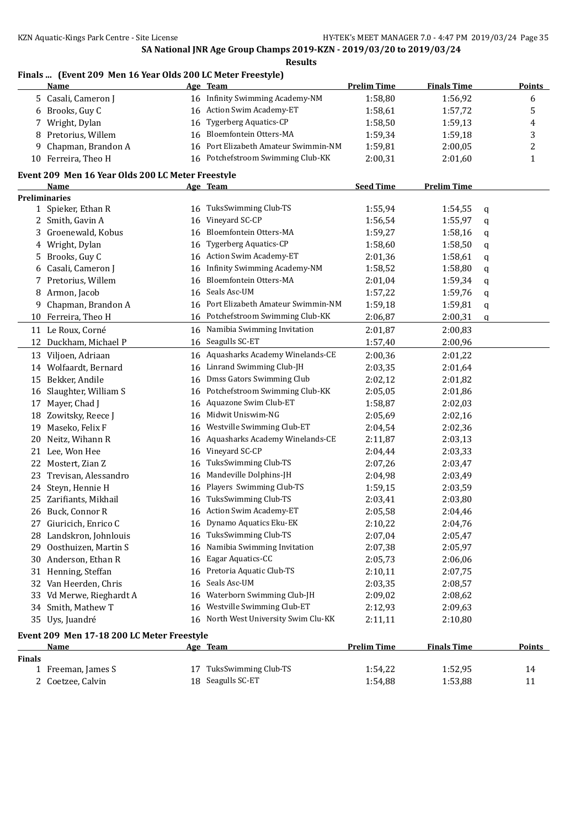# **Finals ... (Event 209 Men 16 Year Olds 200 LC Meter Freestyle)**

|                                            | <u>Name</u>                                       |    | Age Team                          | <b>Prelim Time</b> | <b>Finals Time</b> | <b>Points</b> |  |  |
|--------------------------------------------|---------------------------------------------------|----|-----------------------------------|--------------------|--------------------|---------------|--|--|
|                                            | 5 Casali, Cameron J                               |    | 16 Infinity Swimming Academy-NM   | 1:58,80            | 1:56,92            | 6             |  |  |
|                                            | 6 Brooks, Guy C                                   |    | 16 Action Swim Academy-ET         | 1:58,61            | 1:57,72            | 5             |  |  |
| 7                                          | Wright, Dylan                                     | 16 | <b>Tygerberg Aquatics-CP</b>      | 1:58,50            | 1:59,13            | 4             |  |  |
| 8                                          | Pretorius, Willem                                 | 16 | Bloemfontein Otters-MA            | 1:59,34            | 1:59,18            | 3             |  |  |
| 9                                          | Chapman, Brandon A                                | 16 | Port Elizabeth Amateur Swimmin-NM | 1:59,81            | 2:00,05            | 2             |  |  |
|                                            | 10 Ferreira, Theo H                               | 16 | Potchefstroom Swimming Club-KK    | 2:00,31            | 2:01,60            | $\mathbf{1}$  |  |  |
|                                            |                                                   |    |                                   |                    |                    |               |  |  |
|                                            | Event 209 Men 16 Year Olds 200 LC Meter Freestyle |    |                                   | <b>Seed Time</b>   | <b>Prelim Time</b> |               |  |  |
|                                            | Name<br><b>Preliminaries</b>                      |    | Age Team                          |                    |                    |               |  |  |
|                                            | 1 Spieker, Ethan R                                | 16 | TuksSwimming Club-TS              | 1:55,94            | 1:54,55            | q             |  |  |
| 2                                          | Smith, Gavin A                                    | 16 | Vineyard SC-CP                    | 1:56,54            | 1:55,97            | q             |  |  |
| 3                                          | Groenewald, Kobus                                 | 16 | Bloemfontein Otters-MA            | 1:59,27            | 1:58,16            |               |  |  |
| 4                                          | Wright, Dylan                                     | 16 | <b>Tygerberg Aquatics-CP</b>      | 1:58,60            | 1:58,50            | q             |  |  |
|                                            | Brooks, Guy C                                     | 16 | Action Swim Academy-ET            | 2:01,36            | 1:58,61            | q             |  |  |
| 5                                          | Casali, Cameron J                                 |    | Infinity Swimming Academy-NM      | 1:58,52            | 1:58,80            | q             |  |  |
| 6                                          | 7 Pretorius, Willem                               | 16 | Bloemfontein Otters-MA            |                    | 1:59,34            | q             |  |  |
|                                            | 8 Armon, Jacob                                    | 16 | Seals Asc-UM                      | 2:01,04            |                    | q             |  |  |
|                                            |                                                   | 16 | Port Elizabeth Amateur Swimmin-NM | 1:57,22            | 1:59,76            | q             |  |  |
| 9                                          | Chapman, Brandon A                                | 16 |                                   | 1:59,18            | 1:59,81            | q             |  |  |
|                                            | 10 Ferreira, Theo H                               | 16 | Potchefstroom Swimming Club-KK    | 2:06,87            | 2:00,31            | q             |  |  |
|                                            | 11 Le Roux, Corné                                 | 16 | Namibia Swimming Invitation       | 2:01,87            | 2:00,83            |               |  |  |
|                                            | 12 Duckham, Michael P                             | 16 | Seagulls SC-ET                    | 1:57,40            | 2:00,96            |               |  |  |
|                                            | 13 Viljoen, Adriaan                               | 16 | Aquasharks Academy Winelands-CE   | 2:00,36            | 2:01,22            |               |  |  |
| 14                                         | Wolfaardt, Bernard                                | 16 | Linrand Swimming Club-JH          | 2:03,35            | 2:01,64            |               |  |  |
|                                            | 15 Bekker, Andile                                 | 16 | Dmss Gators Swimming Club         | 2:02,12            | 2:01,82            |               |  |  |
| 16                                         | Slaughter, William S                              | 16 | Potchefstroom Swimming Club-KK    | 2:05,05            | 2:01,86            |               |  |  |
| 17                                         | Mayer, Chad J                                     | 16 | Aquazone Swim Club-ET             | 1:58,87            | 2:02,03            |               |  |  |
| 18                                         | Zowitsky, Reece J                                 | 16 | Midwit Uniswim-NG                 | 2:05,69            | 2:02,16            |               |  |  |
| 19                                         | Maseko, Felix F                                   | 16 | Westville Swimming Club-ET        | 2:04,54            | 2:02,36            |               |  |  |
| 20                                         | Neitz, Wihann R                                   | 16 | Aquasharks Academy Winelands-CE   | 2:11,87            | 2:03,13            |               |  |  |
| 21                                         | Lee, Won Hee                                      | 16 | Vineyard SC-CP                    | 2:04,44            | 2:03,33            |               |  |  |
| 22                                         | Mostert, Zian Z                                   | 16 | TuksSwimming Club-TS              | 2:07,26            | 2:03,47            |               |  |  |
| 23                                         | Trevisan, Alessandro                              | 16 | Mandeville Dolphins-JH            | 2:04,98            | 2:03,49            |               |  |  |
| 24                                         | Steyn, Hennie H                                   | 16 | Players Swimming Club-TS          | 1:59,15            | 2:03,59            |               |  |  |
| 25                                         | Zarifiants, Mikhail                               | 16 | TuksSwimming Club-TS              | 2:03,41            | 2:03,80            |               |  |  |
|                                            | 26 Buck, Connor R                                 |    | 16 Action Swim Academy-ET         | 2:05,58            | 2:04,46            |               |  |  |
|                                            | 27 Giuricich, Enrico C                            | 16 | Dynamo Aquatics Eku-EK            | 2:10,22            | 2:04,76            |               |  |  |
|                                            | 28 Landskron, Johnlouis                           | 16 | TuksSwimming Club-TS              | 2:07,04            | 2:05,47            |               |  |  |
|                                            | 29 Oosthuizen, Martin S                           | 16 | Namibia Swimming Invitation       | 2:07,38            | 2:05,97            |               |  |  |
|                                            | 30 Anderson, Ethan R                              | 16 | Eagar Aquatics-CC                 | 2:05,73            | 2:06,06            |               |  |  |
| 31                                         | Henning, Steffan                                  | 16 | Pretoria Aquatic Club-TS          | 2:10,11            | 2:07,75            |               |  |  |
| 32                                         | Van Heerden, Chris                                | 16 | Seals Asc-UM                      | 2:03,35            | 2:08,57            |               |  |  |
| 33                                         | Vd Merwe, Rieghardt A                             | 16 | Waterborn Swimming Club-JH        | 2:09,02            | 2:08,62            |               |  |  |
| 34                                         | Smith, Mathew T                                   | 16 | Westville Swimming Club-ET        | 2:12,93            | 2:09,63            |               |  |  |
|                                            | 35 Uys, Juandré                                   | 16 | North West University Swim Clu-KK | 2:11,11            | 2:10,80            |               |  |  |
| Event 209 Men 17-18 200 LC Meter Freestyle |                                                   |    |                                   |                    |                    |               |  |  |
|                                            | <u>Name</u>                                       |    | Age Team                          | <b>Prelim Time</b> | <b>Finals Time</b> | <b>Points</b> |  |  |
| <b>Finals</b>                              |                                                   |    |                                   |                    |                    |               |  |  |
|                                            | 1 Freeman, James S                                |    | 17 TuksSwimming Club-TS           | 1:54,22            | 1:52,95            | 14            |  |  |
|                                            | 2 Coetzee, Calvin                                 |    | 18 Seagulls SC-ET                 | 1:54,88            | 1:53,88            | 11            |  |  |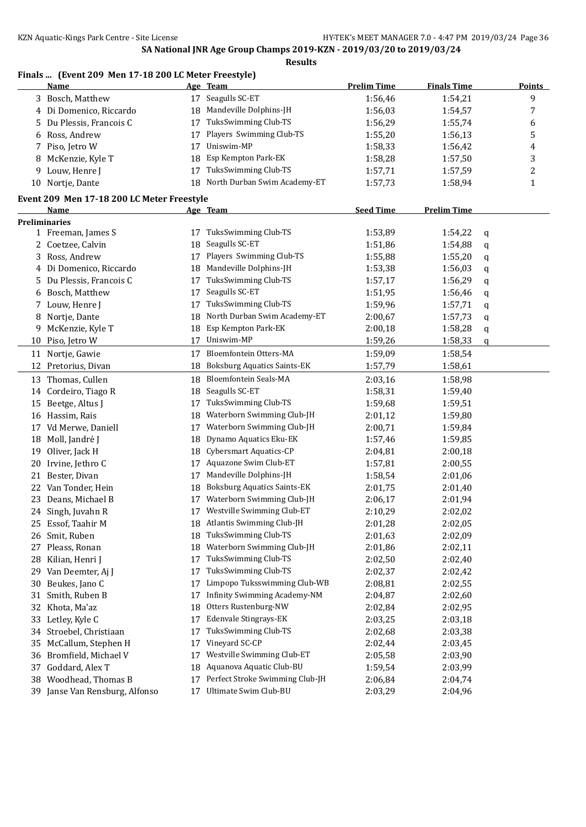#### **Finals ... (Event 209 Men 17-18 200 LC Meter Freestyle)**

|    | <u>Name</u>                                |    | Age Team                           | <b>Prelim Time</b> | <b>Finals Time</b> | <b>Points</b> |
|----|--------------------------------------------|----|------------------------------------|--------------------|--------------------|---------------|
|    | 3 Bosch, Matthew                           |    | 17 Seagulls SC-ET                  | 1:56,46            | 1:54,21            | 9             |
|    | 4 Di Domenico, Riccardo                    | 18 | Mandeville Dolphins-JH             | 1:56,03            | 1:54,57            | 7             |
| 5  | Du Plessis, Francois C                     | 17 | TuksSwimming Club-TS               | 1:56,29            | 1:55,74            | 6             |
| 6  | Ross, Andrew                               | 17 | Players Swimming Club-TS           | 1:55,20            | 1:56,13            | 5             |
| 7  | Piso, Jetro W                              | 17 | Uniswim-MP                         | 1:58,33            | 1:56,42            | 4             |
| 8  | McKenzie, Kyle T                           | 18 | Esp Kempton Park-EK                | 1:58,28            | 1:57,50            | 3             |
| 9  | Louw, Henre J                              | 17 | TuksSwimming Club-TS               | 1:57,71            | 1:57,59            | 2             |
|    | 10 Nortje, Dante                           | 18 | North Durban Swim Academy-ET       | 1:57,73            | 1:58,94            | $\mathbf{1}$  |
|    | Event 209 Men 17-18 200 LC Meter Freestyle |    |                                    |                    |                    |               |
|    | Name                                       |    | Age Team                           | <b>Seed Time</b>   | <b>Prelim Time</b> |               |
|    | <b>Preliminaries</b>                       |    |                                    |                    |                    |               |
|    | 1 Freeman, James S                         | 17 | TuksSwimming Club-TS               | 1:53,89            | 1:54,22            | q             |
|    | 2 Coetzee, Calvin                          | 18 | Seagulls SC-ET                     | 1:51,86            | 1:54,88            | q             |
|    | 3 Ross, Andrew                             | 17 | Players Swimming Club-TS           | 1:55,88            | 1:55,20            | q             |
|    | 4 Di Domenico, Riccardo                    | 18 | Mandeville Dolphins-JH             | 1:53,38            | 1:56,03            | q             |
| 5. | Du Plessis, Francois C                     | 17 | TuksSwimming Club-TS               | 1:57,17            | 1:56,29            | q             |
| 6  | Bosch, Matthew                             | 17 | Seagulls SC-ET                     | 1:51,95            | 1:56,46            | q             |
|    | 7 Louw, Henre J                            | 17 | TuksSwimming Club-TS               | 1:59,96            | 1:57,71            | q             |
| 8  | Nortje, Dante                              | 18 | North Durban Swim Academy-ET       | 2:00,67            | 1:57,73            | q             |
| 9  | McKenzie, Kyle T                           | 18 | Esp Kempton Park-EK                | 2:00,18            | 1:58,28            | q             |
|    | 10 Piso, Jetro W                           | 17 | Uniswim-MP                         | 1:59,26            | 1:58,33            | q             |
|    | 11 Nortje, Gawie                           | 17 | <b>Bloemfontein Otters-MA</b>      | 1:59,09            | 1:58,54            |               |
|    | 12 Pretorius, Divan                        | 18 | <b>Boksburg Aquatics Saints-EK</b> | 1:57,79            | 1:58,61            |               |
| 13 | Thomas, Cullen                             | 18 | Bloemfontein Seals-MA              | 2:03,16            | 1:58,98            |               |
|    | 14 Cordeiro, Tiago R                       | 18 | Seagulls SC-ET                     | 1:58,31            | 1:59,40            |               |
|    | 15 Beetge, Altus J                         | 17 | TuksSwimming Club-TS               | 1:59,68            | 1:59,51            |               |
|    | 16 Hassim, Rais                            | 18 | Waterborn Swimming Club-JH         | 2:01,12            | 1:59,80            |               |
|    | 17 Vd Merwe, Daniell                       | 17 | Waterborn Swimming Club-JH         | 2:00,71            | 1:59,84            |               |
| 18 | Moll, Jandré J                             | 18 | Dynamo Aquatics Eku-EK             | 1:57,46            | 1:59,85            |               |
| 19 | Oliver, Jack H                             | 18 | Cybersmart Aquatics-CP             | 2:04,81            | 2:00,18            |               |
| 20 | Irvine, Jethro C                           | 17 | Aquazone Swim Club-ET              | 1:57,81            | 2:00,55            |               |
| 21 | Bester, Divan                              | 17 | Mandeville Dolphins-JH             | 1:58,54            | 2:01,06            |               |
| 22 | Van Tonder, Hein                           | 18 | <b>Boksburg Aquatics Saints-EK</b> | 2:01,75            | 2:01,40            |               |
|    | 23 Deans, Michael B                        | 17 | Waterborn Swimming Club-JH         | 2:06,17            | 2:01,94            |               |
|    | 24 Singh, Juvahn R                         |    | 17 Westville Swimming Club-ET      | 2:10,29            | 2:02,02            |               |
| 25 | Essof, Taahir M                            | 18 | Atlantis Swimming Club-JH          | 2:01,28            | 2:02,05            |               |
|    | 26 Smit, Ruben                             | 18 | TuksSwimming Club-TS               | 2:01,63            | 2:02,09            |               |
| 27 | Pleass, Ronan                              | 18 | Waterborn Swimming Club-JH         | 2:01,86            | 2:02,11            |               |
| 28 | Kilian, Henri J                            | 17 | TuksSwimming Club-TS               | 2:02,50            | 2:02,40            |               |
| 29 | Van Deemter, Aj J                          | 17 | TuksSwimming Club-TS               | 2:02,37            | 2:02,42            |               |
| 30 | Beukes, Jano C                             | 17 | Limpopo Tuksswimming Club-WB       | 2:08,81            | 2:02,55            |               |
| 31 | Smith, Ruben B                             | 17 | Infinity Swimming Academy-NM       | 2:04,87            | 2:02,60            |               |
| 32 | Khota, Ma'az                               | 18 | Otters Rustenburg-NW               | 2:02,84            | 2:02,95            |               |
| 33 | Letley, Kyle C                             | 17 | Edenvale Stingrays-EK              | 2:03,25            | 2:03,18            |               |
| 34 | Stroebel, Christiaan                       | 17 | TuksSwimming Club-TS               | 2:02,68            | 2:03,38            |               |
| 35 | McCallum, Stephen H                        | 17 | Vineyard SC-CP                     | 2:02,44            | 2:03,45            |               |
| 36 | Bromfield, Michael V                       | 17 | Westville Swimming Club-ET         | 2:05,58            | 2:03,90            |               |
| 37 | Goddard, Alex T                            | 18 | Aquanova Aquatic Club-BU           | 1:59,54            | 2:03,99            |               |
| 38 | Woodhead, Thomas B                         | 17 | Perfect Stroke Swimming Club-JH    | 2:06,84            | 2:04,74            |               |
|    | 39 Janse Van Rensburg, Alfonso             | 17 | Ultimate Swim Club-BU              | 2:03,29            | 2:04,96            |               |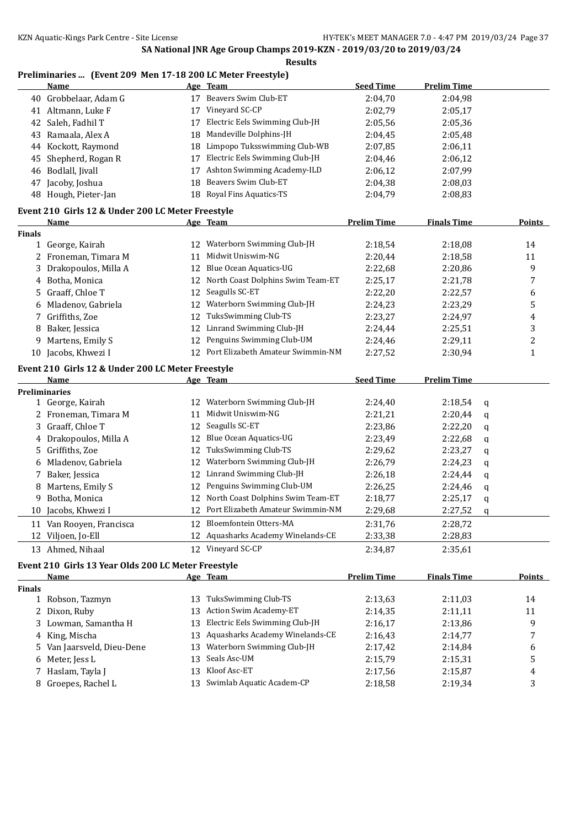### **Preliminaries ... (Event 209 Men 17-18 200 LC Meter Freestyle)**

|               | <b>Name</b>                                         |    | Age Team                             | <b>Seed Time</b>   | <b>Prelim Time</b> |               |
|---------------|-----------------------------------------------------|----|--------------------------------------|--------------------|--------------------|---------------|
|               | 40 Grobbelaar, Adam G                               |    | 17 Beavers Swim Club-ET              | 2:04,70            | 2:04,98            |               |
|               | 41 Altmann, Luke F                                  | 17 | Vineyard SC-CP                       | 2:02,79            | 2:05,17            |               |
|               | 42 Saleh, Fadhil T                                  | 17 | Electric Eels Swimming Club-JH       | 2:05,56            | 2:05,36            |               |
|               | 43 Ramaala, Alex A                                  | 18 | Mandeville Dolphins-JH               | 2:04,45            | 2:05,48            |               |
|               | 44 Kockott, Raymond                                 | 18 | Limpopo Tuksswimming Club-WB         | 2:07,85            | 2:06,11            |               |
| 45            | Shepherd, Rogan R                                   | 17 | Electric Eels Swimming Club-JH       | 2:04,46            | 2:06,12            |               |
| 46            | Bodlall, Jivall                                     | 17 | Ashton Swimming Academy-ILD          | 2:06,12            | 2:07,99            |               |
| 47            | Jacoby, Joshua                                      | 18 | Beavers Swim Club-ET                 | 2:04,38            | 2:08,03            |               |
|               | 48 Hough, Pieter-Jan                                |    | 18 Royal Fins Aquatics-TS            | 2:04,79            | 2:08,83            |               |
|               |                                                     |    |                                      |                    |                    |               |
|               | Event 210 Girls 12 & Under 200 LC Meter Freestyle   |    |                                      |                    |                    |               |
|               | <u>Name</u>                                         |    | Age Team                             | <b>Prelim Time</b> | <b>Finals Time</b> | <b>Points</b> |
| <b>Finals</b> |                                                     |    |                                      |                    |                    |               |
|               | 1 George, Kairah                                    |    | 12 Waterborn Swimming Club-JH        | 2:18,54            | 2:18,08            | 14            |
|               | 2 Froneman, Timara M                                | 11 | Midwit Uniswim-NG                    | 2:20,44            | 2:18,58            | 11            |
| 3             | Drakopoulos, Milla A                                | 12 | Blue Ocean Aquatics-UG               | 2:22,68            | 2:20,86            | 9             |
| 4             | Botha, Monica                                       | 12 | North Coast Dolphins Swim Team-ET    | 2:25,17            | 2:21,78            | 7             |
| 5.            | Graaff, Chloe T                                     | 12 | Seagulls SC-ET                       | 2:22,20            | 2:22,57            | 6             |
| 6             | Mladenov, Gabriela                                  | 12 | Waterborn Swimming Club-JH           | 2:24,23            | 2:23,29            | 5             |
| 7             | Griffiths, Zoe                                      | 12 | TuksSwimming Club-TS                 | 2:23,27            | 2:24,97            | 4             |
| 8             | Baker, Jessica                                      | 12 | Linrand Swimming Club-JH             | 2:24,44            | 2:25,51            | 3             |
| 9             | Martens, Emily S                                    | 12 | Penguins Swimming Club-UM            | 2:24,46            | 2:29,11            | 2             |
| 10            | Jacobs, Khwezi I                                    |    | 12 Port Elizabeth Amateur Swimmin-NM | 2:27,52            | 2:30,94            | $\mathbf{1}$  |
|               | Event 210 Girls 12 & Under 200 LC Meter Freestyle   |    |                                      |                    |                    |               |
|               | Name                                                |    | Age Team                             | <b>Seed Time</b>   | <b>Prelim Time</b> |               |
|               | <b>Preliminaries</b>                                |    |                                      |                    |                    |               |
|               | 1 George, Kairah                                    |    | 12 Waterborn Swimming Club-JH        | 2:24,40            | 2:18,54<br>q       |               |
|               | 2 Froneman, Timara M                                | 11 | Midwit Uniswim-NG                    | 2:21,21            | 2:20,44<br>q       |               |
| 3             | Graaff, Chloe T                                     | 12 | Seagulls SC-ET                       | 2:23,86            | 2:22,20<br>q       |               |
|               | 4 Drakopoulos, Milla A                              | 12 | Blue Ocean Aquatics-UG               | 2:23,49            | 2:22,68<br>q       |               |
| 5.            | Griffiths, Zoe                                      | 12 | TuksSwimming Club-TS                 | 2:29,62            | 2:23,27<br>q       |               |
| 6             | Mladenov, Gabriela                                  | 12 | Waterborn Swimming Club-JH           | 2:26,79            | 2:24,23<br>q       |               |
| 7             | Baker, Jessica                                      | 12 | Linrand Swimming Club-JH             | 2:26,18            | 2:24,44<br>q       |               |
| 8             | Martens, Emily S                                    | 12 | Penguins Swimming Club-UM            | 2:26,25            | 2:24,46<br>q       |               |
| 9             | Botha, Monica                                       | 12 | North Coast Dolphins Swim Team-ET    | 2:18,77            | 2:25,17<br>q       |               |
| 10            | Jacobs, Khwezi I                                    |    | 12 Port Elizabeth Amateur Swimmin-NM | 2:29,68            | 2:27,52<br>q       |               |
|               | 11 Van Rooyen, Francisca                            |    | 12 Bloemfontein Otters-MA            | 2:31,76            | 2:28,72            |               |
|               | 12 Viljoen, Jo-Ell                                  |    | 12 Aquasharks Academy Winelands-CE   | 2:33,38            | 2:28,83            |               |
|               |                                                     |    |                                      |                    |                    |               |
|               | 13 Ahmed, Nihaal                                    |    | 12 Vineyard SC-CP                    | 2:34,87            | 2:35,61            |               |
|               | Event 210 Girls 13 Year Olds 200 LC Meter Freestyle |    |                                      |                    |                    |               |
|               | <b>Name</b>                                         |    | Age Team                             | <b>Prelim Time</b> | <b>Finals Time</b> | <b>Points</b> |
| <b>Finals</b> |                                                     |    |                                      |                    |                    |               |
| 1             | Robson, Tazmyn                                      |    | 13 TuksSwimming Club-TS              | 2:13,63            | 2:11,03            | 14            |
| 2             | Dixon, Ruby                                         | 13 | Action Swim Academy-ET               | 2:14,35            | 2:11,11            | 11            |
| 3             | Lowman, Samantha H                                  | 13 | Electric Eels Swimming Club-JH       | 2:16,17            | 2:13,86            | 9             |
| 4             | King, Mischa                                        | 13 | Aquasharks Academy Winelands-CE      | 2:16,43            | 2:14,77            | 7             |
| 5.            | Van Jaarsveld, Dieu-Dene                            | 13 | Waterborn Swimming Club-JH           | 2:17,42            | 2:14,84            | 6             |
| 6             | Meter, Jess L                                       | 13 | Seals Asc-UM                         | 2:15,79            | 2:15,31            | 5             |
| 7             | Haslam, Tayla J                                     |    | 13 Kloof Asc-ET                      | 2:17,56            | 2:15,87            | 4             |
|               | Groepes, Rachel L                                   |    | 13 Swimlab Aquatic Academ-CP         | 2:18,58            | 2:19,34            | 3             |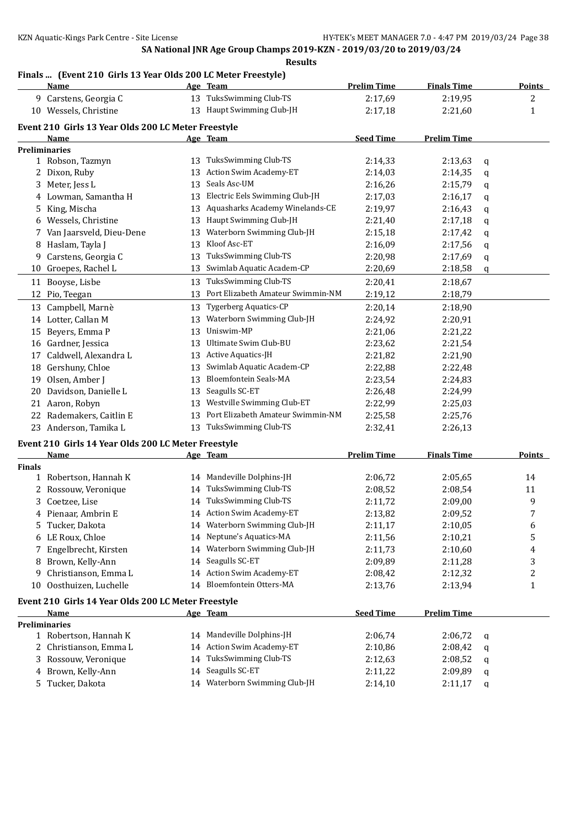## **Finals ... (Event 210 Girls 13 Year Olds 200 LC Meter Freestyle)**

|               | Finals  [Event 210 Girls 15 fear Olds 200 LC Meter Freestyle]<br><u>Name</u> |    | Age Team                                            | <b>Prelim Time</b> | <b>Finals Time</b> |   | <b>Points</b> |
|---------------|------------------------------------------------------------------------------|----|-----------------------------------------------------|--------------------|--------------------|---|---------------|
|               | 9 Carstens, Georgia C                                                        |    | 13 TuksSwimming Club-TS                             | 2:17,69            | 2:19,95            |   | 2             |
|               | 10 Wessels, Christine                                                        |    | 13 Haupt Swimming Club-JH                           | 2:17,18            | 2:21,60            |   | $\mathbf{1}$  |
|               | Event 210 Girls 13 Year Olds 200 LC Meter Freestyle                          |    |                                                     |                    |                    |   |               |
|               | Name                                                                         |    | Age Team                                            | <b>Seed Time</b>   | <b>Prelim Time</b> |   |               |
|               | Preliminaries                                                                |    |                                                     |                    |                    |   |               |
|               | 1 Robson, Tazmyn                                                             |    | 13 TuksSwimming Club-TS                             | 2:14,33            | 2:13,63            | q |               |
|               | 2 Dixon, Ruby                                                                | 13 | Action Swim Academy-ET                              | 2:14,03            | 2:14,35            | q |               |
|               | 3 Meter, Jess L                                                              | 13 | Seals Asc-UM                                        | 2:16,26            | 2:15,79            | q |               |
|               | 4 Lowman, Samantha H                                                         | 13 | Electric Eels Swimming Club-JH                      | 2:17,03            | 2:16,17            | q |               |
| 5.            | King, Mischa                                                                 | 13 | Aquasharks Academy Winelands-CE                     | 2:19,97            | 2:16,43            | q |               |
| 6             | Wessels, Christine                                                           | 13 | Haupt Swimming Club-JH                              | 2:21,40            | 2:17,18            | q |               |
| 7             | Van Jaarsveld, Dieu-Dene                                                     | 13 | Waterborn Swimming Club-JH                          | 2:15,18            | 2:17,42            | q |               |
| 8             | Haslam, Tayla J                                                              | 13 | Kloof Asc-ET                                        | 2:16,09            | 2:17,56            | q |               |
| 9             | Carstens, Georgia C                                                          | 13 | TuksSwimming Club-TS                                | 2:20,98            | 2:17,69            | q |               |
|               | 10 Groepes, Rachel L                                                         | 13 | Swimlab Aquatic Academ-CP                           | 2:20,69            | 2:18,58            | q |               |
|               | 11 Booyse, Lisbe                                                             | 13 | TuksSwimming Club-TS                                | 2:20,41            | 2:18,67            |   |               |
|               | 12 Pio, Teegan                                                               | 13 | Port Elizabeth Amateur Swimmin-NM                   | 2:19,12            | 2:18,79            |   |               |
|               | 13 Campbell, Marnè                                                           | 13 | <b>Tygerberg Aquatics-CP</b>                        | 2:20,14            | 2:18,90            |   |               |
|               | 14 Lotter, Callan M                                                          | 13 | Waterborn Swimming Club-JH                          | 2:24,92            | 2:20,91            |   |               |
|               | 15 Beyers, Emma P                                                            | 13 | Uniswim-MP                                          | 2:21,06            | 2:21,22            |   |               |
|               | 16 Gardner, Jessica                                                          | 13 | Ultimate Swim Club-BU                               | 2:23,62            | 2:21,54            |   |               |
| 17            | Caldwell, Alexandra L                                                        | 13 | Active Aquatics-JH                                  | 2:21,82            | 2:21,90            |   |               |
|               | 18 Gershuny, Chloe                                                           | 13 | Swimlab Aquatic Academ-CP                           | 2:22,88            | 2:22,48            |   |               |
| 19            | Olsen, Amber J                                                               | 13 | Bloemfontein Seals-MA                               | 2:23,54            | 2:24,83            |   |               |
| 20            | Davidson, Danielle L                                                         | 13 | Seagulls SC-ET                                      | 2:26,48            | 2:24,99            |   |               |
| 21            | Aaron, Robyn                                                                 | 13 | Westville Swimming Club-ET                          | 2:22,99            | 2:25,03            |   |               |
| 22            | Rademakers, Caitlin E                                                        | 13 | Port Elizabeth Amateur Swimmin-NM                   | 2:25,58            | 2:25,76            |   |               |
|               | 23 Anderson, Tamika L                                                        | 13 | TuksSwimming Club-TS                                | 2:32,41            | 2:26,13            |   |               |
|               |                                                                              |    |                                                     |                    |                    |   |               |
|               | Event 210 Girls 14 Year Olds 200 LC Meter Freestyle                          |    |                                                     |                    |                    |   |               |
|               | Name                                                                         |    | Age Team                                            | <b>Prelim Time</b> | <b>Finals Time</b> |   | <b>Points</b> |
| <b>Finals</b> |                                                                              |    |                                                     |                    |                    |   |               |
|               | 1 Robertson, Hannah K                                                        | 14 | Mandeville Dolphins-JH                              | 2:06,72            | 2:05,65            |   | 14            |
|               | 2 Rossouw, Veronique                                                         | 14 | TuksSwimming Club-TS<br>14 TuksSwimming Club-TS     | 2:08,52            | 2:08,54            |   | 11            |
| 3             | Coetzee, Lise                                                                |    | 14 Action Swim Academy-ET                           | 2:11,72            | 2:09,00            |   | 9<br>7        |
|               | 4 Pienaar, Ambrin E                                                          |    |                                                     | 2:13,82            | 2:09,52            |   |               |
|               | 5 Tucker, Dakota                                                             |    | 14 Waterborn Swimming Club-JH                       | 2:11,17            | 2:10,05            |   | 6             |
|               | 6 LE Roux, Chloe                                                             | 14 | Neptune's Aquatics-MA<br>Waterborn Swimming Club-JH | 2:11,56            | 2:10,21            |   | 5             |
|               | 7 Engelbrecht, Kirsten                                                       | 14 |                                                     | 2:11,73            | 2:10,60            |   | 4             |
|               | 8 Brown, Kelly-Ann                                                           |    | 14 Seagulls SC-ET                                   | 2:09,89            | 2:11,28            |   | 3             |
| 9             | Christianson, Emma L                                                         | 14 | Action Swim Academy-ET                              | 2:08,42            | 2:12,32            |   | 2             |
| 10            | Oosthuizen, Luchelle                                                         |    | 14 Bloemfontein Otters-MA                           | 2:13,76            | 2:13,94            |   | 1             |
|               | Event 210 Girls 14 Year Olds 200 LC Meter Freestyle                          |    |                                                     |                    |                    |   |               |
|               | <u>Name</u>                                                                  |    | Age Team                                            | <b>Seed Time</b>   | <b>Prelim Time</b> |   |               |
|               | <b>Preliminaries</b>                                                         |    |                                                     |                    |                    |   |               |
|               | 1 Robertson, Hannah K                                                        | 14 | Mandeville Dolphins-JH                              | 2:06,74            | 2:06,72            | q |               |
|               | 2 Christianson, Emma L                                                       | 14 | Action Swim Academy-ET                              | 2:10,86            | 2:08,42            | q |               |
| 3             | Rossouw, Veronique                                                           | 14 | TuksSwimming Club-TS                                | 2:12,63            | 2:08,52            | q |               |
| 4             | Brown, Kelly-Ann                                                             | 14 | Seagulls SC-ET                                      | 2:11,22            | 2:09,89            | q |               |
|               | 5 Tucker, Dakota                                                             |    | 14 Waterborn Swimming Club-JH                       | 2:14,10            | 2:11,17            | q |               |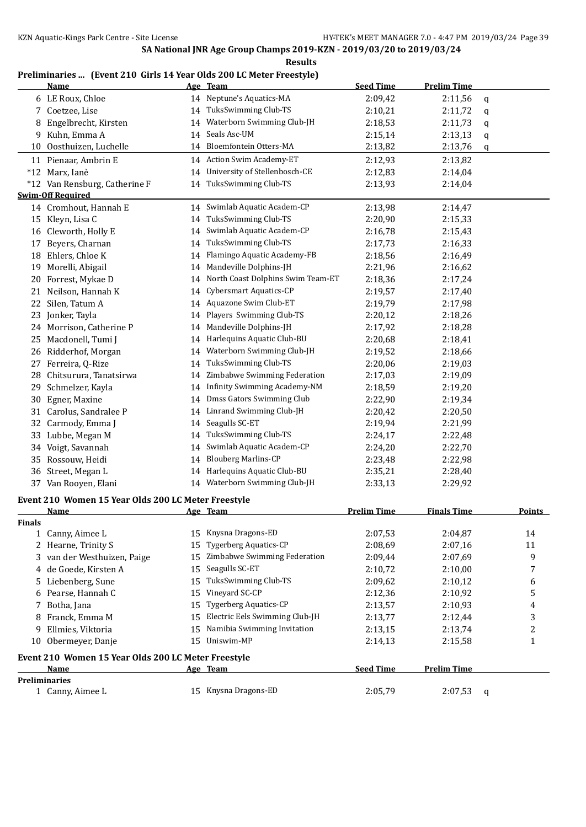| \SIII<br>`<br>- -<br>w |
|------------------------|
|------------------------|

## **Preliminaries ... (Event 210 Girls 14 Year Olds 200 LC Meter Freestyle)**

|                                                            | <b>Name</b>                                         |    | Age Team                          | <b>Seed Time</b>   | <b>Prelim Time</b> |   |                         |
|------------------------------------------------------------|-----------------------------------------------------|----|-----------------------------------|--------------------|--------------------|---|-------------------------|
|                                                            | 6 LE Roux, Chloe                                    |    | 14 Neptune's Aquatics-MA          | 2:09,42            | 2:11,56            | q |                         |
|                                                            | 7 Coetzee, Lise                                     | 14 | TuksSwimming Club-TS              | 2:10,21            | 2:11,72            | q |                         |
|                                                            | Engelbrecht, Kirsten                                | 14 | Waterborn Swimming Club-JH        | 2:18,53            | 2:11,73            | q |                         |
| 9.                                                         | Kuhn, Emma A                                        | 14 | Seals Asc-UM                      | 2:15,14            | 2:13,13            | q |                         |
| 10                                                         | Oosthuizen, Luchelle                                | 14 | Bloemfontein Otters-MA            | 2:13,82            | 2:13,76            | q |                         |
|                                                            | 11 Pienaar, Ambrin E                                |    | 14 Action Swim Academy-ET         | 2:12,93            | 2:13,82            |   |                         |
|                                                            | *12 Marx, Ianè                                      |    | 14 University of Stellenbosch-CE  | 2:12,83            | 2:14,04            |   |                         |
|                                                            | *12 Van Rensburg, Catherine F                       |    | 14 TuksSwimming Club-TS           | 2:13,93            | 2:14,04            |   |                         |
|                                                            | <b>Swim-Off Required</b>                            |    |                                   |                    |                    |   |                         |
|                                                            | 14 Cromhout, Hannah E                               |    | 14 Swimlab Aquatic Academ-CP      | 2:13,98            | 2:14,47            |   |                         |
|                                                            | 15 Kleyn, Lisa C                                    | 14 | TuksSwimming Club-TS              | 2:20,90            | 2:15,33            |   |                         |
|                                                            | 16 Cleworth, Holly E                                |    | 14 Swimlab Aquatic Academ-CP      | 2:16,78            | 2:15,43            |   |                         |
| 17                                                         | Beyers, Charnan                                     | 14 | TuksSwimming Club-TS              | 2:17,73            | 2:16,33            |   |                         |
| 18                                                         | Ehlers, Chloe K                                     | 14 | Flamingo Aquatic Academy-FB       | 2:18,56            | 2:16,49            |   |                         |
| 19                                                         | Morelli, Abigail                                    | 14 | Mandeville Dolphins-JH            | 2:21,96            | 2:16,62            |   |                         |
| 20                                                         | Forrest, Mykae D                                    | 14 | North Coast Dolphins Swim Team-ET | 2:18,36            | 2:17,24            |   |                         |
|                                                            | 21 Neilson, Hannah K                                | 14 | Cybersmart Aquatics-CP            | 2:19,57            | 2:17,40            |   |                         |
|                                                            | 22 Silen, Tatum A                                   | 14 | Aquazone Swim Club-ET             | 2:19,79            | 2:17,98            |   |                         |
|                                                            | 23 Jonker, Tayla                                    | 14 | Players Swimming Club-TS          | 2:20,12            | 2:18,26            |   |                         |
|                                                            | 24 Morrison, Catherine P                            | 14 | Mandeville Dolphins-JH            | 2:17,92            | 2:18,28            |   |                         |
|                                                            | 25 Macdonell, Tumi J                                | 14 | Harlequins Aquatic Club-BU        | 2:20,68            | 2:18,41            |   |                         |
|                                                            | 26 Ridderhof, Morgan                                | 14 | Waterborn Swimming Club-JH        | 2:19,52            | 2:18,66            |   |                         |
|                                                            | 27 Ferreira, Q-Rize                                 | 14 | TuksSwimming Club-TS              | 2:20,06            | 2:19,03            |   |                         |
|                                                            | 28 Chitsurura, Tanatsirwa                           | 14 | Zimbabwe Swimming Federation      | 2:17,03            | 2:19,09            |   |                         |
|                                                            | 29 Schmelzer, Kayla                                 | 14 | Infinity Swimming Academy-NM      | 2:18,59            | 2:19,20            |   |                         |
|                                                            | 30 Egner, Maxine                                    | 14 | Dmss Gators Swimming Club         | 2:22,90            | 2:19,34            |   |                         |
| 31                                                         | Carolus, Sandralee P                                |    | 14 Linrand Swimming Club-JH       | 2:20,42            | 2:20,50            |   |                         |
| 32                                                         | Carmody, Emma J                                     | 14 | Seagulls SC-ET                    | 2:19,94            | 2:21,99            |   |                         |
| 33                                                         | Lubbe, Megan M                                      | 14 | TuksSwimming Club-TS              | 2:24,17            | 2:22,48            |   |                         |
| 34                                                         | Voigt, Savannah                                     | 14 | Swimlab Aquatic Academ-CP         | 2:24,20            | 2:22,70            |   |                         |
| 35                                                         | Rossouw, Heidi                                      | 14 | <b>Blouberg Marlins-CP</b>        | 2:23,48            | 2:22,98            |   |                         |
|                                                            | 36 Street, Megan L                                  |    | 14 Harlequins Aquatic Club-BU     | 2:35,21            | 2:28,40            |   |                         |
|                                                            | 37 Van Rooyen, Elani                                |    | 14 Waterborn Swimming Club-JH     | 2:33,13            | 2:29,92            |   |                         |
|                                                            | Event 210 Women 15 Year Olds 200 LC Meter Freestyle |    |                                   |                    |                    |   |                         |
|                                                            | <u>Name</u>                                         |    | Age Team                          | <b>Prelim Time</b> | <b>Finals Time</b> |   | <b>Points</b>           |
| <b>Finals</b>                                              |                                                     |    |                                   |                    |                    |   |                         |
|                                                            | 1 Canny, Aimee L                                    |    | 15 Knysna Dragons-ED              | 2:07,53            | 2:04,87            |   | 14                      |
| 2                                                          | Hearne, Trinity S                                   | 15 | <b>Tygerberg Aquatics-CP</b>      | 2:08,69            | 2:07,16            |   | 11                      |
| 3                                                          | van der Westhuizen, Paige                           | 15 | Zimbabwe Swimming Federation      | 2:09,44            | 2:07,69            |   | 9                       |
| 4                                                          | de Goede, Kirsten A                                 | 15 | Seagulls SC-ET                    | 2:10,72            | 2:10,00            |   | 7                       |
| 5.                                                         | Liebenberg, Sune                                    | 15 | TuksSwimming Club-TS              | 2:09,62            | 2:10,12            |   | 6                       |
| 6                                                          | Pearse, Hannah C                                    | 15 | Vineyard SC-CP                    | 2:12,36            | 2:10,92            |   | 5                       |
| 7                                                          | Botha, Jana                                         | 15 | <b>Tygerberg Aquatics-CP</b>      | 2:13,57            | 2:10,93            |   | 4                       |
| 8                                                          | Franck, Emma M                                      | 15 | Electric Eels Swimming Club-JH    | 2:13,77            | 2:12,44            |   | 3                       |
| 9                                                          | Ellmies, Viktoria                                   | 15 | Namibia Swimming Invitation       | 2:13,15            | 2:13,74            |   | $\overline{\mathbf{c}}$ |
|                                                            | 10 Obermeyer, Danje                                 | 15 | Uniswim-MP                        | 2:14,13            | 2:15,58            |   | $\mathbf{1}$            |
|                                                            | Event 210 Women 15 Year Olds 200 LC Meter Freestyle |    |                                   |                    |                    |   |                         |
| <b>Seed Time</b><br><b>Prelim Time</b><br>Name<br>Age Team |                                                     |    |                                   |                    |                    |   |                         |
|                                                            | <b>Preliminaries</b>                                |    |                                   |                    |                    |   |                         |
|                                                            | 1 Canny, Aimee L                                    |    | 15 Knysna Dragons-ED              | 2:05,79            | 2:07,53            | q |                         |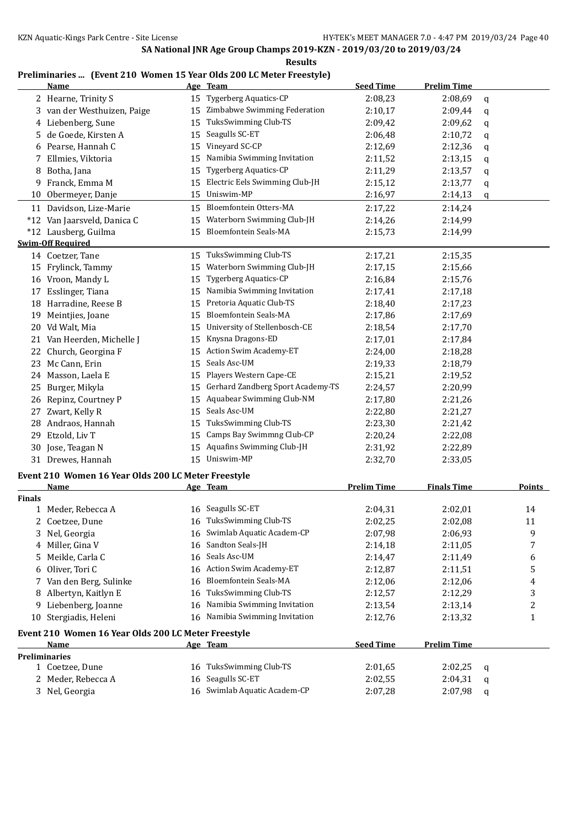| Preliminaries  (Event 210 Women 15 Year Olds 200 LC Meter Freestyle) |  |  |  |
|----------------------------------------------------------------------|--|--|--|
|                                                                      |  |  |  |

|               | <b>Name</b>                                         |    | Age Team                          | <b>Seed Time</b>   | <b>Prelim Time</b> |   |               |
|---------------|-----------------------------------------------------|----|-----------------------------------|--------------------|--------------------|---|---------------|
|               | 2 Hearne, Trinity S                                 | 15 | <b>Tygerberg Aquatics-CP</b>      | 2:08,23            | 2:08,69            | q |               |
|               | 3 van der Westhuizen, Paige                         | 15 | Zimbabwe Swimming Federation      | 2:10,17            | 2:09,44            | q |               |
|               | 4 Liebenberg, Sune                                  | 15 | TuksSwimming Club-TS              | 2:09,42            | 2:09,62            | q |               |
| 5             | de Goede, Kirsten A                                 | 15 | Seagulls SC-ET                    | 2:06,48            | 2:10,72            | q |               |
|               | 6 Pearse, Hannah C                                  | 15 | Vineyard SC-CP                    | 2:12,69            | 2:12,36            | q |               |
|               | 7 Ellmies, Viktoria                                 | 15 | Namibia Swimming Invitation       | 2:11,52            | 2:13,15            | q |               |
|               | 8 Botha, Jana                                       | 15 | Tygerberg Aquatics-CP             | 2:11,29            | 2:13,57            | q |               |
| 9.            | Franck, Emma M                                      | 15 | Electric Eels Swimming Club-JH    | 2:15,12            | 2:13,77            | q |               |
|               | 10 Obermeyer, Danje                                 | 15 | Uniswim-MP                        | 2:16,97            | 2:14,13            | q |               |
|               | 11 Davidson, Lize-Marie                             | 15 | Bloemfontein Otters-MA            | 2:17,22            | 2:14,24            |   |               |
|               | *12 Van Jaarsveld, Danica C                         | 15 | Waterborn Swimming Club-JH        | 2:14,26            | 2:14,99            |   |               |
|               | *12 Lausberg, Guilma                                |    | 15 Bloemfontein Seals-MA          | 2:15,73            | 2:14,99            |   |               |
|               | <b>Swim-Off Required</b>                            |    |                                   |                    |                    |   |               |
|               | 14 Coetzer, Tane                                    |    | 15 TuksSwimming Club-TS           | 2:17,21            | 2:15,35            |   |               |
|               | 15 Frylinck, Tammy                                  | 15 | Waterborn Swimming Club-JH        | 2:17,15            | 2:15,66            |   |               |
|               | 16 Vroon, Mandy L                                   | 15 | <b>Tygerberg Aquatics-CP</b>      | 2:16,84            | 2:15,76            |   |               |
|               | 17 Esslinger, Tiana                                 | 15 | Namibia Swimming Invitation       | 2:17,41            | 2:17,18            |   |               |
|               | 18 Harradine, Reese B                               | 15 | Pretoria Aquatic Club-TS          | 2:18,40            | 2:17,23            |   |               |
|               | 19 Meintjies, Joane                                 | 15 | Bloemfontein Seals-MA             | 2:17,86            | 2:17,69            |   |               |
|               | 20 Vd Walt, Mia                                     | 15 | University of Stellenbosch-CE     | 2:18,54            | 2:17,70            |   |               |
|               | 21 Van Heerden, Michelle J                          | 15 | Knysna Dragons-ED                 | 2:17,01            | 2:17,84            |   |               |
|               | 22 Church, Georgina F                               | 15 | Action Swim Academy-ET            | 2:24,00            | 2:18,28            |   |               |
|               | 23 Mc Cann, Erin                                    | 15 | Seals Asc-UM                      | 2:19,33            | 2:18,79            |   |               |
|               | 24 Masson, Laela E                                  | 15 | Players Western Cape-CE           | 2:15,21            | 2:19,52            |   |               |
|               | 25 Burger, Mikyla                                   | 15 | Gerhard Zandberg Sport Academy-TS | 2:24,57            | 2:20,99            |   |               |
|               | 26 Repinz, Courtney P                               | 15 | Aquabear Swimming Club-NM         | 2:17,80            | 2:21,26            |   |               |
| 27            | Zwart, Kelly R                                      | 15 | Seals Asc-UM                      | 2:22,80            | 2:21,27            |   |               |
| 28            | Andraos, Hannah                                     | 15 | TuksSwimming Club-TS              | 2:23,30            | 2:21,42            |   |               |
| 29            | Etzold, Liv T                                       | 15 | Camps Bay Swimmng Club-CP         | 2:20,24            | 2:22,08            |   |               |
|               | 30 Jose, Teagan N                                   | 15 | Aquafins Swimming Club-JH         | 2:31,92            | 2:22,89            |   |               |
|               | 31 Drewes, Hannah                                   | 15 | Uniswim-MP                        | 2:32,70            | 2:33,05            |   |               |
|               |                                                     |    |                                   |                    |                    |   |               |
|               | Event 210 Women 16 Year Olds 200 LC Meter Freestyle |    |                                   |                    |                    |   |               |
|               | Name                                                |    | Age Team                          | <b>Prelim Time</b> | <b>Finals Time</b> |   | <b>Points</b> |
| <b>Finals</b> | 1 Meder, Rebecca A                                  |    | 16 Seagulls SC-ET                 | 2:04,31            | 2:02,01            |   | 14            |
|               | 2 Coetzee, Dune                                     |    | 16 TuksSwimming Club-TS           | 2:02,25            | 2:02,08            |   | 11            |
| 3             | Nel, Georgia                                        |    | 16 Swimlab Aquatic Academ-CP      | 2:07,98            | 2:06,93            |   | 9             |
|               | 4 Miller, Gina V                                    | 16 | Sandton Seals-JH                  | 2:14,18            | 2:11,05            |   | 7             |
| 5             | Meikle, Carla C                                     | 16 | Seals Asc-UM                      | 2:14,47            | 2:11,49            |   | 6             |
| 6             | Oliver, Tori C                                      | 16 | Action Swim Academy-ET            | 2:12,87            | 2:11,51            |   | 5             |
| 7             | Van den Berg, Sulinke                               | 16 | <b>Bloemfontein Seals-MA</b>      | 2:12,06            | 2:12,06            |   | 4             |
| 8             | Albertyn, Kaitlyn E                                 | 16 | TuksSwimming Club-TS              | 2:12,57            | 2:12,29            |   | 3             |
|               | Liebenberg, Joanne                                  | 16 | Namibia Swimming Invitation       | 2:13,54            | 2:13,14            |   | 2             |
| 9             |                                                     | 16 | Namibia Swimming Invitation       |                    |                    |   |               |
|               | 10 Stergiadis, Heleni                               |    |                                   | 2:12,76            | 2:13,32            |   | 1             |
|               | Event 210 Women 16 Year Olds 200 LC Meter Freestyle |    |                                   |                    |                    |   |               |
|               | Name                                                |    | Age Team                          | <b>Seed Time</b>   | <b>Prelim Time</b> |   |               |
|               | <b>Preliminaries</b>                                |    |                                   |                    |                    |   |               |
|               | 1 Coetzee, Dune                                     |    | 16 TuksSwimming Club-TS           | 2:01,65            | 2:02,25            | q |               |
|               | 2 Meder, Rebecca A                                  |    | 16 Seagulls SC-ET                 | 2:02,55            | 2:04,31            | q |               |
|               | 3 Nel, Georgia                                      |    | 16 Swimlab Aquatic Academ-CP      | 2:07,28            | 2:07,98            | q |               |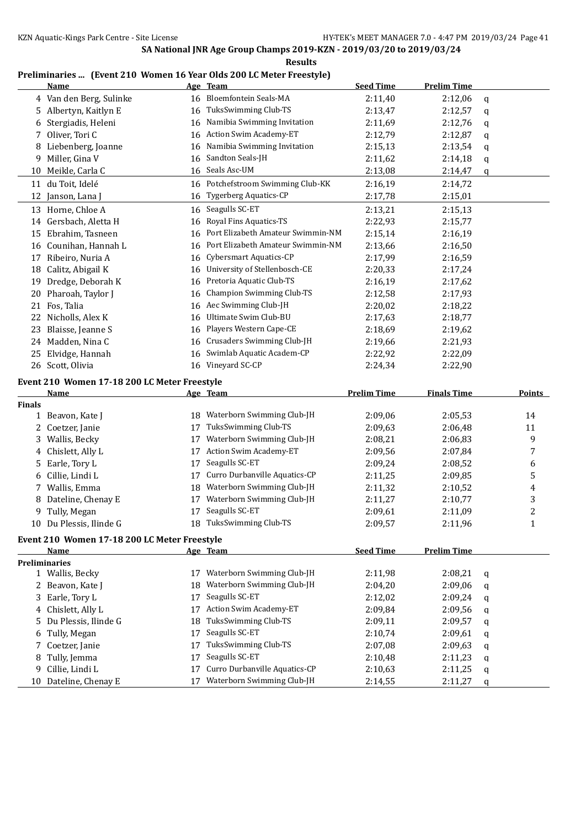#### **Results**

### **Preliminaries ... (Event 210 Women 16 Year Olds 200 LC Meter Freestyle)**

|               | Name                                         |          | Age Team                                                    | <b>Seed Time</b>   | <b>Prelim Time</b> |        |                         |
|---------------|----------------------------------------------|----------|-------------------------------------------------------------|--------------------|--------------------|--------|-------------------------|
|               | 4 Van den Berg, Sulinke                      | 16       | Bloemfontein Seals-MA                                       | 2:11,40            | 2:12,06            | q      |                         |
| 5.            | Albertyn, Kaitlyn E                          | 16       | TuksSwimming Club-TS                                        | 2:13,47            | 2:12,57            | q      |                         |
| 6             | Stergiadis, Heleni                           | 16       | Namibia Swimming Invitation                                 | 2:11,69            | 2:12,76            | q      |                         |
| 7             | Oliver, Tori C                               | 16       | Action Swim Academy-ET                                      | 2:12,79            | 2:12,87            | q      |                         |
| 8             | Liebenberg, Joanne                           | 16       | Namibia Swimming Invitation                                 | 2:15,13            | 2:13,54            | q      |                         |
| 9             | Miller, Gina V                               | 16       | Sandton Seals-JH                                            | 2:11,62            | 2:14,18            | q      |                         |
|               | 10 Meikle, Carla C                           | 16       | Seals Asc-UM                                                | 2:13,08            | 2:14,47            | q      |                         |
| 11            | du Toit, Idelé                               | 16       | Potchefstroom Swimming Club-KK                              | 2:16,19            | 2:14,72            |        |                         |
| 12            | Janson, Lana J                               | 16       | Tygerberg Aquatics-CP                                       | 2:17,78            | 2:15,01            |        |                         |
|               | 13 Horne, Chloe A                            | 16       | Seagulls SC-ET                                              | 2:13,21            | 2:15,13            |        |                         |
| 14            | Gersbach, Aletta H                           | 16       | Royal Fins Aquatics-TS                                      | 2:22,93            | 2:15,77            |        |                         |
| 15            | Ebrahim, Tasneen                             | 16       | Port Elizabeth Amateur Swimmin-NM                           | 2:15,14            | 2:16,19            |        |                         |
| 16            | Counihan, Hannah L                           | 16       | Port Elizabeth Amateur Swimmin-NM                           | 2:13,66            | 2:16,50            |        |                         |
| 17            | Ribeiro, Nuria A                             | 16       | Cybersmart Aquatics-CP                                      | 2:17,99            | 2:16,59            |        |                         |
| 18            | Calitz, Abigail K                            | 16       | University of Stellenbosch-CE                               | 2:20,33            | 2:17,24            |        |                         |
| 19            | Dredge, Deborah K                            | 16       | Pretoria Aquatic Club-TS                                    | 2:16,19            | 2:17,62            |        |                         |
| 20            | Pharoah, Taylor J                            | 16       | <b>Champion Swimming Club-TS</b>                            | 2:12,58            | 2:17,93            |        |                         |
| 21            | Fos, Talia                                   | 16       | Aec Swimming Club-JH                                        | 2:20,02            | 2:18,22            |        |                         |
| 22            | Nicholls, Alex K                             | 16       | Ultimate Swim Club-BU                                       | 2:17,63            | 2:18,77            |        |                         |
| 23            | Blaisse, Jeanne S                            | 16       | Players Western Cape-CE                                     | 2:18,69            | 2:19,62            |        |                         |
|               | 24 Madden, Nina C                            | 16       | Crusaders Swimming Club-JH                                  | 2:19,66            | 2:21,93            |        |                         |
| 25            | Elvidge, Hannah                              | 16       | Swimlab Aquatic Academ-CP                                   | 2:22,92            | 2:22,09            |        |                         |
|               | 26 Scott, Olivia                             | 16       | Vineyard SC-CP                                              | 2:24,34            | 2:22,90            |        |                         |
|               |                                              |          |                                                             |                    |                    |        |                         |
|               | Event 210 Women 17-18 200 LC Meter Freestyle |          |                                                             |                    |                    |        |                         |
|               |                                              |          |                                                             |                    |                    |        |                         |
|               | <b>Name</b>                                  |          | Age Team                                                    | <b>Prelim Time</b> | <b>Finals Time</b> |        | <b>Points</b>           |
| <b>Finals</b> |                                              |          |                                                             |                    |                    |        |                         |
|               | 1 Beavon, Kate J                             | 18       | Waterborn Swimming Club-JH                                  | 2:09,06            | 2:05,53            |        | 14                      |
| 2             | Coetzer, Janie                               | 17       | TuksSwimming Club-TS                                        | 2:09,63            | 2:06,48            |        | 11                      |
| 3             | Wallis, Becky                                | 17       | Waterborn Swimming Club-JH                                  | 2:08,21            | 2:06,83            |        | 9                       |
| 4             | Chislett, Ally L                             | 17       | Action Swim Academy-ET                                      | 2:09,56            | 2:07,84            |        | 7                       |
| 5.            | Earle, Tory L                                | 17       | Seagulls SC-ET                                              | 2:09,24            | 2:08,52            |        | 6                       |
| 6             | Cillie, Lindi L                              | 17       | Curro Durbanville Aquatics-CP                               | 2:11,25            | 2:09,85            |        | 5                       |
| 7             | Wallis, Emma                                 | 18       | Waterborn Swimming Club-JH                                  | 2:11,32            | 2:10,52            |        | 4                       |
| 8             | Dateline, Chenay E                           | 17       | Waterborn Swimming Club-JH                                  | 2:11,27            | 2:10,77            |        | 3                       |
|               | 9 Tully, Megan                               | 17       | Seagulls SC-ET                                              | 2:09,61            | 2:11,09            |        | $\overline{\mathbf{c}}$ |
|               | 10 Du Plessis, Ilinde G                      |          | 18 TuksSwimming Club-TS                                     | 2:09,57            | 2:11,96            |        | 1                       |
|               | Event 210 Women 17-18 200 LC Meter Freestyle |          |                                                             |                    |                    |        |                         |
|               | Name                                         |          | Age Team                                                    | <b>Seed Time</b>   | <b>Prelim Time</b> |        |                         |
|               | <b>Preliminaries</b>                         |          |                                                             |                    |                    |        |                         |
|               | 1 Wallis, Becky                              |          | 17 Waterborn Swimming Club-JH                               | 2:11,98            | 2:08,21            | q      |                         |
|               | 2 Beavon, Kate J                             | 18       | Waterborn Swimming Club-JH                                  | 2:04,20            | 2:09,06            | q      |                         |
|               | 3 Earle, Tory L                              | 17       | Seagulls SC-ET                                              | 2:12,02            | 2:09,24            | q      |                         |
|               | 4 Chislett, Ally L                           | 17       | Action Swim Academy-ET                                      | 2:09,84            | 2:09,56            | q      |                         |
| 5.            | Du Plessis, Ilinde G                         | 18       | TuksSwimming Club-TS                                        | 2:09,11            | 2:09,57            | q      |                         |
| 6             | Tully, Megan                                 | 17       | Seagulls SC-ET                                              | 2:10,74            | 2:09,61            | q      |                         |
| 7             | Coetzer, Janie                               | 17       | TuksSwimming Club-TS                                        | 2:07,08            | 2:09,63            | q      |                         |
| 8             | Tully, Jemma                                 | 17       | Seagulls SC-ET                                              | 2:10,48            | 2:11,23            | q      |                         |
| 9             | Cillie, Lindi L<br>10 Dateline, Chenay E     | 17<br>17 | Curro Durbanville Aquatics-CP<br>Waterborn Swimming Club-JH | 2:10,63<br>2:14,55 | 2:11,25<br>2:11,27 | q<br>q |                         |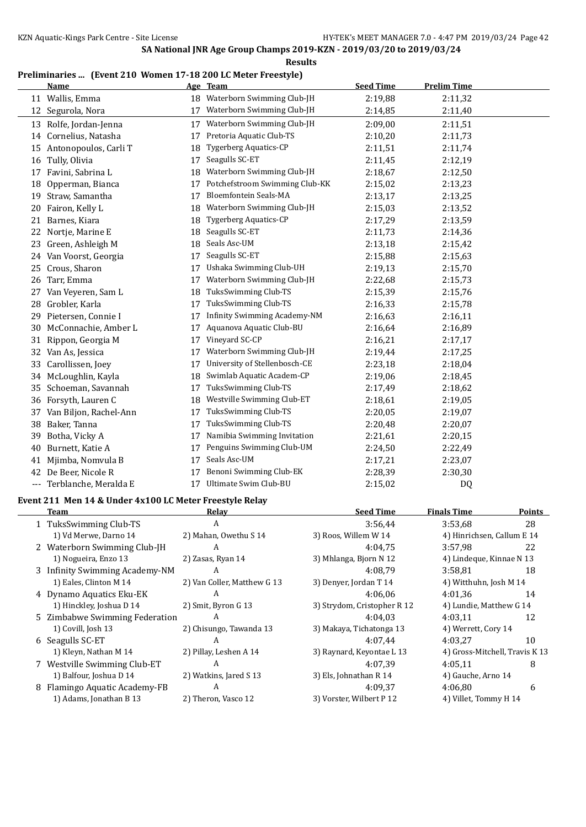### **Preliminaries ... (Event 210 Women 17-18 200 LC Meter Freestyle)**

|     | <b>Name</b>              |    | Age Team                       | <b>Seed Time</b> | <b>Prelim Time</b> |  |
|-----|--------------------------|----|--------------------------------|------------------|--------------------|--|
|     | 11 Wallis, Emma          |    | 18 Waterborn Swimming Club-JH  | 2:19,88          | 2:11,32            |  |
| 12  | Segurola, Nora           | 17 | Waterborn Swimming Club-JH     | 2:14,85          | 2:11,40            |  |
| 13  | Rolfe, Jordan-Jenna      | 17 | Waterborn Swimming Club-JH     | 2:09,00          | 2:11,51            |  |
|     | 14 Cornelius, Natasha    | 17 | Pretoria Aquatic Club-TS       | 2:10,20          | 2:11,73            |  |
|     | 15 Antonopoulos, Carli T | 18 | <b>Tygerberg Aquatics-CP</b>   | 2:11,51          | 2:11,74            |  |
|     | 16 Tully, Olivia         | 17 | Seagulls SC-ET                 | 2:11,45          | 2:12,19            |  |
| 17  | Favini, Sabrina L        | 18 | Waterborn Swimming Club-JH     | 2:18,67          | 2:12,50            |  |
| 18  | Opperman, Bianca         | 17 | Potchefstroom Swimming Club-KK | 2:15,02          | 2:13,23            |  |
| 19  | Straw, Samantha          | 17 | Bloemfontein Seals-MA          | 2:13,17          | 2:13,25            |  |
| 20  | Fairon, Kelly L          | 18 | Waterborn Swimming Club-JH     | 2:15,03          | 2:13,52            |  |
| 21  | Barnes, Kiara            | 18 | <b>Tygerberg Aquatics-CP</b>   | 2:17,29          | 2:13,59            |  |
| 22  | Nortje, Marine E         | 18 | Seagulls SC-ET                 | 2:11,73          | 2:14,36            |  |
| 23  | Green, Ashleigh M        | 18 | Seals Asc-UM                   | 2:13,18          | 2:15,42            |  |
|     | 24 Van Voorst, Georgia   | 17 | Seagulls SC-ET                 | 2:15,88          | 2:15,63            |  |
| 25  | Crous, Sharon            | 17 | Ushaka Swimming Club-UH        | 2:19,13          | 2:15,70            |  |
| 26  | Tarr, Emma               | 17 | Waterborn Swimming Club-JH     | 2:22,68          | 2:15,73            |  |
| 27  | Van Veyeren, Sam L       | 18 | TuksSwimming Club-TS           | 2:15,39          | 2:15,76            |  |
| 28  | Grobler, Karla           | 17 | TuksSwimming Club-TS           | 2:16,33          | 2:15,78            |  |
| 29  | Pietersen, Connie I      | 17 | Infinity Swimming Academy-NM   | 2:16,63          | 2:16,11            |  |
| 30  | McConnachie, Amber L     | 17 | Aquanova Aquatic Club-BU       | 2:16,64          | 2:16,89            |  |
| 31  | Rippon, Georgia M        | 17 | Vineyard SC-CP                 | 2:16,21          | 2:17,17            |  |
| 32  | Van As, Jessica          | 17 | Waterborn Swimming Club-JH     | 2:19,44          | 2:17,25            |  |
| 33  | Carollissen, Joey        | 17 | University of Stellenbosch-CE  | 2:23,18          | 2:18,04            |  |
| 34  | McLoughlin, Kayla        | 18 | Swimlab Aquatic Academ-CP      | 2:19,06          | 2:18,45            |  |
| 35  | Schoeman, Savannah       | 17 | TuksSwimming Club-TS           | 2:17,49          | 2:18.62            |  |
| 36  | Forsyth, Lauren C        | 18 | Westville Swimming Club-ET     | 2:18,61          | 2:19,05            |  |
| 37  | Van Biljon, Rachel-Ann   | 17 | TuksSwimming Club-TS           | 2:20,05          | 2:19,07            |  |
| 38  | Baker, Tanna             | 17 | TuksSwimming Club-TS           | 2:20,48          | 2:20,07            |  |
| 39  | Botha, Vicky A           | 17 | Namibia Swimming Invitation    | 2:21,61          | 2:20,15            |  |
| 40  | Burnett, Katie A         | 17 | Penguins Swimming Club-UM      | 2:24,50          | 2:22,49            |  |
| 41  | Mjimba, Nomvula B        | 17 | Seals Asc-UM                   | 2:17,21          | 2:23,07            |  |
| 42  | De Beer, Nicole R        | 17 | Benoni Swimming Club-EK        | 2:28,39          | 2:30,30            |  |
| --- | Terblanche, Meralda E    | 17 | Ultimate Swim Club-BU          | 2:15,02          | D <sub>0</sub>     |  |

#### **Event 211 Men 14 & Under 4x100 LC Meter Freestyle Relay**

 $\overline{\phantom{a}}$ 

| Team                           | Relav                       | <b>Seed Time</b>            | <b>Finals Time</b>             | <b>Points</b> |
|--------------------------------|-----------------------------|-----------------------------|--------------------------------|---------------|
| 1 TuksSwimming Club-TS         | A                           | 3:56,44                     | 3:53,68                        | 28            |
| 1) Vd Merwe, Darno 14          | 2) Mahan, Owethu S 14       | 3) Roos, Willem W 14        | 4) Hinrichsen, Callum E 14     |               |
| 2 Waterborn Swimming Club-JH   | A                           | 4:04.75                     | 3:57.98                        | 22            |
| 1) Nogueira, Enzo 13           | 2) Zasas, Ryan 14           | 3) Mhlanga, Bjorn N 12      | 4) Lindeque, Kinnae N 13       |               |
| 3 Infinity Swimming Academy-NM | A                           | 4:08.79                     | 3:58.81                        | 18            |
| 1) Eales, Clinton M 14         | 2) Van Coller, Matthew G 13 | 3) Denyer, Jordan T 14      | 4) Witthuhn, Josh M 14         |               |
| 4 Dynamo Aquatics Eku-EK       | A                           | 4:06.06                     | 4:01.36                        | 14            |
| 1) Hinckley, Joshua D 14       | 2) Smit, Byron G 13         | 3) Strydom, Cristopher R 12 | 4) Lundie, Matthew G 14        |               |
| 5 Zimbabwe Swimming Federation | A                           | 4:04.03                     | 4:03.11                        | 12            |
| 1) Covill, Josh 13             | 2) Chisungo, Tawanda 13     | 3) Makaya, Tichatonga 13    | 4) Werrett, Cory 14            |               |
| 6 Seagulls SC-ET               | A                           | 4:07.44                     | 4:03.27                        | 10            |
| 1) Kleyn, Nathan M 14          | 2) Pillay, Leshen A 14      | 3) Raynard, Keyontae L 13   | 4) Gross-Mitchell, Travis K 13 |               |
| 7 Westville Swimming Club-ET   | A                           | 4:07.39                     | 4:05.11                        | 8             |
| 1) Balfour, Joshua D 14        | 2) Watkins, Jared S 13      | 3) Els, Johnathan R 14      | 4) Gauche, Arno 14             |               |
| 8 Flamingo Aquatic Academy-FB  | A                           | 4:09.37                     | 4:06.80                        | 6             |
| 1) Adams, Jonathan B 13        | 2) Theron, Vasco 12         | 3) Vorster, Wilbert P 12    | 4) Villet, Tommy H 14          |               |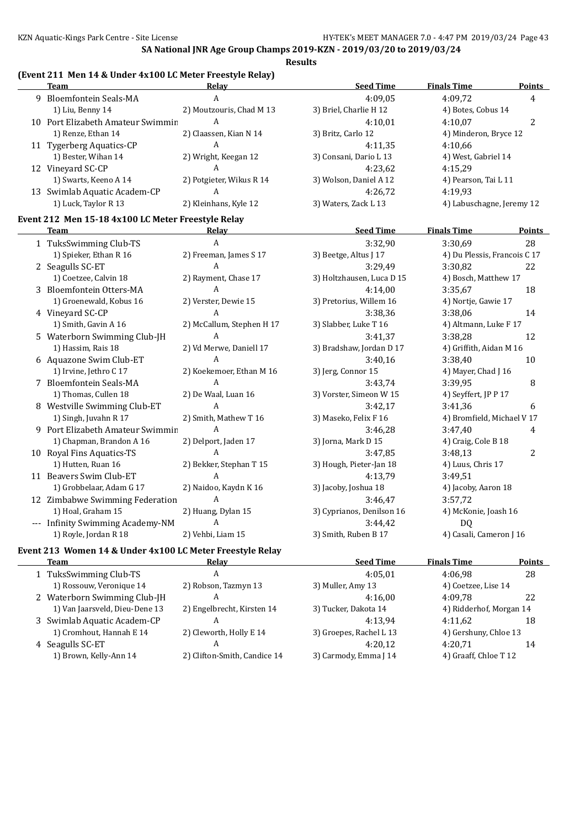### **(Event 211 Men 14 & Under 4x100 LC Meter Freestyle Relay)**

| Team                              | Relay                    | <b>Seed Time</b>       | <b>Finals Time</b>        | <b>Points</b> |
|-----------------------------------|--------------------------|------------------------|---------------------------|---------------|
| 9 Bloemfontein Seals-MA           | A                        | 4:09.05                | 4:09.72                   | 4             |
| 1) Liu, Benny 14                  | 2) Moutzouris, Chad M 13 | 3) Briel, Charlie H 12 | 4) Botes, Cobus 14        |               |
| 10 Port Elizabeth Amateur Swimmin | A                        | 4:10.01                | 4:10.07                   | າ             |
| 1) Renze, Ethan 14                | 2) Claassen, Kian N 14   | 3) Britz, Carlo 12     | 4) Minderon, Bryce 12     |               |
| 11 Tygerberg Aquatics-CP          | A                        | 4:11.35                | 4:10.66                   |               |
| 1) Bester, Wihan 14               | 2) Wright, Keegan 12     | 3) Consani, Dario L 13 | 4) West, Gabriel 14       |               |
| 12 Vineyard SC-CP                 | A                        | 4:23.62                | 4:15.29                   |               |
| 1) Swarts, Keeno A 14             | 2) Potgieter, Wikus R 14 | 3) Wolson, Daniel A 12 | 4) Pearson, Tai L 11      |               |
| 13 Swimlab Aquatic Academ-CP      | A                        | 4:26.72                | 4:19.93                   |               |
| 1) Luck, Taylor R 13              | 2) Kleinhans, Kyle 12    | 3) Waters, Zack L 13   | 4) Labuschagne, Jeremy 12 |               |

## **Event 212 Men 15-18 4x100 LC Meter Freestyle Relay**

| Team                                                      | Relay                     | <b>Seed Time</b>          | <b>Finals Time</b>           | <b>Points</b> |
|-----------------------------------------------------------|---------------------------|---------------------------|------------------------------|---------------|
| 1 TuksSwimming Club-TS                                    | A                         | 3:32,90                   | 3:30,69                      | 28            |
| 1) Spieker, Ethan R 16                                    | 2) Freeman, James S 17    | 3) Beetge, Altus J 17     | 4) Du Plessis, Francois C 17 |               |
| 2 Seagulls SC-ET                                          | A                         | 3:29,49                   | 3:30,82                      | 22            |
| 1) Coetzee, Calvin 18                                     | 2) Rayment, Chase 17      | 3) Holtzhausen, Luca D 15 | 4) Bosch, Matthew 17         |               |
| 3 Bloemfontein Otters-MA                                  | A                         | 4:14,00                   | 3:35,67                      | 18            |
| 1) Groenewald, Kobus 16                                   | 2) Verster, Dewie 15      | 3) Pretorius, Willem 16   | 4) Nortje, Gawie 17          |               |
| 4 Vineyard SC-CP                                          | A                         | 3:38,36                   | 3:38,06                      | 14            |
| 1) Smith, Gavin A 16                                      | 2) McCallum, Stephen H 17 | 3) Slabber, Luke T 16     | 4) Altmann, Luke F 17        |               |
| 5 Waterborn Swimming Club-JH                              | A                         | 3:41,37                   | 3:38,28                      | 12            |
| 1) Hassim, Rais 18                                        | 2) Vd Merwe, Daniell 17   | 3) Bradshaw, Jordan D 17  | 4) Griffith, Aidan M 16      |               |
| 6 Aquazone Swim Club-ET                                   | A                         | 3:40,16                   | 3:38,40                      | 10            |
| 1) Irvine, Jethro C 17                                    | 2) Koekemoer, Ethan M 16  | 3) Jerg, Connor 15        | 4) Mayer, Chad J 16          |               |
| 7 Bloemfontein Seals-MA                                   | A                         | 3:43,74                   | 3:39.95                      | 8             |
| 1) Thomas, Cullen 18                                      | 2) De Waal, Luan 16       | 3) Vorster, Simeon W 15   | 4) Seyffert, JP P 17         |               |
| Westville Swimming Club-ET                                | A                         | 3:42.17                   | 3:41.36                      | 6             |
| 1) Singh, Juvahn R 17                                     | 2) Smith, Mathew T 16     | 3) Maseko, Felix F 16     | 4) Bromfield, Michael V 17   |               |
| 9 Port Elizabeth Amateur Swimmin                          | A                         | 3:46,28                   | 3:47,40                      | 4             |
| 1) Chapman, Brandon A 16                                  | 2) Delport, Jaden 17      | 3) Jorna, Mark D 15       | 4) Craig, Cole B 18          |               |
| 10 Royal Fins Aquatics-TS                                 | A                         | 3:47,85                   | 3:48.13                      | 2             |
| 1) Hutten, Ruan 16                                        | 2) Bekker, Stephan T 15   | 3) Hough, Pieter-Jan 18   | 4) Luus, Chris 17            |               |
| 11 Beavers Swim Club-ET                                   | A                         | 4:13.79                   | 3:49.51                      |               |
| 1) Grobbelaar, Adam G 17                                  | 2) Naidoo, Kaydn K 16     | 3) Jacoby, Joshua 18      | 4) Jacoby, Aaron 18          |               |
| 12 Zimbabwe Swimming Federation                           | A                         | 3:46,47                   | 3:57.72                      |               |
| 1) Hoal, Graham 15                                        | 2) Huang, Dylan 15        | 3) Cyprianos, Denilson 16 | 4) McKonie, Joash 16         |               |
| --- Infinity Swimming Academy-NM                          | A                         | 3:44,42                   | DQ                           |               |
| 1) Royle, Jordan R 18                                     | 2) Vehbi, Liam 15         | 3) Smith, Ruben B 17      | 4) Casali, Cameron J 16      |               |
| Event 213 Women 14 & Under 4x100 LC Meter Freestyle Relay |                           |                           |                              |               |

|  | n<br>п |
|--|--------|
|  |        |

| Team                           | Relav                        | <b>Seed Time</b>        | <b>Finals Time</b>      | Points |
|--------------------------------|------------------------------|-------------------------|-------------------------|--------|
| 1 TuksSwimming Club-TS         | A                            | 4:05.01                 | 4:06.98                 | 28     |
| 1) Rossouw, Veronique 14       | 2) Robson, Tazmyn 13         | 3) Muller, Amy 13       | 4) Coetzee, Lise 14     |        |
| 2 Waterborn Swimming Club-JH   | A                            | 4:16.00                 | 4:09.78                 | 22     |
| 1) Van Jaarsveld, Dieu-Dene 13 | 2) Engelbrecht, Kirsten 14   | 3) Tucker, Dakota 14    | 4) Ridderhof, Morgan 14 |        |
| 3 Swimlab Aquatic Academ-CP    | A                            | 4:13.94                 | 4:11.62                 | 18     |
| 1) Cromhout, Hannah E 14       | 2) Cleworth, Holly E 14      | 3) Groepes, Rachel L 13 | 4) Gershuny, Chloe 13   |        |
| 4 Seagulls SC-ET               | A                            | 4:20.12                 | 4:20.71                 | 14     |
| 1) Brown, Kelly-Ann 14         | 2) Clifton-Smith, Candice 14 | 3) Carmody, Emma J 14   | 4) Graaff, Chloe T 12   |        |
|                                |                              |                         |                         |        |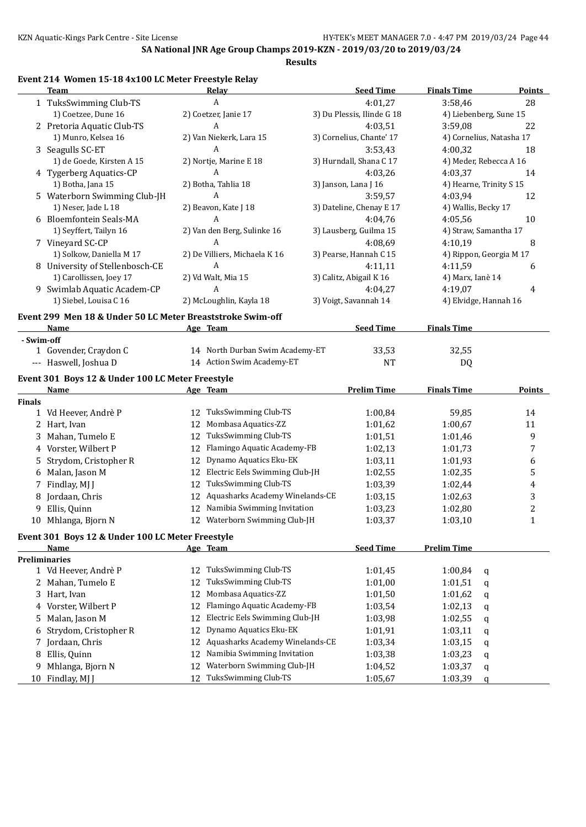**Results**

## **Event 214 Women 15-18 4x100 LC Meter Freestyle Relay**

|               | <b>Team</b>                                                | Relay                                 | <b>Seed Time</b>           | <b>Finals Time</b>       | <b>Points</b>    |
|---------------|------------------------------------------------------------|---------------------------------------|----------------------------|--------------------------|------------------|
|               | 1 TuksSwimming Club-TS                                     | A                                     | 4:01,27                    | 3:58,46                  | 28               |
|               | 1) Coetzee, Dune 16                                        | 2) Coetzer, Janie 17                  | 3) Du Plessis, Ilinde G 18 | 4) Liebenberg, Sune 15   |                  |
|               | 2 Pretoria Aquatic Club-TS                                 | A                                     | 4:03,51                    | 3:59,08                  | 22               |
|               | 1) Munro, Kelsea 16                                        | 2) Van Niekerk, Lara 15               | 3) Cornelius, Chante' 17   | 4) Cornelius, Natasha 17 |                  |
|               | 3 Seagulls SC-ET                                           | A                                     | 3:53,43                    | 4:00,32                  | 18               |
|               | 1) de Goede, Kirsten A 15                                  | 2) Nortje, Marine E 18                | 3) Hurndall, Shana C 17    | 4) Meder, Rebecca A 16   |                  |
|               | 4 Tygerberg Aquatics-CP                                    | A                                     | 4:03,26                    | 4:03,37                  | 14               |
|               | 1) Botha, Jana 15                                          | 2) Botha, Tahlia 18                   | 3) Janson, Lana J 16       | 4) Hearne, Trinity S 15  |                  |
|               | 5 Waterborn Swimming Club-JH                               | A                                     | 3:59,57                    | 4:03,94                  | 12               |
|               | 1) Neser, Jade L 18                                        | 2) Beavon, Kate J 18                  | 3) Dateline, Chenay E 17   | 4) Wallis, Becky 17      |                  |
|               | 6 Bloemfontein Seals-MA                                    | A                                     | 4:04,76                    | 4:05,56                  | 10               |
|               | 1) Seyffert, Tailyn 16                                     | 2) Van den Berg, Sulinke 16           | 3) Lausberg, Guilma 15     | 4) Straw, Samantha 17    |                  |
|               | 7 Vineyard SC-CP                                           | A                                     | 4:08,69                    | 4:10,19                  | 8                |
|               | 1) Solkow, Daniella M 17                                   | 2) De Villiers, Michaela K 16         | 3) Pearse, Hannah C 15     | 4) Rippon, Georgia M 17  |                  |
|               | 8 University of Stellenbosch-CE                            | A                                     | 4:11,11                    | 4:11,59                  | 6                |
|               | 1) Carollissen, Joey 17                                    | 2) Vd Walt, Mia 15                    | 3) Calitz, Abigail K 16    | 4) Marx, Ianè 14         |                  |
|               | 9 Swimlab Aquatic Academ-CP                                | A                                     | 4:04,27                    | 4:19,07                  | 4                |
|               | 1) Siebel, Louisa C 16                                     | 2) McLoughlin, Kayla 18               | 3) Voigt, Savannah 14      | 4) Elvidge, Hannah 16    |                  |
|               |                                                            |                                       |                            |                          |                  |
|               | Event 299 Men 18 & Under 50 LC Meter Breaststroke Swim-off |                                       |                            |                          |                  |
|               | Name                                                       | Age Team                              | <b>Seed Time</b>           | <b>Finals Time</b>       |                  |
| - Swim-off    |                                                            | 14 North Durban Swim Academy-ET       |                            |                          |                  |
|               | 1 Govender, Craydon C                                      |                                       | 33,53                      | 32,55                    |                  |
|               | --- Haswell, Joshua D                                      | 14 Action Swim Academy-ET             | <b>NT</b>                  | DQ                       |                  |
|               | Event 301 Boys 12 & Under 100 LC Meter Freestyle           |                                       |                            |                          |                  |
|               | Name                                                       | Age Team                              | <b>Prelim Time</b>         | <b>Finals Time</b>       | <b>Points</b>    |
| <b>Finals</b> |                                                            |                                       |                            |                          |                  |
|               | 1 Vd Heever, Andrè P                                       | 12 TuksSwimming Club-TS               | 1:00,84                    | 59,85                    | 14               |
|               | 2 Hart, Ivan                                               | Mombasa Aquatics-ZZ<br>12             | 1:01,62                    | 1:00,67                  | 11               |
|               | 3 Mahan, Tumelo E                                          | TuksSwimming Club-TS<br>12            | 1:01,51                    | 1:01,46                  | 9                |
|               | 4 Vorster, Wilbert P                                       | Flamingo Aquatic Academy-FB<br>12     | 1:02,13                    | 1:01,73                  | 7                |
|               | 5 Strydom, Cristopher R                                    | Dynamo Aquatics Eku-EK<br>12          | 1:03,11                    | 1:01,93                  | 6                |
|               | 6 Malan, Jason M                                           | Electric Eels Swimming Club-JH<br>12  | 1:02,55                    | 1:02,35                  | 5                |
|               | 7 Findlay, MJ J                                            | TuksSwimming Club-TS<br>12            | 1:03,39                    | 1:02,44                  | 4                |
|               | 8 Jordaan, Chris                                           | Aquasharks Academy Winelands-CE<br>12 | 1:03,15                    | 1:02,63                  | 3                |
| 9.            | Ellis, Quinn                                               | 12 Namibia Swimming Invitation        | 1:03,23                    | 1:02,80                  | $\boldsymbol{2}$ |
|               | 10 Mhlanga, Bjorn N                                        | 12 Waterborn Swimming Club-JH         | 1:03,37                    | 1:03,10                  | $\mathbf 1$      |
|               | Event 301 Boys 12 & Under 100 LC Meter Freestyle           |                                       |                            |                          |                  |
|               | Name                                                       | Age Team                              | <b>Seed Time</b>           | <b>Prelim Time</b>       |                  |
|               | <b>Preliminaries</b>                                       |                                       |                            |                          |                  |
|               | 1 Vd Heever, Andrè P                                       | TuksSwimming Club-TS<br>12            | 1:01,45                    | 1:00,84<br>q             |                  |
|               | 2 Mahan, Tumelo E                                          | TuksSwimming Club-TS<br>12            | 1:01,00                    | 1:01,51<br>q             |                  |
|               | 3 Hart, Ivan                                               | Mombasa Aquatics-ZZ<br>12             | 1:01,50                    | 1:01,62<br>q             |                  |
|               | 4 Vorster, Wilbert P                                       | Flamingo Aquatic Academy-FB<br>12     | 1:03,54                    | 1:02,13                  |                  |
|               |                                                            | Electric Eels Swimming Club-JH<br>12  | 1:03,98                    | q<br>1:02,55             |                  |
|               | 5 Malan, Jason M                                           | Dynamo Aquatics Eku-EK<br>12          | 1:01,91                    | q<br>1:03,11             |                  |
| 6             | Strydom, Cristopher R                                      | Aquasharks Academy Winelands-CE       |                            | q                        |                  |
|               | 7 Jordaan, Chris                                           | 12                                    | 1:03,34                    | 1:03,15<br>q             |                  |
| 8             | Ellis, Quinn                                               | Namibia Swimming Invitation<br>12     | 1:03,38                    | 1:03,23<br>q             |                  |
| 9.            | Mhlanga, Bjorn N                                           | Waterborn Swimming Club-JH<br>12      | 1:04,52                    | 1:03,37<br>q             |                  |
|               | 10 Findlay, MJ J                                           | TuksSwimming Club-TS<br>12            | 1:05,67                    | 1:03,39<br>q             |                  |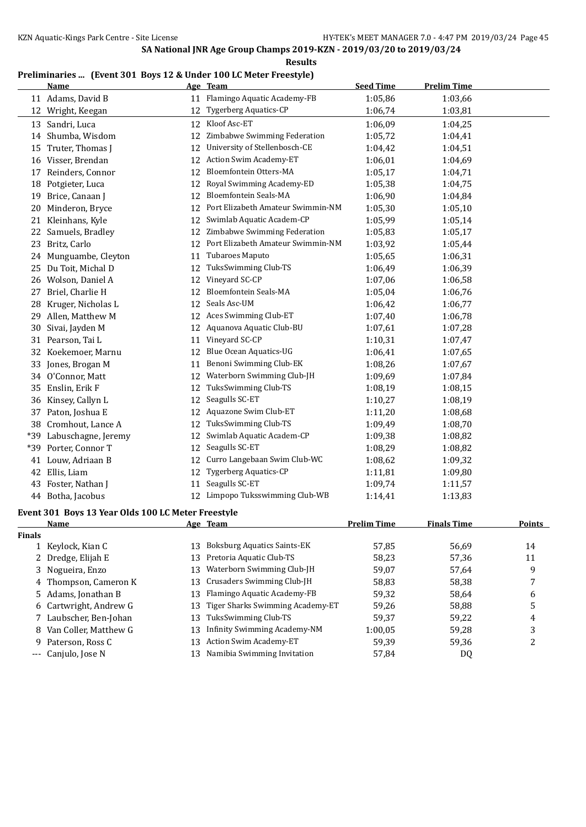**Results**

#### **Preliminaries ... (Event 301 Boys 12 & Under 100 LC Meter Freestyle)**

| 11 Flamingo Aquatic Academy-FB<br>11 Adams, David B<br>1:05,86<br>1:03,66<br>Tygerberg Aquatics-CP<br>12 Wright, Keegan<br>12<br>1:06,74<br>1:03,81<br>Kloof Asc-ET<br>1:06,09<br>1:04,25<br>13 Sandri, Luca<br>12<br>Zimbabwe Swimming Federation<br>14 Shumba, Wisdom<br>12<br>1:05,72<br>1:04,41<br>University of Stellenbosch-CE<br>Truter, Thomas J<br>12<br>1:04,42<br>1:04,51<br>15<br>12 Action Swim Academy-ET<br>16 Visser, Brendan<br>1:06,01<br>1:04,69<br>Bloemfontein Otters-MA<br>17 Reinders, Connor<br>12<br>1:05,17<br>1:04,71<br>Royal Swimming Academy-ED<br>18 Potgieter, Luca<br>12<br>1:05,38<br>1:04,75<br><b>Bloemfontein Seals-MA</b><br>19 Brice, Canaan J<br>12<br>1:06,90<br>1:04,84<br>Port Elizabeth Amateur Swimmin-NM<br>1:05,30<br>20 Minderon, Bryce<br>12<br>1:05,10<br>Swimlab Aquatic Academ-CP<br>21 Kleinhans, Kyle<br>12<br>1:05,99<br>1:05,14<br>22 Samuels, Bradley<br>Zimbabwe Swimming Federation<br>12<br>1:05,83<br>1:05,17<br>Port Elizabeth Amateur Swimmin-NM<br>Britz, Carlo<br>23<br>12<br>1:03,92<br>1:05,44<br>Tubaroes Maputo<br>24 Munguambe, Cleyton<br>1:05,65<br>1:06,31<br>11<br>TuksSwimming Club-TS<br>25 Du Toit, Michal D<br>12<br>1:06,49<br>1:06,39<br>Vineyard SC-CP<br>26 Wolson, Daniel A<br>12<br>1:07,06<br>1:06,58<br><b>Bloemfontein Seals-MA</b><br>Briel, Charlie H<br>12<br>27<br>1:05,04<br>1:06,76<br>Seals Asc-UM<br>28 Kruger, Nicholas L<br>12<br>1:06,42<br>1:06,77<br>12 Aces Swimming Club-ET<br>Allen, Matthew M<br>1:06,78<br>29<br>1:07,40<br>12 Aquanova Aquatic Club-BU<br>Sivai, Jayden M<br>30<br>1:07,61<br>1:07,28<br>Vineyard SC-CP<br>31 Pearson, Tai L<br>1:10,31<br>1:07,47<br>11<br>Blue Ocean Aquatics-UG<br>32 Koekemoer, Marnu<br>12<br>1:06,41<br>1:07,65<br>Benoni Swimming Club-EK<br>33 Jones, Brogan M<br>1:08,26<br>1:07,67<br>11<br>Waterborn Swimming Club-JH<br>34 O'Connor, Matt<br>12<br>1:09,69<br>1:07,84<br>35 Enslin, Erik F<br>12 TuksSwimming Club-TS<br>1:08,19<br>1:08,15<br>Seagulls SC-ET<br>36 Kinsey, Callyn L<br>1:08,19<br>12<br>1:10,27<br>12 Aquazone Swim Club-ET<br>Paton, Joshua E<br>1:11,20<br>1:08,68<br>37<br>TuksSwimming Club-TS<br>38 Cromhout, Lance A<br>1:08,70<br>12<br>1:09,49<br>Swimlab Aquatic Academ-CP<br>Labuschagne, Jeremy<br>1:08,82<br>*39<br>12<br>1:09,38<br>Porter, Connor T<br>Seagulls SC-ET<br>1:08,82<br>*39<br>12<br>1:08,29<br>Curro Langebaan Swim Club-WC<br>41 Louw, Adriaan B<br>1:09,32<br>12<br>1:08,62<br><b>Tygerberg Aquatics-CP</b><br>42<br>Ellis, Liam<br>12<br>1:09,80<br>1:11,81<br>Seagulls SC-ET<br>43 Foster, Nathan J<br>11<br>1:09,74<br>1:11,57<br>12 Limpopo Tuksswimming Club-WB<br>44 Botha, Jacobus<br>1:13,83<br>1:14,41<br>Event 301 Boys 13 Year Olds 100 LC Meter Freestyle<br><b>Name</b><br>Age Team<br><b>Prelim Time</b><br><b>Finals Time</b><br><b>Finals</b><br><b>Boksburg Aquatics Saints-EK</b><br>57,85<br>56,69<br>Keylock, Kian C<br>14<br>13<br>$\mathbf{1}$<br>Pretoria Aquatic Club-TS<br>Dredge, Elijah E<br>13<br>58,23<br>57,36<br>11<br>2<br>Waterborn Swimming Club-JH<br>Nogueira, Enzo<br>13<br>59,07<br>57,64<br>9<br>3<br>Crusaders Swimming Club-JH<br>Thompson, Cameron K<br>13<br>58,83<br>58,38<br>7<br>4<br>Flamingo Aquatic Academy-FB<br>Adams, Jonathan B<br>13<br>59,32<br>58,64<br>6<br>5<br>Tiger Sharks Swimming Academy-ET<br>Cartwright, Andrew G<br>5<br>59,26<br>58,88<br>13<br>6<br>TuksSwimming Club-TS<br>Laubscher, Ben-Johan<br>13<br>59,37<br>59,22<br>4<br>7 | <u>Name</u> | Age Team | <b>Seed Time</b> | <b>Prelim Time</b> |               |
|------------------------------------------------------------------------------------------------------------------------------------------------------------------------------------------------------------------------------------------------------------------------------------------------------------------------------------------------------------------------------------------------------------------------------------------------------------------------------------------------------------------------------------------------------------------------------------------------------------------------------------------------------------------------------------------------------------------------------------------------------------------------------------------------------------------------------------------------------------------------------------------------------------------------------------------------------------------------------------------------------------------------------------------------------------------------------------------------------------------------------------------------------------------------------------------------------------------------------------------------------------------------------------------------------------------------------------------------------------------------------------------------------------------------------------------------------------------------------------------------------------------------------------------------------------------------------------------------------------------------------------------------------------------------------------------------------------------------------------------------------------------------------------------------------------------------------------------------------------------------------------------------------------------------------------------------------------------------------------------------------------------------------------------------------------------------------------------------------------------------------------------------------------------------------------------------------------------------------------------------------------------------------------------------------------------------------------------------------------------------------------------------------------------------------------------------------------------------------------------------------------------------------------------------------------------------------------------------------------------------------------------------------------------------------------------------------------------------------------------------------------------------------------------------------------------------------------------------------------------------------------------------------------------------------------------------------------------------------------------------------------------------------------------------------------------------------------------------------------------------------------------------------------------------------------------------------------------------------------------------------------------------------------------------------------------------------------------------------------------------------------------------------------------------------------------------------------------------------------------------------------|-------------|----------|------------------|--------------------|---------------|
|                                                                                                                                                                                                                                                                                                                                                                                                                                                                                                                                                                                                                                                                                                                                                                                                                                                                                                                                                                                                                                                                                                                                                                                                                                                                                                                                                                                                                                                                                                                                                                                                                                                                                                                                                                                                                                                                                                                                                                                                                                                                                                                                                                                                                                                                                                                                                                                                                                                                                                                                                                                                                                                                                                                                                                                                                                                                                                                                                                                                                                                                                                                                                                                                                                                                                                                                                                                                                                                                                                            |             |          |                  |                    |               |
|                                                                                                                                                                                                                                                                                                                                                                                                                                                                                                                                                                                                                                                                                                                                                                                                                                                                                                                                                                                                                                                                                                                                                                                                                                                                                                                                                                                                                                                                                                                                                                                                                                                                                                                                                                                                                                                                                                                                                                                                                                                                                                                                                                                                                                                                                                                                                                                                                                                                                                                                                                                                                                                                                                                                                                                                                                                                                                                                                                                                                                                                                                                                                                                                                                                                                                                                                                                                                                                                                                            |             |          |                  |                    |               |
|                                                                                                                                                                                                                                                                                                                                                                                                                                                                                                                                                                                                                                                                                                                                                                                                                                                                                                                                                                                                                                                                                                                                                                                                                                                                                                                                                                                                                                                                                                                                                                                                                                                                                                                                                                                                                                                                                                                                                                                                                                                                                                                                                                                                                                                                                                                                                                                                                                                                                                                                                                                                                                                                                                                                                                                                                                                                                                                                                                                                                                                                                                                                                                                                                                                                                                                                                                                                                                                                                                            |             |          |                  |                    |               |
|                                                                                                                                                                                                                                                                                                                                                                                                                                                                                                                                                                                                                                                                                                                                                                                                                                                                                                                                                                                                                                                                                                                                                                                                                                                                                                                                                                                                                                                                                                                                                                                                                                                                                                                                                                                                                                                                                                                                                                                                                                                                                                                                                                                                                                                                                                                                                                                                                                                                                                                                                                                                                                                                                                                                                                                                                                                                                                                                                                                                                                                                                                                                                                                                                                                                                                                                                                                                                                                                                                            |             |          |                  |                    |               |
|                                                                                                                                                                                                                                                                                                                                                                                                                                                                                                                                                                                                                                                                                                                                                                                                                                                                                                                                                                                                                                                                                                                                                                                                                                                                                                                                                                                                                                                                                                                                                                                                                                                                                                                                                                                                                                                                                                                                                                                                                                                                                                                                                                                                                                                                                                                                                                                                                                                                                                                                                                                                                                                                                                                                                                                                                                                                                                                                                                                                                                                                                                                                                                                                                                                                                                                                                                                                                                                                                                            |             |          |                  |                    |               |
|                                                                                                                                                                                                                                                                                                                                                                                                                                                                                                                                                                                                                                                                                                                                                                                                                                                                                                                                                                                                                                                                                                                                                                                                                                                                                                                                                                                                                                                                                                                                                                                                                                                                                                                                                                                                                                                                                                                                                                                                                                                                                                                                                                                                                                                                                                                                                                                                                                                                                                                                                                                                                                                                                                                                                                                                                                                                                                                                                                                                                                                                                                                                                                                                                                                                                                                                                                                                                                                                                                            |             |          |                  |                    |               |
|                                                                                                                                                                                                                                                                                                                                                                                                                                                                                                                                                                                                                                                                                                                                                                                                                                                                                                                                                                                                                                                                                                                                                                                                                                                                                                                                                                                                                                                                                                                                                                                                                                                                                                                                                                                                                                                                                                                                                                                                                                                                                                                                                                                                                                                                                                                                                                                                                                                                                                                                                                                                                                                                                                                                                                                                                                                                                                                                                                                                                                                                                                                                                                                                                                                                                                                                                                                                                                                                                                            |             |          |                  |                    |               |
|                                                                                                                                                                                                                                                                                                                                                                                                                                                                                                                                                                                                                                                                                                                                                                                                                                                                                                                                                                                                                                                                                                                                                                                                                                                                                                                                                                                                                                                                                                                                                                                                                                                                                                                                                                                                                                                                                                                                                                                                                                                                                                                                                                                                                                                                                                                                                                                                                                                                                                                                                                                                                                                                                                                                                                                                                                                                                                                                                                                                                                                                                                                                                                                                                                                                                                                                                                                                                                                                                                            |             |          |                  |                    |               |
|                                                                                                                                                                                                                                                                                                                                                                                                                                                                                                                                                                                                                                                                                                                                                                                                                                                                                                                                                                                                                                                                                                                                                                                                                                                                                                                                                                                                                                                                                                                                                                                                                                                                                                                                                                                                                                                                                                                                                                                                                                                                                                                                                                                                                                                                                                                                                                                                                                                                                                                                                                                                                                                                                                                                                                                                                                                                                                                                                                                                                                                                                                                                                                                                                                                                                                                                                                                                                                                                                                            |             |          |                  |                    |               |
|                                                                                                                                                                                                                                                                                                                                                                                                                                                                                                                                                                                                                                                                                                                                                                                                                                                                                                                                                                                                                                                                                                                                                                                                                                                                                                                                                                                                                                                                                                                                                                                                                                                                                                                                                                                                                                                                                                                                                                                                                                                                                                                                                                                                                                                                                                                                                                                                                                                                                                                                                                                                                                                                                                                                                                                                                                                                                                                                                                                                                                                                                                                                                                                                                                                                                                                                                                                                                                                                                                            |             |          |                  |                    |               |
|                                                                                                                                                                                                                                                                                                                                                                                                                                                                                                                                                                                                                                                                                                                                                                                                                                                                                                                                                                                                                                                                                                                                                                                                                                                                                                                                                                                                                                                                                                                                                                                                                                                                                                                                                                                                                                                                                                                                                                                                                                                                                                                                                                                                                                                                                                                                                                                                                                                                                                                                                                                                                                                                                                                                                                                                                                                                                                                                                                                                                                                                                                                                                                                                                                                                                                                                                                                                                                                                                                            |             |          |                  |                    |               |
|                                                                                                                                                                                                                                                                                                                                                                                                                                                                                                                                                                                                                                                                                                                                                                                                                                                                                                                                                                                                                                                                                                                                                                                                                                                                                                                                                                                                                                                                                                                                                                                                                                                                                                                                                                                                                                                                                                                                                                                                                                                                                                                                                                                                                                                                                                                                                                                                                                                                                                                                                                                                                                                                                                                                                                                                                                                                                                                                                                                                                                                                                                                                                                                                                                                                                                                                                                                                                                                                                                            |             |          |                  |                    |               |
|                                                                                                                                                                                                                                                                                                                                                                                                                                                                                                                                                                                                                                                                                                                                                                                                                                                                                                                                                                                                                                                                                                                                                                                                                                                                                                                                                                                                                                                                                                                                                                                                                                                                                                                                                                                                                                                                                                                                                                                                                                                                                                                                                                                                                                                                                                                                                                                                                                                                                                                                                                                                                                                                                                                                                                                                                                                                                                                                                                                                                                                                                                                                                                                                                                                                                                                                                                                                                                                                                                            |             |          |                  |                    |               |
|                                                                                                                                                                                                                                                                                                                                                                                                                                                                                                                                                                                                                                                                                                                                                                                                                                                                                                                                                                                                                                                                                                                                                                                                                                                                                                                                                                                                                                                                                                                                                                                                                                                                                                                                                                                                                                                                                                                                                                                                                                                                                                                                                                                                                                                                                                                                                                                                                                                                                                                                                                                                                                                                                                                                                                                                                                                                                                                                                                                                                                                                                                                                                                                                                                                                                                                                                                                                                                                                                                            |             |          |                  |                    |               |
|                                                                                                                                                                                                                                                                                                                                                                                                                                                                                                                                                                                                                                                                                                                                                                                                                                                                                                                                                                                                                                                                                                                                                                                                                                                                                                                                                                                                                                                                                                                                                                                                                                                                                                                                                                                                                                                                                                                                                                                                                                                                                                                                                                                                                                                                                                                                                                                                                                                                                                                                                                                                                                                                                                                                                                                                                                                                                                                                                                                                                                                                                                                                                                                                                                                                                                                                                                                                                                                                                                            |             |          |                  |                    |               |
|                                                                                                                                                                                                                                                                                                                                                                                                                                                                                                                                                                                                                                                                                                                                                                                                                                                                                                                                                                                                                                                                                                                                                                                                                                                                                                                                                                                                                                                                                                                                                                                                                                                                                                                                                                                                                                                                                                                                                                                                                                                                                                                                                                                                                                                                                                                                                                                                                                                                                                                                                                                                                                                                                                                                                                                                                                                                                                                                                                                                                                                                                                                                                                                                                                                                                                                                                                                                                                                                                                            |             |          |                  |                    |               |
|                                                                                                                                                                                                                                                                                                                                                                                                                                                                                                                                                                                                                                                                                                                                                                                                                                                                                                                                                                                                                                                                                                                                                                                                                                                                                                                                                                                                                                                                                                                                                                                                                                                                                                                                                                                                                                                                                                                                                                                                                                                                                                                                                                                                                                                                                                                                                                                                                                                                                                                                                                                                                                                                                                                                                                                                                                                                                                                                                                                                                                                                                                                                                                                                                                                                                                                                                                                                                                                                                                            |             |          |                  |                    |               |
|                                                                                                                                                                                                                                                                                                                                                                                                                                                                                                                                                                                                                                                                                                                                                                                                                                                                                                                                                                                                                                                                                                                                                                                                                                                                                                                                                                                                                                                                                                                                                                                                                                                                                                                                                                                                                                                                                                                                                                                                                                                                                                                                                                                                                                                                                                                                                                                                                                                                                                                                                                                                                                                                                                                                                                                                                                                                                                                                                                                                                                                                                                                                                                                                                                                                                                                                                                                                                                                                                                            |             |          |                  |                    |               |
|                                                                                                                                                                                                                                                                                                                                                                                                                                                                                                                                                                                                                                                                                                                                                                                                                                                                                                                                                                                                                                                                                                                                                                                                                                                                                                                                                                                                                                                                                                                                                                                                                                                                                                                                                                                                                                                                                                                                                                                                                                                                                                                                                                                                                                                                                                                                                                                                                                                                                                                                                                                                                                                                                                                                                                                                                                                                                                                                                                                                                                                                                                                                                                                                                                                                                                                                                                                                                                                                                                            |             |          |                  |                    |               |
|                                                                                                                                                                                                                                                                                                                                                                                                                                                                                                                                                                                                                                                                                                                                                                                                                                                                                                                                                                                                                                                                                                                                                                                                                                                                                                                                                                                                                                                                                                                                                                                                                                                                                                                                                                                                                                                                                                                                                                                                                                                                                                                                                                                                                                                                                                                                                                                                                                                                                                                                                                                                                                                                                                                                                                                                                                                                                                                                                                                                                                                                                                                                                                                                                                                                                                                                                                                                                                                                                                            |             |          |                  |                    |               |
|                                                                                                                                                                                                                                                                                                                                                                                                                                                                                                                                                                                                                                                                                                                                                                                                                                                                                                                                                                                                                                                                                                                                                                                                                                                                                                                                                                                                                                                                                                                                                                                                                                                                                                                                                                                                                                                                                                                                                                                                                                                                                                                                                                                                                                                                                                                                                                                                                                                                                                                                                                                                                                                                                                                                                                                                                                                                                                                                                                                                                                                                                                                                                                                                                                                                                                                                                                                                                                                                                                            |             |          |                  |                    |               |
|                                                                                                                                                                                                                                                                                                                                                                                                                                                                                                                                                                                                                                                                                                                                                                                                                                                                                                                                                                                                                                                                                                                                                                                                                                                                                                                                                                                                                                                                                                                                                                                                                                                                                                                                                                                                                                                                                                                                                                                                                                                                                                                                                                                                                                                                                                                                                                                                                                                                                                                                                                                                                                                                                                                                                                                                                                                                                                                                                                                                                                                                                                                                                                                                                                                                                                                                                                                                                                                                                                            |             |          |                  |                    |               |
|                                                                                                                                                                                                                                                                                                                                                                                                                                                                                                                                                                                                                                                                                                                                                                                                                                                                                                                                                                                                                                                                                                                                                                                                                                                                                                                                                                                                                                                                                                                                                                                                                                                                                                                                                                                                                                                                                                                                                                                                                                                                                                                                                                                                                                                                                                                                                                                                                                                                                                                                                                                                                                                                                                                                                                                                                                                                                                                                                                                                                                                                                                                                                                                                                                                                                                                                                                                                                                                                                                            |             |          |                  |                    |               |
|                                                                                                                                                                                                                                                                                                                                                                                                                                                                                                                                                                                                                                                                                                                                                                                                                                                                                                                                                                                                                                                                                                                                                                                                                                                                                                                                                                                                                                                                                                                                                                                                                                                                                                                                                                                                                                                                                                                                                                                                                                                                                                                                                                                                                                                                                                                                                                                                                                                                                                                                                                                                                                                                                                                                                                                                                                                                                                                                                                                                                                                                                                                                                                                                                                                                                                                                                                                                                                                                                                            |             |          |                  |                    |               |
|                                                                                                                                                                                                                                                                                                                                                                                                                                                                                                                                                                                                                                                                                                                                                                                                                                                                                                                                                                                                                                                                                                                                                                                                                                                                                                                                                                                                                                                                                                                                                                                                                                                                                                                                                                                                                                                                                                                                                                                                                                                                                                                                                                                                                                                                                                                                                                                                                                                                                                                                                                                                                                                                                                                                                                                                                                                                                                                                                                                                                                                                                                                                                                                                                                                                                                                                                                                                                                                                                                            |             |          |                  |                    |               |
|                                                                                                                                                                                                                                                                                                                                                                                                                                                                                                                                                                                                                                                                                                                                                                                                                                                                                                                                                                                                                                                                                                                                                                                                                                                                                                                                                                                                                                                                                                                                                                                                                                                                                                                                                                                                                                                                                                                                                                                                                                                                                                                                                                                                                                                                                                                                                                                                                                                                                                                                                                                                                                                                                                                                                                                                                                                                                                                                                                                                                                                                                                                                                                                                                                                                                                                                                                                                                                                                                                            |             |          |                  |                    |               |
|                                                                                                                                                                                                                                                                                                                                                                                                                                                                                                                                                                                                                                                                                                                                                                                                                                                                                                                                                                                                                                                                                                                                                                                                                                                                                                                                                                                                                                                                                                                                                                                                                                                                                                                                                                                                                                                                                                                                                                                                                                                                                                                                                                                                                                                                                                                                                                                                                                                                                                                                                                                                                                                                                                                                                                                                                                                                                                                                                                                                                                                                                                                                                                                                                                                                                                                                                                                                                                                                                                            |             |          |                  |                    |               |
|                                                                                                                                                                                                                                                                                                                                                                                                                                                                                                                                                                                                                                                                                                                                                                                                                                                                                                                                                                                                                                                                                                                                                                                                                                                                                                                                                                                                                                                                                                                                                                                                                                                                                                                                                                                                                                                                                                                                                                                                                                                                                                                                                                                                                                                                                                                                                                                                                                                                                                                                                                                                                                                                                                                                                                                                                                                                                                                                                                                                                                                                                                                                                                                                                                                                                                                                                                                                                                                                                                            |             |          |                  |                    |               |
|                                                                                                                                                                                                                                                                                                                                                                                                                                                                                                                                                                                                                                                                                                                                                                                                                                                                                                                                                                                                                                                                                                                                                                                                                                                                                                                                                                                                                                                                                                                                                                                                                                                                                                                                                                                                                                                                                                                                                                                                                                                                                                                                                                                                                                                                                                                                                                                                                                                                                                                                                                                                                                                                                                                                                                                                                                                                                                                                                                                                                                                                                                                                                                                                                                                                                                                                                                                                                                                                                                            |             |          |                  |                    |               |
|                                                                                                                                                                                                                                                                                                                                                                                                                                                                                                                                                                                                                                                                                                                                                                                                                                                                                                                                                                                                                                                                                                                                                                                                                                                                                                                                                                                                                                                                                                                                                                                                                                                                                                                                                                                                                                                                                                                                                                                                                                                                                                                                                                                                                                                                                                                                                                                                                                                                                                                                                                                                                                                                                                                                                                                                                                                                                                                                                                                                                                                                                                                                                                                                                                                                                                                                                                                                                                                                                                            |             |          |                  |                    |               |
|                                                                                                                                                                                                                                                                                                                                                                                                                                                                                                                                                                                                                                                                                                                                                                                                                                                                                                                                                                                                                                                                                                                                                                                                                                                                                                                                                                                                                                                                                                                                                                                                                                                                                                                                                                                                                                                                                                                                                                                                                                                                                                                                                                                                                                                                                                                                                                                                                                                                                                                                                                                                                                                                                                                                                                                                                                                                                                                                                                                                                                                                                                                                                                                                                                                                                                                                                                                                                                                                                                            |             |          |                  |                    |               |
|                                                                                                                                                                                                                                                                                                                                                                                                                                                                                                                                                                                                                                                                                                                                                                                                                                                                                                                                                                                                                                                                                                                                                                                                                                                                                                                                                                                                                                                                                                                                                                                                                                                                                                                                                                                                                                                                                                                                                                                                                                                                                                                                                                                                                                                                                                                                                                                                                                                                                                                                                                                                                                                                                                                                                                                                                                                                                                                                                                                                                                                                                                                                                                                                                                                                                                                                                                                                                                                                                                            |             |          |                  |                    |               |
|                                                                                                                                                                                                                                                                                                                                                                                                                                                                                                                                                                                                                                                                                                                                                                                                                                                                                                                                                                                                                                                                                                                                                                                                                                                                                                                                                                                                                                                                                                                                                                                                                                                                                                                                                                                                                                                                                                                                                                                                                                                                                                                                                                                                                                                                                                                                                                                                                                                                                                                                                                                                                                                                                                                                                                                                                                                                                                                                                                                                                                                                                                                                                                                                                                                                                                                                                                                                                                                                                                            |             |          |                  |                    |               |
|                                                                                                                                                                                                                                                                                                                                                                                                                                                                                                                                                                                                                                                                                                                                                                                                                                                                                                                                                                                                                                                                                                                                                                                                                                                                                                                                                                                                                                                                                                                                                                                                                                                                                                                                                                                                                                                                                                                                                                                                                                                                                                                                                                                                                                                                                                                                                                                                                                                                                                                                                                                                                                                                                                                                                                                                                                                                                                                                                                                                                                                                                                                                                                                                                                                                                                                                                                                                                                                                                                            |             |          |                  |                    |               |
|                                                                                                                                                                                                                                                                                                                                                                                                                                                                                                                                                                                                                                                                                                                                                                                                                                                                                                                                                                                                                                                                                                                                                                                                                                                                                                                                                                                                                                                                                                                                                                                                                                                                                                                                                                                                                                                                                                                                                                                                                                                                                                                                                                                                                                                                                                                                                                                                                                                                                                                                                                                                                                                                                                                                                                                                                                                                                                                                                                                                                                                                                                                                                                                                                                                                                                                                                                                                                                                                                                            |             |          |                  |                    |               |
|                                                                                                                                                                                                                                                                                                                                                                                                                                                                                                                                                                                                                                                                                                                                                                                                                                                                                                                                                                                                                                                                                                                                                                                                                                                                                                                                                                                                                                                                                                                                                                                                                                                                                                                                                                                                                                                                                                                                                                                                                                                                                                                                                                                                                                                                                                                                                                                                                                                                                                                                                                                                                                                                                                                                                                                                                                                                                                                                                                                                                                                                                                                                                                                                                                                                                                                                                                                                                                                                                                            |             |          |                  |                    | <b>Points</b> |
|                                                                                                                                                                                                                                                                                                                                                                                                                                                                                                                                                                                                                                                                                                                                                                                                                                                                                                                                                                                                                                                                                                                                                                                                                                                                                                                                                                                                                                                                                                                                                                                                                                                                                                                                                                                                                                                                                                                                                                                                                                                                                                                                                                                                                                                                                                                                                                                                                                                                                                                                                                                                                                                                                                                                                                                                                                                                                                                                                                                                                                                                                                                                                                                                                                                                                                                                                                                                                                                                                                            |             |          |                  |                    |               |
|                                                                                                                                                                                                                                                                                                                                                                                                                                                                                                                                                                                                                                                                                                                                                                                                                                                                                                                                                                                                                                                                                                                                                                                                                                                                                                                                                                                                                                                                                                                                                                                                                                                                                                                                                                                                                                                                                                                                                                                                                                                                                                                                                                                                                                                                                                                                                                                                                                                                                                                                                                                                                                                                                                                                                                                                                                                                                                                                                                                                                                                                                                                                                                                                                                                                                                                                                                                                                                                                                                            |             |          |                  |                    |               |
|                                                                                                                                                                                                                                                                                                                                                                                                                                                                                                                                                                                                                                                                                                                                                                                                                                                                                                                                                                                                                                                                                                                                                                                                                                                                                                                                                                                                                                                                                                                                                                                                                                                                                                                                                                                                                                                                                                                                                                                                                                                                                                                                                                                                                                                                                                                                                                                                                                                                                                                                                                                                                                                                                                                                                                                                                                                                                                                                                                                                                                                                                                                                                                                                                                                                                                                                                                                                                                                                                                            |             |          |                  |                    |               |
|                                                                                                                                                                                                                                                                                                                                                                                                                                                                                                                                                                                                                                                                                                                                                                                                                                                                                                                                                                                                                                                                                                                                                                                                                                                                                                                                                                                                                                                                                                                                                                                                                                                                                                                                                                                                                                                                                                                                                                                                                                                                                                                                                                                                                                                                                                                                                                                                                                                                                                                                                                                                                                                                                                                                                                                                                                                                                                                                                                                                                                                                                                                                                                                                                                                                                                                                                                                                                                                                                                            |             |          |                  |                    |               |
|                                                                                                                                                                                                                                                                                                                                                                                                                                                                                                                                                                                                                                                                                                                                                                                                                                                                                                                                                                                                                                                                                                                                                                                                                                                                                                                                                                                                                                                                                                                                                                                                                                                                                                                                                                                                                                                                                                                                                                                                                                                                                                                                                                                                                                                                                                                                                                                                                                                                                                                                                                                                                                                                                                                                                                                                                                                                                                                                                                                                                                                                                                                                                                                                                                                                                                                                                                                                                                                                                                            |             |          |                  |                    |               |
|                                                                                                                                                                                                                                                                                                                                                                                                                                                                                                                                                                                                                                                                                                                                                                                                                                                                                                                                                                                                                                                                                                                                                                                                                                                                                                                                                                                                                                                                                                                                                                                                                                                                                                                                                                                                                                                                                                                                                                                                                                                                                                                                                                                                                                                                                                                                                                                                                                                                                                                                                                                                                                                                                                                                                                                                                                                                                                                                                                                                                                                                                                                                                                                                                                                                                                                                                                                                                                                                                                            |             |          |                  |                    |               |
|                                                                                                                                                                                                                                                                                                                                                                                                                                                                                                                                                                                                                                                                                                                                                                                                                                                                                                                                                                                                                                                                                                                                                                                                                                                                                                                                                                                                                                                                                                                                                                                                                                                                                                                                                                                                                                                                                                                                                                                                                                                                                                                                                                                                                                                                                                                                                                                                                                                                                                                                                                                                                                                                                                                                                                                                                                                                                                                                                                                                                                                                                                                                                                                                                                                                                                                                                                                                                                                                                                            |             |          |                  |                    |               |
|                                                                                                                                                                                                                                                                                                                                                                                                                                                                                                                                                                                                                                                                                                                                                                                                                                                                                                                                                                                                                                                                                                                                                                                                                                                                                                                                                                                                                                                                                                                                                                                                                                                                                                                                                                                                                                                                                                                                                                                                                                                                                                                                                                                                                                                                                                                                                                                                                                                                                                                                                                                                                                                                                                                                                                                                                                                                                                                                                                                                                                                                                                                                                                                                                                                                                                                                                                                                                                                                                                            |             |          |                  |                    |               |
| Van Coller, Matthew G<br><b>Infinity Swimming Academy-NM</b><br>1:00,05<br>59,28<br>3<br>13<br>8                                                                                                                                                                                                                                                                                                                                                                                                                                                                                                                                                                                                                                                                                                                                                                                                                                                                                                                                                                                                                                                                                                                                                                                                                                                                                                                                                                                                                                                                                                                                                                                                                                                                                                                                                                                                                                                                                                                                                                                                                                                                                                                                                                                                                                                                                                                                                                                                                                                                                                                                                                                                                                                                                                                                                                                                                                                                                                                                                                                                                                                                                                                                                                                                                                                                                                                                                                                                           |             |          |                  |                    |               |
| Action Swim Academy-ET<br>Paterson, Ross C<br>$\overline{c}$<br>13<br>59,39<br>59,36<br>9                                                                                                                                                                                                                                                                                                                                                                                                                                                                                                                                                                                                                                                                                                                                                                                                                                                                                                                                                                                                                                                                                                                                                                                                                                                                                                                                                                                                                                                                                                                                                                                                                                                                                                                                                                                                                                                                                                                                                                                                                                                                                                                                                                                                                                                                                                                                                                                                                                                                                                                                                                                                                                                                                                                                                                                                                                                                                                                                                                                                                                                                                                                                                                                                                                                                                                                                                                                                                  |             |          |                  |                    |               |
| 13 Namibia Swimming Invitation<br>Canjulo, Jose N<br>57,84<br>DQ<br>---                                                                                                                                                                                                                                                                                                                                                                                                                                                                                                                                                                                                                                                                                                                                                                                                                                                                                                                                                                                                                                                                                                                                                                                                                                                                                                                                                                                                                                                                                                                                                                                                                                                                                                                                                                                                                                                                                                                                                                                                                                                                                                                                                                                                                                                                                                                                                                                                                                                                                                                                                                                                                                                                                                                                                                                                                                                                                                                                                                                                                                                                                                                                                                                                                                                                                                                                                                                                                                    |             |          |                  |                    |               |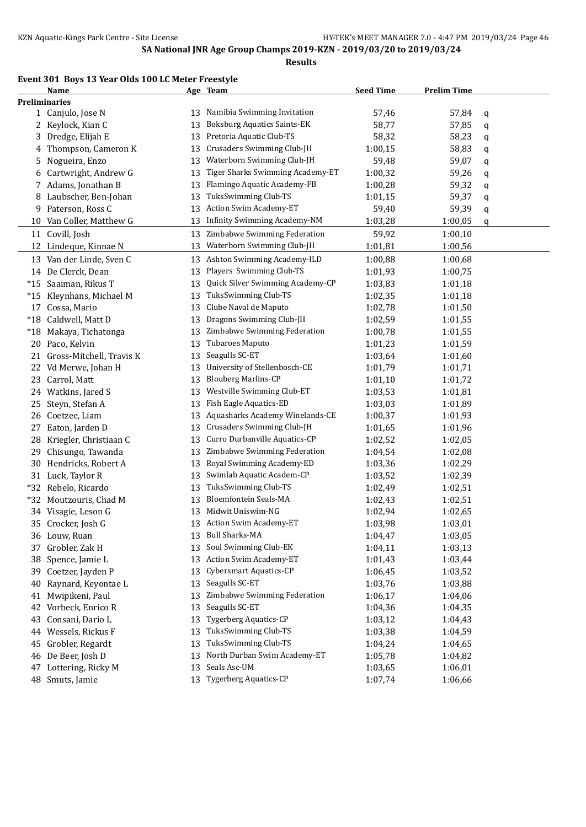**Results**

## **Event 301 Boys 13 Year Olds 100 LC Meter Freestyle**

|       | Name                     |    | Age Team                           | <b>Seed Time</b> | <b>Prelim Time</b> |   |
|-------|--------------------------|----|------------------------------------|------------------|--------------------|---|
|       | <b>Preliminaries</b>     |    |                                    |                  |                    |   |
|       | 1 Canjulo, Jose N        | 13 | Namibia Swimming Invitation        | 57,46            | 57,84              | q |
|       | 2 Keylock, Kian C        | 13 | <b>Boksburg Aquatics Saints-EK</b> | 58,77            | 57,85              | q |
|       | 3 Dredge, Elijah E       | 13 | Pretoria Aquatic Club-TS           | 58,32            | 58,23              | q |
| 4     | Thompson, Cameron K      | 13 | Crusaders Swimming Club-JH         | 1:00,15          | 58,83              | q |
| 5.    | Nogueira, Enzo           | 13 | Waterborn Swimming Club-JH         | 59,48            | 59,07              | q |
| 6     | Cartwright, Andrew G     | 13 | Tiger Sharks Swimming Academy-ET   | 1:00,32          | 59,26              | q |
|       | 7 Adams, Jonathan B      | 13 | Flamingo Aquatic Academy-FB        | 1:00,28          | 59,32              | q |
|       | 8 Laubscher, Ben-Johan   | 13 | TuksSwimming Club-TS               | 1:01,15          | 59,37              | q |
| 9     | Paterson, Ross C         | 13 | Action Swim Academy-ET             | 59,40            | 59,39              | q |
| 10    | Van Coller, Matthew G    | 13 | Infinity Swimming Academy-NM       | 1:03,28          | 1:00,05            | q |
|       | 11 Covill, Josh          | 13 | Zimbabwe Swimming Federation       | 59,92            | 1:00,10            |   |
|       | 12 Lindeque, Kinnae N    | 13 | Waterborn Swimming Club-JH         | 1:01,81          | 1:00,56            |   |
|       | 13 Van der Linde, Sven C | 13 | Ashton Swimming Academy-ILD        | 1:00,88          | 1:00,68            |   |
|       | 14 De Clerck, Dean       | 13 | Players Swimming Club-TS           | 1:01,93          | 1:00,75            |   |
| $*15$ | Saaiman, Rikus T         | 13 | Quick Silver Swimming Academy-CP   | 1:03,83          | 1:01,18            |   |
| $*15$ | Kleynhans, Michael M     | 13 | TuksSwimming Club-TS               | 1:02,35          | 1:01,18            |   |
| 17    | Cossa, Mario             | 13 | Clube Naval de Maputo              | 1:02,78          | 1:01,50            |   |
| $*18$ | Caldwell, Matt D         | 13 | Dragons Swimming Club-JH           | 1:02,59          | 1:01,55            |   |
| $*18$ | Makaya, Tichatonga       | 13 | Zimbabwe Swimming Federation       | 1:00,78          | 1:01,55            |   |
|       | 20 Paco, Kelvin          | 13 | Tubaroes Maputo                    | 1:01,23          | 1:01,59            |   |
| 21    | Gross-Mitchell, Travis K | 13 | Seagulls SC-ET                     | 1:03,64          | 1:01,60            |   |
|       | 22 Vd Merwe, Johan H     | 13 | University of Stellenbosch-CE      | 1:01,79          | 1:01,71            |   |
| 23    | Carrol, Matt             | 13 | <b>Blouberg Marlins-CP</b>         | 1:01,10          | 1:01,72            |   |
|       | 24 Watkins, Jared S      | 13 | Westville Swimming Club-ET         | 1:03,53          | 1:01,81            |   |
| 25    | Steyn, Stefan A          | 13 | Fish Eagle Aquatics-ED             | 1:03,03          | 1:01,89            |   |
| 26    | Coetzee, Liam            | 13 | Aquasharks Academy Winelands-CE    | 1:00,37          | 1:01,93            |   |
| 27    | Eaton, Jarden D          | 13 | Crusaders Swimming Club-JH         | 1:01,65          | 1:01,96            |   |
| 28    | Kriegler, Christiaan C   | 13 | Curro Durbanville Aquatics-CP      | 1:02,52          | 1:02,05            |   |
| 29    | Chisungo, Tawanda        | 13 | Zimbabwe Swimming Federation       | 1:04,54          | 1:02,08            |   |
|       | 30 Hendricks, Robert A   | 13 | Royal Swimming Academy-ED          | 1:03,36          | 1:02,29            |   |
|       | 31 Luck, Taylor R        | 13 | Swimlab Aquatic Academ-CP          | 1:03,52          | 1:02,39            |   |
|       | *32 Rebelo, Ricardo      | 13 | TuksSwimming Club-TS               | 1:02,49          | 1:02,51            |   |
|       | *32 Moutzouris, Chad M   | 13 | <b>Bloemfontein Seals-MA</b>       | 1:02,43          | 1:02,51            |   |
|       | 34 Visagie, Leson G      | 13 | Midwit Uniswim-NG                  | 1:02,94          | 1:02,65            |   |
|       | 35 Crocker, Josh G       |    | 13 Action Swim Academy-ET          | 1:03,98          | 1:03,01            |   |
|       | 36 Louw, Ruan            | 13 | <b>Bull Sharks-MA</b>              | 1:04,47          | 1:03,05            |   |
| 37    | Grobler, Zak H           | 13 | Soul Swimming Club-EK              | 1:04,11          | 1:03,13            |   |
|       | 38 Spence, Jamie L       | 13 | Action Swim Academy-ET             | 1:01,43          | 1:03,44            |   |
| 39    | Coetzer, Jayden P        | 13 | Cybersmart Aquatics-CP             | 1:06,45          | 1:03,52            |   |
| 40    | Raynard, Keyontae L      | 13 | Seagulls SC-ET                     | 1:03,76          | 1:03,88            |   |
| 41    | Mwipikeni, Paul          | 13 | Zimbabwe Swimming Federation       | 1:06,17          | 1:04,06            |   |
| 42    | Vorbeck, Enrico R        | 13 | Seagulls SC-ET                     | 1:04,36          | 1:04,35            |   |
| 43    | Consani, Dario L         | 13 | <b>Tygerberg Aquatics-CP</b>       | 1:03,12          | 1:04,43            |   |
|       | 44 Wessels, Rickus F     | 13 | TuksSwimming Club-TS               | 1:03,38          | 1:04,59            |   |
| 45    | Grobler, Regardt         | 13 | TuksSwimming Club-TS               | 1:04,24          | 1:04,65            |   |
|       | 46 De Beer, Josh D       | 13 | North Durban Swim Academy-ET       | 1:05,78          | 1:04,82            |   |
|       | 47 Lottering, Ricky M    | 13 | Seals Asc-UM                       | 1:03,65          | 1:06,01            |   |
|       | 48 Smuts, Jamie          | 13 | <b>Tygerberg Aquatics-CP</b>       | 1:07,74          | 1:06,66            |   |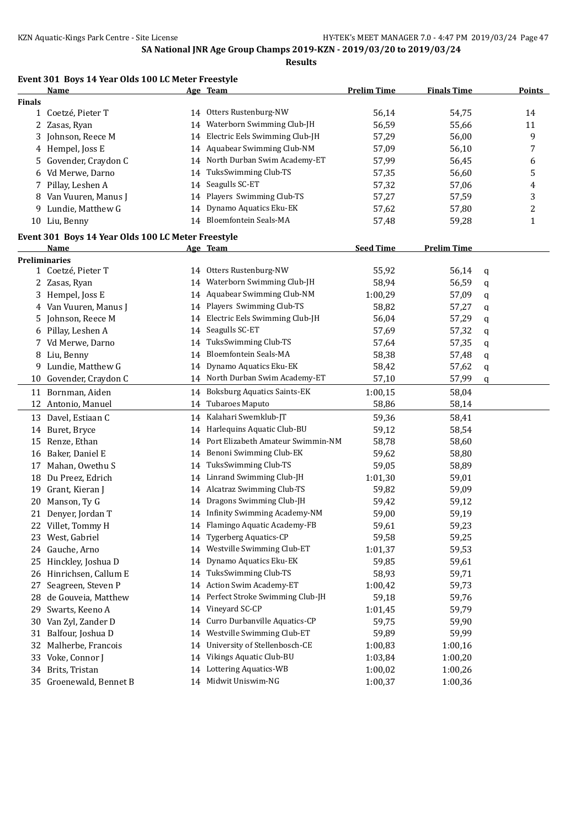**Results**

| Event 301 Boys 14 Year Olds 100 LC Meter Freestyle |  |  |  |  |  |
|----------------------------------------------------|--|--|--|--|--|
|----------------------------------------------------|--|--|--|--|--|

|               | <b>Name</b>                                        |    | Age Team                          | <b>Prelim Time</b> | <b>Finals Time</b> |   | Points       |
|---------------|----------------------------------------------------|----|-----------------------------------|--------------------|--------------------|---|--------------|
| <b>Finals</b> |                                                    |    |                                   |                    |                    |   |              |
|               | 1 Coetzé, Pieter T                                 |    | 14 Otters Rustenburg-NW           | 56,14              | 54,75              |   | 14           |
|               | 2 Zasas, Ryan                                      | 14 | Waterborn Swimming Club-JH        | 56,59              | 55,66              |   | 11           |
| 3             | Johnson, Reece M                                   | 14 | Electric Eels Swimming Club-JH    | 57,29              | 56,00              |   | 9            |
|               | 4 Hempel, Joss E                                   |    | 14 Aquabear Swimming Club-NM      | 57,09              | 56,10              |   | 7            |
| 5.            | Govender, Craydon C                                |    | 14 North Durban Swim Academy-ET   | 57,99              | 56,45              |   | 6            |
|               | 6 Vd Merwe, Darno                                  | 14 | TuksSwimming Club-TS              | 57,35              | 56,60              |   | 5            |
|               | 7 Pillay, Leshen A                                 | 14 | Seagulls SC-ET                    | 57,32              | 57,06              |   | 4            |
| 8             | Van Vuuren, Manus J                                | 14 | Players Swimming Club-TS          | 57,27              | 57,59              |   | 3            |
| 9.            | Lundie, Matthew G                                  | 14 | Dynamo Aquatics Eku-EK            | 57,62              | 57,80              |   | 2            |
|               | 10 Liu, Benny                                      |    | 14 Bloemfontein Seals-MA          | 57,48              | 59,28              |   | $\mathbf{1}$ |
|               |                                                    |    |                                   |                    |                    |   |              |
|               | Event 301 Boys 14 Year Olds 100 LC Meter Freestyle |    |                                   |                    |                    |   |              |
|               | Name                                               |    | Age Team                          | <b>Seed Time</b>   | <b>Prelim Time</b> |   |              |
|               | <b>Preliminaries</b>                               |    |                                   |                    |                    |   |              |
|               | 1 Coetzé, Pieter T                                 |    | 14 Otters Rustenburg-NW           | 55,92              | 56,14              | q |              |
|               | 2 Zasas, Ryan                                      | 14 | Waterborn Swimming Club-JH        | 58,94              | 56,59              | q |              |
| 3             | Hempel, Joss E                                     | 14 | Aquabear Swimming Club-NM         | 1:00,29            | 57,09              | q |              |
|               | 4 Van Vuuren, Manus J                              | 14 | Players Swimming Club-TS          | 58,82              | 57,27              | q |              |
| 5.            | Johnson, Reece M                                   | 14 | Electric Eels Swimming Club-JH    | 56,04              | 57,29              | q |              |
|               | 6 Pillay, Leshen A                                 | 14 | Seagulls SC-ET                    | 57,69              | 57,32              | q |              |
|               | 7 Vd Merwe, Darno                                  | 14 | TuksSwimming Club-TS              | 57,64              | 57,35              | q |              |
|               | 8 Liu, Benny                                       | 14 | <b>Bloemfontein Seals-MA</b>      | 58,38              | 57,48              | q |              |
| 9             | Lundie, Matthew G                                  |    | 14 Dynamo Aquatics Eku-EK         | 58,42              | 57,62              | q |              |
| 10            | Govender, Craydon C                                |    | 14 North Durban Swim Academy-ET   | 57,10              | 57,99              | q |              |
|               | 11 Bornman, Aiden                                  |    | 14 Boksburg Aquatics Saints-EK    | 1:00,15            | 58,04              |   |              |
|               | 12 Antonio, Manuel                                 | 14 | Tubaroes Maputo                   | 58,86              | 58,14              |   |              |
|               | 13 Davel, Estiaan C                                |    | 14 Kalahari Swemklub-JT           | 59,36              | 58,41              |   |              |
|               | 14 Buret, Bryce                                    | 14 | Harlequins Aquatic Club-BU        | 59,12              | 58,54              |   |              |
| 15            | Renze, Ethan                                       | 14 | Port Elizabeth Amateur Swimmin-NM | 58,78              | 58,60              |   |              |
| 16            | Baker, Daniel E                                    | 14 | Benoni Swimming Club-EK           | 59,62              | 58,80              |   |              |
| 17            | Mahan, Owethu S                                    | 14 | TuksSwimming Club-TS              | 59,05              | 58,89              |   |              |
| 18            | Du Preez, Edrich                                   | 14 | Linrand Swimming Club-JH          | 1:01,30            | 59,01              |   |              |
| 19            | Grant, Kieran J                                    | 14 | Alcatraz Swimming Club-TS         | 59,82              | 59,09              |   |              |
| 20            | Manson, Ty G                                       |    | 14 Dragons Swimming Club-JH       | 59,42              | 59,12              |   |              |
|               | 21 Denyer, Jordan T                                |    | 14 Infinity Swimming Academy-NM   | 59,00              | 59,19              |   |              |
|               | 22 Villet, Tommy H                                 |    | 14 Flamingo Aquatic Academy-FB    | 59,61              | 59,23              |   |              |
|               | 23 West, Gabriel                                   |    | 14 Tygerberg Aquatics-CP          | 59,58              | 59,25              |   |              |
|               | 24 Gauche, Arno                                    |    | 14 Westville Swimming Club-ET     | 1:01,37            | 59,53              |   |              |
|               | 25 Hinckley, Joshua D                              | 14 | Dynamo Aquatics Eku-EK            | 59,85              | 59,61              |   |              |
| 26            | Hinrichsen, Callum E                               | 14 | TuksSwimming Club-TS              | 58,93              | 59,71              |   |              |
| 27            | Seagreen, Steven P                                 | 14 | Action Swim Academy-ET            | 1:00,42            | 59,73              |   |              |
| 28            | de Gouveia, Matthew                                | 14 | Perfect Stroke Swimming Club-JH   | 59,18              | 59,76              |   |              |
| 29            | Swarts, Keeno A                                    | 14 | Vineyard SC-CP                    | 1:01,45            | 59,79              |   |              |
| 30            | Van Zyl, Zander D                                  | 14 | Curro Durbanville Aquatics-CP     | 59,75              | 59,90              |   |              |
| 31            | Balfour, Joshua D                                  | 14 | Westville Swimming Club-ET        | 59,89              | 59,99              |   |              |
| 32            | Malherbe, Francois                                 | 14 | University of Stellenbosch-CE     | 1:00,83            | 1:00,16            |   |              |
|               | 33 Voke, Connor J                                  | 14 | Vikings Aquatic Club-BU           | 1:03,84            | 1:00,20            |   |              |
|               | 34 Brits, Tristan                                  |    | 14 Lottering Aquatics-WB          | 1:00,02            | 1:00,26            |   |              |
|               | 35 Groenewald, Bennet B                            |    | 14 Midwit Uniswim-NG              | 1:00,37            | 1:00,36            |   |              |
|               |                                                    |    |                                   |                    |                    |   |              |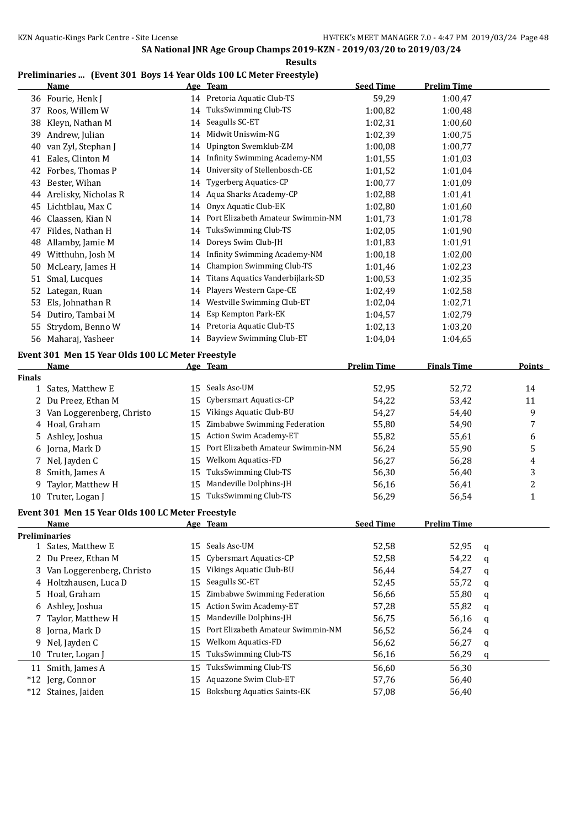**Results**

### **Preliminaries ... (Event 301 Boys 14 Year Olds 100 LC Meter Freestyle)**

|               | <b>Name</b>                                       |    | Age Team                            | <b>Seed Time</b>   | <b>Prelim Time</b> |                         |
|---------------|---------------------------------------------------|----|-------------------------------------|--------------------|--------------------|-------------------------|
|               | 36 Fourie, Henk J                                 |    | 14 Pretoria Aquatic Club-TS         | 59,29              | 1:00,47            |                         |
| 37            | Roos, Willem W                                    | 14 | TuksSwimming Club-TS                | 1:00,82            | 1:00,48            |                         |
| 38            | Kleyn, Nathan M                                   | 14 | Seagulls SC-ET                      | 1:02,31            | 1:00,60            |                         |
| 39            | Andrew, Julian                                    | 14 | Midwit Uniswim-NG                   | 1:02,39            | 1:00,75            |                         |
| 40            | van Zyl, Stephan J                                | 14 | Upington Swemklub-ZM                | 1:00,08            | 1:00,77            |                         |
| 41            | Eales, Clinton M                                  | 14 | <b>Infinity Swimming Academy-NM</b> | 1:01,55            | 1:01,03            |                         |
| 42            | Forbes, Thomas P                                  | 14 | University of Stellenbosch-CE       | 1:01,52            | 1:01,04            |                         |
| 43            | Bester, Wihan                                     | 14 | <b>Tygerberg Aquatics-CP</b>        | 1:00,77            | 1:01,09            |                         |
| 44            | Arelisky, Nicholas R                              |    | 14 Aqua Sharks Academy-CP           | 1:02,88            | 1:01,41            |                         |
| 45            | Lichtblau, Max C                                  | 14 | Onyx Aquatic Club-EK                | 1:02,80            | 1:01,60            |                         |
| 46            | Claassen, Kian N                                  | 14 | Port Elizabeth Amateur Swimmin-NM   | 1:01,73            | 1:01,78            |                         |
| 47            | Fildes, Nathan H                                  | 14 | TuksSwimming Club-TS                | 1:02,05            | 1:01,90            |                         |
| 48            | Allamby, Jamie M                                  | 14 | Doreys Swim Club-JH                 | 1:01,83            | 1:01,91            |                         |
| 49            | Witthuhn, Josh M                                  |    | 14 Infinity Swimming Academy-NM     | 1:00,18            | 1:02,00            |                         |
| 50            | McLeary, James H                                  | 14 | <b>Champion Swimming Club-TS</b>    | 1:01,46            | 1:02,23            |                         |
| 51            | Smal, Lucques                                     | 14 | Titans Aquatics Vanderbijlark-SD    | 1:00,53            | 1:02,35            |                         |
| 52            | Lategan, Ruan                                     | 14 | Players Western Cape-CE             | 1:02,49            | 1:02,58            |                         |
| 53            | Els, Johnathan R                                  | 14 | Westville Swimming Club-ET          | 1:02,04            | 1:02,71            |                         |
|               | 54 Dutiro, Tambai M                               |    | 14 Esp Kempton Park-EK              |                    | 1:02,79            |                         |
|               |                                                   |    | 14 Pretoria Aquatic Club-TS         | 1:04,57            |                    |                         |
| 55            | Strydom, Benno W                                  |    | 14 Bayview Swimming Club-ET         | 1:02,13            | 1:03,20            |                         |
|               | 56 Maharaj, Yasheer                               |    |                                     | 1:04,04            | 1:04,65            |                         |
|               | Event 301 Men 15 Year Olds 100 LC Meter Freestyle |    |                                     |                    |                    |                         |
|               | Name                                              |    | Age Team                            | <b>Prelim Time</b> | <b>Finals Time</b> | <b>Points</b>           |
| <b>Finals</b> |                                                   |    |                                     |                    |                    |                         |
|               | 1 Sates, Matthew E                                | 15 | Seals Asc-UM                        | 52,95              | 52,72              | 14                      |
| 2             | Du Preez, Ethan M                                 | 15 | Cybersmart Aquatics-CP              | 54,22              | 53,42              | 11                      |
| 3             | Van Loggerenberg, Christo                         | 15 | Vikings Aquatic Club-BU             | 54,27              | 54,40              | 9                       |
|               | 4 Hoal, Graham                                    | 15 | Zimbabwe Swimming Federation        | 55,80              | 54,90              | 7                       |
| 5             | Ashley, Joshua                                    | 15 | Action Swim Academy-ET              | 55,82              | 55,61              | 6                       |
| 6             | Jorna, Mark D                                     | 15 | Port Elizabeth Amateur Swimmin-NM   | 56,24              | 55,90              | 5                       |
| 7             | Nel, Jayden C                                     | 15 | Welkom Aquatics-FD                  | 56,27              | 56,28              | 4                       |
| 8             | Smith, James A                                    | 15 | TuksSwimming Club-TS                | 56,30              | 56,40              | 3                       |
| 9             | Taylor, Matthew H                                 | 15 | Mandeville Dolphins-JH              | 56,16              | 56,41              | $\overline{\mathbf{c}}$ |
|               | 10 Truter, Logan J                                |    | 15 TuksSwimming Club-TS             | 56,29              | 56,54              | $\mathbf{1}$            |
|               | Event 301 Men 15 Year Olds 100 LC Meter Freestyle |    |                                     |                    |                    |                         |
|               | <u>Name</u>                                       |    | <u>Age Team</u>                     | <b>Seed Time</b>   | <b>Prelim Time</b> |                         |
|               | Preliminaries                                     |    |                                     |                    |                    |                         |
|               | 1 Sates, Matthew E                                | 15 | Seals Asc-UM                        | 52,58              | 52,95              | q                       |
|               | 2 Du Preez, Ethan M                               | 15 | Cybersmart Aquatics-CP              | 52,58              | 54,22              | q                       |
| 3             | Van Loggerenberg, Christo                         | 15 | Vikings Aquatic Club-BU             | 56,44              | 54,27              | q                       |
| 4             | Holtzhausen, Luca D                               | 15 | Seagulls SC-ET                      | 52,45              | 55,72              | q                       |
| 5             | Hoal, Graham                                      | 15 | Zimbabwe Swimming Federation        | 56,66              | 55,80              | q                       |
| 6             | Ashley, Joshua                                    | 15 | Action Swim Academy-ET              | 57,28              | 55,82              | q                       |
| 7             | Taylor, Matthew H                                 | 15 | Mandeville Dolphins-JH              | 56,75              | 56,16              | q                       |
| 8             | Jorna, Mark D                                     | 15 | Port Elizabeth Amateur Swimmin-NM   | 56,52              | 56,24              | q                       |
| 9             | Nel, Jayden C                                     | 15 | Welkom Aquatics-FD                  | 56,62              | 56,27              | q                       |
| 10            | Truter, Logan J                                   | 15 | TuksSwimming Club-TS                | 56,16              | 56,29              | q                       |
| 11            | Smith, James A                                    | 15 | TuksSwimming Club-TS                | 56,60              | 56,30              |                         |
| $*12$         | Jerg, Connor                                      | 15 | Aquazone Swim Club-ET               | 57,76              | 56,40              |                         |
|               | *12 Staines, Jaiden                               |    | 15 Boksburg Aquatics Saints-EK      | 57,08              | 56,40              |                         |
|               |                                                   |    |                                     |                    |                    |                         |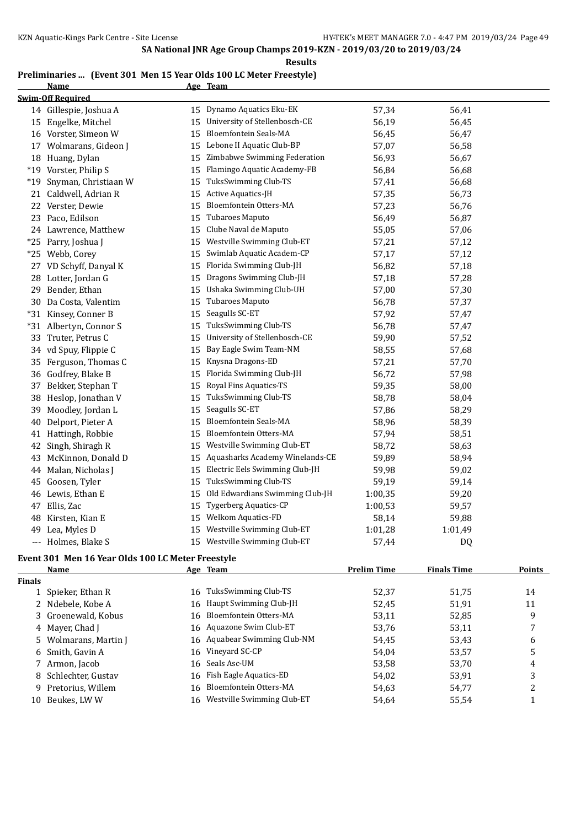### **Preliminaries ... (Event 301 Men 15 Year Olds 100 LC Meter Freestyle)**

|       | <b>Name</b>              |    | Age Team                        |         |                |  |
|-------|--------------------------|----|---------------------------------|---------|----------------|--|
|       | <b>Swim-Off Required</b> |    |                                 |         |                |  |
|       | 14 Gillespie, Joshua A   |    | 15 Dynamo Aquatics Eku-EK       | 57,34   | 56,41          |  |
|       | 15 Engelke, Mitchel      | 15 | University of Stellenbosch-CE   | 56,19   | 56,45          |  |
|       | 16 Vorster, Simeon W     | 15 | <b>Bloemfontein Seals-MA</b>    | 56,45   | 56,47          |  |
| 17    | Wolmarans, Gideon J      |    | 15 Lebone II Aquatic Club-BP    | 57,07   | 56,58          |  |
|       | 18 Huang, Dylan          | 15 | Zimbabwe Swimming Federation    | 56,93   | 56,67          |  |
|       | *19 Vorster, Philip S    | 15 | Flamingo Aquatic Academy-FB     | 56,84   | 56,68          |  |
| $*19$ | Snyman, Christiaan W     | 15 | TuksSwimming Club-TS            | 57,41   | 56,68          |  |
|       | 21 Caldwell, Adrian R    | 15 | Active Aquatics-JH              | 57,35   | 56,73          |  |
|       | 22 Verster, Dewie        | 15 | Bloemfontein Otters-MA          | 57,23   | 56,76          |  |
|       | 23 Paco, Edilson         | 15 | Tubaroes Maputo                 | 56,49   | 56,87          |  |
|       | 24 Lawrence, Matthew     | 15 | Clube Naval de Maputo           | 55,05   | 57,06          |  |
|       | *25 Parry, Joshua J      | 15 | Westville Swimming Club-ET      | 57,21   | 57,12          |  |
|       | *25 Webb, Corey          | 15 | Swimlab Aquatic Academ-CP       | 57,17   | 57,12          |  |
|       | 27 VD Schyff, Danyal K   | 15 | Florida Swimming Club-JH        | 56,82   | 57,18          |  |
|       | 28 Lotter, Jordan G      | 15 | Dragons Swimming Club-JH        | 57,18   | 57,28          |  |
|       | 29 Bender, Ethan         | 15 | Ushaka Swimming Club-UH         | 57,00   | 57,30          |  |
|       | 30 Da Costa, Valentim    | 15 | Tubaroes Maputo                 | 56,78   | 57,37          |  |
|       | *31 Kinsey, Conner B     | 15 | Seagulls SC-ET                  | 57,92   | 57,47          |  |
|       | *31 Albertyn, Connor S   | 15 | TuksSwimming Club-TS            | 56,78   | 57,47          |  |
|       | 33 Truter, Petrus C      | 15 | University of Stellenbosch-CE   | 59,90   | 57,52          |  |
|       | 34 vd Spuy, Flippie C    | 15 | Bay Eagle Swim Team-NM          | 58,55   | 57,68          |  |
|       | 35 Ferguson, Thomas C    | 15 | Knysna Dragons-ED               | 57,21   | 57,70          |  |
|       | 36 Godfrey, Blake B      | 15 | Florida Swimming Club-JH        | 56,72   | 57,98          |  |
|       | 37 Bekker, Stephan T     | 15 | Royal Fins Aquatics-TS          | 59,35   | 58,00          |  |
|       | 38 Heslop, Jonathan V    | 15 | TuksSwimming Club-TS            | 58,78   | 58,04          |  |
| 39    | Moodley, Jordan L        | 15 | Seagulls SC-ET                  | 57,86   | 58,29          |  |
| 40    | Delport, Pieter A        | 15 | <b>Bloemfontein Seals-MA</b>    | 58,96   | 58,39          |  |
|       | 41 Hattingh, Robbie      | 15 | Bloemfontein Otters-MA          | 57,94   | 58,51          |  |
| 42    | Singh, Shiragh R         | 15 | Westville Swimming Club-ET      | 58,72   | 58,63          |  |
| 43    | McKinnon, Donald D       | 15 | Aquasharks Academy Winelands-CE | 59,89   | 58,94          |  |
|       | 44 Malan, Nicholas J     | 15 | Electric Eels Swimming Club-JH  | 59,98   | 59,02          |  |
|       | 45 Goosen, Tyler         | 15 | TuksSwimming Club-TS            | 59,19   | 59,14          |  |
|       | 46 Lewis, Ethan E        | 15 | Old Edwardians Swimming Club-JH | 1:00,35 | 59,20          |  |
|       | 47 Ellis, Zac            | 15 | <b>Tygerberg Aquatics-CP</b>    | 1:00,53 | 59,57          |  |
|       | 48 Kirsten, Kian E       | 15 | Welkom Aquatics-FD              | 58,14   | 59,88          |  |
|       | 49 Lea, Myles D          | 15 | Westville Swimming Club-ET      | 1:01,28 | 1:01,49        |  |
|       | --- Holmes, Blake S      | 15 | Westville Swimming Club-ET      | 57,44   | D <sub>Q</sub> |  |

## **Event 301 Men 16 Year Olds 100 LC Meter Freestyle**

| Points |
|--------|
|        |
| 14     |
| 11     |
| 9      |
|        |
| 6      |
| 5      |
| 4      |
| 3      |
| າ      |
|        |
|        |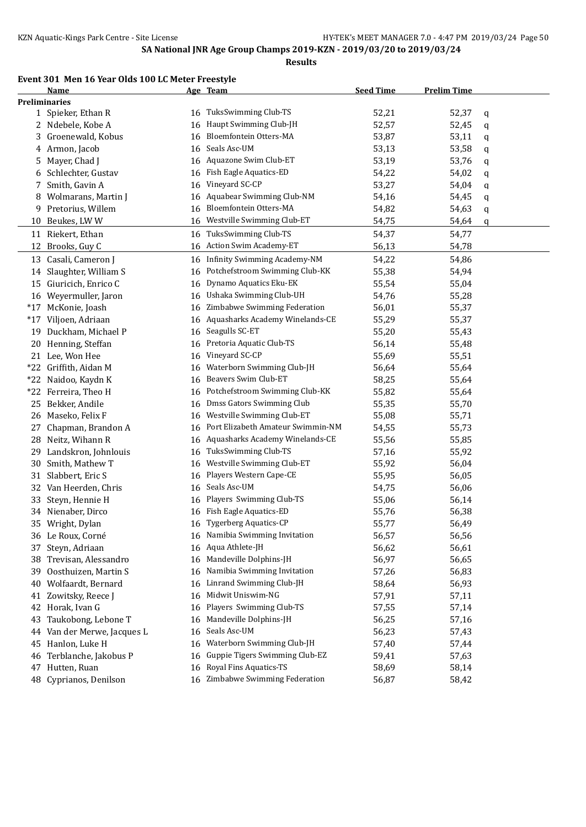### **Event 301 Men 16 Year Olds 100 LC Meter Freestyle**

|                      | Name                               |          | Age Team                          | <b>Seed Time</b> | <b>Prelim Time</b> |   |
|----------------------|------------------------------------|----------|-----------------------------------|------------------|--------------------|---|
| <b>Preliminaries</b> |                                    |          |                                   |                  |                    |   |
|                      | 1 Spieker, Ethan R                 | 16       | TuksSwimming Club-TS              | 52,21            | 52,37              | q |
|                      | 2 Ndebele, Kobe A                  | 16       | Haupt Swimming Club-JH            | 52,57            | 52,45              | q |
| 3.                   | Groenewald, Kobus                  | 16       | Bloemfontein Otters-MA            | 53,87            | 53,11              | q |
|                      | 4 Armon, Jacob                     | 16       | Seals Asc-UM                      | 53,13            | 53,58              | q |
| 5.                   | Mayer, Chad J                      | 16       | Aquazone Swim Club-ET             | 53,19            | 53,76              | q |
| 6                    | Schlechter, Gustav                 | 16       | Fish Eagle Aquatics-ED            | 54,22            | 54,02              | q |
| 7.                   | Smith, Gavin A                     | 16       | Vineyard SC-CP                    | 53,27            | 54,04              | q |
| 8                    | Wolmarans, Martin J                | 16       | Aquabear Swimming Club-NM         | 54,16            | 54,45              | q |
| 9                    | Pretorius, Willem                  | 16       | Bloemfontein Otters-MA            | 54,82            | 54,63              | q |
| 10                   | Beukes, LWW                        | 16       | Westville Swimming Club-ET        | 54,75            | 54,64              | q |
|                      | 11 Riekert, Ethan                  | 16       | TuksSwimming Club-TS              | 54,37            | 54,77              |   |
| 12                   | Brooks, Guy C                      | 16       | Action Swim Academy-ET            | 56,13            | 54,78              |   |
| 13                   | Casali, Cameron J                  | 16       | Infinity Swimming Academy-NM      | 54,22            | 54,86              |   |
| 14                   | Slaughter, William S               | 16       | Potchefstroom Swimming Club-KK    | 55,38            | 54,94              |   |
| 15                   | Giuricich, Enrico C                | 16       | Dynamo Aquatics Eku-EK            | 55,54            | 55,04              |   |
|                      | 16 Weyermuller, Jaron              | 16       | Ushaka Swimming Club-UH           | 54,76            | 55,28              |   |
| $*17$                | McKonie, Joash                     | 16       | Zimbabwe Swimming Federation      | 56,01            | 55,37              |   |
| $*17$                | Viljoen, Adriaan                   | 16       | Aquasharks Academy Winelands-CE   | 55,29            | 55,37              |   |
| 19                   | Duckham, Michael P                 | 16       | Seagulls SC-ET                    | 55,20            | 55,43              |   |
|                      | 20 Henning, Steffan                | 16       | Pretoria Aquatic Club-TS          | 56,14            | 55,48              |   |
|                      | 21 Lee, Won Hee                    | 16       | Vineyard SC-CP                    | 55,69            | 55,51              |   |
|                      | *22 Griffith, Aidan M              | 16       | Waterborn Swimming Club-JH        | 56,64            | 55,64              |   |
| $*22$                | Naidoo, Kaydn K                    | 16       | Beavers Swim Club-ET              | 58,25            | 55,64              |   |
|                      | *22 Ferreira, Theo H               | 16       | Potchefstroom Swimming Club-KK    | 55,82            | 55,64              |   |
| 25                   | Bekker, Andile                     | 16       | Dmss Gators Swimming Club         | 55,35            | 55,70              |   |
| 26                   | Maseko, Felix F                    | 16       | Westville Swimming Club-ET        | 55,08            | 55,71              |   |
| 27                   | Chapman, Brandon A                 | 16       | Port Elizabeth Amateur Swimmin-NM | 54,55            | 55,73              |   |
| 28                   | Neitz, Wihann R                    | 16       | Aquasharks Academy Winelands-CE   | 55,56            | 55,85              |   |
| 29.                  | Landskron, Johnlouis               | 16       | TuksSwimming Club-TS              | 57,16            | 55,92              |   |
| 30                   | Smith, Mathew T                    | 16       | Westville Swimming Club-ET        | 55,92            | 56,04              |   |
| 31                   | Slabbert, Eric S                   | 16       | Players Western Cape-CE           | 55,95            | 56,05              |   |
|                      | 32 Van Heerden, Chris              | 16       | Seals Asc-UM                      | 54,75            | 56,06              |   |
| 33                   | Steyn, Hennie H                    | 16       | Players Swimming Club-TS          | 55,06            | 56,14              |   |
|                      | 34 Nienaber, Dirco                 | 16       | Fish Eagle Aquatics-ED            | 55,76            | 56,38              |   |
|                      | 35 Wright, Dylan                   | 16       | <b>Tygerberg Aquatics-CP</b>      | 55,77            | 56,49              |   |
|                      | 36 Le Roux, Corné                  |          | 16 Namibia Swimming Invitation    | 56,57            | 56,56              |   |
|                      | 37 Steyn, Adriaan                  | 16       | Aqua Athlete-JH                   | 56,62            | 56,61              |   |
| 38                   | Trevisan, Alessandro               | 16       | Mandeville Dolphins-JH            | 56,97            | 56,65              |   |
| 39                   | Oosthuizen, Martin S               | 16       | Namibia Swimming Invitation       | 57,26            | 56,83              |   |
| 40                   | Wolfaardt, Bernard                 | 16       | Linrand Swimming Club-JH          | 58,64            | 56,93              |   |
|                      |                                    |          | Midwit Uniswim-NG                 |                  |                    |   |
| 41<br>42             | Zowitsky, Reece J<br>Horak, Ivan G | 16<br>16 | Players Swimming Club-TS          | 57,91<br>57,55   | 57,11<br>57,14     |   |
| 43                   | Taukobong, Lebone T                |          | Mandeville Dolphins-JH            | 56,25            |                    |   |
|                      | Van der Merwe, Jacques L           | 16       | Seals Asc-UM                      |                  | 57,16              |   |
| 44                   |                                    | 16       | Waterborn Swimming Club-JH        | 56,23            | 57,43              |   |
| 45                   | Hanlon, Luke H                     | 16       | Guppie Tigers Swimming Club-EZ    | 57,40            | 57,44              |   |
| 46                   | Terblanche, Jakobus P              | 16       | Royal Fins Aquatics-TS            | 59,41            | 57,63              |   |
|                      | 47 Hutten, Ruan                    | 16       | Zimbabwe Swimming Federation      | 58,69            | 58,14              |   |
|                      | 48 Cyprianos, Denilson             | 16       |                                   | 56,87            | 58,42              |   |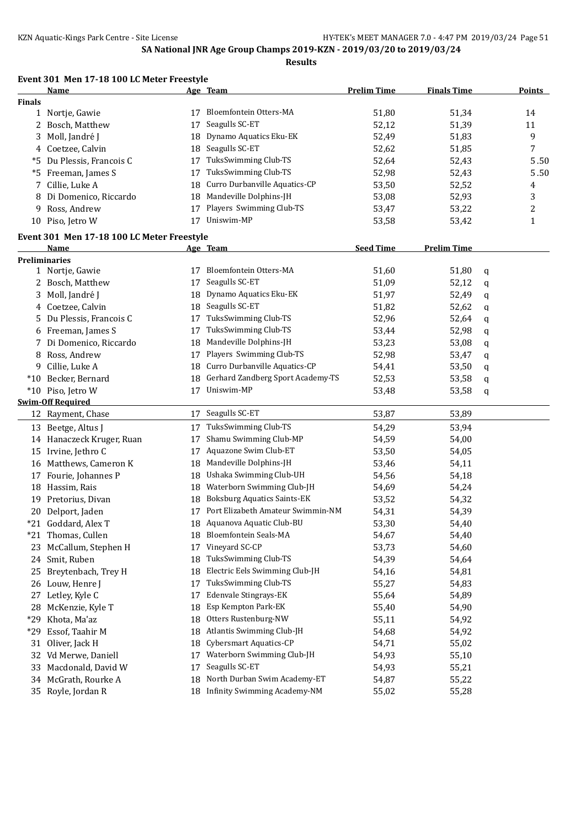**Results**

|               | <b>Name</b>                                   |    | Age Team                           | <b>Prelim Time</b> | <b>Finals Time</b> |   | Points       |
|---------------|-----------------------------------------------|----|------------------------------------|--------------------|--------------------|---|--------------|
| <b>Finals</b> |                                               |    |                                    |                    |                    |   |              |
|               | 1 Nortje, Gawie                               |    | 17 Bloemfontein Otters-MA          | 51,80              | 51,34              |   | 14           |
|               | 2 Bosch, Matthew                              | 17 | Seagulls SC-ET                     | 52,12              | 51,39              |   | 11           |
| 3             | Moll, Jandré J                                | 18 | Dynamo Aquatics Eku-EK             | 52,49              | 51,83              |   | 9            |
|               | 4 Coetzee, Calvin                             | 18 | Seagulls SC-ET                     | 52,62              | 51,85              |   | 7            |
|               | *5 Du Plessis, Francois C                     | 17 | TuksSwimming Club-TS               | 52,64              | 52,43              |   | 5.50         |
|               | *5 Freeman, James S                           | 17 | TuksSwimming Club-TS               | 52,98              | 52,43              |   | 5.50         |
| 7             | Cillie, Luke A                                | 18 | Curro Durbanville Aquatics-CP      | 53,50              | 52,52              |   | 4            |
| 8             | Di Domenico, Riccardo                         | 18 | Mandeville Dolphins-JH             | 53,08              | 52,93              |   | 3            |
| 9.            | Ross, Andrew                                  | 17 | Players Swimming Club-TS           | 53,47              | 53,22              |   | 2            |
|               | 10 Piso, Jetro W                              | 17 | Uniswim-MP                         | 53,58              | 53,42              |   | $\mathbf{1}$ |
|               | Event 301 Men 17-18 100 LC Meter Freestyle    |    |                                    |                    |                    |   |              |
|               | Name                                          |    | Age Team                           | <b>Seed Time</b>   | <b>Prelim Time</b> |   |              |
|               | <b>Preliminaries</b>                          |    |                                    |                    |                    |   |              |
|               | 1 Nortje, Gawie                               | 17 | Bloemfontein Otters-MA             | 51,60              | 51,80              | q |              |
|               | 2 Bosch, Matthew                              | 17 | Seagulls SC-ET                     | 51,09              | 52,12              | q |              |
| 3             | Moll, Jandré J                                | 18 | Dynamo Aquatics Eku-EK             | 51,97              | 52,49              | q |              |
|               | 4 Coetzee, Calvin                             | 18 | Seagulls SC-ET                     | 51,82              | 52,62              | q |              |
|               | 5 Du Plessis, Francois C                      | 17 | <b>TuksSwimming Club-TS</b>        | 52,96              | 52,64              | q |              |
|               | 6 Freeman, James S                            | 17 | TuksSwimming Club-TS               | 53,44              | 52,98              |   |              |
|               | Di Domenico, Riccardo                         | 18 | Mandeville Dolphins-JH             | 53,23              | 53,08              | q |              |
|               | 8 Ross, Andrew                                | 17 | Players Swimming Club-TS           | 52,98              | 53,47              | q |              |
|               | 9 Cillie, Luke A                              | 18 | Curro Durbanville Aquatics-CP      | 54,41              | 53,50              | q |              |
|               | *10 Becker, Bernard                           | 18 | Gerhard Zandberg Sport Academy-TS  |                    |                    | q |              |
|               |                                               | 17 | Uniswim-MP                         | 52,53              | 53,58              | q |              |
|               | *10 Piso, Jetro W<br><b>Swim-Off Required</b> |    |                                    | 53,48              | 53,58              | q |              |
|               |                                               | 17 | Seagulls SC-ET                     | 53,87              | 53,89              |   |              |
|               | 12 Rayment, Chase                             |    |                                    |                    |                    |   |              |
|               | 13 Beetge, Altus J                            | 17 | TuksSwimming Club-TS               | 54,29              | 53,94              |   |              |
|               | 14 Hanaczeck Kruger, Ruan                     | 17 | Shamu Swimming Club-MP             | 54,59              | 54,00              |   |              |
|               | 15 Irvine, Jethro C                           | 17 | Aquazone Swim Club-ET              | 53,50              | 54,05              |   |              |
|               | 16 Matthews, Cameron K                        | 18 | Mandeville Dolphins-JH             | 53,46              | 54,11              |   |              |
|               | 17 Fourie, Johannes P                         | 18 | Ushaka Swimming Club-UH            | 54,56              | 54,18              |   |              |
|               | 18 Hassim, Rais                               | 18 | Waterborn Swimming Club-JH         | 54,69              | 54,24              |   |              |
|               | 19 Pretorius, Divan                           | 18 | <b>Boksburg Aquatics Saints-EK</b> | 53,52              | 54,32              |   |              |
|               | 20 Delport, Jaden                             | 17 | Port Elizabeth Amateur Swimmin-NM  | 54,31              | 54,39              |   |              |
|               | *21 Goddard, Alex T                           |    | 18 Aquanova Aquatic Club-BU        | 53,30              | 54,40              |   |              |
|               | *21 Thomas, Cullen                            | 18 | Bloemfontein Seals-MA              | 54,67              | 54,40              |   |              |
|               | 23 McCallum, Stephen H                        | 17 | Vineyard SC-CP                     | 53,73              | 54,60              |   |              |
| 24            | Smit, Ruben                                   | 18 | TuksSwimming Club-TS               | 54,39              | 54,64              |   |              |
| 25            | Breytenbach, Trey H                           | 18 | Electric Eels Swimming Club-JH     | 54,16              | 54,81              |   |              |
| 26            | Louw, Henre J                                 | 17 | TuksSwimming Club-TS               | 55,27              | 54,83              |   |              |
| 27            | Letley, Kyle C                                | 17 | <b>Edenvale Stingrays-EK</b>       | 55,64              | 54,89              |   |              |
| 28            | McKenzie, Kyle T                              | 18 | Esp Kempton Park-EK                | 55,40              | 54,90              |   |              |
| $*29$         | Khota, Ma'az                                  | 18 | Otters Rustenburg-NW               | 55,11              | 54,92              |   |              |
| $*29$         | Essof, Taahir M                               | 18 | Atlantis Swimming Club-JH          | 54,68              | 54,92              |   |              |
| 31            | Oliver, Jack H                                | 18 | <b>Cybersmart Aquatics-CP</b>      | 54,71              | 55,02              |   |              |
| 32            | Vd Merwe, Daniell                             | 17 | Waterborn Swimming Club-JH         | 54,93              | 55,10              |   |              |
| 33            | Macdonald, David W                            | 17 | Seagulls SC-ET                     | 54,93              | 55,21              |   |              |
| 34            | McGrath, Rourke A                             | 18 | North Durban Swim Academy-ET       | 54,87              | 55,22              |   |              |
|               | 35 Royle, Jordan R                            | 18 | Infinity Swimming Academy-NM       | 55,02              | 55,28              |   |              |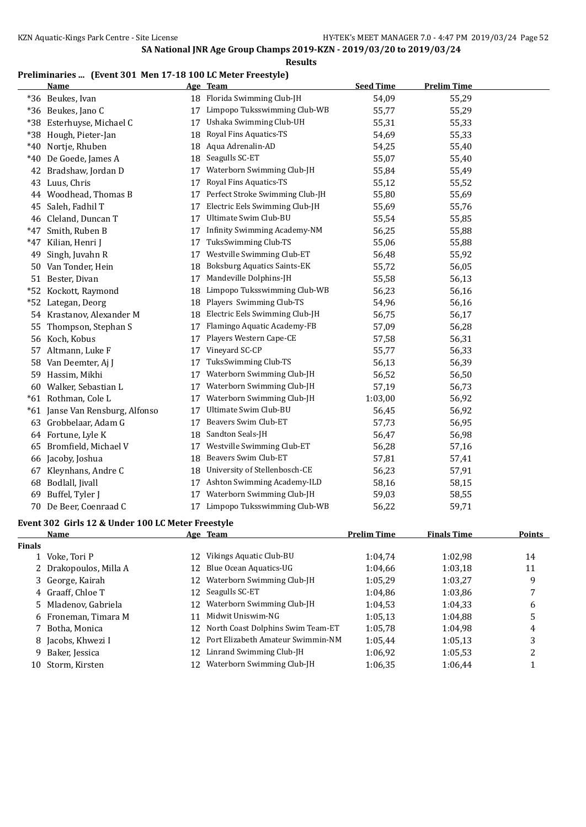### **Preliminaries ... (Event 301 Men 17-18 100 LC Meter Freestyle)**

|       | <b>Name</b>                 |    | Age Team                            | <b>Seed Time</b> | <b>Prelim Time</b> |
|-------|-----------------------------|----|-------------------------------------|------------------|--------------------|
|       | *36 Beukes, Ivan            |    | 18 Florida Swimming Club-JH         | 54,09            | 55,29              |
|       | *36 Beukes, Jano C          | 17 | Limpopo Tuksswimming Club-WB        | 55,77            | 55,29              |
| $*38$ | Esterhuyse, Michael C       | 17 | Ushaka Swimming Club-UH             | 55,31            | 55,33              |
| *38   | Hough, Pieter-Jan           | 18 | Royal Fins Aquatics-TS              | 54,69            | 55,33              |
| $*40$ | Nortje, Rhuben              | 18 | Aqua Adrenalin-AD                   | 54,25            | 55,40              |
| $*40$ | De Goede, James A           | 18 | Seagulls SC-ET                      | 55,07            | 55,40              |
|       | 42 Bradshaw, Jordan D       | 17 | Waterborn Swimming Club-JH          | 55,84            | 55,49              |
| 43    | Luus, Chris                 | 17 | Royal Fins Aquatics-TS              | 55,12            | 55,52              |
| 44    | Woodhead, Thomas B          | 17 | Perfect Stroke Swimming Club-JH     | 55,80            | 55,69              |
| 45    | Saleh, Fadhil T             | 17 | Electric Eels Swimming Club-JH      | 55,69            | 55,76              |
|       | 46 Cleland, Duncan T        | 17 | Ultimate Swim Club-BU               | 55,54            | 55,85              |
| $*47$ | Smith, Ruben B              | 17 | <b>Infinity Swimming Academy-NM</b> | 56,25            | 55,88              |
| $*47$ | Kilian, Henri J             | 17 | TuksSwimming Club-TS                | 55,06            | 55,88              |
| 49    | Singh, Juvahn R             | 17 | Westville Swimming Club-ET          | 56,48            | 55,92              |
|       | 50 Van Tonder, Hein         | 18 | <b>Boksburg Aquatics Saints-EK</b>  | 55,72            | 56,05              |
|       | 51 Bester, Divan            | 17 | Mandeville Dolphins-JH              | 55,58            | 56,13              |
| $*52$ | Kockott, Raymond            | 18 | Limpopo Tuksswimming Club-WB        | 56,23            | 56,16              |
| $*52$ | Lategan, Deorg              | 18 | Players Swimming Club-TS            | 54,96            | 56,16              |
|       | 54 Krastanov, Alexander M   | 18 | Electric Eels Swimming Club-JH      | 56,75            | 56,17              |
| 55    | Thompson, Stephan S         | 17 | Flamingo Aquatic Academy-FB         | 57,09            | 56,28              |
|       | 56 Koch, Kobus              | 17 | Players Western Cape-CE             | 57,58            | 56,31              |
| 57    | Altmann, Luke F             | 17 | Vineyard SC-CP                      | 55,77            | 56,33              |
| 58    | Van Deemter, Aj J           | 17 | TuksSwimming Club-TS                | 56,13            | 56,39              |
| 59    | Hassim, Mikhi               | 17 | Waterborn Swimming Club-JH          | 56,52            | 56,50              |
| 60    | Walker, Sebastian L         | 17 | Waterborn Swimming Club-JH          | 57,19            | 56,73              |
|       | *61 Rothman, Cole L         | 17 | Waterborn Swimming Club-JH          | 1:03,00          | 56,92              |
| $*61$ | Janse Van Rensburg, Alfonso | 17 | Ultimate Swim Club-BU               | 56,45            | 56,92              |
| 63    | Grobbelaar, Adam G          | 17 | Beavers Swim Club-ET                | 57,73            | 56,95              |
|       | 64 Fortune, Lyle K          | 18 | Sandton Seals-JH                    | 56,47            | 56,98              |
| 65    | Bromfield, Michael V        | 17 | Westville Swimming Club-ET          | 56,28            | 57,16              |
| 66    | Jacoby, Joshua              | 18 | Beavers Swim Club-ET                | 57,81            | 57,41              |
| 67    | Kleynhans, Andre C          | 18 | University of Stellenbosch-CE       | 56,23            | 57,91              |
| 68    | Bodlall, Jivall             | 17 | Ashton Swimming Academy-ILD         | 58,16            | 58,15              |
| 69    | Buffel, Tyler J             | 17 | Waterborn Swimming Club-JH          | 59,03            | 58,55              |
|       | 70 De Beer, Coenraad C      |    | 17 Limpopo Tuksswimming Club-WB     | 56,22            | 59,71              |
|       |                             |    |                                     |                  |                    |

# **Event 302 Girls 12 & Under 100 LC Meter Freestyle**

|               | <b>Name</b>            |                 | Age Team                             | <b>Prelim Time</b> | <b>Finals Time</b> | <b>Points</b> |
|---------------|------------------------|-----------------|--------------------------------------|--------------------|--------------------|---------------|
| <b>Finals</b> |                        |                 |                                      |                    |                    |               |
|               | 1 Voke, Tori P         | 12              | Vikings Aquatic Club-BU              | 1:04.74            | 1:02.98            | 14            |
|               | 2 Drakopoulos, Milla A | 12              | Blue Ocean Aquatics-UG               | 1:04.66            | 1:03.18            | 11            |
|               | 3 George, Kairah       | 12              | Waterborn Swimming Club-JH           | 1:05,29            | 1:03,27            | 9             |
|               | 4 Graaff, Chloe T      | 12              | Seagulls SC-ET                       | 1:04.86            | 1:03.86            |               |
|               | 5 Mladenov, Gabriela   | 12              | Waterborn Swimming Club-JH           | 1:04.53            | 1:04,33            | 6             |
|               | 6 Froneman, Timara M   | 11              | Midwit Uniswim-NG                    | 1:05.13            | 1:04.88            | 5             |
|               | 7 Botha, Monica        |                 | 12 North Coast Dolphins Swim Team-ET | 1:05,78            | 1:04,98            | 4             |
|               | 8 Jacobs, Khwezi I     | 12 <sup>1</sup> | Port Elizabeth Amateur Swimmin-NM    | 1:05.44            | 1:05.13            | 3             |
|               | 9 Baker, Jessica       | 12              | Linrand Swimming Club-JH             | 1:06.92            | 1:05.53            | ำ             |
| 10            | Storm, Kirsten         | 12              | Waterborn Swimming Club-JH           | 1:06.35            | 1:06,44            |               |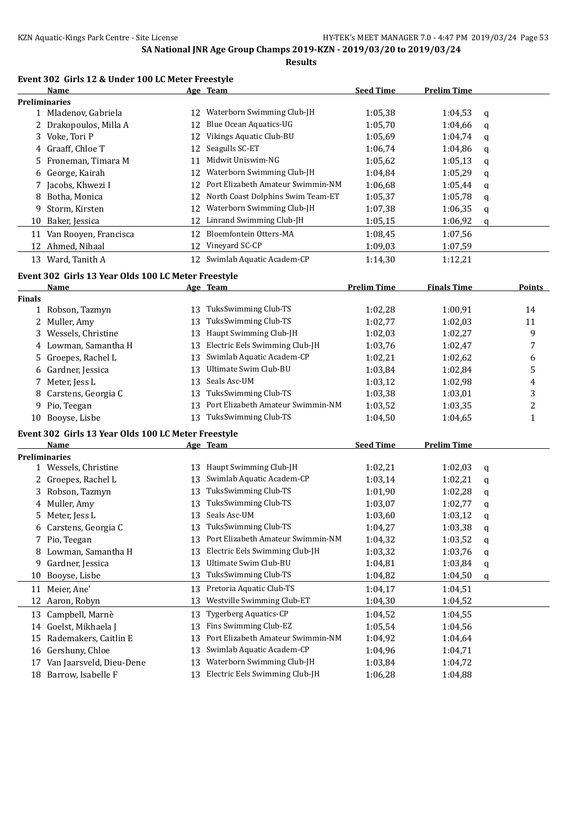### **Event 302 Girls 12 & Under 100 LC Meter Freestyle**

|               | Name                                                |    | Age Team                             | <b>Seed Time</b>   | <b>Prelim Time</b> |   |              |
|---------------|-----------------------------------------------------|----|--------------------------------------|--------------------|--------------------|---|--------------|
|               | <b>Preliminaries</b>                                |    |                                      |                    |                    |   |              |
|               | 1 Mladenov, Gabriela                                |    | 12 Waterborn Swimming Club-JH        | 1:05,38            | 1:04,53            | q |              |
|               | 2 Drakopoulos, Milla A                              | 12 | Blue Ocean Aquatics-UG               | 1:05,70            | 1:04,66            | q |              |
|               | 3 Voke, Tori P                                      | 12 | Vikings Aquatic Club-BU              | 1:05,69            | 1:04,74            | q |              |
|               | 4 Graaff, Chloe T                                   | 12 | Seagulls SC-ET                       | 1:06,74            | 1:04,86            | q |              |
| 5.            | Froneman, Timara M                                  | 11 | Midwit Uniswim-NG                    | 1:05,62            | 1:05,13            | q |              |
| 6             | George, Kairah                                      |    | 12 Waterborn Swimming Club-JH        | 1:04,84            | 1:05,29            | q |              |
| 7             | Jacobs, Khwezi I                                    | 12 | Port Elizabeth Amateur Swimmin-NM    | 1:06,68            | 1:05,44            | q |              |
| 8             | Botha, Monica                                       | 12 | North Coast Dolphins Swim Team-ET    | 1:05,37            | 1:05,78            | q |              |
| 9             | Storm, Kirsten                                      | 12 | Waterborn Swimming Club-JH           | 1:07,38            | 1:06,35            | q |              |
| 10            | Baker, Jessica                                      | 12 | Linrand Swimming Club-JH             | 1:05,15            | 1:06,92            | q |              |
|               | 11 Van Rooyen, Francisca                            | 12 | Bloemfontein Otters-MA               | 1:08,45            | 1:07,56            |   |              |
|               | 12 Ahmed, Nihaal                                    |    | 12 Vineyard SC-CP                    | 1:09,03            | 1:07,59            |   |              |
|               | 13 Ward, Tanith A                                   |    | 12 Swimlab Aquatic Academ-CP         | 1:14,30            | 1:12,21            |   |              |
|               | Event 302 Girls 13 Year Olds 100 LC Meter Freestyle |    |                                      |                    |                    |   |              |
|               | <u>Name</u>                                         |    | Age Team                             | <b>Prelim Time</b> | <b>Finals Time</b> |   | Points       |
| <b>Finals</b> |                                                     |    |                                      |                    |                    |   |              |
|               | 1 Robson, Tazmyn                                    |    | 13 TuksSwimming Club-TS              | 1:02,28            | 1:00,91            |   | 14           |
|               | 2 Muller, Amy                                       | 13 | TuksSwimming Club-TS                 | 1:02,77            | 1:02,03            |   | 11           |
| 3             | Wessels, Christine                                  | 13 | Haupt Swimming Club-JH               | 1:02,03            | 1:02,27            |   | 9            |
|               | 4 Lowman, Samantha H                                | 13 | Electric Eels Swimming Club-JH       | 1:03,76            | 1:02,47            |   | 7            |
|               | 5 Groepes, Rachel L                                 | 13 | Swimlab Aquatic Academ-CP            | 1:02,21            | 1:02,62            |   | 6            |
|               | 6 Gardner, Jessica                                  | 13 | Ultimate Swim Club-BU                | 1:03,84            | 1:02,84            |   | 5            |
| 7             | Meter, Jess L                                       | 13 | Seals Asc-UM                         | 1:03,12            | 1:02,98            |   | 4            |
| 8             | Carstens, Georgia C                                 | 13 | TuksSwimming Club-TS                 | 1:03,38            | 1:03,01            |   | 3            |
| 9             | Pio, Teegan                                         | 13 | Port Elizabeth Amateur Swimmin-NM    | 1:03,52            | 1:03,35            |   | 2            |
|               | 10 Booyse, Lisbe                                    |    | 13 TuksSwimming Club-TS              | 1:04,50            | 1:04,65            |   | $\mathbf{1}$ |
|               | Event 302 Girls 13 Year Olds 100 LC Meter Freestyle |    |                                      |                    |                    |   |              |
|               | Name                                                |    | Age Team                             | <b>Seed Time</b>   | <b>Prelim Time</b> |   |              |
|               | <b>Preliminaries</b>                                |    |                                      |                    |                    |   |              |
|               | 1 Wessels, Christine                                |    | 13 Haupt Swimming Club-JH            | 1:02,21            | 1:02,03            | q |              |
|               | 2 Groepes, Rachel L                                 | 13 | Swimlab Aquatic Academ-CP            | 1:03,14            | 1:02,21            | q |              |
| 3             | Robson, Tazmyn                                      | 13 | TuksSwimming Club-TS                 | 1:01,90            | 1:02,28            | q |              |
|               | 4 Muller, Amy                                       | 13 | TuksSwimming Club-TS                 | 1:03,07            | 1:02,77            | q |              |
|               | 5 Meter, Jess L                                     |    | 13 Seals Asc-UM                      | 1:03,60            | 1:03,12            | q |              |
|               | 6 Carstens, Georgia C                               |    | 13 TuksSwimming Club-TS              | 1:04,27            | 1:03,38            | q |              |
|               | 7 Pio, Teegan                                       |    | 13 Port Elizabeth Amateur Swimmin-NM | 1:04,32            | 1:03,52            | q |              |
| 8             | Lowman, Samantha H                                  | 13 | Electric Eels Swimming Club-JH       | 1:03,32            | 1:03,76            | q |              |
| 9             | Gardner, Jessica                                    | 13 | Ultimate Swim Club-BU                | 1:04,81            | 1:03,84            | q |              |
| 10            | Booyse, Lisbe                                       | 13 | TuksSwimming Club-TS                 | 1:04,82            | 1:04,50            | q |              |
| 11            | Meier, Ane'                                         | 13 | Pretoria Aquatic Club-TS             | 1:04,17            | 1:04,51            |   |              |
| 12            | Aaron, Robyn                                        | 13 | Westville Swimming Club-ET           | 1:04,30            | 1:04,52            |   |              |
| 13            | Campbell, Marnè                                     | 13 | Tygerberg Aquatics-CP                | 1:04,52            | 1:04,55            |   |              |
| 14            | Goelst, Mikhaela J                                  | 13 | Fins Swimming Club-EZ                | 1:05,54            | 1:04,56            |   |              |
| 15            | Rademakers, Caitlin E                               | 13 | Port Elizabeth Amateur Swimmin-NM    | 1:04,92            | 1:04,64            |   |              |
| 16            | Gershuny, Chloe                                     | 13 | Swimlab Aquatic Academ-CP            | 1:04,96            | 1:04,71            |   |              |
| 17            | Van Jaarsveld, Dieu-Dene                            | 13 | Waterborn Swimming Club-JH           | 1:03,84            | 1:04,72            |   |              |
|               | 18 Barrow, Isabelle F                               | 13 | Electric Eels Swimming Club-JH       | 1:06,28            | 1:04,88            |   |              |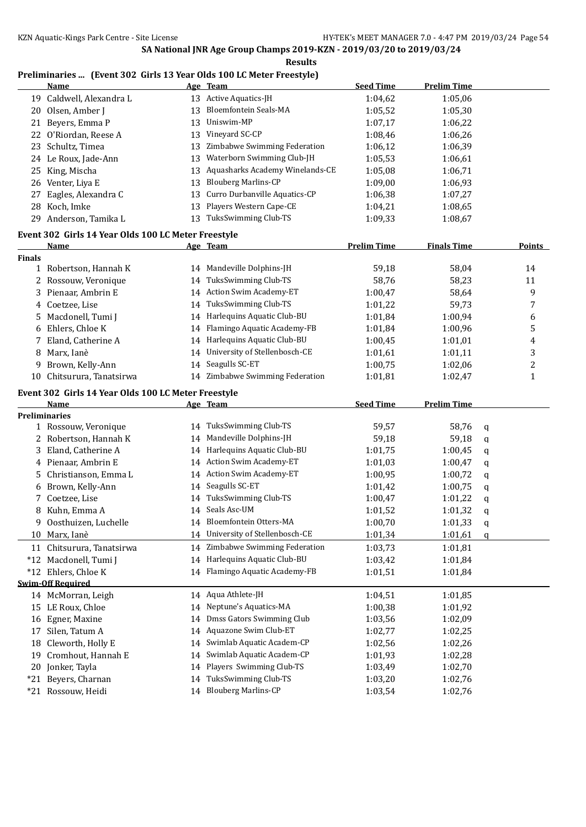### **Preliminaries ... (Event 302 Girls 13 Year Olds 100 LC Meter Freestyle)**

|               | <b>Name</b>                                         |    | Age Team                         | <b>Seed Time</b>   | <b>Prelim Time</b> |        |                |
|---------------|-----------------------------------------------------|----|----------------------------------|--------------------|--------------------|--------|----------------|
|               | 19 Caldwell, Alexandra L                            |    | 13 Active Aquatics-JH            | 1:04,62            | 1:05,06            |        |                |
| 20            | Olsen, Amber J                                      | 13 | Bloemfontein Seals-MA            | 1:05,52            | 1:05,30            |        |                |
|               | 21 Beyers, Emma P                                   | 13 | Uniswim-MP                       | 1:07,17            | 1:06,22            |        |                |
| 22            | O'Riordan, Reese A                                  | 13 | Vineyard SC-CP                   | 1:08,46            | 1:06,26            |        |                |
|               | 23 Schultz, Timea                                   | 13 | Zimbabwe Swimming Federation     | 1:06,12            | 1:06,39            |        |                |
|               | 24 Le Roux, Jade-Ann                                | 13 | Waterborn Swimming Club-JH       | 1:05,53            | 1:06,61            |        |                |
| 25            | King, Mischa                                        | 13 | Aquasharks Academy Winelands-CE  | 1:05,08            | 1:06,71            |        |                |
| 26            | Venter, Liya E                                      | 13 | <b>Blouberg Marlins-CP</b>       | 1:09,00            | 1:06,93            |        |                |
| 27            | Eagles, Alexandra C                                 | 13 | Curro Durbanville Aquatics-CP    | 1:06,38            | 1:07,27            |        |                |
|               | 28 Koch, Imke                                       | 13 | Players Western Cape-CE          | 1:04,21            | 1:08,65            |        |                |
|               | 29 Anderson, Tamika L                               |    | 13 TuksSwimming Club-TS          | 1:09,33            | 1:08,67            |        |                |
|               | Event 302 Girls 14 Year Olds 100 LC Meter Freestyle |    |                                  |                    |                    |        |                |
|               | <u>Name</u>                                         |    | Age Team                         | <b>Prelim Time</b> | <b>Finals Time</b> |        | <b>Points</b>  |
| <b>Finals</b> |                                                     |    |                                  |                    |                    |        |                |
|               | 1 Robertson, Hannah K                               |    | 14 Mandeville Dolphins-JH        | 59,18              | 58,04              |        | 14             |
|               | 2 Rossouw, Veronique                                | 14 | TuksSwimming Club-TS             | 58,76              | 58,23              |        | 11             |
|               | 3 Pienaar, Ambrin E                                 | 14 | <b>Action Swim Academy-ET</b>    | 1:00,47            | 58,64              |        | 9              |
|               | 4 Coetzee, Lise                                     | 14 | <b>TuksSwimming Club-TS</b>      | 1:01,22            | 59,73              |        | 7              |
|               | 5 Macdonell, Tumi J                                 | 14 | Harlequins Aquatic Club-BU       | 1:01,84            | 1:00,94            |        | 6              |
| 6             | Ehlers, Chloe K                                     |    | 14 Flamingo Aquatic Academy-FB   | 1:01,84            | 1:00,96            |        | 5              |
| 7             | Eland, Catherine A                                  |    | 14 Harlequins Aquatic Club-BU    | 1:00,45            | 1:01,01            |        | 4              |
| 8             | Marx, Ianè                                          | 14 | University of Stellenbosch-CE    | 1:01,61            | 1:01,11            |        | 3              |
| 9             | Brown, Kelly-Ann                                    |    | 14 Seagulls SC-ET                | 1:00,75            | 1:02,06            |        | $\overline{c}$ |
| 10            | Chitsurura, Tanatsirwa                              |    | 14 Zimbabwe Swimming Federation  | 1:01,81            | 1:02,47            |        | $\mathbf{1}$   |
|               |                                                     |    |                                  |                    |                    |        |                |
|               | Event 302 Girls 14 Year Olds 100 LC Meter Freestyle |    |                                  |                    |                    |        |                |
|               | Name                                                |    | Age Team                         | <b>Seed Time</b>   | <b>Prelim Time</b> |        |                |
|               | <b>Preliminaries</b><br>1 Rossouw, Veronique        |    | 14 TuksSwimming Club-TS          | 59,57              | 58,76              |        |                |
|               | 2 Robertson, Hannah K                               |    | 14 Mandeville Dolphins-JH        | 59,18              | 59,18              | q      |                |
| 3             | Eland, Catherine A                                  |    | 14 Harlequins Aquatic Club-BU    | 1:01,75            | 1:00,45            | q<br>q |                |
|               | 4 Pienaar, Ambrin E                                 |    | 14 Action Swim Academy-ET        | 1:01,03            | 1:00,47            |        |                |
| 5.            | Christianson, Emma L                                |    | 14 Action Swim Academy-ET        | 1:00,95            | 1:00,72            | q      |                |
| 6             | Brown, Kelly-Ann                                    | 14 | Seagulls SC-ET                   | 1:01,42            | 1:00,75            | q<br>q |                |
| 7             | Coetzee, Lise                                       | 14 | TuksSwimming Club-TS             | 1:00,47            | 1:01,22            |        |                |
|               | 8 Kuhn, Emma A                                      |    | 14 Seals Asc-UM                  | 1:01,52            | 1:01,32            | q<br>q |                |
|               | 9 Oosthuizen, Luchelle                              |    | 14 Bloemfontein Otters-MA        | 1:00,70            | 1:01,33            |        |                |
|               | 10 Marx, Ianè                                       |    | 14 University of Stellenbosch-CE | 1:01,34            | 1:01,61            | q<br>q |                |
|               | 11 Chitsurura, Tanatsirwa                           |    | Zimbabwe Swimming Federation     |                    |                    |        |                |
|               |                                                     | 14 | Harlequins Aquatic Club-BU       | 1:03,73            | 1:01,81            |        |                |
|               | *12 Macdonell, Tumi J<br>*12 Ehlers, Chloe K        | 14 | 14 Flamingo Aquatic Academy-FB   | 1:03,42            | 1:01,84            |        |                |
|               | <b>Swim-Off Required</b>                            |    |                                  | 1:01,51            | 1:01,84            |        |                |
|               | 14 McMorran, Leigh                                  |    | 14 Aqua Athlete-JH               | 1:04,51            | 1:01,85            |        |                |
|               | 15 LE Roux, Chloe                                   | 14 | Neptune's Aquatics-MA            | 1:00,38            | 1:01,92            |        |                |
|               | Egner, Maxine                                       |    | Dmss Gators Swimming Club        | 1:03,56            | 1:02,09            |        |                |
| 16            |                                                     | 14 | Aquazone Swim Club-ET            |                    |                    |        |                |
| 17            | Silen, Tatum A<br>Cleworth, Holly E                 | 14 | Swimlab Aquatic Academ-CP        | 1:02,77            | 1:02,25            |        |                |
| 18            | Cromhout, Hannah E                                  | 14 | Swimlab Aquatic Academ-CP        | 1:02,56            | 1:02,26            |        |                |
| 19            |                                                     | 14 | Players Swimming Club-TS         | 1:01,93            | 1:02,28            |        |                |
| 20            | Jonker, Tayla                                       | 14 | TuksSwimming Club-TS             | 1:03,49            | 1:02,70            |        |                |
| $*21$         | Beyers, Charnan<br>*21 Rossouw, Heidi               | 14 | 14 Blouberg Marlins-CP           | 1:03,20<br>1:03,54 | 1:02,76<br>1:02,76 |        |                |
|               |                                                     |    |                                  |                    |                    |        |                |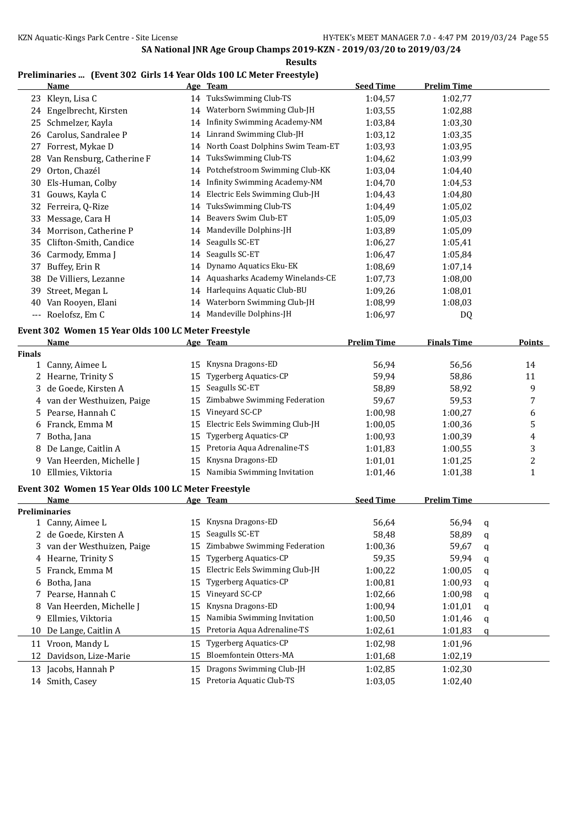**Results**

### **Preliminaries ... (Event 302 Girls 14 Year Olds 100 LC Meter Freestyle)**

|     | Name                      |    | Age Team                            | <b>Seed Time</b> | <b>Prelim Time</b> |  |
|-----|---------------------------|----|-------------------------------------|------------------|--------------------|--|
|     | 23 Kleyn, Lisa C          |    | 14 TuksSwimming Club-TS             | 1:04,57          | 1:02,77            |  |
| 24  | Engelbrecht, Kirsten      | 14 | Waterborn Swimming Club-JH          | 1:03,55          | 1:02,88            |  |
| 25  | Schmelzer, Kayla          | 14 | Infinity Swimming Academy-NM        | 1:03.84          | 1:03,30            |  |
| 26  | Carolus, Sandralee P      | 14 | Linrand Swimming Club-JH            | 1:03,12          | 1:03.35            |  |
| 27  | Forrest, Mykae D          | 14 | North Coast Dolphins Swim Team-ET   | 1:03,93          | 1:03,95            |  |
| 28  | Van Rensburg, Catherine F | 14 | TuksSwimming Club-TS                | 1:04,62          | 1:03,99            |  |
| 29  | Orton, Chazél             |    | 14 Potchefstroom Swimming Club-KK   | 1:03,04          | 1:04,40            |  |
| 30  | Els-Human, Colby          | 14 | <b>Infinity Swimming Academy-NM</b> | 1:04.70          | 1:04.53            |  |
| 31  | Gouws, Kayla C            | 14 | Electric Eels Swimming Club-JH      | 1:04,43          | 1:04,80            |  |
| 32  | Ferreira, Q-Rize          | 14 | TuksSwimming Club-TS                | 1:04,49          | 1:05,02            |  |
| 33  | Message, Cara H           | 14 | Beavers Swim Club-ET                | 1:05,09          | 1:05.03            |  |
| 34  | Morrison, Catherine P     | 14 | Mandeville Dolphins-JH              | 1:03,89          | 1:05,09            |  |
| 35  | Clifton-Smith, Candice    | 14 | Seagulls SC-ET                      | 1:06.27          | 1:05,41            |  |
| 36  | Carmody, Emma J           | 14 | Seagulls SC-ET                      | 1:06,47          | 1:05,84            |  |
| 37  | Buffey, Erin R            | 14 | Dynamo Aquatics Eku-EK              | 1:08.69          | 1:07,14            |  |
| 38  | De Villiers, Lezanne      | 14 | Aquasharks Academy Winelands-CE     | 1:07,73          | 1:08,00            |  |
| 39  | Street, Megan L           | 14 | Harlequins Aquatic Club-BU          | 1:09,26          | 1:08,01            |  |
| 40  | Van Rooyen, Elani         | 14 | Waterborn Swimming Club-JH          | 1:08.99          | 1:08,03            |  |
| --- | Roelofsz, Em C            | 14 | Mandeville Dolphins-JH              | 1:06,97          | DQ                 |  |
|     |                           |    |                                     |                  |                    |  |

### **Event 302 Women 15 Year Olds 100 LC Meter Freestyle**

|               | <b>Name</b>                                         |    | Age Team                       | <b>Prelim Time</b> | <b>Finals Time</b> |             | <b>Points</b>    |  |  |  |
|---------------|-----------------------------------------------------|----|--------------------------------|--------------------|--------------------|-------------|------------------|--|--|--|
| <b>Finals</b> |                                                     |    |                                |                    |                    |             |                  |  |  |  |
| $\mathbf{1}$  | Canny, Aimee L                                      | 15 | Knysna Dragons-ED              | 56,94              | 56,56              |             | 14               |  |  |  |
| 2             | Hearne, Trinity S                                   | 15 | <b>Tygerberg Aquatics-CP</b>   | 59,94              | 58,86              |             | 11               |  |  |  |
| 3             | de Goede, Kirsten A                                 | 15 | Seagulls SC-ET                 | 58,89              | 58,92              |             | 9                |  |  |  |
| 4             | van der Westhuizen, Paige                           | 15 | Zimbabwe Swimming Federation   | 59,67              | 59,53              |             | 7                |  |  |  |
| 5             | Pearse, Hannah C                                    | 15 | Vineyard SC-CP                 | 1:00,98            | 1:00,27            |             | 6                |  |  |  |
| 6             | Franck, Emma M                                      | 15 | Electric Eels Swimming Club-JH | 1:00,05            | 1:00,36            |             | 5                |  |  |  |
| 7             | Botha, Jana                                         | 15 | <b>Tygerberg Aquatics-CP</b>   | 1:00,93            | 1:00,39            |             | 4                |  |  |  |
| 8             | De Lange, Caitlin A                                 | 15 | Pretoria Aqua Adrenaline-TS    | 1:01,83            | 1:00,55            |             | 3                |  |  |  |
| 9             | Van Heerden, Michelle J                             | 15 | Knysna Dragons-ED              | 1:01,01            | 1:01.25            |             | $\boldsymbol{2}$ |  |  |  |
| 10            | Ellmies, Viktoria                                   | 15 | Namibia Swimming Invitation    | 1:01,46            | 1:01,38            |             | $\mathbf{1}$     |  |  |  |
|               | Event 302 Women 15 Year Olds 100 LC Meter Freestyle |    |                                |                    |                    |             |                  |  |  |  |
|               | <b>Name</b>                                         |    | Age Team                       | <b>Seed Time</b>   | <b>Prelim Time</b> |             |                  |  |  |  |
|               | <b>Preliminaries</b>                                |    |                                |                    |                    |             |                  |  |  |  |
|               | 1 Canny, Aimee L                                    | 15 | Knysna Dragons-ED              | 56,64              | 56,94              | $\mathbf q$ |                  |  |  |  |
| 2             | de Goede, Kirsten A                                 | 15 | Seagulls SC-ET                 | 58,48              | 58,89              | q           |                  |  |  |  |
| 3             | van der Westhuizen, Paige                           | 15 | Zimbabwe Swimming Federation   | 1:00,36            | 59,67              | q           |                  |  |  |  |
|               | 4 Hearne, Trinity S                                 | 15 | <b>Tygerberg Aquatics-CP</b>   | 59,35              | 59,94              | q           |                  |  |  |  |
| 5             | Franck, Emma M                                      | 15 | Electric Eels Swimming Club-JH | 1:00,22            | 1:00,05            | q           |                  |  |  |  |
| 6             | Botha, Jana                                         | 15 | <b>Tygerberg Aquatics-CP</b>   | 1:00.81            | 1:00,93            | q           |                  |  |  |  |
|               | Pearse, Hannah C                                    | 15 | Vineyard SC-CP                 | 1:02,66            | 1:00,98            | a           |                  |  |  |  |
| 8             | Van Heerden, Michelle J                             | 15 | Knysna Dragons-ED              | 1:00,94            | 1:01,01            | q           |                  |  |  |  |
| 9             | Ellmies, Viktoria                                   | 15 | Namibia Swimming Invitation    | 1:00,50            | 1:01,46            | q           |                  |  |  |  |
| 10            | De Lange, Caitlin A                                 | 15 | Pretoria Aqua Adrenaline-TS    | 1:02,61            | 1:01,83            | $\mathbf q$ |                  |  |  |  |
| 11            | Vroon, Mandy L                                      | 15 | <b>Tygerberg Aquatics-CP</b>   | 1:02,98            | 1:01,96            |             |                  |  |  |  |
| 12            | Davidson, Lize-Marie                                | 15 | Bloemfontein Otters-MA         | 1:01,68            | 1:02,19            |             |                  |  |  |  |
| 13            | Jacobs, Hannah P                                    | 15 | Dragons Swimming Club-JH       | 1:02,85            | 1:02,30            |             |                  |  |  |  |
|               | 14 Smith, Casey                                     | 15 | Pretoria Aquatic Club-TS       | 1:03,05            | 1:02,40            |             |                  |  |  |  |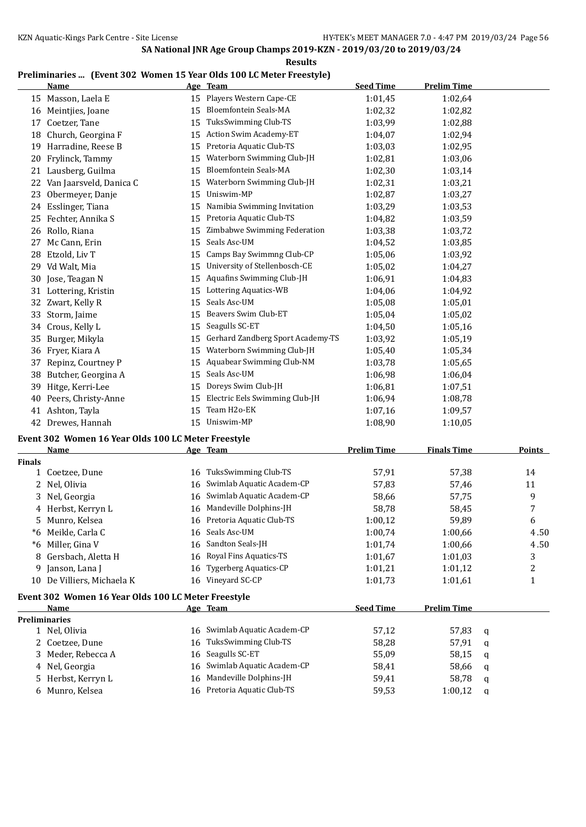**Results**

### **Preliminaries ... (Event 302 Women 15 Year Olds 100 LC Meter Freestyle)**

|    | <b>Name</b>             |    | Age Team                          | <b>Seed Time</b> | <b>Prelim Time</b> |
|----|-------------------------|----|-----------------------------------|------------------|--------------------|
|    | 15 Masson, Laela E      | 15 | Players Western Cape-CE           | 1:01,45          | 1:02,64            |
| 16 | Meintjies, Joane        | 15 | <b>Bloemfontein Seals-MA</b>      | 1:02,32          | 1:02,82            |
| 17 | Coetzer, Tane           | 15 | TuksSwimming Club-TS              | 1:03,99          | 1:02,88            |
| 18 | Church, Georgina F      | 15 | <b>Action Swim Academy-ET</b>     | 1:04,07          | 1:02,94            |
| 19 | Harradine, Reese B      | 15 | Pretoria Aquatic Club-TS          | 1:03,03          | 1:02,95            |
| 20 | Frylinck, Tammy         | 15 | Waterborn Swimming Club-JH        | 1:02,81          | 1:03,06            |
| 21 | Lausberg, Guilma        | 15 | <b>Bloemfontein Seals-MA</b>      | 1:02.30          | 1:03.14            |
| 22 | Van Jaarsveld, Danica C | 15 | Waterborn Swimming Club-JH        | 1:02,31          | 1:03,21            |
| 23 | Obermeyer, Danje        | 15 | Uniswim-MP                        | 1:02,87          | 1:03,27            |
| 24 | Esslinger, Tiana        | 15 | Namibia Swimming Invitation       | 1:03,29          | 1:03,53            |
| 25 | Fechter, Annika S       | 15 | Pretoria Aquatic Club-TS          | 1:04,82          | 1:03,59            |
| 26 | Rollo, Riana            | 15 | Zimbabwe Swimming Federation      | 1:03,38          | 1:03,72            |
| 27 | Mc Cann, Erin           | 15 | Seals Asc-UM                      | 1:04,52          | 1:03,85            |
| 28 | Etzold, Liv T           | 15 | Camps Bay Swimmng Club-CP         | 1:05.06          | 1:03,92            |
| 29 | Vd Walt, Mia            | 15 | University of Stellenbosch-CE     | 1:05,02          | 1:04,27            |
| 30 | Jose, Teagan N          | 15 | Aquafins Swimming Club-JH         | 1:06,91          | 1:04,83            |
| 31 | Lottering, Kristin      | 15 | Lottering Aquatics-WB             | 1:04.06          | 1:04,92            |
| 32 | Zwart, Kelly R          | 15 | Seals Asc-UM                      | 1:05.08          | 1:05,01            |
| 33 | Storm, Jaime            | 15 | Beavers Swim Club-ET              | 1:05.04          | 1:05,02            |
| 34 | Crous, Kelly L          | 15 | Seagulls SC-ET                    | 1:04.50          | 1:05,16            |
| 35 | Burger, Mikyla          | 15 | Gerhard Zandberg Sport Academy-TS | 1:03,92          | 1:05,19            |
| 36 | Fryer, Kiara A          | 15 | Waterborn Swimming Club-JH        | 1:05,40          | 1:05,34            |
| 37 | Repinz, Courtney P      | 15 | Aquabear Swimming Club-NM         | 1:03.78          | 1:05,65            |
| 38 | Butcher, Georgina A     | 15 | Seals Asc-UM                      | 1:06,98          | 1:06.04            |
| 39 | Hitge, Kerri-Lee        | 15 | Doreys Swim Club-JH               | 1:06,81          | 1:07,51            |
| 40 | Peers, Christy-Anne     | 15 | Electric Eels Swimming Club-JH    | 1:06,94          | 1:08,78            |
| 41 | Ashton, Tayla           | 15 | Team H2o-EK                       | 1:07.16          | 1:09,57            |
| 42 | Drewes, Hannah          | 15 | Uniswim-MP                        | 1:08,90          | 1:10.05            |

### **Event 302 Women 16 Year Olds 100 LC Meter Freestyle**

| <b>Name</b>             |    |                           | <b>Prelim Time</b>                                                          | <b>Finals Time</b> | Points |
|-------------------------|----|---------------------------|-----------------------------------------------------------------------------|--------------------|--------|
|                         |    |                           |                                                                             |                    |        |
| Coetzee, Dune           | 16 | TuksSwimming Club-TS      | 57,91                                                                       | 57,38              | 14     |
| 2 Nel, Olivia           | 16 | Swimlab Aquatic Academ-CP | 57,83                                                                       | 57,46              | 11     |
| Nel, Georgia<br>3       | 16 | Swimlab Aquatic Academ-CP | 58,66                                                                       | 57,75              | 9      |
| 4 Herbst, Kerryn L      | 16 | Mandeville Dolphins-JH    | 58,78                                                                       | 58,45              | 7      |
| Munro, Kelsea<br>5.     | 16 | Pretoria Aquatic Club-TS  | 1:00,12                                                                     | 59,89              | 6      |
| Meikle, Carla C         | 16 | Seals Asc-UM              | 1:00.74                                                                     | 1:00,66            | 4.50   |
| Miller, Gina V          | 16 | Sandton Seals-JH          | 1:01,74                                                                     | 1:00,66            | 4.50   |
| Gersbach, Aletta H      | 16 | Royal Fins Aquatics-TS    | 1:01,67                                                                     | 1:01,03            | 3      |
| Janson, Lana J          | 16 | Tygerberg Aquatics-CP     | 1:01,21                                                                     | 1:01,12            | 2      |
| De Villiers, Michaela K | 16 | Vineyard SC-CP            | 1:01,73                                                                     | 1:01.61            | 1      |
|                         |    |                           |                                                                             |                    |        |
| Name                    |    |                           | <b>Seed Time</b>                                                            | <b>Prelim Time</b> |        |
| <b>Preliminaries</b>    |    |                           |                                                                             |                    |        |
| 1 Nel, Olivia           | 16 | Swimlab Aquatic Academ-CP | 57,12                                                                       | 57,83              | a      |
| Coetzee, Dune           | 16 | TuksSwimming Club-TS      | 58,28                                                                       | 57,91              | a      |
| Meder, Rebecca A<br>3   | 16 | Seagulls SC-ET            | 55,09                                                                       | 58,15              | q      |
| 4 Nel, Georgia          | 16 | Swimlab Aquatic Academ-CP | 58,41                                                                       | 58,66              | q      |
| Herbst, Kerryn L<br>5.  | 16 | Mandeville Dolphins-JH    | 59,41                                                                       | 58,78              | a      |
| Munro, Kelsea<br>6      | 16 | Pretoria Aquatic Club-TS  | 59,53                                                                       | 1:00,12            | q      |
|                         |    |                           | Age Team<br>Event 302 Women 16 Year Olds 100 LC Meter Freestyle<br>Age Team |                    |        |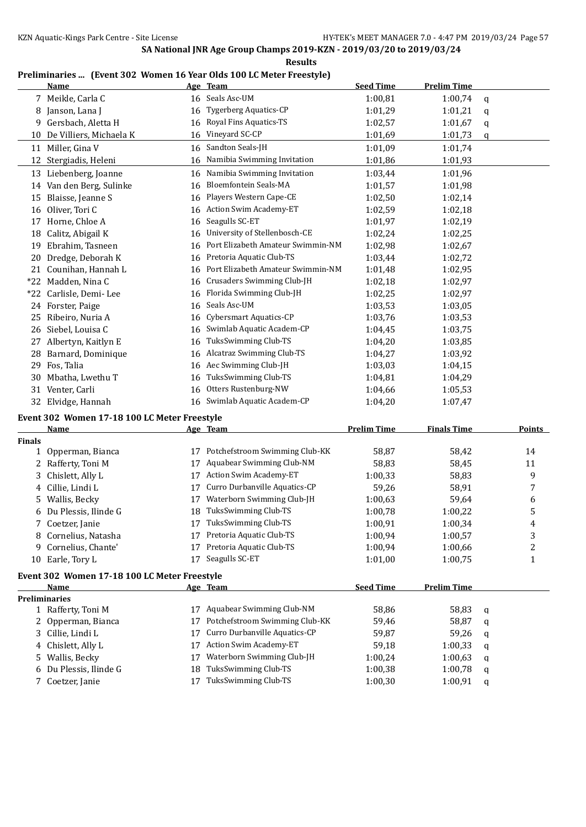**Results**

### **Preliminaries ... (Event 302 Women 16 Year Olds 100 LC Meter Freestyle)**

|       | <b>Name</b>             |    | Age Team                          | <b>Seed Time</b> | <b>Prelim Time</b> |             |
|-------|-------------------------|----|-----------------------------------|------------------|--------------------|-------------|
| 7     | Meikle, Carla C         | 16 | Seals Asc-UM                      | 1:00,81          | 1:00,74            | q           |
| 8     | Janson, Lana J          | 16 | <b>Tygerberg Aquatics-CP</b>      | 1:01,29          | 1:01,21            | $\mathbf q$ |
| 9     | Gersbach, Aletta H      | 16 | Royal Fins Aquatics-TS            | 1:02,57          | 1:01.67            | q           |
| 10    | De Villiers, Michaela K | 16 | Vineyard SC-CP                    | 1:01,69          | 1:01,73            | $\mathbf q$ |
| 11    | Miller, Gina V          | 16 | Sandton Seals-JH                  | 1:01,09          | 1:01.74            |             |
| 12    | Stergiadis, Heleni      | 16 | Namibia Swimming Invitation       | 1:01,86          | 1:01,93            |             |
| 13    | Liebenberg, Joanne      | 16 | Namibia Swimming Invitation       | 1:03,44          | 1:01.96            |             |
| 14    | Van den Berg, Sulinke   | 16 | <b>Bloemfontein Seals-MA</b>      | 1:01,57          | 1:01,98            |             |
| 15    | Blaisse, Jeanne S       | 16 | Players Western Cape-CE           | 1:02,50          | 1:02,14            |             |
| 16    | Oliver, Tori C          | 16 | <b>Action Swim Academy-ET</b>     | 1:02,59          | 1:02,18            |             |
| 17    | Horne, Chloe A          | 16 | Seagulls SC-ET                    | 1:01,97          | 1:02,19            |             |
| 18    | Calitz, Abigail K       | 16 | University of Stellenbosch-CE     | 1:02,24          | 1:02,25            |             |
| 19    | Ebrahim, Tasneen        | 16 | Port Elizabeth Amateur Swimmin-NM | 1:02,98          | 1:02.67            |             |
| 20    | Dredge, Deborah K       | 16 | Pretoria Aquatic Club-TS          | 1:03,44          | 1:02,72            |             |
| 21    | Counihan, Hannah L      | 16 | Port Elizabeth Amateur Swimmin-NM | 1:01,48          | 1:02,95            |             |
| $*22$ | Madden, Nina C          | 16 | Crusaders Swimming Club-JH        | 1:02,18          | 1:02,97            |             |
| *22   | Carlisle, Demi-Lee      | 16 | Florida Swimming Club-JH          | 1:02,25          | 1:02,97            |             |
|       | 24 Forster, Paige       | 16 | Seals Asc-UM                      | 1:03.53          | 1:03.05            |             |
| 25    | Ribeiro, Nuria A        | 16 | Cybersmart Aquatics-CP            | 1:03.76          | 1:03.53            |             |
| 26    | Siebel, Louisa C        | 16 | Swimlab Aquatic Academ-CP         | 1:04,45          | 1:03,75            |             |
| 27    | Albertyn, Kaitlyn E     | 16 | TuksSwimming Club-TS              | 1:04,20          | 1:03,85            |             |
| 28    | Barnard, Dominique      | 16 | Alcatraz Swimming Club-TS         | 1:04,27          | 1:03,92            |             |
| 29    | Fos, Talia              | 16 | Aec Swimming Club-JH              | 1:03,03          | 1:04,15            |             |
| 30    | Mbatha, Lwethu T        | 16 | TuksSwimming Club-TS              | 1:04.81          | 1:04,29            |             |
| 31    | Venter, Carli           | 16 | Otters Rustenburg-NW              | 1:04,66          | 1:05,53            |             |
| 32    | Elvidge, Hannah         | 16 | Swimlab Aquatic Academ-CP         | 1:04,20          | 1:07,47            |             |

## **Event 302 Women 17-18 100 LC Meter Freestyle**

|               | Name                                         |    | Age Team                       | <b>Prelim Time</b> | <b>Finals Time</b> |              | <b>Points</b> |
|---------------|----------------------------------------------|----|--------------------------------|--------------------|--------------------|--------------|---------------|
| <b>Finals</b> |                                              |    |                                |                    |                    |              |               |
|               | 1 Opperman, Bianca                           | 17 | Potchefstroom Swimming Club-KK | 58,87              | 58,42              |              | 14            |
|               | 2 Rafferty, Toni M                           | 17 | Aquabear Swimming Club-NM      | 58,83              | 58,45              |              | 11            |
|               | 3 Chislett, Ally L                           | 17 | <b>Action Swim Academy-ET</b>  | 1:00,33            | 58,83              |              | 9             |
|               | 4 Cillie, Lindi L                            | 17 | Curro Durbanville Aquatics-CP  | 59,26              | 58,91              |              | 7             |
|               | 5 Wallis, Becky                              | 17 | Waterborn Swimming Club-JH     | 1:00.63            | 59,64              |              | 6             |
|               | 6 Du Plessis, Ilinde G                       | 18 | TuksSwimming Club-TS           | 1:00.78            | 1:00,22            |              | 5             |
|               | 7 Coetzer, Janie                             | 17 | TuksSwimming Club-TS           | 1:00,91            | 1:00,34            |              | 4             |
|               | 8 Cornelius, Natasha                         | 17 | Pretoria Aquatic Club-TS       | 1:00,94            | 1:00.57            |              | 3             |
| 9             | Cornelius, Chante'                           | 17 | Pretoria Aquatic Club-TS       | 1:00,94            | 1:00.66            |              | 2             |
| 10            | Earle, Tory L                                | 17 | Seagulls SC-ET                 | 1:01,00            | 1:00.75            |              | 1             |
|               | Event 302 Women 17-18 100 LC Meter Freestyle |    |                                |                    |                    |              |               |
|               | Name                                         |    | Age Team                       | <b>Seed Time</b>   | <b>Prelim Time</b> |              |               |
|               | <b>Preliminaries</b>                         |    |                                |                    |                    |              |               |
|               | 1 Rafferty, Toni M                           | 17 | Aquabear Swimming Club-NM      | 58,86              | 58,83              | q            |               |
|               | 2 Opperman, Bianca                           | 17 | Potchefstroom Swimming Club-KK | 59,46              | 58,87              | a            |               |
|               | 3. Cillie Lindi L                            | 17 | Curro Durbanville Aquatics-CP  | 59.87              | 59.26              | $\mathbf{a}$ |               |

| 3 Cillie, Lindi L      | 17 Curro Durbanville Aquatics-CP | 59.87   | 59,26 q     |  |
|------------------------|----------------------------------|---------|-------------|--|
| 4 Chislett, Ally L     | 17 Action Swim Academy-ET        | 59.18   | $1:00,33$ q |  |
| 5 Wallis, Becky        | 17 Waterborn Swimming Club-JH    | 1:00.24 | $1:00,63$ q |  |
| 6 Du Plessis, Ilinde G | 18 TuksSwimming Club-TS          | 1:00.38 | $1:00,78$ q |  |
| 7 Coetzer, Janie       | 17 TuksSwimming Club-TS          | 1:00,30 | $1:00,91$ q |  |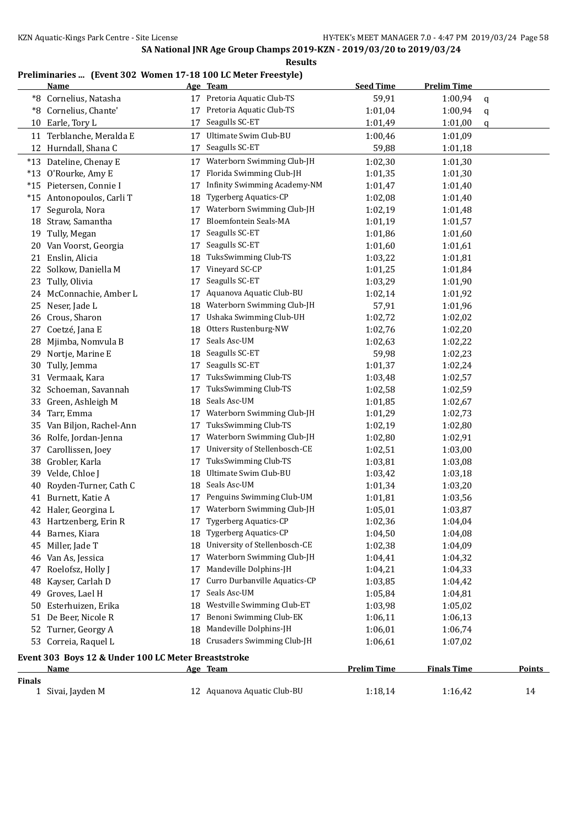## **Preliminaries ... (Event 302 Women 17-18 100 LC Meter Freestyle)**

|                                                                                      | <b>Name</b>                                         |    | Age Team                            | <b>Seed Time</b> | <b>Prelim Time</b> |    |  |
|--------------------------------------------------------------------------------------|-----------------------------------------------------|----|-------------------------------------|------------------|--------------------|----|--|
| *8                                                                                   | Cornelius, Natasha                                  |    | 17 Pretoria Aquatic Club-TS         | 59,91            | 1:00,94            | q  |  |
| *8                                                                                   | Cornelius, Chante'                                  | 17 | Pretoria Aquatic Club-TS            | 1:01,04          | 1:00,94            | q  |  |
| 10                                                                                   | Earle, Tory L                                       | 17 | Seagulls SC-ET                      | 1:01,49          | 1:01,00            | q  |  |
| 11                                                                                   | Terblanche, Meralda E                               | 17 | Ultimate Swim Club-BU               | 1:00,46          | 1:01,09            |    |  |
|                                                                                      | 12 Hurndall, Shana C                                | 17 | Seagulls SC-ET                      | 59,88            | 1:01,18            |    |  |
|                                                                                      | *13 Dateline, Chenay E                              | 17 | Waterborn Swimming Club-JH          | 1:02,30          | 1:01,30            |    |  |
|                                                                                      | *13 O'Rourke, Amy E                                 | 17 | Florida Swimming Club-JH            | 1:01,35          | 1:01,30            |    |  |
|                                                                                      | *15 Pietersen, Connie I                             | 17 | <b>Infinity Swimming Academy-NM</b> | 1:01,47          | 1:01,40            |    |  |
|                                                                                      | *15 Antonopoulos, Carli T                           | 18 | <b>Tygerberg Aquatics-CP</b>        | 1:02,08          | 1:01,40            |    |  |
| 17                                                                                   | Segurola, Nora                                      | 17 | Waterborn Swimming Club-JH          | 1:02,19          | 1:01,48            |    |  |
|                                                                                      | 18 Straw, Samantha                                  | 17 | Bloemfontein Seals-MA               | 1:01,19          | 1:01,57            |    |  |
| 19                                                                                   | Tully, Megan                                        | 17 | Seagulls SC-ET                      | 1:01,86          | 1:01,60            |    |  |
|                                                                                      | 20 Van Voorst, Georgia                              | 17 | Seagulls SC-ET                      | 1:01,60          | 1:01,61            |    |  |
| 21                                                                                   | Enslin, Alicia                                      | 18 | TuksSwimming Club-TS                | 1:03,22          | 1:01,81            |    |  |
| 22                                                                                   | Solkow, Daniella M                                  | 17 | Vineyard SC-CP                      | 1:01,25          | 1:01,84            |    |  |
| 23                                                                                   | Tully, Olivia                                       | 17 | Seagulls SC-ET                      | 1:03,29          | 1:01,90            |    |  |
|                                                                                      | 24 McConnachie, Amber L                             | 17 | Aquanova Aquatic Club-BU            | 1:02,14          | 1:01,92            |    |  |
|                                                                                      | 25 Neser, Jade L                                    | 18 | Waterborn Swimming Club-JH          | 57,91            | 1:01,96            |    |  |
|                                                                                      | 26 Crous, Sharon                                    | 17 | Ushaka Swimming Club-UH             | 1:02,72          | 1:02,02            |    |  |
| 27                                                                                   | Coetzé, Jana E                                      | 18 | Otters Rustenburg-NW                | 1:02,76          | 1:02,20            |    |  |
| 28                                                                                   | Mjimba, Nomvula B                                   | 17 | Seals Asc-UM                        | 1:02,63          | 1:02,22            |    |  |
| 29                                                                                   | Nortje, Marine E                                    | 18 | Seagulls SC-ET                      | 59,98            | 1:02,23            |    |  |
| 30                                                                                   | Tully, Jemma                                        | 17 | Seagulls SC-ET                      | 1:01,37          | 1:02,24            |    |  |
|                                                                                      | 31 Vermaak, Kara                                    | 17 | TuksSwimming Club-TS                | 1:03,48          | 1:02,57            |    |  |
|                                                                                      | 32 Schoeman, Savannah                               | 17 | TuksSwimming Club-TS                | 1:02,58          | 1:02,59            |    |  |
| 33                                                                                   | Green, Ashleigh M                                   | 18 | Seals Asc-UM                        | 1:01,85          | 1:02,67            |    |  |
| 34                                                                                   | Tarr, Emma                                          | 17 | Waterborn Swimming Club-JH          | 1:01,29          | 1:02,73            |    |  |
| 35                                                                                   | Van Biljon, Rachel-Ann                              | 17 | TuksSwimming Club-TS                | 1:02,19          | 1:02,80            |    |  |
|                                                                                      | 36 Rolfe, Jordan-Jenna                              | 17 | Waterborn Swimming Club-JH          | 1:02,80          | 1:02,91            |    |  |
| 37                                                                                   | Carollissen, Joey                                   | 17 | University of Stellenbosch-CE       | 1:02,51          | 1:03,00            |    |  |
| 38                                                                                   | Grobler, Karla                                      | 17 | TuksSwimming Club-TS                | 1:03,81          | 1:03,08            |    |  |
| 39                                                                                   | Velde, Chloe J                                      | 18 | Ultimate Swim Club-BU               | 1:03,42          | 1:03,18            |    |  |
| 40                                                                                   | Royden-Turner, Cath C                               | 18 | Seals Asc-UM                        | 1:01,34          | 1:03,20            |    |  |
|                                                                                      | 41 Burnett, Katie A                                 | 17 | Penguins Swimming Club-UM           | 1:01,81          | 1:03,56            |    |  |
|                                                                                      | 42 Haler, Georgina L                                | 17 | Waterborn Swimming Club-JH          | 1:05,01          | 1:03,87            |    |  |
|                                                                                      | 43 Hartzenberg, Erin R                              |    | 17 Tygerberg Aquatics-CP            | 1:02,36          | 1:04,04            |    |  |
|                                                                                      | 44 Barnes, Kiara                                    |    | 18 Tygerberg Aquatics-CP            | 1:04,50          | 1:04,08            |    |  |
|                                                                                      | 45 Miller, Jade T                                   | 18 | University of Stellenbosch-CE       | 1:02,38          | 1:04,09            |    |  |
|                                                                                      | 46 Van As, Jessica                                  | 17 | Waterborn Swimming Club-JH          | 1:04,41          | 1:04,32            |    |  |
|                                                                                      | 47 Roelofsz, Holly J                                | 17 | Mandeville Dolphins-JH              | 1:04,21          | 1:04,33            |    |  |
| 48                                                                                   | Kayser, Carlah D                                    | 17 | Curro Durbanville Aquatics-CP       | 1:03,85          | 1:04,42            |    |  |
| 49                                                                                   | Groves, Lael H                                      | 17 | Seals Asc-UM                        | 1:05,84          | 1:04,81            |    |  |
| 50                                                                                   | Esterhuizen, Erika                                  | 18 | Westville Swimming Club-ET          | 1:03,98          | 1:05,02            |    |  |
| 51                                                                                   | De Beer, Nicole R                                   | 17 | Benoni Swimming Club-EK             | 1:06,11          | 1:06,13            |    |  |
|                                                                                      | 52 Turner, Georgy A                                 | 18 | Mandeville Dolphins-JH              | 1:06,01          | 1:06,74            |    |  |
|                                                                                      | 53 Correia, Raquel L                                | 18 | Crusaders Swimming Club-JH          | 1:06,61          | 1:07,02            |    |  |
|                                                                                      | Event 303 Boys 12 & Under 100 LC Meter Breaststroke |    |                                     |                  |                    |    |  |
| Age Team<br><b>Prelim Time</b><br><b>Finals Time</b><br><b>Points</b><br><u>Name</u> |                                                     |    |                                     |                  |                    |    |  |
| <b>Finals</b>                                                                        |                                                     |    |                                     |                  |                    |    |  |
|                                                                                      | 1 Sivai, Jayden M                                   |    | 12 Aquanova Aquatic Club-BU         | 1:18,14          | 1:16,42            | 14 |  |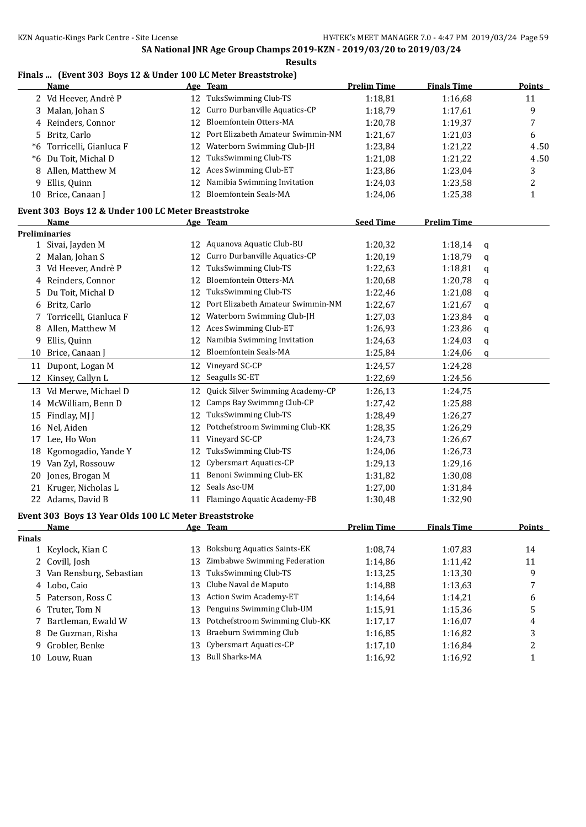### **Finals ... (Event 303 Boys 12 & Under 100 LC Meter Breaststroke)**

|                | Name                                                  |    | Age Team                           | <b>Prelim Time</b> | <b>Finals Time</b> |   | Points           |
|----------------|-------------------------------------------------------|----|------------------------------------|--------------------|--------------------|---|------------------|
|                | 2 Vd Heever, Andrè P                                  |    | 12 TuksSwimming Club-TS            | 1:18,81            | 1:16,68            |   | 11               |
|                | 3 Malan, Johan S                                      | 12 | Curro Durbanville Aquatics-CP      | 1:18,79            | 1:17,61            |   | 9                |
| 4              | Reinders, Connor                                      | 12 | Bloemfontein Otters-MA             | 1:20,78            | 1:19,37            |   | 7                |
| 5              | Britz, Carlo                                          | 12 | Port Elizabeth Amateur Swimmin-NM  | 1:21,67            | 1:21,03            |   | 6                |
| *6             | Torricelli, Gianluca F                                | 12 | Waterborn Swimming Club-JH         | 1:23,84            | 1:21,22            |   | 4.50             |
| *6             | Du Toit, Michal D                                     | 12 | TuksSwimming Club-TS               | 1:21,08            | 1:21,22            |   | 4.50             |
| 8              | Allen, Matthew M                                      | 12 | Aces Swimming Club-ET              | 1:23,86            | 1:23,04            |   | 3                |
| 9              | Ellis, Quinn                                          | 12 | Namibia Swimming Invitation        | 1:24,03            | 1:23,58            |   | $\overline{c}$   |
|                | 10 Brice, Canaan J                                    |    | 12 Bloemfontein Seals-MA           | 1:24,06            | 1:25,38            |   | $\mathbf{1}$     |
|                | Event 303 Boys 12 & Under 100 LC Meter Breaststroke   |    |                                    |                    |                    |   |                  |
|                | Name                                                  |    | Age Team                           | <b>Seed Time</b>   | <b>Prelim Time</b> |   |                  |
|                | <b>Preliminaries</b>                                  |    |                                    |                    |                    |   |                  |
|                | 1 Sivai, Jayden M                                     |    | 12 Aquanova Aquatic Club-BU        | 1:20,32            | 1:18,14            | q |                  |
|                | 2 Malan, Johan S                                      | 12 | Curro Durbanville Aquatics-CP      | 1:20,19            | 1:18,79            | q |                  |
|                | 3 Vd Heever, Andrè P                                  | 12 | TuksSwimming Club-TS               | 1:22,63            | 1:18,81            | q |                  |
| 4              | Reinders, Connor                                      | 12 | Bloemfontein Otters-MA             | 1:20,68            | 1:20,78            | q |                  |
| 5              | Du Toit, Michal D                                     | 12 | TuksSwimming Club-TS               | 1:22,46            | 1:21,08            | q |                  |
| 6              | Britz, Carlo                                          | 12 | Port Elizabeth Amateur Swimmin-NM  | 1:22,67            | 1:21,67            | q |                  |
| 7              | Torricelli, Gianluca F                                | 12 | Waterborn Swimming Club-JH         | 1:27,03            | 1:23,84            | q |                  |
| 8              | Allen, Matthew M                                      | 12 | Aces Swimming Club-ET              | 1:26,93            | 1:23,86            | q |                  |
| 9              | Ellis, Quinn                                          | 12 | Namibia Swimming Invitation        | 1:24,63            | 1:24,03            | q |                  |
|                | 10 Brice, Canaan J                                    | 12 | <b>Bloemfontein Seals-MA</b>       | 1:25,84            | 1:24,06            | q |                  |
| 11             | Dupont, Logan M                                       |    | 12 Vineyard SC-CP                  | 1:24,57            | 1:24,28            |   |                  |
|                |                                                       |    | 12 Seagulls SC-ET                  |                    |                    |   |                  |
|                | 12 Kinsey, Callyn L                                   |    |                                    | 1:22,69            | 1:24,56            |   |                  |
|                | 13 Vd Merwe, Michael D                                | 12 | Quick Silver Swimming Academy-CP   | 1:26,13            | 1:24,75            |   |                  |
|                | 14 McWilliam, Benn D                                  | 12 | Camps Bay Swimmng Club-CP          | 1:27,42            | 1:25,88            |   |                  |
|                | 15 Findlay, MJ J                                      | 12 | TuksSwimming Club-TS               | 1:28,49            | 1:26,27            |   |                  |
|                | 16 Nel, Aiden                                         | 12 | Potchefstroom Swimming Club-KK     | 1:28,35            | 1:26,29            |   |                  |
|                | 17 Lee, Ho Won                                        | 11 | Vineyard SC-CP                     | 1:24,73            | 1:26,67            |   |                  |
|                | 18 Kgomogadio, Yande Y                                | 12 | TuksSwimming Club-TS               | 1:24,06            | 1:26,73            |   |                  |
|                | 19 Van Zyl, Rossouw                                   | 12 | Cybersmart Aquatics-CP             | 1:29,13            | 1:29,16            |   |                  |
|                | 20 Jones, Brogan M                                    | 11 | Benoni Swimming Club-EK            | 1:31,82            | 1:30,08            |   |                  |
|                | 21 Kruger, Nicholas L                                 | 12 | Seals Asc-UM                       | 1:27,00            | 1:31,84            |   |                  |
|                | 22 Adams, David B                                     |    | 11 Flamingo Aquatic Academy-FB     | 1:30,48            | 1:32,90            |   |                  |
|                | Event 303 Boys 13 Year Olds 100 LC Meter Breaststroke |    |                                    |                    |                    |   |                  |
|                | <b>Name</b>                                           |    | Age Team                           | <b>Prelim Time</b> | <b>Finals Time</b> |   | <b>Points</b>    |
| <b>Finals</b>  |                                                       |    |                                    |                    |                    |   |                  |
|                | 1 Keylock, Kian C                                     | 13 | <b>Boksburg Aquatics Saints-EK</b> | 1:08,74            | 1:07,83            |   | 14               |
|                | 2 Covill, Josh                                        | 13 | Zimbabwe Swimming Federation       | 1:14,86            | 1:11,42            |   | 11               |
| 3              | Van Rensburg, Sebastian                               | 13 | TuksSwimming Club-TS               | 1:13,25            | 1:13,30            |   | 9                |
| 4              | Lobo, Caio                                            | 13 | Clube Naval de Maputo              | 1:14,88            | 1:13,63            |   | 7                |
| 5              | Paterson, Ross C                                      | 13 | Action Swim Academy-ET             | 1:14,64            | 1:14,21            |   | 6                |
| 6              | Truter, Tom N                                         | 13 | Penguins Swimming Club-UM          | 1:15,91            | 1:15,36            |   | 5                |
| $\overline{7}$ | Bartleman, Ewald W                                    | 13 | Potchefstroom Swimming Club-KK     | 1:17,17            | 1:16,07            |   | 4                |
| 8              | De Guzman, Risha                                      | 13 | <b>Braeburn Swimming Club</b>      | 1:16,85            | 1:16,82            |   | 3                |
| 9              | Grobler, Benke                                        | 13 | Cybersmart Aquatics-CP             | 1:17,10            | 1:16,84            |   | $\boldsymbol{2}$ |
|                | 10 Louw, Ruan                                         | 13 | <b>Bull Sharks-MA</b>              | 1:16,92            | 1:16,92            |   | $\mathbf{1}$     |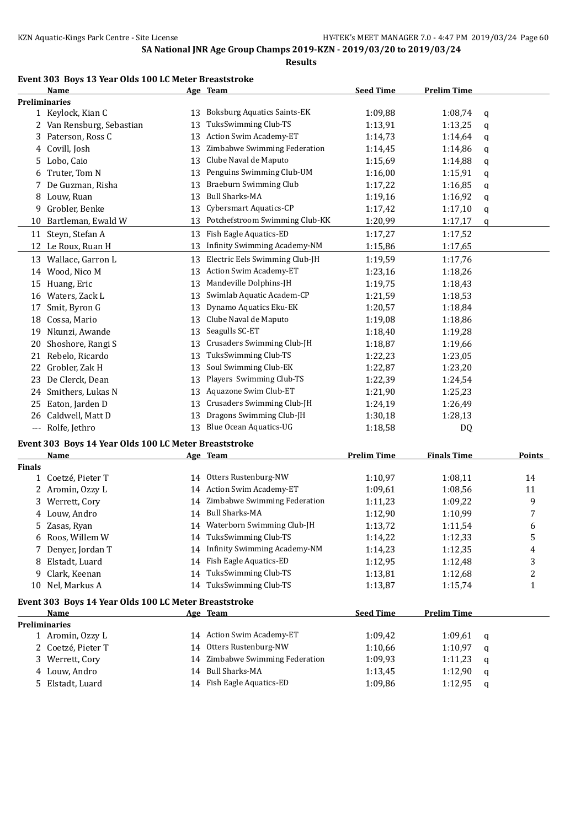#### **Event 303 Boys 13 Year Olds 100 LC Meter Breaststroke**

|                      | Name                                                  |    | Age Team                           | <b>Seed Time</b>   | <b>Prelim Time</b> |               |
|----------------------|-------------------------------------------------------|----|------------------------------------|--------------------|--------------------|---------------|
| <b>Preliminaries</b> |                                                       |    |                                    |                    |                    |               |
|                      | 1 Keylock, Kian C                                     | 13 | <b>Boksburg Aquatics Saints-EK</b> | 1:09,88            | 1:08,74            | q             |
|                      | 2 Van Rensburg, Sebastian                             | 13 | TuksSwimming Club-TS               | 1:13,91            | 1:13,25            | q             |
| 3                    | Paterson, Ross C                                      | 13 | Action Swim Academy-ET             | 1:14,73            | 1:14,64            | q             |
| 4                    | Covill, Josh                                          | 13 | Zimbabwe Swimming Federation       | 1:14,45            | 1:14,86            | q             |
| 5.                   | Lobo, Caio                                            | 13 | Clube Naval de Maputo              | 1:15,69            | 1:14,88            | q             |
| 6                    | Truter, Tom N                                         | 13 | Penguins Swimming Club-UM          | 1:16,00            | 1:15,91            | q             |
| 7                    | De Guzman, Risha                                      | 13 | <b>Braeburn Swimming Club</b>      | 1:17,22            | 1:16,85            | q             |
| 8                    | Louw, Ruan                                            | 13 | <b>Bull Sharks-MA</b>              | 1:19,16            | 1:16,92            | q             |
|                      | 9 Grobler, Benke                                      | 13 | Cybersmart Aquatics-CP             | 1:17,42            | 1:17,10            | q             |
|                      | 10 Bartleman, Ewald W                                 | 13 | Potchefstroom Swimming Club-KK     | 1:20,99            | 1:17,17            | q             |
|                      | 11 Steyn, Stefan A                                    |    | 13 Fish Eagle Aquatics-ED          | 1:17,27            | 1:17,52            |               |
|                      | 12 Le Roux, Ruan H                                    | 13 | Infinity Swimming Academy-NM       | 1:15,86            | 1:17,65            |               |
|                      | 13 Wallace, Garron L                                  | 13 | Electric Eels Swimming Club-JH     | 1:19,59            | 1:17,76            |               |
|                      | 14 Wood, Nico M                                       | 13 | Action Swim Academy-ET             | 1:23,16            | 1:18,26            |               |
|                      | 15 Huang, Eric                                        | 13 | Mandeville Dolphins-JH             | 1:19,75            | 1:18,43            |               |
|                      | 16 Waters, Zack L                                     | 13 | Swimlab Aquatic Academ-CP          | 1:21,59            | 1:18,53            |               |
| 17                   | Smit, Byron G                                         | 13 | Dynamo Aquatics Eku-EK             | 1:20,57            | 1:18,84            |               |
| 18                   | Cossa, Mario                                          | 13 | Clube Naval de Maputo              | 1:19,08            | 1:18,86            |               |
|                      | 19 Nkunzi, Awande                                     | 13 | Seagulls SC-ET                     | 1:18,40            | 1:19,28            |               |
| 20                   | Shoshore, Rangi S                                     | 13 | Crusaders Swimming Club-JH         | 1:18,87            | 1:19,66            |               |
|                      | 21 Rebelo, Ricardo                                    | 13 | TuksSwimming Club-TS               | 1:22,23            | 1:23,05            |               |
|                      | 22 Grobler, Zak H                                     | 13 | Soul Swimming Club-EK              | 1:22,87            | 1:23,20            |               |
|                      | 23 De Clerck, Dean                                    | 13 | Players Swimming Club-TS           | 1:22,39            | 1:24,54            |               |
|                      | 24 Smithers, Lukas N                                  | 13 | Aquazone Swim Club-ET              | 1:21,90            | 1:25,23            |               |
|                      | 25 Eaton, Jarden D                                    | 13 | Crusaders Swimming Club-JH         | 1:24,19            | 1:26,49            |               |
|                      | 26 Caldwell, Matt D                                   | 13 | Dragons Swimming Club-JH           | 1:30,18            | 1:28,13            |               |
|                      | --- Rolfe, Jethro                                     | 13 | Blue Ocean Aquatics-UG             | 1:18,58            | DQ                 |               |
|                      | Event 303 Boys 14 Year Olds 100 LC Meter Breaststroke |    |                                    |                    |                    |               |
|                      | <b>Name</b>                                           |    | Age Team                           | <b>Prelim Time</b> | <b>Finals Time</b> | <b>Points</b> |
| <b>Finals</b>        |                                                       |    |                                    |                    |                    |               |
|                      | 1 Coetzé, Pieter T                                    |    | 14 Otters Rustenburg-NW            | 1:10,97            | 1:08,11            | 14            |
|                      | 2 Aromin, Ozzy L                                      |    | 14 Action Swim Academy-ET          | 1:09,61            | 1:08,56            | 11            |
|                      | 3 Werrett, Cory                                       |    | 14 Zimbabwe Swimming Federation    | 1:11,23            | 1:09,22            | 9             |
|                      | 4 Louw, Andro                                         |    | 14 Bull Sharks-MA                  | 1:12,90            | 1:10,99            | 7             |
|                      | 5 Zasas, Ryan                                         |    | 14 Waterborn Swimming Club-JH      | 1:13,72            | 1:11,54            | 6             |
|                      | 6 Roos, Willem W                                      |    | 14 TuksSwimming Club-TS            | 1:14,22            | 1:12,33            | 5             |
|                      | 7 Denyer, Jordan T                                    |    | 14 Infinity Swimming Academy-NM    | 1:14,23            | 1:12,35            | 4             |
| 8                    | Elstadt, Luard                                        |    | 14 Fish Eagle Aquatics-ED          | 1:12,95            | 1:12,48            | 3             |
| 9.                   | Clark, Keenan                                         |    | 14 TuksSwimming Club-TS            | 1:13,81            | 1:12,68            | 2             |
|                      | 10 Nel, Markus A                                      |    | 14 TuksSwimming Club-TS            | 1:13,87            | 1:15,74            | $\mathbf{1}$  |
|                      | Event 202 Pove 14 Vear Olde 100 LC Motor Preastetrake |    |                                    |                    |                    |               |

#### **Event 303 Boys 14 Year Olds 100 LC Meter Breaststroke Age Team Seed Time Prelim Time**

| Preliminaries      |  |                                 |         |             |          |  |  |  |  |
|--------------------|--|---------------------------------|---------|-------------|----------|--|--|--|--|
| 1 Aromin, Ozzy L   |  | 14 Action Swim Academy-ET       | 1:09.42 | $1:09.61$ q |          |  |  |  |  |
| 2 Coetzé, Pieter T |  | 14 Otters Rustenburg-NW         | 1:10.66 | 1:10.97     | a        |  |  |  |  |
| 3 Werrett, Cory    |  | 14 Zimbabwe Swimming Federation | 1:09.93 | 1:11,23     | - a      |  |  |  |  |
| 4 Louw, Andro      |  | 14 Bull Sharks-MA               | 1:13.45 | 1:12.90     | <b>a</b> |  |  |  |  |
| 5 Elstadt, Luard   |  | 14 Fish Eagle Aquatics-ED       | 1:09.86 | 1:12,95     | - a      |  |  |  |  |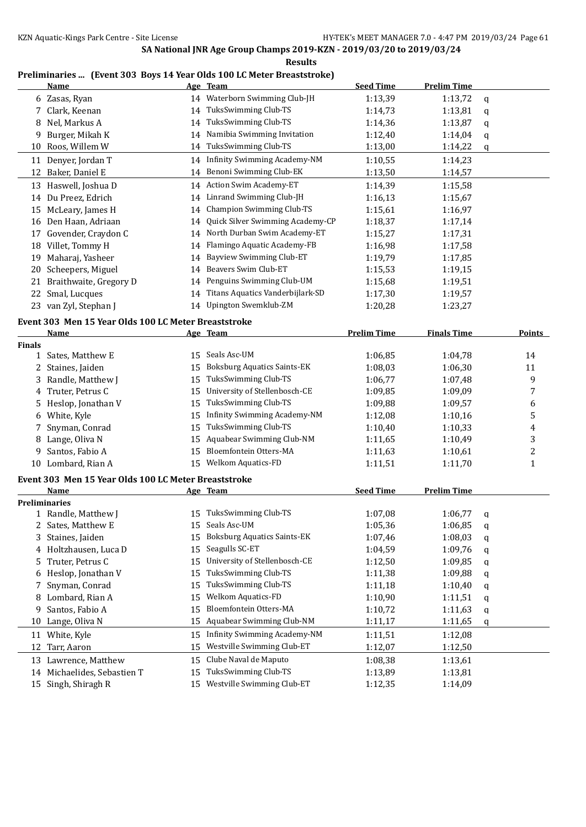**Results**

#### **Preliminaries ... (Event 303 Boys 14 Year Olds 100 LC Meter Breaststroke)**

|              | <b>Name</b>                                          |    | Age Team                            | <b>Seed Time</b>   | <b>Prelim Time</b> |   |                         |
|--------------|------------------------------------------------------|----|-------------------------------------|--------------------|--------------------|---|-------------------------|
|              | 6 Zasas, Ryan                                        | 14 | Waterborn Swimming Club-JH          | 1:13,39            | 1:13,72            | q |                         |
| 7            | Clark, Keenan                                        | 14 | TuksSwimming Club-TS                | 1:14,73            | 1:13,81            | q |                         |
|              | Nel, Markus A                                        | 14 | TuksSwimming Club-TS                | 1:14,36            | 1:13,87            | q |                         |
| 9            | Burger, Mikah K                                      | 14 | Namibia Swimming Invitation         | 1:12,40            | 1:14,04            | q |                         |
| 10           | Roos, Willem W                                       | 14 | TuksSwimming Club-TS                | 1:13,00            | 1:14,22            | q |                         |
| 11           | Denyer, Jordan T                                     |    | 14 Infinity Swimming Academy-NM     | 1:10,55            | 1:14,23            |   |                         |
| 12           | Baker, Daniel E                                      | 14 | Benoni Swimming Club-EK             | 1:13,50            | 1:14,57            |   |                         |
|              | 13 Haswell, Joshua D                                 | 14 | <b>Action Swim Academy-ET</b>       | 1:14,39            | 1:15,58            |   |                         |
|              | 14 Du Preez, Edrich                                  | 14 | Linrand Swimming Club-JH            | 1:16,13            | 1:15,67            |   |                         |
|              | 15 McLeary, James H                                  | 14 | <b>Champion Swimming Club-TS</b>    | 1:15,61            | 1:16,97            |   |                         |
|              | 16 Den Haan, Adriaan                                 | 14 | Quick Silver Swimming Academy-CP    | 1:18,37            | 1:17,14            |   |                         |
|              | 17 Govender, Craydon C                               | 14 | North Durban Swim Academy-ET        | 1:15,27            | 1:17,31            |   |                         |
|              | 18 Villet, Tommy H                                   | 14 | Flamingo Aquatic Academy-FB         | 1:16,98            | 1:17,58            |   |                         |
|              | 19 Maharaj, Yasheer                                  | 14 | Bayview Swimming Club-ET            | 1:19,79            | 1:17,85            |   |                         |
| 20           | Scheepers, Miguel                                    | 14 | Beavers Swim Club-ET                | 1:15,53            | 1:19,15            |   |                         |
| 21           | Braithwaite, Gregory D                               | 14 | Penguins Swimming Club-UM           | 1:15,68            | 1:19,51            |   |                         |
| 22           | Smal, Lucques                                        | 14 | Titans Aquatics Vanderbijlark-SD    | 1:17,30            | 1:19,57            |   |                         |
|              | 23 van Zyl, Stephan J                                | 14 | Upington Swemklub-ZM                | 1:20,28            | 1:23,27            |   |                         |
|              | Event 303 Men 15 Year Olds 100 LC Meter Breaststroke |    |                                     |                    |                    |   |                         |
|              | Name                                                 |    | Age Team                            | <b>Prelim Time</b> | <b>Finals Time</b> |   | <b>Points</b>           |
| Finals       |                                                      |    |                                     |                    |                    |   |                         |
| $\mathbf{1}$ | Sates, Matthew E                                     | 15 | Seals Asc-UM                        | 1:06,85            | 1:04,78            |   | 14                      |
| 2            | Staines, Jaiden                                      | 15 | <b>Boksburg Aquatics Saints-EK</b>  | 1:08,03            | 1:06,30            |   | 11                      |
| 3            | Randle, Matthew J                                    | 15 | TuksSwimming Club-TS                | 1:06,77            | 1:07,48            |   | 9                       |
| 4            | Truter, Petrus C                                     | 15 | University of Stellenbosch-CE       | 1:09,85            | 1:09,09            |   | 7                       |
| 5            | Heslop, Jonathan V                                   | 15 | TuksSwimming Club-TS                | 1:09,88            | 1:09,57            |   | 6                       |
| 6            | White, Kyle                                          | 15 | <b>Infinity Swimming Academy-NM</b> | 1:12,08            | 1:10,16            |   | 5                       |
| 7            | Snyman, Conrad                                       | 15 | TuksSwimming Club-TS                | 1:10,40            | 1:10,33            |   | 4                       |
| 8            | Lange, Oliva N                                       | 15 | Aquabear Swimming Club-NM           | 1:11,65            | 1:10,49            |   | 3                       |
| 9            | Santos, Fabio A                                      | 15 | Bloemfontein Otters-MA              | 1:11,63            | 1:10,61            |   | $\overline{\mathbf{c}}$ |
|              | 10 Lombard, Rian A                                   | 15 | <b>Welkom Aquatics-FD</b>           | 1:11,51            | 1:11,70            |   | $\mathbf{1}$            |
|              | Event 303 Men 15 Year Olds 100 LC Meter Breaststroke |    |                                     |                    |                    |   |                         |
|              | <b>Name</b>                                          |    | Age Team                            | <b>Seed Time</b>   | <b>Prelim Time</b> |   |                         |
|              | <b>Preliminaries</b>                                 |    |                                     |                    |                    |   |                         |
|              | 1 Randle, Matthew J                                  |    | 15 TuksSwimming Club-TS             | 1:07,08            | 1:06,77            | q |                         |
| 2            | Sates, Matthew E                                     | 15 | Seals Asc-UM                        | 1:05,36            | 1:06,85            | q |                         |
| 3            | Staines, Jaiden                                      | 15 | <b>Boksburg Aquatics Saints-EK</b>  | 1:07,46            | 1:08,03            | q |                         |
| 4            | Holtzhausen, Luca D                                  | 15 | Seagulls SC-ET                      | 1:04,59            | 1:09,76            | q |                         |
| 5            | Truter, Petrus C                                     | 15 | University of Stellenbosch-CE       | 1:12,50            | 1:09,85            | q |                         |
| 6            | Heslop, Jonathan V                                   | 15 | TuksSwimming Club-TS                | 1:11,38            | 1:09,88            | q |                         |
| 7            | Snyman, Conrad                                       | 15 | TuksSwimming Club-TS                | 1:11,18            | 1:10,40            | q |                         |
| 8            | Lombard, Rian A                                      | 15 | Welkom Aquatics-FD                  | 1:10,90            | 1:11,51            | q |                         |
| 9            | Santos, Fabio A                                      | 15 | Bloemfontein Otters-MA              | 1:10,72            | 1:11,63            | q |                         |
| 10           | Lange, Oliva N                                       | 15 | Aquabear Swimming Club-NM           | 1:11,17            | 1:11,65            | q |                         |
| 11           | White, Kyle                                          | 15 | <b>Infinity Swimming Academy-NM</b> | 1:11,51            | 1:12,08            |   |                         |
| 12           | Tarr, Aaron                                          | 15 | Westville Swimming Club-ET          | 1:12,07            | 1:12,50            |   |                         |
| 13           | Lawrence, Matthew                                    | 15 | Clube Naval de Maputo               | 1:08,38            | 1:13,61            |   |                         |
| 14           | Michaelides, Sebastien T                             | 15 | TuksSwimming Club-TS                | 1:13,89            | 1:13,81            |   |                         |
| 15           | Singh, Shiragh R                                     | 15 | Westville Swimming Club-ET          | 1:12,35            | 1:14,09            |   |                         |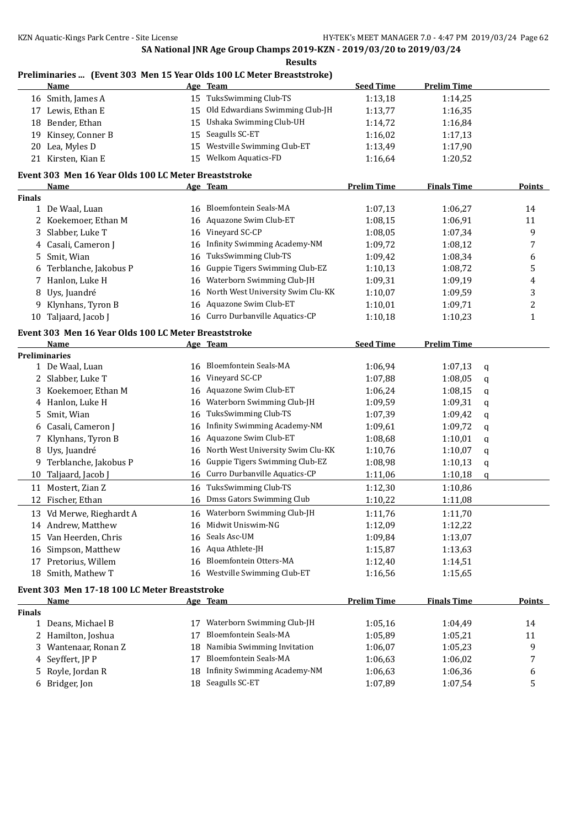**Results**

|               |                                                      |    | Preliminaries  (Event 303 Men 15 Year Olds 100 LC Meter Breaststroke) |                    |                    |                |
|---------------|------------------------------------------------------|----|-----------------------------------------------------------------------|--------------------|--------------------|----------------|
|               | <u>Name</u>                                          |    | Age Team                                                              | <b>Seed Time</b>   | <b>Prelim Time</b> |                |
|               | 16 Smith, James A                                    |    | 15 TuksSwimming Club-TS                                               | 1:13,18            | 1:14,25            |                |
|               | 17 Lewis, Ethan E                                    | 15 | Old Edwardians Swimming Club-JH                                       | 1:13,77            | 1:16,35            |                |
|               | 18 Bender, Ethan                                     | 15 | Ushaka Swimming Club-UH                                               | 1:14,72            | 1:16,84            |                |
| 19            | Kinsey, Conner B                                     | 15 | Seagulls SC-ET                                                        | 1:16,02            | 1:17,13            |                |
| 20            | Lea, Myles D                                         | 15 | Westville Swimming Club-ET                                            | 1:13,49            | 1:17,90            |                |
|               | 21 Kirsten, Kian E                                   |    | 15 Welkom Aquatics-FD                                                 | 1:16,64            | 1:20,52            |                |
|               | Event 303 Men 16 Year Olds 100 LC Meter Breaststroke |    |                                                                       |                    |                    |                |
|               | <b>Name</b>                                          |    | Age Team                                                              | <b>Prelim Time</b> | <b>Finals Time</b> | Points         |
| <b>Finals</b> |                                                      |    |                                                                       |                    |                    |                |
|               | 1 De Waal, Luan                                      | 16 | Bloemfontein Seals-MA                                                 | 1:07,13            | 1:06,27            | 14             |
|               | 2 Koekemoer, Ethan M                                 | 16 | Aquazone Swim Club-ET                                                 | 1:08,15            | 1:06,91            | 11             |
| 3             | Slabber, Luke T                                      | 16 | Vineyard SC-CP                                                        | 1:08,05            | 1:07,34            | 9              |
| 4             | Casali, Cameron J                                    | 16 | <b>Infinity Swimming Academy-NM</b>                                   | 1:09,72            | 1:08,12            | 7              |
| 5             | Smit, Wian                                           | 16 | TuksSwimming Club-TS                                                  | 1:09,42            | 1:08,34            | 6              |
|               | Terblanche, Jakobus P                                | 16 | Guppie Tigers Swimming Club-EZ                                        | 1:10,13            | 1:08,72            | 5              |
| 7             | Hanlon, Luke H                                       | 16 | Waterborn Swimming Club-JH                                            | 1:09,31            | 1:09,19            | 4              |
|               |                                                      |    | North West University Swim Clu-KK                                     |                    |                    | 3              |
| 8             | Uys, Juandré                                         | 16 |                                                                       | 1:10,07            | 1:09,59            |                |
| 9             | Klynhans, Tyron B                                    | 16 | Aquazone Swim Club-ET                                                 | 1:10,01            | 1:09,71            | $\overline{c}$ |
|               | 10 Taljaard, Jacob J                                 | 16 | Curro Durbanville Aquatics-CP                                         | 1:10,18            | 1:10,23            | $\mathbf{1}$   |
|               | Event 303 Men 16 Year Olds 100 LC Meter Breaststroke |    |                                                                       |                    |                    |                |
|               | Name                                                 |    | Age Team                                                              | <b>Seed Time</b>   | <b>Prelim Time</b> |                |
|               | <b>Preliminaries</b>                                 |    |                                                                       |                    |                    |                |
|               | 1 De Waal, Luan                                      | 16 | Bloemfontein Seals-MA                                                 | 1:06,94            | 1:07,13            | q              |
| 2             | Slabber, Luke T                                      | 16 | Vineyard SC-CP                                                        | 1:07,88            | 1:08,05            | q              |
| 3             | Koekemoer, Ethan M                                   | 16 | Aquazone Swim Club-ET                                                 | 1:06,24            | 1:08,15            | q              |
| 4             | Hanlon, Luke H                                       | 16 | Waterborn Swimming Club-JH                                            | 1:09,59            | 1:09,31            | q              |
| 5             | Smit, Wian                                           | 16 | TuksSwimming Club-TS                                                  | 1:07,39            | 1:09,42            | q              |
| 6             | Casali, Cameron J                                    | 16 | <b>Infinity Swimming Academy-NM</b>                                   | 1:09,61            | 1:09,72            | q              |
| 7             | Klynhans, Tyron B                                    | 16 | Aquazone Swim Club-ET                                                 | 1:08,68            | 1:10,01            | q              |
| 8             | Uys, Juandré                                         | 16 | North West University Swim Clu-KK                                     | 1:10,76            | 1:10,07            | q              |
| 9             | Terblanche, Jakobus P                                | 16 | Guppie Tigers Swimming Club-EZ                                        | 1:08,98            | 1:10,13            | q              |
| 10            | Taljaard, Jacob J                                    | 16 | Curro Durbanville Aquatics-CP                                         | 1:11,06            | 1:10,18            | $\mathbf q$    |
|               | 11 Mostert, Zian Z                                   | 16 | TuksSwimming Club-TS                                                  | 1:12,30            | 1:10,86            |                |
|               | 12 Fischer, Ethan                                    |    | 16 Dmss Gators Swimming Club                                          | 1:10,22            | 1:11,08            |                |
|               |                                                      |    |                                                                       |                    |                    |                |
|               | 13 Vd Merwe, Rieghardt A                             | 16 | Waterborn Swimming Club-JH                                            | 1:11,76            | 1:11,70            |                |
|               | 14 Andrew, Matthew                                   | 16 | Midwit Uniswim-NG                                                     | 1:12,09            | 1:12,22            |                |
|               | 15 Van Heerden, Chris                                | 16 | Seals Asc-UM                                                          | 1:09,84            | 1:13,07            |                |
|               | 16 Simpson, Matthew                                  | 16 | Aqua Athlete-JH                                                       | 1:15,87            | 1:13,63            |                |
| 17            | Pretorius, Willem                                    | 16 | Bloemfontein Otters-MA                                                | 1:12,40            | 1:14,51            |                |
|               | 18 Smith, Mathew T                                   | 16 | Westville Swimming Club-ET                                            | 1:16,56            | 1:15,65            |                |
|               | Event 303 Men 17-18 100 LC Meter Breaststroke        |    |                                                                       |                    |                    |                |
|               | <u>Name</u>                                          |    | <u>Age Team</u>                                                       | <b>Prelim Time</b> | <b>Finals Time</b> | <b>Points</b>  |
| <b>Finals</b> |                                                      |    |                                                                       |                    |                    |                |
|               | 1 Deans, Michael B                                   | 17 | Waterborn Swimming Club-JH                                            | 1:05,16            | 1:04,49            | 14             |
| 2             | Hamilton, Joshua                                     | 17 | Bloemfontein Seals-MA                                                 | 1:05,89            | 1:05,21            | 11             |
| 3             | Wantenaar, Ronan Z                                   | 18 | Namibia Swimming Invitation                                           | 1:06,07            | 1:05,23            | 9              |
| 4             | Seyffert, JP P                                       | 17 | Bloemfontein Seals-MA                                                 | 1:06,63            | 1:06,02            | 7              |
| 5             | Royle, Jordan R                                      | 18 | Infinity Swimming Academy-NM                                          | 1:06,63            | 1:06,36            | 6              |
|               | 6 Bridger, Jon                                       | 18 | Seagulls SC-ET                                                        | 1:07,89            | 1:07,54            | 5              |
|               |                                                      |    |                                                                       |                    |                    |                |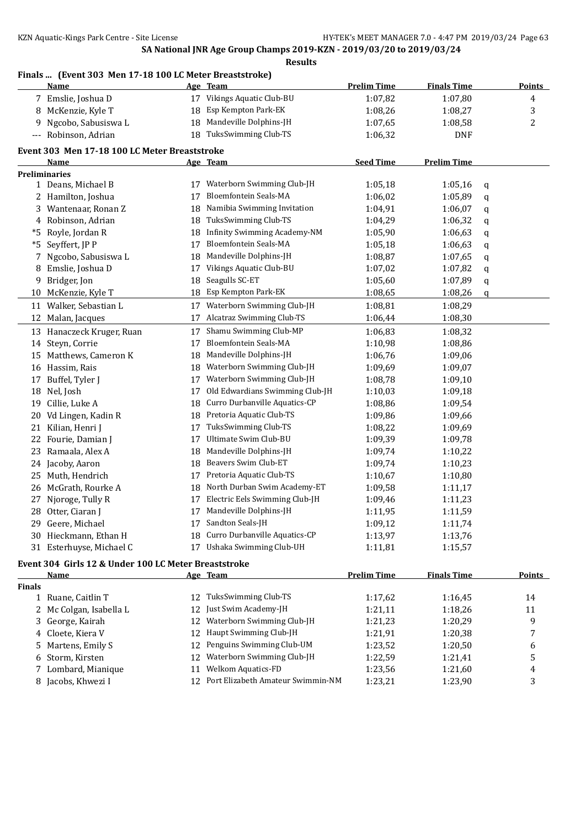#### **Finals ... (Event 303 Men 17-18 100 LC Meter Breaststroke)**

|               | <b>Name</b>                                          |    | Age Team                         | <b>Prelim Time</b> | <b>Finals Time</b> |   | <b>Points</b>  |
|---------------|------------------------------------------------------|----|----------------------------------|--------------------|--------------------|---|----------------|
|               | 7 Emslie, Joshua D                                   |    | 17 Vikings Aquatic Club-BU       | 1:07,82            | 1:07,80            |   | 4              |
| 8             | McKenzie, Kyle T                                     | 18 | Esp Kempton Park-EK              | 1:08,26            | 1:08,27            |   | 3              |
| 9             | Ngcobo, Sabusiswa L                                  | 18 | Mandeville Dolphins-JH           | 1:07,65            | 1:08,58            |   | $\overline{c}$ |
| ---           | Robinson, Adrian                                     | 18 | TuksSwimming Club-TS             | 1:06,32            | <b>DNF</b>         |   |                |
|               | Event 303 Men 17-18 100 LC Meter Breaststroke        |    |                                  |                    |                    |   |                |
|               | Name                                                 |    | <u>Age Team</u>                  | <b>Seed Time</b>   | <b>Prelim Time</b> |   |                |
|               | Preliminaries                                        |    |                                  |                    |                    |   |                |
|               | 1 Deans, Michael B                                   |    | 17 Waterborn Swimming Club-JH    | 1:05,18            | 1:05,16            | q |                |
| 2             | Hamilton, Joshua                                     | 17 | Bloemfontein Seals-MA            | 1:06,02            | 1:05,89            | q |                |
| 3             | Wantenaar, Ronan Z                                   | 18 | Namibia Swimming Invitation      | 1:04,91            | 1:06,07            | q |                |
| 4             | Robinson, Adrian                                     | 18 | TuksSwimming Club-TS             | 1:04,29            | 1:06,32            | q |                |
| *5            | Royle, Jordan R                                      | 18 | Infinity Swimming Academy-NM     | 1:05,90            | 1:06,63            | q |                |
| *5            | Seyffert, JP P                                       | 17 | Bloemfontein Seals-MA            | 1:05,18            | 1:06,63            | q |                |
| 7             | Ngcobo, Sabusiswa L                                  | 18 | Mandeville Dolphins-JH           | 1:08,87            | 1:07,65            | q |                |
| 8             | Emslie, Joshua D                                     | 17 | Vikings Aquatic Club-BU          | 1:07,02            | 1:07,82            | q |                |
| 9             | Bridger, Jon                                         | 18 | Seagulls SC-ET                   | 1:05,60            | 1:07,89            | q |                |
| 10            | McKenzie, Kyle T                                     | 18 | Esp Kempton Park-EK              | 1:08,65            | 1:08,26            | q |                |
| 11            | Walker, Sebastian L                                  | 17 | Waterborn Swimming Club-JH       | 1:08,81            | 1:08,29            |   |                |
| 12            | Malan, Jacques                                       | 17 | <b>Alcatraz Swimming Club-TS</b> | 1:06,44            | 1:08,30            |   |                |
|               | 13 Hanaczeck Kruger, Ruan                            | 17 | Shamu Swimming Club-MP           | 1:06,83            | 1:08,32            |   |                |
| 14            | Steyn, Corrie                                        | 17 | Bloemfontein Seals-MA            | 1:10,98            | 1:08,86            |   |                |
| 15            | Matthews, Cameron K                                  | 18 | Mandeville Dolphins-JH           | 1:06,76            | 1:09,06            |   |                |
| 16            | Hassim, Rais                                         | 18 | Waterborn Swimming Club-JH       | 1:09,69            | 1:09,07            |   |                |
| 17            | Buffel, Tyler J                                      | 17 | Waterborn Swimming Club-JH       | 1:08,78            | 1:09,10            |   |                |
| 18            | Nel, Josh                                            | 17 | Old Edwardians Swimming Club-JH  | 1:10,03            | 1:09,18            |   |                |
| 19            | Cillie, Luke A                                       | 18 | Curro Durbanville Aquatics-CP    | 1:08,86            | 1:09,54            |   |                |
|               |                                                      | 18 | Pretoria Aquatic Club-TS         |                    |                    |   |                |
| 20            | Vd Lingen, Kadin R                                   |    | TuksSwimming Club-TS             | 1:09,86            | 1:09,66            |   |                |
| 21            | Kilian, Henri J                                      | 17 | Ultimate Swim Club-BU            | 1:08,22            | 1:09,69            |   |                |
| 22            | Fourie, Damian J                                     | 17 |                                  | 1:09,39            | 1:09,78            |   |                |
| 23            | Ramaala, Alex A                                      | 18 | Mandeville Dolphins-JH           | 1:09,74            | 1:10,22            |   |                |
| 24            | Jacoby, Aaron                                        | 18 | Beavers Swim Club-ET             | 1:09,74            | 1:10,23            |   |                |
| 25            | Muth, Hendrich                                       | 17 | Pretoria Aquatic Club-TS         | 1:10,67            | 1:10,80            |   |                |
| 26            | McGrath, Rourke A                                    | 18 | North Durban Swim Academy-ET     | 1:09,58            | 1:11,17            |   |                |
| 27            | Njoroge, Tully R                                     | 17 | Electric Eels Swimming Club-JH   | 1:09,46            | 1:11,23            |   |                |
|               | 28 Otter, Ciaran J                                   | 17 | Mandeville Dolphins-JH           | 1:11,95            | 1:11,59            |   |                |
|               | 29 Geere, Michael                                    |    | 17 Sandton Seals-JH              | 1:09,12            | 1:11,74            |   |                |
|               | 30 Hieckmann, Ethan H                                |    | 18 Curro Durbanville Aquatics-CP | 1:13,97            | 1:13,76            |   |                |
|               | 31 Esterhuyse, Michael C                             | 17 | Ushaka Swimming Club-UH          | 1:11,81            | 1:15,57            |   |                |
|               | Event 304 Girls 12 & Under 100 LC Meter Breaststroke |    |                                  |                    |                    |   |                |
|               | <b>Name</b>                                          |    | Age Team                         | <b>Prelim Time</b> | <b>Finals Time</b> |   | <b>Points</b>  |
| <b>Finals</b> |                                                      |    |                                  |                    |                    |   |                |
|               | 1 Ruane, Caitlin T                                   |    | 12 TuksSwimming Club-TS          | 1:17,62            | 1:16,45            |   | 14             |
| 2             | Mc Colgan, Isabella L                                |    | 12 Just Swim Academy-JH          | 1:21,11            | 1:18,26            |   | 11             |
| 3             | George, Kairah                                       |    | 12 Waterborn Swimming Club-JH    | 1:21,23            | 1:20,29            |   | 9              |
| 4             | Cloete, Kiera V                                      |    | 12 Haupt Swimming Club-JH        | 1:21,91            | 1:20,38            |   | 7              |

Martens, Emily S 12 Penguins Swimming Club-UM 1:23,52 1:20,50 6

| 6 Storm, Kirsten    | 12 Waterborn Swimming Club-JH | 1:22.59 | 1:21.41 |  |
|---------------------|-------------------------------|---------|---------|--|
| 7 Lombard, Mianique | 11 Welkom Aquatics-FD         | 1:23.56 | 1:21.60 |  |

8 Jacobs, Khwezi I 12 Port Elizabeth Amateur Swimmin-NM 1:23,21 1:23,90 3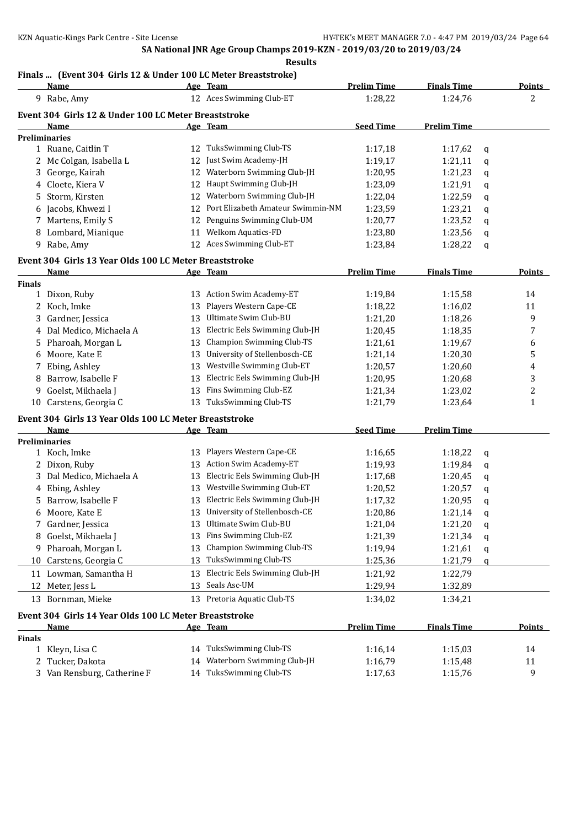### **Finals ... (Event 304 Girls 12 & Under 100 LC Meter Breaststroke)**

|               | <b>Name</b>                                                    |    | Age Team                          | <b>Prelim Time</b> | <b>Finals Time</b> |             | <b>Points</b> |
|---------------|----------------------------------------------------------------|----|-----------------------------------|--------------------|--------------------|-------------|---------------|
|               | 9 Rabe, Amy                                                    |    | 12 Aces Swimming Club-ET          | 1:28,22            | 1:24,76            |             | 2             |
|               | Event 304 Girls 12 & Under 100 LC Meter Breaststroke           |    |                                   |                    |                    |             |               |
|               | Name                                                           |    | Age Team                          | <b>Seed Time</b>   | <b>Prelim Time</b> |             |               |
|               | <b>Preliminaries</b>                                           |    |                                   |                    |                    |             |               |
|               | 1 Ruane, Caitlin T                                             |    | 12 TuksSwimming Club-TS           | 1:17,18            | 1:17,62            | q           |               |
|               | 2 Mc Colgan, Isabella L                                        | 12 | Just Swim Academy-JH              | 1:19,17            | 1:21,11            | q           |               |
|               | 3 George, Kairah                                               | 12 | Waterborn Swimming Club-JH        | 1:20,95            | 1:21,23            | q           |               |
|               | 4 Cloete, Kiera V                                              | 12 | Haupt Swimming Club-JH            | 1:23,09            | 1:21,91            | q           |               |
| 5.            | Storm, Kirsten                                                 | 12 | Waterborn Swimming Club-JH        | 1:22,04            | 1:22,59            | q           |               |
|               | 6 Jacobs, Khwezi I                                             | 12 | Port Elizabeth Amateur Swimmin-NM | 1:23,59            | 1:23,21            | q           |               |
|               | 7 Martens, Emily S                                             | 12 | Penguins Swimming Club-UM         | 1:20,77            | 1:23,52            | q           |               |
|               | 8 Lombard, Mianique                                            | 11 | Welkom Aquatics-FD                | 1:23,80            | 1:23,56            | q           |               |
|               | 9 Rabe, Amy                                                    |    | 12 Aces Swimming Club-ET          | 1:23,84            | 1:28,22            | q           |               |
|               | Event 304 Girls 13 Year Olds 100 LC Meter Breaststroke         |    |                                   |                    |                    |             |               |
|               | <u>Name</u>                                                    |    | <u>Age Team</u>                   | <b>Prelim Time</b> | <b>Finals Time</b> |             | <b>Points</b> |
| <b>Finals</b> |                                                                |    |                                   |                    |                    |             |               |
|               | 1 Dixon, Ruby                                                  |    | 13 Action Swim Academy-ET         | 1:19,84            | 1:15,58            |             | 14            |
|               | 2 Koch, Imke                                                   | 13 | Players Western Cape-CE           | 1:18,22            | 1:16,02            |             | 11            |
| 3             | Gardner, Jessica                                               | 13 | Ultimate Swim Club-BU             | 1:21,20            | 1:18,26            |             | 9             |
|               | 4 Dal Medico, Michaela A                                       | 13 | Electric Eels Swimming Club-JH    | 1:20,45            | 1:18,35            |             | 7             |
|               | 5 Pharoah, Morgan L                                            | 13 | Champion Swimming Club-TS         | 1:21,61            | 1:19,67            |             | 6             |
| 6             | Moore, Kate E                                                  | 13 | University of Stellenbosch-CE     | 1:21,14            | 1:20,30            |             | 5             |
| 7             | Ebing, Ashley                                                  | 13 | Westville Swimming Club-ET        | 1:20,57            | 1:20,60            |             | 4             |
| 8             | Barrow, Isabelle F                                             | 13 | Electric Eels Swimming Club-JH    | 1:20,95            | 1:20,68            |             | 3             |
| 9             | Goelst, Mikhaela J                                             | 13 | Fins Swimming Club-EZ             | 1:21,34            | 1:23,02            |             | 2             |
|               | 10 Carstens, Georgia C                                         |    | 13 TuksSwimming Club-TS           | 1:21,79            | 1:23,64            |             | 1             |
|               |                                                                |    |                                   |                    |                    |             |               |
|               | Event 304 Girls 13 Year Olds 100 LC Meter Breaststroke<br>Name |    | Age Team                          | <b>Seed Time</b>   | <b>Prelim Time</b> |             |               |
|               | <b>Preliminaries</b>                                           |    |                                   |                    |                    |             |               |
|               | 1 Koch, Imke                                                   | 13 | Players Western Cape-CE           | 1:16,65            | 1:18,22            | q           |               |
|               | 2 Dixon, Ruby                                                  |    | 13 Action Swim Academy-ET         | 1:19,93            | 1:19,84            | q           |               |
| 3             | Dal Medico, Michaela A                                         | 13 | Electric Eels Swimming Club-JH    | 1:17,68            | 1:20,45            | q           |               |
|               | 4 Ebing, Ashley                                                | 13 | Westville Swimming Club-ET        | 1:20,52            | 1:20,57            | q           |               |
|               | 5 Barrow, Isabelle F                                           | 13 | Electric Eels Swimming Club-JH    | 1:17,32            | 1:20,95            | q           |               |
|               | 6 Moore, Kate E                                                |    | 13 University of Stellenbosch-CE  | 1:20,86            | 1:21,14            | q           |               |
|               | 7 Gardner, Jessica                                             |    | 13 Ultimate Swim Club-BU          | 1:21,04            | 1:21,20            | $\mathbf q$ |               |
|               | 8 Goelst, Mikhaela J                                           |    | 13 Fins Swimming Club-EZ          | 1:21,39            | 1:21,34            | q           |               |
|               | 9 Pharoah, Morgan L                                            | 13 | Champion Swimming Club-TS         | 1:19,94            | 1:21,61            | q           |               |
|               | 10 Carstens, Georgia C                                         | 13 | TuksSwimming Club-TS              | 1:25,36            | 1:21,79            | q           |               |
|               | 11 Lowman, Samantha H                                          | 13 | Electric Eels Swimming Club-JH    | 1:21,92            | 1:22,79            |             |               |
| 12            | Meter, Jess L                                                  | 13 | Seals Asc-UM                      | 1:29,94            | 1:32,89            |             |               |
|               |                                                                |    | 13 Pretoria Aquatic Club-TS       |                    |                    |             |               |
|               | 13 Bornman, Mieke                                              |    |                                   | 1:34,02            | 1:34,21            |             |               |
|               | Event 304 Girls 14 Year Olds 100 LC Meter Breaststroke         |    |                                   |                    |                    |             |               |
|               | Name                                                           |    | Age Team                          | <b>Prelim Time</b> | <b>Finals Time</b> |             | <b>Points</b> |
| <b>Finals</b> |                                                                |    |                                   |                    |                    |             |               |
|               | 1 Kleyn, Lisa C                                                |    | 14 TuksSwimming Club-TS           | 1:16,14            | 1:15,03            |             | 14            |
| 2             | Tucker, Dakota                                                 | 14 | Waterborn Swimming Club-JH        | 1:16,79            | 1:15,48            |             | 11            |
|               | 3 Van Rensburg, Catherine F                                    |    | 14 TuksSwimming Club-TS           | 1:17,63            | 1:15,76            |             | 9             |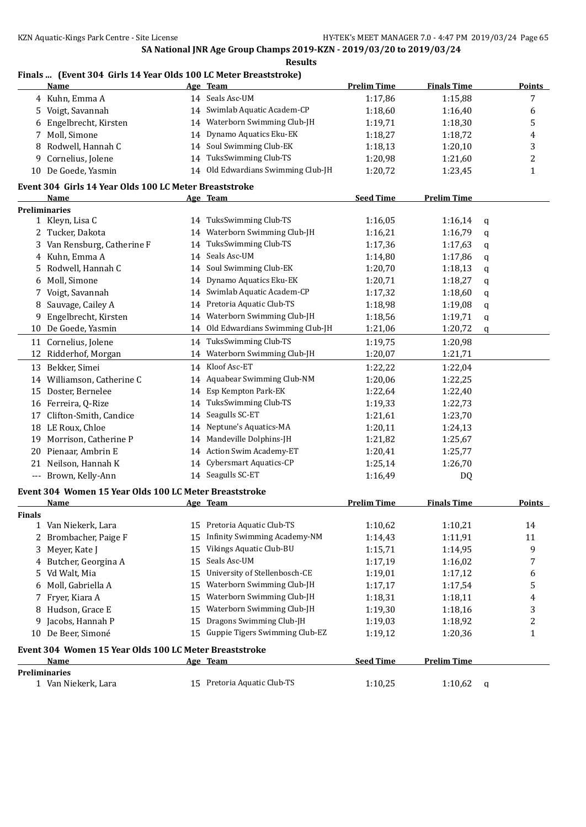#### **Finals ... (Event 304 Girls 14 Year Olds 100 LC Meter Breaststroke)**

|               | <u>Name</u>                                                           |    | $\frac{1}{100}$ or an is 1+ item ones foot be meter breasts trone p<br>Age Team | <b>Prelim Time</b> | <b>Finals Time</b> |   | <b>Points</b>           |
|---------------|-----------------------------------------------------------------------|----|---------------------------------------------------------------------------------|--------------------|--------------------|---|-------------------------|
|               | 4 Kuhn, Emma A                                                        |    | 14 Seals Asc-UM                                                                 | 1:17,86            | 1:15,88            |   | 7                       |
| 5.            | Voigt, Savannah                                                       |    | 14 Swimlab Aquatic Academ-CP                                                    | 1:18,60            | 1:16,40            |   | 6                       |
| 6             | Engelbrecht, Kirsten                                                  | 14 | Waterborn Swimming Club-JH                                                      | 1:19,71            | 1:18,30            |   | 5                       |
| 7             | Moll, Simone                                                          | 14 | Dynamo Aquatics Eku-EK                                                          | 1:18,27            | 1:18,72            |   | 4                       |
| 8             | Rodwell, Hannah C                                                     | 14 | Soul Swimming Club-EK                                                           | 1:18,13            | 1:20,10            |   | 3                       |
| 9             | Cornelius, Jolene                                                     | 14 | TuksSwimming Club-TS                                                            | 1:20,98            | 1:21,60            |   | $\overline{\mathbf{c}}$ |
|               | 10 De Goede, Yasmin                                                   |    | 14 Old Edwardians Swimming Club-JH                                              | 1:20,72            | 1:23,45            |   | $\mathbf{1}$            |
|               | Event 304 Girls 14 Year Olds 100 LC Meter Breaststroke                |    |                                                                                 |                    |                    |   |                         |
|               | Name                                                                  |    | Age Team                                                                        | <b>Seed Time</b>   | <b>Prelim Time</b> |   |                         |
|               | <b>Preliminaries</b>                                                  |    |                                                                                 |                    |                    |   |                         |
|               | 1 Kleyn, Lisa C                                                       |    | 14 TuksSwimming Club-TS                                                         | 1:16,05            | 1:16,14            | q |                         |
|               | 2 Tucker, Dakota                                                      |    | 14 Waterborn Swimming Club-JH                                                   | 1:16,21            | 1:16,79            | q |                         |
|               | Van Rensburg, Catherine F                                             |    | 14 TuksSwimming Club-TS                                                         | 1:17,36            | 1:17,63            | q |                         |
|               | 4 Kuhn, Emma A                                                        |    | 14 Seals Asc-UM                                                                 | 1:14,80            | 1:17,86            | q |                         |
| 5             | Rodwell, Hannah C                                                     |    | 14 Soul Swimming Club-EK                                                        | 1:20,70            | 1:18,13            | q |                         |
| 6             | Moll, Simone                                                          |    | 14 Dynamo Aquatics Eku-EK                                                       | 1:20,71            | 1:18,27            | q |                         |
| 7             | Voigt, Savannah                                                       |    | 14 Swimlab Aquatic Academ-CP                                                    | 1:17,32            | 1:18,60            | q |                         |
| 8             | Sauvage, Cailey A                                                     |    | 14 Pretoria Aquatic Club-TS                                                     | 1:18,98            | 1:19,08            | q |                         |
| 9             | Engelbrecht, Kirsten                                                  |    | 14 Waterborn Swimming Club-JH                                                   | 1:18,56            | 1:19,71            | q |                         |
| 10            | De Goede, Yasmin                                                      | 14 | Old Edwardians Swimming Club-JH                                                 | 1:21,06            | 1:20,72            | q |                         |
|               | 11 Cornelius, Jolene                                                  |    | 14 TuksSwimming Club-TS                                                         | 1:19,75            | 1:20,98            |   |                         |
|               | 12 Ridderhof, Morgan                                                  |    | 14 Waterborn Swimming Club-JH                                                   | 1:20,07            | 1:21,71            |   |                         |
|               | 13 Bekker, Simei                                                      |    | 14 Kloof Asc-ET                                                                 | 1:22,22            | 1:22,04            |   |                         |
|               | 14 Williamson, Catherine C                                            |    | 14 Aquabear Swimming Club-NM                                                    | 1:20,06            | 1:22,25            |   |                         |
|               | 15 Doster, Bernelee                                                   |    | 14 Esp Kempton Park-EK                                                          | 1:22,64            | 1:22,40            |   |                         |
|               | 16 Ferreira, Q-Rize                                                   | 14 | TuksSwimming Club-TS                                                            | 1:19,33            | 1:22,73            |   |                         |
| 17            | Clifton-Smith, Candice                                                |    | 14 Seagulls SC-ET                                                               | 1:21,61            | 1:23,70            |   |                         |
|               | 18 LE Roux, Chloe                                                     |    | 14 Neptune's Aquatics-MA                                                        | 1:20,11            | 1:24,13            |   |                         |
| 19            | Morrison, Catherine P                                                 |    | 14 Mandeville Dolphins-JH                                                       | 1:21,82            | 1:25,67            |   |                         |
| 20            | Pienaar, Ambrin E                                                     |    | 14 Action Swim Academy-ET                                                       | 1:20,41            | 1:25,77            |   |                         |
| 21            | Neilson, Hannah K                                                     |    | 14 Cybersmart Aquatics-CP                                                       | 1:25,14            | 1:26,70            |   |                         |
|               | --- Brown, Kelly-Ann                                                  |    | 14 Seagulls SC-ET                                                               | 1:16,49            | DQ                 |   |                         |
|               | Event 304 Women 15 Year Olds 100 LC Meter Breaststroke                |    |                                                                                 |                    |                    |   |                         |
|               | <b>Name</b>                                                           |    | Age Team                                                                        | <b>Prelim Time</b> | <b>Finals Time</b> |   | <b>Points</b>           |
| <b>Finals</b> |                                                                       |    |                                                                                 |                    |                    |   |                         |
|               | 1 Van Niekerk, Lara                                                   | 15 | Pretoria Aquatic Club-TS                                                        | 1:10,62            | 1:10,21            |   | 14                      |
| 2             | Brombacher, Paige F                                                   | 15 | <b>Infinity Swimming Academy-NM</b>                                             | 1:14,43            | 1:11,91            |   | 11                      |
| 3             | Meyer, Kate J                                                         | 15 | Vikings Aquatic Club-BU                                                         | 1:15,71            | 1:14,95            |   | 9                       |
| 4             | Butcher, Georgina A                                                   | 15 | Seals Asc-UM                                                                    | 1:17,19            | 1:16,02            |   | 7                       |
| 5.            | Vd Walt, Mia                                                          | 15 | University of Stellenbosch-CE                                                   | 1:19,01            | 1:17,12            |   | 6                       |
| 6             | Moll, Gabriella A                                                     | 15 | Waterborn Swimming Club-JH                                                      | 1:17,17            | 1:17,54            |   | 5                       |
| 7             | Fryer, Kiara A                                                        | 15 | Waterborn Swimming Club-JH                                                      | 1:18,31            | 1:18,11            |   | 4                       |
| 8             | Hudson, Grace E                                                       | 15 | Waterborn Swimming Club-JH                                                      | 1:19,30            | 1:18,16            |   | 3                       |
| 9             | Jacobs, Hannah P                                                      | 15 | Dragons Swimming Club-JH                                                        | 1:19,03            | 1:18,92            |   | 2                       |
|               | 10 De Beer, Simoné                                                    | 15 | Guppie Tigers Swimming Club-EZ                                                  | 1:19,12            | 1:20,36            |   | 1                       |
|               |                                                                       |    |                                                                                 |                    |                    |   |                         |
|               | Event 304 Women 15 Year Olds 100 LC Meter Breaststroke<br><b>Name</b> |    | Age Team                                                                        | <b>Seed Time</b>   | <b>Prelim Time</b> |   |                         |
|               | Preliminaries                                                         |    |                                                                                 |                    |                    |   |                         |
|               | 1 Van Niekerk, Lara                                                   |    | 15 Pretoria Aquatic Club-TS                                                     | 1:10,25            | 1:10,62            | q |                         |
|               |                                                                       |    |                                                                                 |                    |                    |   |                         |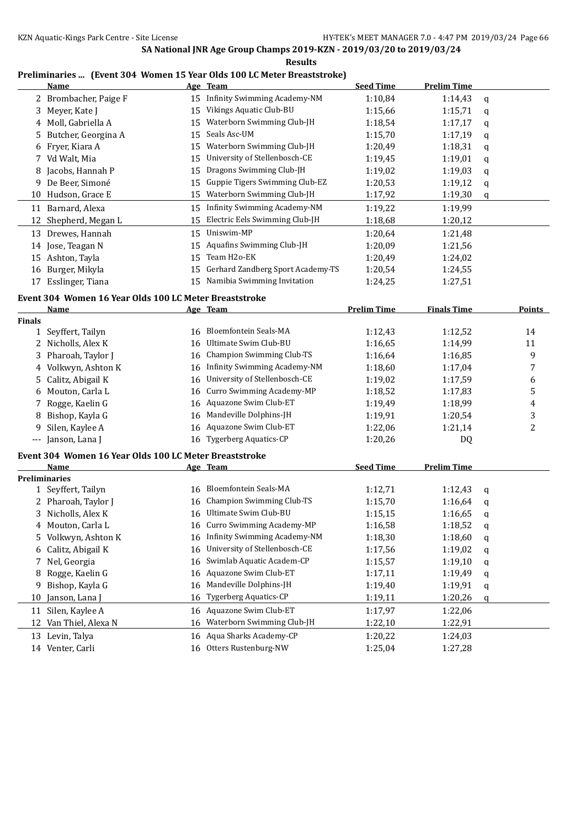**Results**

#### **Preliminaries ... (Event 304 Women 15 Year Olds 100 LC Meter Breaststroke)**

|    | Name                  |    | Age Team                          | <b>Seed Time</b> | Prelim Time |   |
|----|-----------------------|----|-----------------------------------|------------------|-------------|---|
|    | 2 Brombacher, Paige F | 15 | Infinity Swimming Academy-NM      | 1:10,84          | 1:14,43     | q |
|    | 3 Mever, Kate J       | 15 | Vikings Aquatic Club-BU           | 1:15,66          | 1:15,71     | a |
|    | 4 Moll, Gabriella A   | 15 | Waterborn Swimming Club-JH        | 1:18,54          | 1:17,17     | q |
|    | Butcher, Georgina A   | 15 | Seals Asc-UM                      | 1:15,70          | 1:17,19     | a |
| 6  | Fryer, Kiara A        | 15 | Waterborn Swimming Club-JH        | 1:20,49          | 1:18,31     | a |
|    | Vd Walt, Mia          | 15 | University of Stellenbosch-CE     | 1:19,45          | 1:19,01     | q |
| 8  | Jacobs, Hannah P      | 15 | Dragons Swimming Club-JH          | 1:19,02          | 1:19,03     | q |
| 9  | De Beer, Simoné       | 15 | Guppie Tigers Swimming Club-EZ    | 1:20,53          | 1:19,12     | q |
| 10 | Hudson, Grace E       | 15 | Waterborn Swimming Club-JH        | 1:17,92          | 1:19,30     | q |
| 11 | Barnard, Alexa        | 15 | Infinity Swimming Academy-NM      | 1:19,22          | 1:19,99     |   |
|    | 12 Shepherd, Megan L  | 15 | Electric Eels Swimming Club-JH    | 1:18,68          | 1:20,12     |   |
| 13 | Drewes, Hannah        | 15 | Uniswim-MP                        | 1:20,64          | 1:21,48     |   |
| 14 | Jose, Teagan N        | 15 | <b>Aquafins Swimming Club-JH</b>  | 1:20,09          | 1:21,56     |   |
| 15 | Ashton, Tayla         | 15 | Team H <sub>20</sub> -EK          | 1:20,49          | 1:24,02     |   |
| 16 | Burger, Mikyla        | 15 | Gerhard Zandberg Sport Academy-TS | 1:20,54          | 1:24,55     |   |
| 17 | Esslinger, Tiana      | 15 | Namibia Swimming Invitation       | 1:24,25          | 1:27,51     |   |
|    |                       |    |                                   |                  |             |   |

#### **Event 304 Women 16 Year Olds 100 LC Meter Breaststroke**

|                     | Name                                                   |    | Age Team                         | <b>Prelim Time</b> | <b>Finals Time</b> | <b>Points</b> |
|---------------------|--------------------------------------------------------|----|----------------------------------|--------------------|--------------------|---------------|
| <b>Finals</b>       |                                                        |    |                                  |                    |                    |               |
|                     | 1 Seyffert, Tailyn                                     | 16 | Bloemfontein Seals-MA            | 1:12,43            | 1:12,52            | 14            |
|                     | Nicholls, Alex K                                       | 16 | Ultimate Swim Club-BU            | 1:16,65            | 1:14,99            | 11            |
|                     | 3 Pharoah, Taylor J                                    |    | 16 Champion Swimming Club-TS     | 1:16,64            | 1:16.85            | 9             |
|                     | 4 Volkwyn, Ashton K                                    | 16 | Infinity Swimming Academy-NM     | 1:18,60            | 1:17,04            | 7             |
|                     | 5 Calitz, Abigail K                                    | 16 | University of Stellenbosch-CE    | 1:19,02            | 1:17,59            | 6             |
|                     | 6 Mouton, Carla L                                      |    | 16 Curro Swimming Academy-MP     | 1:18,52            | 1:17,83            | 5             |
|                     | 7 Rogge, Kaelin G                                      |    | 16 Aquazone Swim Club-ET         | 1:19,49            | 1:18,99            | 4             |
| 8                   | Bishop, Kayla G                                        | 16 | Mandeville Dolphins-JH           | 1:19,91            | 1:20,54            | 3             |
| 9.                  | Silen, Kaylee A                                        |    | 16 Aquazone Swim Club-ET         | 1:22,06            | 1:21,14            | 2             |
| $\qquad \qquad - -$ | Janson, Lana J                                         | 16 | <b>Tygerberg Aquatics-CP</b>     | 1:20,26            | DQ                 |               |
|                     | Event 304 Women 16 Year Olds 100 LC Meter Breaststroke |    |                                  |                    |                    |               |
|                     | <b>Name</b>                                            |    | Age Team                         | <b>Seed Time</b>   | <b>Prelim Time</b> |               |
|                     | <b>Preliminaries</b>                                   |    |                                  |                    |                    |               |
|                     | 1 Seyffert, Tailyn                                     | 16 | Bloemfontein Seals-MA            | 1:12,71            | 1:12,43            | a             |
|                     | 2 Pharoah, Taylor J                                    | 16 | <b>Champion Swimming Club-TS</b> | 1:15,70            | 1:16.64            | a             |
|                     | 3 Nicholls, Alex K                                     | 16 | Ultimate Swim Club-BU            | 1:15,15            | 1:16.65            | a             |
|                     | 4 Mouton, Carla L                                      |    | 16 Curro Swimming Academy-MP     | 1:16,58            | 1:18,52            | a             |

 Volkwyn, Ashton K 16 Infinity Swimming Academy-NM 1:18,30 1:18,60 q Calitz, Abigail K 16 University of Stellenbosch-CE 1:17,56 1:19,02 q 7 Nel, Georgia 16 Swimlab Aquatic Academ-CP 1:15,57 1:19,10 q 8 Rogge, Kaelin G 16 Aquazone Swim Club-ET 1:17,11 1:19,49 q Bishop, Kayla G 16 Mandeville Dolphins-JH 1:19,40 1:19,91 q 10 Janson, Lana J 16 Tygerberg Aquatics-CP 1:19,11 1:20,26 q Silen, Kaylee A 16 Aquazone Swim Club-ET 1:17,97 1:22,06 Van Thiel, Alexa N 16 Waterborn Swimming Club-JH 1:22,10 1:22,91 Levin, Talya 16 Aqua Sharks Academy-CP 1:20,22 1:24,03 Venter, Carli 16 Otters Rustenburg-NW 1:25,04 1:27,28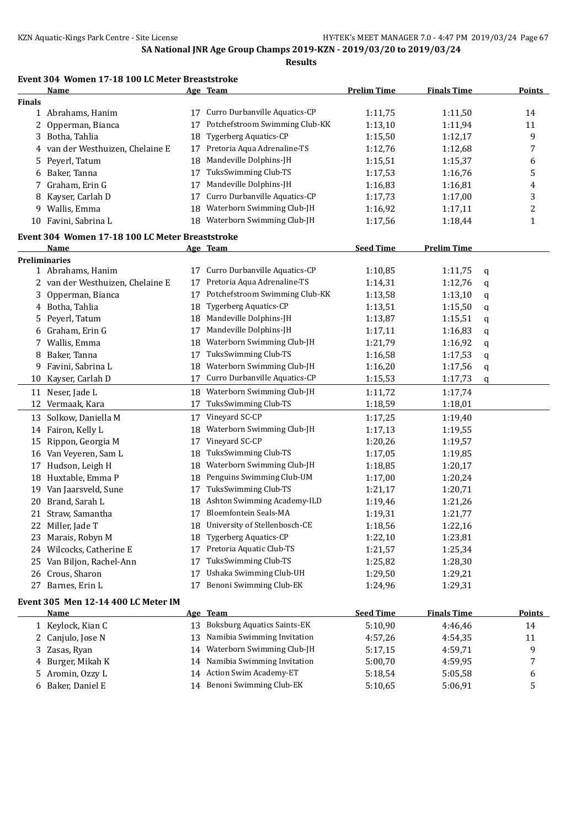## **Event 304 Women 17-18 100 LC Meter Breaststroke**

|               | <b>Name</b>                                     |    | Age Team                       | <b>Prelim Time</b> | <b>Finals Time</b> |   | <b>Points</b> |
|---------------|-------------------------------------------------|----|--------------------------------|--------------------|--------------------|---|---------------|
| <b>Finals</b> |                                                 |    |                                |                    |                    |   |               |
|               | 1 Abrahams, Hanim                               | 17 | Curro Durbanville Aquatics-CP  | 1:11,75            | 1:11,50            |   | 14            |
| 2             | Opperman, Bianca                                | 17 | Potchefstroom Swimming Club-KK | 1:13,10            | 1:11,94            |   | 11            |
|               | 3 Botha, Tahlia                                 | 18 | <b>Tygerberg Aquatics-CP</b>   | 1:15,50            | 1:12,17            |   | 9             |
| 4             | van der Westhuizen, Chelaine E                  | 17 | Pretoria Aqua Adrenaline-TS    | 1:12,76            | 1:12,68            |   | 7             |
| 5.            | Peyerl, Tatum                                   | 18 | Mandeville Dolphins-JH         | 1:15,51            | 1:15,37            |   | 6             |
| 6             | Baker, Tanna                                    | 17 | TuksSwimming Club-TS           | 1:17,53            | 1:16,76            |   | 5             |
| 7             | Graham, Erin G                                  | 17 | Mandeville Dolphins-JH         | 1:16,83            | 1:16,81            |   | 4             |
| 8             | Kayser, Carlah D                                | 17 | Curro Durbanville Aquatics-CP  | 1:17,73            | 1:17,00            |   | 3             |
| 9             | Wallis, Emma                                    | 18 | Waterborn Swimming Club-JH     | 1:16,92            | 1:17,11            |   | 2             |
| 10            | Favini, Sabrina L                               | 18 | Waterborn Swimming Club-JH     | 1:17,56            | 1:18,44            |   | 1             |
|               | Event 304 Women 17-18 100 LC Meter Breaststroke |    |                                |                    |                    |   |               |
|               | Name                                            |    | Age Team                       | <b>Seed Time</b>   | <b>Prelim Time</b> |   |               |
|               | Preliminaries                                   |    |                                |                    |                    |   |               |
|               | 1 Abrahams, Hanim                               | 17 | Curro Durbanville Aquatics-CP  | 1:10,85            | 1:11,75            | q |               |
|               | 2 van der Westhuizen, Chelaine E                | 17 | Pretoria Aqua Adrenaline-TS    | 1:14,31            | 1:12,76            | q |               |
| 3             | Opperman, Bianca                                | 17 | Potchefstroom Swimming Club-KK | 1:13,58            | 1:13,10            | q |               |
|               | 4 Botha, Tahlia                                 | 18 | Tygerberg Aquatics-CP          | 1:13,51            | 1:15,50            | q |               |
| 5.            | Peyerl, Tatum                                   | 18 | Mandeville Dolphins-JH         | 1:13,87            | 1:15,51            | q |               |
| 6             | Graham, Erin G                                  | 17 | Mandeville Dolphins-JH         | 1:17,11            | 1:16,83            | q |               |
| 7             | Wallis, Emma                                    | 18 | Waterborn Swimming Club-JH     | 1:21,79            | 1:16,92            | q |               |
|               | 8 Baker, Tanna                                  | 17 | TuksSwimming Club-TS           | 1:16,58            | 1:17,53            | q |               |
| 9             | Favini, Sabrina L                               | 18 | Waterborn Swimming Club-JH     | 1:16,20            | 1:17,56            | q |               |
| 10            | Kayser, Carlah D                                | 17 | Curro Durbanville Aquatics-CP  | 1:15,53            | 1:17,73            | q |               |
|               | 11 Neser, Jade L                                | 18 | Waterborn Swimming Club-JH     | 1:11,72            | 1:17,74            |   |               |
| 12            | Vermaak, Kara                                   | 17 | TuksSwimming Club-TS           | 1:18,59            | 1:18,01            |   |               |
|               | 13 Solkow, Daniella M                           | 17 | Vineyard SC-CP                 | 1:17,25            | 1:19,40            |   |               |
|               | 14 Fairon, Kelly L                              | 18 | Waterborn Swimming Club-JH     | 1:17,13            | 1:19,55            |   |               |
| 15            | Rippon, Georgia M                               | 17 | Vineyard SC-CP                 | 1:20,26            | 1:19,57            |   |               |
|               | 16 Van Veyeren, Sam L                           | 18 | TuksSwimming Club-TS           | 1:17,05            | 1:19,85            |   |               |
| 17            | Hudson, Leigh H                                 | 18 | Waterborn Swimming Club-JH     | 1:18,85            | 1:20,17            |   |               |
| 18            | Huxtable, Emma P                                | 18 | Penguins Swimming Club-UM      | 1:17,00            | 1:20,24            |   |               |
| 19            | Van Jaarsveld, Sune                             | 17 | TuksSwimming Club-TS           | 1:21,17            | 1:20,71            |   |               |
| 20            | Brand, Sarah L                                  | 18 | Ashton Swimming Academy-ILD    | 1:19,46            | 1:21,26            |   |               |
| 21            | Straw, Samantha                                 | 17 | Bloemfontein Seals-MA          | 1:19,31            | 1:21,77            |   |               |
| 22            | Miller, Jade T                                  | 18 | University of Stellenbosch-CE  | 1:18,56            | 1:22,16            |   |               |
|               | 23 Marais, Robyn M                              |    | 18 Tygerberg Aquatics-CP       | 1:22,10            | 1:23,81            |   |               |
|               | 24 Wilcocks, Catherine E                        | 17 | Pretoria Aquatic Club-TS       | 1:21,57            | 1:25,34            |   |               |
| 25            | Van Biljon, Rachel-Ann                          | 17 | TuksSwimming Club-TS           | 1:25,82            | 1:28,30            |   |               |
|               | 26 Crous, Sharon                                | 17 | Ushaka Swimming Club-UH        | 1:29,50            | 1:29,21            |   |               |
|               | 27 Barnes, Erin L                               | 17 | Benoni Swimming Club-EK        | 1:24,96            | 1:29,31            |   |               |
|               | Event 305 Men 12-14 400 LC Meter IM             |    |                                |                    |                    |   |               |
|               | <b>Name</b>                                     |    | Age Team                       | <b>Seed Time</b>   | <b>Finals Time</b> |   | <b>Points</b> |

| <b>Name</b>       | Age Team                         | seed Time | <b>Finals</b> Time | Points       |
|-------------------|----------------------------------|-----------|--------------------|--------------|
| 1 Keylock, Kian C | 13 Boksburg Aquatics Saints-EK   | 5:10.90   | 4:46.46            | 14           |
| 2 Canjulo, Jose N | 13 Namibia Swimming Invitation   | 4:57.26   | 4:54.35            | 11           |
| 3 Zasas, Ryan     | Waterborn Swimming Club-JH<br>14 | 5:17,15   | 4:59.71            | a            |
| 4 Burger, Mikah K | 14 Namibia Swimming Invitation   | 5:00.70   | 4:59.95            | $\mathbf{r}$ |
| 5 Aromin, Ozzy L  | 14 Action Swim Academy-ET        | 5:18.54   | 5:05.58            | b            |
| 6 Baker, Daniel E | 14 Benoni Swimming Club-EK       | 5:10.65   | 5:06.91            |              |
|                   |                                  |           |                    |              |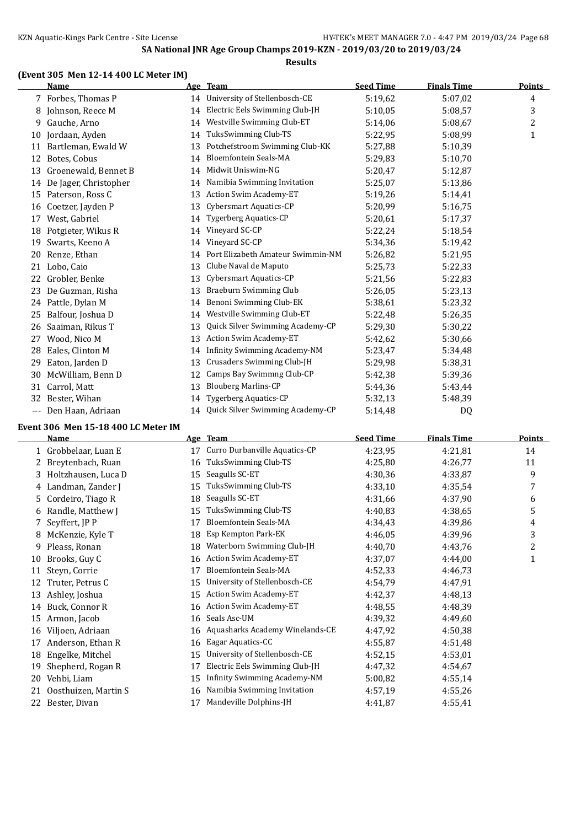**Results**

#### **(Event 305 Men 12-14 400 LC Meter IM)**

|     | <b>Name</b>           |    | Age Team                            | <b>Seed Time</b> | <b>Finals Time</b> | <b>Points</b> |
|-----|-----------------------|----|-------------------------------------|------------------|--------------------|---------------|
|     | 7 Forbes, Thomas P    |    | 14 University of Stellenbosch-CE    | 5:19,62          | 5:07,02            | 4             |
| 8   | Johnson, Reece M      | 14 | Electric Eels Swimming Club-JH      | 5:10.05          | 5:08,57            | 3             |
| 9   | Gauche, Arno          | 14 | Westville Swimming Club-ET          | 5:14,06          | 5:08,67            | 2             |
| 10  | Jordaan, Ayden        | 14 | TuksSwimming Club-TS                | 5:22,95          | 5:08.99            | 1             |
| 11  | Bartleman, Ewald W    | 13 | Potchefstroom Swimming Club-KK      | 5:27,88          | 5:10.39            |               |
| 12  | Botes, Cobus          | 14 | <b>Bloemfontein Seals-MA</b>        | 5:29,83          | 5:10.70            |               |
| 13  | Groenewald, Bennet B  | 14 | Midwit Uniswim-NG                   | 5:20,47          | 5:12,87            |               |
| 14  | De Jager, Christopher | 14 | Namibia Swimming Invitation         | 5:25,07          | 5:13,86            |               |
|     | 15 Paterson, Ross C   | 13 | Action Swim Academy-ET              | 5:19,26          | 5:14,41            |               |
| 16  | Coetzer, Jayden P     | 13 | Cybersmart Aquatics-CP              | 5:20,99          | 5:16,75            |               |
| 17  | West, Gabriel         | 14 | <b>Tygerberg Aquatics-CP</b>        | 5:20,61          | 5:17,37            |               |
| 18  | Potgieter, Wikus R    | 14 | Vineyard SC-CP                      | 5:22,24          | 5:18,54            |               |
| 19  | Swarts, Keeno A       | 14 | Vineyard SC-CP                      | 5:34,36          | 5:19,42            |               |
| 20  | Renze, Ethan          | 14 | Port Elizabeth Amateur Swimmin-NM   | 5:26,82          | 5:21,95            |               |
| 21  | Lobo, Caio            | 13 | Clube Naval de Maputo               | 5:25,73          | 5:22,33            |               |
| 22  | Grobler, Benke        | 13 | Cybersmart Aquatics-CP              | 5:21,56          | 5:22,83            |               |
| 23  | De Guzman, Risha      | 13 | Braeburn Swimming Club              | 5:26,05          | 5:23,13            |               |
|     | 24 Pattle, Dylan M    | 14 | Benoni Swimming Club-EK             | 5:38,61          | 5:23,32            |               |
| 25  | Balfour, Joshua D     | 14 | Westville Swimming Club-ET          | 5:22,48          | 5:26.35            |               |
| 26  | Saaiman, Rikus T      | 13 | Quick Silver Swimming Academy-CP    | 5:29,30          | 5:30,22            |               |
| 27  | Wood, Nico M          | 13 | Action Swim Academy-ET              | 5:42,62          | 5:30.66            |               |
| 28  | Eales, Clinton M      | 14 | <b>Infinity Swimming Academy-NM</b> | 5:23,47          | 5:34,48            |               |
| 29  | Eaton, Jarden D       | 13 | Crusaders Swimming Club-JH          | 5:29,98          | 5:38,31            |               |
| 30  | McWilliam, Benn D     | 12 | Camps Bay Swimmng Club-CP           | 5:42,38          | 5:39,36            |               |
| 31  | Carrol, Matt          | 13 | <b>Blouberg Marlins-CP</b>          | 5:44,36          | 5:43,44            |               |
| 32  | Bester, Wihan         | 14 | <b>Tygerberg Aquatics-CP</b>        | 5:32,13          | 5:48,39            |               |
| --- | Den Haan, Adriaan     | 14 | Quick Silver Swimming Academy-CP    | 5:14,48          | DQ                 |               |

#### **Event 306 Men 15-18 400 LC Meter IM**

|    | Name                  |    | Age Team                        | <b>Seed Time</b> | <b>Finals Time</b> | Points |
|----|-----------------------|----|---------------------------------|------------------|--------------------|--------|
|    | 1 Grobbelaar, Luan E  | 17 | Curro Durbanville Aquatics-CP   | 4:23,95          | 4:21,81            | 14     |
|    | Breytenbach, Ruan     | 16 | TuksSwimming Club-TS            | 4:25,80          | 4:26,77            | 11     |
|    | 3 Holtzhausen, Luca D | 15 | Seagulls SC-ET                  | 4:30,36          | 4:33,87            | 9      |
|    | 4 Landman, Zander J   | 15 | TuksSwimming Club-TS            | 4:33,10          | 4:35.54            | 7      |
| 5. | Cordeiro, Tiago R     | 18 | Seagulls SC-ET                  | 4:31,66          | 4:37,90            | 6      |
| 6  | Randle, Matthew J     | 15 | TuksSwimming Club-TS            | 4:40,83          | 4:38,65            | 5      |
| 7. | Seyffert, JP P        | 17 | <b>Bloemfontein Seals-MA</b>    | 4:34,43          | 4:39,86            | 4      |
| 8  | McKenzie, Kyle T      | 18 | Esp Kempton Park-EK             | 4:46,05          | 4:39,96            | 3      |
| 9  | Pleass, Ronan         | 18 | Waterborn Swimming Club-JH      | 4:40,70          | 4:43,76            | 2      |
| 10 | Brooks, Guy C         | 16 | <b>Action Swim Academy-ET</b>   | 4:37,07          | 4:44,00            | 1      |
| 11 | Steyn, Corrie         | 17 | <b>Bloemfontein Seals-MA</b>    | 4:52,33          | 4:46,73            |        |
| 12 | Truter, Petrus C      | 15 | University of Stellenbosch-CE   | 4:54,79          | 4:47,91            |        |
| 13 | Ashley, Joshua        | 15 | <b>Action Swim Academy-ET</b>   | 4:42,37          | 4:48,13            |        |
| 14 | Buck, Connor R        | 16 | Action Swim Academy-ET          | 4:48,55          | 4:48,39            |        |
| 15 | Armon, Jacob          | 16 | Seals Asc-UM                    | 4:39,32          | 4:49.60            |        |
| 16 | Viljoen, Adriaan      | 16 | Aquasharks Academy Winelands-CE | 4:47,92          | 4:50,38            |        |
| 17 | Anderson, Ethan R     | 16 | Eagar Aquatics-CC               | 4:55,87          | 4:51,48            |        |
| 18 | Engelke, Mitchel      | 15 | University of Stellenbosch-CE   | 4:52,15          | 4:53,01            |        |
| 19 | Shepherd, Rogan R     | 17 | Electric Eels Swimming Club-JH  | 4:47,32          | 4:54,67            |        |
| 20 | Vehbi, Liam           | 15 | Infinity Swimming Academy-NM    | 5:00,82          | 4:55,14            |        |
| 21 | Oosthuizen, Martin S  | 16 | Namibia Swimming Invitation     | 4:57,19          | 4:55,26            |        |
| 22 | Bester, Divan         | 17 | Mandeville Dolphins-JH          | 4:41,87          | 4:55,41            |        |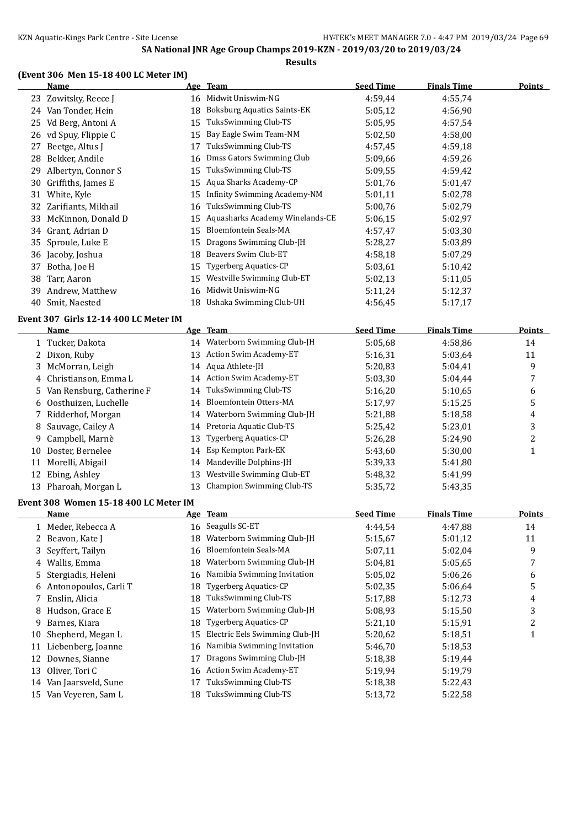**Results**

## **(Event 306 Men 15-18 400 LC Meter IM)**

|    | TEMENT DOOD MICH TO-TO TOO TO METCH TMT |    |                                 |                  |                    |               |  |  |
|----|-----------------------------------------|----|---------------------------------|------------------|--------------------|---------------|--|--|
|    | Name                                    |    | Age Team                        | <b>Seed Time</b> | <b>Finals Time</b> | <b>Points</b> |  |  |
|    | 23 Zowitsky, Reece J                    | 16 | Midwit Uniswim-NG               | 4:59,44          | 4:55,74            |               |  |  |
| 24 | Van Tonder, Hein                        | 18 | Boksburg Aquatics Saints-EK     | 5:05,12          | 4:56,90            |               |  |  |
| 25 | Vd Berg, Antoni A                       | 15 | TuksSwimming Club-TS            | 5:05,95          | 4:57,54            |               |  |  |
| 26 | vd Spuy, Flippie C                      | 15 | Bay Eagle Swim Team-NM          | 5:02,50          | 4:58,00            |               |  |  |
| 27 | Beetge, Altus J                         | 17 | TuksSwimming Club-TS            | 4:57,45          | 4:59.18            |               |  |  |
| 28 | Bekker, Andile                          | 16 | Dmss Gators Swimming Club       | 5:09,66          | 4:59,26            |               |  |  |
| 29 | Albertyn, Connor S                      | 15 | TuksSwimming Club-TS            | 5:09.55          | 4:59,42            |               |  |  |
| 30 | Griffiths, James E                      | 15 | Aqua Sharks Academy-CP          | 5:01,76          | 5:01,47            |               |  |  |
| 31 | White, Kyle                             | 15 | Infinity Swimming Academy-NM    | 5:01,11          | 5:02,78            |               |  |  |
| 32 | Zarifiants, Mikhail                     | 16 | TuksSwimming Club-TS            | 5:00,76          | 5:02,79            |               |  |  |
| 33 | McKinnon, Donald D                      | 15 | Aquasharks Academy Winelands-CE | 5:06,15          | 5:02,97            |               |  |  |
| 34 | Grant, Adrian D                         | 15 | <b>Bloemfontein Seals-MA</b>    | 4:57,47          | 5:03,30            |               |  |  |
|    | 35 Sproule, Luke E                      | 15 | Dragons Swimming Club-JH        | 5:28,27          | 5:03.89            |               |  |  |
| 36 | Jacoby, Joshua                          | 18 | Beavers Swim Club-ET            | 4:58,18          | 5:07,29            |               |  |  |
| 37 | Botha, Joe H                            | 15 | Tygerberg Aquatics-CP           | 5:03,61          | 5:10,42            |               |  |  |
| 38 | Tarr, Aaron                             | 15 | Westville Swimming Club-ET      | 5:02,13          | 5:11,05            |               |  |  |
| 39 | Andrew, Matthew                         | 16 | Midwit Uniswim-NG               | 5:11,24          | 5:12,37            |               |  |  |
| 40 | Smit, Naested                           | 18 | Ushaka Swimming Club-UH         | 4:56,45          | 5:17,17            |               |  |  |

#### **Event 307 Girls 12-14 400 LC Meter IM**

|     | Name                        |    | Age Team                         | <b>Seed Time</b> | <b>Finals Time</b> | <b>Points</b> |
|-----|-----------------------------|----|----------------------------------|------------------|--------------------|---------------|
|     | 1 Tucker, Dakota            |    | 14 Waterborn Swimming Club-JH    | 5:05.68          | 4:58,86            | 14            |
|     | 2 Dixon, Ruby               | 13 | <b>Action Swim Academy-ET</b>    | 5:16.31          | 5:03.64            | 11            |
|     | 3 McMorran, Leigh           |    | 14 Aqua Athlete-JH               | 5:20.83          | 5:04,41            | 9             |
|     | 4 Christianson, Emma L      |    | 14 Action Swim Academy-ET        | 5:03.30          | 5:04,44            |               |
|     | 5 Van Rensburg, Catherine F |    | 14 TuksSwimming Club-TS          | 5:16,20          | 5:10.65            | 6             |
|     | 6 Oosthuizen, Luchelle      | 14 | Bloemfontein Otters-MA           | 5:17.97          | 5:15,25            | 5             |
|     | 7 Ridderhof, Morgan         | 14 | Waterborn Swimming Club-JH       | 5:21,88          | 5:18.58            | 4             |
|     | 8 Sauvage, Cailey A         |    | 14 Pretoria Aquatic Club-TS      | 5:25.42          | 5:23,01            | 3             |
|     | 9 Campbell, Marnè           | 13 | <b>Tygerberg Aquatics-CP</b>     | 5:26,28          | 5:24,90            |               |
| 10  | Doster, Bernelee            |    | 14 Esp Kempton Park-EK           | 5:43.60          | 5:30,00            |               |
| 11  | Morelli, Abigail            | 14 | Mandeville Dolphins-JH           | 5:39.33          | 5:41,80            |               |
|     | 12 Ebing, Ashley            | 13 | Westville Swimming Club-ET       | 5:48.32          | 5:41,99            |               |
| 13. | Pharoah, Morgan L           | 13 | <b>Champion Swimming Club-TS</b> | 5:35,72          | 5:43.35            |               |
|     |                             |    |                                  |                  |                    |               |

#### **Event 308 Women 15-18 400 LC Meter IM**

|    | Name                    |    | Age Team                       | <b>Seed Time</b> | <b>Finals Time</b> | <b>Points</b>                                                                                |
|----|-------------------------|----|--------------------------------|------------------|--------------------|----------------------------------------------------------------------------------------------|
|    | 1 Meder, Rebecca A      |    | 16 Seagulls SC-ET              | 4:44.54          | 4:47.88            | 14                                                                                           |
|    | 2 Beavon, Kate J        | 18 | Waterborn Swimming Club-JH     | 5:15.67          | 5:01,12            | 11                                                                                           |
|    | 3 Seyffert, Tailyn      | 16 | <b>Bloemfontein Seals-MA</b>   | 5:07,11          | 5:02.04            | 9                                                                                            |
|    | 4 Wallis, Emma          | 18 | Waterborn Swimming Club-JH     | 5:04.81          | 5:05.65            | 7                                                                                            |
|    | 5 Stergiadis, Heleni    | 16 | Namibia Swimming Invitation    | 5:05.02          | 5:06.26            | 6                                                                                            |
|    | 6 Antonopoulos, Carli T | 18 | Tygerberg Aquatics-CP          | 5:02,35          | 5:06.64            | 5                                                                                            |
|    | 7 Enslin, Alicia        | 18 | TuksSwimming Club-TS           | 5:17,88          | 5:12,73            | 4                                                                                            |
|    | 8 Hudson, Grace E       | 15 | Waterborn Swimming Club-JH     | 5:08,93          | 5:15.50            | 3                                                                                            |
| 9  | Barnes, Kiara           | 18 | <b>Tygerberg Aquatics-CP</b>   | 5:21,10          | 5:15,91            | $\overline{2}$                                                                               |
| 10 | Shepherd, Megan L       | 15 | Electric Eels Swimming Club-JH | 5:20,62          | 5:18,51            | $\mathbf{\mathbf{\mathbf{\mathbf{\mathbf{\mathbf{\mathbf{\mathbf{\mathbf{\mathbf{I}}}}}}}}}$ |
| 11 | Liebenberg, Joanne      | 16 | Namibia Swimming Invitation    | 5:46,70          | 5:18.53            |                                                                                              |
| 12 | Downes, Sianne          | 17 | Dragons Swimming Club-JH       | 5:18,38          | 5:19.44            |                                                                                              |
|    | 13 Oliver, Tori C       | 16 | Action Swim Academy-ET         | 5:19,94          | 5:19,79            |                                                                                              |
| 14 | Van Jaarsveld, Sune     | 17 | TuksSwimming Club-TS           | 5:18,38          | 5:22,43            |                                                                                              |
| 15 | Van Veveren, Sam L      | 18 | TuksSwimming Club-TS           | 5:13,72          | 5:22,58            |                                                                                              |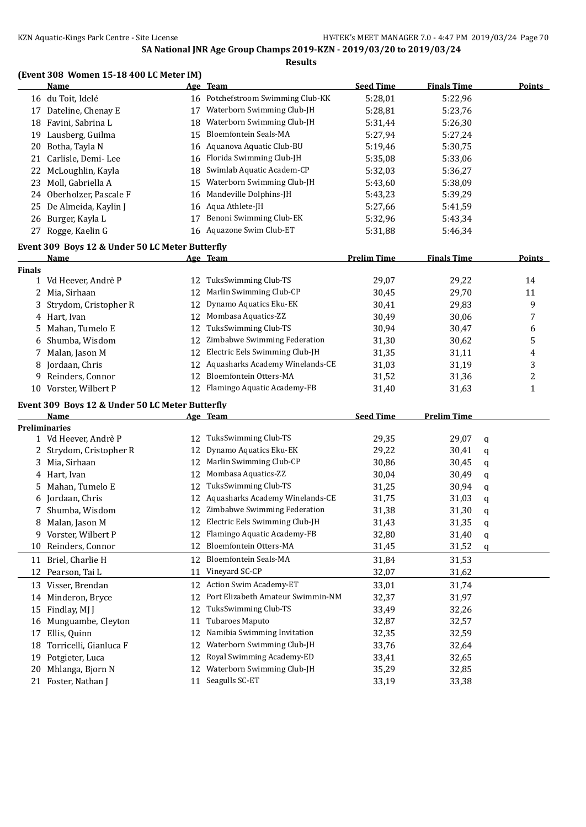**Results**

### **(Event 308 Women 15-18 400 LC Meter IM)**

|               | <b>Name</b>                                     |    | Age Team                           | <b>Seed Time</b>   | <b>Finals Time</b> |             | <b>Points</b> |
|---------------|-------------------------------------------------|----|------------------------------------|--------------------|--------------------|-------------|---------------|
|               | 16 du Toit, Idelé                               |    | 16 Potchefstroom Swimming Club-KK  | 5:28,01            | 5:22,96            |             |               |
|               | 17 Dateline, Chenay E                           | 17 | Waterborn Swimming Club-JH         | 5:28,81            | 5:23,76            |             |               |
| 18            | Favini, Sabrina L                               | 18 | Waterborn Swimming Club-JH         | 5:31,44            | 5:26,30            |             |               |
| 19            | Lausberg, Guilma                                | 15 | Bloemfontein Seals-MA              | 5:27,94            | 5:27,24            |             |               |
| 20            | Botha, Tayla N                                  | 16 | Aquanova Aquatic Club-BU           | 5:19,46            | 5:30,75            |             |               |
| 21            | Carlisle, Demi-Lee                              | 16 | Florida Swimming Club-JH           | 5:35,08            | 5:33,06            |             |               |
| 22            | McLoughlin, Kayla                               | 18 | Swimlab Aquatic Academ-CP          | 5:32,03            | 5:36,27            |             |               |
| 23            | Moll, Gabriella A                               | 15 | Waterborn Swimming Club-JH         | 5:43,60            | 5:38,09            |             |               |
|               | 24 Oberholzer, Pascale F                        | 16 | Mandeville Dolphins-JH             | 5:43,23            | 5:39,29            |             |               |
| 25            | De Almeida, Kaylin J                            | 16 | Aqua Athlete-JH                    | 5:27,66            | 5:41,59            |             |               |
| 26            | Burger, Kayla L                                 | 17 | Benoni Swimming Club-EK            | 5:32,96            | 5:43,34            |             |               |
|               | 27 Rogge, Kaelin G                              |    | 16 Aquazone Swim Club-ET           | 5:31,88            | 5:46,34            |             |               |
|               | Event 309 Boys 12 & Under 50 LC Meter Butterfly |    |                                    |                    |                    |             |               |
|               | <u>Name</u>                                     |    | Age Team                           | <b>Prelim Time</b> | <b>Finals Time</b> |             | Points        |
| <b>Finals</b> |                                                 |    |                                    |                    |                    |             |               |
|               | 1 Vd Heever, Andrè P                            | 12 | TuksSwimming Club-TS               | 29,07              | 29,22              |             | 14            |
| 2             | Mia, Sirhaan                                    | 12 | Marlin Swimming Club-CP            | 30,45              | 29,70              |             | 11            |
| 3             | Strydom, Cristopher R                           | 12 | Dynamo Aquatics Eku-EK             | 30,41              | 29,83              |             | 9             |
|               | 4 Hart, Ivan                                    | 12 | Mombasa Aquatics-ZZ                | 30,49              | 30,06              |             | 7             |
| 5             | Mahan, Tumelo E                                 | 12 | TuksSwimming Club-TS               | 30,94              | 30,47              |             | 6             |
| 6             | Shumba, Wisdom                                  | 12 | Zimbabwe Swimming Federation       | 31,30              | 30,62              |             | 5             |
| 7.            | Malan, Jason M                                  | 12 | Electric Eels Swimming Club-JH     | 31,35              | 31,11              |             | 4             |
| 8             | Jordaan, Chris                                  |    | 12 Aquasharks Academy Winelands-CE | 31,03              | 31,19              |             | 3             |
| 9             | Reinders, Connor                                | 12 | Bloemfontein Otters-MA             | 31,52              | 31,36              |             | 2             |
|               | 10 Vorster, Wilbert P                           |    | 12 Flamingo Aquatic Academy-FB     | 31,40              | 31,63              |             | $\mathbf{1}$  |
|               |                                                 |    |                                    |                    |                    |             |               |
|               | Event 309 Boys 12 & Under 50 LC Meter Butterfly |    |                                    |                    |                    |             |               |
|               | Name                                            |    | Age Team                           | <b>Seed Time</b>   | <b>Prelim Time</b> |             |               |
|               | Preliminaries<br>1 Vd Heever, Andrè P           |    | 12 TuksSwimming Club-TS            | 29,35              | 29,07              |             |               |
|               |                                                 | 12 | Dynamo Aquatics Eku-EK             | 29,22              | 30,41              | q           |               |
| 2             | Strydom, Cristopher R                           |    | 12 Marlin Swimming Club-CP         |                    |                    | q           |               |
| 3             | Mia, Sirhaan                                    |    |                                    | 30,86              | 30,45              | q           |               |
|               | 4 Hart, Ivan                                    | 12 | Mombasa Aquatics-ZZ                | 30,04              | 30,49              | q           |               |
| 5             | Mahan, Tumelo E                                 | 12 | TuksSwimming Club-TS               | 31,25              | 30,94              | q           |               |
|               | 6 Jordaan, Chris                                | 12 | Aquasharks Academy Winelands-CE    | 31,75              | 31,03              | q           |               |
|               | Shumba, Wisdom                                  |    | 12 Zimbabwe Swimming Federation    | 31,38              | 31,30              | q           |               |
|               | 8 Malan, Jason M                                |    | 12 Electric Eels Swimming Club-JH  | 31,43              | 31,35              | $\mathbf q$ |               |
|               | 9 Vorster, Wilbert P                            |    | 12 Flamingo Aquatic Academy-FB     | 32,80              | 31,40              | q           |               |
|               | 10 Reinders, Connor                             | 12 | Bloemfontein Otters-MA             | 31,45              | 31,52              | q           |               |
|               | 11 Briel, Charlie H                             |    | 12 Bloemfontein Seals-MA           | 31,84              | 31,53              |             |               |
| 12            | Pearson, Tai L                                  | 11 | Vineyard SC-CP                     | 32,07              | 31,62              |             |               |
|               | 13 Visser, Brendan                              |    | 12 Action Swim Academy-ET          | 33,01              | 31,74              |             |               |
|               | 14 Minderon, Bryce                              | 12 | Port Elizabeth Amateur Swimmin-NM  | 32,37              | 31,97              |             |               |
| 15            | Findlay, MJ J                                   | 12 | TuksSwimming Club-TS               | 33,49              | 32,26              |             |               |
| 16            | Munguambe, Cleyton                              | 11 | <b>Tubaroes Maputo</b>             | 32,87              | 32,57              |             |               |
|               |                                                 |    |                                    |                    |                    |             |               |
| 17            | Ellis, Quinn                                    | 12 | Namibia Swimming Invitation        | 32,35              | 32,59              |             |               |
| 18            | Torricelli, Gianluca F                          | 12 | Waterborn Swimming Club-JH         | 33,76              | 32,64              |             |               |
| 19            | Potgieter, Luca                                 | 12 | Royal Swimming Academy-ED          | 33,41              | 32,65              |             |               |
| 20            | Mhlanga, Bjorn N                                | 12 | Waterborn Swimming Club-JH         | 35,29              | 32,85              |             |               |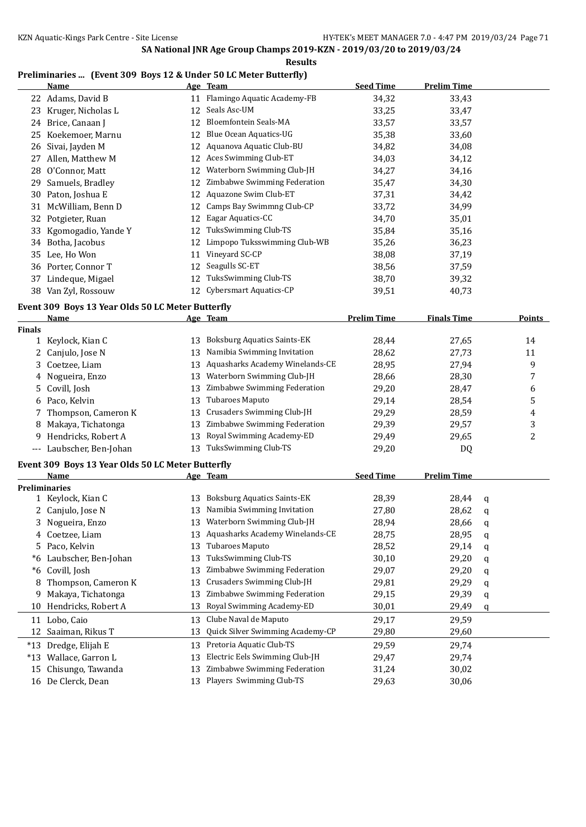**Results**

### **Preliminaries ... (Event 309 Boys 12 & Under 50 LC Meter Butterfly)**

|                      | <b>Name</b>                                               |    | Age Team                           | <b>Seed Time</b>   | <b>Prelim Time</b> |   |        |
|----------------------|-----------------------------------------------------------|----|------------------------------------|--------------------|--------------------|---|--------|
|                      | 22 Adams, David B                                         |    | 11 Flamingo Aquatic Academy-FB     | 34,32              | 33,43              |   |        |
|                      | 23 Kruger, Nicholas L                                     | 12 | Seals Asc-UM                       | 33,25              | 33,47              |   |        |
|                      | 24 Brice, Canaan J                                        | 12 | <b>Bloemfontein Seals-MA</b>       | 33,57              | 33,57              |   |        |
|                      | 25 Koekemoer, Marnu                                       | 12 | Blue Ocean Aquatics-UG             | 35,38              | 33,60              |   |        |
| 26                   | Sivai, Jayden M                                           |    | 12 Aquanova Aquatic Club-BU        | 34,82              | 34,08              |   |        |
|                      | 27 Allen, Matthew M                                       |    | 12 Aces Swimming Club-ET           | 34,03              | 34,12              |   |        |
| 28                   | O'Connor, Matt                                            | 12 | Waterborn Swimming Club-JH         | 34,27              | 34,16              |   |        |
| 29                   | Samuels, Bradley                                          |    | 12 Zimbabwe Swimming Federation    | 35,47              | 34,30              |   |        |
| 30                   | Paton, Joshua E                                           |    | 12 Aquazone Swim Club-ET           | 37,31              | 34,42              |   |        |
|                      | 31 McWilliam, Benn D                                      |    | 12 Camps Bay Swimmng Club-CP       | 33,72              | 34,99              |   |        |
|                      | 32 Potgieter, Ruan                                        | 12 | Eagar Aquatics-CC                  | 34,70              | 35,01              |   |        |
|                      | 33 Kgomogadio, Yande Y                                    | 12 | TuksSwimming Club-TS               | 35,84              | 35,16              |   |        |
|                      | 34 Botha, Jacobus                                         | 12 | Limpopo Tuksswimming Club-WB       | 35,26              | 36,23              |   |        |
|                      | 35 Lee, Ho Won                                            | 11 | Vineyard SC-CP                     | 38,08              | 37,19              |   |        |
|                      | 36 Porter, Connor T                                       | 12 | Seagulls SC-ET                     | 38,56              | 37,59              |   |        |
|                      | 37 Lindeque, Migael                                       | 12 | TuksSwimming Club-TS               | 38,70              | 39,32              |   |        |
|                      | 38 Van Zyl, Rossouw                                       |    | 12 Cybersmart Aquatics-CP          | 39,51              | 40,73              |   |        |
|                      |                                                           |    |                                    |                    |                    |   |        |
|                      | Event 309 Boys 13 Year Olds 50 LC Meter Butterfly<br>Name |    | Age Team                           | <b>Prelim Time</b> | <b>Finals Time</b> |   | Points |
| <b>Finals</b>        |                                                           |    |                                    |                    |                    |   |        |
|                      | 1 Keylock, Kian C                                         | 13 | <b>Boksburg Aquatics Saints-EK</b> | 28,44              | 27,65              |   | 14     |
|                      | 2 Canjulo, Jose N                                         | 13 | Namibia Swimming Invitation        | 28,62              | 27,73              |   | 11     |
|                      | 3 Coetzee, Liam                                           | 13 | Aquasharks Academy Winelands-CE    | 28,95              | 27,94              |   | 9      |
|                      | 4 Nogueira, Enzo                                          | 13 | Waterborn Swimming Club-JH         | 28,66              | 28,30              |   | 7      |
|                      | 5 Covill, Josh                                            | 13 | Zimbabwe Swimming Federation       | 29,20              | 28,47              |   | 6      |
|                      | 6 Paco, Kelvin                                            | 13 | Tubaroes Maputo                    | 29,14              | 28,54              |   | 5      |
| 7                    | Thompson, Cameron K                                       | 13 | Crusaders Swimming Club-JH         | 29,29              | 28,59              |   | 4      |
| 8                    | Makaya, Tichatonga                                        |    | 13 Zimbabwe Swimming Federation    | 29,39              | 29,57              |   | 3      |
| 9                    | Hendricks, Robert A                                       | 13 | Royal Swimming Academy-ED          | 29,49              | 29,65              |   | 2      |
|                      | --- Laubscher, Ben-Johan                                  |    | 13 TuksSwimming Club-TS            | 29,20              | DQ                 |   |        |
|                      |                                                           |    |                                    |                    |                    |   |        |
|                      | Event 309 Boys 13 Year Olds 50 LC Meter Butterfly         |    |                                    |                    |                    |   |        |
|                      | <u>Name</u>                                               |    | Age Team                           | <b>Seed Time</b>   | <b>Prelim Time</b> |   |        |
| <b>Preliminaries</b> |                                                           |    | 13 Boksburg Aquatics Saints-EK     |                    |                    |   |        |
|                      | 1 Keylock, Kian C                                         |    | 13 Namibia Swimming Invitation     | 28,39              | 28,44              | q |        |
|                      | 2 Canjulo, Jose N                                         |    | 13 Waterborn Swimming Club-JH      | 27,80              | 28,62              | q |        |
|                      | 3 Nogueira, Enzo                                          |    | Aquasharks Academy Winelands-CE    | 28,94              | 28,66              | q |        |
| 4                    | Coetzee, Liam                                             | 13 | Tubaroes Maputo                    | 28,75              | 28,95              | q |        |
| 5.                   | Paco, Kelvin                                              | 13 |                                    | 28,52              | 29,14              | q |        |
| *6                   | Laubscher, Ben-Johan                                      | 13 | TuksSwimming Club-TS               | 30,10              | 29,20              | q |        |
| *6                   | Covill, Josh                                              | 13 | Zimbabwe Swimming Federation       | 29,07              | 29,20              | q |        |
| 8                    | Thompson, Cameron K                                       | 13 | Crusaders Swimming Club-JH         | 29,81              | 29,29              | q |        |
| 9                    | Makaya, Tichatonga                                        | 13 | Zimbabwe Swimming Federation       | 29,15              | 29,39              | q |        |
| 10                   | Hendricks, Robert A                                       | 13 | Royal Swimming Academy-ED          | 30,01              | 29,49              | q |        |
| 11                   | Lobo, Caio                                                | 13 | Clube Naval de Maputo              | 29,17              | 29,59              |   |        |
| 12                   | Saaiman, Rikus T                                          | 13 | Quick Silver Swimming Academy-CP   | 29,80              | 29,60              |   |        |
|                      | *13 Dredge, Elijah E                                      | 13 | Pretoria Aquatic Club-TS           | 29,59              | 29,74              |   |        |
|                      | *13 Wallace, Garron L                                     | 13 | Electric Eels Swimming Club-JH     | 29,47              | 29,74              |   |        |
| 15                   | Chisungo, Tawanda                                         | 13 | Zimbabwe Swimming Federation       | 31,24              | 30,02              |   |        |
|                      | 16 De Clerck, Dean                                        |    | 13 Players Swimming Club-TS        | 29,63              | 30,06              |   |        |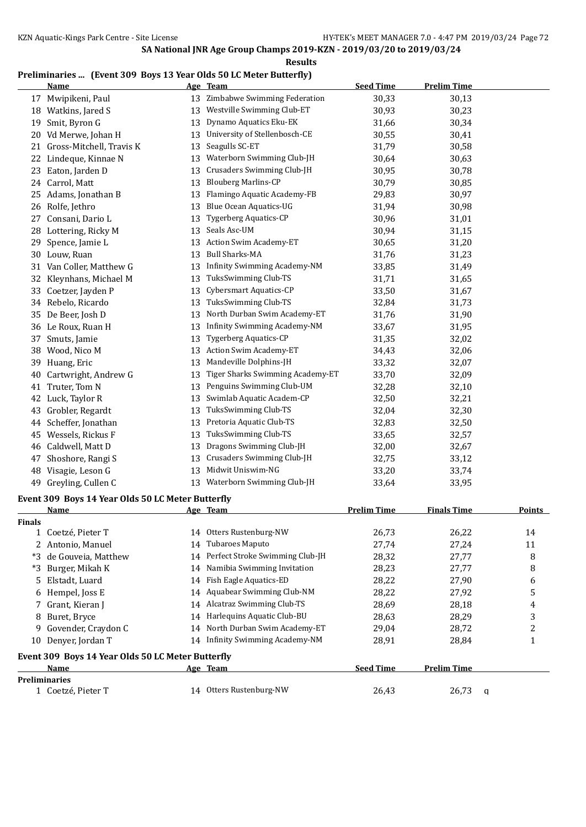#### **Results**

### **Preliminaries ... (Event 309 Boys 13 Year Olds 50 LC Meter Butterfly)**

|                      | <b>Name</b>                                       |    | Age Team                            | <b>Seed Time</b>   | <b>Prelim Time</b> |                |
|----------------------|---------------------------------------------------|----|-------------------------------------|--------------------|--------------------|----------------|
| 17                   | Mwipikeni, Paul                                   | 13 | Zimbabwe Swimming Federation        | 30,33              | 30,13              |                |
|                      | 18 Watkins, Jared S                               | 13 | Westville Swimming Club-ET          | 30,93              | 30,23              |                |
| 19                   | Smit, Byron G                                     | 13 | Dynamo Aquatics Eku-EK              | 31,66              | 30,34              |                |
| 20                   | Vd Merwe, Johan H                                 | 13 | University of Stellenbosch-CE       | 30,55              | 30,41              |                |
|                      | 21 Gross-Mitchell, Travis K                       | 13 | Seagulls SC-ET                      | 31,79              | 30,58              |                |
|                      | 22 Lindeque, Kinnae N                             | 13 | Waterborn Swimming Club-JH          | 30,64              | 30,63              |                |
| 23                   | Eaton, Jarden D                                   | 13 | Crusaders Swimming Club-JH          | 30,95              | 30,78              |                |
|                      | 24 Carrol, Matt                                   | 13 | <b>Blouberg Marlins-CP</b>          | 30,79              | 30,85              |                |
| 25                   | Adams, Jonathan B                                 | 13 | Flamingo Aquatic Academy-FB         | 29,83              | 30,97              |                |
|                      | 26 Rolfe, Jethro                                  | 13 | Blue Ocean Aquatics-UG              | 31,94              | 30,98              |                |
| 27                   | Consani, Dario L                                  | 13 | <b>Tygerberg Aquatics-CP</b>        | 30,96              | 31,01              |                |
|                      | 28 Lottering, Ricky M                             | 13 | Seals Asc-UM                        | 30,94              | 31,15              |                |
| 29                   | Spence, Jamie L                                   | 13 | Action Swim Academy-ET              | 30,65              | 31,20              |                |
|                      | 30 Louw, Ruan                                     | 13 | <b>Bull Sharks-MA</b>               | 31,76              | 31,23              |                |
|                      | 31 Van Coller, Matthew G                          | 13 | Infinity Swimming Academy-NM        | 33,85              | 31,49              |                |
|                      | 32 Kleynhans, Michael M                           | 13 | TuksSwimming Club-TS                | 31,71              | 31,65              |                |
|                      | 33 Coetzer, Jayden P                              | 13 | <b>Cybersmart Aquatics-CP</b>       | 33,50              | 31,67              |                |
|                      | 34 Rebelo, Ricardo                                | 13 | TuksSwimming Club-TS                | 32,84              | 31,73              |                |
|                      | 35 De Beer, Josh D                                | 13 | North Durban Swim Academy-ET        | 31,76              | 31,90              |                |
|                      | 36 Le Roux, Ruan H                                | 13 | <b>Infinity Swimming Academy-NM</b> | 33,67              | 31,95              |                |
| 37                   | Smuts, Jamie                                      | 13 | <b>Tygerberg Aquatics-CP</b>        | 31,35              | 32,02              |                |
| 38                   | Wood, Nico M                                      | 13 | Action Swim Academy-ET              | 34,43              | 32,06              |                |
| 39                   | Huang, Eric                                       | 13 | Mandeville Dolphins-JH              | 33,32              | 32,07              |                |
| 40                   | Cartwright, Andrew G                              | 13 | Tiger Sharks Swimming Academy-ET    | 33,70              | 32,09              |                |
| 41                   | Truter, Tom N                                     | 13 | Penguins Swimming Club-UM           | 32,28              | 32,10              |                |
| 42                   | Luck, Taylor R                                    | 13 | Swimlab Aquatic Academ-CP           | 32,50              | 32,21              |                |
| 43                   | Grobler, Regardt                                  | 13 | TuksSwimming Club-TS                | 32,04              | 32,30              |                |
| 44                   | Scheffer, Jonathan                                | 13 | Pretoria Aquatic Club-TS            | 32,83              | 32,50              |                |
| 45                   | Wessels, Rickus F                                 | 13 | TuksSwimming Club-TS                | 33,65              | 32,57              |                |
|                      | 46 Caldwell, Matt D                               | 13 | Dragons Swimming Club-JH            | 32,00              | 32,67              |                |
| 47                   | Shoshore, Rangi S                                 | 13 | Crusaders Swimming Club-JH          | 32,75              | 33,12              |                |
| 48                   | Visagie, Leson G                                  | 13 | Midwit Uniswim-NG                   | 33,20              | 33,74              |                |
|                      | 49 Greyling, Cullen C                             |    | 13 Waterborn Swimming Club-JH       | 33,64              | 33,95              |                |
|                      | Event 309 Boys 14 Year Olds 50 LC Meter Butterfly |    |                                     |                    |                    |                |
|                      | Name                                              |    | Age Team                            | <b>Prelim Time</b> | <b>Finals Time</b> | <b>Points</b>  |
| <b>Finals</b>        |                                                   |    |                                     |                    |                    |                |
|                      | 1 Coetzé, Pieter T                                |    | 14 Otters Rustenburg-NW             | 26,73              | 26,22              | 14             |
|                      | 2 Antonio, Manuel                                 | 14 | Tubaroes Maputo                     | 27,74              | 27,24              | 11             |
|                      | *3 de Gouveia, Matthew                            | 14 | Perfect Stroke Swimming Club-JH     | 28,32              | 27,77              | 8              |
| *3                   | Burger, Mikah K                                   | 14 | Namibia Swimming Invitation         | 28,23              | 27,77              | 8              |
| 5.                   | Elstadt, Luard                                    | 14 | Fish Eagle Aquatics-ED              | 28,22              | 27,90              | 6              |
| 6                    | Hempel, Joss E                                    |    | 14 Aquabear Swimming Club-NM        | 28,22              | 27,92              | 5              |
| 7                    | Grant, Kieran J                                   |    | 14 Alcatraz Swimming Club-TS        | 28,69              | 28,18              | 4              |
| 8                    | Buret, Bryce                                      |    | 14 Harlequins Aquatic Club-BU       | 28,63              | 28,29              | 3              |
| 9                    | Govender, Craydon C                               | 14 | North Durban Swim Academy-ET        | 29,04              | 28,72              | $\overline{c}$ |
|                      | 10 Denyer, Jordan T                               |    | 14 Infinity Swimming Academy-NM     | 28,91              | 28,84              | 1              |
|                      | Event 309 Boys 14 Year Olds 50 LC Meter Butterfly |    |                                     |                    |                    |                |
|                      | Name                                              |    | Age Team                            | <b>Seed Time</b>   | <b>Prelim Time</b> |                |
| <b>Preliminaries</b> |                                                   |    |                                     |                    |                    |                |
|                      | 1 Coetzé, Pieter T                                |    | 14 Otters Rustenburg-NW             | 26,43              | 26,73              | q              |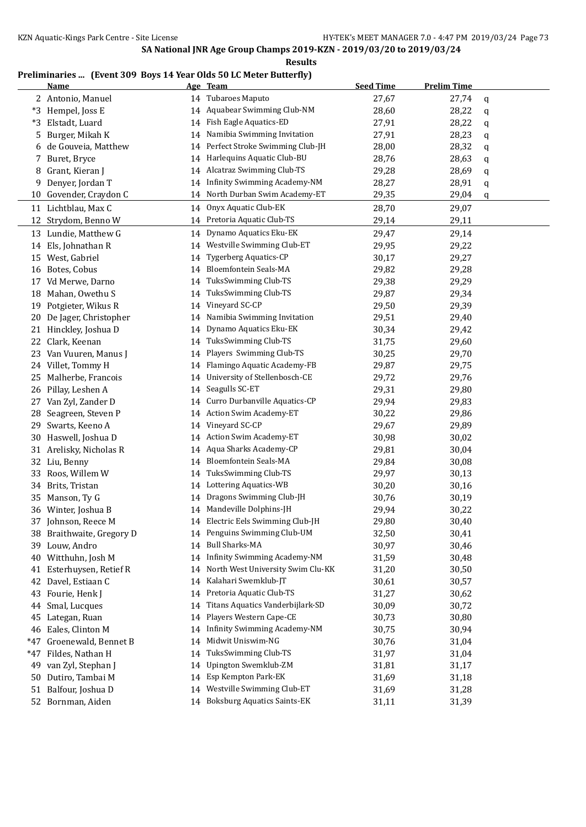#### **Results**

### **Preliminaries ... (Event 309 Boys 14 Year Olds 50 LC Meter Butterfly)**

|       | <b>Name</b>               |    | Age Team                            | <b>Seed Time</b> | <b>Prelim Time</b> |   |
|-------|---------------------------|----|-------------------------------------|------------------|--------------------|---|
|       | 2 Antonio, Manuel         | 14 | <b>Tubaroes Maputo</b>              | 27,67            | 27,74              | q |
| *3    | Hempel, Joss E            | 14 | Aquabear Swimming Club-NM           | 28,60            | 28,22              | q |
| *3    | Elstadt, Luard            | 14 | Fish Eagle Aquatics-ED              | 27,91            | 28,22              | q |
| 5     | Burger, Mikah K           | 14 | Namibia Swimming Invitation         | 27,91            | 28,23              | q |
| 6     | de Gouveia, Matthew       | 14 | Perfect Stroke Swimming Club-JH     | 28,00            | 28,32              | q |
| 7     | Buret, Bryce              | 14 | Harlequins Aquatic Club-BU          | 28,76            | 28,63              | q |
| 8     | Grant, Kieran J           | 14 | Alcatraz Swimming Club-TS           | 29,28            | 28,69              | q |
| 9     | Denyer, Jordan T          | 14 | <b>Infinity Swimming Academy-NM</b> | 28,27            | 28,91              | q |
| 10    | Govender, Craydon C       | 14 | North Durban Swim Academy-ET        | 29,35            | 29,04              | q |
| 11    | Lichtblau, Max C          | 14 | Onyx Aquatic Club-EK                | 28,70            | 29,07              |   |
|       | 12 Strydom, Benno W       | 14 | Pretoria Aquatic Club-TS            | 29,14            | 29,11              |   |
|       | 13 Lundie, Matthew G      | 14 | Dynamo Aquatics Eku-EK              | 29,47            | 29,14              |   |
|       | 14 Els, Johnathan R       | 14 | Westville Swimming Club-ET          | 29,95            | 29,22              |   |
| 15    | West, Gabriel             | 14 | <b>Tygerberg Aquatics-CP</b>        | 30,17            | 29,27              |   |
|       | 16 Botes, Cobus           | 14 | Bloemfontein Seals-MA               | 29,82            | 29,28              |   |
| 17    | Vd Merwe, Darno           | 14 | TuksSwimming Club-TS                | 29,38            | 29,29              |   |
|       | 18 Mahan, Owethu S        | 14 | TuksSwimming Club-TS                | 29,87            | 29,34              |   |
| 19    | Potgieter, Wikus R        | 14 | Vineyard SC-CP                      | 29,50            | 29,39              |   |
| 20    | De Jager, Christopher     | 14 | Namibia Swimming Invitation         | 29,51            | 29,40              |   |
| 21    | Hinckley, Joshua D        | 14 | Dynamo Aquatics Eku-EK              | 30,34            | 29,42              |   |
| 22    | Clark, Keenan             | 14 | TuksSwimming Club-TS                | 31,75            | 29,60              |   |
| 23    | Van Vuuren, Manus J       | 14 | Players Swimming Club-TS            | 30,25            | 29,70              |   |
|       | 24 Villet, Tommy H        | 14 | Flamingo Aquatic Academy-FB         | 29,87            | 29,75              |   |
| 25    | Malherbe, Francois        | 14 | University of Stellenbosch-CE       | 29,72            | 29,76              |   |
|       | 26 Pillay, Leshen A       | 14 | Seagulls SC-ET                      | 29,31            | 29,80              |   |
| 27    | Van Zyl, Zander D         | 14 | Curro Durbanville Aquatics-CP       | 29,94            | 29,83              |   |
| 28    | Seagreen, Steven P        | 14 | Action Swim Academy-ET              | 30,22            | 29,86              |   |
| 29    | Swarts, Keeno A           | 14 | Vineyard SC-CP                      | 29,67            | 29,89              |   |
| 30    | Haswell, Joshua D         | 14 | Action Swim Academy-ET              | 30,98            | 30,02              |   |
| 31    | Arelisky, Nicholas R      | 14 | Aqua Sharks Academy-CP              | 29,81            | 30,04              |   |
| 32    | Liu, Benny                | 14 | Bloemfontein Seals-MA               | 29,84            | 30,08              |   |
| 33    | Roos, Willem W            | 14 | TuksSwimming Club-TS                | 29,97            | 30,13              |   |
| 34    | Brits, Tristan            | 14 | Lottering Aquatics-WB               | 30,20            | 30,16              |   |
| 35    | Manson, Ty G              | 14 | Dragons Swimming Club-JH            | 30,76            | 30,19              |   |
|       | 36 Winter, Joshua B       |    | 14 Mandeville Dolphins-JH           | 29,94            | 30,22              |   |
|       | 37 Johnson, Reece M       |    | 14 Electric Eels Swimming Club-JH   | 29,80            | 30,40              |   |
|       | 38 Braithwaite, Gregory D | 14 | Penguins Swimming Club-UM           | 32,50            | 30,41              |   |
|       | 39 Louw, Andro            | 14 | <b>Bull Sharks-MA</b>               | 30,97            | 30,46              |   |
| 40    | Witthuhn, Josh M          | 14 | Infinity Swimming Academy-NM        | 31,59            | 30,48              |   |
|       | 41 Esterhuysen, Retief R  | 14 | North West University Swim Clu-KK   | 31,20            | 30,50              |   |
|       | 42 Davel, Estiaan C       | 14 | Kalahari Swemklub-JT                | 30,61            | 30,57              |   |
| 43    | Fourie, Henk J            | 14 | Pretoria Aquatic Club-TS            | 31,27            | 30,62              |   |
| 44    | Smal, Lucques             | 14 | Titans Aquatics Vanderbijlark-SD    | 30,09            | 30,72              |   |
| 45    | Lategan, Ruan             | 14 | Players Western Cape-CE             | 30,73            | 30,80              |   |
|       | 46 Eales, Clinton M       | 14 | <b>Infinity Swimming Academy-NM</b> | 30,75            | 30,94              |   |
| $*47$ | Groenewald, Bennet B      | 14 | Midwit Uniswim-NG                   | 30,76            | 31,04              |   |
| *47   | Fildes, Nathan H          | 14 | TuksSwimming Club-TS                | 31,97            | 31,04              |   |
| 49    | van Zyl, Stephan J        | 14 | Upington Swemklub-ZM                | 31,81            | 31,17              |   |
| 50    | Dutiro, Tambai M          | 14 | Esp Kempton Park-EK                 | 31,69            | 31,18              |   |
| 51    | Balfour, Joshua D         | 14 | Westville Swimming Club-ET          | 31,69            | 31,28              |   |
| 52    | Bornman, Aiden            |    | 14 Boksburg Aquatics Saints-EK      | 31,11            | 31,39              |   |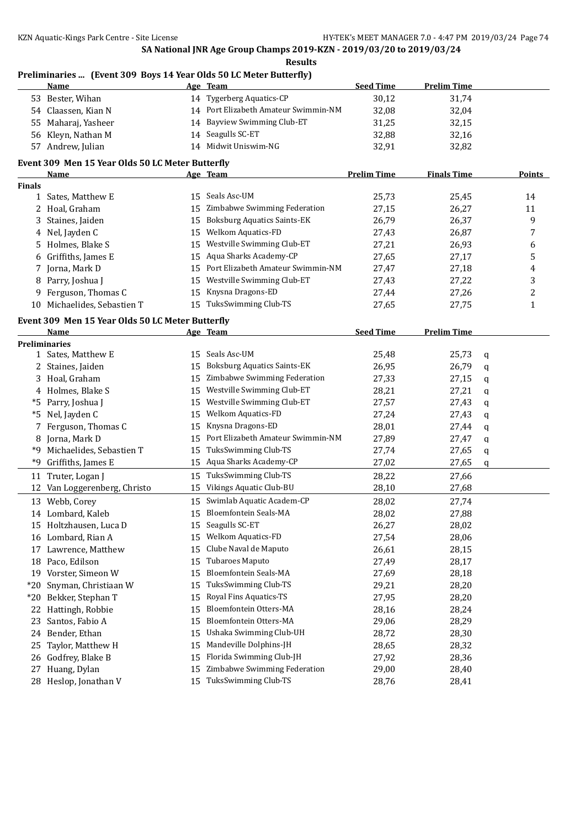**Results**

| <b>Seed Time</b><br><b>Prelim Time</b><br>Name<br>Age Team<br>14 Tygerberg Aquatics-CP<br>53 Bester, Wihan<br>30,12<br>31,74<br>14 Port Elizabeth Amateur Swimmin-NM<br>54 Claassen, Kian N<br>32,08<br>32,04<br>14 Bayview Swimming Club-ET<br>Maharaj, Yasheer<br>31,25<br>32,15<br>55<br>14 Seagulls SC-ET<br>56 Kleyn, Nathan M<br>32,88<br>32,16<br>14 Midwit Uniswim-NG<br>57 Andrew, Julian<br>32,91<br>32,82<br>Event 309 Men 15 Year Olds 50 LC Meter Butterfly<br><b>Prelim Time</b><br><b>Finals Time</b><br><b>Points</b><br>Name<br>Age Team<br><b>Finals</b><br>15 Seals Asc-UM<br>25,73<br>25,45<br>Sates, Matthew E<br>14<br>$\mathbf{1}$<br>Zimbabwe Swimming Federation<br>27,15<br>26,27<br>11<br>2 Hoal, Graham<br>15<br><b>Boksburg Aquatics Saints-EK</b><br>26,79<br>26,37<br>9<br>3<br>Staines, Jaiden<br>15<br><b>Welkom Aquatics-FD</b><br>4 Nel, Jayden C<br>26,87<br>7<br>15<br>27,43<br>Westville Swimming Club-ET<br>5 Holmes, Blake S<br>27,21<br>26,93<br>6<br>15<br>Aqua Sharks Academy-CP<br>5<br>Griffiths, James E<br>27,65<br>15<br>27,17<br>6<br>Port Elizabeth Amateur Swimmin-NM<br>7 Jorna, Mark D<br>27,47<br>27,18<br>4<br>15<br>Westville Swimming Club-ET<br>3<br>Parry, Joshua J<br>27,43<br>27,22<br>15<br>8<br>$\overline{c}$<br>Knysna Dragons-ED<br>9 Ferguson, Thomas C<br>27,44<br>27,26<br>15<br>15 TuksSwimming Club-TS<br>10 Michaelides, Sebastien T<br>27,65<br>27,75<br>1<br>Event 309 Men 15 Year Olds 50 LC Meter Butterfly<br><b>Seed Time</b><br><b>Prelim Time</b><br>Name<br>Age Team<br><b>Preliminaries</b><br>1 Sates, Matthew E<br>15 Seals Asc-UM<br>25,48<br>25,73<br>q<br><b>Boksburg Aquatics Saints-EK</b><br>26,79<br>2 Staines, Jaiden<br>26,95<br>15<br>q<br>Zimbabwe Swimming Federation<br>3 Hoal, Graham<br>27,33<br>27,15<br>15<br>q<br>Westville Swimming Club-ET<br>4 Holmes, Blake S<br>28,21<br>27,21<br>15<br>q<br>Westville Swimming Club-ET<br>*5 Parry, Joshua J<br>27,57<br>27,43<br>15<br>q<br>Welkom Aquatics-FD<br>Nel, Jayden C<br>27,24<br>27,43<br>15<br>*5<br>q<br>Knysna Dragons-ED<br>Ferguson, Thomas C<br>28,01<br>27,44<br>7<br>15<br>q<br>Port Elizabeth Amateur Swimmin-NM<br>27,89<br>8 Jorna, Mark D<br>27,47<br>15<br>q<br>TuksSwimming Club-TS<br>*9 Michaelides, Sebastien T<br>27,74<br>27,65<br>15<br>q<br>15 Aqua Sharks Academy-CP<br>*9 Griffiths, James E<br>27,02<br>27,65<br>q<br>TuksSwimming Club-TS<br>28,22<br>11 Truter, Logan J<br>27,66<br>15<br>Vikings Aquatic Club-BU<br>Van Loggerenberg, Christo<br>28,10<br>15<br>27,68<br>12<br>15 Swimlab Aquatic Academ-CP<br>13 Webb, Corey<br>28,02<br>27,74<br>14 Lombard, Kaleb<br>Bloemfontein Seals-MA<br>28,02<br>27,88<br>15<br>Seagulls SC-ET<br>28,02<br>15 Holtzhausen, Luca D<br>15<br>26,27<br>16 Lombard, Rian A<br><b>Welkom Aquatics-FD</b><br>28,06<br>15<br>27,54<br>Clube Naval de Maputo<br>28,15<br>Lawrence, Matthew<br>15<br>26,61<br>17<br>18 Paco, Edilson<br>Tubaroes Maputo<br>27,49<br>28,17<br>15<br>Bloemfontein Seals-MA<br>19 Vorster, Simeon W<br>27,69<br>28,18<br>15<br>TuksSwimming Club-TS<br>Snyman, Christiaan W<br>29,21<br>28,20<br>*20<br>15<br>Royal Fins Aquatics-TS<br>*20 Bekker, Stephan T<br>27,95<br>28,20<br>15<br>Bloemfontein Otters-MA<br>28,16<br>Hattingh, Robbie<br>28,24<br>22<br>15<br>Bloemfontein Otters-MA<br>Santos, Fabio A<br>28,29<br>15<br>29,06<br>23<br>Ushaka Swimming Club-UH<br>Bender, Ethan<br>28,72<br>28,30<br>24<br>15<br>Mandeville Dolphins-JH<br>Taylor, Matthew H<br>28,65<br>28,32<br>25<br>15<br>Florida Swimming Club-JH<br>Godfrey, Blake B<br>28,36<br>27,92<br>26<br>15<br>Zimbabwe Swimming Federation<br>Huang, Dylan<br>29,00<br>28,40<br>27<br>15<br>TuksSwimming Club-TS<br>28 Heslop, Jonathan V<br>28,76<br>15<br>28,41 | Preliminaries  (Event 309 Boys 14 Year Olds 50 LC Meter Butterfly) |  |  |  |
|------------------------------------------------------------------------------------------------------------------------------------------------------------------------------------------------------------------------------------------------------------------------------------------------------------------------------------------------------------------------------------------------------------------------------------------------------------------------------------------------------------------------------------------------------------------------------------------------------------------------------------------------------------------------------------------------------------------------------------------------------------------------------------------------------------------------------------------------------------------------------------------------------------------------------------------------------------------------------------------------------------------------------------------------------------------------------------------------------------------------------------------------------------------------------------------------------------------------------------------------------------------------------------------------------------------------------------------------------------------------------------------------------------------------------------------------------------------------------------------------------------------------------------------------------------------------------------------------------------------------------------------------------------------------------------------------------------------------------------------------------------------------------------------------------------------------------------------------------------------------------------------------------------------------------------------------------------------------------------------------------------------------------------------------------------------------------------------------------------------------------------------------------------------------------------------------------------------------------------------------------------------------------------------------------------------------------------------------------------------------------------------------------------------------------------------------------------------------------------------------------------------------------------------------------------------------------------------------------------------------------------------------------------------------------------------------------------------------------------------------------------------------------------------------------------------------------------------------------------------------------------------------------------------------------------------------------------------------------------------------------------------------------------------------------------------------------------------------------------------------------------------------------------------------------------------------------------------------------------------------------------------------------------------------------------------------------------------------------------------------------------------------------------------------------------------------------------------------------------------------------------------------------------------------------------------------------------------------------------------------------------------------------------------------------------------------------------------------------------------------------------------------------------------|--------------------------------------------------------------------|--|--|--|
|                                                                                                                                                                                                                                                                                                                                                                                                                                                                                                                                                                                                                                                                                                                                                                                                                                                                                                                                                                                                                                                                                                                                                                                                                                                                                                                                                                                                                                                                                                                                                                                                                                                                                                                                                                                                                                                                                                                                                                                                                                                                                                                                                                                                                                                                                                                                                                                                                                                                                                                                                                                                                                                                                                                                                                                                                                                                                                                                                                                                                                                                                                                                                                                                                                                                                                                                                                                                                                                                                                                                                                                                                                                                                                                                                                                          |                                                                    |  |  |  |
|                                                                                                                                                                                                                                                                                                                                                                                                                                                                                                                                                                                                                                                                                                                                                                                                                                                                                                                                                                                                                                                                                                                                                                                                                                                                                                                                                                                                                                                                                                                                                                                                                                                                                                                                                                                                                                                                                                                                                                                                                                                                                                                                                                                                                                                                                                                                                                                                                                                                                                                                                                                                                                                                                                                                                                                                                                                                                                                                                                                                                                                                                                                                                                                                                                                                                                                                                                                                                                                                                                                                                                                                                                                                                                                                                                                          |                                                                    |  |  |  |
|                                                                                                                                                                                                                                                                                                                                                                                                                                                                                                                                                                                                                                                                                                                                                                                                                                                                                                                                                                                                                                                                                                                                                                                                                                                                                                                                                                                                                                                                                                                                                                                                                                                                                                                                                                                                                                                                                                                                                                                                                                                                                                                                                                                                                                                                                                                                                                                                                                                                                                                                                                                                                                                                                                                                                                                                                                                                                                                                                                                                                                                                                                                                                                                                                                                                                                                                                                                                                                                                                                                                                                                                                                                                                                                                                                                          |                                                                    |  |  |  |
|                                                                                                                                                                                                                                                                                                                                                                                                                                                                                                                                                                                                                                                                                                                                                                                                                                                                                                                                                                                                                                                                                                                                                                                                                                                                                                                                                                                                                                                                                                                                                                                                                                                                                                                                                                                                                                                                                                                                                                                                                                                                                                                                                                                                                                                                                                                                                                                                                                                                                                                                                                                                                                                                                                                                                                                                                                                                                                                                                                                                                                                                                                                                                                                                                                                                                                                                                                                                                                                                                                                                                                                                                                                                                                                                                                                          |                                                                    |  |  |  |
|                                                                                                                                                                                                                                                                                                                                                                                                                                                                                                                                                                                                                                                                                                                                                                                                                                                                                                                                                                                                                                                                                                                                                                                                                                                                                                                                                                                                                                                                                                                                                                                                                                                                                                                                                                                                                                                                                                                                                                                                                                                                                                                                                                                                                                                                                                                                                                                                                                                                                                                                                                                                                                                                                                                                                                                                                                                                                                                                                                                                                                                                                                                                                                                                                                                                                                                                                                                                                                                                                                                                                                                                                                                                                                                                                                                          |                                                                    |  |  |  |
|                                                                                                                                                                                                                                                                                                                                                                                                                                                                                                                                                                                                                                                                                                                                                                                                                                                                                                                                                                                                                                                                                                                                                                                                                                                                                                                                                                                                                                                                                                                                                                                                                                                                                                                                                                                                                                                                                                                                                                                                                                                                                                                                                                                                                                                                                                                                                                                                                                                                                                                                                                                                                                                                                                                                                                                                                                                                                                                                                                                                                                                                                                                                                                                                                                                                                                                                                                                                                                                                                                                                                                                                                                                                                                                                                                                          |                                                                    |  |  |  |
|                                                                                                                                                                                                                                                                                                                                                                                                                                                                                                                                                                                                                                                                                                                                                                                                                                                                                                                                                                                                                                                                                                                                                                                                                                                                                                                                                                                                                                                                                                                                                                                                                                                                                                                                                                                                                                                                                                                                                                                                                                                                                                                                                                                                                                                                                                                                                                                                                                                                                                                                                                                                                                                                                                                                                                                                                                                                                                                                                                                                                                                                                                                                                                                                                                                                                                                                                                                                                                                                                                                                                                                                                                                                                                                                                                                          |                                                                    |  |  |  |
|                                                                                                                                                                                                                                                                                                                                                                                                                                                                                                                                                                                                                                                                                                                                                                                                                                                                                                                                                                                                                                                                                                                                                                                                                                                                                                                                                                                                                                                                                                                                                                                                                                                                                                                                                                                                                                                                                                                                                                                                                                                                                                                                                                                                                                                                                                                                                                                                                                                                                                                                                                                                                                                                                                                                                                                                                                                                                                                                                                                                                                                                                                                                                                                                                                                                                                                                                                                                                                                                                                                                                                                                                                                                                                                                                                                          |                                                                    |  |  |  |
|                                                                                                                                                                                                                                                                                                                                                                                                                                                                                                                                                                                                                                                                                                                                                                                                                                                                                                                                                                                                                                                                                                                                                                                                                                                                                                                                                                                                                                                                                                                                                                                                                                                                                                                                                                                                                                                                                                                                                                                                                                                                                                                                                                                                                                                                                                                                                                                                                                                                                                                                                                                                                                                                                                                                                                                                                                                                                                                                                                                                                                                                                                                                                                                                                                                                                                                                                                                                                                                                                                                                                                                                                                                                                                                                                                                          |                                                                    |  |  |  |
|                                                                                                                                                                                                                                                                                                                                                                                                                                                                                                                                                                                                                                                                                                                                                                                                                                                                                                                                                                                                                                                                                                                                                                                                                                                                                                                                                                                                                                                                                                                                                                                                                                                                                                                                                                                                                                                                                                                                                                                                                                                                                                                                                                                                                                                                                                                                                                                                                                                                                                                                                                                                                                                                                                                                                                                                                                                                                                                                                                                                                                                                                                                                                                                                                                                                                                                                                                                                                                                                                                                                                                                                                                                                                                                                                                                          |                                                                    |  |  |  |
|                                                                                                                                                                                                                                                                                                                                                                                                                                                                                                                                                                                                                                                                                                                                                                                                                                                                                                                                                                                                                                                                                                                                                                                                                                                                                                                                                                                                                                                                                                                                                                                                                                                                                                                                                                                                                                                                                                                                                                                                                                                                                                                                                                                                                                                                                                                                                                                                                                                                                                                                                                                                                                                                                                                                                                                                                                                                                                                                                                                                                                                                                                                                                                                                                                                                                                                                                                                                                                                                                                                                                                                                                                                                                                                                                                                          |                                                                    |  |  |  |
|                                                                                                                                                                                                                                                                                                                                                                                                                                                                                                                                                                                                                                                                                                                                                                                                                                                                                                                                                                                                                                                                                                                                                                                                                                                                                                                                                                                                                                                                                                                                                                                                                                                                                                                                                                                                                                                                                                                                                                                                                                                                                                                                                                                                                                                                                                                                                                                                                                                                                                                                                                                                                                                                                                                                                                                                                                                                                                                                                                                                                                                                                                                                                                                                                                                                                                                                                                                                                                                                                                                                                                                                                                                                                                                                                                                          |                                                                    |  |  |  |
|                                                                                                                                                                                                                                                                                                                                                                                                                                                                                                                                                                                                                                                                                                                                                                                                                                                                                                                                                                                                                                                                                                                                                                                                                                                                                                                                                                                                                                                                                                                                                                                                                                                                                                                                                                                                                                                                                                                                                                                                                                                                                                                                                                                                                                                                                                                                                                                                                                                                                                                                                                                                                                                                                                                                                                                                                                                                                                                                                                                                                                                                                                                                                                                                                                                                                                                                                                                                                                                                                                                                                                                                                                                                                                                                                                                          |                                                                    |  |  |  |
|                                                                                                                                                                                                                                                                                                                                                                                                                                                                                                                                                                                                                                                                                                                                                                                                                                                                                                                                                                                                                                                                                                                                                                                                                                                                                                                                                                                                                                                                                                                                                                                                                                                                                                                                                                                                                                                                                                                                                                                                                                                                                                                                                                                                                                                                                                                                                                                                                                                                                                                                                                                                                                                                                                                                                                                                                                                                                                                                                                                                                                                                                                                                                                                                                                                                                                                                                                                                                                                                                                                                                                                                                                                                                                                                                                                          |                                                                    |  |  |  |
|                                                                                                                                                                                                                                                                                                                                                                                                                                                                                                                                                                                                                                                                                                                                                                                                                                                                                                                                                                                                                                                                                                                                                                                                                                                                                                                                                                                                                                                                                                                                                                                                                                                                                                                                                                                                                                                                                                                                                                                                                                                                                                                                                                                                                                                                                                                                                                                                                                                                                                                                                                                                                                                                                                                                                                                                                                                                                                                                                                                                                                                                                                                                                                                                                                                                                                                                                                                                                                                                                                                                                                                                                                                                                                                                                                                          |                                                                    |  |  |  |
|                                                                                                                                                                                                                                                                                                                                                                                                                                                                                                                                                                                                                                                                                                                                                                                                                                                                                                                                                                                                                                                                                                                                                                                                                                                                                                                                                                                                                                                                                                                                                                                                                                                                                                                                                                                                                                                                                                                                                                                                                                                                                                                                                                                                                                                                                                                                                                                                                                                                                                                                                                                                                                                                                                                                                                                                                                                                                                                                                                                                                                                                                                                                                                                                                                                                                                                                                                                                                                                                                                                                                                                                                                                                                                                                                                                          |                                                                    |  |  |  |
|                                                                                                                                                                                                                                                                                                                                                                                                                                                                                                                                                                                                                                                                                                                                                                                                                                                                                                                                                                                                                                                                                                                                                                                                                                                                                                                                                                                                                                                                                                                                                                                                                                                                                                                                                                                                                                                                                                                                                                                                                                                                                                                                                                                                                                                                                                                                                                                                                                                                                                                                                                                                                                                                                                                                                                                                                                                                                                                                                                                                                                                                                                                                                                                                                                                                                                                                                                                                                                                                                                                                                                                                                                                                                                                                                                                          |                                                                    |  |  |  |
|                                                                                                                                                                                                                                                                                                                                                                                                                                                                                                                                                                                                                                                                                                                                                                                                                                                                                                                                                                                                                                                                                                                                                                                                                                                                                                                                                                                                                                                                                                                                                                                                                                                                                                                                                                                                                                                                                                                                                                                                                                                                                                                                                                                                                                                                                                                                                                                                                                                                                                                                                                                                                                                                                                                                                                                                                                                                                                                                                                                                                                                                                                                                                                                                                                                                                                                                                                                                                                                                                                                                                                                                                                                                                                                                                                                          |                                                                    |  |  |  |
|                                                                                                                                                                                                                                                                                                                                                                                                                                                                                                                                                                                                                                                                                                                                                                                                                                                                                                                                                                                                                                                                                                                                                                                                                                                                                                                                                                                                                                                                                                                                                                                                                                                                                                                                                                                                                                                                                                                                                                                                                                                                                                                                                                                                                                                                                                                                                                                                                                                                                                                                                                                                                                                                                                                                                                                                                                                                                                                                                                                                                                                                                                                                                                                                                                                                                                                                                                                                                                                                                                                                                                                                                                                                                                                                                                                          |                                                                    |  |  |  |
|                                                                                                                                                                                                                                                                                                                                                                                                                                                                                                                                                                                                                                                                                                                                                                                                                                                                                                                                                                                                                                                                                                                                                                                                                                                                                                                                                                                                                                                                                                                                                                                                                                                                                                                                                                                                                                                                                                                                                                                                                                                                                                                                                                                                                                                                                                                                                                                                                                                                                                                                                                                                                                                                                                                                                                                                                                                                                                                                                                                                                                                                                                                                                                                                                                                                                                                                                                                                                                                                                                                                                                                                                                                                                                                                                                                          |                                                                    |  |  |  |
|                                                                                                                                                                                                                                                                                                                                                                                                                                                                                                                                                                                                                                                                                                                                                                                                                                                                                                                                                                                                                                                                                                                                                                                                                                                                                                                                                                                                                                                                                                                                                                                                                                                                                                                                                                                                                                                                                                                                                                                                                                                                                                                                                                                                                                                                                                                                                                                                                                                                                                                                                                                                                                                                                                                                                                                                                                                                                                                                                                                                                                                                                                                                                                                                                                                                                                                                                                                                                                                                                                                                                                                                                                                                                                                                                                                          |                                                                    |  |  |  |
|                                                                                                                                                                                                                                                                                                                                                                                                                                                                                                                                                                                                                                                                                                                                                                                                                                                                                                                                                                                                                                                                                                                                                                                                                                                                                                                                                                                                                                                                                                                                                                                                                                                                                                                                                                                                                                                                                                                                                                                                                                                                                                                                                                                                                                                                                                                                                                                                                                                                                                                                                                                                                                                                                                                                                                                                                                                                                                                                                                                                                                                                                                                                                                                                                                                                                                                                                                                                                                                                                                                                                                                                                                                                                                                                                                                          |                                                                    |  |  |  |
|                                                                                                                                                                                                                                                                                                                                                                                                                                                                                                                                                                                                                                                                                                                                                                                                                                                                                                                                                                                                                                                                                                                                                                                                                                                                                                                                                                                                                                                                                                                                                                                                                                                                                                                                                                                                                                                                                                                                                                                                                                                                                                                                                                                                                                                                                                                                                                                                                                                                                                                                                                                                                                                                                                                                                                                                                                                                                                                                                                                                                                                                                                                                                                                                                                                                                                                                                                                                                                                                                                                                                                                                                                                                                                                                                                                          |                                                                    |  |  |  |
|                                                                                                                                                                                                                                                                                                                                                                                                                                                                                                                                                                                                                                                                                                                                                                                                                                                                                                                                                                                                                                                                                                                                                                                                                                                                                                                                                                                                                                                                                                                                                                                                                                                                                                                                                                                                                                                                                                                                                                                                                                                                                                                                                                                                                                                                                                                                                                                                                                                                                                                                                                                                                                                                                                                                                                                                                                                                                                                                                                                                                                                                                                                                                                                                                                                                                                                                                                                                                                                                                                                                                                                                                                                                                                                                                                                          |                                                                    |  |  |  |
|                                                                                                                                                                                                                                                                                                                                                                                                                                                                                                                                                                                                                                                                                                                                                                                                                                                                                                                                                                                                                                                                                                                                                                                                                                                                                                                                                                                                                                                                                                                                                                                                                                                                                                                                                                                                                                                                                                                                                                                                                                                                                                                                                                                                                                                                                                                                                                                                                                                                                                                                                                                                                                                                                                                                                                                                                                                                                                                                                                                                                                                                                                                                                                                                                                                                                                                                                                                                                                                                                                                                                                                                                                                                                                                                                                                          |                                                                    |  |  |  |
|                                                                                                                                                                                                                                                                                                                                                                                                                                                                                                                                                                                                                                                                                                                                                                                                                                                                                                                                                                                                                                                                                                                                                                                                                                                                                                                                                                                                                                                                                                                                                                                                                                                                                                                                                                                                                                                                                                                                                                                                                                                                                                                                                                                                                                                                                                                                                                                                                                                                                                                                                                                                                                                                                                                                                                                                                                                                                                                                                                                                                                                                                                                                                                                                                                                                                                                                                                                                                                                                                                                                                                                                                                                                                                                                                                                          |                                                                    |  |  |  |
|                                                                                                                                                                                                                                                                                                                                                                                                                                                                                                                                                                                                                                                                                                                                                                                                                                                                                                                                                                                                                                                                                                                                                                                                                                                                                                                                                                                                                                                                                                                                                                                                                                                                                                                                                                                                                                                                                                                                                                                                                                                                                                                                                                                                                                                                                                                                                                                                                                                                                                                                                                                                                                                                                                                                                                                                                                                                                                                                                                                                                                                                                                                                                                                                                                                                                                                                                                                                                                                                                                                                                                                                                                                                                                                                                                                          |                                                                    |  |  |  |
|                                                                                                                                                                                                                                                                                                                                                                                                                                                                                                                                                                                                                                                                                                                                                                                                                                                                                                                                                                                                                                                                                                                                                                                                                                                                                                                                                                                                                                                                                                                                                                                                                                                                                                                                                                                                                                                                                                                                                                                                                                                                                                                                                                                                                                                                                                                                                                                                                                                                                                                                                                                                                                                                                                                                                                                                                                                                                                                                                                                                                                                                                                                                                                                                                                                                                                                                                                                                                                                                                                                                                                                                                                                                                                                                                                                          |                                                                    |  |  |  |
|                                                                                                                                                                                                                                                                                                                                                                                                                                                                                                                                                                                                                                                                                                                                                                                                                                                                                                                                                                                                                                                                                                                                                                                                                                                                                                                                                                                                                                                                                                                                                                                                                                                                                                                                                                                                                                                                                                                                                                                                                                                                                                                                                                                                                                                                                                                                                                                                                                                                                                                                                                                                                                                                                                                                                                                                                                                                                                                                                                                                                                                                                                                                                                                                                                                                                                                                                                                                                                                                                                                                                                                                                                                                                                                                                                                          |                                                                    |  |  |  |
|                                                                                                                                                                                                                                                                                                                                                                                                                                                                                                                                                                                                                                                                                                                                                                                                                                                                                                                                                                                                                                                                                                                                                                                                                                                                                                                                                                                                                                                                                                                                                                                                                                                                                                                                                                                                                                                                                                                                                                                                                                                                                                                                                                                                                                                                                                                                                                                                                                                                                                                                                                                                                                                                                                                                                                                                                                                                                                                                                                                                                                                                                                                                                                                                                                                                                                                                                                                                                                                                                                                                                                                                                                                                                                                                                                                          |                                                                    |  |  |  |
|                                                                                                                                                                                                                                                                                                                                                                                                                                                                                                                                                                                                                                                                                                                                                                                                                                                                                                                                                                                                                                                                                                                                                                                                                                                                                                                                                                                                                                                                                                                                                                                                                                                                                                                                                                                                                                                                                                                                                                                                                                                                                                                                                                                                                                                                                                                                                                                                                                                                                                                                                                                                                                                                                                                                                                                                                                                                                                                                                                                                                                                                                                                                                                                                                                                                                                                                                                                                                                                                                                                                                                                                                                                                                                                                                                                          |                                                                    |  |  |  |
|                                                                                                                                                                                                                                                                                                                                                                                                                                                                                                                                                                                                                                                                                                                                                                                                                                                                                                                                                                                                                                                                                                                                                                                                                                                                                                                                                                                                                                                                                                                                                                                                                                                                                                                                                                                                                                                                                                                                                                                                                                                                                                                                                                                                                                                                                                                                                                                                                                                                                                                                                                                                                                                                                                                                                                                                                                                                                                                                                                                                                                                                                                                                                                                                                                                                                                                                                                                                                                                                                                                                                                                                                                                                                                                                                                                          |                                                                    |  |  |  |
|                                                                                                                                                                                                                                                                                                                                                                                                                                                                                                                                                                                                                                                                                                                                                                                                                                                                                                                                                                                                                                                                                                                                                                                                                                                                                                                                                                                                                                                                                                                                                                                                                                                                                                                                                                                                                                                                                                                                                                                                                                                                                                                                                                                                                                                                                                                                                                                                                                                                                                                                                                                                                                                                                                                                                                                                                                                                                                                                                                                                                                                                                                                                                                                                                                                                                                                                                                                                                                                                                                                                                                                                                                                                                                                                                                                          |                                                                    |  |  |  |
|                                                                                                                                                                                                                                                                                                                                                                                                                                                                                                                                                                                                                                                                                                                                                                                                                                                                                                                                                                                                                                                                                                                                                                                                                                                                                                                                                                                                                                                                                                                                                                                                                                                                                                                                                                                                                                                                                                                                                                                                                                                                                                                                                                                                                                                                                                                                                                                                                                                                                                                                                                                                                                                                                                                                                                                                                                                                                                                                                                                                                                                                                                                                                                                                                                                                                                                                                                                                                                                                                                                                                                                                                                                                                                                                                                                          |                                                                    |  |  |  |
|                                                                                                                                                                                                                                                                                                                                                                                                                                                                                                                                                                                                                                                                                                                                                                                                                                                                                                                                                                                                                                                                                                                                                                                                                                                                                                                                                                                                                                                                                                                                                                                                                                                                                                                                                                                                                                                                                                                                                                                                                                                                                                                                                                                                                                                                                                                                                                                                                                                                                                                                                                                                                                                                                                                                                                                                                                                                                                                                                                                                                                                                                                                                                                                                                                                                                                                                                                                                                                                                                                                                                                                                                                                                                                                                                                                          |                                                                    |  |  |  |
|                                                                                                                                                                                                                                                                                                                                                                                                                                                                                                                                                                                                                                                                                                                                                                                                                                                                                                                                                                                                                                                                                                                                                                                                                                                                                                                                                                                                                                                                                                                                                                                                                                                                                                                                                                                                                                                                                                                                                                                                                                                                                                                                                                                                                                                                                                                                                                                                                                                                                                                                                                                                                                                                                                                                                                                                                                                                                                                                                                                                                                                                                                                                                                                                                                                                                                                                                                                                                                                                                                                                                                                                                                                                                                                                                                                          |                                                                    |  |  |  |
|                                                                                                                                                                                                                                                                                                                                                                                                                                                                                                                                                                                                                                                                                                                                                                                                                                                                                                                                                                                                                                                                                                                                                                                                                                                                                                                                                                                                                                                                                                                                                                                                                                                                                                                                                                                                                                                                                                                                                                                                                                                                                                                                                                                                                                                                                                                                                                                                                                                                                                                                                                                                                                                                                                                                                                                                                                                                                                                                                                                                                                                                                                                                                                                                                                                                                                                                                                                                                                                                                                                                                                                                                                                                                                                                                                                          |                                                                    |  |  |  |
|                                                                                                                                                                                                                                                                                                                                                                                                                                                                                                                                                                                                                                                                                                                                                                                                                                                                                                                                                                                                                                                                                                                                                                                                                                                                                                                                                                                                                                                                                                                                                                                                                                                                                                                                                                                                                                                                                                                                                                                                                                                                                                                                                                                                                                                                                                                                                                                                                                                                                                                                                                                                                                                                                                                                                                                                                                                                                                                                                                                                                                                                                                                                                                                                                                                                                                                                                                                                                                                                                                                                                                                                                                                                                                                                                                                          |                                                                    |  |  |  |
|                                                                                                                                                                                                                                                                                                                                                                                                                                                                                                                                                                                                                                                                                                                                                                                                                                                                                                                                                                                                                                                                                                                                                                                                                                                                                                                                                                                                                                                                                                                                                                                                                                                                                                                                                                                                                                                                                                                                                                                                                                                                                                                                                                                                                                                                                                                                                                                                                                                                                                                                                                                                                                                                                                                                                                                                                                                                                                                                                                                                                                                                                                                                                                                                                                                                                                                                                                                                                                                                                                                                                                                                                                                                                                                                                                                          |                                                                    |  |  |  |
|                                                                                                                                                                                                                                                                                                                                                                                                                                                                                                                                                                                                                                                                                                                                                                                                                                                                                                                                                                                                                                                                                                                                                                                                                                                                                                                                                                                                                                                                                                                                                                                                                                                                                                                                                                                                                                                                                                                                                                                                                                                                                                                                                                                                                                                                                                                                                                                                                                                                                                                                                                                                                                                                                                                                                                                                                                                                                                                                                                                                                                                                                                                                                                                                                                                                                                                                                                                                                                                                                                                                                                                                                                                                                                                                                                                          |                                                                    |  |  |  |
|                                                                                                                                                                                                                                                                                                                                                                                                                                                                                                                                                                                                                                                                                                                                                                                                                                                                                                                                                                                                                                                                                                                                                                                                                                                                                                                                                                                                                                                                                                                                                                                                                                                                                                                                                                                                                                                                                                                                                                                                                                                                                                                                                                                                                                                                                                                                                                                                                                                                                                                                                                                                                                                                                                                                                                                                                                                                                                                                                                                                                                                                                                                                                                                                                                                                                                                                                                                                                                                                                                                                                                                                                                                                                                                                                                                          |                                                                    |  |  |  |
|                                                                                                                                                                                                                                                                                                                                                                                                                                                                                                                                                                                                                                                                                                                                                                                                                                                                                                                                                                                                                                                                                                                                                                                                                                                                                                                                                                                                                                                                                                                                                                                                                                                                                                                                                                                                                                                                                                                                                                                                                                                                                                                                                                                                                                                                                                                                                                                                                                                                                                                                                                                                                                                                                                                                                                                                                                                                                                                                                                                                                                                                                                                                                                                                                                                                                                                                                                                                                                                                                                                                                                                                                                                                                                                                                                                          |                                                                    |  |  |  |
|                                                                                                                                                                                                                                                                                                                                                                                                                                                                                                                                                                                                                                                                                                                                                                                                                                                                                                                                                                                                                                                                                                                                                                                                                                                                                                                                                                                                                                                                                                                                                                                                                                                                                                                                                                                                                                                                                                                                                                                                                                                                                                                                                                                                                                                                                                                                                                                                                                                                                                                                                                                                                                                                                                                                                                                                                                                                                                                                                                                                                                                                                                                                                                                                                                                                                                                                                                                                                                                                                                                                                                                                                                                                                                                                                                                          |                                                                    |  |  |  |
|                                                                                                                                                                                                                                                                                                                                                                                                                                                                                                                                                                                                                                                                                                                                                                                                                                                                                                                                                                                                                                                                                                                                                                                                                                                                                                                                                                                                                                                                                                                                                                                                                                                                                                                                                                                                                                                                                                                                                                                                                                                                                                                                                                                                                                                                                                                                                                                                                                                                                                                                                                                                                                                                                                                                                                                                                                                                                                                                                                                                                                                                                                                                                                                                                                                                                                                                                                                                                                                                                                                                                                                                                                                                                                                                                                                          |                                                                    |  |  |  |
|                                                                                                                                                                                                                                                                                                                                                                                                                                                                                                                                                                                                                                                                                                                                                                                                                                                                                                                                                                                                                                                                                                                                                                                                                                                                                                                                                                                                                                                                                                                                                                                                                                                                                                                                                                                                                                                                                                                                                                                                                                                                                                                                                                                                                                                                                                                                                                                                                                                                                                                                                                                                                                                                                                                                                                                                                                                                                                                                                                                                                                                                                                                                                                                                                                                                                                                                                                                                                                                                                                                                                                                                                                                                                                                                                                                          |                                                                    |  |  |  |
|                                                                                                                                                                                                                                                                                                                                                                                                                                                                                                                                                                                                                                                                                                                                                                                                                                                                                                                                                                                                                                                                                                                                                                                                                                                                                                                                                                                                                                                                                                                                                                                                                                                                                                                                                                                                                                                                                                                                                                                                                                                                                                                                                                                                                                                                                                                                                                                                                                                                                                                                                                                                                                                                                                                                                                                                                                                                                                                                                                                                                                                                                                                                                                                                                                                                                                                                                                                                                                                                                                                                                                                                                                                                                                                                                                                          |                                                                    |  |  |  |
|                                                                                                                                                                                                                                                                                                                                                                                                                                                                                                                                                                                                                                                                                                                                                                                                                                                                                                                                                                                                                                                                                                                                                                                                                                                                                                                                                                                                                                                                                                                                                                                                                                                                                                                                                                                                                                                                                                                                                                                                                                                                                                                                                                                                                                                                                                                                                                                                                                                                                                                                                                                                                                                                                                                                                                                                                                                                                                                                                                                                                                                                                                                                                                                                                                                                                                                                                                                                                                                                                                                                                                                                                                                                                                                                                                                          |                                                                    |  |  |  |
|                                                                                                                                                                                                                                                                                                                                                                                                                                                                                                                                                                                                                                                                                                                                                                                                                                                                                                                                                                                                                                                                                                                                                                                                                                                                                                                                                                                                                                                                                                                                                                                                                                                                                                                                                                                                                                                                                                                                                                                                                                                                                                                                                                                                                                                                                                                                                                                                                                                                                                                                                                                                                                                                                                                                                                                                                                                                                                                                                                                                                                                                                                                                                                                                                                                                                                                                                                                                                                                                                                                                                                                                                                                                                                                                                                                          |                                                                    |  |  |  |
|                                                                                                                                                                                                                                                                                                                                                                                                                                                                                                                                                                                                                                                                                                                                                                                                                                                                                                                                                                                                                                                                                                                                                                                                                                                                                                                                                                                                                                                                                                                                                                                                                                                                                                                                                                                                                                                                                                                                                                                                                                                                                                                                                                                                                                                                                                                                                                                                                                                                                                                                                                                                                                                                                                                                                                                                                                                                                                                                                                                                                                                                                                                                                                                                                                                                                                                                                                                                                                                                                                                                                                                                                                                                                                                                                                                          |                                                                    |  |  |  |
|                                                                                                                                                                                                                                                                                                                                                                                                                                                                                                                                                                                                                                                                                                                                                                                                                                                                                                                                                                                                                                                                                                                                                                                                                                                                                                                                                                                                                                                                                                                                                                                                                                                                                                                                                                                                                                                                                                                                                                                                                                                                                                                                                                                                                                                                                                                                                                                                                                                                                                                                                                                                                                                                                                                                                                                                                                                                                                                                                                                                                                                                                                                                                                                                                                                                                                                                                                                                                                                                                                                                                                                                                                                                                                                                                                                          |                                                                    |  |  |  |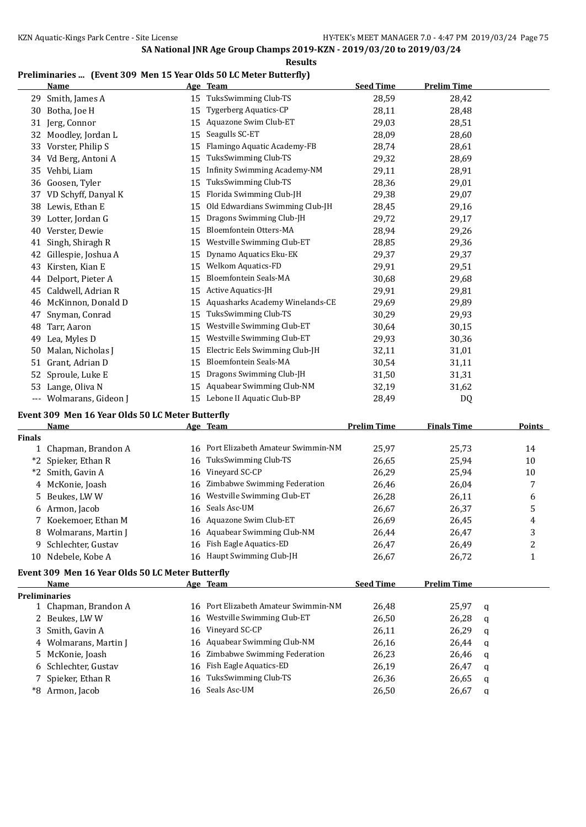#### **Results**

### **Preliminaries ... (Event 309 Men 15 Year Olds 50 LC Meter Butterfly)**

|     | Name                |    | Age Team                        | <b>Seed Time</b> | <b>Prelim Time</b> |
|-----|---------------------|----|---------------------------------|------------------|--------------------|
| 29  | Smith, James A      | 15 | TuksSwimming Club-TS            | 28,59            | 28,42              |
| 30  | Botha, Joe H        | 15 | <b>Tygerberg Aquatics-CP</b>    | 28,11            | 28,48              |
| 31  | Jerg, Connor        | 15 | Aquazone Swim Club-ET           | 29,03            | 28,51              |
| 32  | Moodley, Jordan L   | 15 | Seagulls SC-ET                  | 28,09            | 28,60              |
| 33  | Vorster, Philip S   | 15 | Flamingo Aquatic Academy-FB     | 28,74            | 28,61              |
| 34  | Vd Berg, Antoni A   | 15 | TuksSwimming Club-TS            | 29,32            | 28,69              |
| 35  | Vehbi, Liam         | 15 | Infinity Swimming Academy-NM    | 29,11            | 28,91              |
| 36  | Goosen, Tyler       | 15 | TuksSwimming Club-TS            | 28,36            | 29,01              |
| 37  | VD Schyff, Danyal K | 15 | Florida Swimming Club-JH        | 29,38            | 29,07              |
| 38  | Lewis, Ethan E      | 15 | Old Edwardians Swimming Club-JH | 28,45            | 29,16              |
| 39  | Lotter, Jordan G    | 15 | Dragons Swimming Club-JH        | 29,72            | 29,17              |
| 40  | Verster, Dewie      | 15 | Bloemfontein Otters-MA          | 28,94            | 29,26              |
| 41  | Singh, Shiragh R    | 15 | Westville Swimming Club-ET      | 28,85            | 29,36              |
| 42  | Gillespie, Joshua A | 15 | Dynamo Aquatics Eku-EK          | 29,37            | 29,37              |
| 43  | Kirsten, Kian E     | 15 | <b>Welkom Aquatics-FD</b>       | 29,91            | 29,51              |
| 44  | Delport, Pieter A   | 15 | <b>Bloemfontein Seals-MA</b>    | 30,68            | 29,68              |
| 45  | Caldwell, Adrian R  | 15 | <b>Active Aquatics-JH</b>       | 29,91            | 29,81              |
| 46  | McKinnon, Donald D  | 15 | Aquasharks Academy Winelands-CE | 29,69            | 29,89              |
| 47  | Snyman, Conrad      | 15 | TuksSwimming Club-TS            | 30,29            | 29,93              |
| 48  | Tarr, Aaron         | 15 | Westville Swimming Club-ET      | 30,64            | 30,15              |
| 49  | Lea, Myles D        | 15 | Westville Swimming Club-ET      | 29,93            | 30,36              |
| 50  | Malan, Nicholas J   | 15 | Electric Eels Swimming Club-JH  | 32,11            | 31,01              |
| 51  | Grant, Adrian D     | 15 | <b>Bloemfontein Seals-MA</b>    | 30,54            | 31,11              |
| 52  | Sproule, Luke E     | 15 | Dragons Swimming Club-JH        | 31,50            | 31,31              |
| 53  | Lange, Oliva N      | 15 | Aquabear Swimming Club-NM       | 32,19            | 31,62              |
| --- | Wolmarans, Gideon J | 15 | Lebone II Aquatic Club-BP       | 28,49            | D <sub>0</sub>     |

# **Event 309 Men 16 Year Olds 50 LC Meter Butterfly**

|        | Name                                             |    | Age Team                          | <b>Prelim Time</b> | <b>Finals Time</b> | Points |
|--------|--------------------------------------------------|----|-----------------------------------|--------------------|--------------------|--------|
| Finals |                                                  |    |                                   |                    |                    |        |
|        | 1 Chapman, Brandon A                             | 16 | Port Elizabeth Amateur Swimmin-NM | 25.97              | 25.73              | 14     |
|        | *2 Spieker, Ethan R                              | 16 | TuksSwimming Club-TS              | 26,65              | 25.94              | 10     |
|        | *2 Smith, Gavin A                                |    | 16 Vinevard SC-CP                 | 26.29              | 25,94              | 10     |
|        | 4 McKonie, Joash                                 |    | 16 Zimbabwe Swimming Federation   | 26,46              | 26.04              | 7      |
|        | 5 Beukes, LWW                                    |    | 16 Westville Swimming Club-ET     | 26.28              | 26,11              | 6      |
|        | 6 Armon, Jacob                                   |    | 16 Seals Asc-UM                   | 26.67              | 26.37              | 5      |
|        | 7 Koekemoer, Ethan M                             |    | 16 Aquazone Swim Club-ET          | 26.69              | 26,45              | 4      |
|        | 8 Wolmarans, Martin J                            |    | 16 Aquabear Swimming Club-NM      | 26.44              | 26,47              | 3      |
|        | 9 Schlechter, Gustav                             |    | 16 Fish Eagle Aquatics-ED         | 26.47              | 26,49              | າ      |
|        | 10 Ndebele, Kobe A                               |    | 16 Haupt Swimming Club-JH         | 26,67              | 26,72              |        |
|        | Event 200 Mon 16 Voor Olde EO LC Motor Putterfly |    |                                   |                    |                    |        |

# **Event 309 Men 16 Year Olds 50 LC Meter Butterfly**

| Name                  | Age Team                             | <b>Seed Time</b> | <b>Prelim Time</b> |   |
|-----------------------|--------------------------------------|------------------|--------------------|---|
| <b>Preliminaries</b>  |                                      |                  |                    |   |
| 1 Chapman, Brandon A  | 16 Port Elizabeth Amateur Swimmin-NM | 26.48            | 25,97              | a |
| 2 Beukes, LWW         | 16 Westville Swimming Club-ET        | 26,50            | 26,28              | a |
| 3 Smith, Gavin A      | 16 Vineyard SC-CP                    | 26,11            | 26,29              | a |
| 4 Wolmarans, Martin J | 16 Aquabear Swimming Club-NM         | 26,16            | 26,44              | a |
| 5 McKonie, Joash      | 16 Zimbabwe Swimming Federation      | 26,23            | 26,46              | a |
| 6 Schlechter, Gustav  | 16 Fish Eagle Aquatics-ED            | 26,19            | 26,47              | a |
| 7 Spieker, Ethan R    | 16 TuksSwimming Club-TS              | 26,36            | 26,65              | a |
| *8 Armon, Jacob       | 16 Seals Asc-UM                      | 26,50            | 26,67              | q |
|                       |                                      |                  |                    |   |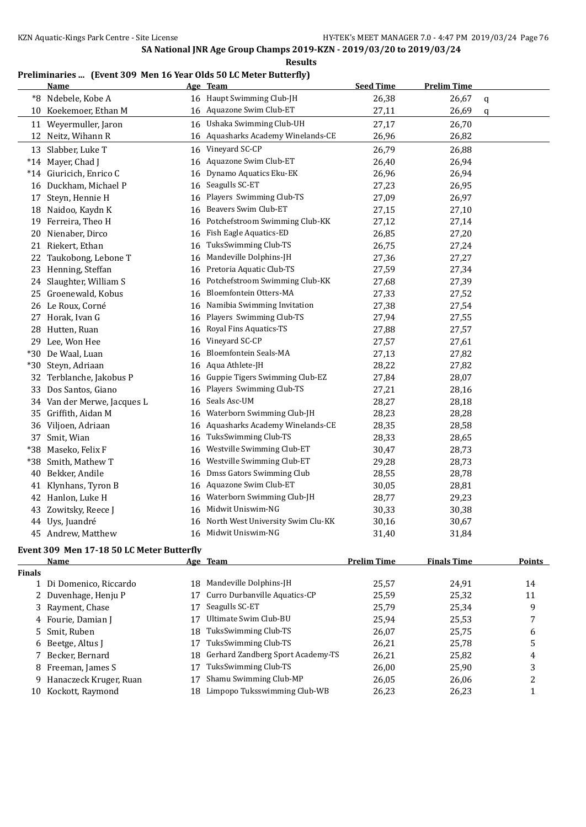### **Preliminaries ... (Event 309 Men 16 Year Olds 50 LC Meter Butterfly)**

|               | <b>Name</b>                               |    | Age Team                             | <b>Seed Time</b>   | <b>Prelim Time</b> |               |
|---------------|-------------------------------------------|----|--------------------------------------|--------------------|--------------------|---------------|
|               | *8 Ndebele, Kobe A                        |    | 16 Haupt Swimming Club-JH            | 26,38              | 26,67              | q             |
|               | 10 Koekemoer, Ethan M                     |    | 16 Aquazone Swim Club-ET             | 27,11              | 26,69              | q             |
|               | 11 Weyermuller, Jaron                     | 16 | Ushaka Swimming Club-UH              | 27,17              | 26,70              |               |
|               | 12 Neitz, Wihann R                        |    | 16 Aquasharks Academy Winelands-CE   | 26,96              | 26,82              |               |
|               | 13 Slabber, Luke T                        | 16 | Vineyard SC-CP                       | 26,79              | 26,88              |               |
|               | *14 Mayer, Chad J                         |    | 16 Aquazone Swim Club-ET             | 26,40              | 26,94              |               |
|               | *14 Giuricich, Enrico C                   | 16 | Dynamo Aquatics Eku-EK               | 26,96              | 26,94              |               |
|               | 16 Duckham, Michael P                     | 16 | Seagulls SC-ET                       | 27,23              | 26,95              |               |
|               | 17 Steyn, Hennie H                        | 16 | Players Swimming Club-TS             | 27,09              | 26,97              |               |
|               | 18 Naidoo, Kaydn K                        | 16 | Beavers Swim Club-ET                 | 27,15              | 27,10              |               |
|               | 19 Ferreira, Theo H                       | 16 | Potchefstroom Swimming Club-KK       | 27,12              | 27,14              |               |
| 20            | Nienaber, Dirco                           | 16 | Fish Eagle Aquatics-ED               | 26,85              | 27,20              |               |
| 21            | Riekert, Ethan                            | 16 | TuksSwimming Club-TS                 | 26,75              | 27,24              |               |
| 22            | Taukobong, Lebone T                       | 16 | Mandeville Dolphins-JH               | 27,36              | 27,27              |               |
| 23            | Henning, Steffan                          | 16 | Pretoria Aquatic Club-TS             | 27,59              | 27,34              |               |
| 24            | Slaughter, William S                      | 16 | Potchefstroom Swimming Club-KK       | 27,68              | 27,39              |               |
| 25            | Groenewald, Kobus                         | 16 | Bloemfontein Otters-MA               | 27,33              | 27,52              |               |
|               | 26 Le Roux, Corné                         | 16 | Namibia Swimming Invitation          | 27,38              | 27,54              |               |
|               | 27 Horak, Ivan G                          | 16 | Players Swimming Club-TS             | 27,94              | 27,55              |               |
|               | 28 Hutten, Ruan                           | 16 | Royal Fins Aquatics-TS               | 27,88              | 27,57              |               |
|               | 29 Lee, Won Hee                           | 16 | Vineyard SC-CP                       | 27,57              | 27,61              |               |
|               | *30 De Waal, Luan                         | 16 | <b>Bloemfontein Seals-MA</b>         | 27,13              | 27,82              |               |
|               | *30 Steyn, Adriaan                        | 16 | Aqua Athlete-JH                      | 28,22              | 27,82              |               |
| 32            | Terblanche, Jakobus P                     | 16 | Guppie Tigers Swimming Club-EZ       | 27,84              | 28,07              |               |
| 33            | Dos Santos, Giano                         | 16 | Players Swimming Club-TS             | 27,21              | 28,16              |               |
|               | 34 Van der Merwe, Jacques L               | 16 | Seals Asc-UM                         | 28,27              | 28,18              |               |
| 35            | Griffith, Aidan M                         | 16 | Waterborn Swimming Club-JH           | 28,23              | 28,28              |               |
| 36            | Viljoen, Adriaan                          | 16 | Aquasharks Academy Winelands-CE      | 28,35              | 28,58              |               |
| 37            | Smit, Wian                                | 16 | TuksSwimming Club-TS                 | 28,33              | 28,65              |               |
| *38           | Maseko, Felix F                           | 16 | Westville Swimming Club-ET           | 30,47              | 28,73              |               |
| *38           | Smith, Mathew T                           | 16 | Westville Swimming Club-ET           | 29,28              | 28,73              |               |
| 40            | Bekker, Andile                            | 16 | Dmss Gators Swimming Club            | 28,55              | 28,78              |               |
| 41            | Klynhans, Tyron B                         | 16 | Aquazone Swim Club-ET                | 30,05              | 28,81              |               |
|               | 42 Hanlon, Luke H                         | 16 | Waterborn Swimming Club-JH           | 28,77              | 29,23              |               |
|               | 43 Zowitsky, Reece J                      | 16 | Midwit Uniswim-NG                    | 30,33              | 30,38              |               |
|               | 44 Uys, Juandré                           |    | 16 North West University Swim Clu-KK | 30,16              | 30,67              |               |
|               | 45 Andrew, Matthew                        |    | 16 Midwit Uniswim-NG                 | 31,40              | 31,84              |               |
|               | Event 309 Men 17-18 50 LC Meter Butterfly |    |                                      |                    |                    |               |
|               | <u>Name</u>                               |    | Age Team                             | <b>Prelim Time</b> | <b>Finals Time</b> | <b>Points</b> |
| <b>Finals</b> |                                           |    |                                      |                    |                    |               |
|               | 1 Di Domenico, Riccardo                   |    | 18 Mandeville Dolphins-JH            | 25,57              | 24,91              | 14            |
|               | 2 Duvenhage, Henju P                      | 17 | Curro Durbanville Aquatics-CP        | 25,59              | 25,32              | 11            |
|               | 3 Rayment, Chase                          | 17 | Seagulls SC-ET                       | 25,79              | 25,34              | 9             |
|               | 4 Fourie, Damian J                        | 17 | Ultimate Swim Club-BU                | 25,94              | 25,53              | 7             |
| 5.            | Smit, Ruben                               | 18 | TuksSwimming Club-TS                 | 26,07              | 25,75              | 6             |
| 6             | Beetge, Altus J                           | 17 | TuksSwimming Club-TS                 | 26,21              | 25,78              | 5             |
|               | 7 Becker, Bernard                         | 18 | Gerhard Zandberg Sport Academy-TS    | 26,21              | 25,82              | 4             |
|               | 8 Freeman, James S                        | 17 | TuksSwimming Club-TS                 | 26,00              | 25,90              | 3             |
|               | 9 Hanaczeck Kruger, Ruan                  | 17 | Shamu Swimming Club-MP               | 26,05              | 26,06              | 2             |
|               | 10 Kockott, Raymond                       |    | 18 Limpopo Tuksswimming Club-WB      | 26,23              | 26,23              | $\mathbf{1}$  |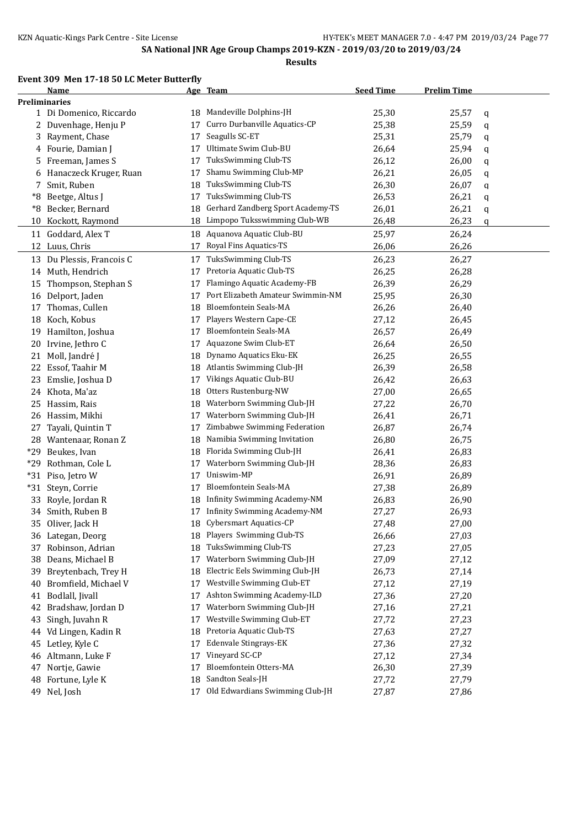# **Event 309 Men 17-18 50 LC Meter Butterfly**

|       | Name                      |    | Age Team                          | <b>Seed Time</b> | <b>Prelim Time</b> |   |
|-------|---------------------------|----|-----------------------------------|------------------|--------------------|---|
|       | <b>Preliminaries</b>      |    |                                   |                  |                    |   |
|       | 1 Di Domenico, Riccardo   | 18 | Mandeville Dolphins-JH            | 25,30            | 25,57              | q |
|       | 2 Duvenhage, Henju P      | 17 | Curro Durbanville Aquatics-CP     | 25,38            | 25,59              | q |
| 3     | Rayment, Chase            | 17 | Seagulls SC-ET                    | 25,31            | 25,79              | q |
|       | 4 Fourie, Damian J        | 17 | Ultimate Swim Club-BU             | 26,64            | 25,94              | q |
| 5     | Freeman, James S          | 17 | TuksSwimming Club-TS              | 26,12            | 26,00              | q |
| 6     | Hanaczeck Kruger, Ruan    | 17 | Shamu Swimming Club-MP            | 26,21            | 26,05              | q |
| 7     | Smit, Ruben               | 18 | TuksSwimming Club-TS              | 26,30            | 26,07              | q |
| *8    | Beetge, Altus J           | 17 | TuksSwimming Club-TS              | 26,53            | 26,21              | q |
| *8    | Becker, Bernard           | 18 | Gerhard Zandberg Sport Academy-TS | 26,01            | 26,21              | q |
| 10    | Kockott, Raymond          | 18 | Limpopo Tuksswimming Club-WB      | 26,48            | 26,23              | q |
|       | 11 Goddard, Alex T        | 18 | Aquanova Aquatic Club-BU          | 25,97            | 26,24              |   |
|       | 12 Luus, Chris            | 17 | Royal Fins Aquatics-TS            | 26,06            | 26,26              |   |
|       | 13 Du Plessis, Francois C | 17 | TuksSwimming Club-TS              | 26,23            | 26,27              |   |
|       | 14 Muth, Hendrich         | 17 | Pretoria Aquatic Club-TS          | 26,25            | 26,28              |   |
| 15    | Thompson, Stephan S       | 17 | Flamingo Aquatic Academy-FB       | 26,39            | 26,29              |   |
|       | 16 Delport, Jaden         | 17 | Port Elizabeth Amateur Swimmin-NM | 25,95            | 26,30              |   |
|       | Thomas, Cullen            | 18 | <b>Bloemfontein Seals-MA</b>      | 26,26            | 26,40              |   |
| 17    |                           |    | Players Western Cape-CE           |                  |                    |   |
|       | 18 Koch, Kobus            | 17 | Bloemfontein Seals-MA             | 27,12            | 26,45              |   |
| 19    | Hamilton, Joshua          | 17 | Aquazone Swim Club-ET             | 26,57            | 26,49              |   |
| 20    | Irvine, Jethro C          | 17 |                                   | 26,64            | 26,50              |   |
|       | 21 Moll, Jandré J         | 18 | Dynamo Aquatics Eku-EK            | 26,25            | 26,55              |   |
| 22    | Essof, Taahir M           | 18 | Atlantis Swimming Club-JH         | 26,39            | 26,58              |   |
| 23    | Emslie, Joshua D          | 17 | Vikings Aquatic Club-BU           | 26,42            | 26,63              |   |
|       | 24 Khota, Ma'az           | 18 | Otters Rustenburg-NW              | 27,00            | 26,65              |   |
| 25    | Hassim, Rais              | 18 | Waterborn Swimming Club-JH        | 27,22            | 26,70              |   |
|       | 26 Hassim, Mikhi          | 17 | Waterborn Swimming Club-JH        | 26,41            | 26,71              |   |
| 27    | Tayali, Quintin T         | 17 | Zimbabwe Swimming Federation      | 26,87            | 26,74              |   |
|       | 28 Wantenaar, Ronan Z     | 18 | Namibia Swimming Invitation       | 26,80            | 26,75              |   |
| *29   | Beukes, Ivan              | 18 | Florida Swimming Club-JH          | 26,41            | 26,83              |   |
| *29   | Rothman, Cole L           | 17 | Waterborn Swimming Club-JH        | 28,36            | 26,83              |   |
| $*31$ | Piso, Jetro W             | 17 | Uniswim-MP                        | 26,91            | 26,89              |   |
|       | *31 Steyn, Corrie         | 17 | Bloemfontein Seals-MA             | 27,38            | 26,89              |   |
| 33    | Royle, Jordan R           | 18 | Infinity Swimming Academy-NM      | 26,83            | 26,90              |   |
|       | 34 Smith, Ruben B         | 17 | Infinity Swimming Academy-NM      | 27,27            | 26,93              |   |
|       | 35 Oliver, Jack H         |    | 18 Cybersmart Aquatics-CP         | 27,48            | 27,00              |   |
|       | 36 Lategan, Deorg         | 18 | Players Swimming Club-TS          | 26,66            | 27,03              |   |
| 37    | Robinson, Adrian          | 18 | TuksSwimming Club-TS              | 27,23            | 27,05              |   |
| 38    | Deans, Michael B          | 17 | Waterborn Swimming Club-JH        | 27,09            | 27,12              |   |
| 39    | Breytenbach, Trey H       | 18 | Electric Eels Swimming Club-JH    | 26,73            | 27,14              |   |
| 40    | Bromfield, Michael V      | 17 | Westville Swimming Club-ET        | 27,12            | 27,19              |   |
| 41    | Bodlall, Jivall           | 17 | Ashton Swimming Academy-ILD       | 27,36            | 27,20              |   |
| 42    | Bradshaw, Jordan D        | 17 | Waterborn Swimming Club-JH        | 27,16            | 27,21              |   |
| 43    | Singh, Juvahn R           | 17 | Westville Swimming Club-ET        | 27,72            | 27,23              |   |
| 44    | Vd Lingen, Kadin R        | 18 | Pretoria Aquatic Club-TS          | 27,63            | 27,27              |   |
| 45    | Letley, Kyle C            | 17 | Edenvale Stingrays-EK             | 27,36            | 27,32              |   |
|       | 46 Altmann, Luke F        | 17 | Vineyard SC-CP                    | 27,12            | 27,34              |   |
| 47    | Nortje, Gawie             | 17 | Bloemfontein Otters-MA            | 26,30            | 27,39              |   |
| 48    | Fortune, Lyle K           | 18 | Sandton Seals-JH                  | 27,72            | 27,79              |   |
|       | 49 Nel, Josh              | 17 | Old Edwardians Swimming Club-JH   | 27,87            | 27,86              |   |
|       |                           |    |                                   |                  |                    |   |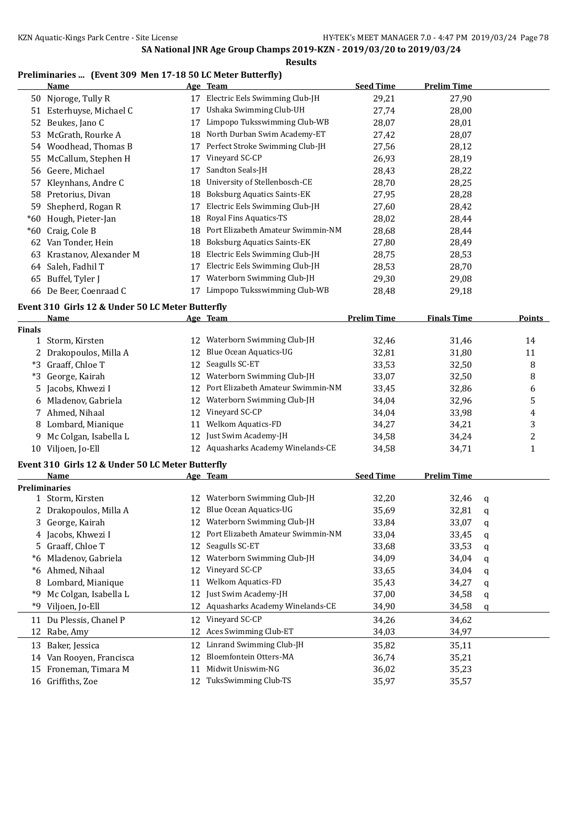#### **Preliminaries ... (Event 309 Men 17-18 50 LC Meter Butterfly)**

|                      | <u>Name</u>                                      |    | <u>Age Team</u>                    | <b>Seed Time</b>   | <b>Prelim Time</b> |   |                  |
|----------------------|--------------------------------------------------|----|------------------------------------|--------------------|--------------------|---|------------------|
|                      | 50 Njoroge, Tully R                              |    | 17 Electric Eels Swimming Club-JH  | 29,21              | 27,90              |   |                  |
|                      | 51 Esterhuyse, Michael C                         | 17 | Ushaka Swimming Club-UH            | 27,74              | 28,00              |   |                  |
| 52                   | Beukes, Jano C                                   | 17 | Limpopo Tuksswimming Club-WB       | 28,07              | 28,01              |   |                  |
| 53                   | McGrath, Rourke A                                | 18 | North Durban Swim Academy-ET       | 27,42              | 28,07              |   |                  |
|                      | 54 Woodhead, Thomas B                            | 17 | Perfect Stroke Swimming Club-JH    | 27,56              | 28,12              |   |                  |
| 55                   | McCallum, Stephen H                              | 17 | Vineyard SC-CP                     | 26,93              | 28,19              |   |                  |
|                      | 56 Geere, Michael                                | 17 | Sandton Seals-JH                   | 28,43              | 28,22              |   |                  |
| 57                   | Kleynhans, Andre C                               | 18 | University of Stellenbosch-CE      | 28,70              | 28,25              |   |                  |
|                      | 58 Pretorius, Divan                              | 18 | <b>Boksburg Aquatics Saints-EK</b> | 27,95              | 28,28              |   |                  |
|                      | 59 Shepherd, Rogan R                             | 17 | Electric Eels Swimming Club-JH     | 27,60              | 28,42              |   |                  |
|                      | *60 Hough, Pieter-Jan                            | 18 | Royal Fins Aquatics-TS             | 28,02              | 28,44              |   |                  |
|                      | *60 Craig, Cole B                                | 18 | Port Elizabeth Amateur Swimmin-NM  | 28,68              | 28,44              |   |                  |
|                      | 62 Van Tonder, Hein                              | 18 | <b>Boksburg Aquatics Saints-EK</b> | 27,80              | 28,49              |   |                  |
|                      | 63 Krastanov, Alexander M                        | 18 | Electric Eels Swimming Club-JH     | 28,75              | 28,53              |   |                  |
|                      | 64 Saleh, Fadhil T                               | 17 | Electric Eels Swimming Club-JH     | 28,53              | 28,70              |   |                  |
|                      | 65 Buffel, Tyler J                               | 17 | Waterborn Swimming Club-JH         | 29,30              | 29,08              |   |                  |
|                      | 66 De Beer, Coenraad C                           |    | 17 Limpopo Tuksswimming Club-WB    | 28,48              | 29,18              |   |                  |
|                      | Event 310 Girls 12 & Under 50 LC Meter Butterfly |    |                                    |                    |                    |   |                  |
|                      | <u>Name</u>                                      |    | Age Team                           | <b>Prelim Time</b> | <b>Finals Time</b> |   | <b>Points</b>    |
| <b>Finals</b>        |                                                  |    |                                    |                    |                    |   |                  |
|                      | 1 Storm, Kirsten                                 |    | 12 Waterborn Swimming Club-JH      | 32,46              | 31,46              |   | 14               |
|                      | 2 Drakopoulos, Milla A                           | 12 | Blue Ocean Aquatics-UG             | 32,81              | 31,80              |   | 11               |
| *3                   | Graaff, Chloe T                                  | 12 | Seagulls SC-ET                     | 33,53              | 32,50              |   | 8                |
| *3                   | George, Kairah                                   |    | 12 Waterborn Swimming Club-JH      | 33,07              | 32,50              |   | 8                |
| 5                    | Jacobs, Khwezi I                                 | 12 | Port Elizabeth Amateur Swimmin-NM  | 33,45              | 32,86              |   | 6                |
| 6                    | Mladenov, Gabriela                               | 12 | Waterborn Swimming Club-JH         | 34,04              | 32,96              |   | 5                |
| 7                    | Ahmed, Nihaal                                    | 12 | Vineyard SC-CP                     | 34,04              | 33,98              |   | 4                |
| 8                    | Lombard, Mianique                                | 11 | Welkom Aquatics-FD                 | 34,27              | 34,21              |   | 3                |
| 9                    | Mc Colgan, Isabella L                            | 12 | Just Swim Academy-JH               | 34,58              | 34,24              |   | $\boldsymbol{2}$ |
|                      | 10 Viljoen, Jo-Ell                               |    | 12 Aquasharks Academy Winelands-CE | 34,58              | 34,71              |   | $\mathbf{1}$     |
|                      | Event 310 Girls 12 & Under 50 LC Meter Butterfly |    |                                    |                    |                    |   |                  |
|                      | Name                                             |    | <u>Age Team</u>                    | <b>Seed Time</b>   | <b>Prelim Time</b> |   |                  |
| <b>Preliminaries</b> |                                                  |    |                                    |                    |                    |   |                  |
|                      | 1 Storm, Kirsten                                 |    | 12 Waterborn Swimming Club-JH      | 32,20              | 32,46              | q |                  |
|                      | 2 Drakopoulos, Milla A                           |    | 12 Blue Ocean Aquatics-UG          | 35,69              | 32,81              | q |                  |
| 3                    | George, Kairah                                   |    | Waterborn Swimming Club-JH         | 33,84              | 33,07              | q |                  |
| 4                    | Jacobs, Khwezi I                                 | 12 | Port Elizabeth Amateur Swimmin-NM  | 33,04              | 33,45              | q |                  |
| 5.                   | Graaff, Chloe T                                  | 12 | Seagulls SC-ET                     | 33,68              | 33,53              | q |                  |
| *6                   | Mladenov, Gabriela                               | 12 | Waterborn Swimming Club-JH         | 34,09              | 34,04              | q |                  |
|                      | *6 Ahmed, Nihaal                                 | 12 | Vineyard SC-CP                     | 33,65              | 34,04              | q |                  |
| 8                    | Lombard, Mianique                                | 11 | Welkom Aquatics-FD                 | 35,43              | 34,27              | q |                  |
| *9                   | Mc Colgan, Isabella L                            | 12 | Just Swim Academy-JH               | 37,00              | 34,58              | q |                  |
| *9                   | Viljoen, Jo-Ell                                  | 12 | Aquasharks Academy Winelands-CE    | 34,90              | 34,58              | q |                  |
|                      | 11 Du Plessis, Chanel P                          | 12 | Vineyard SC-CP                     | 34,26              | 34,62              |   |                  |
| 12                   | Rabe, Amy                                        | 12 | Aces Swimming Club-ET              | 34,03              | 34,97              |   |                  |
| 13                   | Baker, Jessica                                   | 12 | Linrand Swimming Club-JH           | 35,82              | 35,11              |   |                  |
| 14                   | Van Rooyen, Francisca                            | 12 | Bloemfontein Otters-MA             | 36,74              | 35,21              |   |                  |
| 15                   | Froneman, Timara M                               | 11 | Midwit Uniswim-NG                  | 36,02              | 35,23              |   |                  |
|                      | 16 Griffiths, Zoe                                | 12 | TuksSwimming Club-TS               | 35,97              | 35,57              |   |                  |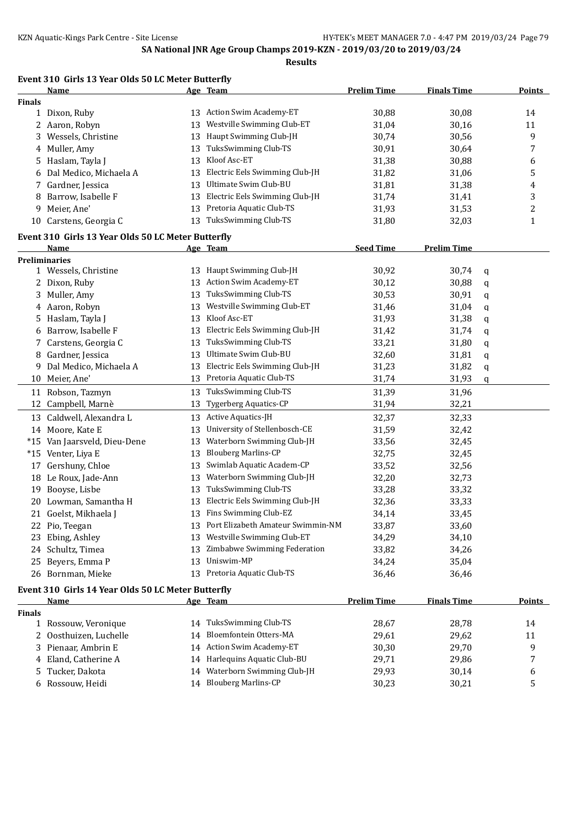#### **Event 310 Girls 13 Year Olds 50 LC Meter Butterfly**

|               | <b>Name</b>                                        |    | Age Team                          | <u>Prelim Time</u> | <b>Finals Time</b> |   | <u>Points</u> |
|---------------|----------------------------------------------------|----|-----------------------------------|--------------------|--------------------|---|---------------|
| <b>Finals</b> |                                                    |    |                                   |                    |                    |   |               |
|               | 1 Dixon, Ruby                                      |    | 13 Action Swim Academy-ET         | 30,88              | 30,08              |   | 14            |
|               | 2 Aaron, Robyn                                     | 13 | Westville Swimming Club-ET        | 31,04              | 30,16              |   | 11            |
|               | 3 Wessels, Christine                               | 13 | Haupt Swimming Club-JH            | 30,74              | 30,56              |   | 9             |
|               | 4 Muller, Amy                                      | 13 | TuksSwimming Club-TS              | 30,91              | 30,64              |   | 7             |
|               | 5 Haslam, Tayla J                                  | 13 | Kloof Asc-ET                      | 31,38              | 30,88              |   | 6             |
| 6             | Dal Medico, Michaela A                             | 13 | Electric Eels Swimming Club-JH    | 31,82              | 31,06              |   | 5             |
| 7             | Gardner, Jessica                                   | 13 | Ultimate Swim Club-BU             | 31,81              | 31,38              |   | 4             |
| 8             | Barrow, Isabelle F                                 |    | 13 Electric Eels Swimming Club-JH | 31,74              | 31,41              |   | 3             |
|               | 9 Meier, Ane'                                      | 13 | Pretoria Aquatic Club-TS          | 31,93              | 31,53              |   | 2             |
|               | 10 Carstens, Georgia C                             | 13 | TuksSwimming Club-TS              | 31,80              | 32,03              |   | 1             |
|               | Event 310 Girls 13 Year Olds 50 LC Meter Butterfly |    |                                   |                    |                    |   |               |
|               | Name                                               |    | Age Team                          | <b>Seed Time</b>   | <b>Prelim Time</b> |   |               |
|               | <b>Preliminaries</b>                               |    |                                   |                    |                    |   |               |
|               | 1 Wessels, Christine                               |    | 13 Haupt Swimming Club-JH         | 30,92              | 30,74              | q |               |
|               | 2 Dixon, Ruby                                      |    | 13 Action Swim Academy-ET         | 30,12              | 30,88              | q |               |
|               | 3 Muller, Amy                                      | 13 | TuksSwimming Club-TS              | 30,53              | 30,91              | q |               |
|               | 4 Aaron, Robyn                                     | 13 | Westville Swimming Club-ET        | 31,46              | 31,04              | q |               |
|               | 5 Haslam, Tayla J                                  | 13 | Kloof Asc-ET                      | 31,93              | 31,38              | q |               |
| 6             | Barrow, Isabelle F                                 | 13 | Electric Eels Swimming Club-JH    | 31,42              | 31,74              | q |               |
| 7             | Carstens, Georgia C                                | 13 | TuksSwimming Club-TS              | 33,21              | 31,80              | q |               |
| 8             | Gardner, Jessica                                   | 13 | Ultimate Swim Club-BU             | 32,60              | 31,81              | q |               |
|               | 9 Dal Medico, Michaela A                           | 13 | Electric Eels Swimming Club-JH    | 31,23              | 31,82              | q |               |
|               | 10 Meier, Ane'                                     |    | 13 Pretoria Aquatic Club-TS       | 31,74              | 31,93              | q |               |
|               | 11 Robson, Tazmyn                                  |    | 13 TuksSwimming Club-TS           | 31,39              | 31,96              |   |               |
|               | 12 Campbell, Marnè                                 | 13 | <b>Tygerberg Aquatics-CP</b>      | 31,94              | 32,21              |   |               |
|               | 13 Caldwell, Alexandra L                           |    | 13 Active Aquatics-JH             | 32,37              | 32,33              |   |               |
|               | 14 Moore, Kate E                                   | 13 | University of Stellenbosch-CE     | 31,59              | 32,42              |   |               |
|               | *15 Van Jaarsveld, Dieu-Dene                       | 13 | Waterborn Swimming Club-JH        | 33,56              | 32,45              |   |               |
|               | *15 Venter, Liya E                                 | 13 | <b>Blouberg Marlins-CP</b>        | 32,75              | 32,45              |   |               |
|               | 17 Gershuny, Chloe                                 | 13 | Swimlab Aquatic Academ-CP         | 33,52              | 32,56              |   |               |
|               | 18 Le Roux, Jade-Ann                               | 13 | Waterborn Swimming Club-JH        | 32,20              | 32,73              |   |               |
|               | 19 Booyse, Lisbe                                   | 13 | TuksSwimming Club-TS              | 33,28              | 33,32              |   |               |
|               | 20 Lowman, Samantha H                              | 13 | Electric Eels Swimming Club-JH    | 32,36              | 33,33              |   |               |
|               | 21 Goelst, Mikhaela J                              | 13 | Fins Swimming Club-EZ             | 34,14              | 33,45              |   |               |
|               | 22 Pio, Teegan                                     | 13 | Port Elizabeth Amateur Swimmin-NM | 33,87              | 33,60              |   |               |
|               | 23 Ebing, Ashley                                   | 13 | Westville Swimming Club-ET        | 34,29              | 34,10              |   |               |
|               | 24 Schultz, Timea                                  | 13 | Zimbabwe Swimming Federation      | 33,82              | 34,26              |   |               |
| 25            | Beyers, Emma P                                     | 13 | Uniswim-MP                        | 34,24              | 35,04              |   |               |
|               | 26 Bornman, Mieke                                  |    | 13 Pretoria Aquatic Club-TS       | 36,46              | 36,46              |   |               |
|               |                                                    |    |                                   |                    |                    |   |               |

# **Event 310 Girls 14 Year Olds 50 LC Meter Butterfly**

|        | Name                   | Age Team                      | <b>Prelim Time</b> | <b>Finals Time</b> | <b>Points</b> |
|--------|------------------------|-------------------------------|--------------------|--------------------|---------------|
| Finals |                        |                               |                    |                    |               |
|        | 1 Rossouw, Veronique   | 14 TuksSwimming Club-TS       | 28,67              | 28,78              | 14            |
|        | 2 Oosthuizen, Luchelle | 14 Bloemfontein Otters-MA     | 29,61              | 29,62              | 11            |
|        | 3 Pienaar, Ambrin E    | 14 Action Swim Academy-ET     | 30.30              | 29.70              | q             |
|        | 4 Eland, Catherine A   | 14 Harlequins Aquatic Club-BU | 29,71              | 29,86              |               |
|        | 5 Tucker, Dakota       | 14 Waterborn Swimming Club-JH | 29.93              | 30,14              | 6             |
|        | 6 Rossouw, Heidi       | 14 Blouberg Marlins-CP        | 30,23              | 30,21              |               |
|        |                        |                               |                    |                    |               |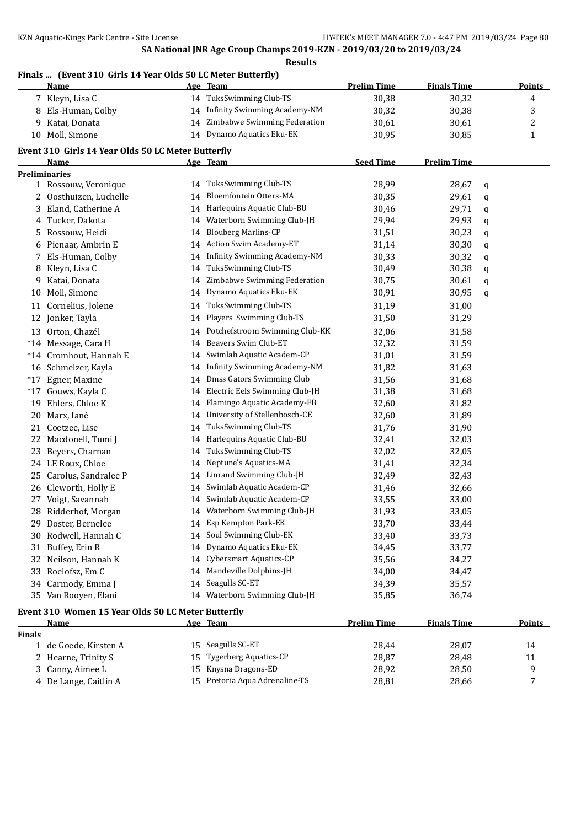### **Finals ... (Event 310 Girls 14 Year Olds 50 LC Meter Butterfly)**

|               | <u>Name</u>                                                       |    | Age Team                        | <b>Prelim Time</b> | <b>Finals Time</b> |   | <b>Points</b> |
|---------------|-------------------------------------------------------------------|----|---------------------------------|--------------------|--------------------|---|---------------|
|               | 7 Kleyn, Lisa C                                                   |    | 14 TuksSwimming Club-TS         | 30,38              | 30,32              |   | 4             |
| 8             | Els-Human, Colby                                                  |    | 14 Infinity Swimming Academy-NM | 30,32              | 30,38              |   | 3             |
| 9             | Katai, Donata                                                     |    | 14 Zimbabwe Swimming Federation | 30,61              | 30,61              |   | 2             |
| 10            | Moll, Simone                                                      |    | 14 Dynamo Aquatics Eku-EK       | 30,95              | 30,85              |   | 1             |
|               | Event 310 Girls 14 Year Olds 50 LC Meter Butterfly                |    |                                 |                    |                    |   |               |
|               | Name                                                              |    | Age Team                        | <b>Seed Time</b>   | <b>Prelim Time</b> |   |               |
|               | <b>Preliminaries</b>                                              |    |                                 |                    |                    |   |               |
|               | 1 Rossouw, Veronique                                              |    | 14 TuksSwimming Club-TS         | 28,99              | 28,67              | q |               |
| 2             | Oosthuizen, Luchelle                                              | 14 | Bloemfontein Otters-MA          | 30,35              | 29,61              | q |               |
| 3             | Eland, Catherine A                                                | 14 | Harlequins Aquatic Club-BU      | 30,46              | 29,71              | q |               |
| 4             | Tucker, Dakota                                                    | 14 | Waterborn Swimming Club-JH      | 29,94              | 29,93              | q |               |
| 5             | Rossouw, Heidi                                                    | 14 | <b>Blouberg Marlins-CP</b>      | 31,51              | 30,23              | q |               |
| 6             | Pienaar, Ambrin E                                                 | 14 | Action Swim Academy-ET          | 31,14              | 30,30              | q |               |
| 7             | Els-Human, Colby                                                  | 14 | Infinity Swimming Academy-NM    | 30,33              | 30,32              | q |               |
| 8             | Kleyn, Lisa C                                                     | 14 | TuksSwimming Club-TS            | 30,49              | 30,38              | q |               |
| 9             | Katai, Donata                                                     | 14 | Zimbabwe Swimming Federation    | 30,75              | 30,61              | q |               |
| 10            | Moll, Simone                                                      |    | 14 Dynamo Aquatics Eku-EK       | 30,91              | 30,95              | q |               |
| 11            | Cornelius, Jolene                                                 |    | 14 TuksSwimming Club-TS         | 31,19              | 31,00              |   |               |
| 12            | Jonker, Tayla                                                     |    | 14 Players Swimming Club-TS     | 31,50              | 31,29              |   |               |
|               | 13 Orton, Chazél                                                  | 14 | Potchefstroom Swimming Club-KK  | 32,06              | 31,58              |   |               |
|               | *14 Message, Cara H                                               | 14 | Beavers Swim Club-ET            | 32,32              | 31,59              |   |               |
|               | *14 Cromhout, Hannah E                                            | 14 | Swimlab Aquatic Academ-CP       | 31,01              | 31,59              |   |               |
| 16            | Schmelzer, Kayla                                                  | 14 | Infinity Swimming Academy-NM    | 31,82              | 31,63              |   |               |
|               | *17 Egner, Maxine                                                 | 14 | Dmss Gators Swimming Club       | 31,56              | 31,68              |   |               |
| $*17$         | Gouws, Kayla C                                                    | 14 | Electric Eels Swimming Club-JH  | 31,38              | 31,68              |   |               |
| 19            | Ehlers, Chloe K                                                   | 14 | Flamingo Aquatic Academy-FB     | 32,60              | 31,82              |   |               |
| 20            | Marx, Ianè                                                        | 14 | University of Stellenbosch-CE   | 32,60              | 31,89              |   |               |
| 21            | Coetzee, Lise                                                     | 14 | TuksSwimming Club-TS            | 31,76              | 31,90              |   |               |
| 22            | Macdonell, Tumi J                                                 | 14 | Harlequins Aquatic Club-BU      | 32,41              | 32,03              |   |               |
| 23            | Beyers, Charnan                                                   | 14 | TuksSwimming Club-TS            | 32,02              | 32,05              |   |               |
| 24            | LE Roux, Chloe                                                    | 14 | Neptune's Aquatics-MA           | 31,41              | 32,34              |   |               |
| 25            | Carolus, Sandralee P                                              | 14 | Linrand Swimming Club-JH        | 32,49              | 32,43              |   |               |
| 26            | Cleworth, Holly E                                                 | 14 | Swimlab Aquatic Academ-CP       | 31,46              | 32,66              |   |               |
| 27            | Voigt, Savannah                                                   |    | 14 Swimlab Aquatic Academ-CP    | 33,55              | 33,00              |   |               |
|               | 28 Ridderhof, Morgan                                              |    | 14 Waterborn Swimming Club-JH   | 31,93              | 33,05              |   |               |
|               | 29 Doster, Bernelee                                               |    | 14 Esp Kempton Park-EK          | 33,70              | 33,44              |   |               |
|               | 30 Rodwell, Hannah C                                              |    | 14 Soul Swimming Club-EK        | 33,40              | 33,73              |   |               |
| 31            | Buffey, Erin R                                                    |    | 14 Dynamo Aquatics Eku-EK       | 34,45              | 33,77              |   |               |
| 32            | Neilson, Hannah K                                                 |    | 14 Cybersmart Aquatics-CP       | 35,56              | 34,27              |   |               |
| 33            | Roelofsz, Em C                                                    |    | 14 Mandeville Dolphins-JH       | 34,00              | 34,47              |   |               |
| 34            | Carmody, Emma J                                                   |    | 14 Seagulls SC-ET               | 34,39              | 35,57              |   |               |
|               | 35 Van Rooyen, Elani                                              |    | 14 Waterborn Swimming Club-JH   | 35,85              | 36,74              |   |               |
|               |                                                                   |    |                                 |                    |                    |   |               |
|               | Event 310 Women 15 Year Olds 50 LC Meter Butterfly<br><b>Name</b> |    | Age Team                        | <b>Prelim Time</b> | <b>Finals Time</b> |   | <b>Points</b> |
| <b>Finals</b> |                                                                   |    |                                 |                    |                    |   |               |
|               | 1 de Goede, Kirsten A                                             |    | 15 Seagulls SC-ET               | 28,44              | 28,07              |   | 14            |
|               | 2 Hearne, Trinity S                                               |    | 15 Tygerberg Aquatics-CP        | 28,87              | 28,48              |   | 11            |

3 Canny, Aimee L 15 Knysna Dragons-ED 28,92 28,50 9 De Lange, Caitlin A 15 Pretoria Aqua Adrenaline-TS 28,81 28,66 7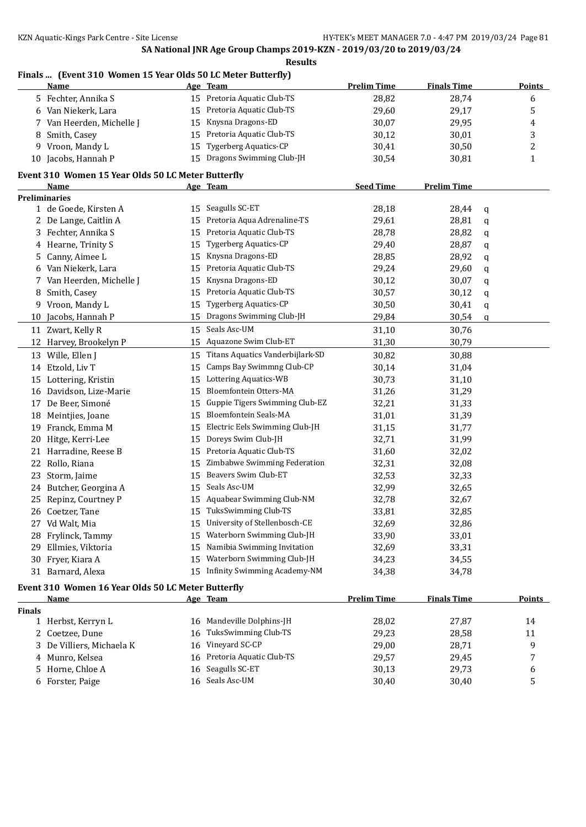### **Finals ... (Event 310 Women 15 Year Olds 50 LC Meter Butterfly)**

|               | <b>Name</b>                                        |    | Age Team                         | <b>Prelim Time</b> | <b>Finals Time</b> |   | Points        |
|---------------|----------------------------------------------------|----|----------------------------------|--------------------|--------------------|---|---------------|
|               | 5 Fechter, Annika S                                |    | 15 Pretoria Aquatic Club-TS      | 28,82              | 28,74              |   | 6             |
|               | 6 Van Niekerk, Lara                                | 15 | Pretoria Aquatic Club-TS         | 29,60              | 29,17              |   | 5             |
| 7.            | Van Heerden, Michelle J                            | 15 | Knysna Dragons-ED                | 30,07              | 29,95              |   | 4             |
| 8             | Smith, Casey                                       | 15 | Pretoria Aquatic Club-TS         | 30,12              | 30,01              |   | 3             |
|               | 9 Vroon, Mandy L                                   | 15 | <b>Tygerberg Aquatics-CP</b>     | 30,41              | 30,50              |   | 2             |
|               | 10 Jacobs, Hannah P                                |    | 15 Dragons Swimming Club-JH      | 30,54              | 30,81              |   | 1             |
|               | Event 310 Women 15 Year Olds 50 LC Meter Butterfly |    |                                  |                    |                    |   |               |
|               | Name                                               |    | Age Team                         | <b>Seed Time</b>   | <b>Prelim Time</b> |   |               |
|               | <b>Preliminaries</b>                               |    |                                  |                    |                    |   |               |
|               | 1 de Goede, Kirsten A                              |    | 15 Seagulls SC-ET                | 28,18              | 28,44              | q |               |
|               | 2 De Lange, Caitlin A                              | 15 | Pretoria Aqua Adrenaline-TS      | 29,61              | 28,81              | q |               |
|               | 3 Fechter, Annika S                                | 15 | Pretoria Aquatic Club-TS         | 28,78              | 28,82              | q |               |
|               | 4 Hearne, Trinity S                                | 15 | <b>Tygerberg Aquatics-CP</b>     | 29,40              | 28,87              | q |               |
| 5             | Canny, Aimee L                                     | 15 | Knysna Dragons-ED                | 28,85              | 28,92              | q |               |
| 6             | Van Niekerk, Lara                                  | 15 | Pretoria Aquatic Club-TS         | 29,24              | 29,60              | q |               |
| 7             | Van Heerden, Michelle J                            | 15 | Knysna Dragons-ED                | 30,12              | 30,07              | q |               |
| 8             | Smith, Casey                                       | 15 | Pretoria Aquatic Club-TS         | 30,57              | 30,12              | q |               |
| 9             | Vroon, Mandy L                                     | 15 | Tygerberg Aquatics-CP            | 30,50              | 30,41              | q |               |
| 10            | Jacobs, Hannah P                                   | 15 | Dragons Swimming Club-JH         | 29,84              | 30,54              | q |               |
|               | 11 Zwart, Kelly R                                  | 15 | Seals Asc-UM                     | 31,10              | 30,76              |   |               |
|               | 12 Harvey, Brookelyn P                             | 15 | Aquazone Swim Club-ET            | 31,30              | 30,79              |   |               |
|               | 13 Wille, Ellen J                                  | 15 | Titans Aquatics Vanderbijlark-SD | 30,82              | 30,88              |   |               |
|               | 14 Etzold, Liv T                                   | 15 | Camps Bay Swimmng Club-CP        | 30,14              | 31,04              |   |               |
|               | 15 Lottering, Kristin                              | 15 | Lottering Aquatics-WB            | 30,73              | 31,10              |   |               |
|               | 16 Davidson, Lize-Marie                            | 15 | Bloemfontein Otters-MA           | 31,26              | 31,29              |   |               |
| 17            | De Beer, Simoné                                    | 15 | Guppie Tigers Swimming Club-EZ   | 32,21              | 31,33              |   |               |
|               | 18 Meintjies, Joane                                | 15 | Bloemfontein Seals-MA            | 31,01              | 31,39              |   |               |
|               | 19 Franck, Emma M                                  | 15 | Electric Eels Swimming Club-JH   | 31,15              | 31,77              |   |               |
|               | 20 Hitge, Kerri-Lee                                | 15 | Doreys Swim Club-JH              | 32,71              | 31,99              |   |               |
|               | 21 Harradine, Reese B                              | 15 | Pretoria Aquatic Club-TS         | 31,60              | 32,02              |   |               |
|               | 22 Rollo, Riana                                    | 15 | Zimbabwe Swimming Federation     | 32,31              | 32,08              |   |               |
|               | 23 Storm, Jaime                                    | 15 | Beavers Swim Club-ET             | 32,53              | 32,33              |   |               |
|               | 24 Butcher, Georgina A                             | 15 | Seals Asc-UM                     | 32,99              | 32,65              |   |               |
|               | 25 Repinz, Courtney P                              | 15 | Aquabear Swimming Club-NM        | 32,78              | 32,67              |   |               |
|               | 26 Coetzer, Tane                                   |    | TuksSwimming Club-TS             | 33,81              | 32,85              |   |               |
|               | 27 Vd Walt, Mia                                    |    | University of Stellenbosch-CE    | 32,69              | 32,86              |   |               |
|               | 28 Frylinck, Tammy                                 | 15 | Waterborn Swimming Club-JH       | 33,90              | 33,01              |   |               |
| 29.           | Ellmies, Viktoria                                  | 15 | Namibia Swimming Invitation      | 32,69              | 33,31              |   |               |
|               | 30 Fryer, Kiara A                                  | 15 | Waterborn Swimming Club-JH       | 34,23              | 34,55              |   |               |
|               | 31 Barnard, Alexa                                  |    | 15 Infinity Swimming Academy-NM  | 34,38              | 34,78              |   |               |
|               | Event 310 Women 16 Year Olds 50 LC Meter Butterfly |    |                                  |                    |                    |   |               |
|               | <u>Name</u>                                        |    | Age Team                         | <b>Prelim Time</b> | <b>Finals Time</b> |   | <b>Points</b> |
| <b>Finals</b> |                                                    |    |                                  |                    |                    |   |               |

| nals |                           |    |                             |       |       |    |
|------|---------------------------|----|-----------------------------|-------|-------|----|
|      | 1 Herbst, Kerryn L        |    | 16 Mandeville Dolphins-JH   | 28,02 | 27,87 | 14 |
|      | 2 Coetzee, Dune           | 16 | TuksSwimming Club-TS        | 29,23 | 28.58 |    |
|      | 3 De Villiers, Michaela K |    | 16 Vineyard SC-CP           | 29,00 | 28,71 | Q  |
|      | 4 Munro, Kelsea           |    | 16 Pretoria Aquatic Club-TS | 29,57 | 29.45 |    |
|      | 5 Horne, Chloe A          |    | 16 Seagulls SC-ET           | 30,13 | 29,73 | 6  |
|      | 6 Forster, Paige          |    | 16 Seals Asc-UM             | 30.40 | 30.40 |    |
|      |                           |    |                             |       |       |    |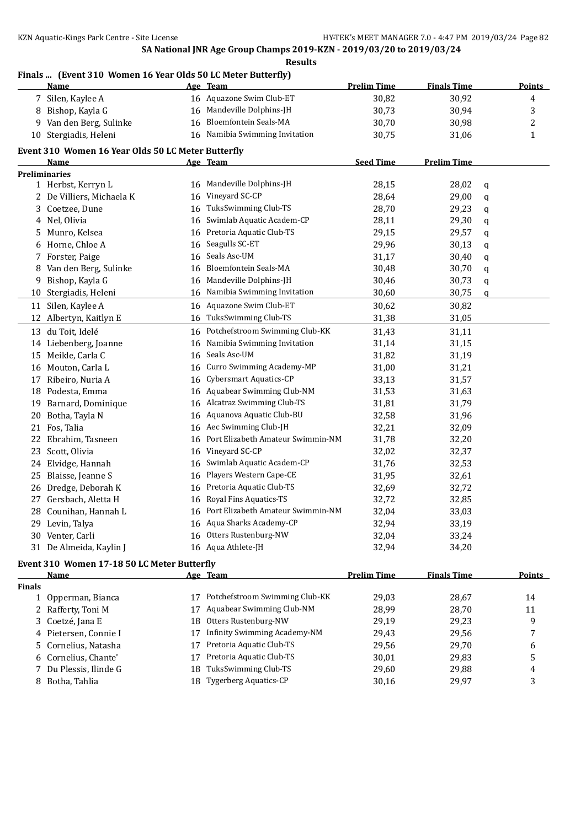# **Finals ... (Event 310 Women 16 Year Olds 50 LC Meter Butterfly)**

|               | Name                                               |    | Age Team                             | <b>Prelim Time</b> | <b>Finals Time</b> | Points        |
|---------------|----------------------------------------------------|----|--------------------------------------|--------------------|--------------------|---------------|
|               | 7 Silen, Kaylee A                                  |    | 16 Aquazone Swim Club-ET             | 30,82              | 30,92              | 4             |
|               | 8 Bishop, Kayla G                                  | 16 | Mandeville Dolphins-JH               | 30,73              | 30,94              | 3             |
|               | 9 Van den Berg, Sulinke                            | 16 | Bloemfontein Seals-MA                | 30,70              | 30,98              | 2             |
|               | 10 Stergiadis, Heleni                              |    | 16 Namibia Swimming Invitation       | 30,75              | 31,06              | 1             |
|               | Event 310 Women 16 Year Olds 50 LC Meter Butterfly |    |                                      |                    |                    |               |
|               | Name                                               |    | Age Team                             | <b>Seed Time</b>   | <b>Prelim Time</b> |               |
|               | <b>Preliminaries</b>                               |    |                                      |                    |                    |               |
|               | 1 Herbst, Kerryn L                                 |    | 16 Mandeville Dolphins-JH            | 28,15              | 28,02              | q             |
|               | 2 De Villiers, Michaela K                          | 16 | Vineyard SC-CP                       | 28,64              | 29,00              | q             |
| 3             | Coetzee, Dune                                      | 16 | TuksSwimming Club-TS                 | 28,70              | 29,23              | q             |
| 4             | Nel, Olivia                                        | 16 | Swimlab Aquatic Academ-CP            | 28,11              | 29,30              | q             |
| 5.            | Munro, Kelsea                                      | 16 | Pretoria Aquatic Club-TS             | 29,15              | 29,57              | q             |
| 6             | Horne, Chloe A                                     | 16 | Seagulls SC-ET                       | 29,96              | 30,13              | q             |
|               | 7 Forster, Paige                                   | 16 | Seals Asc-UM                         | 31,17              | 30,40              | q             |
| 8             | Van den Berg, Sulinke                              | 16 | <b>Bloemfontein Seals-MA</b>         | 30,48              | 30,70              | q             |
| 9.            | Bishop, Kayla G                                    | 16 | Mandeville Dolphins-JH               | 30,46              | 30,73              | q             |
|               | 10 Stergiadis, Heleni                              |    | 16 Namibia Swimming Invitation       | 30,60              | 30,75              | q             |
|               | 11 Silen, Kaylee A                                 | 16 | Aquazone Swim Club-ET                | 30,62              | 30,82              |               |
| 12            | Albertyn, Kaitlyn E                                | 16 | TuksSwimming Club-TS                 | 31,38              | 31,05              |               |
|               | 13 du Toit, Idelé                                  | 16 | Potchefstroom Swimming Club-KK       | 31,43              | 31,11              |               |
|               | 14 Liebenberg, Joanne                              | 16 | Namibia Swimming Invitation          | 31,14              | 31,15              |               |
|               | 15 Meikle, Carla C                                 | 16 | Seals Asc-UM                         | 31,82              | 31,19              |               |
| 16            | Mouton, Carla L                                    | 16 | Curro Swimming Academy-MP            | 31,00              | 31,21              |               |
| 17            | Ribeiro, Nuria A                                   | 16 | Cybersmart Aquatics-CP               | 33,13              | 31,57              |               |
| 18            | Podesta, Emma                                      | 16 | Aquabear Swimming Club-NM            | 31,53              | 31,63              |               |
| 19            | Barnard, Dominique                                 | 16 | Alcatraz Swimming Club-TS            | 31,81              | 31,79              |               |
| 20            | Botha, Tayla N                                     | 16 | Aquanova Aquatic Club-BU             | 32,58              | 31,96              |               |
| 21            | Fos, Talia                                         | 16 | Aec Swimming Club-JH                 | 32,21              | 32,09              |               |
| 22            | Ebrahim, Tasneen                                   | 16 | Port Elizabeth Amateur Swimmin-NM    | 31,78              | 32,20              |               |
| 23            | Scott, Olivia                                      | 16 | Vineyard SC-CP                       | 32,02              | 32,37              |               |
| 24            | Elvidge, Hannah                                    | 16 | Swimlab Aquatic Academ-CP            | 31,76              | 32,53              |               |
| 25            | Blaisse, Jeanne S                                  | 16 | Players Western Cape-CE              | 31,95              | 32,61              |               |
| 26            | Dredge, Deborah K                                  | 16 | Pretoria Aquatic Club-TS             | 32,69              | 32,72              |               |
| 27            | Gersbach, Aletta H                                 | 16 | Royal Fins Aquatics-TS               | 32,72              | 32,85              |               |
|               | 28 Counihan, Hannah L                              |    | 16 Port Elizabeth Amateur Swimmin-NM | 32,04              | 33,03              |               |
|               | 29 Levin, Talya                                    |    | 16 Aqua Sharks Academy-CP            | 32,94              | 33,19              |               |
|               | 30 Venter, Carli                                   | 16 | Otters Rustenburg-NW                 | 32,04              | 33,24              |               |
|               | 31 De Almeida, Kaylin J                            |    | 16 Aqua Athlete-JH                   | 32,94              | 34,20              |               |
|               |                                                    |    |                                      |                    |                    |               |
|               | Event 310 Women 17-18 50 LC Meter Butterfly        |    |                                      |                    |                    |               |
|               | <b>Name</b>                                        |    | Age Team                             | <b>Prelim Time</b> | <b>Finals Time</b> | <b>Points</b> |
| <b>Finals</b> |                                                    |    |                                      |                    |                    |               |
| $\mathbf{1}$  | Opperman, Bianca                                   | 17 | Potchefstroom Swimming Club-KK       | 29,03              | 28,67              | 14            |
|               | 2 Rafferty, Toni M                                 | 17 | Aquabear Swimming Club-NM            | 28,99              | 28,70              | 11            |
| 3             | Coetzé, Jana E                                     | 18 | Otters Rustenburg-NW                 | 29,19              | 29,23              | 9             |
| 4             | Pietersen, Connie I                                | 17 | <b>Infinity Swimming Academy-NM</b>  | 29,43              | 29,56              | 7             |
| 5             | Cornelius, Natasha                                 | 17 | Pretoria Aquatic Club-TS             | 29,56              | 29,70              | 6             |
| 6             | Cornelius, Chante'                                 | 17 | Pretoria Aquatic Club-TS             | 30,01              | 29,83              | 5             |
| 7             | Du Plessis, Ilinde G                               | 18 | TuksSwimming Club-TS                 | 29,60              | 29,88              | 4             |
|               | 8 Botha, Tahlia                                    | 18 | <b>Tygerberg Aquatics-CP</b>         | 30,16              | 29,97              | 3             |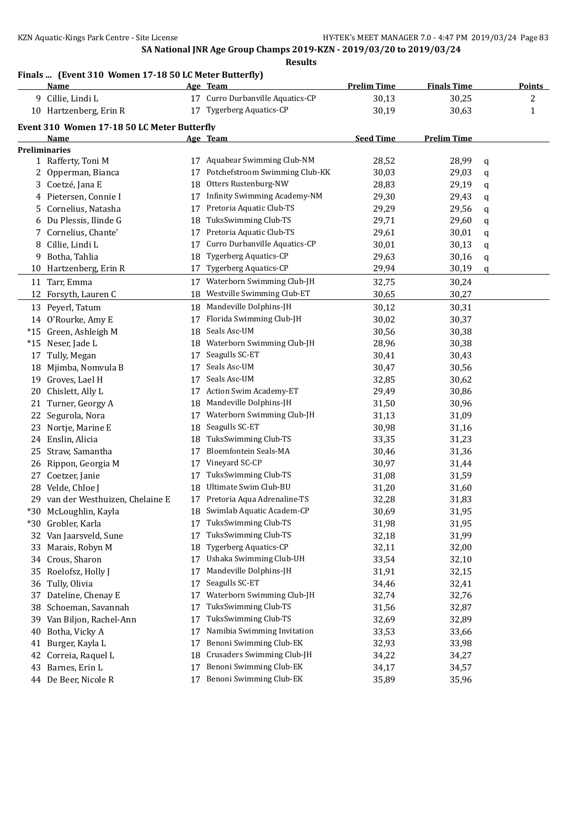### **Finals ... (Event 310 Women 17-18 50 LC Meter Butterfly)**

|     | <b>Name</b>                                 |    | Age Team                         | <b>Prelim Time</b> | <b>Finals Time</b> |   | <b>Points</b>           |
|-----|---------------------------------------------|----|----------------------------------|--------------------|--------------------|---|-------------------------|
|     | 9 Cillie, Lindi L                           |    | 17 Curro Durbanville Aquatics-CP | 30,13              | 30,25              |   | $\overline{\mathbf{c}}$ |
|     | 10 Hartzenberg, Erin R                      |    | 17 Tygerberg Aquatics-CP         | 30,19              | 30,63              |   | 1                       |
|     | Event 310 Women 17-18 50 LC Meter Butterfly |    |                                  |                    |                    |   |                         |
|     | Name                                        |    | Age Team                         | <b>Seed Time</b>   | <b>Prelim Time</b> |   |                         |
|     | Preliminaries                               |    |                                  |                    |                    |   |                         |
|     | 1 Rafferty, Toni M                          |    | 17 Aquabear Swimming Club-NM     | 28,52              | 28,99              | q |                         |
|     | 2 Opperman, Bianca                          | 17 | Potchefstroom Swimming Club-KK   | 30,03              | 29,03              | q |                         |
|     | 3 Coetzé, Jana E                            | 18 | Otters Rustenburg-NW             | 28,83              | 29,19              | q |                         |
|     | 4 Pietersen, Connie I                       | 17 | Infinity Swimming Academy-NM     | 29,30              | 29,43              | q |                         |
| 5.  | Cornelius, Natasha                          | 17 | Pretoria Aquatic Club-TS         | 29,29              | 29,56              | q |                         |
|     | 6 Du Plessis, Ilinde G                      | 18 | TuksSwimming Club-TS             | 29,71              | 29,60              | q |                         |
| 7   | Cornelius, Chante'                          | 17 | Pretoria Aquatic Club-TS         | 29,61              | 30,01              | q |                         |
| 8   | Cillie, Lindi L                             | 17 | Curro Durbanville Aquatics-CP    | 30,01              | 30,13              | q |                         |
| 9   | Botha, Tahlia                               | 18 | <b>Tygerberg Aquatics-CP</b>     | 29,63              | 30,16              | q |                         |
|     | 10 Hartzenberg, Erin R                      | 17 | <b>Tygerberg Aquatics-CP</b>     | 29,94              | 30,19              | q |                         |
|     | 11 Tarr, Emma                               | 17 | Waterborn Swimming Club-JH       | 32,75              | 30,24              |   |                         |
| 12  | Forsyth, Lauren C                           | 18 | Westville Swimming Club-ET       | 30,65              | 30,27              |   |                         |
|     | 13 Peyerl, Tatum                            | 18 | Mandeville Dolphins-JH           | 30,12              | 30,31              |   |                         |
|     | 14 O'Rourke, Amy E                          | 17 | Florida Swimming Club-JH         | 30,02              | 30,37              |   |                         |
|     | *15 Green, Ashleigh M                       | 18 | Seals Asc-UM                     | 30,56              | 30,38              |   |                         |
|     | *15 Neser, Jade L                           | 18 | Waterborn Swimming Club-JH       | 28,96              | 30,38              |   |                         |
|     | 17 Tully, Megan                             | 17 | Seagulls SC-ET                   | 30,41              | 30,43              |   |                         |
|     | 18 Mjimba, Nomvula B                        | 17 | Seals Asc-UM                     | 30,47              | 30,56              |   |                         |
|     | 19 Groves, Lael H                           | 17 | Seals Asc-UM                     | 32,85              | 30,62              |   |                         |
|     | 20 Chislett, Ally L                         | 17 | Action Swim Academy-ET           | 29,49              | 30,86              |   |                         |
|     | 21 Turner, Georgy A                         | 18 | Mandeville Dolphins-JH           | 31,50              | 30,96              |   |                         |
| 22  | Segurola, Nora                              | 17 | Waterborn Swimming Club-JH       | 31,13              | 31,09              |   |                         |
| 23  | Nortje, Marine E                            | 18 | Seagulls SC-ET                   | 30,98              | 31,16              |   |                         |
|     | 24 Enslin, Alicia                           | 18 | TuksSwimming Club-TS             | 33,35              | 31,23              |   |                         |
| 25  | Straw, Samantha                             | 17 | <b>Bloemfontein Seals-MA</b>     | 30,46              | 31,36              |   |                         |
|     | 26 Rippon, Georgia M                        | 17 | Vineyard SC-CP                   | 30,97              | 31,44              |   |                         |
| 27  | Coetzer, Janie                              | 17 | TuksSwimming Club-TS             | 31,08              | 31,59              |   |                         |
|     | 28 Velde, Chloe J                           | 18 | Ultimate Swim Club-BU            | 31,20              | 31,60              |   |                         |
|     | 29 van der Westhuizen, Chelaine E           |    | 17 Pretoria Aqua Adrenaline-TS   | 32,28              | 31,83              |   |                         |
|     | *30 McLoughlin, Kayla                       |    | 18 Swimlab Aquatic Academ-CP     | 30,69              | 31,95              |   |                         |
| *30 | Grobler, Karla                              |    | TuksSwimming Club-TS             | 31,98              | 31,95              |   |                         |
|     | 32 Van Jaarsveld, Sune                      | 17 | TuksSwimming Club-TS             | 32,18              | 31,99              |   |                         |
|     | 33 Marais, Robyn M                          | 18 | <b>Tygerberg Aquatics-CP</b>     | 32,11              | 32,00              |   |                         |
| 34  | Crous, Sharon                               | 17 | Ushaka Swimming Club-UH          | 33,54              | 32,10              |   |                         |
| 35  | Roelofsz, Holly J                           | 17 | Mandeville Dolphins-JH           | 31,91              | 32,15              |   |                         |
| 36  | Tully, Olivia                               | 17 | Seagulls SC-ET                   | 34,46              | 32,41              |   |                         |
| 37  | Dateline, Chenay E                          | 17 | Waterborn Swimming Club-JH       | 32,74              | 32,76              |   |                         |
| 38  | Schoeman, Savannah                          | 17 | TuksSwimming Club-TS             | 31,56              | 32,87              |   |                         |
| 39  | Van Biljon, Rachel-Ann                      | 17 | TuksSwimming Club-TS             | 32,69              | 32,89              |   |                         |
| 40  | Botha, Vicky A                              | 17 | Namibia Swimming Invitation      | 33,53              | 33,66              |   |                         |
| 41  | Burger, Kayla L                             | 17 | Benoni Swimming Club-EK          | 32,93              | 33,98              |   |                         |
| 42  | Correia, Raquel L                           | 18 | Crusaders Swimming Club-JH       | 34,22              | 34,27              |   |                         |
| 43  | Barnes, Erin L                              | 17 | Benoni Swimming Club-EK          | 34,17              | 34,57              |   |                         |
|     | 44 De Beer, Nicole R                        | 17 | Benoni Swimming Club-EK          | 35,89              | 35,96              |   |                         |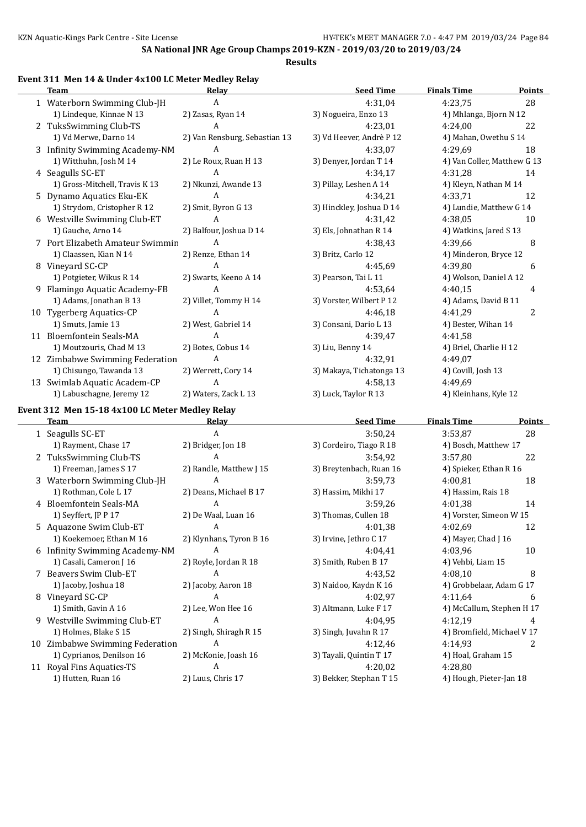#### **Results**

#### **Event 311 Men 14 & Under 4x100 LC Meter Medley Relay**

|    | <b>Team</b>                      | Relay                         | <b>Seed Time</b>         | <b>Finals Time</b>          | <b>Points</b> |
|----|----------------------------------|-------------------------------|--------------------------|-----------------------------|---------------|
|    | 1 Waterborn Swimming Club-JH     | A                             | 4:31,04                  | 4:23,75                     | 28            |
|    | 1) Lindeque, Kinnae N 13         | 2) Zasas, Ryan 14             | 3) Nogueira, Enzo 13     | 4) Mhlanga, Bjorn N 12      |               |
|    | 2 TuksSwimming Club-TS           | A                             | 4:23,01                  | 4:24,00                     | 22            |
|    | 1) Vd Merwe, Darno 14            | 2) Van Rensburg, Sebastian 13 | 3) Vd Heever, Andrè P 12 | 4) Mahan, Owethu S 14       |               |
|    | 3 Infinity Swimming Academy-NM   | A                             | 4:33.07                  | 4:29.69                     | 18            |
|    | 1) Witthuhn, Josh M 14           | 2) Le Roux, Ruan H 13         | 3) Denyer, Jordan T 14   | 4) Van Coller, Matthew G 13 |               |
|    | 4 Seagulls SC-ET                 | A                             | 4:34,17                  | 4:31,28                     | 14            |
|    | 1) Gross-Mitchell, Travis K 13   | 2) Nkunzi, Awande 13          | 3) Pillay, Leshen A 14   | 4) Kleyn, Nathan M 14       |               |
|    | 5 Dynamo Aquatics Eku-EK         | A                             | 4:34,21                  | 4:33,71                     | 12            |
|    | 1) Strydom, Cristopher R 12      | 2) Smit, Byron G 13           | 3) Hinckley, Joshua D 14 | 4) Lundie, Matthew G 14     |               |
|    | 6 Westville Swimming Club-ET     | A                             | 4:31,42                  | 4:38.05                     | 10            |
|    | 1) Gauche, Arno 14               | 2) Balfour, Joshua D 14       | 3) Els, Johnathan R 14   | 4) Watkins, Jared S 13      |               |
|    | 7 Port Elizabeth Amateur Swimmin | A                             | 4:38,43                  | 4:39.66                     | 8             |
|    | 1) Claassen, Kian N 14           | 2) Renze, Ethan 14            | 3) Britz, Carlo 12       | 4) Minderon, Bryce 12       |               |
| 8  | Vineyard SC-CP                   | A                             | 4:45.69                  | 4:39.80                     | 6             |
|    | 1) Potgieter, Wikus R 14         | 2) Swarts, Keeno A 14         | 3) Pearson, Tai L 11     | 4) Wolson, Daniel A 12      |               |
|    | 9 Flamingo Aquatic Academy-FB    | A                             | 4:53,64                  | 4:40.15                     | 4             |
|    | 1) Adams, Jonathan B 13          | 2) Villet, Tommy H 14         | 3) Vorster, Wilbert P 12 | 4) Adams, David B 11        |               |
| 10 | <b>Tygerberg Aquatics-CP</b>     | A                             | 4:46.18                  | 4:41,29                     | 2             |
|    | 1) Smuts, Jamie 13               | 2) West, Gabriel 14           | 3) Consani, Dario L 13   | 4) Bester, Wihan 14         |               |
|    | 11 Bloemfontein Seals-MA         | A                             | 4:39,47                  | 4:41,58                     |               |
|    | 1) Moutzouris, Chad M 13         | 2) Botes, Cobus 14            | 3) Liu, Benny 14         | 4) Briel, Charlie H 12      |               |
|    | 12 Zimbabwe Swimming Federation  | A                             | 4:32,91                  | 4:49.07                     |               |
|    | 1) Chisungo, Tawanda 13          | 2) Werrett, Cory 14           | 3) Makaya, Tichatonga 13 | 4) Covill, Josh 13          |               |
|    | 13 Swimlab Aquatic Academ-CP     | A                             | 4:58,13                  | 4:49.69                     |               |
|    | 1) Labuschagne, Jeremy 12        | 2) Waters, Zack L 13          | 3) Luck, Taylor R 13     | 4) Kleinhans, Kyle 12       |               |

# **Event 312 Men 15-18 4x100 LC Meter Medley Relay**

|    | <b>Team</b>                     | Relay                   | <b>Seed Time</b>        | <b>Finals Time</b>         | <b>Points</b> |  |
|----|---------------------------------|-------------------------|-------------------------|----------------------------|---------------|--|
|    | 1 Seagulls SC-ET                | A                       | 3:50,24                 | 3:53,87                    | 28            |  |
|    | 1) Rayment, Chase 17            | 2) Bridger, Jon 18      | 3) Cordeiro, Tiago R 18 | 4) Bosch, Matthew 17       |               |  |
|    | 2 TuksSwimming Club-TS          | A                       | 3:54,92                 | 3:57,80                    | 22            |  |
|    | 1) Freeman, James S 17          | 2) Randle, Matthew J 15 | 3) Breytenbach, Ruan 16 | 4) Spieker, Ethan R 16     |               |  |
|    | 3 Waterborn Swimming Club-JH    | A                       | 3:59,73                 | 4:00.81                    | 18            |  |
|    | 1) Rothman, Cole L 17           | 2) Deans, Michael B 17  | 3) Hassim, Mikhi 17     | 4) Hassim, Rais 18         |               |  |
|    | 4 Bloemfontein Seals-MA         | A                       | 3:59,26                 | 4:01.38                    | 14            |  |
|    | 1) Seyffert, JP P 17            | 2) De Waal, Luan 16     | 3) Thomas, Cullen 18    | 4) Vorster, Simeon W 15    |               |  |
|    | 5 Aquazone Swim Club-ET         | A                       | 4:01.38                 | 4:02,69                    | 12            |  |
|    | 1) Koekemoer, Ethan M 16        | 2) Klynhans, Tyron B 16 | 3) Irvine, Jethro C 17  | 4) Mayer, Chad $\vert$ 16  |               |  |
|    | 6 Infinity Swimming Academy-NM  | A                       | 4:04.41                 | 4:03.96                    | 10            |  |
|    | 1) Casali, Cameron J 16         | 2) Royle, Jordan R 18   | 3) Smith, Ruben B 17    | 4) Vehbi, Liam 15          |               |  |
|    | 7 Beavers Swim Club-ET          | A                       | 4:43.52                 | 4:08.10                    | 8             |  |
|    | 1) Jacoby, Joshua 18            | 2) Jacoby, Aaron 18     | 3) Naidoo, Kaydn K 16   | 4) Grobbelaar, Adam G 17   |               |  |
|    | 8 Vineyard SC-CP                | A                       | 4:02,97                 | 4:11,64                    | 6             |  |
|    | 1) Smith, Gavin A 16            | 2) Lee, Won Hee 16      | 3) Altmann, Luke F 17   | 4) McCallum, Stephen H 17  |               |  |
|    | Westville Swimming Club-ET      | A                       | 4:04.95                 | 4:12,19                    | 4             |  |
|    | 1) Holmes, Blake S 15           | 2) Singh, Shiragh R 15  | 3) Singh, Juvahn R 17   | 4) Bromfield, Michael V 17 |               |  |
|    | 10 Zimbabwe Swimming Federation | A                       | 4:12,46                 | 4:14,93                    | 2             |  |
|    | 1) Cyprianos, Denilson 16       | 2) McKonie, Joash 16    | 3) Tayali, Quintin T 17 | 4) Hoal, Graham 15         |               |  |
| 11 | Royal Fins Aquatics-TS          | A                       | 4:20,02                 | 4:28,80                    |               |  |
|    | 1) Hutten, Ruan 16              | 2) Luus, Chris 17       | 3) Bekker, Stephan T 15 | 4) Hough, Pieter-Jan 18    |               |  |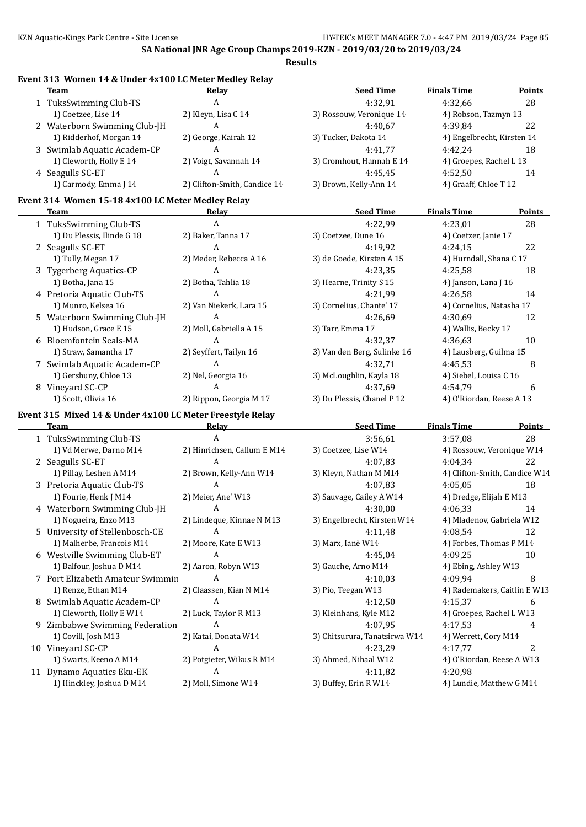**Results**

1 TuksSwimming Club-TS A 4:32,91 4:32,66 28

| 1) Coetzee, Lise 14                                       | 2) Kleyn, Lisa C 14          | 3) Rossouw, Veronique 14      | 4) Robson, Tazmyn 13          |               |
|-----------------------------------------------------------|------------------------------|-------------------------------|-------------------------------|---------------|
| 2 Waterborn Swimming Club-JH                              | А                            | 4:40,67                       | 4:39,84                       | 22            |
| 1) Ridderhof, Morgan 14                                   | 2) George, Kairah 12         | 3) Tucker, Dakota 14          | 4) Engelbrecht, Kirsten 14    |               |
| 3 Swimlab Aquatic Academ-CP                               | A                            | 4:41,77                       | 4:42,24                       | 18            |
| 1) Cleworth, Holly E 14                                   | 2) Voigt, Savannah 14        | 3) Cromhout, Hannah E 14      | 4) Groepes, Rachel L 13       |               |
| 4 Seagulls SC-ET                                          | A                            | 4:45,45                       | 4:52,50                       | 14            |
| 1) Carmody, Emma J 14                                     | 2) Clifton-Smith, Candice 14 | 3) Brown, Kelly-Ann 14        | 4) Graaff, Chloe T 12         |               |
| Event 314 Women 15-18 4x100 LC Meter Medley Relay         |                              |                               |                               |               |
| Team                                                      | Relay                        | <b>Seed Time</b>              | <b>Finals Time</b>            | <b>Points</b> |
| 1 TuksSwimming Club-TS                                    | A                            | 4:22,99                       | 4:23,01                       | 28            |
| 1) Du Plessis, Ilinde G 18                                | 2) Baker, Tanna 17           | 3) Coetzee, Dune 16           | 4) Coetzer, Janie 17          |               |
| 2 Seagulls SC-ET                                          | A                            | 4:19,92                       | 4:24,15                       | 22            |
| 1) Tully, Megan 17                                        | 2) Meder, Rebecca A 16       | 3) de Goede, Kirsten A 15     | 4) Hurndall, Shana C 17       |               |
| 3 Tygerberg Aquatics-CP                                   | A                            | 4:23,35                       | 4:25,58                       | 18            |
| 1) Botha, Jana 15                                         | 2) Botha, Tahlia 18          | 3) Hearne, Trinity S 15       | 4) Janson, Lana J 16          |               |
| 4 Pretoria Aquatic Club-TS                                | A                            | 4:21,99                       | 4:26,58                       | 14            |
| 1) Munro, Kelsea 16                                       | 2) Van Niekerk, Lara 15      | 3) Cornelius, Chante' 17      | 4) Cornelius, Natasha 17      |               |
| 5 Waterborn Swimming Club-JH                              | A                            | 4:26.69                       | 4:30.69                       | 12            |
| 1) Hudson, Grace E 15                                     | 2) Moll, Gabriella A 15      | 3) Tarr, Emma 17              | 4) Wallis, Becky 17           |               |
| 6 Bloemfontein Seals-MA                                   | A                            | 4:32,37                       | 4:36,63                       | 10            |
| 1) Straw, Samantha 17                                     | 2) Seyffert, Tailyn 16       | 3) Van den Berg, Sulinke 16   | 4) Lausberg, Guilma 15        |               |
| 7 Swimlab Aquatic Academ-CP                               | A                            | 4:32,71                       | 4:45,53                       | 8             |
| 1) Gershuny, Chloe 13                                     | 2) Nel, Georgia 16           | 3) McLoughlin, Kayla 18       | 4) Siebel, Louisa C 16        |               |
| 8 Vineyard SC-CP                                          | A                            | 4:37,69                       | 4:54,79                       | 6             |
| 1) Scott, Olivia 16                                       | 2) Rippon, Georgia M 17      | 3) Du Plessis, Chanel P 12    | 4) O'Riordan, Reese A 13      |               |
|                                                           |                              |                               |                               |               |
|                                                           |                              |                               |                               |               |
| Event 315 Mixed 14 & Under 4x100 LC Meter Freestyle Relay |                              |                               |                               |               |
| Team                                                      | Relay                        | <b>Seed Time</b>              | <b>Finals Time</b>            | <b>Points</b> |
| 1 TuksSwimming Club-TS                                    | A                            | 3:56,61                       | 3:57,08                       | 28            |
| 1) Vd Merwe, Darno M14                                    | 2) Hinrichsen, Callum E M14  | 3) Coetzee, Lise W14          | 4) Rossouw, Veronique W14     |               |
| 2 Seagulls SC-ET                                          | A                            | 4:07,83                       | 4:04,34                       | 22            |
| 1) Pillay, Leshen A M14                                   | 2) Brown, Kelly-Ann W14      | 3) Kleyn, Nathan M M14        | 4) Clifton-Smith, Candice W14 |               |
| 3 Pretoria Aquatic Club-TS                                | A                            | 4:07,83                       | 4:05,05                       | 18            |
| 1) Fourie, Henk J M14                                     | 2) Meier, Ane' W13           | 3) Sauvage, Cailey A W14      | 4) Dredge, Elijah E M13       |               |
| 4 Waterborn Swimming Club-JH                              | A                            | 4:30,00                       | 4:06,33                       | 14            |
| 1) Nogueira, Enzo M13                                     | 2) Lindeque, Kinnae N M13    | 3) Engelbrecht, Kirsten W14   | 4) Mladenov, Gabriela W12     |               |
| 5 University of Stellenbosch-CE                           | А                            | 4:11,48                       | 4:08,54                       | 12            |
| 1) Malherbe, Francois M14                                 | 2) Moore, Kate E W13         | 3) Marx, Ianè W14             | 4) Forbes, Thomas P M14       |               |
| 6 Westville Swimming Club-ET                              | A                            | 4:45,04                       | 4:09,25                       | $10\,$        |
| 1) Balfour, Joshua D M14                                  | 2) Aaron, Robyn W13          | 3) Gauche, Arno M14           | 4) Ebing, Ashley W13          |               |
| 7 Port Elizabeth Amateur Swimmin                          | A                            | 4:10,03                       | 4:09,94                       | 8             |
| 1) Renze, Ethan M14                                       | 2) Claassen, Kian N M14      | 3) Pio, Teegan W13            | 4) Rademakers, Caitlin E W13  |               |
| 8 Swimlab Aquatic Academ-CP                               | A                            | 4:12,50                       | 4:15,37                       | 6             |
| 1) Cleworth, Holly E W14                                  | 2) Luck, Taylor R M13        | 3) Kleinhans, Kyle M12        | 4) Groepes, Rachel L W13      |               |
| 9 Zimbabwe Swimming Federation                            | A                            | 4:07,95                       | 4:17,53                       | 4             |
| 1) Covill, Josh M13                                       | 2) Katai, Donata W14         | 3) Chitsurura, Tanatsirwa W14 | 4) Werrett, Cory M14          |               |
| 10 Vineyard SC-CP                                         | A                            | 4:23,29                       | 4:17,77                       | 2             |
| 1) Swarts, Keeno A M14                                    | 2) Potgieter, Wikus R M14    | 3) Ahmed, Nihaal W12          | 4) O'Riordan, Reese A W13     |               |
| 11 Dynamo Aquatics Eku-EK                                 | A                            | 4:11,82                       | 4:20.98                       |               |

#### **Event 313 Women 14 & Under 4x100 LC Meter Medley Relay Team Relay Seed Time Finals Time Points**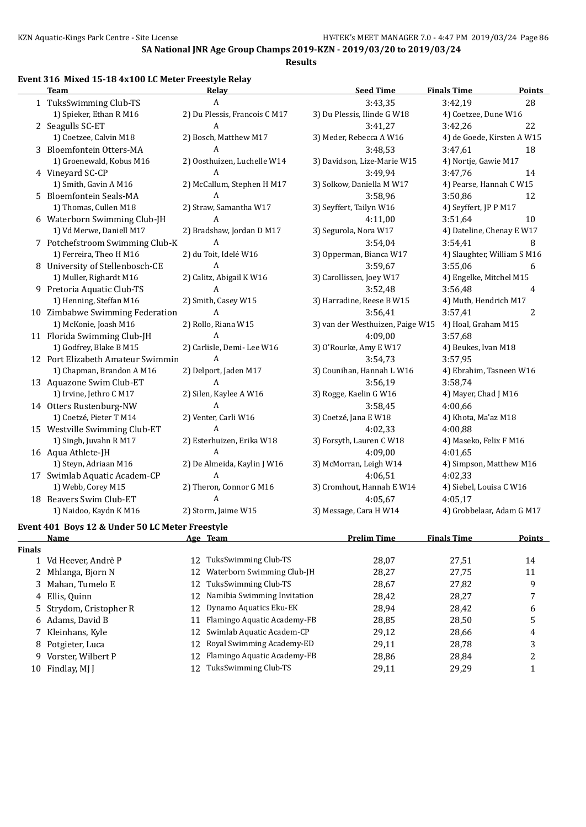**Results**

#### **Event 316 Mixed 15-18 4x100 LC Meter Freestyle Relay**

|               | <b>Team</b>                                     | <b>Relay</b>                      | <b>Seed Time</b>                 | <b>Finals Time</b>          | <b>Points</b>  |
|---------------|-------------------------------------------------|-----------------------------------|----------------------------------|-----------------------------|----------------|
|               | 1 TuksSwimming Club-TS                          | A                                 | 3:43,35                          | 3:42,19                     | 28             |
|               | 1) Spieker, Ethan R M16                         | 2) Du Plessis, Francois C M17     | 3) Du Plessis, Ilinde G W18      | 4) Coetzee, Dune W16        |                |
|               | 2 Seagulls SC-ET                                | A                                 | 3:41,27                          | 3:42,26                     | 22             |
|               | 1) Coetzee, Calvin M18                          | 2) Bosch, Matthew M17             | 3) Meder, Rebecca A W16          | 4) de Goede, Kirsten A W15  |                |
|               | 3 Bloemfontein Otters-MA                        | A                                 | 3:48,53                          | 3:47,61                     | 18             |
|               | 1) Groenewald, Kobus M16                        | 2) Oosthuizen, Luchelle W14       | 3) Davidson, Lize-Marie W15      | 4) Nortje, Gawie M17        |                |
|               | 4 Vineyard SC-CP                                | A                                 | 3:49,94                          | 3:47,76                     | 14             |
|               | 1) Smith, Gavin A M16                           | 2) McCallum, Stephen H M17        | 3) Solkow, Daniella M W17        | 4) Pearse, Hannah C W15     |                |
|               | 5 Bloemfontein Seals-MA                         | A                                 | 3:58,96                          | 3:50,86                     | 12             |
|               | 1) Thomas, Cullen M18                           | 2) Straw, Samantha W17            | 3) Seyffert, Tailyn W16          | 4) Seyffert, JP P M17       |                |
|               | 6 Waterborn Swimming Club-JH                    | A                                 | 4:11,00                          | 3:51,64                     | 10             |
|               | 1) Vd Merwe, Daniell M17                        | 2) Bradshaw, Jordan D M17         | 3) Segurola, Nora W17            | 4) Dateline, Chenay E W17   |                |
|               | 7 Potchefstroom Swimming Club-K                 | A                                 | 3:54,04                          | 3:54,41                     | 8              |
|               | 1) Ferreira, Theo H M16                         | 2) du Toit, Idelé W16             | 3) Opperman, Bianca W17          | 4) Slaughter, William S M16 |                |
|               | 8 University of Stellenbosch-CE                 | A                                 | 3:59,67                          | 3:55,06                     | 6              |
|               | 1) Muller, Righardt M16                         | 2) Calitz, Abigail K W16          | 3) Carollissen, Joey W17         | 4) Engelke, Mitchel M15     |                |
|               | 9 Pretoria Aquatic Club-TS                      | A                                 | 3:52,48                          | 3:56,48                     | 4              |
|               | 1) Henning, Steffan M16                         | 2) Smith, Casey W15               | 3) Harradine, Reese B W15        | 4) Muth, Hendrich M17       |                |
|               | 10 Zimbabwe Swimming Federation                 | A                                 | 3:56,41                          | 3:57,41                     | 2              |
|               | 1) McKonie, Joash M16                           | 2) Rollo, Riana W15               | 3) van der Westhuizen, Paige W15 | 4) Hoal, Graham M15         |                |
|               | 11 Florida Swimming Club-JH                     | A                                 | 4:09,00                          | 3:57,68                     |                |
|               | 1) Godfrey, Blake B M15                         | 2) Carlisle, Demi-Lee W16         | 3) O'Rourke, Amy E W17           | 4) Beukes, Ivan M18         |                |
|               | 12 Port Elizabeth Amateur Swimmin               | A                                 | 3:54,73                          | 3:57,95                     |                |
|               | 1) Chapman, Brandon A M16                       | 2) Delport, Jaden M17             | 3) Counihan, Hannah L W16        | 4) Ebrahim, Tasneen W16     |                |
|               | 13 Aquazone Swim Club-ET                        | A                                 | 3:56,19                          | 3:58,74                     |                |
|               | 1) Irvine, Jethro C M17                         | 2) Silen, Kaylee A W16            | 3) Rogge, Kaelin G W16           | 4) Mayer, Chad J M16        |                |
|               | 14 Otters Rustenburg-NW                         | A                                 | 3:58,45                          | 4:00,66                     |                |
|               | 1) Coetzé, Pieter T M14                         | 2) Venter, Carli W16              | 3) Coetzé, Jana E W18            | 4) Khota, Ma'az M18         |                |
|               | 15 Westville Swimming Club-ET                   | A                                 | 4:02,33                          | 4:00,88                     |                |
|               | 1) Singh, Juvahn R M17                          | 2) Esterhuizen, Erika W18         | 3) Forsyth, Lauren C W18         | 4) Maseko, Felix F M16      |                |
|               | 16 Aqua Athlete-JH                              | A                                 | 4:09,00                          | 4:01.65                     |                |
|               | 1) Steyn, Adriaan M16                           | 2) De Almeida, Kaylin J W16       | 3) McMorran, Leigh W14           | 4) Simpson, Matthew M16     |                |
|               | 17 Swimlab Aquatic Academ-CP                    | A                                 | 4:06,51                          | 4:02,33                     |                |
|               | 1) Webb, Corey M15                              | 2) Theron, Connor G M16           | 3) Cromhout, Hannah E W14        | 4) Siebel, Louisa C W16     |                |
|               | 18 Beavers Swim Club-ET                         | A                                 | 4:05,67                          | 4:05.17                     |                |
|               | 1) Naidoo, Kaydn K M16                          | 2) Storm, Jaime W15               | 3) Message, Cara H W14           | 4) Grobbelaar, Adam G M17   |                |
|               | Event 401 Boys 12 & Under 50 LC Meter Freestyle |                                   |                                  |                             |                |
|               | <u>Name</u>                                     | Age Team                          | <b>Prelim Time</b>               | <b>Finals Time</b>          | <b>Points</b>  |
| <b>Finals</b> |                                                 |                                   |                                  |                             |                |
|               | 1 Vd Heever, Andrè P                            | TuksSwimming Club-TS<br>12        | 28,07                            | 27,51                       | 14             |
|               | 2 Mhlanga, Bjorn N                              | Waterborn Swimming Club-JH<br>12  | 28,27                            | 27,75                       | 11             |
|               | 3 Mahan, Tumelo E                               | TuksSwimming Club-TS<br>12        | 28,67                            | 27,82                       | 9              |
|               | 4 Ellis, Quinn                                  | Namibia Swimming Invitation<br>12 | 28,42                            | 28,27                       | 7              |
|               | 5 Strydom, Cristopher R                         | Dynamo Aquatics Eku-EK<br>12      | 28,94                            | 28,42                       | 6              |
|               | 6 Adams, David B                                | Flamingo Aquatic Academy-FB<br>11 | 28,85                            | 28,50                       | 5              |
|               | 7 Kleinhans, Kyle                               | 12 Swimlab Aquatic Academ-CP      | 29,12                            | 28,66                       | $\overline{4}$ |

- 8 Potgieter, Luca **12 Royal Swimming Academy-ED** 29,11 28,78 3
- 
- 
- 9 Vorster, Wilbert P 12 Flamingo Aquatic Academy-FB 28,86 28,84 2 10 Findlay, MJ J 12 TuksSwimming Club-TS 29,11 29,29 1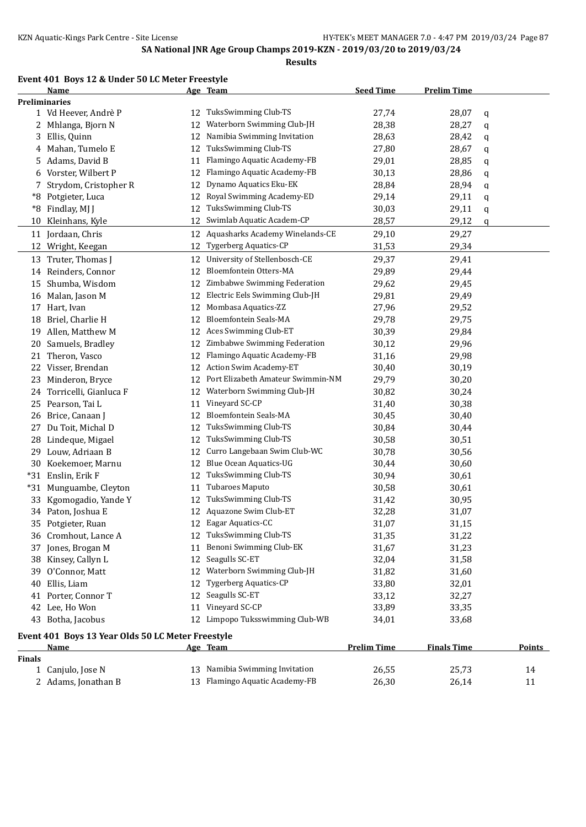#### **Event 401 Boys 12 & Under 50 LC Meter Freestyle**

|               | Name                                                             |    | Age Team                                            | <b>Seed Time</b>   | <b>Prelim Time</b> |        |
|---------------|------------------------------------------------------------------|----|-----------------------------------------------------|--------------------|--------------------|--------|
|               | <b>Preliminaries</b>                                             |    |                                                     |                    |                    |        |
|               | 1 Vd Heever, Andrè P                                             |    | 12 TuksSwimming Club-TS                             | 27,74              | 28,07              | q      |
|               | 2 Mhlanga, Bjorn N                                               | 12 | Waterborn Swimming Club-JH                          | 28,38              | 28,27              | q      |
| 3             | Ellis, Quinn                                                     | 12 | Namibia Swimming Invitation                         | 28,63              | 28,42              | q      |
| 4             | Mahan, Tumelo E                                                  | 12 | TuksSwimming Club-TS                                | 27,80              | 28,67              | q      |
| 5.            | Adams, David B                                                   | 11 | Flamingo Aquatic Academy-FB                         | 29,01              | 28,85              | q      |
| 6             | Vorster, Wilbert P                                               | 12 | Flamingo Aquatic Academy-FB                         | 30,13              | 28,86              | q      |
| 7             | Strydom, Cristopher R                                            | 12 | Dynamo Aquatics Eku-EK                              | 28,84              | 28,94              | q      |
| *8            | Potgieter, Luca                                                  | 12 | Royal Swimming Academy-ED                           | 29,14              | 29,11              | q      |
| *8            | Findlay, MJ J                                                    | 12 | TuksSwimming Club-TS                                | 30,03              | 29,11              | q      |
| 10            | Kleinhans, Kyle                                                  | 12 | Swimlab Aquatic Academ-CP                           | 28,57              | 29,12              | q      |
| 11            | Jordaan, Chris                                                   | 12 | Aquasharks Academy Winelands-CE                     | 29,10              | 29,27              |        |
| 12            | Wright, Keegan                                                   | 12 | Tygerberg Aquatics-CP                               | 31,53              | 29,34              |        |
|               | 13 Truter, Thomas J                                              | 12 | University of Stellenbosch-CE                       | 29,37              | 29,41              |        |
|               | 14 Reinders, Connor                                              | 12 | Bloemfontein Otters-MA                              | 29,89              | 29,44              |        |
|               | 15 Shumba, Wisdom                                                | 12 | Zimbabwe Swimming Federation                        | 29,62              |                    |        |
|               |                                                                  |    | Electric Eels Swimming Club-JH                      |                    | 29,45              |        |
| 16            | Malan, Jason M                                                   | 12 |                                                     | 29,81              | 29,49              |        |
|               | 17 Hart, Ivan                                                    | 12 | Mombasa Aquatics-ZZ<br><b>Bloemfontein Seals-MA</b> | 27,96              | 29,52              |        |
| 18            | Briel, Charlie H                                                 | 12 |                                                     | 29,78              | 29,75              |        |
| 19            | Allen, Matthew M                                                 | 12 | Aces Swimming Club-ET                               | 30,39              | 29,84              |        |
| 20            | Samuels, Bradley                                                 | 12 | Zimbabwe Swimming Federation                        | 30,12              | 29,96              |        |
| 21            | Theron, Vasco                                                    | 12 | Flamingo Aquatic Academy-FB                         | 31,16              | 29,98              |        |
| 22            | Visser, Brendan                                                  | 12 | <b>Action Swim Academy-ET</b>                       | 30,40              | 30,19              |        |
| 23            | Minderon, Bryce                                                  | 12 | Port Elizabeth Amateur Swimmin-NM                   | 29,79              | 30,20              |        |
| 24            | Torricelli, Gianluca F                                           | 12 | Waterborn Swimming Club-JH                          | 30,82              | 30,24              |        |
| 25            | Pearson, Tai L                                                   | 11 | Vineyard SC-CP                                      | 31,40              | 30,38              |        |
| 26            | Brice, Canaan J                                                  | 12 | Bloemfontein Seals-MA                               | 30,45              | 30,40              |        |
| 27            | Du Toit, Michal D                                                | 12 | TuksSwimming Club-TS                                | 30,84              | 30,44              |        |
| 28            | Lindeque, Migael                                                 | 12 | TuksSwimming Club-TS                                | 30,58              | 30,51              |        |
|               | 29 Louw, Adriaan B                                               | 12 | Curro Langebaan Swim Club-WC                        | 30,78              | 30,56              |        |
|               | 30 Koekemoer, Marnu                                              | 12 | Blue Ocean Aquatics-UG                              | 30,44              | 30,60              |        |
| $*31$         | Enslin, Erik F                                                   | 12 | TuksSwimming Club-TS                                | 30,94              | 30,61              |        |
| $*31$         | Munguambe, Cleyton                                               | 11 | <b>Tubaroes Maputo</b>                              | 30,58              | 30,61              |        |
| 33            | Kgomogadio, Yande Y                                              | 12 | TuksSwimming Club-TS                                | 31,42              | 30,95              |        |
|               | 34 Paton, Joshua E                                               | 12 | Aquazone Swim Club-ET                               | 32,28              | 31,07              |        |
|               | 35 Potgieter, Ruan                                               |    | 12 Eagar Aquatics-CC                                | 31,07              | 31,15              |        |
|               | 36 Cromhout, Lance A                                             |    | 12 TuksSwimming Club-TS                             | 31,35              | 31,22              |        |
|               | 37 Jones, Brogan M                                               | 11 | Benoni Swimming Club-EK                             | 31,67              | 31,23              |        |
|               | 38 Kinsey, Callyn L                                              | 12 | Seagulls SC-ET                                      | 32,04              | 31,58              |        |
| 39            | O'Connor, Matt                                                   | 12 | Waterborn Swimming Club-JH                          | 31,82              | 31,60              |        |
| 40            | Ellis, Liam                                                      | 12 | Tygerberg Aquatics-CP                               | 33,80              | 32,01              |        |
|               | 41 Porter, Connor T                                              | 12 | Seagulls SC-ET                                      | 33,12              | 32,27              |        |
|               | 42 Lee, Ho Won                                                   | 11 | Vineyard SC-CP                                      | 33,89              | 33,35              |        |
|               | 43 Botha, Jacobus                                                |    | 12 Limpopo Tuksswimming Club-WB                     | 34,01              | 33,68              |        |
|               |                                                                  |    |                                                     |                    |                    |        |
|               | Event 401 Boys 13 Year Olds 50 LC Meter Freestyle<br><u>Name</u> |    | Age Team                                            | <b>Prelim Time</b> | <b>Finals Time</b> | Points |
| <b>Finals</b> |                                                                  |    |                                                     |                    |                    |        |
|               | 1 Canjulo, Jose N                                                | 13 | Namibia Swimming Invitation                         | 26,55              | 25,73              | 14     |
|               | 2 Adams, Jonathan B                                              |    | 13 Flamingo Aquatic Academy-FB                      | 26,30              | 26,14              | 11     |
|               |                                                                  |    |                                                     |                    |                    |        |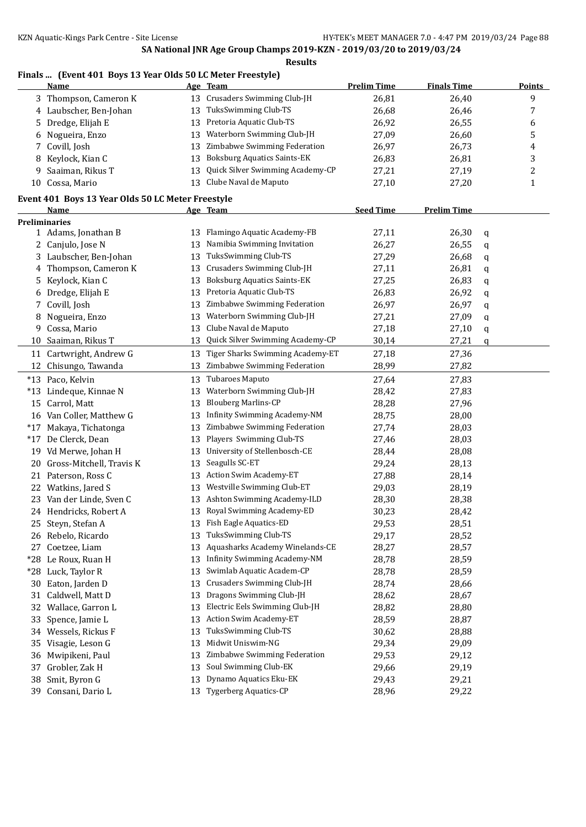### **Finals ... (Event 401 Boys 13 Year Olds 50 LC Meter Freestyle)**

|       | <b>Name</b>                                       |    | Age Team                            | <b>Prelim Time</b> | <b>Finals Time</b> |   | <b>Points</b> |
|-------|---------------------------------------------------|----|-------------------------------------|--------------------|--------------------|---|---------------|
|       | 3 Thompson, Cameron K                             | 13 | Crusaders Swimming Club-JH          | 26,81              | 26,40              |   | 9             |
|       | 4 Laubscher, Ben-Johan                            | 13 | TuksSwimming Club-TS                | 26,68              | 26,46              |   | 7             |
| 5     | Dredge, Elijah E                                  | 13 | Pretoria Aquatic Club-TS            | 26,92              | 26,55              |   | 6             |
| 6     | Nogueira, Enzo                                    | 13 | Waterborn Swimming Club-JH          | 27,09              | 26,60              |   | 5             |
| 7     | Covill, Josh                                      | 13 | Zimbabwe Swimming Federation        | 26,97              | 26,73              |   | 4             |
| 8     | Keylock, Kian C                                   | 13 | <b>Boksburg Aquatics Saints-EK</b>  | 26,83              | 26,81              |   | 3             |
| 9     | Saaiman, Rikus T                                  | 13 | Quick Silver Swimming Academy-CP    | 27,21              | 27,19              |   | 2             |
|       | 10 Cossa, Mario                                   | 13 | Clube Naval de Maputo               | 27,10              | 27,20              |   | $\mathbf{1}$  |
|       | Event 401 Boys 13 Year Olds 50 LC Meter Freestyle |    |                                     |                    |                    |   |               |
|       | Name                                              |    | Age Team                            | <b>Seed Time</b>   | <b>Prelim Time</b> |   |               |
|       | Preliminaries                                     |    |                                     |                    |                    |   |               |
|       | 1 Adams, Jonathan B                               | 13 | Flamingo Aquatic Academy-FB         | 27,11              | 26,30              | q |               |
| 2     | Canjulo, Jose N                                   | 13 | Namibia Swimming Invitation         | 26,27              | 26,55              | q |               |
| 3     | Laubscher, Ben-Johan                              | 13 | TuksSwimming Club-TS                | 27,29              | 26,68              | q |               |
| 4     | Thompson, Cameron K                               | 13 | Crusaders Swimming Club-JH          | 27,11              | 26,81              | q |               |
| 5     | Keylock, Kian C                                   | 13 | <b>Boksburg Aquatics Saints-EK</b>  | 27,25              | 26,83              | q |               |
| 6     | Dredge, Elijah E                                  | 13 | Pretoria Aquatic Club-TS            | 26,83              | 26,92              | q |               |
| 7     | Covill, Josh                                      | 13 | Zimbabwe Swimming Federation        | 26,97              | 26,97              | q |               |
| 8     | Nogueira, Enzo                                    | 13 | Waterborn Swimming Club-JH          | 27,21              | 27,09              | q |               |
| 9     | Cossa, Mario                                      | 13 | Clube Naval de Maputo               | 27,18              | 27,10              | q |               |
| 10    | Saaiman, Rikus T                                  | 13 | Quick Silver Swimming Academy-CP    | 30,14              | 27,21              | q |               |
|       | 11 Cartwright, Andrew G                           | 13 | Tiger Sharks Swimming Academy-ET    | 27,18              | 27,36              |   |               |
| 12    | Chisungo, Tawanda                                 | 13 | Zimbabwe Swimming Federation        | 28,99              | 27,82              |   |               |
|       | *13 Paco, Kelvin                                  | 13 | Tubaroes Maputo                     | 27,64              | 27,83              |   |               |
| $*13$ | Lindeque, Kinnae N                                | 13 | Waterborn Swimming Club-JH          | 28,42              | 27,83              |   |               |
|       | 15 Carrol, Matt                                   | 13 | <b>Blouberg Marlins-CP</b>          | 28,28              | 27,96              |   |               |
|       | 16 Van Coller, Matthew G                          | 13 | Infinity Swimming Academy-NM        | 28,75              | 28,00              |   |               |
| $*17$ | Makaya, Tichatonga                                | 13 | Zimbabwe Swimming Federation        | 27,74              | 28,03              |   |               |
| $*17$ | De Clerck, Dean                                   | 13 | Players Swimming Club-TS            | 27,46              | 28,03              |   |               |
|       | 19 Vd Merwe, Johan H                              | 13 | University of Stellenbosch-CE       | 28,44              | 28,08              |   |               |
|       |                                                   | 13 | Seagulls SC-ET                      | 29,24              | 28,13              |   |               |
| 20    | Gross-Mitchell, Travis K                          |    | <b>Action Swim Academy-ET</b>       | 27,88              |                    |   |               |
|       | 21 Paterson, Ross C                               | 13 | Westville Swimming Club-ET          |                    | 28,14              |   |               |
|       | 22 Watkins, Jared S                               | 13 |                                     | 29,03              | 28,19              |   |               |
|       | 23 Van der Linde, Sven C                          | 13 | Ashton Swimming Academy-ILD         | 28,30              | 28,38              |   |               |
|       | 24 Hendricks, Robert A                            | 13 | Royal Swimming Academy-ED           | 30,23              | 28,42              |   |               |
|       | 25 Steyn, Stefan A                                |    | 13 Fish Eagle Aquatics-ED           | 29,53              | 28,51              |   |               |
|       | 26 Rebelo, Ricardo                                | 13 | TuksSwimming Club-TS                | 29,17              | 28,52              |   |               |
|       | 27 Coetzee, Liam                                  | 13 | Aquasharks Academy Winelands-CE     | 28,27              | 28,57              |   |               |
|       | *28 Le Roux, Ruan H                               | 13 | <b>Infinity Swimming Academy-NM</b> | 28,78              | 28,59              |   |               |
|       | *28 Luck, Taylor R                                | 13 | Swimlab Aquatic Academ-CP           | 28,78              | 28,59              |   |               |
| 30    | Eaton, Jarden D                                   | 13 | Crusaders Swimming Club-JH          | 28,74              | 28,66              |   |               |
| 31    | Caldwell, Matt D                                  | 13 | Dragons Swimming Club-JH            | 28,62              | 28,67              |   |               |
| 32    | Wallace, Garron L                                 | 13 | Electric Eels Swimming Club-JH      | 28,82              | 28,80              |   |               |
| 33    | Spence, Jamie L                                   | 13 | <b>Action Swim Academy-ET</b>       | 28,59              | 28,87              |   |               |
| 34    | Wessels, Rickus F                                 | 13 | TuksSwimming Club-TS                | 30,62              | 28,88              |   |               |
| 35    | Visagie, Leson G                                  | 13 | Midwit Uniswim-NG                   | 29,34              | 29,09              |   |               |
| 36    | Mwipikeni, Paul                                   | 13 | Zimbabwe Swimming Federation        | 29,53              | 29,12              |   |               |
| 37    | Grobler, Zak H                                    | 13 | Soul Swimming Club-EK               | 29,66              | 29,19              |   |               |
| 38    | Smit, Byron G                                     | 13 | Dynamo Aquatics Eku-EK              | 29,43              | 29,21              |   |               |
| 39    | Consani, Dario L                                  | 13 | <b>Tygerberg Aquatics-CP</b>        | 28,96              | 29,22              |   |               |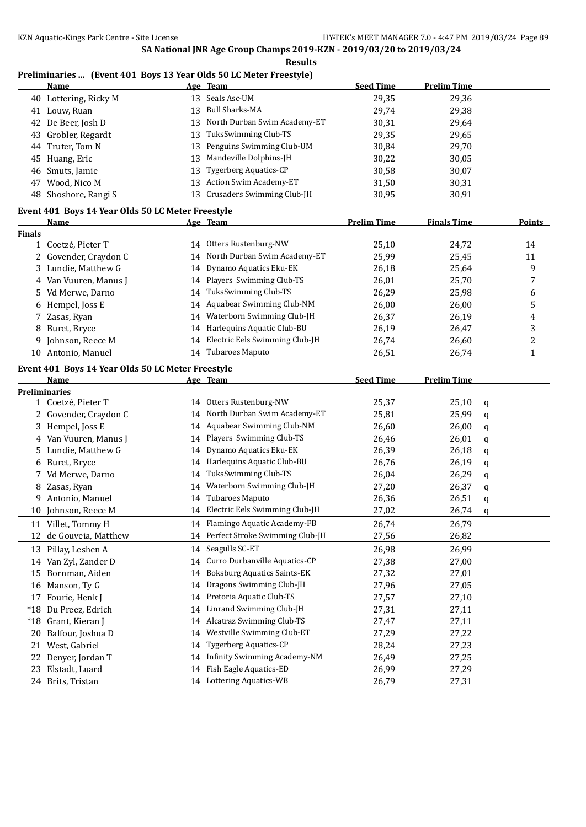#### **Results**

### **Preliminaries ... (Event 401 Boys 13 Year Olds 50 LC Meter Freestyle)**

|               | <u>Name</u>                                               |    | Age Team                            | <b>Seed Time</b>   | <b>Prelim Time</b> |   |              |
|---------------|-----------------------------------------------------------|----|-------------------------------------|--------------------|--------------------|---|--------------|
|               | 40 Lottering, Ricky M                                     | 13 | Seals Asc-UM                        | 29,35              | 29,36              |   |              |
|               | 41 Louw, Ruan                                             | 13 | <b>Bull Sharks-MA</b>               | 29,74              | 29,38              |   |              |
|               | 42 De Beer, Josh D                                        | 13 | North Durban Swim Academy-ET        | 30,31              | 29,64              |   |              |
|               | 43 Grobler, Regardt                                       | 13 | TuksSwimming Club-TS                | 29,35              | 29,65              |   |              |
| 44            | Truter, Tom N                                             | 13 | Penguins Swimming Club-UM           | 30,84              | 29,70              |   |              |
| 45            | Huang, Eric                                               | 13 | Mandeville Dolphins-JH              | 30,22              | 30,05              |   |              |
| 46            | Smuts, Jamie                                              | 13 | <b>Tygerberg Aquatics-CP</b>        | 30,58              | 30,07              |   |              |
| 47            | Wood, Nico M                                              | 13 | Action Swim Academy-ET              | 31,50              | 30,31              |   |              |
|               | 48 Shoshore, Rangi S                                      | 13 | Crusaders Swimming Club-JH          | 30,95              | 30,91              |   |              |
|               | Event 401 Boys 14 Year Olds 50 LC Meter Freestyle         |    |                                     |                    |                    |   |              |
|               | Name                                                      |    | Age Team                            | <b>Prelim Time</b> | <b>Finals Time</b> |   | Points       |
| <b>Finals</b> |                                                           |    |                                     |                    |                    |   |              |
| $\mathbf{1}$  | Coetzé, Pieter T                                          |    | 14 Otters Rustenburg-NW             | 25,10              | 24,72              |   | 14           |
|               | 2 Govender, Craydon C                                     |    | 14 North Durban Swim Academy-ET     | 25,99              | 25,45              |   | 11           |
| 3             | Lundie, Matthew G                                         |    | 14 Dynamo Aquatics Eku-EK           | 26,18              | 25,64              |   | 9            |
|               | Van Vuuren, Manus J                                       | 14 | Players Swimming Club-TS            | 26,01              | 25,70              |   | 7            |
| 5.            | Vd Merwe, Darno                                           | 14 | TuksSwimming Club-TS                | 26,29              | 25,98              |   | 6            |
| 6             | Hempel, Joss E                                            | 14 | Aquabear Swimming Club-NM           | 26,00              | 26,00              |   | 5            |
| 7             | Zasas, Ryan                                               |    | 14 Waterborn Swimming Club-JH       | 26,37              | 26,19              |   | 4            |
| 8             | Buret, Bryce                                              |    | 14 Harlequins Aquatic Club-BU       | 26,19              | 26,47              |   | 3            |
| 9             | Johnson, Reece M                                          | 14 | Electric Eels Swimming Club-JH      | 26,74              | 26,60              |   | 2            |
|               | 10 Antonio, Manuel                                        |    | 14 Tubaroes Maputo                  | 26,51              | 26,74              |   | $\mathbf{1}$ |
|               |                                                           |    |                                     |                    |                    |   |              |
|               | Event 401 Boys 14 Year Olds 50 LC Meter Freestyle<br>Name |    | <u>Age Team</u>                     | <b>Seed Time</b>   | <b>Prelim Time</b> |   |              |
|               | <b>Preliminaries</b>                                      |    |                                     |                    |                    |   |              |
|               | 1 Coetzé, Pieter T                                        | 14 | Otters Rustenburg-NW                | 25,37              | 25,10              | q |              |
|               | 2 Govender, Craydon C                                     | 14 | North Durban Swim Academy-ET        | 25,81              | 25,99              | q |              |
|               | 3 Hempel, Joss E                                          | 14 | Aquabear Swimming Club-NM           | 26,60              | 26,00              | q |              |
| 4             | Van Vuuren, Manus J                                       | 14 | Players Swimming Club-TS            | 26,46              | 26,01              | q |              |
| 5             | Lundie, Matthew G                                         | 14 | Dynamo Aquatics Eku-EK              | 26,39              | 26,18              | q |              |
| 6             | Buret, Bryce                                              | 14 | Harlequins Aquatic Club-BU          | 26,76              | 26,19              | q |              |
| 7             | Vd Merwe, Darno                                           | 14 | TuksSwimming Club-TS                | 26,04              | 26,29              | q |              |
| 8             | Zasas, Ryan                                               | 14 | Waterborn Swimming Club-JH          | 27,20              | 26,37              | q |              |
| 9             | Antonio, Manuel                                           | 14 | Tubaroes Maputo                     | 26,36              | 26,51              | q |              |
| 10            | Johnson, Reece M                                          |    | 14 Electric Eels Swimming Club-JH   | 27,02              | 26,74              | q |              |
|               | 11 Villet, Tommy H                                        |    | 14 Flamingo Aquatic Academy-FB      | 26,74              | 26,79              |   |              |
|               | 12 de Gouveia, Matthew                                    |    | 14 Perfect Stroke Swimming Club-JH  | 27,56              | 26,82              |   |              |
| 13            | Pillay, Leshen A                                          | 14 | Seagulls SC-ET                      | 26,98              | 26,99              |   |              |
| 14            | Van Zyl, Zander D                                         | 14 | Curro Durbanville Aquatics-CP       | 27,38              | 27,00              |   |              |
| 15            | Bornman, Aiden                                            | 14 | <b>Boksburg Aquatics Saints-EK</b>  | 27,32              | 27,01              |   |              |
|               | 16 Manson, Ty G                                           | 14 | Dragons Swimming Club-JH            | 27,96              | 27,05              |   |              |
|               | 17 Fourie, Henk J                                         | 14 | Pretoria Aquatic Club-TS            | 27,57              | 27,10              |   |              |
|               | *18 Du Preez, Edrich                                      | 14 | Linrand Swimming Club-JH            | 27,31              | 27,11              |   |              |
|               | *18 Grant, Kieran J                                       | 14 | Alcatraz Swimming Club-TS           | 27,47              | 27,11              |   |              |
| 20            | Balfour, Joshua D                                         | 14 | Westville Swimming Club-ET          | 27,29              | 27,22              |   |              |
| 21            | West, Gabriel                                             | 14 | <b>Tygerberg Aquatics-CP</b>        | 28,24              | 27,23              |   |              |
| 22            | Denyer, Jordan T                                          | 14 | <b>Infinity Swimming Academy-NM</b> | 26,49              | 27,25              |   |              |
| 23            | Elstadt, Luard                                            | 14 | Fish Eagle Aquatics-ED              | 26,99              | 27,29              |   |              |
|               | 24 Brits, Tristan                                         |    | 14 Lottering Aquatics-WB            | 26,79              | 27,31              |   |              |
|               |                                                           |    |                                     |                    |                    |   |              |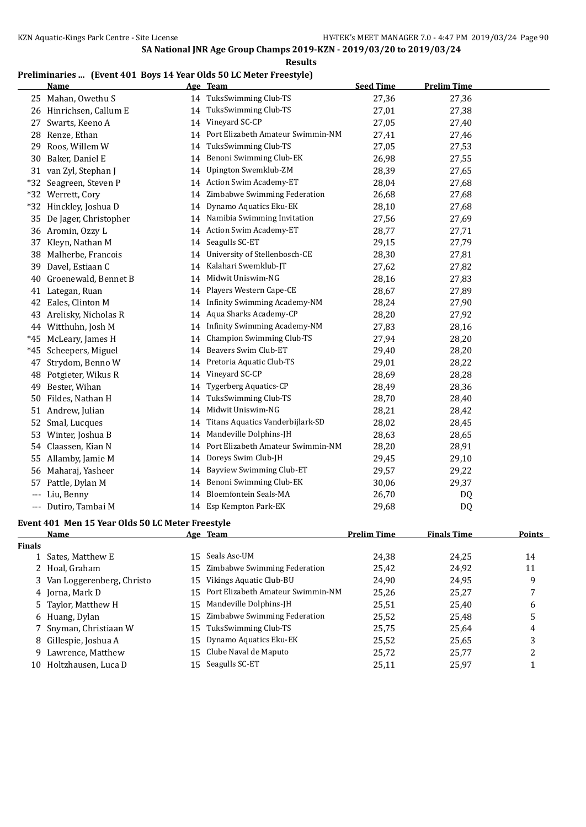#### **Results**

### **Preliminaries ... (Event 401 Boys 14 Year Olds 50 LC Meter Freestyle)**

|       | <b>Name</b>             |    | Age Team                          | <b>Seed Time</b> | <b>Prelim Time</b> |
|-------|-------------------------|----|-----------------------------------|------------------|--------------------|
|       | 25 Mahan, Owethu S      |    | 14 TuksSwimming Club-TS           | 27,36            | 27,36              |
|       | 26 Hinrichsen, Callum E | 14 | TuksSwimming Club-TS              | 27,01            | 27,38              |
| 27    | Swarts, Keeno A         | 14 | Vineyard SC-CP                    | 27,05            | 27,40              |
| 28    | Renze, Ethan            | 14 | Port Elizabeth Amateur Swimmin-NM | 27,41            | 27,46              |
| 29    | Roos, Willem W          | 14 | TuksSwimming Club-TS              | 27,05            | 27,53              |
| 30    | Baker, Daniel E         | 14 | Benoni Swimming Club-EK           | 26,98            | 27,55              |
|       | 31 van Zyl, Stephan J   | 14 | Upington Swemklub-ZM              | 28,39            | 27,65              |
| $*32$ | Seagreen, Steven P      |    | 14 Action Swim Academy-ET         | 28,04            | 27,68              |
| $*32$ | Werrett, Cory           | 14 | Zimbabwe Swimming Federation      | 26,68            | 27,68              |
|       | *32 Hinckley, Joshua D  | 14 | Dynamo Aquatics Eku-EK            | 28,10            | 27,68              |
| 35    | De Jager, Christopher   | 14 | Namibia Swimming Invitation       | 27,56            | 27,69              |
|       | 36 Aromin, Ozzy L       | 14 | <b>Action Swim Academy-ET</b>     | 28,77            | 27,71              |
|       | 37 Kleyn, Nathan M      | 14 | Seagulls SC-ET                    | 29,15            | 27,79              |
|       | 38 Malherbe, Francois   | 14 | University of Stellenbosch-CE     | 28,30            | 27,81              |
| 39    | Davel, Estiaan C        | 14 | Kalahari Swemklub-JT              | 27,62            | 27,82              |
| 40    | Groenewald, Bennet B    | 14 | Midwit Uniswim-NG                 | 28,16            | 27,83              |
| 41    | Lategan, Ruan           | 14 | Players Western Cape-CE           | 28,67            | 27,89              |
| 42    | Eales, Clinton M        | 14 | Infinity Swimming Academy-NM      | 28,24            | 27,90              |
| 43    | Arelisky, Nicholas R    | 14 | Aqua Sharks Academy-CP            | 28,20            | 27,92              |
|       | 44 Witthuhn, Josh M     | 14 | Infinity Swimming Academy-NM      | 27,83            | 28,16              |
| *45   | McLeary, James H        | 14 | Champion Swimming Club-TS         | 27,94            | 28,20              |
| $*45$ | Scheepers, Miguel       | 14 | Beavers Swim Club-ET              | 29,40            | 28,20              |
| 47    | Strydom, Benno W        | 14 | Pretoria Aquatic Club-TS          | 29,01            | 28,22              |
| 48    | Potgieter, Wikus R      | 14 | Vineyard SC-CP                    | 28,69            | 28,28              |
| 49    | Bester, Wihan           | 14 | <b>Tygerberg Aquatics-CP</b>      | 28,49            | 28,36              |
|       | 50 Fildes, Nathan H     | 14 | <b>TuksSwimming Club-TS</b>       | 28,70            | 28,40              |
|       | 51 Andrew, Julian       | 14 | Midwit Uniswim-NG                 | 28,21            | 28,42              |
| 52    | Smal, Lucques           | 14 | Titans Aquatics Vanderbijlark-SD  | 28,02            | 28,45              |
| 53    | Winter, Joshua B        | 14 | Mandeville Dolphins-JH            | 28,63            | 28,65              |
| 54    | Claassen, Kian N        | 14 | Port Elizabeth Amateur Swimmin-NM | 28,20            | 28,91              |
| 55    | Allamby, Jamie M        | 14 | Doreys Swim Club-JH               | 29,45            | 29,10              |
|       | 56 Maharaj, Yasheer     | 14 | Bayview Swimming Club-ET          | 29,57            | 29,22              |
| 57    | Pattle, Dylan M         | 14 | Benoni Swimming Club-EK           | 30,06            | 29,37              |
| $---$ | Liu, Benny              | 14 | <b>Bloemfontein Seals-MA</b>      | 26,70            | DQ                 |
| ---   | Dutiro, Tambai M        |    | 14 Esp Kempton Park-EK            | 29,68            | DQ                 |

# **Event 401 Men 15 Year Olds 50 LC Meter Freestyle**

|        | Name                        | Age Team                             | <b>Prelim Time</b> | <b>Finals Time</b> | <b>Points</b> |
|--------|-----------------------------|--------------------------------------|--------------------|--------------------|---------------|
| Finals |                             |                                      |                    |                    |               |
|        | 1 Sates, Matthew E          | 15 Seals Asc-UM                      | 24,38              | 24.25              | 14            |
|        | 2 Hoal, Graham              | 15 Zimbabwe Swimming Federation      | 25,42              | 24,92              | 11            |
|        | 3 Van Loggerenberg, Christo | 15 Vikings Aquatic Club-BU           | 24,90              | 24,95              | 9             |
|        | 4 Jorna, Mark D             | 15 Port Elizabeth Amateur Swimmin-NM | 25,26              | 25.27              |               |
|        | 5 Taylor, Matthew H         | 15 Mandeville Dolphins-JH            | 25,51              | 25,40              | 6             |
|        | 6 Huang, Dylan              | 15 Zimbabwe Swimming Federation      | 25,52              | 25,48              | 5             |
|        | 7 Snyman, Christiaan W      | 15 TuksSwimming Club-TS              | 25,75              | 25,64              | 4             |
|        | 8 Gillespie, Joshua A       | 15 Dynamo Aquatics Eku-EK            | 25,52              | 25,65              | 3             |
|        | 9 Lawrence, Matthew         | 15 Clube Naval de Maputo             | 25,72              | 25,77              | ົາ            |
| 10     | Holtzhausen, Luca D         | 15 Seagulls SC-ET                    | 25,11              | 25,97              |               |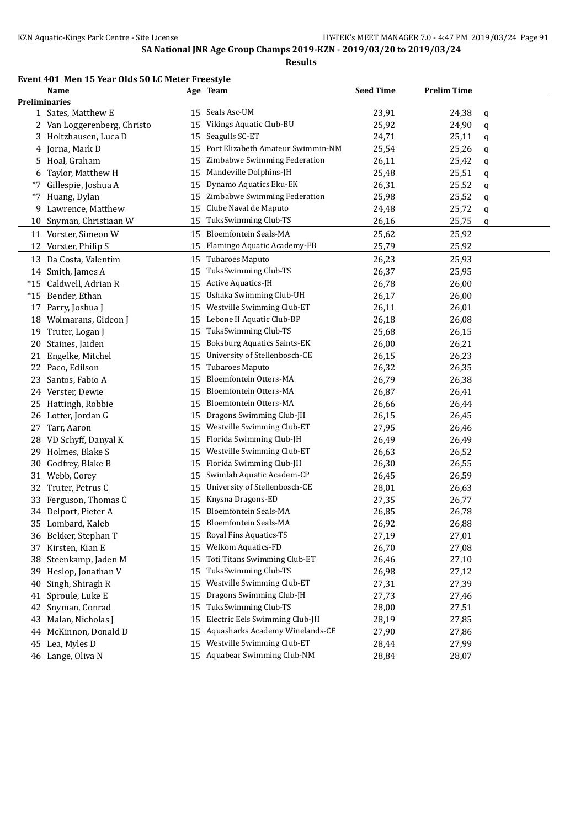### **Event 401 Men 15 Year Olds 50 LC Meter Freestyle**

|       | Name                        |    | Age Team                           | <b>Seed Time</b> | <b>Prelim Time</b> |   |
|-------|-----------------------------|----|------------------------------------|------------------|--------------------|---|
|       | <b>Preliminaries</b>        |    |                                    |                  |                    |   |
|       | 1 Sates, Matthew E          | 15 | Seals Asc-UM                       | 23,91            | 24,38              | q |
|       | 2 Van Loggerenberg, Christo | 15 | Vikings Aquatic Club-BU            | 25,92            | 24,90              | q |
|       | 3 Holtzhausen, Luca D       | 15 | Seagulls SC-ET                     | 24,71            | 25,11              | q |
|       | 4 Jorna, Mark D             | 15 | Port Elizabeth Amateur Swimmin-NM  | 25,54            | 25,26              | q |
|       | 5 Hoal, Graham              | 15 | Zimbabwe Swimming Federation       | 26,11            | 25,42              | q |
| 6     | Taylor, Matthew H           | 15 | Mandeville Dolphins-JH             | 25,48            | 25,51              | q |
| *7    | Gillespie, Joshua A         | 15 | Dynamo Aquatics Eku-EK             | 26,31            | 25,52              | q |
| *7    | Huang, Dylan                | 15 | Zimbabwe Swimming Federation       | 25,98            | 25,52              | q |
| 9     | Lawrence, Matthew           | 15 | Clube Naval de Maputo              | 24,48            | 25,72              | q |
|       | 10 Snyman, Christiaan W     | 15 | TuksSwimming Club-TS               | 26,16            | 25,75              | q |
|       | 11 Vorster, Simeon W        | 15 | Bloemfontein Seals-MA              | 25,62            | 25,92              |   |
|       | 12 Vorster, Philip S        | 15 | Flamingo Aquatic Academy-FB        | 25,79            | 25,92              |   |
|       |                             |    |                                    |                  |                    |   |
|       | 13 Da Costa, Valentim       | 15 | Tubaroes Maputo                    | 26,23            | 25,93              |   |
| 14    | Smith, James A              | 15 | TuksSwimming Club-TS               | 26,37            | 25,95              |   |
| $*15$ | Caldwell, Adrian R          | 15 | Active Aquatics-JH                 | 26,78            | 26,00              |   |
| $*15$ | Bender, Ethan               | 15 | Ushaka Swimming Club-UH            | 26,17            | 26,00              |   |
| 17    | Parry, Joshua J             | 15 | Westville Swimming Club-ET         | 26,11            | 26,01              |   |
|       | 18 Wolmarans, Gideon J      | 15 | Lebone II Aquatic Club-BP          | 26,18            | 26,08              |   |
| 19    | Truter, Logan J             | 15 | TuksSwimming Club-TS               | 25,68            | 26,15              |   |
| 20    | Staines, Jaiden             | 15 | <b>Boksburg Aquatics Saints-EK</b> | 26,00            | 26,21              |   |
| 21    | Engelke, Mitchel            | 15 | University of Stellenbosch-CE      | 26,15            | 26,23              |   |
|       | 22 Paco, Edilson            | 15 | Tubaroes Maputo                    | 26,32            | 26,35              |   |
| 23    | Santos, Fabio A             | 15 | Bloemfontein Otters-MA             | 26,79            | 26,38              |   |
|       | 24 Verster, Dewie           | 15 | Bloemfontein Otters-MA             | 26,87            | 26,41              |   |
|       | 25 Hattingh, Robbie         | 15 | Bloemfontein Otters-MA             | 26,66            | 26,44              |   |
| 26    | Lotter, Jordan G            | 15 | Dragons Swimming Club-JH           | 26,15            | 26,45              |   |
| 27    | Tarr, Aaron                 | 15 | Westville Swimming Club-ET         | 27,95            | 26,46              |   |
| 28    | VD Schyff, Danyal K         | 15 | Florida Swimming Club-JH           | 26,49            | 26,49              |   |
|       | 29 Holmes, Blake S          | 15 | Westville Swimming Club-ET         | 26,63            | 26,52              |   |
| 30    | Godfrey, Blake B            | 15 | Florida Swimming Club-JH           | 26,30            | 26,55              |   |
|       | 31 Webb, Corey              | 15 | Swimlab Aquatic Academ-CP          | 26,45            | 26,59              |   |
| 32    | Truter, Petrus C            | 15 | University of Stellenbosch-CE      | 28,01            | 26,63              |   |
| 33    | Ferguson, Thomas C          | 15 | Knysna Dragons-ED                  | 27,35            | 26,77              |   |
|       | 34 Delport, Pieter A        | 15 | <b>Bloemfontein Seals-MA</b>       | 26,85            | 26,78              |   |
|       | 35 Lombard, Kaleb           | 15 | <b>Bloemfontein Seals-MA</b>       | 26,92            | 26,88              |   |
|       | 36 Bekker, Stephan T        | 15 | Royal Fins Aquatics-TS             | 27,19            | 27,01              |   |
|       | 37 Kirsten, Kian E          | 15 | Welkom Aquatics-FD                 | 26,70            | 27,08              |   |
| 38    | Steenkamp, Jaden M          | 15 | Toti Titans Swimming Club-ET       | 26,46            | 27,10              |   |
| 39    | Heslop, Jonathan V          | 15 | TuksSwimming Club-TS               | 26,98            | 27,12              |   |
| 40    | Singh, Shiragh R            | 15 | Westville Swimming Club-ET         | 27,31            | 27,39              |   |
| 41    | Sproule, Luke E             | 15 | Dragons Swimming Club-JH           | 27,73            | 27,46              |   |
| 42    | Snyman, Conrad              | 15 | TuksSwimming Club-TS               | 28,00            | 27,51              |   |
| 43    | Malan, Nicholas J           | 15 | Electric Eels Swimming Club-JH     | 28,19            | 27,85              |   |
| 44    | McKinnon, Donald D          | 15 | Aquasharks Academy Winelands-CE    | 27,90            | 27,86              |   |
|       | 45 Lea, Myles D             | 15 | Westville Swimming Club-ET         | 28,44            | 27,99              |   |
|       | 46 Lange, Oliva N           | 15 | Aquabear Swimming Club-NM          | 28,84            | 28,07              |   |
|       |                             |    |                                    |                  |                    |   |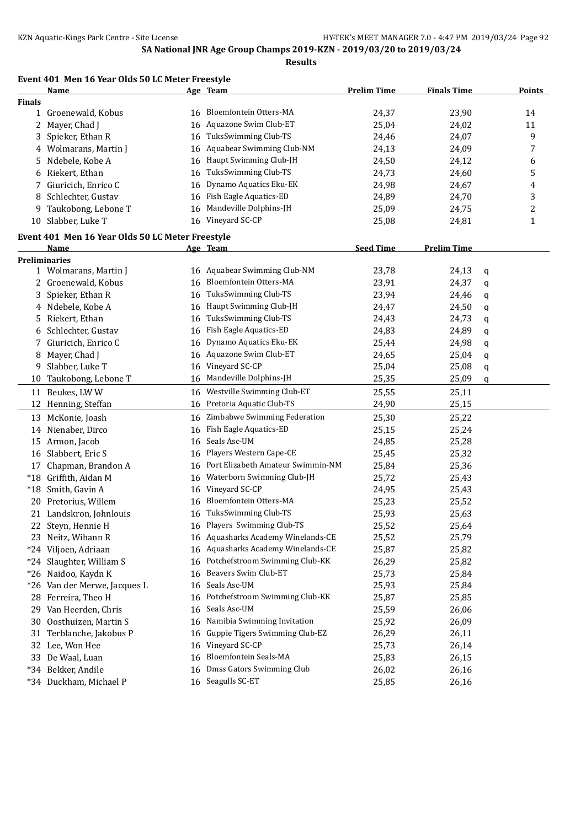**Event 401 Men 16 Year Olds 50 LC Meter Freestyle**

|               | <b>Name</b>                                      |    | Age Team                           | <b>Prelim Time</b> | <b>Finals Time</b> |   | <b>Points</b> |
|---------------|--------------------------------------------------|----|------------------------------------|--------------------|--------------------|---|---------------|
| <b>Finals</b> |                                                  |    |                                    |                    |                    |   |               |
|               | 1 Groenewald, Kobus                              |    | 16 Bloemfontein Otters-MA          | 24,37              | 23,90              |   | 14            |
|               | 2 Mayer, Chad J                                  |    | 16 Aquazone Swim Club-ET           | 25,04              | 24,02              |   | 11            |
| 3             | Spieker, Ethan R                                 | 16 | TuksSwimming Club-TS               | 24,46              | 24,07              |   | 9             |
|               | 4 Wolmarans, Martin J                            |    | 16 Aquabear Swimming Club-NM       | 24,13              | 24,09              |   | 7             |
|               | 5 Ndebele, Kobe A                                |    | 16 Haupt Swimming Club-JH          | 24,50              | 24,12              |   | 6             |
| 6             | Riekert, Ethan                                   | 16 | TuksSwimming Club-TS               | 24,73              | 24,60              |   | 5             |
| 7.            | Giuricich, Enrico C                              | 16 | Dynamo Aquatics Eku-EK             | 24,98              | 24,67              |   | 4             |
| 8             | Schlechter, Gustav                               |    | 16 Fish Eagle Aquatics-ED          | 24,89              | 24,70              |   | 3             |
| 9             | Taukobong, Lebone T                              | 16 | Mandeville Dolphins-JH             | 25,09              | 24,75              |   | 2             |
| 10            | Slabber, Luke T                                  | 16 | Vineyard SC-CP                     | 25,08              | 24,81              |   | $\mathbf{1}$  |
|               | Event 401 Men 16 Year Olds 50 LC Meter Freestyle |    |                                    |                    |                    |   |               |
|               | Name                                             |    | Age Team                           | <b>Seed Time</b>   | <b>Prelim Time</b> |   |               |
|               | <b>Preliminaries</b>                             |    |                                    |                    |                    |   |               |
|               | 1 Wolmarans, Martin J                            |    | 16 Aquabear Swimming Club-NM       | 23,78              | 24,13              | q |               |
|               | 2 Groenewald, Kobus                              | 16 | <b>Bloemfontein Otters-MA</b>      | 23,91              | 24,37              | q |               |
| 3             | Spieker, Ethan R                                 | 16 | TuksSwimming Club-TS               | 23,94              | 24,46              | q |               |
|               | 4 Ndebele, Kobe A                                | 16 | Haupt Swimming Club-JH             | 24,47              | 24,50              | q |               |
|               | 5 Riekert, Ethan                                 | 16 | TuksSwimming Club-TS               | 24,43              | 24,73              | q |               |
| 6             | Schlechter, Gustav                               | 16 | Fish Eagle Aquatics-ED             | 24,83              | 24,89              | q |               |
| 7.            | Giuricich, Enrico C                              | 16 | Dynamo Aquatics Eku-EK             | 25,44              | 24,98              | q |               |
| 8             | Mayer, Chad J                                    |    | 16 Aquazone Swim Club-ET           | 24,65              | 25,04              | q |               |
| 9             | Slabber, Luke T                                  | 16 | Vineyard SC-CP                     | 25,04              | 25,08              | q |               |
| 10            | Taukobong, Lebone T                              | 16 | Mandeville Dolphins-JH             | 25,35              | 25,09              | q |               |
|               | 11 Beukes, LWW                                   |    | Westville Swimming Club-ET         |                    |                    |   |               |
|               |                                                  | 16 |                                    | 25,55              | 25,11              |   |               |
|               | 12 Henning, Steffan                              |    | 16 Pretoria Aquatic Club-TS        | 24,90              | 25,15              |   |               |
|               | 13 McKonie, Joash                                |    | 16 Zimbabwe Swimming Federation    | 25,30              | 25,22              |   |               |
|               | 14 Nienaber, Dirco                               | 16 | Fish Eagle Aquatics-ED             | 25,15              | 25,24              |   |               |
|               | 15 Armon, Jacob                                  | 16 | Seals Asc-UM                       | 24,85              | 25,28              |   |               |
| 16            | Slabbert, Eric S                                 | 16 | Players Western Cape-CE            | 25,45              | 25,32              |   |               |
| 17            | Chapman, Brandon A                               | 16 | Port Elizabeth Amateur Swimmin-NM  | 25,84              | 25,36              |   |               |
| $*18$         | Griffith, Aidan M                                | 16 | Waterborn Swimming Club-JH         | 25,72              | 25,43              |   |               |
| $*18$         | Smith, Gavin A                                   | 16 | Vineyard SC-CP                     | 24,95              | 25,43              |   |               |
|               | 20 Pretorius, Willem                             | 16 | Bloemfontein Otters-MA             | 25,23              | 25,52              |   |               |
|               | 21 Landskron, Johnlouis                          |    | 16 TuksSwimming Club-TS            | 25,93              | 25,63              |   |               |
| 22            | Steyn, Hennie H                                  |    | 16 Players Swimming Club-TS        | 25,52              | 25,64              |   |               |
|               | 23 Neitz, Wihann R                               |    | 16 Aquasharks Academy Winelands-CE | 25,52              | 25,79              |   |               |
|               | *24 Viljoen, Adriaan                             |    | 16 Aquasharks Academy Winelands-CE | 25,87              | 25,82              |   |               |
|               | *24 Slaughter, William S                         | 16 | Potchefstroom Swimming Club-KK     | 26,29              | 25,82              |   |               |
|               | *26 Naidoo, Kaydn K                              | 16 | Beavers Swim Club-ET               | 25,73              | 25,84              |   |               |
|               | *26 Van der Merwe, Jacques L                     | 16 | Seals Asc-UM                       | 25,93              | 25,84              |   |               |
|               | 28 Ferreira, Theo H                              |    | 16 Potchefstroom Swimming Club-KK  | 25,87              | 25,85              |   |               |
|               | 29 Van Heerden, Chris                            | 16 | Seals Asc-UM                       | 25,59              | 26,06              |   |               |
| 30            | Oosthuizen, Martin S                             | 16 | Namibia Swimming Invitation        | 25,92              | 26,09              |   |               |
| 31            | Terblanche, Jakobus P                            | 16 | Guppie Tigers Swimming Club-EZ     | 26,29              | 26,11              |   |               |
|               | 32 Lee, Won Hee                                  | 16 | Vineyard SC-CP                     | 25,73              | 26,14              |   |               |
|               | 33 De Waal, Luan                                 | 16 | Bloemfontein Seals-MA              | 25,83              | 26,15              |   |               |
|               | *34 Bekker, Andile                               | 16 | Dmss Gators Swimming Club          | 26,02              | 26,16              |   |               |
|               | *34 Duckham, Michael P                           |    | 16 Seagulls SC-ET                  | 25,85              | 26,16              |   |               |
|               |                                                  |    |                                    |                    |                    |   |               |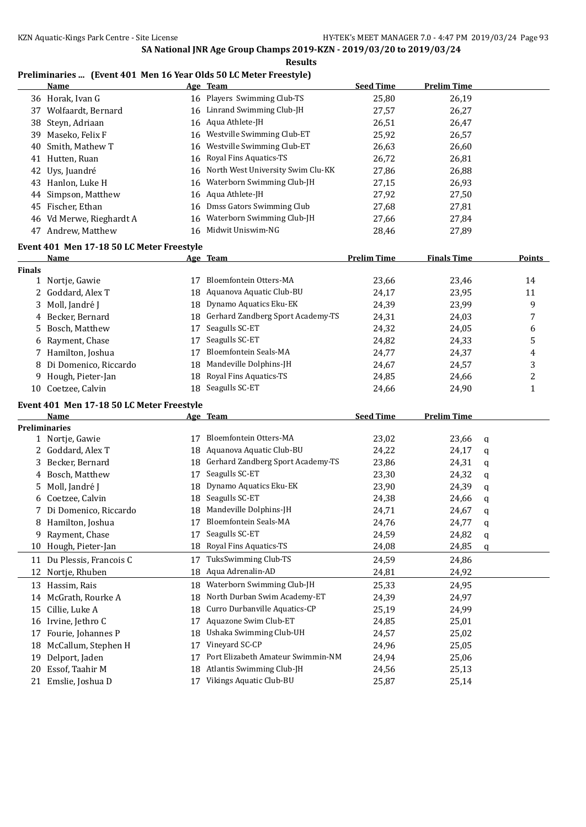**Results**

### **Preliminaries ... (Event 401 Men 16 Year Olds 50 LC Meter Freestyle)**

|               | <b>Name</b>                               |    | Age Team                                             | <b>Seed Time</b>   | <b>Prelim Time</b> |   |        |
|---------------|-------------------------------------------|----|------------------------------------------------------|--------------------|--------------------|---|--------|
|               | 36 Horak, Ivan G                          |    | 16 Players Swimming Club-TS                          | 25,80              | 26,19              |   |        |
| 37            | Wolfaardt, Bernard                        |    | 16 Linrand Swimming Club-JH                          | 27,57              | 26,27              |   |        |
| 38            | Steyn, Adriaan                            |    | 16 Aqua Athlete-JH                                   | 26,51              | 26,47              |   |        |
| 39            | Maseko, Felix F                           | 16 | Westville Swimming Club-ET                           | 25,92              | 26,57              |   |        |
| 40            | Smith, Mathew T                           | 16 | Westville Swimming Club-ET                           | 26,63              | 26,60              |   |        |
| 41            | Hutten, Ruan                              | 16 | Royal Fins Aquatics-TS                               | 26,72              | 26,81              |   |        |
| 42            | Uys, Juandré                              | 16 | North West University Swim Clu-KK                    | 27,86              | 26,88              |   |        |
|               | 43 Hanlon, Luke H                         | 16 | Waterborn Swimming Club-JH                           | 27,15              | 26,93              |   |        |
| 44            | Simpson, Matthew                          |    | 16 Aqua Athlete-JH                                   | 27,92              | 27,50              |   |        |
|               | 45 Fischer, Ethan                         | 16 | Dmss Gators Swimming Club                            | 27,68              | 27,81              |   |        |
|               | 46 Vd Merwe, Rieghardt A                  | 16 | Waterborn Swimming Club-JH                           | 27,66              | 27,84              |   |        |
|               | 47 Andrew, Matthew                        |    | 16 Midwit Uniswim-NG                                 | 28,46              | 27,89              |   |        |
|               |                                           |    |                                                      |                    |                    |   |        |
|               | Event 401 Men 17-18 50 LC Meter Freestyle |    |                                                      | <b>Prelim Time</b> | <b>Finals Time</b> |   | Points |
| <b>Finals</b> | <u>Name</u>                               |    | Age Team                                             |                    |                    |   |        |
|               | 1 Nortje, Gawie                           | 17 | Bloemfontein Otters-MA                               | 23,66              | 23,46              |   | 14     |
|               | 2 Goddard, Alex T                         |    | 18 Aquanova Aquatic Club-BU                          | 24,17              | 23,95              |   | 11     |
| 3             | Moll, Jandré J                            |    | 18 Dynamo Aquatics Eku-EK                            | 24,39              | 23,99              |   | 9      |
|               | 4 Becker, Bernard                         |    | 18 Gerhard Zandberg Sport Academy-TS                 | 24,31              | 24,03              |   | 7      |
|               | 5 Bosch, Matthew                          | 17 | Seagulls SC-ET                                       | 24,32              | 24,05              |   | 6      |
|               | 6 Rayment, Chase                          | 17 | Seagulls SC-ET                                       | 24,82              | 24,33              |   | 5      |
|               | Hamilton, Joshua                          | 17 | <b>Bloemfontein Seals-MA</b>                         | 24,77              | 24,37              |   | 4      |
|               | 8 Di Domenico, Riccardo                   | 18 | Mandeville Dolphins-JH                               | 24,67              | 24,57              |   | 3      |
| 9.            | Hough, Pieter-Jan                         | 18 | Royal Fins Aquatics-TS                               | 24,85              | 24,66              |   | 2      |
|               | 10 Coetzee, Calvin                        |    | 18 Seagulls SC-ET                                    | 24,66              | 24,90              |   | 1      |
|               |                                           |    |                                                      |                    |                    |   |        |
|               | Event 401 Men 17-18 50 LC Meter Freestyle |    |                                                      |                    |                    |   |        |
|               | <u>Name</u>                               |    | Age Team                                             | <b>Seed Time</b>   | <b>Prelim Time</b> |   |        |
|               | <b>Preliminaries</b>                      |    | 17 Bloemfontein Otters-MA                            |                    |                    |   |        |
|               | 1 Nortje, Gawie                           |    | 18 Aquanova Aquatic Club-BU                          | 23,02              | 23,66              | q |        |
|               | 2 Goddard, Alex T                         |    |                                                      | 24,22              | 24,17              | q |        |
|               | 3 Becker, Bernard                         |    | 18 Gerhard Zandberg Sport Academy-TS                 | 23,86              | 24,31              | q |        |
|               | 4 Bosch, Matthew                          | 17 | Seagulls SC-ET                                       | 23,30              | 24,32              | q |        |
|               | 5 Moll, Jandré J                          |    | 18 Dynamo Aquatics Eku-EK<br>18 Seagulls SC-ET       | 23,90              | 24,39              | q |        |
|               | 6 Coetzee, Calvin                         |    |                                                      | 24,38              | 24,66              | q |        |
|               | 7 Di Domenico, Riccardo                   |    | 18 Mandeville Dolphins-JH                            | 24,71              | 24,67              | q |        |
| 8             | Hamilton, Joshua                          |    | 17 Bloemfontein Seals-MA                             | 24,76              | 24,77              | q |        |
| 9             | Rayment, Chase                            | 17 | Seagulls SC-ET                                       | 24,59              | 24,82              | q |        |
| 10            | Hough, Pieter-Jan                         | 18 | Royal Fins Aquatics-TS                               | 24,08              | 24,85              | q |        |
|               | 11 Du Plessis, Francois C                 | 17 | TuksSwimming Club-TS                                 | 24,59              | 24,86              |   |        |
| 12            | Nortje, Rhuben                            | 18 | Aqua Adrenalin-AD                                    | 24,81              | 24,92              |   |        |
| 13            | Hassim, Rais                              | 18 | Waterborn Swimming Club-JH                           | 25,33              | 24,95              |   |        |
|               | 14 McGrath, Rourke A                      | 18 | North Durban Swim Academy-ET                         | 24,39              | 24,97              |   |        |
| 15            | Cillie, Luke A                            | 18 | Curro Durbanville Aquatics-CP                        | 25,19              | 24,99              |   |        |
|               | 16 Irvine, Jethro C                       | 17 | Aquazone Swim Club-ET                                | 24,85              | 25,01              |   |        |
| 17            |                                           |    |                                                      |                    |                    |   |        |
|               | Fourie, Johannes P                        | 18 | Ushaka Swimming Club-UH                              | 24,57              | 25,02              |   |        |
| 18            | McCallum, Stephen H                       | 17 | Vineyard SC-CP                                       | 24,96              | 25,05              |   |        |
| 19            | Delport, Jaden                            | 17 | Port Elizabeth Amateur Swimmin-NM                    | 24,94              | 25,06              |   |        |
| 20            | Essof, Taahir M<br>Emslie, Joshua D       | 18 | Atlantis Swimming Club-JH<br>Vikings Aquatic Club-BU | 24,56              | 25,13              |   |        |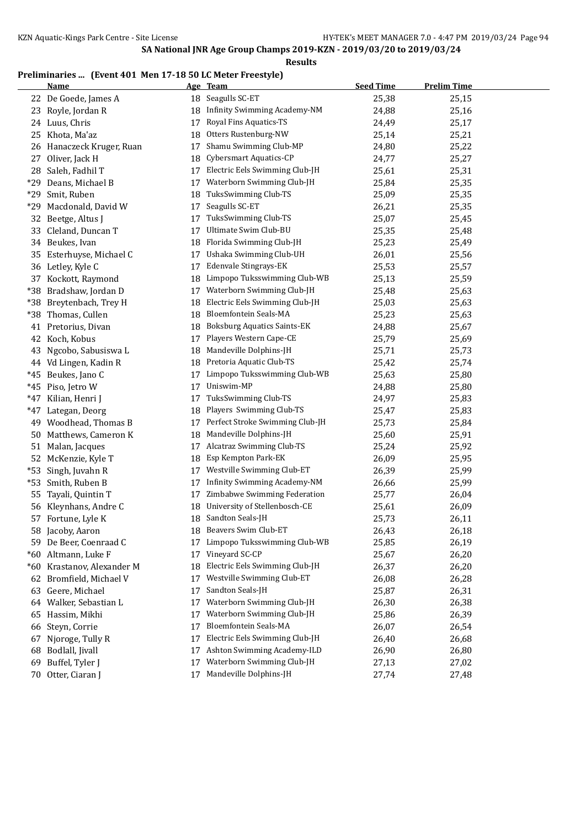### **Preliminaries ... (Event 401 Men 17-18 50 LC Meter Freestyle)**

|     | <b>Name</b>                |    | Age Team                            | <b>Seed Time</b> | <b>Prelim Time</b> |
|-----|----------------------------|----|-------------------------------------|------------------|--------------------|
|     | 22 De Goede, James A       |    | 18 Seagulls SC-ET                   | 25,38            | 25,15              |
|     | 23 Royle, Jordan R         | 18 | <b>Infinity Swimming Academy-NM</b> | 24,88            | 25,16              |
|     | 24 Luus, Chris             | 17 | Royal Fins Aquatics-TS              | 24,49            | 25,17              |
| 25  | Khota, Ma'az               | 18 | Otters Rustenburg-NW                | 25,14            | 25,21              |
|     | 26 Hanaczeck Kruger, Ruan  | 17 | Shamu Swimming Club-MP              | 24,80            | 25,22              |
| 27  | Oliver, Jack H             | 18 | Cybersmart Aquatics-CP              | 24,77            | 25,27              |
|     | 28 Saleh, Fadhil T         | 17 | Electric Eels Swimming Club-JH      | 25,61            | 25,31              |
| *29 | Deans, Michael B           | 17 | Waterborn Swimming Club-JH          | 25,84            | 25,35              |
| *29 | Smit, Ruben                | 18 | TuksSwimming Club-TS                | 25,09            | 25,35              |
| *29 | Macdonald, David W         | 17 | Seagulls SC-ET                      | 26,21            | 25,35              |
|     | 32 Beetge, Altus J         | 17 | TuksSwimming Club-TS                | 25,07            | 25,45              |
|     | 33 Cleland, Duncan T       | 17 | Ultimate Swim Club-BU               | 25,35            | 25,48              |
|     | 34 Beukes, Ivan            | 18 | Florida Swimming Club-JH            | 25,23            | 25,49              |
| 35  | Esterhuyse, Michael C      | 17 | Ushaka Swimming Club-UH             | 26,01            | 25,56              |
|     | 36 Letley, Kyle C          | 17 | Edenvale Stingrays-EK               | 25,53            | 25,57              |
|     | 37 Kockott, Raymond        | 18 | Limpopo Tuksswimming Club-WB        | 25,13            | 25,59              |
|     | *38 Bradshaw, Jordan D     | 17 | Waterborn Swimming Club-JH          | 25,48            | 25,63              |
|     | *38 Breytenbach, Trey H    | 18 | Electric Eels Swimming Club-JH      | 25,03            | 25,63              |
|     | *38 Thomas, Cullen         | 18 | <b>Bloemfontein Seals-MA</b>        | 25,23            | 25,63              |
| 41  | Pretorius, Divan           | 18 | <b>Boksburg Aquatics Saints-EK</b>  | 24,88            | 25,67              |
|     | 42 Koch, Kobus             | 17 | Players Western Cape-CE             | 25,79            | 25,69              |
|     | 43 Ngcobo, Sabusiswa L     | 18 | Mandeville Dolphins-JH              | 25,71            | 25,73              |
|     | 44 Vd Lingen, Kadin R      | 18 | Pretoria Aquatic Club-TS            | 25,42            | 25,74              |
|     | *45 Beukes, Jano C         | 17 | Limpopo Tuksswimming Club-WB        | 25,63            | 25,80              |
|     | *45 Piso, Jetro W          | 17 | Uniswim-MP                          | 24,88            | 25,80              |
|     | *47 Kilian, Henri J        | 17 | TuksSwimming Club-TS                | 24,97            | 25,83              |
|     | *47 Lategan, Deorg         | 18 | Players Swimming Club-TS            | 25,47            | 25,83              |
|     | 49 Woodhead, Thomas B      | 17 | Perfect Stroke Swimming Club-JH     | 25,73            | 25,84              |
| 50  | Matthews, Cameron K        | 18 | Mandeville Dolphins-JH              | 25,60            | 25,91              |
|     | 51 Malan, Jacques          | 17 | Alcatraz Swimming Club-TS           | 25,24            | 25,92              |
|     | 52 McKenzie, Kyle T        | 18 | Esp Kempton Park-EK                 | 26,09            | 25,95              |
|     | *53 Singh, Juvahn R        | 17 | Westville Swimming Club-ET          | 26,39            | 25,99              |
|     | *53 Smith, Ruben B         | 17 | <b>Infinity Swimming Academy-NM</b> | 26,66            | 25,99              |
| 55  | Tayali, Quintin T          | 17 | Zimbabwe Swimming Federation        | 25,77            | 26,04              |
|     | 56 Kleynhans, Andre C      | 18 | University of Stellenbosch-CE       | 25,61            | 26,09              |
|     | 57 Fortune, Lyle K         |    | 18 Sandton Seals-JH                 | 25,73            | 26,11              |
|     | 58 Jacoby, Aaron           | 18 | Beavers Swim Club-ET                | 26,43            | 26,18              |
|     | 59 De Beer, Coenraad C     | 17 | Limpopo Tuksswimming Club-WB        | 25,85            | 26,19              |
|     | *60 Altmann, Luke F        | 17 | Vineyard SC-CP                      | 25,67            | 26,20              |
|     | *60 Krastanov, Alexander M | 18 | Electric Eels Swimming Club-JH      | 26,37            | 26,20              |
| 62  | Bromfield, Michael V       | 17 | Westville Swimming Club-ET          | 26,08            | 26,28              |
| 63  | Geere, Michael             | 17 | Sandton Seals-JH                    | 25,87            | 26,31              |
| 64  | Walker, Sebastian L        | 17 | Waterborn Swimming Club-JH          | 26,30            | 26,38              |
| 65  | Hassim, Mikhi              | 17 | Waterborn Swimming Club-JH          | 25,86            | 26,39              |
| 66  | Steyn, Corrie              | 17 | <b>Bloemfontein Seals-MA</b>        | 26,07            | 26,54              |
| 67  | Njoroge, Tully R           | 17 | Electric Eels Swimming Club-JH      | 26,40            | 26,68              |
| 68  | Bodlall, Jivall            | 17 | Ashton Swimming Academy-ILD         | 26,90            | 26,80              |
| 69  | Buffel, Tyler J            | 17 | Waterborn Swimming Club-JH          | 27,13            | 27,02              |
|     | 70 Otter, Ciaran J         | 17 | Mandeville Dolphins-JH              | 27,74            | 27,48              |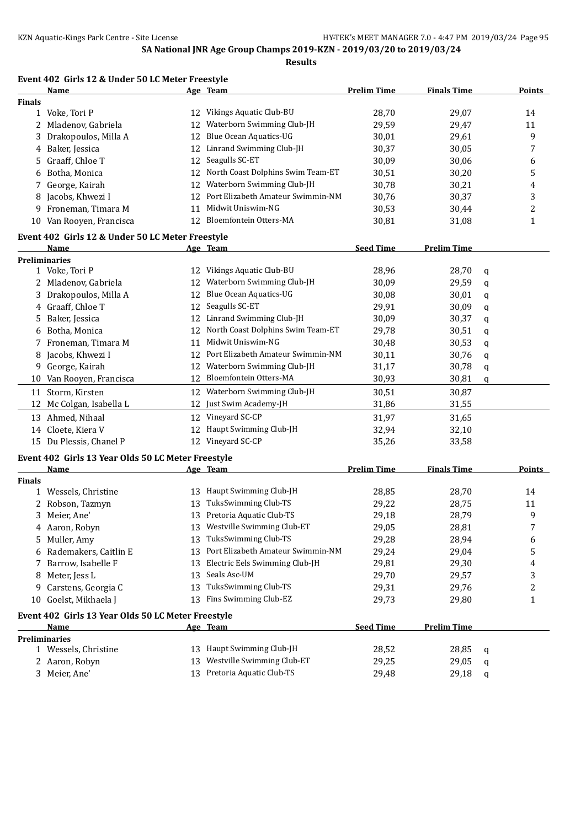**Results**

|               | <b>Name</b>                                        |    | Age Team                             | <b>Prelim Time</b> | <b>Finals Time</b> |   | <b>Points</b> |
|---------------|----------------------------------------------------|----|--------------------------------------|--------------------|--------------------|---|---------------|
| <b>Finals</b> |                                                    |    |                                      |                    |                    |   |               |
|               | 1 Voke, Tori P                                     |    | 12 Vikings Aquatic Club-BU           | 28,70              | 29,07              |   | 14            |
|               | 2 Mladenov, Gabriela                               | 12 | Waterborn Swimming Club-JH           | 29,59              | 29,47              |   | 11            |
| 3             | Drakopoulos, Milla A                               | 12 | Blue Ocean Aquatics-UG               | 30,01              | 29,61              |   | 9             |
| 4             | Baker, Jessica                                     |    | 12 Linrand Swimming Club-JH          | 30,37              | 30,05              |   | 7             |
| 5.            | Graaff, Chloe T                                    | 12 | Seagulls SC-ET                       | 30,09              | 30,06              |   | 6             |
| 6             | Botha, Monica                                      | 12 | North Coast Dolphins Swim Team-ET    | 30,51              | 30,20              |   | 5             |
| 7             | George, Kairah                                     | 12 | Waterborn Swimming Club-JH           | 30,78              | 30,21              |   | 4             |
| 8             | Jacobs, Khwezi I                                   | 12 | Port Elizabeth Amateur Swimmin-NM    | 30,76              | 30,37              |   | 3             |
| 9             | Froneman, Timara M                                 | 11 | Midwit Uniswim-NG                    | 30,53              | 30,44              |   | 2             |
|               | 10 Van Rooyen, Francisca                           | 12 | Bloemfontein Otters-MA               | 30,81              | 31,08              |   | $\mathbf{1}$  |
|               | Event 402 Girls 12 & Under 50 LC Meter Freestyle   |    |                                      |                    |                    |   |               |
|               | <u>Name</u>                                        |    | Age Team                             | <b>Seed Time</b>   | <b>Prelim Time</b> |   |               |
|               | <b>Preliminaries</b>                               |    |                                      |                    |                    |   |               |
|               | 1 Voke, Tori P                                     |    | 12 Vikings Aquatic Club-BU           | 28,96              | 28,70              | q |               |
|               | Mladenov, Gabriela                                 | 12 | Waterborn Swimming Club-JH           | 30,09              | 29,59              | q |               |
|               | Drakopoulos, Milla A                               | 12 | <b>Blue Ocean Aquatics-UG</b>        | 30,08              | 30,01              | q |               |
|               | 4 Graaff, Chloe T                                  | 12 | Seagulls SC-ET                       | 29,91              | 30,09              | q |               |
| 5.            | Baker, Jessica                                     | 12 | Linrand Swimming Club-JH             | 30,09              | 30,37              | q |               |
| 6             | Botha, Monica                                      | 12 | North Coast Dolphins Swim Team-ET    | 29,78              | 30,51              | q |               |
| 7             | Froneman, Timara M                                 | 11 | Midwit Uniswim-NG                    | 30,48              | 30,53              | q |               |
| 8             | Jacobs, Khwezi I                                   | 12 | Port Elizabeth Amateur Swimmin-NM    | 30,11              | 30,76              |   |               |
| 9             | George, Kairah                                     |    | 12 Waterborn Swimming Club-JH        | 31,17              | 30,78              | q |               |
| 10            | Van Rooyen, Francisca                              | 12 | Bloemfontein Otters-MA               | 30,93              | 30,81              | q |               |
|               |                                                    |    |                                      |                    |                    | q |               |
|               | 11 Storm, Kirsten                                  | 12 | Waterborn Swimming Club-JH           | 30,51              | 30,87              |   |               |
|               | 12 Mc Colgan, Isabella L                           |    | 12 Just Swim Academy-JH              | 31,86              | 31,55              |   |               |
|               | 13 Ahmed, Nihaal                                   |    | 12 Vineyard SC-CP                    | 31,97              | 31,65              |   |               |
|               | 14 Cloete, Kiera V                                 | 12 | Haupt Swimming Club-JH               | 32,94              | 32,10              |   |               |
|               | 15 Du Plessis, Chanel P                            |    | 12 Vineyard SC-CP                    | 35,26              | 33,58              |   |               |
|               | Event 402 Girls 13 Year Olds 50 LC Meter Freestyle |    |                                      |                    |                    |   |               |
|               | Name                                               |    | Age Team                             | <b>Prelim Time</b> | <b>Finals Time</b> |   | <b>Points</b> |
| <b>Finals</b> |                                                    |    |                                      |                    |                    |   |               |
|               | 1 Wessels, Christine                               |    | 13 Haupt Swimming Club-JH            | 28,85              | 28,70              |   | 14            |
|               | 2 Robson, Tazmyn                                   | 13 | TuksSwimming Club-TS                 | 29,22              | 28,75              |   | 11            |
|               | 3 Meier, Ane'                                      |    | 13 Pretoria Aquatic Club-TS          | 29,18              | 28,79              |   | 9             |
|               | 4 Aaron, Robyn                                     |    | 13 Westville Swimming Club-ET        | 29,05              | 28,81              |   | 7             |
|               | 5 Muller, Amy                                      |    | 13 TuksSwimming Club-TS              | 29,28              | 28,94              |   | 6             |
| 6             | Rademakers, Caitlin E                              |    | 13 Port Elizabeth Amateur Swimmin-NM | 29,24              | 29,04              |   | 5             |
| 7             | Barrow, Isabelle F                                 | 13 | Electric Eels Swimming Club-JH       | 29,81              | 29,30              |   | 4             |
| 8             | Meter, Jess L                                      |    | 13 Seals Asc-UM                      | 29,70              | 29,57              |   | 3             |
|               | 9 Carstens, Georgia C                              |    | 13 TuksSwimming Club-TS              | 29,31              | 29,76              |   | 2             |
| 10            | Goelst, Mikhaela J                                 |    | 13 Fins Swimming Club-EZ             | 29,73              | 29,80              |   | $\mathbf{1}$  |
|               | Event 402 Girls 13 Year Olds 50 LC Meter Freestyle |    |                                      |                    |                    |   |               |
|               | <b>Name</b>                                        |    | Age Team                             | <b>Seed Time</b>   | <b>Prelim Time</b> |   |               |
|               | <b>Preliminaries</b>                               |    |                                      |                    |                    |   |               |
|               | 1 Wessels, Christine                               |    | 13 Haupt Swimming Club-JH            | 28,52              | 28,85              | q |               |
|               | 2 Aaron, Robyn                                     |    | 13 Westville Swimming Club-ET        | 29,25              | 29,05              | q |               |
|               | 3 Meier, Ane'                                      |    | 13 Pretoria Aquatic Club-TS          | 29,48              | 29,18              | q |               |
|               |                                                    |    |                                      |                    |                    |   |               |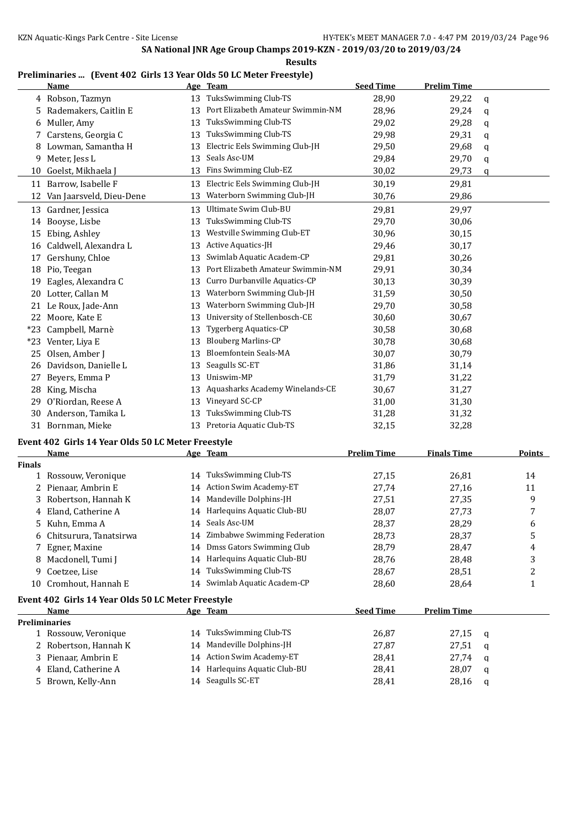#### **Results**

# **Preliminaries ... (Event 402 Girls 13 Year Olds 50 LC Meter Freestyle)**

|       | <b>Name</b>                                        |    | Age Team                          | <b>Seed Time</b> | <b>Prelim Time</b> |             |  |  |
|-------|----------------------------------------------------|----|-----------------------------------|------------------|--------------------|-------------|--|--|
|       | 4 Robson, Tazmyn                                   | 13 | TuksSwimming Club-TS              | 28,90            | 29,22              | $\mathbf q$ |  |  |
| 5     | Rademakers, Caitlin E                              | 13 | Port Elizabeth Amateur Swimmin-NM | 28,96            | 29,24              | q           |  |  |
| 6     | Muller, Amy                                        | 13 | TuksSwimming Club-TS              | 29,02            | 29,28              | $\mathbf q$ |  |  |
| 7     | Carstens, Georgia C                                | 13 | TuksSwimming Club-TS              | 29,98            | 29,31              | q           |  |  |
| 8     | Lowman, Samantha H                                 | 13 | Electric Eels Swimming Club-JH    | 29,50            | 29,68              | q           |  |  |
| 9     | Meter, Jess L                                      | 13 | Seals Asc-UM                      | 29,84            | 29,70              | q           |  |  |
| 10    | Goelst, Mikhaela J                                 | 13 | Fins Swimming Club-EZ             | 30,02            | 29,73              | $\mathbf q$ |  |  |
| 11    | Barrow, Isabelle F                                 | 13 | Electric Eels Swimming Club-JH    | 30,19            | 29,81              |             |  |  |
| 12    | Van Jaarsveld, Dieu-Dene                           | 13 | Waterborn Swimming Club-JH        | 30,76            | 29,86              |             |  |  |
| 13    | Gardner, Jessica                                   | 13 | Ultimate Swim Club-BU             | 29,81            | 29,97              |             |  |  |
| 14    | Booyse, Lisbe                                      | 13 | TuksSwimming Club-TS              | 29,70            | 30,06              |             |  |  |
| 15    | Ebing, Ashley                                      | 13 | Westville Swimming Club-ET        | 30,96            | 30,15              |             |  |  |
| 16    | Caldwell, Alexandra L                              | 13 | Active Aquatics-JH                | 29,46            | 30,17              |             |  |  |
| 17    | Gershuny, Chloe                                    | 13 | Swimlab Aquatic Academ-CP         | 29,81            | 30,26              |             |  |  |
| 18    | Pio, Teegan                                        | 13 | Port Elizabeth Amateur Swimmin-NM | 29,91            | 30,34              |             |  |  |
| 19    | Eagles, Alexandra C                                | 13 | Curro Durbanville Aquatics-CP     | 30,13            | 30,39              |             |  |  |
| 20    | Lotter, Callan M                                   | 13 | Waterborn Swimming Club-JH        | 31,59            | 30,50              |             |  |  |
| 21    | Le Roux, Jade-Ann                                  | 13 | Waterborn Swimming Club-JH        | 29,70            | 30,58              |             |  |  |
| 22    | Moore, Kate E                                      | 13 | University of Stellenbosch-CE     | 30,60            | 30,67              |             |  |  |
| *23   | Campbell, Marnè                                    | 13 | <b>Tygerberg Aquatics-CP</b>      | 30,58            | 30,68              |             |  |  |
| $*23$ | Venter, Liya E                                     | 13 | <b>Blouberg Marlins-CP</b>        | 30,78            | 30,68              |             |  |  |
| 25    | Olsen, Amber J                                     | 13 | <b>Bloemfontein Seals-MA</b>      | 30,07            | 30,79              |             |  |  |
| 26    | Davidson, Danielle L                               | 13 | Seagulls SC-ET                    | 31,86            | 31,14              |             |  |  |
| 27    | Beyers, Emma P                                     | 13 | Uniswim-MP                        | 31,79            | 31,22              |             |  |  |
| 28    | King, Mischa                                       | 13 | Aquasharks Academy Winelands-CE   | 30,67            | 31,27              |             |  |  |
| 29    | O'Riordan, Reese A                                 | 13 | Vineyard SC-CP                    | 31,00            | 31,30              |             |  |  |
| 30    | Anderson, Tamika L                                 | 13 | TuksSwimming Club-TS              | 31,28            | 31,32              |             |  |  |
| 31    | Bornman, Mieke                                     | 13 | Pretoria Aquatic Club-TS          | 32,15            | 32,28              |             |  |  |
|       | Event 402 Girls 14 Year Olds 50 LC Meter Freestyle |    |                                   |                  |                    |             |  |  |

|               | <b>Name</b>                                        |    | Age Team                      | <b>Prelim Time</b> | <b>Finals Time</b> |   | <b>Points</b> |
|---------------|----------------------------------------------------|----|-------------------------------|--------------------|--------------------|---|---------------|
| <b>Finals</b> |                                                    |    |                               |                    |                    |   |               |
|               | 1 Rossouw, Veronique                               | 14 | TuksSwimming Club-TS          | 27,15              | 26,81              |   | 14            |
|               | 2 Pienaar, Ambrin E                                | 14 | Action Swim Academy-ET        | 27,74              | 27,16              |   | 11            |
|               | 3 Robertson, Hannah K                              | 14 | Mandeville Dolphins-JH        | 27,51              | 27,35              |   | 9             |
|               | Eland, Catherine A                                 | 14 | Harlequins Aquatic Club-BU    | 28,07              | 27,73              |   | 7             |
| 5             | Kuhn, Emma A                                       | 14 | Seals Asc-UM                  | 28,37              | 28,29              |   | 6             |
| 6             | Chitsurura, Tanatsirwa                             | 14 | Zimbabwe Swimming Federation  | 28,73              | 28,37              |   | 5             |
|               | 7 Egner, Maxine                                    | 14 | Dmss Gators Swimming Club     | 28,79              | 28,47              |   | 4             |
| 8             | Macdonell, Tumi J                                  | 14 | Harlequins Aquatic Club-BU    | 28,76              | 28,48              |   | 3             |
| 9             | Coetzee, Lise                                      | 14 | TuksSwimming Club-TS          | 28,67              | 28,51              |   | 2             |
| 10            | Cromhout, Hannah E                                 | 14 | Swimlab Aquatic Academ-CP     | 28,60              | 28,64              |   | 1             |
|               | Event 402 Girls 14 Year Olds 50 LC Meter Freestyle |    |                               |                    |                    |   |               |
|               | Name                                               |    | Age Team                      | <b>Seed Time</b>   | <b>Prelim Time</b> |   |               |
|               | <b>Preliminaries</b>                               |    |                               |                    |                    |   |               |
|               | 1 Rossouw, Veronique                               | 14 | TuksSwimming Club-TS          | 26,87              | 27,15              | a |               |
|               | 2 Robertson, Hannah K                              | 14 | Mandeville Dolphins-JH        | 27,87              | 27,51              | a |               |
|               | 3 Pienaar, Ambrin E                                | 14 | <b>Action Swim Academy-ET</b> | 28,41              | 27,74              | a |               |
|               | 4 Eland, Catherine A                               | 14 | Harlequins Aquatic Club-BU    | 28,41              | 28,07              | a |               |
|               | 5 Brown, Kelly-Ann                                 |    | 14 Seagulls SC-ET             | 28,41              | 28,16              | a |               |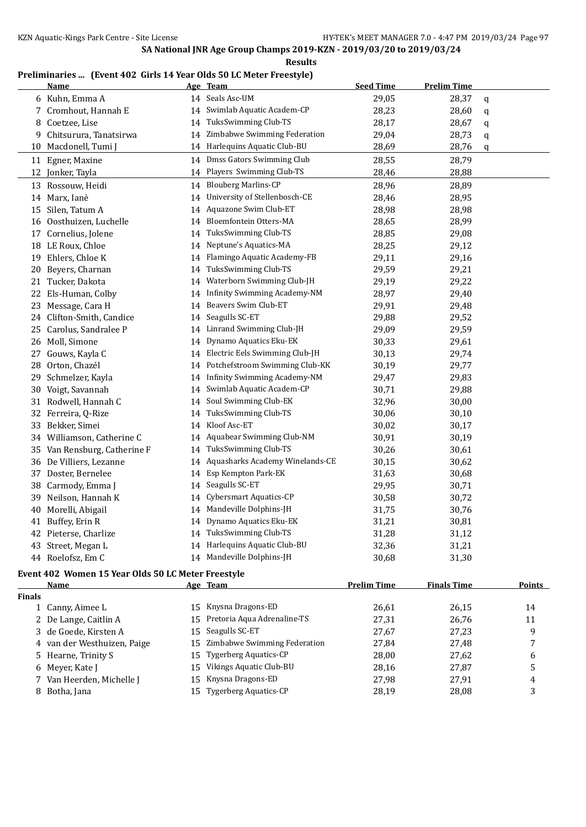**Results**

### **Preliminaries ... (Event 402 Girls 14 Year Olds 50 LC Meter Freestyle)**

|    | <b>Name</b>                  |    | Age Team                        | <b>Seed Time</b> | <b>Prelim Time</b> |              |
|----|------------------------------|----|---------------------------------|------------------|--------------------|--------------|
|    | 6 Kuhn, Emma A               | 14 | Seals Asc-UM                    | 29,05            | 28,37              | $\mathsf{q}$ |
| 7  | Cromhout, Hannah E           | 14 | Swimlab Aquatic Academ-CP       | 28,23            | 28,60              | q            |
| 8  | Coetzee, Lise                | 14 | TuksSwimming Club-TS            | 28,17            | 28,67              | q            |
| 9  | Chitsurura, Tanatsirwa       |    | 14 Zimbabwe Swimming Federation | 29,04            | 28,73              | q            |
| 10 | Macdonell, Tumi J            |    | 14 Harlequins Aquatic Club-BU   | 28,69            | 28,76              | q            |
|    | 11 Egner, Maxine             |    | 14 Dmss Gators Swimming Club    | 28,55            | 28,79              |              |
| 12 | Jonker, Tayla                | 14 | Players Swimming Club-TS        | 28,46            | 28,88              |              |
|    | 13 Rossouw, Heidi            |    | 14 Blouberg Marlins-CP          | 28,96            | 28,89              |              |
|    | 14 Marx, Ianè                | 14 | University of Stellenbosch-CE   | 28,46            | 28,95              |              |
| 15 | Silen, Tatum A               | 14 | Aquazone Swim Club-ET           | 28,98            | 28,98              |              |
|    | 16 Oosthuizen, Luchelle      | 14 | Bloemfontein Otters-MA          | 28,65            | 28,99              |              |
| 17 | Cornelius, Jolene            | 14 | TuksSwimming Club-TS            | 28,85            | 29,08              |              |
|    | 18 LE Roux, Chloe            | 14 | Neptune's Aquatics-MA           | 28,25            | 29,12              |              |
|    | 19 Ehlers, Chloe K           | 14 | Flamingo Aquatic Academy-FB     | 29,11            | 29,16              |              |
| 20 | Beyers, Charnan              | 14 | TuksSwimming Club-TS            | 29,59            | 29,21              |              |
| 21 | Tucker, Dakota               | 14 | Waterborn Swimming Club-JH      | 29,19            | 29,22              |              |
|    | 22 Els-Human, Colby          | 14 | Infinity Swimming Academy-NM    | 28,97            | 29,40              |              |
|    | 23 Message, Cara H           | 14 | Beavers Swim Club-ET            | 29,91            | 29,48              |              |
| 24 | Clifton-Smith, Candice       | 14 | Seagulls SC-ET                  | 29,88            | 29,52              |              |
| 25 | Carolus, Sandralee P         | 14 | Linrand Swimming Club-JH        | 29,09            | 29,59              |              |
|    | 26 Moll, Simone              | 14 | Dynamo Aquatics Eku-EK          | 30,33            | 29,61              |              |
| 27 | Gouws, Kayla C               | 14 | Electric Eels Swimming Club-JH  | 30,13            | 29,74              |              |
|    | 28 Orton, Chazél             | 14 | Potchefstroom Swimming Club-KK  | 30,19            | 29,77              |              |
|    | 29 Schmelzer, Kayla          | 14 | Infinity Swimming Academy-NM    | 29,47            | 29,83              |              |
|    | 30 Voigt, Savannah           | 14 | Swimlab Aquatic Academ-CP       | 30,71            | 29,88              |              |
| 31 | Rodwell, Hannah C            | 14 | Soul Swimming Club-EK           | 32,96            | 30,00              |              |
|    | 32 Ferreira, Q-Rize          |    | 14 TuksSwimming Club-TS         | 30,06            | 30,10              |              |
|    | 33 Bekker, Simei             | 14 | Kloof Asc-ET                    | 30,02            | 30,17              |              |
|    | 34 Williamson, Catherine C   | 14 | Aquabear Swimming Club-NM       | 30,91            | 30,19              |              |
|    | 35 Van Rensburg, Catherine F | 14 | TuksSwimming Club-TS            | 30,26            | 30,61              |              |
|    | 36 De Villiers, Lezanne      | 14 | Aquasharks Academy Winelands-CE | 30,15            | 30,62              |              |
| 37 | Doster, Bernelee             | 14 | Esp Kempton Park-EK             | 31,63            | 30,68              |              |
| 38 | Carmody, Emma J              | 14 | Seagulls SC-ET                  | 29,95            | 30,71              |              |
| 39 | Neilson, Hannah K            | 14 | Cybersmart Aquatics-CP          | 30,58            | 30,72              |              |
|    | 40 Morelli, Abigail          | 14 | Mandeville Dolphins-JH          | 31,75            | 30,76              |              |
| 41 | Buffey, Erin R               | 14 | Dynamo Aquatics Eku-EK          | 31,21            | 30,81              |              |
|    | 42 Pieterse, Charlize        | 14 | TuksSwimming Club-TS            | 31,28            | 31,12              |              |
|    | 43 Street, Megan L           | 14 | Harlequins Aquatic Club-BU      | 32,36            | 31,21              |              |
|    | 44 Roelofsz, Em C            |    | 14 Mandeville Dolphins-JH       | 30,68            | 31,30              |              |

# **Event 402 Women 15 Year Olds 50 LC Meter Freestyle**

|               | Name                        |     | Age Team                       | <b>Prelim Time</b> | <b>Finals Time</b> | <b>Points</b> |
|---------------|-----------------------------|-----|--------------------------------|--------------------|--------------------|---------------|
| <b>Finals</b> |                             |     |                                |                    |                    |               |
|               | 1 Canny, Aimee L            |     | 15 Knysna Dragons-ED           | 26.61              | 26,15              | 14            |
|               | 2 De Lange, Caitlin A       |     | 15 Pretoria Aqua Adrenaline-TS | 27,31              | 26,76              | 11            |
|               | 3 de Goede, Kirsten A       |     | 15 Seagulls SC-ET              | 27,67              | 27,23              | 9             |
|               | 4 van der Westhuizen, Paige | 15  | Zimbabwe Swimming Federation   | 27.84              | 27.48              |               |
|               | 5 Hearne, Trinity S         |     | 15 Tygerberg Aquatics-CP       | 28.00              | 27.62              | 6             |
|               | 6 Meyer, Kate J             | 15  | Vikings Aquatic Club-BU        | 28,16              | 27.87              | 5             |
|               | 7 Van Heerden, Michelle J   |     | 15 Knysna Dragons-ED           | 27.98              | 27,91              | 4             |
|               | 8 Botha, Jana               | 15. | Tygerberg Aquatics-CP          | 28,19              | 28,08              | 3             |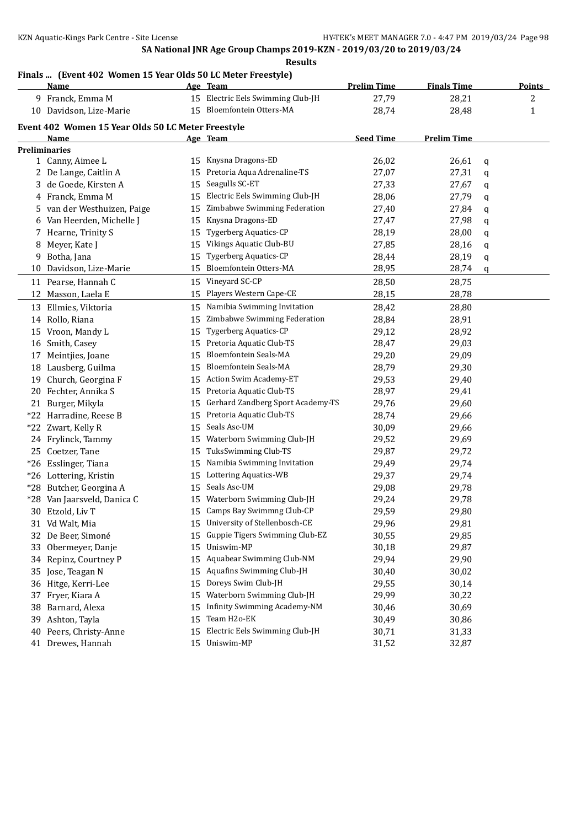### **Finals ... (Event 402 Women 15 Year Olds 50 LC Meter Freestyle)**

|    | Name                                               |    | Age Team                            | <b>Prelim Time</b> | <b>Finals Time</b> |   | <b>Points</b> |
|----|----------------------------------------------------|----|-------------------------------------|--------------------|--------------------|---|---------------|
|    | 9 Franck, Emma M                                   |    | 15 Electric Eels Swimming Club-JH   | 27,79              | 28,21              |   | 2             |
|    | 10 Davidson, Lize-Marie                            |    | 15 Bloemfontein Otters-MA           | 28,74              | 28,48              |   | 1             |
|    | Event 402 Women 15 Year Olds 50 LC Meter Freestyle |    |                                     |                    |                    |   |               |
|    | <u>Name</u>                                        |    | Age Team                            | <b>Seed Time</b>   | <b>Prelim Time</b> |   |               |
|    | <b>Preliminaries</b>                               |    |                                     |                    |                    |   |               |
|    | 1 Canny, Aimee L                                   |    | 15 Knysna Dragons-ED                | 26,02              | 26,61              | q |               |
|    | 2 De Lange, Caitlin A                              | 15 | Pretoria Aqua Adrenaline-TS         | 27,07              | 27,31              | q |               |
| 3  | de Goede, Kirsten A                                | 15 | Seagulls SC-ET                      | 27,33              | 27,67              | q |               |
| 4  | Franck, Emma M                                     | 15 | Electric Eels Swimming Club-JH      | 28,06              | 27,79              | q |               |
| 5. | van der Westhuizen, Paige                          | 15 | Zimbabwe Swimming Federation        | 27,40              | 27,84              | q |               |
| 6  | Van Heerden, Michelle J                            | 15 | Knysna Dragons-ED                   | 27,47              | 27,98              | q |               |
| 7  | Hearne, Trinity S                                  | 15 | <b>Tygerberg Aquatics-CP</b>        | 28,19              | 28,00              | q |               |
| 8  | Meyer, Kate J                                      | 15 | Vikings Aquatic Club-BU             | 27,85              | 28,16              | q |               |
| 9  | Botha, Jana                                        | 15 | <b>Tygerberg Aquatics-CP</b>        | 28,44              | 28,19              | q |               |
| 10 | Davidson, Lize-Marie                               | 15 | Bloemfontein Otters-MA              | 28,95              | 28,74              | q |               |
|    | 11 Pearse, Hannah C                                |    | 15 Vineyard SC-CP                   | 28,50              | 28,75              |   |               |
| 12 | Masson, Laela E                                    | 15 | Players Western Cape-CE             | 28,15              | 28,78              |   |               |
| 13 | Ellmies, Viktoria                                  | 15 | Namibia Swimming Invitation         | 28,42              | 28,80              |   |               |
|    | 14 Rollo, Riana                                    | 15 | Zimbabwe Swimming Federation        | 28,84              | 28,91              |   |               |
|    | 15 Vroon, Mandy L                                  | 15 | <b>Tygerberg Aquatics-CP</b>        | 29,12              | 28,92              |   |               |
|    | 16 Smith, Casey                                    | 15 | Pretoria Aquatic Club-TS            | 28,47              | 29,03              |   |               |
| 17 | Meintjies, Joane                                   | 15 | <b>Bloemfontein Seals-MA</b>        | 29,20              | 29,09              |   |               |
| 18 | Lausberg, Guilma                                   | 15 | Bloemfontein Seals-MA               | 28,79              | 29,30              |   |               |
| 19 | Church, Georgina F                                 | 15 | Action Swim Academy-ET              | 29,53              | 29,40              |   |               |
|    | 20 Fechter, Annika S                               | 15 | Pretoria Aquatic Club-TS            | 28,97              | 29,41              |   |               |
|    | 21 Burger, Mikyla                                  | 15 | Gerhard Zandberg Sport Academy-TS   | 29,76              | 29,60              |   |               |
|    | *22 Harradine, Reese B                             | 15 | Pretoria Aquatic Club-TS            | 28,74              | 29,66              |   |               |
|    | *22 Zwart, Kelly R                                 | 15 | Seals Asc-UM                        | 30,09              | 29,66              |   |               |
|    | 24 Frylinck, Tammy                                 | 15 | Waterborn Swimming Club-JH          | 29,52              | 29,69              |   |               |
|    | 25 Coetzer, Tane                                   | 15 | TuksSwimming Club-TS                | 29,87              | 29,72              |   |               |
|    | *26 Esslinger, Tiana                               | 15 | Namibia Swimming Invitation         | 29,49              | 29,74              |   |               |
|    | *26 Lottering, Kristin                             | 15 | Lottering Aquatics-WB               | 29,37              | 29,74              |   |               |
|    | *28 Butcher, Georgina A                            | 15 | Seals Asc-UM                        | 29,08              | 29,78              |   |               |
|    | *28 Van Jaarsveld, Danica C                        |    | 15 Waterborn Swimming Club-JH       | 29,24              | 29,78              |   |               |
|    | 30 Etzold, Liv T                                   |    | 15 Camps Bay Swimmng Club-CP        | 29,59              | 29,80              |   |               |
|    | 31 Vd Walt, Mia                                    |    | 15 University of Stellenbosch-CE    | 29,96              | 29,81              |   |               |
|    | 32 De Beer, Simoné                                 | 15 | Guppie Tigers Swimming Club-EZ      | 30,55              | 29,85              |   |               |
| 33 | Obermeyer, Danje                                   | 15 | Uniswim-MP                          | 30,18              | 29,87              |   |               |
| 34 | Repinz, Courtney P                                 | 15 | Aquabear Swimming Club-NM           | 29,94              | 29,90              |   |               |
| 35 | Jose, Teagan N                                     | 15 | Aquafins Swimming Club-JH           | 30,40              | 30,02              |   |               |
|    | 36 Hitge, Kerri-Lee                                | 15 | Doreys Swim Club-JH                 | 29,55              | 30,14              |   |               |
| 37 | Fryer, Kiara A                                     | 15 | Waterborn Swimming Club-JH          | 29,99              | 30,22              |   |               |
| 38 | Barnard, Alexa                                     | 15 | <b>Infinity Swimming Academy-NM</b> | 30,46              | 30,69              |   |               |
| 39 | Ashton, Tayla                                      | 15 | Team H <sub>20</sub> -EK            | 30,49              | 30,86              |   |               |
| 40 | Peers, Christy-Anne                                | 15 | Electric Eels Swimming Club-JH      | 30,71              | 31,33              |   |               |
|    | 41 Drewes, Hannah                                  | 15 | Uniswim-MP                          | 31,52              | 32,87              |   |               |
|    |                                                    |    |                                     |                    |                    |   |               |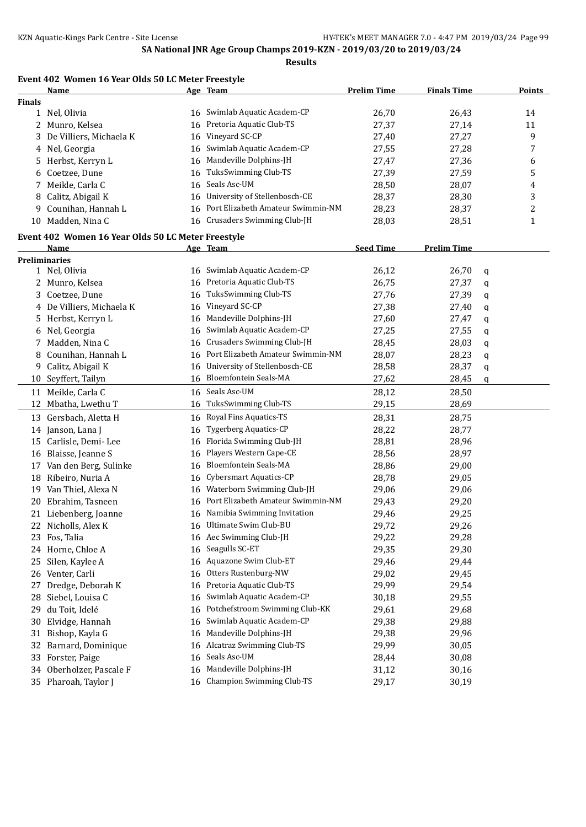**Results**

### **Event 402 Women 16 Year Olds 50 LC Meter Freestyle**

|               | <b>Name</b>                                        |    | Age Team                          | <b>Prelim Time</b> | <b>Finals Time</b> |   | <b>Points</b> |
|---------------|----------------------------------------------------|----|-----------------------------------|--------------------|--------------------|---|---------------|
| <b>Finals</b> |                                                    |    |                                   |                    |                    |   |               |
|               | 1 Nel, Olivia                                      |    | 16 Swimlab Aquatic Academ-CP      | 26,70              | 26,43              |   | 14            |
| 2             | Munro, Kelsea                                      | 16 | Pretoria Aquatic Club-TS          | 27,37              | 27,14              |   | 11            |
|               | 3 De Villiers, Michaela K                          | 16 | Vineyard SC-CP                    | 27,40              | 27,27              |   | 9             |
|               | 4 Nel, Georgia                                     | 16 | Swimlab Aquatic Academ-CP         | 27,55              | 27,28              |   | 7             |
| 5.            | Herbst, Kerryn L                                   | 16 | Mandeville Dolphins-JH            | 27,47              | 27,36              |   | 6             |
| 6             | Coetzee, Dune                                      | 16 | TuksSwimming Club-TS              | 27,39              | 27,59              |   | 5             |
| 7             | Meikle, Carla C                                    | 16 | Seals Asc-UM                      | 28,50              | 28,07              |   | 4             |
| 8             | Calitz, Abigail K                                  | 16 | University of Stellenbosch-CE     | 28,37              | 28,30              |   | 3             |
| 9             | Counihan, Hannah L                                 | 16 | Port Elizabeth Amateur Swimmin-NM | 28,23              | 28,37              |   | 2             |
|               | 10 Madden, Nina C                                  | 16 | Crusaders Swimming Club-JH        | 28,03              | 28,51              |   | $\mathbf{1}$  |
|               | Event 402 Women 16 Year Olds 50 LC Meter Freestyle |    |                                   |                    |                    |   |               |
|               | Name                                               |    | Age Team                          | <b>Seed Time</b>   | <b>Prelim Time</b> |   |               |
|               | <b>Preliminaries</b>                               |    |                                   |                    |                    |   |               |
|               | 1 Nel, Olivia                                      | 16 | Swimlab Aquatic Academ-CP         | 26,12              | 26,70              | q |               |
| 2             | Munro, Kelsea                                      | 16 | Pretoria Aquatic Club-TS          | 26,75              | 27,37              | q |               |
|               | 3 Coetzee, Dune                                    | 16 | TuksSwimming Club-TS              | 27,76              | 27,39              | q |               |
|               | 4 De Villiers, Michaela K                          | 16 | Vineyard SC-CP                    | 27,38              | 27,40              | q |               |
|               | 5 Herbst, Kerryn L                                 | 16 | Mandeville Dolphins-JH            | 27,60              | 27,47              | q |               |
|               | 6 Nel, Georgia                                     | 16 | Swimlab Aquatic Academ-CP         | 27,25              | 27,55              | q |               |
| 7.            | Madden, Nina C                                     | 16 | Crusaders Swimming Club-JH        | 28,45              | 28,03              | q |               |
| 8             | Counihan, Hannah L                                 | 16 | Port Elizabeth Amateur Swimmin-NM | 28,07              | 28,23              | q |               |
| 9             | Calitz, Abigail K                                  | 16 | University of Stellenbosch-CE     | 28,58              | 28,37              | q |               |
| 10            | Seyffert, Tailyn                                   | 16 | <b>Bloemfontein Seals-MA</b>      | 27,62              | 28,45              | q |               |
|               | 11 Meikle, Carla C                                 | 16 | Seals Asc-UM                      | 28,12              | 28,50              |   |               |
|               |                                                    | 16 | TuksSwimming Club-TS              | 29,15              |                    |   |               |
|               | 12 Mbatha, Lwethu T                                |    |                                   |                    | 28,69              |   |               |
|               | 13 Gersbach, Aletta H                              | 16 | Royal Fins Aquatics-TS            | 28,31              | 28,75              |   |               |
|               | 14 Janson, Lana J                                  | 16 | <b>Tygerberg Aquatics-CP</b>      | 28,22              | 28,77              |   |               |
| 15            | Carlisle, Demi-Lee                                 | 16 | Florida Swimming Club-JH          | 28,81              | 28,96              |   |               |
|               | 16 Blaisse, Jeanne S                               | 16 | Players Western Cape-CE           | 28,56              | 28,97              |   |               |
|               | 17 Van den Berg, Sulinke                           | 16 | Bloemfontein Seals-MA             | 28,86              | 29,00              |   |               |
|               | 18 Ribeiro, Nuria A                                | 16 | Cybersmart Aquatics-CP            | 28,78              | 29,05              |   |               |
| 19            | Van Thiel, Alexa N                                 | 16 | Waterborn Swimming Club-JH        | 29,06              | 29,06              |   |               |
| 20            | Ebrahim, Tasneen                                   | 16 | Port Elizabeth Amateur Swimmin-NM | 29,43              | 29,20              |   |               |
|               | 21 Liebenberg, Joanne                              | 16 | Namibia Swimming Invitation       | 29,46              | 29,25              |   |               |
| 22            | Nicholls, Alex K                                   |    | 16 Ultimate Swim Club-BU          | 29,72              | 29,26              |   |               |
|               | 23 Fos, Talia                                      |    | 16 Aec Swimming Club-JH           | 29,22              | 29,28              |   |               |
|               | 24 Horne, Chloe A                                  | 16 | Seagulls SC-ET                    | 29,35              | 29,30              |   |               |
|               | 25 Silen, Kaylee A                                 | 16 | Aquazone Swim Club-ET             | 29,46              | 29,44              |   |               |
|               | 26 Venter, Carli                                   | 16 | Otters Rustenburg-NW              | 29,02              | 29,45              |   |               |
|               | 27 Dredge, Deborah K                               | 16 | Pretoria Aquatic Club-TS          | 29,99              | 29,54              |   |               |
| 28            | Siebel, Louisa C                                   | 16 | Swimlab Aquatic Academ-CP         | 30,18              | 29,55              |   |               |
| 29            | du Toit, Idelé                                     | 16 | Potchefstroom Swimming Club-KK    | 29,61              | 29,68              |   |               |
| 30            | Elvidge, Hannah                                    | 16 | Swimlab Aquatic Academ-CP         | 29,38              | 29,88              |   |               |
|               | 31 Bishop, Kayla G                                 | 16 | Mandeville Dolphins-JH            | 29,38              | 29,96              |   |               |
| 32            | Barnard, Dominique                                 | 16 | Alcatraz Swimming Club-TS         | 29,99              | 30,05              |   |               |
|               | 33 Forster, Paige                                  | 16 | Seals Asc-UM                      | 28,44              | 30,08              |   |               |
|               | 34 Oberholzer, Pascale F                           | 16 | Mandeville Dolphins-JH            | 31,12              | 30,16              |   |               |
|               | 35 Pharoah, Taylor J                               |    | 16 Champion Swimming Club-TS      | 29,17              | 30,19              |   |               |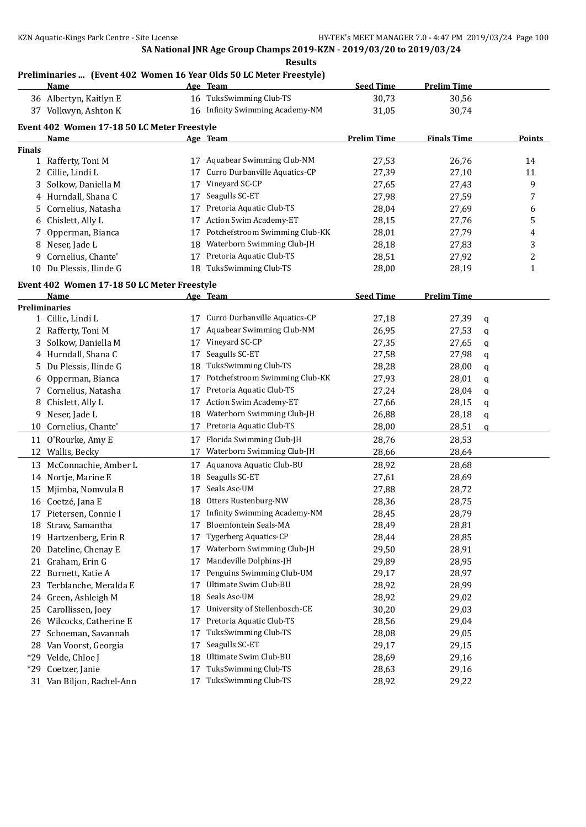# **Preliminaries ... (Event 402 Women 16 Year Olds 50 LC Meter Freestyle)**

|               | <u>Name</u>                                 |    | Age Team                        | <b>Seed Time</b>   | <b>Prelim Time</b> |   |               |
|---------------|---------------------------------------------|----|---------------------------------|--------------------|--------------------|---|---------------|
|               | 36 Albertyn, Kaitlyn E                      |    | 16 TuksSwimming Club-TS         | 30,73              | 30,56              |   |               |
|               | 37 Volkwyn, Ashton K                        |    | 16 Infinity Swimming Academy-NM | 31,05              | 30,74              |   |               |
|               | Event 402 Women 17-18 50 LC Meter Freestyle |    |                                 |                    |                    |   |               |
|               | Name                                        |    | Age Team                        | <b>Prelim Time</b> | <b>Finals Time</b> |   | <b>Points</b> |
| <b>Finals</b> |                                             |    |                                 |                    |                    |   |               |
|               | 1 Rafferty, Toni M                          |    | 17 Aquabear Swimming Club-NM    | 27,53              | 26,76              |   | 14            |
| 2             | Cillie, Lindi L                             | 17 | Curro Durbanville Aquatics-CP   | 27,39              | 27,10              |   | 11            |
| 3             | Solkow, Daniella M                          | 17 | Vineyard SC-CP                  | 27,65              | 27,43              |   | 9             |
|               | 4 Hurndall, Shana C                         | 17 | Seagulls SC-ET                  | 27,98              | 27,59              |   | 7             |
| 5             | Cornelius, Natasha                          | 17 | Pretoria Aquatic Club-TS        | 28,04              | 27,69              |   | 6             |
| 6             | Chislett, Ally L                            | 17 | Action Swim Academy-ET          | 28,15              | 27,76              |   | 5             |
| 7             | Opperman, Bianca                            | 17 | Potchefstroom Swimming Club-KK  | 28,01              | 27,79              |   | 4             |
|               | 8 Neser, Jade L                             | 18 | Waterborn Swimming Club-JH      | 28,18              | 27,83              |   | 3             |
| 9             | Cornelius, Chante'                          | 17 | Pretoria Aquatic Club-TS        | 28,51              | 27,92              |   | 2             |
| 10            | Du Plessis, Ilinde G                        | 18 | TuksSwimming Club-TS            | 28,00              | 28,19              |   | 1             |
|               | Event 402 Women 17-18 50 LC Meter Freestyle |    |                                 |                    |                    |   |               |
|               | Name                                        |    | Age Team                        | <b>Seed Time</b>   | <b>Prelim Time</b> |   |               |
|               | <b>Preliminaries</b>                        |    |                                 |                    |                    |   |               |
|               | 1 Cillie, Lindi L                           | 17 | Curro Durbanville Aquatics-CP   | 27,18              | 27,39              | q |               |
|               | 2 Rafferty, Toni M                          | 17 | Aquabear Swimming Club-NM       | 26,95              | 27,53              | q |               |
| 3             | Solkow, Daniella M                          | 17 | Vineyard SC-CP                  | 27,35              | 27,65              | q |               |
| 4             | Hurndall, Shana C                           | 17 | Seagulls SC-ET                  | 27,58              | 27,98              | q |               |
| 5.            | Du Plessis, Ilinde G                        | 18 | TuksSwimming Club-TS            | 28,28              | 28,00              | q |               |
| 6             | Opperman, Bianca                            | 17 | Potchefstroom Swimming Club-KK  | 27,93              | 28,01              | q |               |
| 7             | Cornelius, Natasha                          | 17 | Pretoria Aquatic Club-TS        | 27,24              | 28,04              | q |               |
| 8             | Chislett, Ally L                            | 17 | Action Swim Academy-ET          | 27,66              | 28,15              | q |               |
| 9             | Neser, Jade L                               | 18 | Waterborn Swimming Club-JH      | 26,88              | 28,18              | q |               |
| 10            | Cornelius, Chante'                          | 17 | Pretoria Aquatic Club-TS        | 28,00              | 28,51              | q |               |
| 11            | O'Rourke, Amy E                             | 17 | Florida Swimming Club-JH        | 28,76              | 28,53              |   |               |
|               | 12 Wallis, Becky                            | 17 | Waterborn Swimming Club-JH      | 28,66              | 28,64              |   |               |
|               | 13 McConnachie, Amber L                     | 17 | Aquanova Aquatic Club-BU        | 28,92              | 28,68              |   |               |
|               | 14 Nortje, Marine E                         | 18 | Seagulls SC-ET                  | 27,61              | 28,69              |   |               |
|               | 15 Mjimba, Nomvula B                        | 17 | Seals Asc-UM                    | 27,88              | 28,72              |   |               |
|               | 16 Coetzé, Jana E                           | 18 | Otters Rustenburg-NW            | 28,36              | 28,75              |   |               |
|               | 17 Pietersen, Connie I                      |    | 17 Infinity Swimming Academy-NM | 28,45              | 28,79              |   |               |
|               | 18 Straw, Samantha                          | 17 | Bloemfontein Seals-MA           | 28,49              | 28,81              |   |               |
| 19            | Hartzenberg, Erin R                         | 17 | <b>Tygerberg Aquatics-CP</b>    | 28,44              | 28,85              |   |               |
| 20            | Dateline, Chenay E                          | 17 | Waterborn Swimming Club-JH      | 29,50              | 28,91              |   |               |
| 21            | Graham, Erin G                              | 17 | Mandeville Dolphins-JH          | 29,89              | 28,95              |   |               |
| 22            | Burnett, Katie A                            | 17 | Penguins Swimming Club-UM       | 29,17              | 28,97              |   |               |
| 23            | Terblanche, Meralda E                       | 17 | Ultimate Swim Club-BU           | 28,92              | 28,99              |   |               |
| 24            | Green, Ashleigh M                           | 18 | Seals Asc-UM                    | 28,92              | 29,02              |   |               |
| 25            | Carollissen, Joey                           | 17 | University of Stellenbosch-CE   | 30,20              | 29,03              |   |               |
| 26            | Wilcocks, Catherine E                       | 17 | Pretoria Aquatic Club-TS        | 28,56              | 29,04              |   |               |
| 27            | Schoeman, Savannah                          | 17 | TuksSwimming Club-TS            | 28,08              | 29,05              |   |               |
| 28            | Van Voorst, Georgia                         | 17 | Seagulls SC-ET                  | 29,17              | 29,15              |   |               |
| $*29$         | Velde, Chloe J                              | 18 | Ultimate Swim Club-BU           | 28,69              | 29,16              |   |               |
| $*29$         | Coetzer, Janie                              | 17 | TuksSwimming Club-TS            | 28,63              | 29,16              |   |               |
|               | 31 Van Biljon, Rachel-Ann                   | 17 | TuksSwimming Club-TS            | 28,92              | 29,22              |   |               |
|               |                                             |    |                                 |                    |                    |   |               |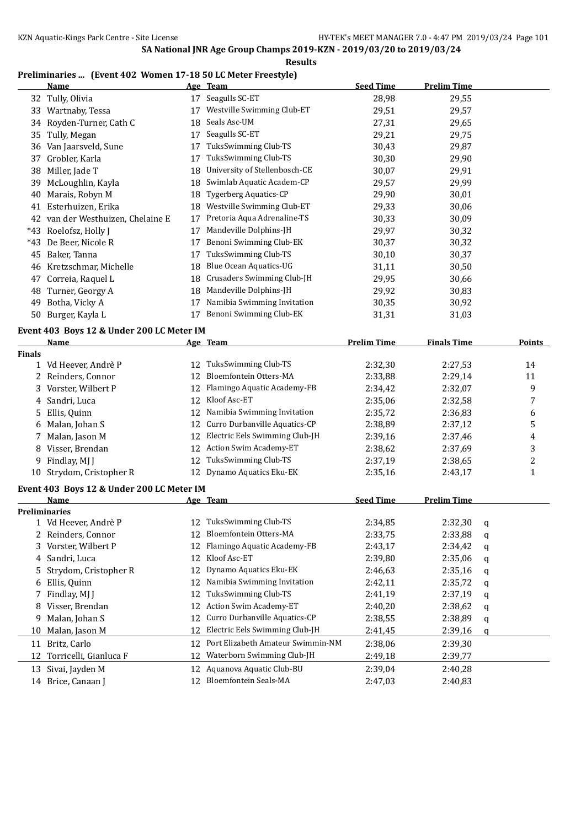### **Preliminaries ... (Event 402 Women 17-18 50 LC Meter Freestyle)**

|     | Name                           |    | Age Team                      | <b>Seed Time</b> | <b>Prelim Time</b> |
|-----|--------------------------------|----|-------------------------------|------------------|--------------------|
| 32  | Tully, Olivia                  | 17 | Seagulls SC-ET                | 28,98            | 29,55              |
| 33  | Wartnaby, Tessa                | 17 | Westville Swimming Club-ET    | 29,51            | 29,57              |
| 34  | Royden-Turner, Cath C          | 18 | Seals Asc-UM                  | 27,31            | 29,65              |
| 35  | Tully, Megan                   | 17 | Seagulls SC-ET                | 29,21            | 29,75              |
| 36  | Van Jaarsveld, Sune            | 17 | TuksSwimming Club-TS          | 30,43            | 29,87              |
| 37  | Grobler, Karla                 | 17 | TuksSwimming Club-TS          | 30,30            | 29,90              |
| 38  | Miller, Jade T                 | 18 | University of Stellenbosch-CE | 30,07            | 29,91              |
| 39  | McLoughlin, Kayla              | 18 | Swimlab Aquatic Academ-CP     | 29,57            | 29,99              |
| 40  | Marais, Robyn M                | 18 | <b>Tygerberg Aquatics-CP</b>  | 29,90            | 30,01              |
| 41  | Esterhuizen, Erika             | 18 | Westville Swimming Club-ET    | 29,33            | 30,06              |
| 42  | van der Westhuizen, Chelaine E | 17 | Pretoria Aqua Adrenaline-TS   | 30,33            | 30,09              |
| *43 | Roelofsz, Holly J              | 17 | Mandeville Dolphins-JH        | 29,97            | 30,32              |
| *43 | De Beer, Nicole R              | 17 | Benoni Swimming Club-EK       | 30,37            | 30,32              |
| 45  | Baker, Tanna                   | 17 | TuksSwimming Club-TS          | 30,10            | 30,37              |
| 46  | Kretzschmar, Michelle          | 18 | Blue Ocean Aquatics-UG        | 31,11            | 30,50              |
| 47  | Correia, Raquel L              | 18 | Crusaders Swimming Club-JH    | 29,95            | 30,66              |
| 48  | Turner, Georgy A               | 18 | Mandeville Dolphins-JH        | 29,92            | 30,83              |
| 49  | Botha, Vicky A                 | 17 | Namibia Swimming Invitation   | 30,35            | 30,92              |
| 50  | Burger, Kayla L                | 17 | Benoni Swimming Club-EK       | 31,31            | 31,03              |

# **Event 403 Boys 12 & Under 200 LC Meter IM**

|               | Name                                      |    | Age Team                          | <b>Prelim Time</b> | <b>Finals Time</b> |             | Points |
|---------------|-------------------------------------------|----|-----------------------------------|--------------------|--------------------|-------------|--------|
| <b>Finals</b> |                                           |    |                                   |                    |                    |             |        |
| 1             | Vd Heever, Andrè P                        | 12 | TuksSwimming Club-TS              | 2:32,30            | 2:27,53            |             | 14     |
| 2             | Reinders, Connor                          | 12 | Bloemfontein Otters-MA            | 2:33,88            | 2:29,14            |             | 11     |
| 3             | Vorster, Wilbert P                        | 12 | Flamingo Aquatic Academy-FB       | 2:34,42            | 2:32,07            |             | 9      |
|               | Sandri, Luca                              | 12 | Kloof Asc-ET                      | 2:35,06            | 2:32,58            |             | 7      |
| 5             | Ellis, Quinn                              | 12 | Namibia Swimming Invitation       | 2:35,72            | 2:36,83            |             | 6      |
| 6             | Malan, Johan S                            | 12 | Curro Durbanville Aquatics-CP     | 2:38,89            | 2:37,12            |             | 5      |
| 7             | Malan, Jason M                            | 12 | Electric Eels Swimming Club-JH    | 2:39,16            | 2:37,46            |             | 4      |
|               | Visser, Brendan                           | 12 | Action Swim Academy-ET            | 2:38,62            | 2:37,69            |             | 3      |
| 9             | Findlay, MJ J                             | 12 | TuksSwimming Club-TS              | 2:37,19            | 2:38,65            |             | 2      |
| 10            | Strydom, Cristopher R                     | 12 | Dynamo Aquatics Eku-EK            | 2:35,16            | 2:43,17            |             | 1      |
|               | Event 403 Boys 12 & Under 200 LC Meter IM |    |                                   |                    |                    |             |        |
|               | Name                                      |    | Age Team                          | <b>Seed Time</b>   | <b>Prelim Time</b> |             |        |
|               | <b>Preliminaries</b>                      |    |                                   |                    |                    |             |        |
|               | 1 Vd Heever, Andrè P                      | 12 | TuksSwimming Club-TS              | 2:34,85            | 2:32,30            | a           |        |
| 2             | Reinders, Connor                          | 12 | Bloemfontein Otters-MA            | 2:33,75            | 2:33,88            | $\mathbf q$ |        |
| 3             | Vorster, Wilbert P                        | 12 | Flamingo Aquatic Academy-FB       | 2:43,17            | 2:34,42            | q           |        |
| 4             | Sandri, Luca                              | 12 | Kloof Asc-ET                      | 2:39,80            | 2:35,06            | q           |        |
| 5             | Strydom, Cristopher R                     | 12 | Dynamo Aquatics Eku-EK            | 2:46,63            | 2:35,16            | q           |        |
| 6             | Ellis, Quinn                              | 12 | Namibia Swimming Invitation       | 2:42,11            | 2:35,72            | q           |        |
| 7             | Findlay, MJ J                             | 12 | TuksSwimming Club-TS              | 2:41,19            | 2:37,19            | q           |        |
| 8             | Visser, Brendan                           | 12 | Action Swim Academy-ET            | 2:40,20            | 2:38,62            | q           |        |
| 9             | Malan, Johan S                            | 12 | Curro Durbanville Aquatics-CP     | 2:38,55            | 2:38,89            | q           |        |
| 10            | Malan, Jason M                            | 12 | Electric Eels Swimming Club-JH    | 2:41,45            | 2:39,16            | q           |        |
| 11            | Britz, Carlo                              | 12 | Port Elizabeth Amateur Swimmin-NM | 2:38,06            | 2:39,30            |             |        |
| 12            | Torricelli, Gianluca F                    | 12 | Waterborn Swimming Club-JH        | 2:49,18            | 2:39,77            |             |        |
| 13            | Sivai, Jayden M                           | 12 | Aquanova Aquatic Club-BU          | 2:39,04            | 2:40,28            |             |        |
|               | 14 Brice, Canaan J                        | 12 | Bloemfontein Seals-MA             | 2:47,03            | 2:40,83            |             |        |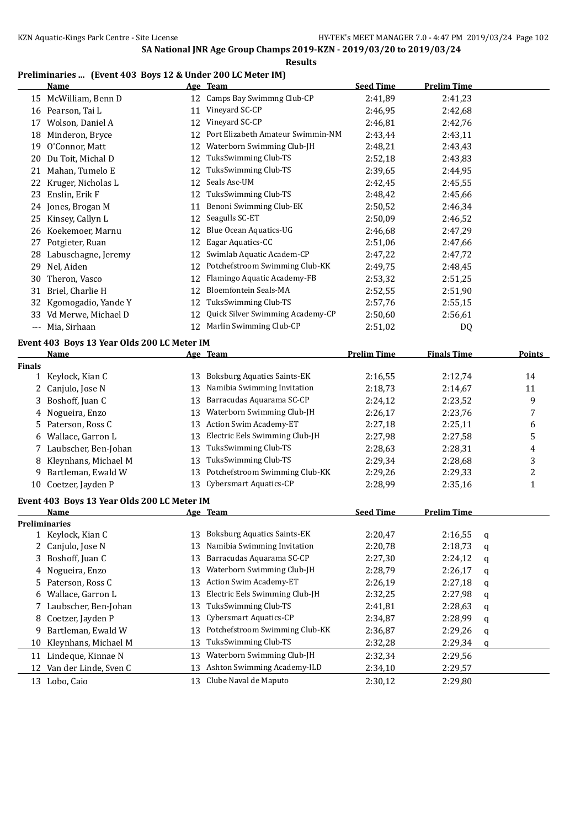### **Preliminaries ... (Event 403 Boys 12 & Under 200 LC Meter IM)**

|               | <b>Name</b>                                 |          | Age Team                           | <b>Seed Time</b>   | <b>Prelim Time</b> |               |
|---------------|---------------------------------------------|----------|------------------------------------|--------------------|--------------------|---------------|
|               | 15 McWilliam, Benn D                        |          | 12 Camps Bay Swimmng Club-CP       | 2:41,89            | 2:41,23            |               |
|               | 16 Pearson, Tai L                           | 11       | Vineyard SC-CP                     | 2:46,95            | 2:42,68            |               |
| 17            | Wolson, Daniel A                            | 12       | Vineyard SC-CP                     | 2:46,81            | 2:42,76            |               |
| 18            | Minderon, Bryce                             | 12       | Port Elizabeth Amateur Swimmin-NM  | 2:43,44            | 2:43,11            |               |
| 19            | O'Connor, Matt                              | 12       | Waterborn Swimming Club-JH         | 2:48,21            | 2:43,43            |               |
| 20            | Du Toit, Michal D                           | 12       | TuksSwimming Club-TS               | 2:52,18            | 2:43,83            |               |
| 21            | Mahan, Tumelo E                             | 12       | TuksSwimming Club-TS               | 2:39,65            | 2:44,95            |               |
| 22            | Kruger, Nicholas L                          | 12       | Seals Asc-UM                       | 2:42,45            | 2:45,55            |               |
| 23            | Enslin, Erik F                              | 12       | TuksSwimming Club-TS               | 2:48,42            | 2:45,66            |               |
|               | 24 Jones, Brogan M                          | 11       | Benoni Swimming Club-EK            | 2:50,52            | 2:46,34            |               |
| 25            | Kinsey, Callyn L                            | 12       | Seagulls SC-ET                     | 2:50,09            | 2:46,52            |               |
|               | 26 Koekemoer, Marnu                         |          | 12 Blue Ocean Aquatics-UG          | 2:46,68            | 2:47,29            |               |
| 27            | Potgieter, Ruan                             | 12       | Eagar Aquatics-CC                  | 2:51,06            | 2:47,66            |               |
|               | 28 Labuschagne, Jeremy                      |          | 12 Swimlab Aquatic Academ-CP       | 2:47,22            | 2:47,72            |               |
| 29            | Nel, Aiden                                  |          | 12 Potchefstroom Swimming Club-KK  | 2:49,75            | 2:48,45            |               |
| 30            | Theron, Vasco                               | 12       | Flamingo Aquatic Academy-FB        | 2:53,32            | 2:51,25            |               |
| 31            | Briel, Charlie H                            | 12       | <b>Bloemfontein Seals-MA</b>       | 2:52,55            | 2:51,90            |               |
| 32            | Kgomogadio, Yande Y                         | 12       | TuksSwimming Club-TS               | 2:57,76            | 2:55,15            |               |
|               | 33 Vd Merwe, Michael D                      | 12       | Quick Silver Swimming Academy-CP   | 2:50,60            | 2:56,61            |               |
|               | --- Mia, Sirhaan                            | 12       | Marlin Swimming Club-CP            | 2:51,02            | DQ                 |               |
|               |                                             |          |                                    |                    |                    |               |
|               | Event 403 Boys 13 Year Olds 200 LC Meter IM |          |                                    |                    |                    |               |
| <b>Finals</b> | <u>Name</u>                                 |          | Age Team                           | <b>Prelim Time</b> | <b>Finals Time</b> | <b>Points</b> |
|               | 1 Keylock, Kian C                           | 13       | <b>Boksburg Aquatics Saints-EK</b> | 2:16,55            | 2:12,74            | 14            |
| 2             | Canjulo, Jose N                             | 13       | Namibia Swimming Invitation        | 2:18,73            | 2:14,67            | 11            |
| 3             | Boshoff, Juan C                             | 13       | Barracudas Aquarama SC-CP          | 2:24,12            | 2:23,52            | 9             |
| 4             | Nogueira, Enzo                              | 13       | Waterborn Swimming Club-JH         | 2:26,17            | 2:23,76            | 7             |
| 5.            | Paterson, Ross C                            | 13       | Action Swim Academy-ET             | 2:27,18            | 2:25,11            | 6             |
|               | 6 Wallace, Garron L                         | 13       | Electric Eels Swimming Club-JH     | 2:27,98            | 2:27,58            | 5             |
|               | 7 Laubscher, Ben-Johan                      | 13       | TuksSwimming Club-TS               | 2:28,63            | 2:28,31            | 4             |
| 8             | Kleynhans, Michael M                        | 13       | TuksSwimming Club-TS               | 2:29,34            | 2:28,68            | 3             |
|               | 9 Bartleman, Ewald W                        | 13       | Potchefstroom Swimming Club-KK     | 2:29,26            | 2:29,33            | 2             |
|               | 10 Coetzer, Jayden P                        |          | 13 Cybersmart Aquatics-CP          | 2:28,99            | 2:35,16            | $\mathbf{1}$  |
|               |                                             |          |                                    |                    |                    |               |
|               | Event 403 Boys 13 Year Olds 200 LC Meter IM |          |                                    |                    |                    |               |
|               | <u>Name</u>                                 |          | Age Team                           | <b>Seed Time</b>   | <b>Prelim Time</b> |               |
|               | <b>Preliminaries</b>                        |          | <b>Boksburg Aquatics Saints-EK</b> | 2:20,47            |                    |               |
|               | 1 Keylock, Kian C                           | 13<br>13 | Namibia Swimming Invitation        |                    | 2:16,55<br>q       |               |
| 2             | Canjulo, Jose N<br>Boshoff, Juan C          | 13       | Barracudas Aquarama SC-CP          | 2:20,78<br>2:27,30 | 2:18,73<br>q       |               |
| 3             |                                             | 13       | Waterborn Swimming Club-JH         | 2:28,79            | 2:24,12<br>q       |               |
| 4             | Nogueira, Enzo                              | 13       | Action Swim Academy-ET             |                    | 2:26,17<br>q       |               |
| 5             | Paterson, Ross C<br>Wallace, Garron L       | 13       | Electric Eels Swimming Club-JH     | 2:26,19            | 2:27,18<br>q       |               |
| 6             |                                             |          | TuksSwimming Club-TS               | 2:32,25            | 2:27,98<br>q       |               |
| 7             | Laubscher, Ben-Johan                        | 13       | Cybersmart Aquatics-CP             | 2:41,81            | 2:28,63<br>q       |               |
| 8             | Coetzer, Jayden P                           | 13       | Potchefstroom Swimming Club-KK     | 2:34,87            | 2:28,99<br>q       |               |
| 9             | Bartleman, Ewald W                          | 13       |                                    | 2:36,87            | 2:29,26<br>q       |               |
| 10            | Kleynhans, Michael M                        | 13       | TuksSwimming Club-TS               | 2:32,28            | 2:29,34<br>q       |               |
| 11            | Lindeque, Kinnae N                          | 13       | Waterborn Swimming Club-JH         | 2:32,34            | 2:29,56            |               |
| 12            | Van der Linde, Sven C                       | 13       | Ashton Swimming Academy-ILD        | 2:34,10            | 2:29,57            |               |
|               | 13 Lobo, Caio                               | 13       | Clube Naval de Maputo              | 2:30,12            | 2:29,80            |               |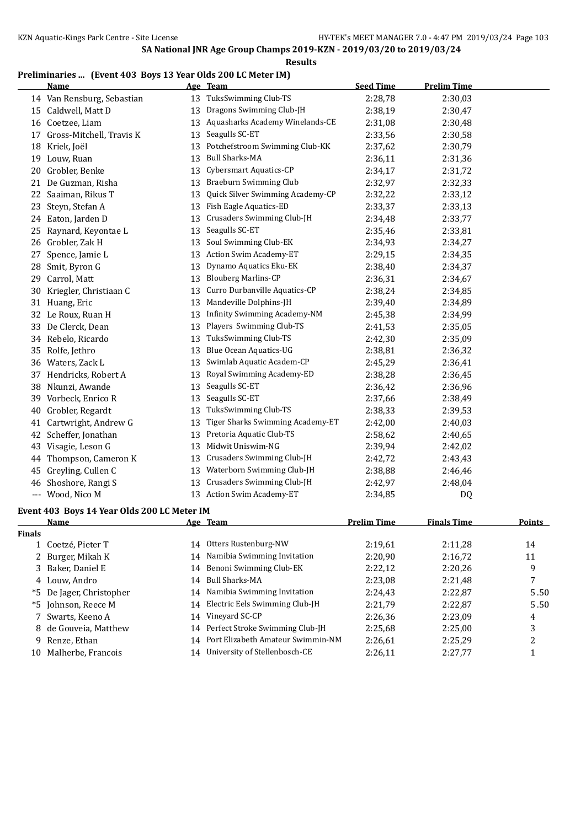### **Preliminaries ... (Event 403 Boys 13 Year Olds 200 LC Meter IM)**

|               | <b>Name</b>                                                                                                                                                                                                                   |    | Age Team                                              | <b>Seed Time</b>   | <b>Prelim Time</b> |                  |
|---------------|-------------------------------------------------------------------------------------------------------------------------------------------------------------------------------------------------------------------------------|----|-------------------------------------------------------|--------------------|--------------------|------------------|
|               | 14 Van Rensburg, Sebastian                                                                                                                                                                                                    |    | 13 TuksSwimming Club-TS                               | 2:28,78            | 2:30,03            |                  |
|               | 15 Caldwell, Matt D                                                                                                                                                                                                           | 13 | Dragons Swimming Club-JH                              | 2:38,19            | 2:30,47            |                  |
|               | 16 Coetzee, Liam                                                                                                                                                                                                              | 13 | Aquasharks Academy Winelands-CE                       | 2:31,08            | 2:30,48            |                  |
| 17            | Gross-Mitchell, Travis K                                                                                                                                                                                                      | 13 | Seagulls SC-ET                                        | 2:33,56            | 2:30,58            |                  |
|               | 18 Kriek, Joël                                                                                                                                                                                                                | 13 | Potchefstroom Swimming Club-KK                        | 2:37,62            | 2:30,79            |                  |
|               | 19 Louw, Ruan                                                                                                                                                                                                                 | 13 | <b>Bull Sharks-MA</b>                                 | 2:36,11            | 2:31,36            |                  |
| 20            | Grobler, Benke                                                                                                                                                                                                                | 13 | Cybersmart Aquatics-CP                                | 2:34,17            | 2:31,72            |                  |
| 21            | De Guzman, Risha                                                                                                                                                                                                              | 13 | Braeburn Swimming Club                                | 2:32,97            | 2:32,33            |                  |
| 22            | Saaiman, Rikus T                                                                                                                                                                                                              | 13 | Quick Silver Swimming Academy-CP                      | 2:32,22            | 2:33,12            |                  |
| 23            | Steyn, Stefan A                                                                                                                                                                                                               |    | 13 Fish Eagle Aquatics-ED                             | 2:33,37            | 2:33,13            |                  |
|               | 24 Eaton, Jarden D                                                                                                                                                                                                            | 13 | Crusaders Swimming Club-JH                            | 2:34,48            | 2:33,77            |                  |
| 25            | Raynard, Keyontae L                                                                                                                                                                                                           | 13 | Seagulls SC-ET                                        | 2:35,46            | 2:33,81            |                  |
|               | 26 Grobler, Zak H                                                                                                                                                                                                             | 13 | Soul Swimming Club-EK                                 | 2:34,93            | 2:34,27            |                  |
| 27            | Spence, Jamie L                                                                                                                                                                                                               |    | 13 Action Swim Academy-ET                             | 2:29,15            | 2:34,35            |                  |
|               | 28 Smit, Byron G                                                                                                                                                                                                              | 13 | Dynamo Aquatics Eku-EK                                | 2:38,40            | 2:34,37            |                  |
| 29            | Carrol, Matt                                                                                                                                                                                                                  | 13 | <b>Blouberg Marlins-CP</b>                            | 2:36,31            | 2:34,67            |                  |
| 30            | Kriegler, Christiaan C                                                                                                                                                                                                        | 13 | Curro Durbanville Aquatics-CP                         | 2:38,24            | 2:34,85            |                  |
|               | 31 Huang, Eric                                                                                                                                                                                                                | 13 | Mandeville Dolphins-JH                                | 2:39,40            | 2:34,89            |                  |
|               | 32 Le Roux, Ruan H                                                                                                                                                                                                            | 13 | <b>Infinity Swimming Academy-NM</b>                   | 2:45,38            |                    |                  |
|               |                                                                                                                                                                                                                               |    | Players Swimming Club-TS                              |                    | 2:34,99            |                  |
|               | 33 De Clerck, Dean                                                                                                                                                                                                            | 13 |                                                       | 2:41,53            | 2:35,05            |                  |
|               | 34 Rebelo, Ricardo                                                                                                                                                                                                            | 13 | TuksSwimming Club-TS<br><b>Blue Ocean Aquatics-UG</b> | 2:42,30            | 2:35,09            |                  |
|               | 35 Rolfe, Jethro                                                                                                                                                                                                              | 13 |                                                       | 2:38,81            | 2:36,32            |                  |
|               | 36 Waters, Zack L                                                                                                                                                                                                             | 13 | Swimlab Aquatic Academ-CP                             | 2:45,29            | 2:36,41            |                  |
|               | 37 Hendricks, Robert A                                                                                                                                                                                                        | 13 | Royal Swimming Academy-ED                             | 2:38,28            | 2:36,45            |                  |
|               | 38 Nkunzi, Awande                                                                                                                                                                                                             | 13 | Seagulls SC-ET                                        | 2:36,42            | 2:36,96            |                  |
|               | 39 Vorbeck, Enrico R                                                                                                                                                                                                          | 13 | Seagulls SC-ET                                        | 2:37,66            | 2:38,49            |                  |
|               | 40 Grobler, Regardt                                                                                                                                                                                                           | 13 | TuksSwimming Club-TS                                  | 2:38,33            | 2:39,53            |                  |
| 41            | Cartwright, Andrew G                                                                                                                                                                                                          | 13 | Tiger Sharks Swimming Academy-ET                      | 2:42,00            | 2:40,03            |                  |
| 42            | Scheffer, Jonathan                                                                                                                                                                                                            | 13 | Pretoria Aquatic Club-TS                              | 2:58,62            | 2:40,65            |                  |
|               | 43 Visagie, Leson G                                                                                                                                                                                                           | 13 | Midwit Uniswim-NG                                     | 2:39,94            | 2:42,02            |                  |
| 44            | Thompson, Cameron K                                                                                                                                                                                                           | 13 | Crusaders Swimming Club-JH                            | 2:42,72            | 2:43,43            |                  |
| 45            | Greyling, Cullen C                                                                                                                                                                                                            | 13 | Waterborn Swimming Club-JH                            | 2:38,88            | 2:46,46            |                  |
| 46            | Shoshore, Rangi S                                                                                                                                                                                                             | 13 | Crusaders Swimming Club-JH                            | 2:42,97            | 2:48,04            |                  |
|               | --- Wood, Nico M                                                                                                                                                                                                              |    | 13 Action Swim Academy-ET                             | 2:34,85            | DQ                 |                  |
|               | Event 403 Boys 14 Year Olds 200 LC Meter IM                                                                                                                                                                                   |    |                                                       |                    |                    |                  |
|               | Name and the same state of the state of the state of the state of the state of the state of the state of the state of the state of the state of the state of the state of the state of the state of the state of the state of |    | Age Team                                              | <b>Prelim Time</b> | <b>Finals Time</b> | <b>Points</b>    |
| <b>Finals</b> |                                                                                                                                                                                                                               |    |                                                       |                    |                    |                  |
| $\mathbf{1}$  | Coetzé, Pieter T                                                                                                                                                                                                              |    | 14 Otters Rustenburg-NW                               | 2:19,61            | 2:11,28            | 14               |
| 2             | Burger, Mikah K                                                                                                                                                                                                               | 14 | Namibia Swimming Invitation                           | 2:20,90            | 2:16,72            | 11               |
| 3             | Baker, Daniel E                                                                                                                                                                                                               | 14 | Benoni Swimming Club-EK                               | 2:22,12            | 2:20,26            | 9                |
|               | 4 Louw, Andro                                                                                                                                                                                                                 | 14 | <b>Bull Sharks-MA</b>                                 | 2:23,08            | 2:21,48            | 7                |
|               | *5 De Jager, Christopher                                                                                                                                                                                                      | 14 | Namibia Swimming Invitation                           | 2:24,43            | 2:22,87            | 5.50             |
|               | *5 Johnson, Reece M                                                                                                                                                                                                           | 14 | Electric Eels Swimming Club-JH                        | 2:21,79            | 2:22,87            | 5.50             |
| 7             | Swarts, Keeno A                                                                                                                                                                                                               | 14 | Vineyard SC-CP                                        | 2:26,36            | 2:23,09            | 4                |
| 8             | de Gouveia, Matthew                                                                                                                                                                                                           | 14 | Perfect Stroke Swimming Club-JH                       | 2:25,68            | 2:25,00            | 3                |
|               | 9 Renze, Ethan                                                                                                                                                                                                                | 14 | Port Elizabeth Amateur Swimmin-NM                     | 2:26,61            | 2:25,29            | $\boldsymbol{2}$ |
|               | 10 Malherbe, Francois                                                                                                                                                                                                         |    | 14 University of Stellenbosch-CE                      | 2:26,11            | 2:27,77            | $\mathbf{1}$     |
|               |                                                                                                                                                                                                                               |    |                                                       |                    |                    |                  |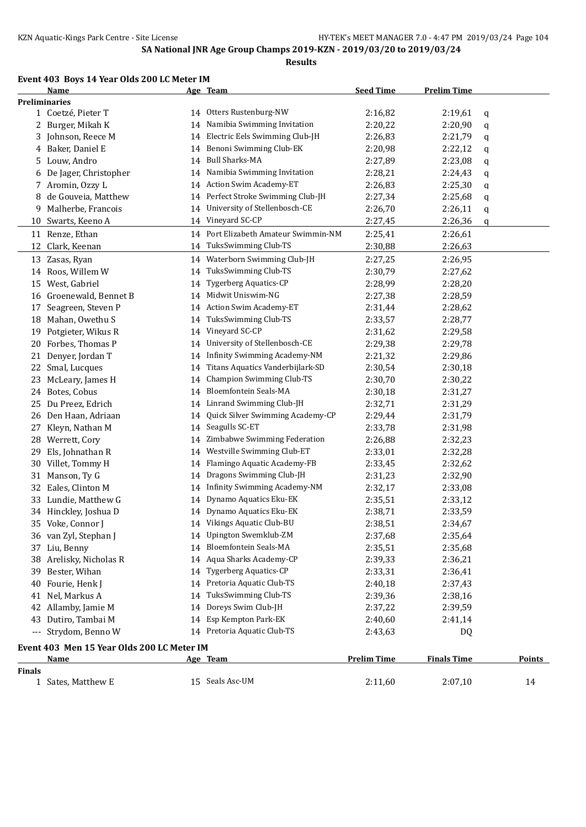#### **Event 403 Boys 14 Year Olds 200 LC Meter IM**

**Age Team Seed Time Prelim Time Preliminaries** Coetzeé, Pieter T 14 Otters Rustenburg-NW 2:16,82 2:19,61 q 2 Burger, Mikah K 14 Namibia Swimming Invitation 2:20,22 2:20,90 q 3 Johnson, Reece M 14 Electric Eels Swimming Club-JH 2:26,83 2:21,79 q Baker, Daniel E 14 Benoni Swimming Club-EK 2:20,98 2:22,12 q Louw, Andro 14 Bull Sharks-MA 2:27,89 2:23,08 q De Jager, Christopher 14 Namibia Swimming Invitation 2:28,21 2:24,43 q Aromin, Ozzy L 14 Action Swim Academy-ET 2:26,83 2:25,30 q 8 de Gouveia, Matthew 14 Perfect Stroke Swimming Club-JH 2:27,34 2:25,68 q Malherbe, Francois 14 University of Stellenbosch-CE 2:26,70 2:26,11 q Swarts, Keeno A 14 Vineyard SC-CP 2:27,45 2:26,36 q Renze, Ethan 14 Port Elizabeth Amateur Swimmin-NM 2:25,41 2:26,61 Clark, Keenan 14 TuksSwimming Club-TS 2:30,88 2:26,63 Zasas, Ryan 14 Waterborn Swimming Club-JH 2:27,25 2:26,95 Roos, Willem W 14 TuksSwimming Club-TS 2:30,79 2:27,62 West, Gabriel 14 Tygerberg Aquatics-CP 2:28,99 2:28,20 Groenewald, Bennet B 14 Midwit Uniswim-NG 2:27,38 2:28,59 Seagreen, Steven P 14 Action Swim Academy-ET 2:31,44 2:28,62 Mahan, Owethu S 14 TuksSwimming Club-TS 2:33,57 2:28,77 Potgieter, Wikus R 14 Vineyard SC-CP 2:31,62 2:29,58 20 Forbes, Thomas P 14 University of Stellenbosch-CE 2:29,38 2:29,78 21 Denyer, Jordan T 14 Infinity Swimming Academy-NM 2:21,32 2:29,86 Smal, Lucques 14 Titans Aquatics Vanderbijlark-SD 2:30,54 2:30,18 McLeary, James H 14 Champion Swimming Club-TS 2:30,70 2:30,22 Botes, Cobus 14 Bloemfontein Seals-MA 2:30,18 2:31,27 Du Preez, Edrich 14 Linrand Swimming Club-JH 2:32,71 2:31,29 Den Haan, Adriaan 14 Quick Silver Swimming Academy-CP 2:29,44 2:31,79 Kleyn, Nathan M 14 Seagulls SC-ET 2:33,78 2:31,98 Werrett, Cory 14 Zimbabwe Swimming Federation 2:26,88 2:32,23 Els, Johnathan R 14 Westville Swimming Club-ET 2:33,01 2:32,28 Villet, Tommy H 14 Flamingo Aquatic Academy-FB 2:33,45 2:32,62 Manson, Ty G 14 Dragons Swimming Club-JH 2:31,23 2:32,90 Eales, Clinton M 14 Infinity Swimming Academy-NM 2:32,17 2:33,08 Lundie, Matthew G 14 Dynamo Aquatics Eku-EK 2:35,51 2:33,12 Hinckley, Joshua D 14 Dynamo Aquatics Eku-EK 2:38,71 2:33,59 Voke, Connor J 14 Vikings Aquatic Club-BU 2:38,51 2:34,67 van Zyl, Stephan J 14 Upington Swemklub-ZM 2:37,68 2:35,64 Liu, Benny 14 Bloemfontein Seals-MA 2:35,51 2:35,68 Arelisky, Nicholas R 14 Aqua Sharks Academy-CP 2:39,33 2:36,21 Bester, Wihan 14 Tygerberg Aquatics-CP 2:33,31 2:36,41 Fourie, Henk J 14 Pretoria Aquatic Club-TS 2:40,18 2:37,43 Nel, Markus A 14 TuksSwimming Club-TS 2:39,36 2:38,16 Allamby, Jamie M 14 Doreys Swim Club-JH 2:37,22 2:39,59 Dutiro, Tambai M 14 Esp Kempton Park-EK 2:40,60 2:41,14 --- Strydom, Benno W 14 Pretoria Aquatic Club-TS 2:43,63 DQ **Event 403 Men 15 Year Olds 200 LC Meter IM Name Age Team Prelim Time Finals Time Points Finals** Sates, Matthew E 15 Seals Asc-UM 2:11,60 2:07,10 14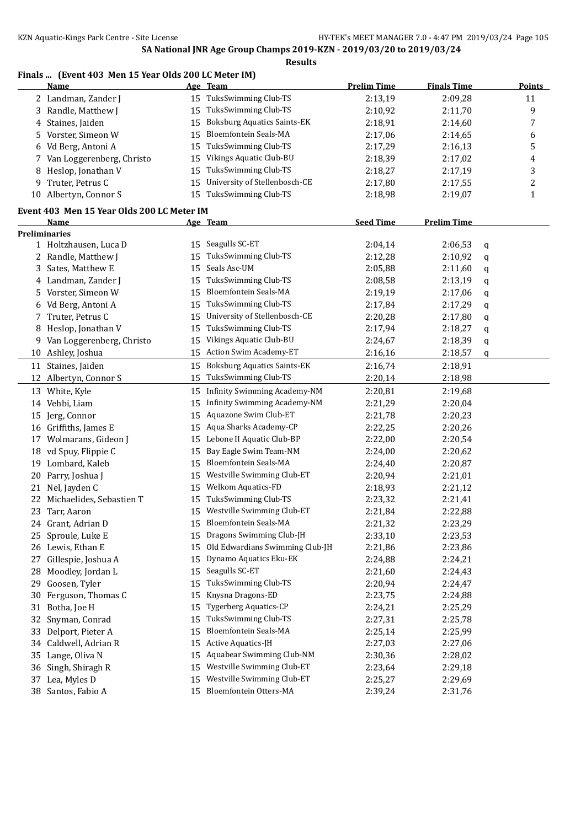### **Finals ... (Event 403 Men 15 Year Olds 200 LC Meter IM)**

|     | <b>Name</b>                                |    | Age Team                           | <b>Prelim Time</b> | <b>Finals Time</b> |   | <b>Points</b> |
|-----|--------------------------------------------|----|------------------------------------|--------------------|--------------------|---|---------------|
|     | 2 Landman, Zander J                        | 15 | TuksSwimming Club-TS               | 2:13,19            | 2:09,28            |   | 11            |
| 3   | Randle, Matthew J                          | 15 | TuksSwimming Club-TS               | 2:10,92            | 2:11,70            |   | 9             |
| 4   | Staines, Jaiden                            | 15 | <b>Boksburg Aquatics Saints-EK</b> | 2:18,91            | 2:14,60            |   | 7             |
| 5   | Vorster, Simeon W                          | 15 | <b>Bloemfontein Seals-MA</b>       | 2:17,06            | 2:14,65            |   | 6             |
| 6   | Vd Berg, Antoni A                          | 15 | TuksSwimming Club-TS               | 2:17,29            | 2:16,13            |   | 5             |
| 7   | Van Loggerenberg, Christo                  | 15 | Vikings Aquatic Club-BU            | 2:18,39            | 2:17,02            |   | 4             |
| 8   | Heslop, Jonathan V                         | 15 | TuksSwimming Club-TS               | 2:18,27            | 2:17,19            |   | 3             |
| 9   | Truter, Petrus C                           | 15 | University of Stellenbosch-CE      | 2:17,80            | 2:17,55            |   | 2             |
|     | 10 Albertyn, Connor S                      | 15 | TuksSwimming Club-TS               | 2:18,98            | 2:19,07            |   | $\mathbf{1}$  |
|     |                                            |    |                                    |                    |                    |   |               |
|     | Event 403 Men 15 Year Olds 200 LC Meter IM |    |                                    |                    |                    |   |               |
|     | <u>Name</u>                                |    | Age Team                           | <b>Seed Time</b>   | <b>Prelim Time</b> |   |               |
|     | Preliminaries<br>1 Holtzhausen, Luca D     |    | 15 Seagulls SC-ET                  | 2:04,14            | 2:06,53            |   |               |
|     | 2 Randle, Matthew J                        | 15 | TuksSwimming Club-TS               | 2:12,28            | 2:10,92            | q |               |
|     |                                            | 15 | Seals Asc-UM                       |                    |                    | q |               |
| 3   | Sates, Matthew E                           |    | TuksSwimming Club-TS               | 2:05,88            | 2:11,60            | q |               |
| 4   | Landman, Zander J                          | 15 | Bloemfontein Seals-MA              | 2:08,58            | 2:13,19            | q |               |
| 5   | Vorster, Simeon W                          | 15 | TuksSwimming Club-TS               | 2:19,19            | 2:17,06            | q |               |
| 6   | Vd Berg, Antoni A                          | 15 |                                    | 2:17,84            | 2:17,29            | q |               |
| 7   | Truter, Petrus C                           | 15 | University of Stellenbosch-CE      | 2:20,28            | 2:17,80            | q |               |
| 8   | Heslop, Jonathan V                         | 15 | TuksSwimming Club-TS               | 2:17,94            | 2:18,27            | q |               |
| 9   | Van Loggerenberg, Christo                  | 15 | Vikings Aquatic Club-BU            | 2:24,67            | 2:18,39            | q |               |
|     | 10 Ashley, Joshua                          | 15 | Action Swim Academy-ET             | 2:16,16            | 2:18,57            | q |               |
|     | 11 Staines, Jaiden                         | 15 | <b>Boksburg Aquatics Saints-EK</b> | 2:16,74            | 2:18,91            |   |               |
| 12  | Albertyn, Connor S                         | 15 | TuksSwimming Club-TS               | 2:20,14            | 2:18,98            |   |               |
|     | 13 White, Kyle                             | 15 | Infinity Swimming Academy-NM       | 2:20,81            | 2:19,68            |   |               |
| 14  | Vehbi, Liam                                | 15 | Infinity Swimming Academy-NM       | 2:21,29            | 2:20,04            |   |               |
| 15  | Jerg, Connor                               | 15 | Aquazone Swim Club-ET              | 2:21,78            | 2:20,23            |   |               |
|     | 16 Griffiths, James E                      | 15 | Aqua Sharks Academy-CP             | 2:22,25            | 2:20,26            |   |               |
| 17  | Wolmarans, Gideon J                        | 15 | Lebone II Aquatic Club-BP          | 2:22,00            | 2:20,54            |   |               |
|     | 18 vd Spuy, Flippie C                      | 15 | Bay Eagle Swim Team-NM             | 2:24,00            | 2:20,62            |   |               |
|     | 19 Lombard, Kaleb                          | 15 | Bloemfontein Seals-MA              | 2:24,40            | 2:20,87            |   |               |
| 20  | Parry, Joshua J                            | 15 | Westville Swimming Club-ET         | 2:20,94            | 2:21,01            |   |               |
| 21  | Nel, Jayden C                              | 15 | Welkom Aquatics-FD                 | 2:18,93            | 2:21,12            |   |               |
| 22  | Michaelides, Sebastien T                   | 15 | TuksSwimming Club-TS               | 2:23,32            | 2:21,41            |   |               |
|     | 23 Tarr, Aaron                             | 15 | Westville Swimming Club-ET         | 2:21,84            | 2:22,88            |   |               |
|     | 24 Grant, Adrian D                         |    | 15 Bloemfontein Seals-MA           | 2:21,32            | 2:23,29            |   |               |
|     | 25 Sproule, Luke E                         | 15 | Dragons Swimming Club-JH           | 2:33,10            | 2:23,53            |   |               |
|     | 26 Lewis, Ethan E                          | 15 | Old Edwardians Swimming Club-JH    | 2:21,86            | 2:23,86            |   |               |
| 27  | Gillespie, Joshua A                        | 15 | Dynamo Aquatics Eku-EK             | 2:24,88            | 2:24,21            |   |               |
| 28. | Moodley, Jordan L                          | 15 | Seagulls SC-ET                     | 2:21,60            | 2:24,43            |   |               |
|     | 29 Goosen, Tyler                           | 15 | TuksSwimming Club-TS               | 2:20,94            | 2:24,47            |   |               |
| 30  | Ferguson, Thomas C                         | 15 | Knysna Dragons-ED                  | 2:23,75            | 2:24,88            |   |               |
| 31  | Botha, Joe H                               | 15 | Tygerberg Aquatics-CP              | 2:24,21            | 2:25,29            |   |               |
| 32  | Snyman, Conrad                             | 15 | TuksSwimming Club-TS               | 2:27,31            | 2:25,78            |   |               |
| 33  | Delport, Pieter A                          | 15 | <b>Bloemfontein Seals-MA</b>       | 2:25,14            | 2:25,99            |   |               |
| 34  | Caldwell, Adrian R                         | 15 | Active Aquatics-JH                 | 2:27,03            | 2:27,06            |   |               |
| 35  | Lange, Oliva N                             | 15 | Aquabear Swimming Club-NM          | 2:30,36            | 2:28,02            |   |               |
| 36  | Singh, Shiragh R                           | 15 | Westville Swimming Club-ET         | 2:23,64            | 2:29,18            |   |               |
| 37  | Lea, Myles D                               | 15 | Westville Swimming Club-ET         | 2:25,27            | 2:29,69            |   |               |
|     | 38 Santos, Fabio A                         | 15 | Bloemfontein Otters-MA             | 2:39,24            | 2:31,76            |   |               |
|     |                                            |    |                                    |                    |                    |   |               |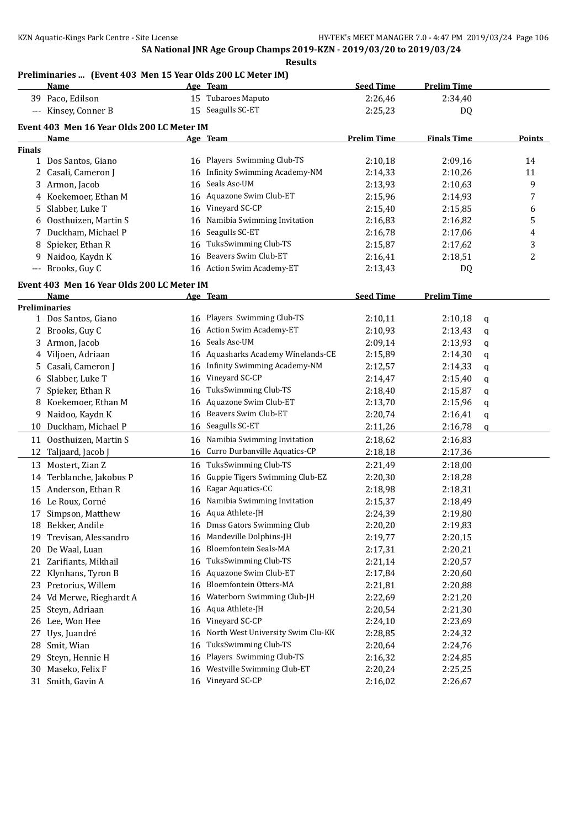# **Preliminaries ... (Event 403 Men 15 Year Olds 200 LC Meter IM)**

|               | <u>Name</u>                                |    | Age Team                            | <b>Seed Time</b>   | <b>Prelim Time</b> |             |                |
|---------------|--------------------------------------------|----|-------------------------------------|--------------------|--------------------|-------------|----------------|
|               | 39 Paco, Edilson                           |    | 15 Tubaroes Maputo                  | 2:26,46            | 2:34,40            |             |                |
|               | --- Kinsey, Conner B                       |    | 15 Seagulls SC-ET                   | 2:25,23            | DQ                 |             |                |
|               |                                            |    |                                     |                    |                    |             |                |
|               | Event 403 Men 16 Year Olds 200 LC Meter IM |    |                                     |                    |                    |             |                |
| <b>Finals</b> | <u>Name</u>                                |    | Age Team                            | <b>Prelim Time</b> | <b>Finals Time</b> |             | Points         |
|               | 1 Dos Santos, Giano                        |    | 16 Players Swimming Club-TS         | 2:10,18            | 2:09,16            |             | 14             |
|               | 2 Casali, Cameron J                        | 16 | <b>Infinity Swimming Academy-NM</b> | 2:14,33            | 2:10,26            |             | 11             |
|               | 3 Armon, Jacob                             | 16 | Seals Asc-UM                        | 2:13,93            | 2:10,63            |             | 9              |
|               | 4 Koekemoer, Ethan M                       |    | 16 Aquazone Swim Club-ET            | 2:15,96            | 2:14,93            |             | 7              |
|               | Slabber, Luke T                            |    | 16 Vineyard SC-CP                   |                    |                    |             |                |
| 5             |                                            |    | Namibia Swimming Invitation         | 2:15,40            | 2:15,85            |             | 6              |
| 6             | Oosthuizen, Martin S                       | 16 |                                     | 2:16,83            | 2:16,82            |             | 5              |
| 7             | Duckham, Michael P                         | 16 | Seagulls SC-ET                      | 2:16,78            | 2:17,06            |             | 4              |
| 8             | Spieker, Ethan R                           | 16 | TuksSwimming Club-TS                | 2:15,87            | 2:17,62            |             | 3              |
| 9             | Naidoo, Kaydn K                            | 16 | Beavers Swim Club-ET                | 2:16,41            | 2:18,51            |             | $\overline{c}$ |
| $---$         | Brooks, Guy C                              |    | 16 Action Swim Academy-ET           | 2:13,43            | DQ                 |             |                |
|               | Event 403 Men 16 Year Olds 200 LC Meter IM |    |                                     |                    |                    |             |                |
|               | Name                                       |    | Age Team                            | <b>Seed Time</b>   | <b>Prelim Time</b> |             |                |
|               | <b>Preliminaries</b>                       |    |                                     |                    |                    |             |                |
|               | 1 Dos Santos, Giano                        |    | 16 Players Swimming Club-TS         | 2:10,11            | 2:10,18            | $\mathbf q$ |                |
| 2             | Brooks, Guy C                              |    | 16 Action Swim Academy-ET           | 2:10,93            | 2:13,43            | q           |                |
| 3             | Armon, Jacob                               | 16 | Seals Asc-UM                        | 2:09,14            | 2:13,93            | q           |                |
| 4             | Viljoen, Adriaan                           | 16 | Aquasharks Academy Winelands-CE     | 2:15,89            | 2:14,30            | q           |                |
| 5.            | Casali, Cameron J                          | 16 | Infinity Swimming Academy-NM        | 2:12,57            | 2:14,33            | q           |                |
| 6             | Slabber, Luke T                            | 16 | Vineyard SC-CP                      | 2:14,47            | 2:15,40            | q           |                |
|               | Spieker, Ethan R                           | 16 | TuksSwimming Club-TS                | 2:18,40            | 2:15,87            | q           |                |
| 8             | Koekemoer, Ethan M                         | 16 | Aquazone Swim Club-ET               | 2:13,70            | 2:15,96            | q           |                |
| 9             | Naidoo, Kaydn K                            | 16 | Beavers Swim Club-ET                | 2:20,74            | 2:16,41            | q           |                |
|               | 10 Duckham, Michael P                      |    | 16 Seagulls SC-ET                   | 2:11,26            | 2:16,78            | q           |                |
|               | 11 Oosthuizen, Martin S                    | 16 | Namibia Swimming Invitation         | 2:18,62            | 2:16,83            |             |                |
| 12            | Taljaard, Jacob J                          | 16 | Curro Durbanville Aquatics-CP       | 2:18,18            | 2:17,36            |             |                |
|               | 13 Mostert, Zian Z                         | 16 | TuksSwimming Club-TS                | 2:21,49            | 2:18,00            |             |                |
|               | 14 Terblanche, Jakobus P                   | 16 | Guppie Tigers Swimming Club-EZ      | 2:20,30            | 2:18,28            |             |                |
|               | 15 Anderson, Ethan R                       | 16 | Eagar Aquatics-CC                   | 2:18,98            | 2:18,31            |             |                |
|               | 16 Le Roux, Corné                          | 16 | Namibia Swimming Invitation         | 2:15,37            | 2:18,49            |             |                |
|               | 17 Simpson, Matthew                        |    | 16 Aqua Athlete-JH                  | 2:24,39            | 2:19,80            |             |                |
|               | 18 Bekker, Andile                          | 16 | Dmss Gators Swimming Club           | 2:20,20            | 2:19,83            |             |                |
| 19            | Trevisan, Alessandro                       | 16 | Mandeville Dolphins-JH              | 2:19,77            | 2:20,15            |             |                |
| 20            | De Waal, Luan                              | 16 | Bloemfontein Seals-MA               | 2:17,31            | 2:20,21            |             |                |
| 21            | Zarifiants, Mikhail                        | 16 | TuksSwimming Club-TS                | 2:21,14            | 2:20,57            |             |                |
|               | 22 Klynhans, Tyron B                       | 16 | Aquazone Swim Club-ET               | 2:17,84            | 2:20,60            |             |                |
|               | 23 Pretorius, Willem                       | 16 | Bloemfontein Otters-MA              | 2:21,81            | 2:20,88            |             |                |
|               | Vd Merwe, Rieghardt A                      |    | Waterborn Swimming Club-JH          | 2:22,69            |                    |             |                |
| 24            |                                            | 16 | Aqua Athlete-JH                     |                    | 2:21,20            |             |                |
| 25            | Steyn, Adriaan                             | 16 |                                     | 2:20,54            | 2:21,30            |             |                |
| 26            | Lee, Won Hee                               | 16 | Vineyard SC-CP                      | 2:24,10            | 2:23,69            |             |                |
| 27            | Uys, Juandré                               | 16 | North West University Swim Clu-KK   | 2:28,85            | 2:24,32            |             |                |
| 28            | Smit, Wian                                 | 16 | TuksSwimming Club-TS                | 2:20,64            | 2:24,76            |             |                |
| 29            | Steyn, Hennie H                            | 16 | Players Swimming Club-TS            | 2:16,32            | 2:24,85            |             |                |
| 30            | Maseko, Felix F                            | 16 | Westville Swimming Club-ET          | 2:20,24            | 2:25,25            |             |                |
|               | 31 Smith, Gavin A                          | 16 | Vineyard SC-CP                      | 2:16,02            | 2:26,67            |             |                |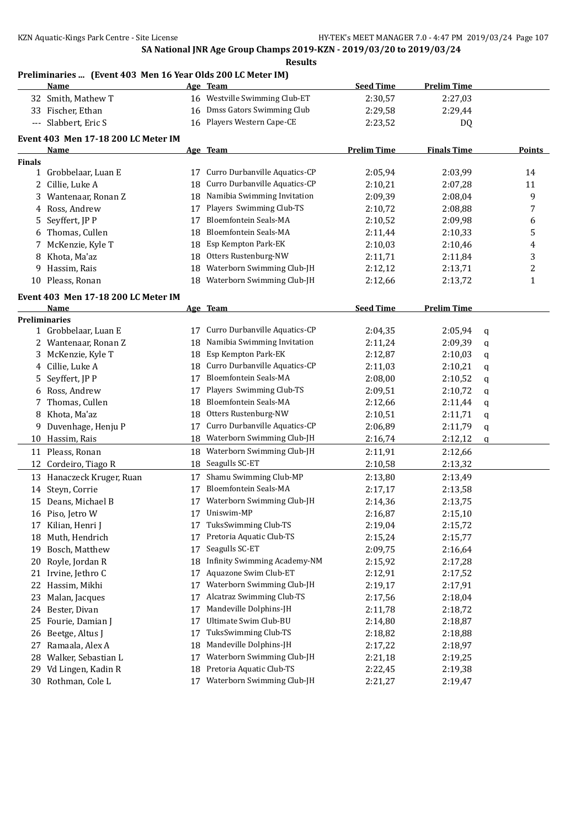#### **Preliminaries ... (Event 403 Men 16 Year Olds 200 LC Meter IM)**

|               | <u>Name</u>                                 |    | Age Team                      | <b>Seed Time</b>   | <b>Prelim Time</b> |   |                |
|---------------|---------------------------------------------|----|-------------------------------|--------------------|--------------------|---|----------------|
|               | 32 Smith, Mathew T                          |    | 16 Westville Swimming Club-ET | 2:30,57            | 2:27,03            |   |                |
|               | 33 Fischer, Ethan                           | 16 | Dmss Gators Swimming Club     | 2:29,58            | 2:29,44            |   |                |
|               | --- Slabbert, Eric S                        |    | 16 Players Western Cape-CE    | 2:23,52            | DQ                 |   |                |
|               | Event 403 Men 17-18 200 LC Meter IM         |    |                               |                    |                    |   |                |
|               | <u>Name</u>                                 |    | Age Team                      | <b>Prelim Time</b> | <b>Finals Time</b> |   | <b>Points</b>  |
| <b>Finals</b> |                                             |    |                               |                    |                    |   |                |
|               | 1 Grobbelaar, Luan E                        | 17 | Curro Durbanville Aquatics-CP | 2:05,94            | 2:03,99            |   | 14             |
|               | 2 Cillie, Luke A                            | 18 | Curro Durbanville Aquatics-CP | 2:10,21            | 2:07,28            |   | 11             |
| 3             | Wantenaar, Ronan Z                          | 18 | Namibia Swimming Invitation   | 2:09,39            | 2:08,04            |   | 9              |
|               | 4 Ross, Andrew                              | 17 | Players Swimming Club-TS      | 2:10,72            | 2:08,88            |   | 7              |
| 5.            | Seyffert, JP P                              | 17 | Bloemfontein Seals-MA         | 2:10,52            | 2:09,98            |   | 6              |
| 6             | Thomas, Cullen                              | 18 | <b>Bloemfontein Seals-MA</b>  | 2:11,44            | 2:10,33            |   | 5              |
| 7             | McKenzie, Kyle T                            | 18 | Esp Kempton Park-EK           | 2:10,03            | 2:10,46            |   | 4              |
| 8             | Khota, Ma'az                                | 18 | Otters Rustenburg-NW          | 2:11,71            | 2:11,84            |   | 3              |
| 9             | Hassim, Rais                                | 18 | Waterborn Swimming Club-JH    | 2:12,12            | 2:13,71            |   | $\overline{c}$ |
| 10            | Pleass, Ronan                               | 18 | Waterborn Swimming Club-JH    | 2:12,66            | 2:13,72            |   | 1              |
|               |                                             |    |                               |                    |                    |   |                |
|               | Event 403 Men 17-18 200 LC Meter IM<br>Name |    | Age Team                      | <b>Seed Time</b>   | <b>Prelim Time</b> |   |                |
|               | <b>Preliminaries</b>                        |    |                               |                    |                    |   |                |
|               | 1 Grobbelaar, Luan E                        | 17 | Curro Durbanville Aquatics-CP | 2:04,35            | 2:05,94            | q |                |
| 2             | Wantenaar, Ronan Z                          | 18 | Namibia Swimming Invitation   | 2:11,24            | 2:09,39            | q |                |
| 3             | McKenzie, Kyle T                            | 18 | Esp Kempton Park-EK           | 2:12,87            | 2:10,03            | q |                |
| 4             | Cillie, Luke A                              | 18 | Curro Durbanville Aquatics-CP | 2:11,03            | 2:10,21            | q |                |
| 5.            | Seyffert, JP P                              | 17 | <b>Bloemfontein Seals-MA</b>  | 2:08,00            | 2:10,52            | q |                |
| 6             | Ross, Andrew                                | 17 | Players Swimming Club-TS      | 2:09,51            | 2:10,72            | q |                |
| 7             | Thomas, Cullen                              | 18 | Bloemfontein Seals-MA         | 2:12,66            | 2:11,44            | q |                |
| 8             | Khota, Ma'az                                | 18 | Otters Rustenburg-NW          | 2:10,51            | 2:11,71            | q |                |
| 9.            | Duvenhage, Henju P                          | 17 | Curro Durbanville Aquatics-CP | 2:06,89            | 2:11,79            | q |                |
|               | 10 Hassim, Rais                             | 18 | Waterborn Swimming Club-JH    | 2:16,74            | 2:12,12            | q |                |
|               | 11 Pleass, Ronan                            | 18 | Waterborn Swimming Club-JH    | 2:11,91            | 2:12,66            |   |                |
| 12            | Cordeiro, Tiago R                           | 18 | Seagulls SC-ET                | 2:10,58            | 2:13,32            |   |                |
|               | 13 Hanaczeck Kruger, Ruan                   | 17 | Shamu Swimming Club-MP        | 2:13,80            | 2:13,49            |   |                |
|               | 14 Steyn, Corrie                            | 17 | <b>Bloemfontein Seals-MA</b>  | 2:17,17            | 2:13,58            |   |                |
| 15            | Deans, Michael B                            | 17 | Waterborn Swimming Club-JH    | 2:14,36            | 2:13,75            |   |                |
|               | 16 Piso, Jetro W                            | 17 | Uniswim-MP                    | 2:16,87            | 2:15,10            |   |                |
| 17            | Kilian, Henri J                             | 17 | TuksSwimming Club-TS          | 2:19,04            | 2:15,72            |   |                |
| 18            | Muth, Hendrich                              | 17 | Pretoria Aquatic Club-TS      | 2:15,24            | 2:15,77            |   |                |
| 19            | Bosch, Matthew                              | 17 | Seagulls SC-ET                | 2:09,75            | 2:16,64            |   |                |
| 20            | Royle, Jordan R                             | 18 | Infinity Swimming Academy-NM  | 2:15,92            | 2:17,28            |   |                |
|               | 21 Irvine, Jethro C                         | 17 | Aquazone Swim Club-ET         | 2:12,91            | 2:17,52            |   |                |
|               | 22 Hassim, Mikhi                            | 17 | Waterborn Swimming Club-JH    | 2:19,17            | 2:17,91            |   |                |
| 23            | Malan, Jacques                              | 17 | Alcatraz Swimming Club-TS     | 2:17,56            | 2:18,04            |   |                |
|               | 24 Bester, Divan                            | 17 | Mandeville Dolphins-JH        | 2:11,78            | 2:18,72            |   |                |
| 25            | Fourie, Damian J                            | 17 | Ultimate Swim Club-BU         | 2:14,80            | 2:18,87            |   |                |
| 26            | Beetge, Altus J                             | 17 | TuksSwimming Club-TS          | 2:18,82            | 2:18,88            |   |                |
| 27            | Ramaala, Alex A                             | 18 | Mandeville Dolphins-JH        | 2:17,22            | 2:18,97            |   |                |
| 28            | Walker, Sebastian L                         | 17 | Waterborn Swimming Club-JH    | 2:21,18            | 2:19,25            |   |                |
| 29            | Vd Lingen, Kadin R                          | 18 | Pretoria Aquatic Club-TS      | 2:22,45            | 2:19,38            |   |                |
|               | 30 Rothman, Cole L                          | 17 | Waterborn Swimming Club-JH    | 2:21,27            | 2:19,47            |   |                |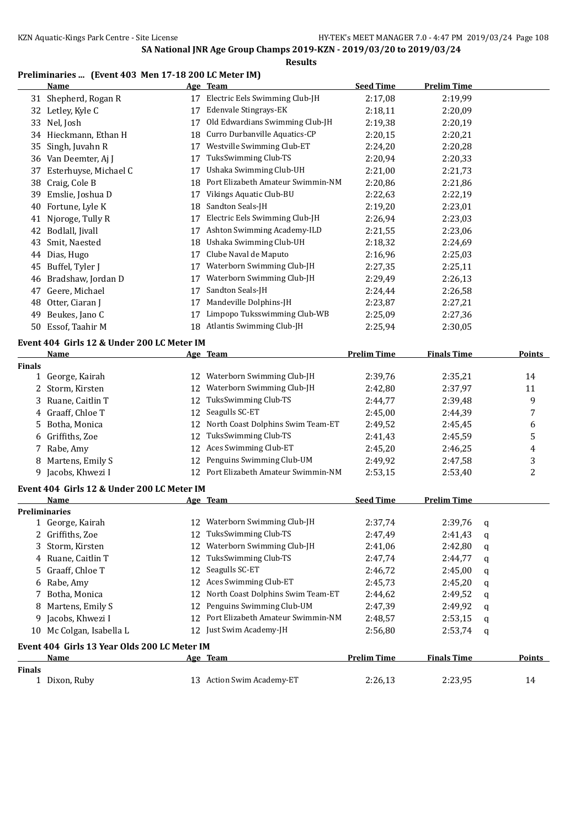### **Preliminaries ... (Event 403 Men 17-18 200 LC Meter IM)**

|               | <b>Name</b>                                  |    | Age Team                                              | <b>Seed Time</b>   | <b>Prelim Time</b> |   |               |
|---------------|----------------------------------------------|----|-------------------------------------------------------|--------------------|--------------------|---|---------------|
|               | 31 Shepherd, Rogan R                         | 17 | Electric Eels Swimming Club-JH                        | 2:17,08            | 2:19,99            |   |               |
|               | 32 Letley, Kyle C                            | 17 | Edenvale Stingrays-EK                                 | 2:18,11            | 2:20,09            |   |               |
| 33            | Nel, Josh                                    | 17 | Old Edwardians Swimming Club-JH                       | 2:19,38            | 2:20,19            |   |               |
|               | 34 Hieckmann, Ethan H                        | 18 | Curro Durbanville Aquatics-CP                         | 2:20,15            | 2:20,21            |   |               |
| 35            | Singh, Juvahn R                              | 17 | Westville Swimming Club-ET                            | 2:24,20            | 2:20,28            |   |               |
|               | 36 Van Deemter, Aj J                         | 17 | TuksSwimming Club-TS                                  | 2:20,94            | 2:20,33            |   |               |
| 37            | Esterhuyse, Michael C                        | 17 | Ushaka Swimming Club-UH                               | 2:21,00            | 2:21,73            |   |               |
| 38            | Craig, Cole B                                | 18 | Port Elizabeth Amateur Swimmin-NM                     | 2:20,86            | 2:21,86            |   |               |
| 39            | Emslie, Joshua D                             |    | 17 Vikings Aquatic Club-BU                            | 2:22,63            | 2:22,19            |   |               |
| 40            | Fortune, Lyle K                              | 18 | Sandton Seals-JH                                      | 2:19,20            | 2:23,01            |   |               |
| 41            | Njoroge, Tully R                             | 17 | Electric Eels Swimming Club-JH                        | 2:26,94            | 2:23,03            |   |               |
|               | 42 Bodlall, Jivall                           |    | 17 Ashton Swimming Academy-ILD                        | 2:21,55            | 2:23,06            |   |               |
| 43            | Smit, Naested                                | 18 | Ushaka Swimming Club-UH                               | 2:18,32            | 2:24,69            |   |               |
| 44            | Dias, Hugo                                   |    | 17 Clube Naval de Maputo                              | 2:16,96            | 2:25,03            |   |               |
| 45            | Buffel, Tyler J                              | 17 | Waterborn Swimming Club-JH                            | 2:27,35            | 2:25,11            |   |               |
| 46            | Bradshaw, Jordan D                           | 17 | Waterborn Swimming Club-JH                            | 2:29,49            | 2:26,13            |   |               |
| 47            | Geere, Michael                               | 17 | Sandton Seals-JH                                      | 2:24,44            | 2:26,58            |   |               |
| 48            | Otter, Ciaran J                              | 17 | Mandeville Dolphins-JH                                | 2:23,87            | 2:27,21            |   |               |
| 49            | Beukes, Jano C                               | 17 | Limpopo Tuksswimming Club-WB                          | 2:25,09            | 2:27,36            |   |               |
|               | 50 Essof, Taahir M                           | 18 | Atlantis Swimming Club-JH                             | 2:25,94            | 2:30,05            |   |               |
|               |                                              |    |                                                       |                    |                    |   |               |
|               | Event 404 Girls 12 & Under 200 LC Meter IM   |    |                                                       |                    |                    |   |               |
|               | Name                                         |    | Age Team                                              | <b>Prelim Time</b> | <b>Finals Time</b> |   | <b>Points</b> |
| <b>Finals</b> | 1 George, Kairah                             | 12 | Waterborn Swimming Club-JH                            | 2:39,76            | 2:35,21            |   | 14            |
| 2             | Storm, Kirsten                               | 12 | Waterborn Swimming Club-JH                            | 2:42,80            | 2:37,97            |   | 11            |
| 3             | Ruane, Caitlin T                             |    | 12 TuksSwimming Club-TS                               | 2:44,77            | 2:39,48            |   | 9             |
| 4             | Graaff, Chloe T                              |    | 12 Seagulls SC-ET                                     | 2:45,00            | 2:44,39            |   | 7             |
| 5             | Botha, Monica                                |    | 12 North Coast Dolphins Swim Team-ET                  | 2:49,52            | 2:45,45            |   | 6             |
| 6             | Griffiths, Zoe                               |    | 12 TuksSwimming Club-TS                               | 2:41,43            | 2:45,59            |   | 5             |
|               | 7 Rabe, Amy                                  |    | 12 Aces Swimming Club-ET                              | 2:45,20            | 2:46,25            |   | 4             |
| 8             | Martens, Emily S                             |    | 12 Penguins Swimming Club-UM                          | 2:49,92            | 2:47,58            |   |               |
|               | 9 Jacobs, Khwezi I                           |    | 12 Port Elizabeth Amateur Swimmin-NM                  | 2:53,15            | 2:53,40            |   | 3<br>2        |
|               |                                              |    |                                                       |                    |                    |   |               |
|               | Event 404 Girls 12 & Under 200 LC Meter IM   |    |                                                       |                    |                    |   |               |
|               | <u>Name</u>                                  |    | <u>Age Team</u>                                       | <b>Seed Time</b>   | <b>Prelim Time</b> |   |               |
|               | <b>Preliminaries</b>                         |    |                                                       |                    |                    |   |               |
|               | 1 George, Kairah                             |    | 12 Waterborn Swimming Club-JH                         | 2:37,74            | 2:39,76            | q |               |
| 2             | Griffiths, Zoe                               |    | 12 TuksSwimming Club-TS<br>Waterborn Swimming Club-JH | 2:47,49            | 2:41,43            | q |               |
| 3             | Storm, Kirsten                               | 12 | TuksSwimming Club-TS                                  | 2:41,06            | 2:42,80            | q |               |
| 4             | Ruane, Caitlin T                             | 12 |                                                       | 2:47,74            | 2:44,77            | q |               |
| 5             | Graaff, Chloe T                              | 12 | Seagulls SC-ET                                        | 2:46,72            | 2:45,00            | q |               |
| 6             | Rabe, Amy                                    | 12 | Aces Swimming Club-ET                                 | 2:45,73            | 2:45,20            | q |               |
| 7             | Botha, Monica                                | 12 | North Coast Dolphins Swim Team-ET                     | 2:44,62            | 2:49,52            | q |               |
| 8             | Martens, Emily S                             | 12 | Penguins Swimming Club-UM                             | 2:47,39            | 2:49,92            | q |               |
| 9             | Jacobs, Khwezi I                             | 12 | Port Elizabeth Amateur Swimmin-NM                     | 2:48,57            | 2:53,15            | q |               |
|               | 10 Mc Colgan, Isabella L                     |    | 12 Just Swim Academy-JH                               | 2:56,80            | 2:53,74            | q |               |
|               | Event 404 Girls 13 Year Olds 200 LC Meter IM |    |                                                       |                    |                    |   |               |
|               | Name                                         |    | Age Team                                              | <b>Prelim Time</b> | <b>Finals Time</b> |   | <b>Points</b> |
| <b>Finals</b> |                                              |    |                                                       |                    |                    |   |               |
|               | 1 Dixon, Ruby                                |    | 13 Action Swim Academy-ET                             | 2:26,13            | 2:23,95            |   | 14            |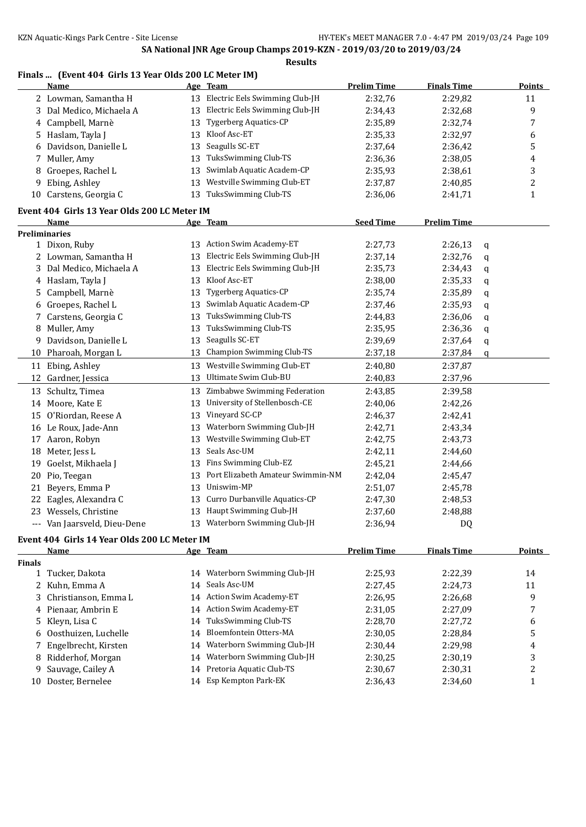### **Finals ... (Event 404 Girls 13 Year Olds 200 LC Meter IM)**

|               | <b>Name</b>                                  |    | Age Team                          | <b>Prelim Time</b> | <b>Finals Time</b> |   | <b>Points</b> |
|---------------|----------------------------------------------|----|-----------------------------------|--------------------|--------------------|---|---------------|
|               | 2 Lowman, Samantha H                         |    | 13 Electric Eels Swimming Club-JH | 2:32,76            | 2:29,82            |   | 11            |
| 3             | Dal Medico, Michaela A                       | 13 | Electric Eels Swimming Club-JH    | 2:34,43            | 2:32,68            |   | 9             |
| 4             | Campbell, Marnè                              | 13 | <b>Tygerberg Aquatics-CP</b>      | 2:35,89            | 2:32,74            |   | 7             |
| 5             | Haslam, Tayla J                              | 13 | Kloof Asc-ET                      | 2:35,33            | 2:32,97            |   | 6             |
| 6             | Davidson, Danielle L                         | 13 | Seagulls SC-ET                    | 2:37,64            | 2:36,42            |   | 5             |
| 7             | Muller, Amy                                  | 13 | TuksSwimming Club-TS              | 2:36,36            | 2:38,05            |   | 4             |
| 8             | Groepes, Rachel L                            | 13 | Swimlab Aquatic Academ-CP         | 2:35,93            | 2:38,61            |   | 3             |
| 9             | Ebing, Ashley                                | 13 | Westville Swimming Club-ET        | 2:37,87            | 2:40,85            |   | 2             |
|               | 10 Carstens, Georgia C                       | 13 | TuksSwimming Club-TS              | 2:36,06            | 2:41,71            |   | $\mathbf{1}$  |
|               |                                              |    |                                   |                    |                    |   |               |
|               | Event 404 Girls 13 Year Olds 200 LC Meter IM |    |                                   |                    | <b>Prelim Time</b> |   |               |
|               | <b>Name</b><br><b>Preliminaries</b>          |    | Age Team                          | <b>Seed Time</b>   |                    |   |               |
|               | 1 Dixon, Ruby                                |    | 13 Action Swim Academy-ET         | 2:27,73            | 2:26,13            | q |               |
|               | 2 Lowman, Samantha H                         | 13 | Electric Eels Swimming Club-JH    | 2:37,14            | 2:32,76            |   |               |
|               | 3 Dal Medico, Michaela A                     | 13 | Electric Eels Swimming Club-JH    | 2:35,73            | 2:34,43            | q |               |
|               | Haslam, Tayla J                              | 13 | Kloof Asc-ET                      | 2:38,00            | 2:35,33            | q |               |
| 4<br>5        | Campbell, Marnè                              | 13 | <b>Tygerberg Aquatics-CP</b>      | 2:35,74            | 2:35,89            | q |               |
|               | Groepes, Rachel L                            | 13 | Swimlab Aquatic Academ-CP         | 2:37,46            | 2:35,93            | q |               |
| 6<br>7        | Carstens, Georgia C                          | 13 | TuksSwimming Club-TS              | 2:44,83            | 2:36,06            | q |               |
|               |                                              |    | TuksSwimming Club-TS              | 2:35,95            |                    | q |               |
| 8             | Muller, Amy<br>Davidson, Danielle L          | 13 | Seagulls SC-ET                    |                    | 2:36,36            | q |               |
| 9             |                                              | 13 |                                   | 2:39,69            | 2:37,64            | q |               |
| 10            | Pharoah, Morgan L                            | 13 | Champion Swimming Club-TS         | 2:37,18            | 2:37,84            | q |               |
|               | 11 Ebing, Ashley                             | 13 | Westville Swimming Club-ET        | 2:40,80            | 2:37,87            |   |               |
| 12            | Gardner, Jessica                             | 13 | Ultimate Swim Club-BU             | 2:40,83            | 2:37,96            |   |               |
|               | 13 Schultz, Timea                            | 13 | Zimbabwe Swimming Federation      | 2:43,85            | 2:39,58            |   |               |
|               | 14 Moore, Kate E                             | 13 | University of Stellenbosch-CE     | 2:40,06            | 2:42,26            |   |               |
| 15            | O'Riordan, Reese A                           | 13 | Vineyard SC-CP                    | 2:46,37            | 2:42,41            |   |               |
|               | 16 Le Roux, Jade-Ann                         | 13 | Waterborn Swimming Club-JH        | 2:42,71            | 2:43,34            |   |               |
|               | 17 Aaron, Robyn                              | 13 | Westville Swimming Club-ET        | 2:42,75            | 2:43,73            |   |               |
| 18            | Meter, Jess L                                | 13 | Seals Asc-UM                      | 2:42,11            | 2:44,60            |   |               |
| 19            | Goelst, Mikhaela J                           | 13 | Fins Swimming Club-EZ             | 2:45,21            | 2:44,66            |   |               |
| 20            | Pio, Teegan                                  | 13 | Port Elizabeth Amateur Swimmin-NM | 2:42,04            | 2:45,47            |   |               |
| 21            | Beyers, Emma P                               | 13 | Uniswim-MP                        | 2:51,07            | 2:45,78            |   |               |
| 22            | Eagles, Alexandra C                          | 13 | Curro Durbanville Aquatics-CP     | 2:47,30            | 2:48,53            |   |               |
|               | 23 Wessels, Christine                        |    | 13 Haupt Swimming Club-JH         | 2:37,60            | 2:48,88            |   |               |
|               | Van Jaarsveld, Dieu-Dene                     |    | 13 Waterborn Swimming Club-JH     | 2:36,94            | DQ                 |   |               |
|               | Event 404 Girls 14 Year Olds 200 LC Meter IM |    |                                   |                    |                    |   |               |
|               | <u>Name</u>                                  |    | Age Team                          | <b>Prelim Time</b> | <b>Finals Time</b> |   | <b>Points</b> |
| <b>Finals</b> |                                              |    |                                   |                    |                    |   |               |
|               | 1 Tucker, Dakota                             |    | 14 Waterborn Swimming Club-JH     | 2:25,93            | 2:22,39            |   | 14            |
| 2             | Kuhn, Emma A                                 | 14 | Seals Asc-UM                      | 2:27,45            | 2:24,73            |   | 11            |
| 3             | Christianson, Emma L                         |    | 14 Action Swim Academy-ET         | 2:26,95            | 2:26,68            |   | 9             |
| 4             | Pienaar, Ambrin E                            | 14 | Action Swim Academy-ET            | 2:31,05            | 2:27,09            |   | 7             |
| 5             | Kleyn, Lisa C                                | 14 | TuksSwimming Club-TS              | 2:28,70            | 2:27,72            |   | 6             |
| 6             | Oosthuizen, Luchelle                         | 14 | Bloemfontein Otters-MA            | 2:30,05            | 2:28,84            |   | 5             |
|               | Engelbrecht, Kirsten                         | 14 | Waterborn Swimming Club-JH        | 2:30,44            | 2:29,98            |   | 4             |
| 8             | Ridderhof, Morgan                            | 14 | Waterborn Swimming Club-JH        | 2:30,25            | 2:30,19            |   | 3             |
| 9             | Sauvage, Cailey A                            |    | 14 Pretoria Aquatic Club-TS       | 2:30,67            | 2:30,31            |   | 2             |
| 10            | Doster, Bernelee                             |    | 14 Esp Kempton Park-EK            | 2:36,43            | 2:34,60            |   | $\mathbf{1}$  |
|               |                                              |    |                                   |                    |                    |   |               |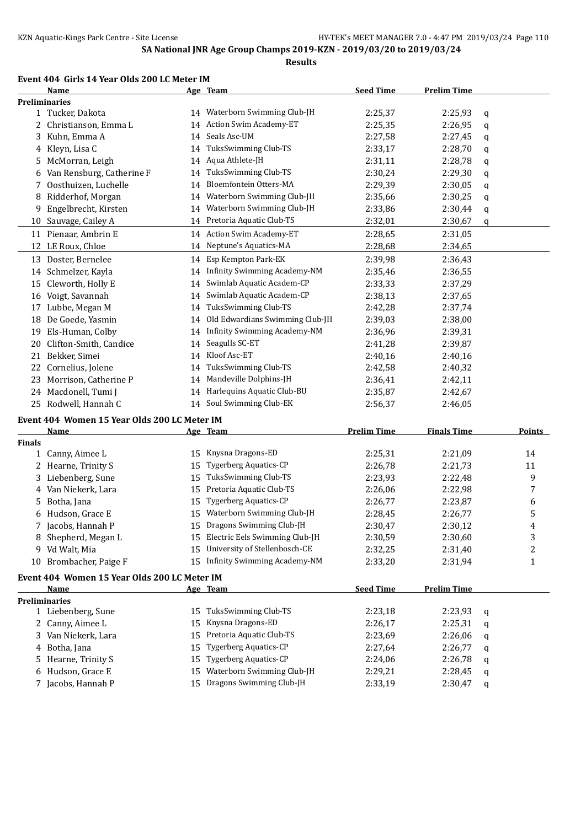#### **Event 404 Girls 14 Year Olds 200 LC Meter IM**

|               | Name                                         |    | Age Team                            | <b>Seed Time</b>   | <b>Prelim Time</b> |               |
|---------------|----------------------------------------------|----|-------------------------------------|--------------------|--------------------|---------------|
|               | <b>Preliminaries</b>                         |    |                                     |                    |                    |               |
|               | 1 Tucker, Dakota                             |    | 14 Waterborn Swimming Club-JH       | 2:25,37            | 2:25,93            | q             |
| 2             | Christianson, Emma L                         |    | 14 Action Swim Academy-ET           | 2:25,35            | 2:26,95            | q             |
| 3             | Kuhn, Emma A                                 | 14 | Seals Asc-UM                        | 2:27,58            | 2:27,45            | q             |
| 4             | Kleyn, Lisa C                                |    | 14 TuksSwimming Club-TS             | 2:33,17            | 2:28,70            | q             |
| 5.            | McMorran, Leigh                              |    | 14 Aqua Athlete-JH                  | 2:31,11            | 2:28,78            | q             |
| 6             | Van Rensburg, Catherine F                    | 14 | TuksSwimming Club-TS                | 2:30,24            | 2:29,30            | q             |
| 7             | Oosthuizen, Luchelle                         | 14 | Bloemfontein Otters-MA              | 2:29,39            | 2:30,05            | q             |
| 8             | Ridderhof, Morgan                            | 14 | Waterborn Swimming Club-JH          | 2:35,66            | 2:30,25            | q             |
| 9             | Engelbrecht, Kirsten                         | 14 | Waterborn Swimming Club-JH          | 2:33,86            | 2:30,44            | q             |
| 10            | Sauvage, Cailey A                            |    | 14 Pretoria Aquatic Club-TS         | 2:32,01            | 2:30,67            | q             |
|               | 11 Pienaar, Ambrin E                         |    | 14 Action Swim Academy-ET           | 2:28,65            | 2:31,05            |               |
|               | 12 LE Roux, Chloe                            |    | 14 Neptune's Aquatics-MA            | 2:28,68            | 2:34,65            |               |
|               | 13 Doster, Bernelee                          | 14 | Esp Kempton Park-EK                 | 2:39,98            | 2:36,43            |               |
| 14            | Schmelzer, Kayla                             | 14 | <b>Infinity Swimming Academy-NM</b> | 2:35,46            | 2:36,55            |               |
| 15            | Cleworth, Holly E                            | 14 | Swimlab Aquatic Academ-CP           | 2:33,33            | 2:37,29            |               |
| 16            | Voigt, Savannah                              | 14 | Swimlab Aquatic Academ-CP           | 2:38,13            | 2:37,65            |               |
| 17            | Lubbe, Megan M                               | 14 | TuksSwimming Club-TS                | 2:42,28            | 2:37,74            |               |
| 18            | De Goede, Yasmin                             | 14 | Old Edwardians Swimming Club-JH     | 2:39,03            | 2:38,00            |               |
| 19            | Els-Human, Colby                             | 14 | <b>Infinity Swimming Academy-NM</b> | 2:36,96            | 2:39,31            |               |
| 20            | Clifton-Smith, Candice                       | 14 | Seagulls SC-ET                      | 2:41,28            | 2:39,87            |               |
| 21            | Bekker, Simei                                | 14 | Kloof Asc-ET                        | 2:40,16            | 2:40,16            |               |
| 22            | Cornelius, Jolene                            | 14 | TuksSwimming Club-TS                | 2:42,58            | 2:40,32            |               |
| 23            | Morrison, Catherine P                        | 14 | Mandeville Dolphins-JH              | 2:36,41            | 2:42,11            |               |
| 24            | Macdonell, Tumi J                            |    | 14 Harlequins Aquatic Club-BU       | 2:35,87            | 2:42,67            |               |
| 25            | Rodwell, Hannah C                            |    | 14 Soul Swimming Club-EK            | 2:56,37            | 2:46,05            |               |
|               | Event 404 Women 15 Year Olds 200 LC Meter IM |    |                                     |                    |                    |               |
|               | <b>Name</b>                                  |    | Age Team                            | <b>Prelim Time</b> | <b>Finals Time</b> | <b>Points</b> |
| <b>Finals</b> |                                              |    |                                     |                    |                    |               |
|               | 1 Canny, Aimee L                             | 15 | Knysna Dragons-ED                   | 2:25,31            | 2:21,09            | 14            |
|               | 2 Hearne, Trinity S                          | 15 | Tygerberg Aquatics-CP               | 2:26,78            | 2:21,73            | 11            |
|               | 3 Liebenberg, Sune                           | 15 | TuksSwimming Club-TS                | 2:23,93            | 2:22,48            | 9             |

 Van Niekerk, Lara 15 Pretoria Aquatic Club-TS 2:26,06 2:22,98 7 5 Botha, Jana 15 Tygerberg Aquatics-CP 2:26,77 2:23,87 6<br>
6 Hudson, Grace E 15 Waterborn Swimming Club-JH 2:28,45 2:26,77 5 15 Waterborn Swimming Club-JH 2:28,45 2:26,77 5 Jacobs, Hannah P 15 Dragons Swimming Club-JH 2:30,47 2:30,12 4 Shepherd, Megan L 15 Electric Eels Swimming Club-JH 2:30,59 2:30,60 3 Vd Walt, Mia 15 University of Stellenbosch-CE 2:32,25 2:31,40 2 10 Brombacher, Paige F 15 Infinity Swimming Academy-NM 2:33,20 2:31,94 1

# **Event 404 Women 15 Year Olds 200 LC Meter IM**

| Name                 |    | Age Team                      | <b>Seed Time</b> | <b>Prelim Time</b> |          |
|----------------------|----|-------------------------------|------------------|--------------------|----------|
| <b>Preliminaries</b> |    |                               |                  |                    |          |
| 1 Liebenberg, Sune   | 15 | TuksSwimming Club-TS          | 2:23.18          | 2:23.93            | - a      |
| 2 Canny, Aimee L     |    | 15 Knysna Dragons-ED          | 2:26.17          | 2:25,31            | <b>a</b> |
| 3 Van Niekerk, Lara  |    | 15 Pretoria Aquatic Club-TS   | 2:23.69          | 2:26,06            | <b>a</b> |
| 4 Botha, Jana        |    | 15 Tygerberg Aquatics-CP      | 2:27.64          | 2:26.77            | a        |
| 5 Hearne, Trinity S  |    | 15 Tygerberg Aquatics-CP      | 2:24.06          | 2:26,78            | <b>a</b> |
| 6 Hudson, Grace E    |    | 15 Waterborn Swimming Club-JH | 2:29.21          | 2:28.45            | <b>a</b> |
| 7 Jacobs, Hannah P   |    | 15 Dragons Swimming Club-JH   | 2:33,19          | 2:30,47            | q        |
|                      |    |                               |                  |                    |          |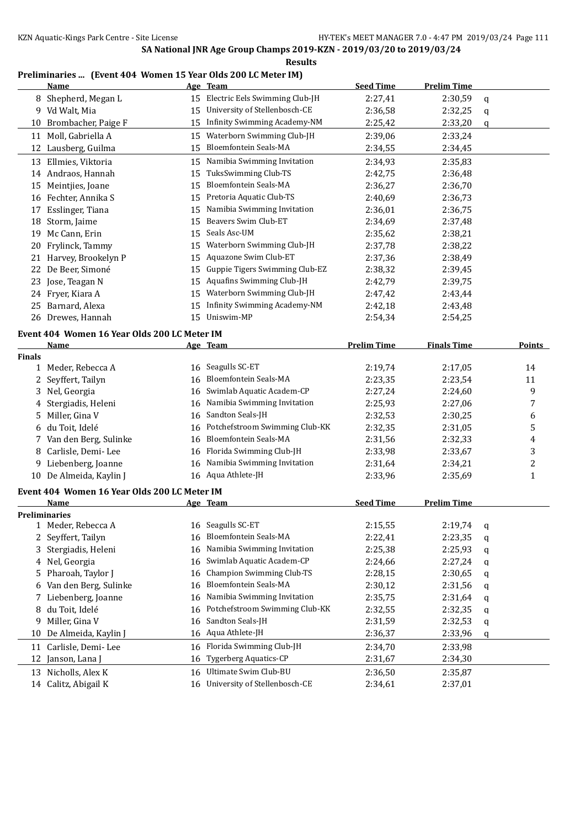#### **Preliminaries ... (Event 404 Women 15 Year Olds 200 LC Meter IM)**

|               | <u>Name</u>                                  |    | Age Team                                | <b>Seed Time</b>   | <b>Prelim Time</b> |   |        |
|---------------|----------------------------------------------|----|-----------------------------------------|--------------------|--------------------|---|--------|
|               | 8 Shepherd, Megan L                          |    | 15 Electric Eels Swimming Club-JH       | 2:27,41            | 2:30,59            | q |        |
|               | 9 Vd Walt, Mia                               | 15 | University of Stellenbosch-CE           | 2:36,58            | 2:32,25            | q |        |
|               | 10 Brombacher, Paige F                       | 15 | Infinity Swimming Academy-NM            | 2:25,42            | 2:33,20            | q |        |
|               | 11 Moll, Gabriella A                         | 15 | Waterborn Swimming Club-JH              | 2:39,06            | 2:33,24            |   |        |
|               | 12 Lausberg, Guilma                          | 15 | <b>Bloemfontein Seals-MA</b>            | 2:34,55            | 2:34,45            |   |        |
|               | 13 Ellmies, Viktoria                         | 15 | Namibia Swimming Invitation             | 2:34,93            | 2:35,83            |   |        |
|               | 14 Andraos, Hannah                           | 15 | TuksSwimming Club-TS                    | 2:42,75            | 2:36,48            |   |        |
| 15            | Meintjies, Joane                             | 15 | <b>Bloemfontein Seals-MA</b>            | 2:36,27            | 2:36,70            |   |        |
|               | 16 Fechter, Annika S                         | 15 | Pretoria Aquatic Club-TS                | 2:40,69            | 2:36,73            |   |        |
| 17            | Esslinger, Tiana                             | 15 | Namibia Swimming Invitation             | 2:36,01            | 2:36,75            |   |        |
| 18            | Storm, Jaime                                 | 15 | Beavers Swim Club-ET                    | 2:34,69            | 2:37,48            |   |        |
| 19            | Mc Cann, Erin                                | 15 | Seals Asc-UM                            | 2:35,62            | 2:38,21            |   |        |
| 20            | Frylinck, Tammy                              | 15 | Waterborn Swimming Club-JH              | 2:37,78            | 2:38,22            |   |        |
| 21            | Harvey, Brookelyn P                          | 15 | Aquazone Swim Club-ET                   | 2:37,36            | 2:38,49            |   |        |
| 22            | De Beer, Simoné                              | 15 | Guppie Tigers Swimming Club-EZ          | 2:38,32            | 2:39,45            |   |        |
| 23            | Jose, Teagan N                               | 15 | Aquafins Swimming Club-JH               | 2:42,79            | 2:39,75            |   |        |
|               | 24 Fryer, Kiara A                            | 15 | Waterborn Swimming Club-JH              | 2:47,42            | 2:43,44            |   |        |
| 25            | Barnard, Alexa                               | 15 | <b>Infinity Swimming Academy-NM</b>     | 2:42,18            | 2:43,48            |   |        |
|               | 26 Drewes, Hannah                            | 15 | Uniswim-MP                              | 2:54,34            | 2:54,25            |   |        |
|               |                                              |    |                                         |                    |                    |   |        |
|               | Event 404 Women 16 Year Olds 200 LC Meter IM |    |                                         |                    |                    |   |        |
|               | Name                                         |    | Age Team                                | <b>Prelim Time</b> | <b>Finals Time</b> |   | Points |
| <b>Finals</b> |                                              |    |                                         |                    |                    |   |        |
|               | 1 Meder, Rebecca A                           | 16 | Seagulls SC-ET<br>Bloemfontein Seals-MA | 2:19,74            | 2:17,05            |   | 14     |
| 2             | Seyffert, Tailyn                             | 16 |                                         | 2:23,35            | 2:23,54            |   | 11     |
| 3             | Nel, Georgia                                 | 16 | Swimlab Aquatic Academ-CP               | 2:27,24            | 2:24,60            |   | 9      |
| 4             | Stergiadis, Heleni                           | 16 | Namibia Swimming Invitation             | 2:25,93            | 2:27,06            |   | 7      |
| 5             | Miller, Gina V                               | 16 | Sandton Seals-JH                        | 2:32,53            | 2:30,25            |   | 6      |
| 6             | du Toit, Idelé                               | 16 | Potchefstroom Swimming Club-KK          | 2:32,35            | 2:31,05            |   | 5      |
| 7             | Van den Berg, Sulinke                        | 16 | <b>Bloemfontein Seals-MA</b>            | 2:31,56            | 2:32,33            |   | 4      |
| 8             | Carlisle, Demi-Lee                           | 16 | Florida Swimming Club-JH                | 2:33,98            | 2:33,67            |   | 3      |
| 9.            | Liebenberg, Joanne                           | 16 | Namibia Swimming Invitation             | 2:31,64            | 2:34,21            |   | 2      |
|               | 10 De Almeida, Kaylin J                      |    | 16 Aqua Athlete-JH                      | 2:33,96            | 2:35,69            |   | 1      |
|               | Event 404 Women 16 Year Olds 200 LC Meter IM |    |                                         |                    |                    |   |        |
|               | Name                                         |    | <u>Age Team</u>                         | <b>Seed Time</b>   | <b>Prelim Time</b> |   |        |
|               | <b>Preliminaries</b>                         |    |                                         |                    |                    |   |        |
| 1             | Meder, Rebecca A                             | 16 | Seagulls SC-ET                          | 2:15,55            | 2:19,74            | q |        |
|               | 2 Seyffert, Tailyn                           | 16 | Bloemfontein Seals-MA                   | 2:22,41            | 2:23,35            | q |        |
| 3             | Stergiadis, Heleni                           | 16 | Namibia Swimming Invitation             | 2:25,38            | 2:25,93            | q |        |
| 4             | Nel, Georgia                                 | 16 | Swimlab Aquatic Academ-CP               | 2:24,66            | 2:27,24            | q |        |
| 5.            | Pharoah, Taylor J                            | 16 | <b>Champion Swimming Club-TS</b>        | 2:28,15            | 2:30,65            | q |        |
| 6             | Van den Berg, Sulinke                        | 16 | Bloemfontein Seals-MA                   | 2:30,12            | 2:31,56            | q |        |
| 7             | Liebenberg, Joanne                           | 16 | Namibia Swimming Invitation             | 2:35,75            | 2:31,64            | q |        |
| 8             | du Toit, Idelé                               | 16 | Potchefstroom Swimming Club-KK          | 2:32,55            | 2:32,35            | q |        |
| 9             | Miller, Gina V                               | 16 | Sandton Seals-JH                        | 2:31,59            | 2:32,53            | q |        |
| 10            | De Almeida, Kaylin J                         | 16 | Aqua Athlete-JH                         | 2:36,37            | 2:33,96            | q |        |
| 11            | Carlisle, Demi-Lee                           | 16 | Florida Swimming Club-JH                | 2:34,70            | 2:33,98            |   |        |
| 12            | Janson, Lana J                               | 16 | Tygerberg Aquatics-CP                   | 2:31,67            | 2:34,30            |   |        |
|               | 13 Nicholls, Alex K                          | 16 | Ultimate Swim Club-BU                   | 2:36,50            | 2:35,87            |   |        |
|               | 14 Calitz, Abigail K                         | 16 | University of Stellenbosch-CE           | 2:34,61            | 2:37,01            |   |        |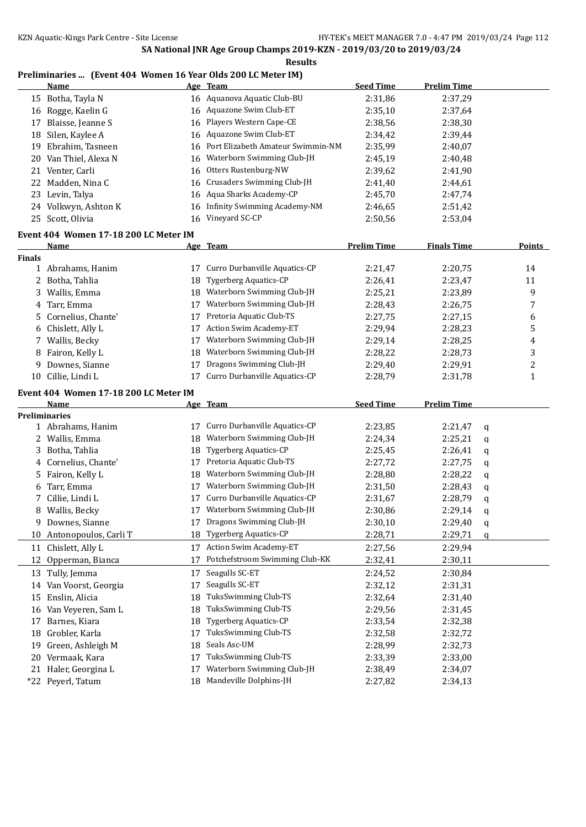## **Preliminaries ... (Event 404 Women 16 Year Olds 200 LC Meter IM)**

|               | <b>Name</b>                            |          | Age Team                                             | <b>Seed Time</b>   | <b>Prelim Time</b> |   |        |
|---------------|----------------------------------------|----------|------------------------------------------------------|--------------------|--------------------|---|--------|
|               | 15 Botha, Tayla N                      |          | 16 Aquanova Aquatic Club-BU                          | 2:31,86            | 2:37,29            |   |        |
|               | 16 Rogge, Kaelin G                     | 16       | Aquazone Swim Club-ET                                | 2:35,10            | 2:37,64            |   |        |
| 17            | Blaisse, Jeanne S                      | 16       | Players Western Cape-CE                              | 2:38,56            | 2:38,30            |   |        |
|               | 18 Silen, Kaylee A                     | 16       | Aquazone Swim Club-ET                                | 2:34,42            | 2:39,44            |   |        |
| 19            | Ebrahim, Tasneen                       | 16       | Port Elizabeth Amateur Swimmin-NM                    | 2:35,99            | 2:40,07            |   |        |
|               | 20 Van Thiel, Alexa N                  | 16       | Waterborn Swimming Club-JH                           | 2:45,19            | 2:40,48            |   |        |
| 21            | Venter, Carli                          | 16       | Otters Rustenburg-NW                                 | 2:39,62            | 2:41,90            |   |        |
|               | 22 Madden, Nina C                      | 16       | Crusaders Swimming Club-JH                           | 2:41,40            | 2:44,61            |   |        |
| 23            | Levin, Talya                           | 16       | Aqua Sharks Academy-CP                               | 2:45,70            | 2:47,74            |   |        |
|               | 24 Volkwyn, Ashton K                   | 16       | Infinity Swimming Academy-NM                         | 2:46,65            | 2:51,42            |   |        |
|               | 25 Scott, Olivia                       | 16       | Vineyard SC-CP                                       | 2:50,56            | 2:53,04            |   |        |
|               | Event 404 Women 17-18 200 LC Meter IM  |          |                                                      |                    |                    |   |        |
|               | Name                                   |          | Age Team                                             | <b>Prelim Time</b> | <b>Finals Time</b> |   | Points |
| <b>Finals</b> |                                        |          |                                                      |                    |                    |   |        |
| 1             | Abrahams, Hanim                        | 17       | Curro Durbanville Aquatics-CP                        | 2:21,47            | 2:20,75            |   | 14     |
| 2             | Botha, Tahlia                          | 18       | Tygerberg Aquatics-CP                                | 2:26,41            | 2:23,47            |   | 11     |
| 3             | Wallis, Emma                           | 18       | Waterborn Swimming Club-JH                           | 2:25,21            | 2:23,89            |   | 9      |
| 4             | Tarr, Emma                             | 17       | Waterborn Swimming Club-JH                           | 2:28,43            | 2:26,75            |   | 7      |
| 5             | Cornelius, Chante'                     | 17       | Pretoria Aquatic Club-TS                             | 2:27,75            | 2:27,15            |   | 6      |
| 6             | Chislett, Ally L                       | 17       | Action Swim Academy-ET                               | 2:29,94            | 2:28,23            |   | 5      |
| 7             | Wallis, Becky                          | 17       | Waterborn Swimming Club-JH                           | 2:29,14            | 2:28,25            |   | 4      |
| 8             | Fairon, Kelly L                        | 18       | Waterborn Swimming Club-JH                           | 2:28,22            | 2:28,73            |   | 3      |
| 9             | Downes, Sianne                         | 17       | Dragons Swimming Club-JH                             | 2:29,40            | 2:29,91            |   | 2      |
|               | 10 Cillie, Lindi L                     | 17       | Curro Durbanville Aquatics-CP                        | 2:28,79            | 2:31,78            |   | 1      |
|               |                                        |          |                                                      |                    |                    |   |        |
|               |                                        |          |                                                      |                    |                    |   |        |
|               | Event 404 Women 17-18 200 LC Meter IM  |          |                                                      |                    |                    |   |        |
|               | Name                                   |          | Age Team                                             | <b>Seed Time</b>   | <b>Prelim Time</b> |   |        |
|               | <b>Preliminaries</b>                   |          |                                                      |                    |                    |   |        |
|               | 1 Abrahams, Hanim                      | 17       | Curro Durbanville Aquatics-CP                        | 2:23,85            | 2:21,47            | q |        |
|               | 2 Wallis, Emma                         | 18       | Waterborn Swimming Club-JH                           | 2:24,34            | 2:25,21            | q |        |
| 3             | Botha, Tahlia                          | 18       | <b>Tygerberg Aquatics-CP</b>                         | 2:25,45            | 2:26,41            | q |        |
| 4             | Cornelius, Chante'                     | 17       | Pretoria Aquatic Club-TS                             | 2:27,72            | 2:27,75            | q |        |
| 5.            | Fairon, Kelly L                        | 18       | Waterborn Swimming Club-JH                           | 2:28,80            | 2:28,22            | q |        |
| 6             | Tarr, Emma                             | 17       | Waterborn Swimming Club-JH                           | 2:31,50            | 2:28,43            | q |        |
| 7             | Cillie, Lindi L                        | 17       | Curro Durbanville Aquatics-CP                        | 2:31,67            | 2:28,79            | q |        |
|               | 8 Wallis, Becky                        |          | 17 Waterborn Swimming Club-JH                        | 2:30,86            | 2:29,14            | q |        |
| 9             | Downes, Sianne                         |          | Dragons Swimming Club-JH                             | 2:30,10            | 2:29,40            | q |        |
|               | 10 Antonopoulos, Carli T               | 18       | <b>Tygerberg Aquatics-CP</b>                         | 2:28,71            | 2:29,71            | q |        |
|               | 11 Chislett, Ally L                    | 17       | <b>Action Swim Academy-ET</b>                        | 2:27,56            | 2:29,94            |   |        |
|               | 12 Opperman, Bianca                    | 17       | Potchefstroom Swimming Club-KK                       | 2:32,41            | 2:30,11            |   |        |
|               | 13 Tully, Jemma                        | 17       | Seagulls SC-ET                                       | 2:24,52            | 2:30,84            |   |        |
| 14            | Van Voorst, Georgia                    | 17       | Seagulls SC-ET                                       | 2:32,12            | 2:31,31            |   |        |
| 15            | Enslin, Alicia                         | 18       | TuksSwimming Club-TS                                 | 2:32,64            | 2:31,40            |   |        |
| 16            | Van Veyeren, Sam L                     | 18       | TuksSwimming Club-TS                                 | 2:29,56            | 2:31,45            |   |        |
| 17            | Barnes, Kiara                          | 18       | <b>Tygerberg Aquatics-CP</b>                         | 2:33,54            | 2:32,38            |   |        |
| 18            | Grobler, Karla                         | 17       | TuksSwimming Club-TS                                 | 2:32,58            | 2:32,72            |   |        |
| 19            | Green, Ashleigh M                      | 18       | Seals Asc-UM                                         | 2:28,99            | 2:32,73            |   |        |
| 20            | Vermaak, Kara                          | 17       | TuksSwimming Club-TS                                 | 2:33,39            | 2:33,00            |   |        |
| 21            | Haler, Georgina L<br>*22 Peyerl, Tatum | 17<br>18 | Waterborn Swimming Club-JH<br>Mandeville Dolphins-JH | 2:38,49<br>2:27,82 | 2:34,07<br>2:34,13 |   |        |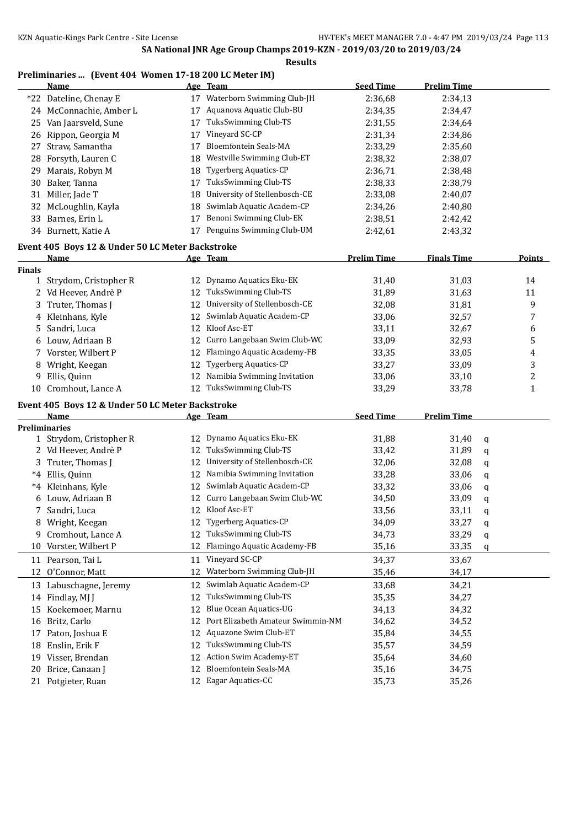### **Preliminaries ... (Event 404 Women 17-18 200 LC Meter IM)**

|               | <b>Name</b>                                      |    | Age Team                          | <b>Seed Time</b>   | <b>Prelim Time</b> |             |                |
|---------------|--------------------------------------------------|----|-----------------------------------|--------------------|--------------------|-------------|----------------|
|               | *22 Dateline, Chenay E                           |    | 17 Waterborn Swimming Club-JH     | 2:36,68            | 2:34,13            |             |                |
|               | 24 McConnachie, Amber L                          | 17 | Aquanova Aquatic Club-BU          | 2:34,35            | 2:34,47            |             |                |
|               | 25 Van Jaarsveld, Sune                           | 17 | TuksSwimming Club-TS              | 2:31,55            | 2:34,64            |             |                |
|               | 26 Rippon, Georgia M                             | 17 | Vineyard SC-CP                    | 2:31,34            | 2:34,86            |             |                |
| 27            | Straw, Samantha                                  | 17 | Bloemfontein Seals-MA             | 2:33,29            | 2:35,60            |             |                |
| 28            | Forsyth, Lauren C                                | 18 | Westville Swimming Club-ET        | 2:38,32            | 2:38,07            |             |                |
| 29            | Marais, Robyn M                                  | 18 | Tygerberg Aquatics-CP             | 2:36,71            | 2:38,48            |             |                |
|               | 30 Baker, Tanna                                  | 17 | TuksSwimming Club-TS              | 2:38,33            | 2:38,79            |             |                |
| 31            | Miller, Jade T                                   | 18 | University of Stellenbosch-CE     | 2:33,08            | 2:40,07            |             |                |
| 32            | McLoughlin, Kayla                                | 18 | Swimlab Aquatic Academ-CP         | 2:34,26            | 2:40,80            |             |                |
|               | 33 Barnes, Erin L                                | 17 | Benoni Swimming Club-EK           | 2:38,51            | 2:42,42            |             |                |
|               | 34 Burnett, Katie A                              |    | 17 Penguins Swimming Club-UM      | 2:42,61            | 2:43,32            |             |                |
|               | Event 405 Boys 12 & Under 50 LC Meter Backstroke |    |                                   |                    |                    |             |                |
|               | <u>Name</u>                                      |    | Age Team                          | <b>Prelim Time</b> | <b>Finals Time</b> |             | <b>Points</b>  |
| <b>Finals</b> |                                                  |    |                                   |                    |                    |             |                |
|               | 1 Strydom, Cristopher R                          | 12 | Dynamo Aquatics Eku-EK            | 31,40              | 31,03              |             | 14             |
|               | 2 Vd Heever, Andrè P                             | 12 | TuksSwimming Club-TS              | 31,89              | 31,63              |             | 11             |
| 3             | Truter, Thomas J                                 | 12 | University of Stellenbosch-CE     | 32,08              | 31,81              |             | 9              |
|               | 4 Kleinhans, Kyle                                | 12 | Swimlab Aquatic Academ-CP         | 33,06              | 32,57              |             | 7              |
| 5             | Sandri, Luca                                     | 12 | Kloof Asc-ET                      | 33,11              | 32,67              |             | 6              |
| 6             | Louw, Adriaan B                                  | 12 | Curro Langebaan Swim Club-WC      | 33,09              | 32,93              |             | 5              |
|               | 7 Vorster, Wilbert P                             | 12 | Flamingo Aquatic Academy-FB       | 33,35              | 33,05              |             | $\overline{4}$ |
| 8             | Wright, Keegan                                   | 12 | <b>Tygerberg Aquatics-CP</b>      | 33,27              | 33,09              |             | 3              |
| 9             | Ellis, Quinn                                     | 12 | Namibia Swimming Invitation       | 33,06              | 33,10              |             | $\sqrt{2}$     |
| 10            | Cromhout, Lance A                                | 12 | TuksSwimming Club-TS              | 33,29              | 33,78              |             | $\mathbf{1}$   |
|               |                                                  |    |                                   |                    |                    |             |                |
|               | Event 405 Boys 12 & Under 50 LC Meter Backstroke |    |                                   |                    |                    |             |                |
|               | <b>Name</b>                                      |    | Age Team                          | <b>Seed Time</b>   | <b>Prelim Time</b> |             |                |
|               | <b>Preliminaries</b><br>1 Strydom, Cristopher R  | 12 | Dynamo Aquatics Eku-EK            | 31,88              | 31,40              |             |                |
|               | 2 Vd Heever, Andrè P                             | 12 | TuksSwimming Club-TS              | 33,42              | 31,89              | q           |                |
|               | Truter, Thomas J                                 | 12 | University of Stellenbosch-CE     | 32,06              | 32,08              | q           |                |
| 3<br>$^*4$    | Ellis, Quinn                                     | 12 | Namibia Swimming Invitation       | 33,28              | 33,06              | q           |                |
| *4            | Kleinhans, Kyle                                  | 12 | Swimlab Aquatic Academ-CP         | 33,32              | 33,06              | q           |                |
|               | 6 Louw, Adriaan B                                | 12 | Curro Langebaan Swim Club-WC      |                    |                    | q           |                |
| 7             | Sandri, Luca                                     |    | 12 Kloof Asc-ET                   | 34,50<br>33,56     | 33,09<br>33,11     | q           |                |
|               |                                                  |    | 12 Tygerberg Aquatics-CP          |                    |                    | q           |                |
|               | 8 Wright, Keegan                                 |    | 12 TuksSwimming Club-TS           | 34,09              | 33,27              | $\mathsf q$ |                |
| 9.            | Cromhout, Lance A                                | 12 | Flamingo Aquatic Academy-FB       | 34,73              | 33,29              | q           |                |
|               | 10 Vorster, Wilbert P                            |    |                                   | 35,16              | 33,35              | q           |                |
|               | 11 Pearson, Tai L                                |    | 11 Vineyard SC-CP                 | 34,37              | 33,67              |             |                |
| 12            | O'Connor, Matt                                   | 12 | Waterborn Swimming Club-JH        | 35,46              | 34,17              |             |                |
|               | 13 Labuschagne, Jeremy                           | 12 | Swimlab Aquatic Academ-CP         | 33,68              | 34,21              |             |                |
|               | 14 Findlay, MJ J                                 | 12 | TuksSwimming Club-TS              | 35,35              | 34,27              |             |                |
| 15            | Koekemoer, Marnu                                 | 12 | Blue Ocean Aquatics-UG            | 34,13              | 34,32              |             |                |
| 16            | Britz, Carlo                                     | 12 | Port Elizabeth Amateur Swimmin-NM | 34,62              | 34,52              |             |                |
| 17            | Paton, Joshua E                                  | 12 | Aquazone Swim Club-ET             | 35,84              | 34,55              |             |                |
| 18            | Enslin, Erik F                                   | 12 | TuksSwimming Club-TS              | 35,57              | 34,59              |             |                |
| 19            | Visser, Brendan                                  | 12 | Action Swim Academy-ET            | 35,64              | 34,60              |             |                |
| 20            | Brice, Canaan J                                  | 12 | <b>Bloemfontein Seals-MA</b>      | 35,16              | 34,75              |             |                |
|               | 21 Potgieter, Ruan                               | 12 | Eagar Aquatics-CC                 | 35,73              | 35,26              |             |                |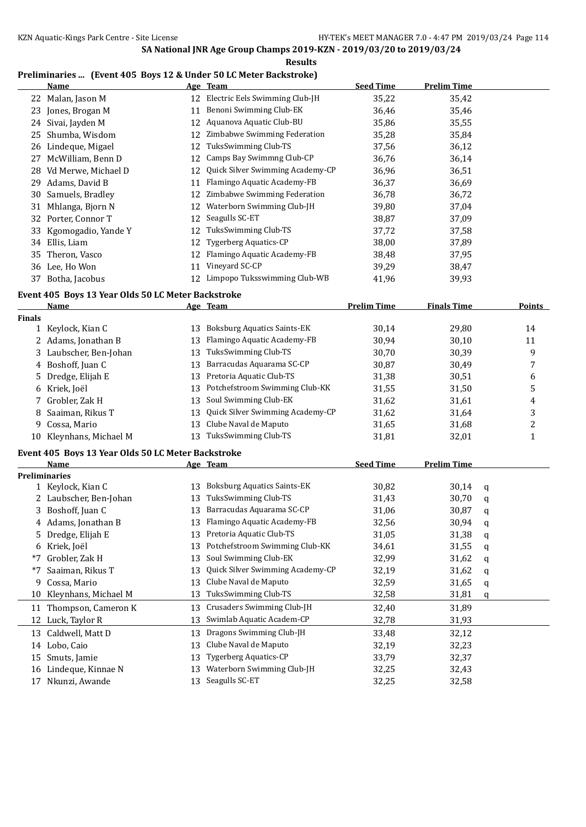**Results**

### **Preliminaries ... (Event 405 Boys 12 & Under 50 LC Meter Backstroke)**

|               | <b>Name</b>                                        |    | Age Team                           | <b>Seed Time</b>   | <b>Prelim Time</b> |   |               |
|---------------|----------------------------------------------------|----|------------------------------------|--------------------|--------------------|---|---------------|
|               | 22 Malan, Jason M                                  | 12 | Electric Eels Swimming Club-JH     | 35,22              | 35,42              |   |               |
| 23            | Jones, Brogan M                                    | 11 | Benoni Swimming Club-EK            | 36,46              | 35,46              |   |               |
|               | 24 Sivai, Jayden M                                 | 12 | Aquanova Aquatic Club-BU           | 35,86              | 35,55              |   |               |
| 25            | Shumba, Wisdom                                     | 12 | Zimbabwe Swimming Federation       | 35,28              | 35,84              |   |               |
| 26            | Lindeque, Migael                                   | 12 | TuksSwimming Club-TS               | 37,56              | 36,12              |   |               |
| 27            | McWilliam, Benn D                                  | 12 | Camps Bay Swimmng Club-CP          | 36,76              | 36,14              |   |               |
| 28            | Vd Merwe, Michael D                                | 12 | Quick Silver Swimming Academy-CP   | 36,96              | 36,51              |   |               |
| 29            | Adams, David B                                     | 11 | Flamingo Aquatic Academy-FB        | 36,37              | 36,69              |   |               |
| 30            | Samuels, Bradley                                   | 12 | Zimbabwe Swimming Federation       | 36,78              | 36,72              |   |               |
|               | 31 Mhlanga, Bjorn N                                |    | 12 Waterborn Swimming Club-JH      | 39,80              | 37,04              |   |               |
|               | 32 Porter, Connor T                                | 12 | Seagulls SC-ET                     | 38,87              | 37,09              |   |               |
| 33            | Kgomogadio, Yande Y                                | 12 | TuksSwimming Club-TS               | 37,72              | 37,58              |   |               |
| 34            | Ellis, Liam                                        | 12 | <b>Tygerberg Aquatics-CP</b>       | 38,00              | 37,89              |   |               |
| 35            | Theron, Vasco                                      |    | 12 Flamingo Aquatic Academy-FB     | 38,48              | 37,95              |   |               |
| 36            | Lee, Ho Won                                        | 11 | Vineyard SC-CP                     | 39,29              | 38,47              |   |               |
| 37            | Botha, Jacobus                                     |    | 12 Limpopo Tuksswimming Club-WB    | 41,96              | 39,93              |   |               |
|               | Event 405 Boys 13 Year Olds 50 LC Meter Backstroke |    |                                    |                    |                    |   |               |
|               | Name                                               |    | Age Team                           | <b>Prelim Time</b> | <b>Finals Time</b> |   | <b>Points</b> |
| <b>Finals</b> |                                                    |    |                                    |                    |                    |   |               |
|               | 1 Keylock, Kian C                                  | 13 | <b>Boksburg Aquatics Saints-EK</b> | 30,14              | 29,80              |   | 14            |
|               | 2 Adams, Jonathan B                                | 13 | Flamingo Aquatic Academy-FB        | 30,94              | 30,10              |   | 11            |
| 3.            | Laubscher, Ben-Johan                               | 13 | TuksSwimming Club-TS               | 30,70              | 30,39              |   | 9             |
| 4             | Boshoff, Juan C                                    | 13 | Barracudas Aquarama SC-CP          | 30,87              | 30,49              |   | 7             |
| 5.            | Dredge, Elijah E                                   | 13 | Pretoria Aquatic Club-TS           | 31,38              | 30,51              |   | 6             |
|               | 6 Kriek, Joël                                      | 13 | Potchefstroom Swimming Club-KK     | 31,55              | 31,50              |   | 5             |
| 7             | Grobler, Zak H                                     | 13 | Soul Swimming Club-EK              | 31,62              | 31,61              |   | 4             |
| 8             | Saaiman, Rikus T                                   | 13 | Quick Silver Swimming Academy-CP   | 31,62              | 31,64              |   | 3             |
| 9.            | Cossa, Mario                                       | 13 | Clube Naval de Maputo              | 31,65              | 31,68              |   | 2             |
|               | 10 Kleynhans, Michael M                            |    | 13 TuksSwimming Club-TS            | 31,81              | 32,01              |   | 1             |
|               | Event 405 Boys 13 Year Olds 50 LC Meter Backstroke |    |                                    |                    |                    |   |               |
|               | Name                                               |    | Age Team                           | <b>Seed Time</b>   | <b>Prelim Time</b> |   |               |
|               | Preliminaries                                      |    |                                    |                    |                    |   |               |
|               | 1 Keylock, Kian C                                  |    | 13 Boksburg Aquatics Saints-EK     | 30,82              | 30,14              | q |               |
|               | 2 Laubscher, Ben-Johan                             | 13 | TuksSwimming Club-TS               | 31,43              | 30,70              | q |               |
|               | 3 Boshoff, Juan C                                  |    | 13 Barracudas Aquarama SC-CP       | 31,06              | 30,87              | q |               |
|               | 4 Adams, Jonathan B                                |    | 13 Flamingo Aquatic Academy-FB     | 32,56              | 30,94              | q |               |
| 5.            | Dredge, Elijah E                                   | 13 | Pretoria Aquatic Club-TS           | 31,05              | 31,38              | q |               |
| 6             | Kriek, Joël                                        | 13 | Potchefstroom Swimming Club-KK     | 34,61              | 31,55              | q |               |
| *7            | Grobler, Zak H                                     | 13 | Soul Swimming Club-EK              | 32,99              | 31,62              | q |               |
| *7            | Saaiman, Rikus T                                   | 13 | Quick Silver Swimming Academy-CP   | 32,19              | 31,62              | q |               |
| 9             | Cossa, Mario                                       | 13 | Clube Naval de Maputo              | 32,59              | 31,65              | q |               |
| 10            | Kleynhans, Michael M                               | 13 | TuksSwimming Club-TS               | 32,58              | 31,81              | q |               |
| 11            | Thompson, Cameron K                                | 13 | Crusaders Swimming Club-JH         | 32,40              | 31,89              |   |               |
| 12            | Luck, Taylor R                                     | 13 | Swimlab Aquatic Academ-CP          | 32,78              | 31,93              |   |               |
| 13            | Caldwell, Matt D                                   | 13 | Dragons Swimming Club-JH           | 33,48              | 32,12              |   |               |
|               | 14 Lobo, Caio                                      | 13 | Clube Naval de Maputo              | 32,19              | 32,23              |   |               |
| 15            | Smuts, Jamie                                       | 13 | <b>Tygerberg Aquatics-CP</b>       | 33,79              | 32,37              |   |               |
| 16            | Lindeque, Kinnae N                                 | 13 | Waterborn Swimming Club-JH         | 32,25              | 32,43              |   |               |
|               | 17 Nkunzi, Awande                                  | 13 | Seagulls SC-ET                     | 32,25              | 32,58              |   |               |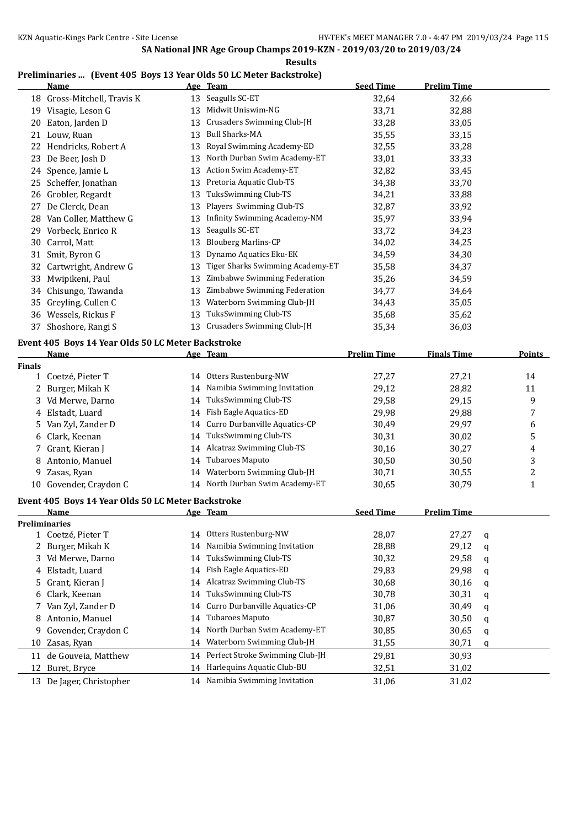#### **Preliminaries ... (Event 405 Boys 13 Year Olds 50 LC Meter Backstroke)**

|               | <u>Name</u>                                                |    | Age Team                         | <b>Seed Time</b>   | <b>Prelim Time</b> |   |                         |
|---------------|------------------------------------------------------------|----|----------------------------------|--------------------|--------------------|---|-------------------------|
|               | 18 Gross-Mitchell, Travis K                                |    | 13 Seagulls SC-ET                | 32,64              | 32,66              |   |                         |
|               | 19 Visagie, Leson G                                        |    | 13 Midwit Uniswim-NG             | 33,71              | 32,88              |   |                         |
|               | 20 Eaton, Jarden D                                         | 13 | Crusaders Swimming Club-JH       | 33,28              | 33,05              |   |                         |
|               | 21 Louw, Ruan                                              | 13 | <b>Bull Sharks-MA</b>            | 35,55              | 33,15              |   |                         |
|               | 22 Hendricks, Robert A                                     | 13 | Royal Swimming Academy-ED        | 32,55              | 33,28              |   |                         |
| 23            | De Beer, Josh D                                            |    | 13 North Durban Swim Academy-ET  | 33,01              | 33,33              |   |                         |
|               | 24 Spence, Jamie L                                         | 13 | Action Swim Academy-ET           | 32,82              | 33,45              |   |                         |
|               | 25 Scheffer, Jonathan                                      |    | 13 Pretoria Aquatic Club-TS      | 34,38              | 33,70              |   |                         |
|               | 26 Grobler, Regardt                                        | 13 | TuksSwimming Club-TS             | 34,21              | 33,88              |   |                         |
| 27            | De Clerck, Dean                                            | 13 | Players Swimming Club-TS         | 32,87              | 33,92              |   |                         |
|               | 28 Van Coller, Matthew G                                   |    | 13 Infinity Swimming Academy-NM  | 35,97              | 33,94              |   |                         |
|               | 29 Vorbeck, Enrico R                                       | 13 | Seagulls SC-ET                   | 33,72              | 34,23              |   |                         |
|               | 30 Carrol, Matt                                            | 13 | <b>Blouberg Marlins-CP</b>       | 34,02              | 34,25              |   |                         |
|               | 31 Smit, Byron G                                           | 13 | Dynamo Aquatics Eku-EK           | 34,59              | 34,30              |   |                         |
|               | 32 Cartwright, Andrew G                                    | 13 | Tiger Sharks Swimming Academy-ET | 35,58              | 34,37              |   |                         |
|               | 33 Mwipikeni, Paul                                         | 13 | Zimbabwe Swimming Federation     | 35,26              | 34,59              |   |                         |
|               | 34 Chisungo, Tawanda                                       | 13 | Zimbabwe Swimming Federation     | 34,77              | 34,64              |   |                         |
|               | 35 Greyling, Cullen C                                      |    | 13 Waterborn Swimming Club-JH    | 34,43              | 35,05              |   |                         |
|               | 36 Wessels, Rickus F                                       | 13 | TuksSwimming Club-TS             | 35,68              | 35,62              |   |                         |
|               | 37 Shoshore, Rangi S                                       |    | 13 Crusaders Swimming Club-JH    | 35,34              | 36,03              |   |                         |
|               |                                                            |    |                                  |                    |                    |   |                         |
|               | Event 405 Boys 14 Year Olds 50 LC Meter Backstroke<br>Name |    | Age Team                         | <b>Prelim Time</b> | <b>Finals Time</b> |   | <b>Points</b>           |
| <b>Finals</b> |                                                            |    |                                  |                    |                    |   |                         |
|               | 1 Coetzé, Pieter T                                         |    | 14 Otters Rustenburg-NW          | 27,27              | 27,21              |   | 14                      |
| 2             | Burger, Mikah K                                            | 14 | Namibia Swimming Invitation      | 29,12              | 28,82              |   | 11                      |
| 3             | Vd Merwe, Darno                                            | 14 | TuksSwimming Club-TS             | 29,58              | 29,15              |   | 9                       |
| 4             | Elstadt, Luard                                             |    | 14 Fish Eagle Aquatics-ED        | 29,98              | 29,88              |   | 7                       |
| 5.            | Van Zyl, Zander D                                          | 14 | Curro Durbanville Aquatics-CP    | 30,49              | 29,97              |   | 6                       |
| 6             | Clark, Keenan                                              | 14 | TuksSwimming Club-TS             | 30,31              | 30,02              |   | 5                       |
| 7             | Grant, Kieran J                                            |    | 14 Alcatraz Swimming Club-TS     | 30,16              | 30,27              |   | 4                       |
| 8             | Antonio, Manuel                                            | 14 | <b>Tubaroes Maputo</b>           | 30,50              | 30,50              |   | 3                       |
| 9             | Zasas, Ryan                                                |    | 14 Waterborn Swimming Club-JH    | 30,71              | 30,55              |   | $\overline{\mathbf{c}}$ |
|               | 10 Govender, Craydon C                                     |    | 14 North Durban Swim Academy-ET  | 30,65              | 30,79              |   | $\mathbf{1}$            |
|               | Event 405 Boys 14 Year Olds 50 LC Meter Backstroke         |    |                                  |                    |                    |   |                         |
|               | Name                                                       |    | <u>Age Team</u>                  | <b>Seed Time</b>   | <b>Prelim Time</b> |   |                         |
|               | <b>Preliminaries</b>                                       |    |                                  |                    |                    |   |                         |
|               | 1 Coetzé, Pieter T                                         |    | 14 Otters Rustenburg-NW          | 28,07              | 27,27              | q |                         |
| 2             | Burger, Mikah K                                            | 14 | Namibia Swimming Invitation      | 28,88              | 29,12              | q |                         |
| 3             | Vd Merwe, Darno                                            | 14 | TuksSwimming Club-TS             | 30,32              | 29,58              | q |                         |
| 4             | Elstadt, Luard                                             | 14 | Fish Eagle Aquatics-ED           | 29,83              | 29,98              | q |                         |
| 5.            | Grant, Kieran J                                            | 14 | Alcatraz Swimming Club-TS        | 30,68              | 30,16              | q |                         |
| 6             | Clark, Keenan                                              | 14 | <b>TuksSwimming Club-TS</b>      | 30,78              | 30,31              | q |                         |
| 7             | Van Zyl, Zander D                                          | 14 | Curro Durbanville Aquatics-CP    | 31,06              | 30,49              | q |                         |
| 8             | Antonio, Manuel                                            | 14 | Tubaroes Maputo                  | 30,87              | 30,50              | q |                         |
| 9             | Govender, Craydon C                                        | 14 | North Durban Swim Academy-ET     | 30,85              | 30,65              | q |                         |
| 10            | Zasas, Ryan                                                | 14 | Waterborn Swimming Club-JH       | 31,55              | 30,71              | q |                         |
|               | 11 de Gouveia, Matthew                                     | 14 | Perfect Stroke Swimming Club-JH  | 29,81              | 30,93              |   |                         |
| 12            | Buret, Bryce                                               | 14 | Harlequins Aquatic Club-BU       | 32,51              | 31,02              |   |                         |
|               | 13 De Jager, Christopher                                   |    | 14 Namibia Swimming Invitation   |                    | 31,02              |   |                         |
|               |                                                            |    |                                  | 31,06              |                    |   |                         |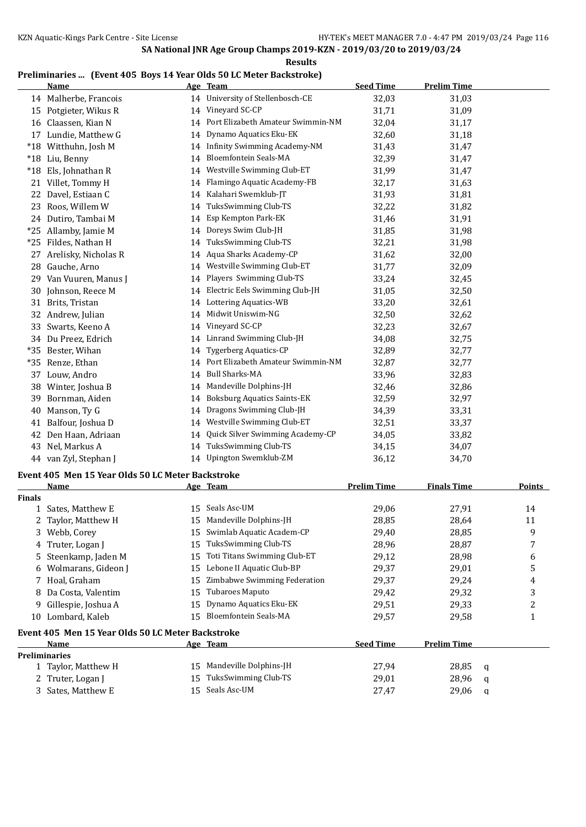#### **Results**

### **Preliminaries ... (Event 405 Boys 14 Year Olds 50 LC Meter Backstroke)**

|               | <b>Name</b>                                       |    | Age Team                                             | <b>Seed Time</b>   | <b>Prelim Time</b> |                         |
|---------------|---------------------------------------------------|----|------------------------------------------------------|--------------------|--------------------|-------------------------|
|               | 14 Malherbe, Francois                             |    | 14 University of Stellenbosch-CE                     | 32,03              | 31,03              |                         |
|               | 15 Potgieter, Wikus R                             |    | 14 Vineyard SC-CP                                    | 31,71              | 31,09              |                         |
|               | 16 Claassen, Kian N                               | 14 | Port Elizabeth Amateur Swimmin-NM                    | 32,04              | 31,17              |                         |
|               | 17 Lundie, Matthew G                              | 14 | Dynamo Aquatics Eku-EK                               | 32,60              | 31,18              |                         |
|               | *18 Witthuhn, Josh M                              | 14 | Infinity Swimming Academy-NM                         | 31,43              | 31,47              |                         |
|               | *18 Liu, Benny                                    | 14 | Bloemfontein Seals-MA                                | 32,39              | 31,47              |                         |
|               | *18 Els, Johnathan R                              | 14 | Westville Swimming Club-ET                           | 31,99              | 31,47              |                         |
|               | 21 Villet, Tommy H                                | 14 | Flamingo Aquatic Academy-FB                          | 32,17              | 31,63              |                         |
|               | 22 Davel, Estiaan C                               | 14 | Kalahari Swemklub-JT                                 | 31,93              | 31,81              |                         |
|               | 23 Roos, Willem W                                 | 14 | TuksSwimming Club-TS                                 | 32,22              | 31,82              |                         |
|               | 24 Dutiro, Tambai M                               | 14 | Esp Kempton Park-EK                                  | 31,46              | 31,91              |                         |
|               | *25 Allamby, Jamie M                              | 14 | Doreys Swim Club-JH                                  | 31,85              | 31,98              |                         |
|               | *25 Fildes, Nathan H                              | 14 | TuksSwimming Club-TS                                 | 32,21              | 31,98              |                         |
| 27            | Arelisky, Nicholas R                              | 14 | Aqua Sharks Academy-CP                               | 31,62              | 32,00              |                         |
| 28            | Gauche, Arno                                      | 14 | Westville Swimming Club-ET                           | 31,77              | 32,09              |                         |
| 29.           | Van Vuuren, Manus J                               | 14 | Players Swimming Club-TS                             | 33,24              | 32,45              |                         |
| 30            | Johnson, Reece M                                  | 14 | Electric Eels Swimming Club-JH                       | 31,05              | 32,50              |                         |
| 31            | Brits, Tristan                                    | 14 | Lottering Aquatics-WB                                | 33,20              | 32,61              |                         |
| 32            | Andrew, Julian                                    | 14 | Midwit Uniswim-NG                                    | 32,50              | 32,62              |                         |
|               | 33 Swarts, Keeno A                                | 14 | Vineyard SC-CP                                       | 32,23              | 32,67              |                         |
|               | 34 Du Preez, Edrich                               |    | 14 Linrand Swimming Club-JH                          | 34,08              | 32,75              |                         |
| $*35$         | Bester, Wihan                                     | 14 | <b>Tygerberg Aquatics-CP</b>                         | 32,89              | 32,77              |                         |
|               | *35 Renze, Ethan                                  | 14 | Port Elizabeth Amateur Swimmin-NM                    | 32,87              | 32,77              |                         |
|               | 37 Louw, Andro                                    | 14 | <b>Bull Sharks-MA</b>                                | 33,96              | 32,83              |                         |
|               | 38 Winter, Joshua B                               |    | 14 Mandeville Dolphins-JH                            | 32,46              | 32,86              |                         |
| 39            | Bornman, Aiden                                    | 14 | <b>Boksburg Aquatics Saints-EK</b>                   | 32,59              | 32,97              |                         |
| 40            | Manson, Ty G                                      | 14 | Dragons Swimming Club-JH                             | 34,39              | 33,31              |                         |
| 41            | Balfour, Joshua D                                 | 14 | Westville Swimming Club-ET                           | 32,51              | 33,37              |                         |
| 42            | Den Haan, Adriaan                                 | 14 | Quick Silver Swimming Academy-CP                     | 34,05              | 33,82              |                         |
| 43            | Nel, Markus A                                     |    | 14 TuksSwimming Club-TS                              | 34,15              | 34,07              |                         |
|               | 44 van Zyl, Stephan J                             |    | 14 Upington Swemklub-ZM                              | 36,12              | 34,70              |                         |
|               |                                                   |    |                                                      |                    |                    |                         |
|               | Event 405 Men 15 Year Olds 50 LC Meter Backstroke |    |                                                      | <b>Prelim Time</b> | <b>Finals Time</b> |                         |
| <b>Finals</b> | <u>Name</u>                                       |    | Age Team                                             |                    |                    | <b>Points</b>           |
|               | 1 Sates, Matthew E                                |    | 15 Seals Asc-UM                                      | 29,06              | 27,91              | 14                      |
| 2             | Taylor, Matthew H                                 |    | 15 Mandeville Dolphins-JH                            | 28,85              | 28,64              | 11                      |
|               | 3 Webb, Corey                                     |    | 15 Swimlab Aquatic Academ-CP                         | 29,40              | 28,85              | 9                       |
| 4             | Truter, Logan J                                   | 15 | TuksSwimming Club-TS                                 | 28,96              | 28,87              | 7                       |
| 5             | Steenkamp, Jaden M                                | 15 | Toti Titans Swimming Club-ET                         | 29,12              | 28,98              | 6                       |
| 6             | Wolmarans, Gideon J                               | 15 | Lebone II Aquatic Club-BP                            | 29,37              | 29,01              | 5                       |
|               | 7 Hoal, Graham                                    | 15 | Zimbabwe Swimming Federation                         | 29,37              | 29,24              | 4                       |
|               | 8 Da Costa, Valentim                              | 15 | Tubaroes Maputo                                      | 29,42              | 29,32              | 3                       |
| 9             | Gillespie, Joshua A                               | 15 | Dynamo Aquatics Eku-EK                               | 29,51              | 29,33              | $\overline{\mathbf{c}}$ |
|               | 10 Lombard, Kaleb                                 |    | 15 Bloemfontein Seals-MA                             | 29,57              | 29,58              | 1                       |
|               |                                                   |    |                                                      |                    |                    |                         |
|               | Event 405 Men 15 Year Olds 50 LC Meter Backstroke |    |                                                      |                    |                    |                         |
|               | <u>Name</u>                                       |    | Age Team                                             | <b>Seed Time</b>   | <b>Prelim Time</b> |                         |
|               | <b>Preliminaries</b>                              |    |                                                      |                    |                    |                         |
|               | 1 Taylor, Matthew H                               |    | 15 Mandeville Dolphins-JH<br>15 TuksSwimming Club-TS | 27,94              | 28,85              | q                       |
|               | 2 Truter, Logan J                                 |    |                                                      | 29,01              | 28,96              | q                       |

3 Sates, Matthew E 15 Seals Asc-UM 27,47 29,06 q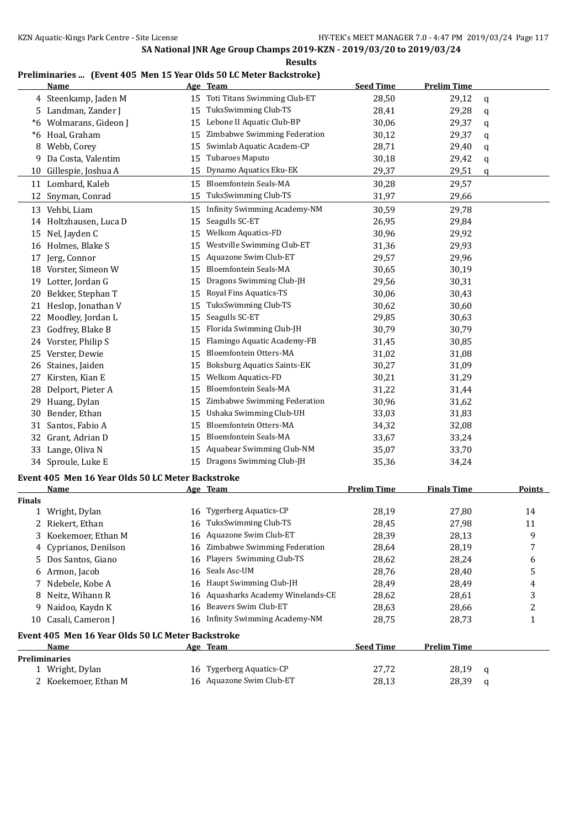**Results**

## **Preliminaries ... (Event 405 Men 15 Year Olds 50 LC Meter Backstroke)**

|               | <b>Name</b>                                       |    | Age Team                            | <b>Seed Time</b>   | <b>Prelim Time</b> |   |        |
|---------------|---------------------------------------------------|----|-------------------------------------|--------------------|--------------------|---|--------|
|               | 4 Steenkamp, Jaden M                              | 15 | Toti Titans Swimming Club-ET        | 28,50              | 29,12              | q |        |
|               | 5 Landman, Zander J                               | 15 | TuksSwimming Club-TS                | 28,41              | 29,28              | q |        |
| $*6$          | Wolmarans, Gideon J                               | 15 | Lebone II Aquatic Club-BP           | 30,06              | 29,37              | q |        |
|               | *6 Hoal, Graham                                   | 15 | Zimbabwe Swimming Federation        | 30,12              | 29,37              | q |        |
|               | 8 Webb, Corey                                     | 15 | Swimlab Aquatic Academ-CP           | 28,71              | 29,40              | q |        |
| 9             | Da Costa, Valentim                                | 15 | Tubaroes Maputo                     | 30,18              | 29,42              | q |        |
| 10            | Gillespie, Joshua A                               | 15 | Dynamo Aquatics Eku-EK              | 29,37              | 29,51              | q |        |
|               | 11 Lombard, Kaleb                                 | 15 | <b>Bloemfontein Seals-MA</b>        | 30,28              | 29,57              |   |        |
|               | 12 Snyman, Conrad                                 | 15 | TuksSwimming Club-TS                | 31,97              | 29,66              |   |        |
|               | 13 Vehbi, Liam                                    | 15 | <b>Infinity Swimming Academy-NM</b> | 30,59              | 29,78              |   |        |
|               | 14 Holtzhausen, Luca D                            | 15 | Seagulls SC-ET                      | 26,95              | 29,84              |   |        |
|               | 15 Nel, Jayden C                                  | 15 | Welkom Aquatics-FD                  | 30,96              | 29,92              |   |        |
|               | 16 Holmes, Blake S                                | 15 | Westville Swimming Club-ET          | 31,36              | 29,93              |   |        |
| 17            | Jerg, Connor                                      | 15 | Aquazone Swim Club-ET               | 29,57              | 29,96              |   |        |
|               | 18 Vorster, Simeon W                              | 15 | Bloemfontein Seals-MA               | 30,65              | 30,19              |   |        |
| 19            | Lotter, Jordan G                                  | 15 | Dragons Swimming Club-JH            | 29,56              | 30,31              |   |        |
|               | 20 Bekker, Stephan T                              | 15 | Royal Fins Aquatics-TS              | 30,06              | 30,43              |   |        |
|               | 21 Heslop, Jonathan V                             | 15 | TuksSwimming Club-TS                | 30,62              | 30,60              |   |        |
|               | 22 Moodley, Jordan L                              | 15 | Seagulls SC-ET                      | 29,85              | 30,63              |   |        |
| 23            | Godfrey, Blake B                                  | 15 | Florida Swimming Club-JH            | 30,79              | 30,79              |   |        |
|               | 24 Vorster, Philip S                              | 15 | Flamingo Aquatic Academy-FB         | 31,45              | 30,85              |   |        |
|               | 25 Verster, Dewie                                 | 15 | Bloemfontein Otters-MA              | 31,02              | 31,08              |   |        |
|               | 26 Staines, Jaiden                                | 15 | <b>Boksburg Aquatics Saints-EK</b>  | 30,27              | 31,09              |   |        |
| 27            | Kirsten, Kian E                                   | 15 | Welkom Aquatics-FD                  | 30,21              | 31,29              |   |        |
| 28            | Delport, Pieter A                                 | 15 | Bloemfontein Seals-MA               | 31,22              | 31,44              |   |        |
| 29            | Huang, Dylan                                      | 15 | Zimbabwe Swimming Federation        | 30,96              | 31,62              |   |        |
| 30            | Bender, Ethan                                     | 15 | Ushaka Swimming Club-UH             | 33,03              | 31,83              |   |        |
| 31            | Santos, Fabio A                                   | 15 | Bloemfontein Otters-MA              | 34,32              | 32,08              |   |        |
| 32            | Grant, Adrian D                                   | 15 | Bloemfontein Seals-MA               | 33,67              | 33,24              |   |        |
| 33            | Lange, Oliva N                                    | 15 | Aquabear Swimming Club-NM           | 35,07              | 33,70              |   |        |
|               | 34 Sproule, Luke E                                |    | 15 Dragons Swimming Club-JH         | 35,36              | 34,24              |   |        |
|               | Event 405 Men 16 Year Olds 50 LC Meter Backstroke |    |                                     |                    |                    |   |        |
|               | <u>Name</u>                                       |    | Age Team                            | <b>Prelim Time</b> | <b>Finals Time</b> |   | Points |
| <b>Finals</b> |                                                   |    |                                     |                    |                    |   |        |
|               | 1 Wright, Dylan                                   |    | 16 Tygerberg Aquatics-CP            | 28,19              | 27,80              |   | 14     |
|               | 2 Riekert, Ethan                                  | 16 | TuksSwimming Club-TS                | 28,45              | 27,98              |   | 11     |
| 3             | Koekemoer, Ethan M                                | 16 | Aquazone Swim Club-ET               | 28,39              | 28,13              |   | 9      |
|               | 4 Cyprianos, Denilson                             | 16 | Zimbabwe Swimming Federation        | 28,64              | 28,19              |   | 7      |
|               | 5 Dos Santos, Giano                               | 16 | Players Swimming Club-TS            | 28,62              | 28,24              |   | 6      |
|               | 6 Armon, Jacob                                    | 16 | Seals Asc-UM                        | 28,76              | 28,40              |   | 5      |
|               | 7 Ndebele, Kobe A                                 |    | 16 Haupt Swimming Club-JH           | 28,49              | 28,49              |   | 4      |
|               | 8 Neitz, Wihann R                                 | 16 | Aquasharks Academy Winelands-CE     | 28,62              | 28,61              |   | 3      |
| 9             | Naidoo, Kaydn K                                   | 16 | Beavers Swim Club-ET                | 28,63              | 28,66              |   | 2      |
| 10            | Casali, Cameron J                                 |    | 16 Infinity Swimming Academy-NM     | 28,75              | 28,73              |   | 1      |
|               | Event 405 Men 16 Year Olds 50 LC Meter Backstroke |    |                                     |                    |                    |   |        |
|               | Name                                              |    | <u>Age Team</u>                     | <b>Seed Time</b>   | <b>Prelim Time</b> |   |        |
|               | <b>Preliminaries</b>                              |    |                                     |                    |                    |   |        |
|               | 1 Wright, Dylan                                   |    | 16 Tygerberg Aquatics-CP            | 27,72              | 28,19              | q |        |
|               | 2 Koekemoer, Ethan M                              |    | 16 Aquazone Swim Club-ET            | 28,13              | 28,39              | q |        |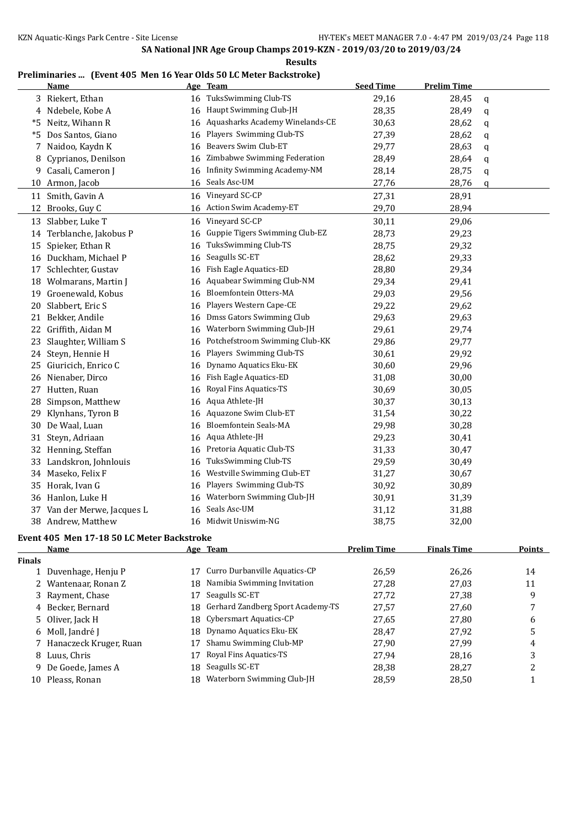**Results**

## **Preliminaries ... (Event 405 Men 16 Year Olds 50 LC Meter Backstroke)**

|    | Name                     |    | Age Team                        | <b>Seed Time</b> | <b>Prelim Time</b> |   |
|----|--------------------------|----|---------------------------------|------------------|--------------------|---|
|    | 3 Riekert, Ethan         | 16 | TuksSwimming Club-TS            | 29,16            | 28,45              | q |
|    | 4 Ndebele, Kobe A        | 16 | Haupt Swimming Club-JH          | 28,35            | 28,49              | q |
| *5 | Neitz, Wihann R          | 16 | Aquasharks Academy Winelands-CE | 30,63            | 28,62              | q |
| *5 | Dos Santos, Giano        | 16 | Players Swimming Club-TS        | 27,39            | 28,62              | q |
| 7  | Naidoo, Kaydn K          | 16 | Beavers Swim Club-ET            | 29,77            | 28,63              | q |
| 8  | Cyprianos, Denilson      | 16 | Zimbabwe Swimming Federation    | 28,49            | 28,64              | q |
| 9  | Casali, Cameron J        | 16 | Infinity Swimming Academy-NM    | 28,14            | 28,75              | q |
| 10 | Armon, Jacob             | 16 | Seals Asc-UM                    | 27,76            | 28,76              | q |
| 11 | Smith, Gavin A           | 16 | Vineyard SC-CP                  | 27,31            | 28,91              |   |
|    | 12 Brooks, Guy C         |    | 16 Action Swim Academy-ET       | 29,70            | 28,94              |   |
| 13 | Slabber, Luke T          | 16 | Vineyard SC-CP                  | 30,11            | 29,06              |   |
|    | 14 Terblanche, Jakobus P | 16 | Guppie Tigers Swimming Club-EZ  | 28,73            | 29,23              |   |
| 15 | Spieker, Ethan R         | 16 | TuksSwimming Club-TS            | 28,75            | 29,32              |   |
|    | 16 Duckham, Michael P    | 16 | Seagulls SC-ET                  | 28,62            | 29,33              |   |
| 17 | Schlechter, Gustav       | 16 | Fish Eagle Aquatics-ED          | 28,80            | 29,34              |   |
|    | 18 Wolmarans, Martin J   | 16 | Aquabear Swimming Club-NM       | 29,34            | 29,41              |   |
|    | 19 Groenewald, Kobus     | 16 | Bloemfontein Otters-MA          | 29,03            | 29,56              |   |
| 20 | Slabbert, Eric S         | 16 | Players Western Cape-CE         | 29,22            | 29,62              |   |
| 21 | Bekker, Andile           | 16 | Dmss Gators Swimming Club       | 29,63            | 29,63              |   |
| 22 | Griffith, Aidan M        | 16 | Waterborn Swimming Club-JH      | 29,61            | 29,74              |   |
| 23 | Slaughter, William S     | 16 | Potchefstroom Swimming Club-KK  | 29,86            | 29,77              |   |
| 24 | Steyn, Hennie H          | 16 | Players Swimming Club-TS        | 30,61            | 29,92              |   |
| 25 | Giuricich, Enrico C      | 16 | Dynamo Aquatics Eku-EK          | 30,60            | 29,96              |   |
| 26 | Nienaber, Dirco          | 16 | Fish Eagle Aquatics-ED          | 31,08            | 30,00              |   |
| 27 | Hutten, Ruan             | 16 | Royal Fins Aquatics-TS          | 30,69            | 30,05              |   |
| 28 | Simpson, Matthew         | 16 | Aqua Athlete-JH                 | 30,37            | 30,13              |   |
| 29 | Klynhans, Tyron B        | 16 | Aquazone Swim Club-ET           | 31,54            | 30,22              |   |
| 30 | De Waal, Luan            | 16 | <b>Bloemfontein Seals-MA</b>    | 29,98            | 30,28              |   |
| 31 | Steyn, Adriaan           | 16 | Aqua Athlete-JH                 | 29,23            | 30,41              |   |
| 32 | Henning, Steffan         | 16 | Pretoria Aquatic Club-TS        | 31,33            | 30,47              |   |
| 33 | Landskron, Johnlouis     | 16 | TuksSwimming Club-TS            | 29,59            | 30,49              |   |
| 34 | Maseko, Felix F          | 16 | Westville Swimming Club-ET      | 31,27            | 30,67              |   |
| 35 | Horak, Ivan G            | 16 | Players Swimming Club-TS        | 30,92            | 30,89              |   |
| 36 | Hanlon, Luke H           | 16 | Waterborn Swimming Club-JH      | 30,91            | 31,39              |   |
| 37 | Van der Merwe, Jacques L | 16 | Seals Asc-UM                    | 31,12            | 31,88              |   |
|    | 38 Andrew, Matthew       | 16 | Midwit Uniswim-NG               | 38,75            | 32,00              |   |

#### **Event 405 Men 17-18 50 LC Meter Backstroke**

| Name          |                                                                                                                                                                                                   |                               | <b>Prelim Time</b>                                                                                                                                     | <b>Finals Time</b> | Points |
|---------------|---------------------------------------------------------------------------------------------------------------------------------------------------------------------------------------------------|-------------------------------|--------------------------------------------------------------------------------------------------------------------------------------------------------|--------------------|--------|
|               |                                                                                                                                                                                                   |                               |                                                                                                                                                        |                    |        |
|               | 17                                                                                                                                                                                                | Curro Durbanville Aquatics-CP | 26.59                                                                                                                                                  | 26.26              | 14     |
|               |                                                                                                                                                                                                   |                               | 27,28                                                                                                                                                  | 27,03              | 11     |
|               | 17                                                                                                                                                                                                | Seagulls SC-ET                | 27.72                                                                                                                                                  | 27.38              | 9      |
|               |                                                                                                                                                                                                   |                               | 27,57                                                                                                                                                  | 27,60              | 7      |
|               |                                                                                                                                                                                                   |                               | 27,65                                                                                                                                                  | 27.80              | 6      |
|               |                                                                                                                                                                                                   |                               | 28,47                                                                                                                                                  | 27,92              | 5      |
|               |                                                                                                                                                                                                   | Shamu Swimming Club-MP        | 27.90                                                                                                                                                  | 27.99              | 4      |
|               | 17                                                                                                                                                                                                | Royal Fins Aquatics-TS        | 27,94                                                                                                                                                  | 28,16              | 3      |
|               |                                                                                                                                                                                                   | Seagulls SC-ET                | 28,38                                                                                                                                                  | 28,27              |        |
| Pleass, Ronan | 18                                                                                                                                                                                                | Waterborn Swimming Club-JH    | 28,59                                                                                                                                                  | 28,50              |        |
|               | 1 Duvenhage, Henju P<br>2 Wantenaar, Ronan Z<br>3 Rayment, Chase<br>4 Becker, Bernard<br>5 Oliver, Jack H<br>6 Moll, Jandré J<br>7 Hanaczeck Kruger, Ruan<br>8 Luus, Chris<br>9 De Goede, James A |                               | Age Team<br>Namibia Swimming Invitation<br>18.<br>18 Gerhard Zandberg Sport Academy-TS<br>18 Cybersmart Aquatics-CP<br>18 Dynamo Aquatics Eku-EK<br>18 |                    |        |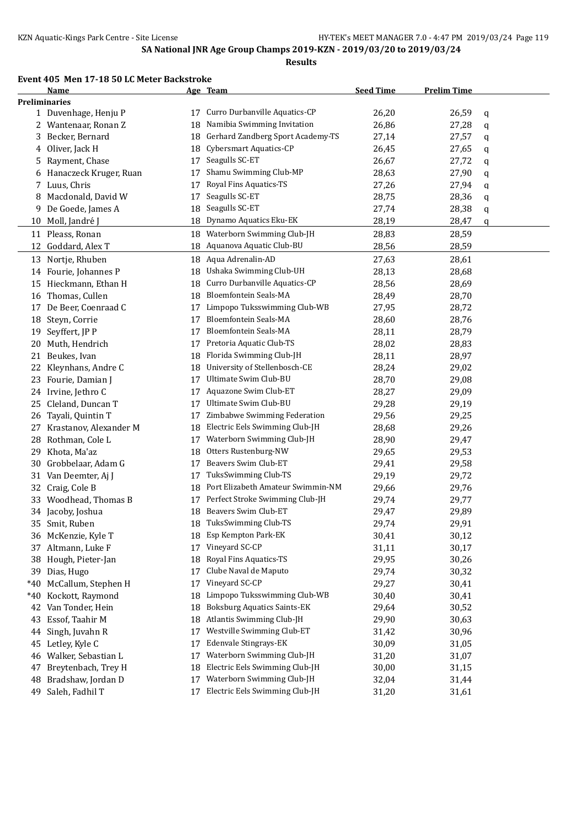#### **Event 405 Men 17-18 50 LC Meter Backstroke**

| <b>Preliminaries</b><br>Curro Durbanville Aquatics-CP<br>26,20<br>1 Duvenhage, Henju P<br>26,59<br>17<br>q<br>Namibia Swimming Invitation<br>26,86<br>27,28<br>2 Wantenaar, Ronan Z<br>18<br>q<br>Gerhard Zandberg Sport Academy-TS<br>Becker, Bernard<br>18<br>27,14<br>27,57<br>3<br>q<br>Cybersmart Aquatics-CP<br>Oliver, Jack H<br>26,45<br>27,65<br>18<br>4<br>q<br>Seagulls SC-ET<br>27,72<br>Rayment, Chase<br>17<br>26,67<br>5<br>q<br>Shamu Swimming Club-MP<br>Hanaczeck Kruger, Ruan<br>28,63<br>27,90<br>17<br>q<br>6<br>Royal Fins Aquatics-TS<br>Luus, Chris<br>27,94<br>27,26<br>17<br>7<br>q<br>Seagulls SC-ET<br>Macdonald, David W<br>28,75<br>28,36<br>17<br>8<br>q<br>Seagulls SC-ET<br>De Goede, James A<br>18<br>27,74<br>28,38<br>9<br>q<br>Dynamo Aquatics Eku-EK<br>28,19<br>10 Moll, Jandré J<br>18<br>28,47<br>q<br>Waterborn Swimming Club-JH<br>11 Pleass, Ronan<br>28,83<br>28,59<br>18<br>Aquanova Aquatic Club-BU<br>28,56<br>28,59<br>12 Goddard, Alex T<br>18<br>18 Aqua Adrenalin-AD<br>13 Nortje, Rhuben<br>27,63<br>28,61<br>Ushaka Swimming Club-UH<br>28,13<br>28,68<br>14 Fourie, Johannes P<br>18<br>Curro Durbanville Aquatics-CP<br>Hieckmann, Ethan H<br>18<br>28,56<br>28,69<br>15<br><b>Bloemfontein Seals-MA</b><br>Thomas, Cullen<br>28,70<br>18<br>28,49<br>16<br>De Beer, Coenraad C<br>Limpopo Tuksswimming Club-WB<br>28,72<br>27,95<br>17<br>17<br><b>Bloemfontein Seals-MA</b><br>28,76<br>Steyn, Corrie<br>17<br>28,60<br>18<br><b>Bloemfontein Seals-MA</b><br>28,79<br>Seyffert, JP P<br>28,11<br>19<br>17<br>Pretoria Aquatic Club-TS<br>28,02<br>20<br>Muth, Hendrich<br>28,83<br>17<br>Florida Swimming Club-JH<br>21<br>Beukes, Ivan<br>28,11<br>28,97<br>18<br>University of Stellenbosch-CE<br>22<br>Kleynhans, Andre C<br>28,24<br>29,02<br>18<br>Ultimate Swim Club-BU<br>28,70<br>29,08<br>23<br>Fourie, Damian J<br>17<br>Aquazone Swim Club-ET<br>28,27<br>29,09<br>24 Irvine, Jethro C<br>17<br>Ultimate Swim Club-BU<br>29,28<br>29,19<br>Cleland, Duncan T<br>17<br>25<br>Zimbabwe Swimming Federation<br>29,56<br>29,25<br>Tayali, Quintin T<br>17<br>26<br>Electric Eels Swimming Club-JH<br>29,26<br>Krastanov, Alexander M<br>28,68<br>27<br>18<br>Waterborn Swimming Club-JH<br>Rothman, Cole L<br>29,47<br>28,90<br>28<br>17<br>Otters Rustenburg-NW<br>29,53<br>Khota, Ma'az<br>29,65<br>29<br>18<br>Beavers Swim Club-ET<br>Grobbelaar, Adam G<br>29,41<br>29,58<br>30<br>17<br>TuksSwimming Club-TS<br>29,72<br>29,19<br>Van Deemter, Aj J<br>31<br>17<br>Port Elizabeth Amateur Swimmin-NM<br>29,66<br>29,76<br>32<br>Craig, Cole B<br>18<br>Perfect Stroke Swimming Club-JH<br>29,74<br>29,77<br>Woodhead, Thomas B<br>17<br>33<br>Beavers Swim Club-ET<br>29,89<br>34 Jacoby, Joshua<br>29,47<br>18<br>35 Smit, Ruben<br>18 TuksSwimming Club-TS<br>29,74<br>29,91<br>Esp Kempton Park-EK<br>36 McKenzie, Kyle T<br>30,41<br>30,12<br>18<br>37 Altmann, Luke F<br>Vineyard SC-CP<br>31,11<br>30,17<br>17<br>Royal Fins Aquatics-TS<br>29,95<br>30,26<br>38<br>Hough, Pieter-Jan<br>18<br>Clube Naval de Maputo<br>29,74<br>30,32<br>39 Dias, Hugo<br>17<br>Vineyard SC-CP<br>*40 McCallum, Stephen H<br>29,27<br>17<br>30,41<br>Kockott, Raymond<br>Limpopo Tuksswimming Club-WB<br>$*40$<br>18<br>30,40<br>30,41<br><b>Boksburg Aquatics Saints-EK</b><br>Van Tonder, Hein<br>29,64<br>30,52<br>42<br>18<br>Atlantis Swimming Club-JH<br>Essof, Taahir M<br>18<br>29,90<br>30,63<br>43<br>Westville Swimming Club-ET<br>Singh, Juvahn R<br>30,96<br>17<br>31,42<br>44<br>Edenvale Stingrays-EK<br>45<br>Letley, Kyle C<br>17<br>30,09<br>31,05<br>Waterborn Swimming Club-JH<br>46 Walker, Sebastian L<br>31,20<br>17<br>31,07<br>Electric Eels Swimming Club-JH<br>Breytenbach, Trey H<br>18<br>30,00<br>31,15<br>47<br>Waterborn Swimming Club-JH<br>Bradshaw, Jordan D<br>17<br>32,04<br>31,44<br>48<br>Electric Eels Swimming Club-JH<br>Saleh, Fadhil T<br>17<br>31,20<br>31,61<br>49 | Name | Age Team | <b>Seed Time</b> | <b>Prelim Time</b> |  |
|---------------------------------------------------------------------------------------------------------------------------------------------------------------------------------------------------------------------------------------------------------------------------------------------------------------------------------------------------------------------------------------------------------------------------------------------------------------------------------------------------------------------------------------------------------------------------------------------------------------------------------------------------------------------------------------------------------------------------------------------------------------------------------------------------------------------------------------------------------------------------------------------------------------------------------------------------------------------------------------------------------------------------------------------------------------------------------------------------------------------------------------------------------------------------------------------------------------------------------------------------------------------------------------------------------------------------------------------------------------------------------------------------------------------------------------------------------------------------------------------------------------------------------------------------------------------------------------------------------------------------------------------------------------------------------------------------------------------------------------------------------------------------------------------------------------------------------------------------------------------------------------------------------------------------------------------------------------------------------------------------------------------------------------------------------------------------------------------------------------------------------------------------------------------------------------------------------------------------------------------------------------------------------------------------------------------------------------------------------------------------------------------------------------------------------------------------------------------------------------------------------------------------------------------------------------------------------------------------------------------------------------------------------------------------------------------------------------------------------------------------------------------------------------------------------------------------------------------------------------------------------------------------------------------------------------------------------------------------------------------------------------------------------------------------------------------------------------------------------------------------------------------------------------------------------------------------------------------------------------------------------------------------------------------------------------------------------------------------------------------------------------------------------------------------------------------------------------------------------------------------------------------------------------------------------------------------------------------------------------------------------------------------------------------------------------------------------------------------------------------------------------------------------------------------------------------------------------------------------------------------------------------------------------------------------------------------------------------------------|------|----------|------------------|--------------------|--|
|                                                                                                                                                                                                                                                                                                                                                                                                                                                                                                                                                                                                                                                                                                                                                                                                                                                                                                                                                                                                                                                                                                                                                                                                                                                                                                                                                                                                                                                                                                                                                                                                                                                                                                                                                                                                                                                                                                                                                                                                                                                                                                                                                                                                                                                                                                                                                                                                                                                                                                                                                                                                                                                                                                                                                                                                                                                                                                                                                                                                                                                                                                                                                                                                                                                                                                                                                                                                                                                                                                                                                                                                                                                                                                                                                                                                                                                                                                                                                                                 |      |          |                  |                    |  |
|                                                                                                                                                                                                                                                                                                                                                                                                                                                                                                                                                                                                                                                                                                                                                                                                                                                                                                                                                                                                                                                                                                                                                                                                                                                                                                                                                                                                                                                                                                                                                                                                                                                                                                                                                                                                                                                                                                                                                                                                                                                                                                                                                                                                                                                                                                                                                                                                                                                                                                                                                                                                                                                                                                                                                                                                                                                                                                                                                                                                                                                                                                                                                                                                                                                                                                                                                                                                                                                                                                                                                                                                                                                                                                                                                                                                                                                                                                                                                                                 |      |          |                  |                    |  |
|                                                                                                                                                                                                                                                                                                                                                                                                                                                                                                                                                                                                                                                                                                                                                                                                                                                                                                                                                                                                                                                                                                                                                                                                                                                                                                                                                                                                                                                                                                                                                                                                                                                                                                                                                                                                                                                                                                                                                                                                                                                                                                                                                                                                                                                                                                                                                                                                                                                                                                                                                                                                                                                                                                                                                                                                                                                                                                                                                                                                                                                                                                                                                                                                                                                                                                                                                                                                                                                                                                                                                                                                                                                                                                                                                                                                                                                                                                                                                                                 |      |          |                  |                    |  |
|                                                                                                                                                                                                                                                                                                                                                                                                                                                                                                                                                                                                                                                                                                                                                                                                                                                                                                                                                                                                                                                                                                                                                                                                                                                                                                                                                                                                                                                                                                                                                                                                                                                                                                                                                                                                                                                                                                                                                                                                                                                                                                                                                                                                                                                                                                                                                                                                                                                                                                                                                                                                                                                                                                                                                                                                                                                                                                                                                                                                                                                                                                                                                                                                                                                                                                                                                                                                                                                                                                                                                                                                                                                                                                                                                                                                                                                                                                                                                                                 |      |          |                  |                    |  |
|                                                                                                                                                                                                                                                                                                                                                                                                                                                                                                                                                                                                                                                                                                                                                                                                                                                                                                                                                                                                                                                                                                                                                                                                                                                                                                                                                                                                                                                                                                                                                                                                                                                                                                                                                                                                                                                                                                                                                                                                                                                                                                                                                                                                                                                                                                                                                                                                                                                                                                                                                                                                                                                                                                                                                                                                                                                                                                                                                                                                                                                                                                                                                                                                                                                                                                                                                                                                                                                                                                                                                                                                                                                                                                                                                                                                                                                                                                                                                                                 |      |          |                  |                    |  |
|                                                                                                                                                                                                                                                                                                                                                                                                                                                                                                                                                                                                                                                                                                                                                                                                                                                                                                                                                                                                                                                                                                                                                                                                                                                                                                                                                                                                                                                                                                                                                                                                                                                                                                                                                                                                                                                                                                                                                                                                                                                                                                                                                                                                                                                                                                                                                                                                                                                                                                                                                                                                                                                                                                                                                                                                                                                                                                                                                                                                                                                                                                                                                                                                                                                                                                                                                                                                                                                                                                                                                                                                                                                                                                                                                                                                                                                                                                                                                                                 |      |          |                  |                    |  |
|                                                                                                                                                                                                                                                                                                                                                                                                                                                                                                                                                                                                                                                                                                                                                                                                                                                                                                                                                                                                                                                                                                                                                                                                                                                                                                                                                                                                                                                                                                                                                                                                                                                                                                                                                                                                                                                                                                                                                                                                                                                                                                                                                                                                                                                                                                                                                                                                                                                                                                                                                                                                                                                                                                                                                                                                                                                                                                                                                                                                                                                                                                                                                                                                                                                                                                                                                                                                                                                                                                                                                                                                                                                                                                                                                                                                                                                                                                                                                                                 |      |          |                  |                    |  |
|                                                                                                                                                                                                                                                                                                                                                                                                                                                                                                                                                                                                                                                                                                                                                                                                                                                                                                                                                                                                                                                                                                                                                                                                                                                                                                                                                                                                                                                                                                                                                                                                                                                                                                                                                                                                                                                                                                                                                                                                                                                                                                                                                                                                                                                                                                                                                                                                                                                                                                                                                                                                                                                                                                                                                                                                                                                                                                                                                                                                                                                                                                                                                                                                                                                                                                                                                                                                                                                                                                                                                                                                                                                                                                                                                                                                                                                                                                                                                                                 |      |          |                  |                    |  |
|                                                                                                                                                                                                                                                                                                                                                                                                                                                                                                                                                                                                                                                                                                                                                                                                                                                                                                                                                                                                                                                                                                                                                                                                                                                                                                                                                                                                                                                                                                                                                                                                                                                                                                                                                                                                                                                                                                                                                                                                                                                                                                                                                                                                                                                                                                                                                                                                                                                                                                                                                                                                                                                                                                                                                                                                                                                                                                                                                                                                                                                                                                                                                                                                                                                                                                                                                                                                                                                                                                                                                                                                                                                                                                                                                                                                                                                                                                                                                                                 |      |          |                  |                    |  |
|                                                                                                                                                                                                                                                                                                                                                                                                                                                                                                                                                                                                                                                                                                                                                                                                                                                                                                                                                                                                                                                                                                                                                                                                                                                                                                                                                                                                                                                                                                                                                                                                                                                                                                                                                                                                                                                                                                                                                                                                                                                                                                                                                                                                                                                                                                                                                                                                                                                                                                                                                                                                                                                                                                                                                                                                                                                                                                                                                                                                                                                                                                                                                                                                                                                                                                                                                                                                                                                                                                                                                                                                                                                                                                                                                                                                                                                                                                                                                                                 |      |          |                  |                    |  |
|                                                                                                                                                                                                                                                                                                                                                                                                                                                                                                                                                                                                                                                                                                                                                                                                                                                                                                                                                                                                                                                                                                                                                                                                                                                                                                                                                                                                                                                                                                                                                                                                                                                                                                                                                                                                                                                                                                                                                                                                                                                                                                                                                                                                                                                                                                                                                                                                                                                                                                                                                                                                                                                                                                                                                                                                                                                                                                                                                                                                                                                                                                                                                                                                                                                                                                                                                                                                                                                                                                                                                                                                                                                                                                                                                                                                                                                                                                                                                                                 |      |          |                  |                    |  |
|                                                                                                                                                                                                                                                                                                                                                                                                                                                                                                                                                                                                                                                                                                                                                                                                                                                                                                                                                                                                                                                                                                                                                                                                                                                                                                                                                                                                                                                                                                                                                                                                                                                                                                                                                                                                                                                                                                                                                                                                                                                                                                                                                                                                                                                                                                                                                                                                                                                                                                                                                                                                                                                                                                                                                                                                                                                                                                                                                                                                                                                                                                                                                                                                                                                                                                                                                                                                                                                                                                                                                                                                                                                                                                                                                                                                                                                                                                                                                                                 |      |          |                  |                    |  |
|                                                                                                                                                                                                                                                                                                                                                                                                                                                                                                                                                                                                                                                                                                                                                                                                                                                                                                                                                                                                                                                                                                                                                                                                                                                                                                                                                                                                                                                                                                                                                                                                                                                                                                                                                                                                                                                                                                                                                                                                                                                                                                                                                                                                                                                                                                                                                                                                                                                                                                                                                                                                                                                                                                                                                                                                                                                                                                                                                                                                                                                                                                                                                                                                                                                                                                                                                                                                                                                                                                                                                                                                                                                                                                                                                                                                                                                                                                                                                                                 |      |          |                  |                    |  |
|                                                                                                                                                                                                                                                                                                                                                                                                                                                                                                                                                                                                                                                                                                                                                                                                                                                                                                                                                                                                                                                                                                                                                                                                                                                                                                                                                                                                                                                                                                                                                                                                                                                                                                                                                                                                                                                                                                                                                                                                                                                                                                                                                                                                                                                                                                                                                                                                                                                                                                                                                                                                                                                                                                                                                                                                                                                                                                                                                                                                                                                                                                                                                                                                                                                                                                                                                                                                                                                                                                                                                                                                                                                                                                                                                                                                                                                                                                                                                                                 |      |          |                  |                    |  |
|                                                                                                                                                                                                                                                                                                                                                                                                                                                                                                                                                                                                                                                                                                                                                                                                                                                                                                                                                                                                                                                                                                                                                                                                                                                                                                                                                                                                                                                                                                                                                                                                                                                                                                                                                                                                                                                                                                                                                                                                                                                                                                                                                                                                                                                                                                                                                                                                                                                                                                                                                                                                                                                                                                                                                                                                                                                                                                                                                                                                                                                                                                                                                                                                                                                                                                                                                                                                                                                                                                                                                                                                                                                                                                                                                                                                                                                                                                                                                                                 |      |          |                  |                    |  |
|                                                                                                                                                                                                                                                                                                                                                                                                                                                                                                                                                                                                                                                                                                                                                                                                                                                                                                                                                                                                                                                                                                                                                                                                                                                                                                                                                                                                                                                                                                                                                                                                                                                                                                                                                                                                                                                                                                                                                                                                                                                                                                                                                                                                                                                                                                                                                                                                                                                                                                                                                                                                                                                                                                                                                                                                                                                                                                                                                                                                                                                                                                                                                                                                                                                                                                                                                                                                                                                                                                                                                                                                                                                                                                                                                                                                                                                                                                                                                                                 |      |          |                  |                    |  |
|                                                                                                                                                                                                                                                                                                                                                                                                                                                                                                                                                                                                                                                                                                                                                                                                                                                                                                                                                                                                                                                                                                                                                                                                                                                                                                                                                                                                                                                                                                                                                                                                                                                                                                                                                                                                                                                                                                                                                                                                                                                                                                                                                                                                                                                                                                                                                                                                                                                                                                                                                                                                                                                                                                                                                                                                                                                                                                                                                                                                                                                                                                                                                                                                                                                                                                                                                                                                                                                                                                                                                                                                                                                                                                                                                                                                                                                                                                                                                                                 |      |          |                  |                    |  |
|                                                                                                                                                                                                                                                                                                                                                                                                                                                                                                                                                                                                                                                                                                                                                                                                                                                                                                                                                                                                                                                                                                                                                                                                                                                                                                                                                                                                                                                                                                                                                                                                                                                                                                                                                                                                                                                                                                                                                                                                                                                                                                                                                                                                                                                                                                                                                                                                                                                                                                                                                                                                                                                                                                                                                                                                                                                                                                                                                                                                                                                                                                                                                                                                                                                                                                                                                                                                                                                                                                                                                                                                                                                                                                                                                                                                                                                                                                                                                                                 |      |          |                  |                    |  |
|                                                                                                                                                                                                                                                                                                                                                                                                                                                                                                                                                                                                                                                                                                                                                                                                                                                                                                                                                                                                                                                                                                                                                                                                                                                                                                                                                                                                                                                                                                                                                                                                                                                                                                                                                                                                                                                                                                                                                                                                                                                                                                                                                                                                                                                                                                                                                                                                                                                                                                                                                                                                                                                                                                                                                                                                                                                                                                                                                                                                                                                                                                                                                                                                                                                                                                                                                                                                                                                                                                                                                                                                                                                                                                                                                                                                                                                                                                                                                                                 |      |          |                  |                    |  |
|                                                                                                                                                                                                                                                                                                                                                                                                                                                                                                                                                                                                                                                                                                                                                                                                                                                                                                                                                                                                                                                                                                                                                                                                                                                                                                                                                                                                                                                                                                                                                                                                                                                                                                                                                                                                                                                                                                                                                                                                                                                                                                                                                                                                                                                                                                                                                                                                                                                                                                                                                                                                                                                                                                                                                                                                                                                                                                                                                                                                                                                                                                                                                                                                                                                                                                                                                                                                                                                                                                                                                                                                                                                                                                                                                                                                                                                                                                                                                                                 |      |          |                  |                    |  |
|                                                                                                                                                                                                                                                                                                                                                                                                                                                                                                                                                                                                                                                                                                                                                                                                                                                                                                                                                                                                                                                                                                                                                                                                                                                                                                                                                                                                                                                                                                                                                                                                                                                                                                                                                                                                                                                                                                                                                                                                                                                                                                                                                                                                                                                                                                                                                                                                                                                                                                                                                                                                                                                                                                                                                                                                                                                                                                                                                                                                                                                                                                                                                                                                                                                                                                                                                                                                                                                                                                                                                                                                                                                                                                                                                                                                                                                                                                                                                                                 |      |          |                  |                    |  |
|                                                                                                                                                                                                                                                                                                                                                                                                                                                                                                                                                                                                                                                                                                                                                                                                                                                                                                                                                                                                                                                                                                                                                                                                                                                                                                                                                                                                                                                                                                                                                                                                                                                                                                                                                                                                                                                                                                                                                                                                                                                                                                                                                                                                                                                                                                                                                                                                                                                                                                                                                                                                                                                                                                                                                                                                                                                                                                                                                                                                                                                                                                                                                                                                                                                                                                                                                                                                                                                                                                                                                                                                                                                                                                                                                                                                                                                                                                                                                                                 |      |          |                  |                    |  |
|                                                                                                                                                                                                                                                                                                                                                                                                                                                                                                                                                                                                                                                                                                                                                                                                                                                                                                                                                                                                                                                                                                                                                                                                                                                                                                                                                                                                                                                                                                                                                                                                                                                                                                                                                                                                                                                                                                                                                                                                                                                                                                                                                                                                                                                                                                                                                                                                                                                                                                                                                                                                                                                                                                                                                                                                                                                                                                                                                                                                                                                                                                                                                                                                                                                                                                                                                                                                                                                                                                                                                                                                                                                                                                                                                                                                                                                                                                                                                                                 |      |          |                  |                    |  |
|                                                                                                                                                                                                                                                                                                                                                                                                                                                                                                                                                                                                                                                                                                                                                                                                                                                                                                                                                                                                                                                                                                                                                                                                                                                                                                                                                                                                                                                                                                                                                                                                                                                                                                                                                                                                                                                                                                                                                                                                                                                                                                                                                                                                                                                                                                                                                                                                                                                                                                                                                                                                                                                                                                                                                                                                                                                                                                                                                                                                                                                                                                                                                                                                                                                                                                                                                                                                                                                                                                                                                                                                                                                                                                                                                                                                                                                                                                                                                                                 |      |          |                  |                    |  |
|                                                                                                                                                                                                                                                                                                                                                                                                                                                                                                                                                                                                                                                                                                                                                                                                                                                                                                                                                                                                                                                                                                                                                                                                                                                                                                                                                                                                                                                                                                                                                                                                                                                                                                                                                                                                                                                                                                                                                                                                                                                                                                                                                                                                                                                                                                                                                                                                                                                                                                                                                                                                                                                                                                                                                                                                                                                                                                                                                                                                                                                                                                                                                                                                                                                                                                                                                                                                                                                                                                                                                                                                                                                                                                                                                                                                                                                                                                                                                                                 |      |          |                  |                    |  |
|                                                                                                                                                                                                                                                                                                                                                                                                                                                                                                                                                                                                                                                                                                                                                                                                                                                                                                                                                                                                                                                                                                                                                                                                                                                                                                                                                                                                                                                                                                                                                                                                                                                                                                                                                                                                                                                                                                                                                                                                                                                                                                                                                                                                                                                                                                                                                                                                                                                                                                                                                                                                                                                                                                                                                                                                                                                                                                                                                                                                                                                                                                                                                                                                                                                                                                                                                                                                                                                                                                                                                                                                                                                                                                                                                                                                                                                                                                                                                                                 |      |          |                  |                    |  |
|                                                                                                                                                                                                                                                                                                                                                                                                                                                                                                                                                                                                                                                                                                                                                                                                                                                                                                                                                                                                                                                                                                                                                                                                                                                                                                                                                                                                                                                                                                                                                                                                                                                                                                                                                                                                                                                                                                                                                                                                                                                                                                                                                                                                                                                                                                                                                                                                                                                                                                                                                                                                                                                                                                                                                                                                                                                                                                                                                                                                                                                                                                                                                                                                                                                                                                                                                                                                                                                                                                                                                                                                                                                                                                                                                                                                                                                                                                                                                                                 |      |          |                  |                    |  |
|                                                                                                                                                                                                                                                                                                                                                                                                                                                                                                                                                                                                                                                                                                                                                                                                                                                                                                                                                                                                                                                                                                                                                                                                                                                                                                                                                                                                                                                                                                                                                                                                                                                                                                                                                                                                                                                                                                                                                                                                                                                                                                                                                                                                                                                                                                                                                                                                                                                                                                                                                                                                                                                                                                                                                                                                                                                                                                                                                                                                                                                                                                                                                                                                                                                                                                                                                                                                                                                                                                                                                                                                                                                                                                                                                                                                                                                                                                                                                                                 |      |          |                  |                    |  |
|                                                                                                                                                                                                                                                                                                                                                                                                                                                                                                                                                                                                                                                                                                                                                                                                                                                                                                                                                                                                                                                                                                                                                                                                                                                                                                                                                                                                                                                                                                                                                                                                                                                                                                                                                                                                                                                                                                                                                                                                                                                                                                                                                                                                                                                                                                                                                                                                                                                                                                                                                                                                                                                                                                                                                                                                                                                                                                                                                                                                                                                                                                                                                                                                                                                                                                                                                                                                                                                                                                                                                                                                                                                                                                                                                                                                                                                                                                                                                                                 |      |          |                  |                    |  |
|                                                                                                                                                                                                                                                                                                                                                                                                                                                                                                                                                                                                                                                                                                                                                                                                                                                                                                                                                                                                                                                                                                                                                                                                                                                                                                                                                                                                                                                                                                                                                                                                                                                                                                                                                                                                                                                                                                                                                                                                                                                                                                                                                                                                                                                                                                                                                                                                                                                                                                                                                                                                                                                                                                                                                                                                                                                                                                                                                                                                                                                                                                                                                                                                                                                                                                                                                                                                                                                                                                                                                                                                                                                                                                                                                                                                                                                                                                                                                                                 |      |          |                  |                    |  |
|                                                                                                                                                                                                                                                                                                                                                                                                                                                                                                                                                                                                                                                                                                                                                                                                                                                                                                                                                                                                                                                                                                                                                                                                                                                                                                                                                                                                                                                                                                                                                                                                                                                                                                                                                                                                                                                                                                                                                                                                                                                                                                                                                                                                                                                                                                                                                                                                                                                                                                                                                                                                                                                                                                                                                                                                                                                                                                                                                                                                                                                                                                                                                                                                                                                                                                                                                                                                                                                                                                                                                                                                                                                                                                                                                                                                                                                                                                                                                                                 |      |          |                  |                    |  |
|                                                                                                                                                                                                                                                                                                                                                                                                                                                                                                                                                                                                                                                                                                                                                                                                                                                                                                                                                                                                                                                                                                                                                                                                                                                                                                                                                                                                                                                                                                                                                                                                                                                                                                                                                                                                                                                                                                                                                                                                                                                                                                                                                                                                                                                                                                                                                                                                                                                                                                                                                                                                                                                                                                                                                                                                                                                                                                                                                                                                                                                                                                                                                                                                                                                                                                                                                                                                                                                                                                                                                                                                                                                                                                                                                                                                                                                                                                                                                                                 |      |          |                  |                    |  |
|                                                                                                                                                                                                                                                                                                                                                                                                                                                                                                                                                                                                                                                                                                                                                                                                                                                                                                                                                                                                                                                                                                                                                                                                                                                                                                                                                                                                                                                                                                                                                                                                                                                                                                                                                                                                                                                                                                                                                                                                                                                                                                                                                                                                                                                                                                                                                                                                                                                                                                                                                                                                                                                                                                                                                                                                                                                                                                                                                                                                                                                                                                                                                                                                                                                                                                                                                                                                                                                                                                                                                                                                                                                                                                                                                                                                                                                                                                                                                                                 |      |          |                  |                    |  |
|                                                                                                                                                                                                                                                                                                                                                                                                                                                                                                                                                                                                                                                                                                                                                                                                                                                                                                                                                                                                                                                                                                                                                                                                                                                                                                                                                                                                                                                                                                                                                                                                                                                                                                                                                                                                                                                                                                                                                                                                                                                                                                                                                                                                                                                                                                                                                                                                                                                                                                                                                                                                                                                                                                                                                                                                                                                                                                                                                                                                                                                                                                                                                                                                                                                                                                                                                                                                                                                                                                                                                                                                                                                                                                                                                                                                                                                                                                                                                                                 |      |          |                  |                    |  |
|                                                                                                                                                                                                                                                                                                                                                                                                                                                                                                                                                                                                                                                                                                                                                                                                                                                                                                                                                                                                                                                                                                                                                                                                                                                                                                                                                                                                                                                                                                                                                                                                                                                                                                                                                                                                                                                                                                                                                                                                                                                                                                                                                                                                                                                                                                                                                                                                                                                                                                                                                                                                                                                                                                                                                                                                                                                                                                                                                                                                                                                                                                                                                                                                                                                                                                                                                                                                                                                                                                                                                                                                                                                                                                                                                                                                                                                                                                                                                                                 |      |          |                  |                    |  |
|                                                                                                                                                                                                                                                                                                                                                                                                                                                                                                                                                                                                                                                                                                                                                                                                                                                                                                                                                                                                                                                                                                                                                                                                                                                                                                                                                                                                                                                                                                                                                                                                                                                                                                                                                                                                                                                                                                                                                                                                                                                                                                                                                                                                                                                                                                                                                                                                                                                                                                                                                                                                                                                                                                                                                                                                                                                                                                                                                                                                                                                                                                                                                                                                                                                                                                                                                                                                                                                                                                                                                                                                                                                                                                                                                                                                                                                                                                                                                                                 |      |          |                  |                    |  |
|                                                                                                                                                                                                                                                                                                                                                                                                                                                                                                                                                                                                                                                                                                                                                                                                                                                                                                                                                                                                                                                                                                                                                                                                                                                                                                                                                                                                                                                                                                                                                                                                                                                                                                                                                                                                                                                                                                                                                                                                                                                                                                                                                                                                                                                                                                                                                                                                                                                                                                                                                                                                                                                                                                                                                                                                                                                                                                                                                                                                                                                                                                                                                                                                                                                                                                                                                                                                                                                                                                                                                                                                                                                                                                                                                                                                                                                                                                                                                                                 |      |          |                  |                    |  |
|                                                                                                                                                                                                                                                                                                                                                                                                                                                                                                                                                                                                                                                                                                                                                                                                                                                                                                                                                                                                                                                                                                                                                                                                                                                                                                                                                                                                                                                                                                                                                                                                                                                                                                                                                                                                                                                                                                                                                                                                                                                                                                                                                                                                                                                                                                                                                                                                                                                                                                                                                                                                                                                                                                                                                                                                                                                                                                                                                                                                                                                                                                                                                                                                                                                                                                                                                                                                                                                                                                                                                                                                                                                                                                                                                                                                                                                                                                                                                                                 |      |          |                  |                    |  |
|                                                                                                                                                                                                                                                                                                                                                                                                                                                                                                                                                                                                                                                                                                                                                                                                                                                                                                                                                                                                                                                                                                                                                                                                                                                                                                                                                                                                                                                                                                                                                                                                                                                                                                                                                                                                                                                                                                                                                                                                                                                                                                                                                                                                                                                                                                                                                                                                                                                                                                                                                                                                                                                                                                                                                                                                                                                                                                                                                                                                                                                                                                                                                                                                                                                                                                                                                                                                                                                                                                                                                                                                                                                                                                                                                                                                                                                                                                                                                                                 |      |          |                  |                    |  |
|                                                                                                                                                                                                                                                                                                                                                                                                                                                                                                                                                                                                                                                                                                                                                                                                                                                                                                                                                                                                                                                                                                                                                                                                                                                                                                                                                                                                                                                                                                                                                                                                                                                                                                                                                                                                                                                                                                                                                                                                                                                                                                                                                                                                                                                                                                                                                                                                                                                                                                                                                                                                                                                                                                                                                                                                                                                                                                                                                                                                                                                                                                                                                                                                                                                                                                                                                                                                                                                                                                                                                                                                                                                                                                                                                                                                                                                                                                                                                                                 |      |          |                  |                    |  |
|                                                                                                                                                                                                                                                                                                                                                                                                                                                                                                                                                                                                                                                                                                                                                                                                                                                                                                                                                                                                                                                                                                                                                                                                                                                                                                                                                                                                                                                                                                                                                                                                                                                                                                                                                                                                                                                                                                                                                                                                                                                                                                                                                                                                                                                                                                                                                                                                                                                                                                                                                                                                                                                                                                                                                                                                                                                                                                                                                                                                                                                                                                                                                                                                                                                                                                                                                                                                                                                                                                                                                                                                                                                                                                                                                                                                                                                                                                                                                                                 |      |          |                  |                    |  |
|                                                                                                                                                                                                                                                                                                                                                                                                                                                                                                                                                                                                                                                                                                                                                                                                                                                                                                                                                                                                                                                                                                                                                                                                                                                                                                                                                                                                                                                                                                                                                                                                                                                                                                                                                                                                                                                                                                                                                                                                                                                                                                                                                                                                                                                                                                                                                                                                                                                                                                                                                                                                                                                                                                                                                                                                                                                                                                                                                                                                                                                                                                                                                                                                                                                                                                                                                                                                                                                                                                                                                                                                                                                                                                                                                                                                                                                                                                                                                                                 |      |          |                  |                    |  |
|                                                                                                                                                                                                                                                                                                                                                                                                                                                                                                                                                                                                                                                                                                                                                                                                                                                                                                                                                                                                                                                                                                                                                                                                                                                                                                                                                                                                                                                                                                                                                                                                                                                                                                                                                                                                                                                                                                                                                                                                                                                                                                                                                                                                                                                                                                                                                                                                                                                                                                                                                                                                                                                                                                                                                                                                                                                                                                                                                                                                                                                                                                                                                                                                                                                                                                                                                                                                                                                                                                                                                                                                                                                                                                                                                                                                                                                                                                                                                                                 |      |          |                  |                    |  |
|                                                                                                                                                                                                                                                                                                                                                                                                                                                                                                                                                                                                                                                                                                                                                                                                                                                                                                                                                                                                                                                                                                                                                                                                                                                                                                                                                                                                                                                                                                                                                                                                                                                                                                                                                                                                                                                                                                                                                                                                                                                                                                                                                                                                                                                                                                                                                                                                                                                                                                                                                                                                                                                                                                                                                                                                                                                                                                                                                                                                                                                                                                                                                                                                                                                                                                                                                                                                                                                                                                                                                                                                                                                                                                                                                                                                                                                                                                                                                                                 |      |          |                  |                    |  |
|                                                                                                                                                                                                                                                                                                                                                                                                                                                                                                                                                                                                                                                                                                                                                                                                                                                                                                                                                                                                                                                                                                                                                                                                                                                                                                                                                                                                                                                                                                                                                                                                                                                                                                                                                                                                                                                                                                                                                                                                                                                                                                                                                                                                                                                                                                                                                                                                                                                                                                                                                                                                                                                                                                                                                                                                                                                                                                                                                                                                                                                                                                                                                                                                                                                                                                                                                                                                                                                                                                                                                                                                                                                                                                                                                                                                                                                                                                                                                                                 |      |          |                  |                    |  |
|                                                                                                                                                                                                                                                                                                                                                                                                                                                                                                                                                                                                                                                                                                                                                                                                                                                                                                                                                                                                                                                                                                                                                                                                                                                                                                                                                                                                                                                                                                                                                                                                                                                                                                                                                                                                                                                                                                                                                                                                                                                                                                                                                                                                                                                                                                                                                                                                                                                                                                                                                                                                                                                                                                                                                                                                                                                                                                                                                                                                                                                                                                                                                                                                                                                                                                                                                                                                                                                                                                                                                                                                                                                                                                                                                                                                                                                                                                                                                                                 |      |          |                  |                    |  |
|                                                                                                                                                                                                                                                                                                                                                                                                                                                                                                                                                                                                                                                                                                                                                                                                                                                                                                                                                                                                                                                                                                                                                                                                                                                                                                                                                                                                                                                                                                                                                                                                                                                                                                                                                                                                                                                                                                                                                                                                                                                                                                                                                                                                                                                                                                                                                                                                                                                                                                                                                                                                                                                                                                                                                                                                                                                                                                                                                                                                                                                                                                                                                                                                                                                                                                                                                                                                                                                                                                                                                                                                                                                                                                                                                                                                                                                                                                                                                                                 |      |          |                  |                    |  |
|                                                                                                                                                                                                                                                                                                                                                                                                                                                                                                                                                                                                                                                                                                                                                                                                                                                                                                                                                                                                                                                                                                                                                                                                                                                                                                                                                                                                                                                                                                                                                                                                                                                                                                                                                                                                                                                                                                                                                                                                                                                                                                                                                                                                                                                                                                                                                                                                                                                                                                                                                                                                                                                                                                                                                                                                                                                                                                                                                                                                                                                                                                                                                                                                                                                                                                                                                                                                                                                                                                                                                                                                                                                                                                                                                                                                                                                                                                                                                                                 |      |          |                  |                    |  |
|                                                                                                                                                                                                                                                                                                                                                                                                                                                                                                                                                                                                                                                                                                                                                                                                                                                                                                                                                                                                                                                                                                                                                                                                                                                                                                                                                                                                                                                                                                                                                                                                                                                                                                                                                                                                                                                                                                                                                                                                                                                                                                                                                                                                                                                                                                                                                                                                                                                                                                                                                                                                                                                                                                                                                                                                                                                                                                                                                                                                                                                                                                                                                                                                                                                                                                                                                                                                                                                                                                                                                                                                                                                                                                                                                                                                                                                                                                                                                                                 |      |          |                  |                    |  |
|                                                                                                                                                                                                                                                                                                                                                                                                                                                                                                                                                                                                                                                                                                                                                                                                                                                                                                                                                                                                                                                                                                                                                                                                                                                                                                                                                                                                                                                                                                                                                                                                                                                                                                                                                                                                                                                                                                                                                                                                                                                                                                                                                                                                                                                                                                                                                                                                                                                                                                                                                                                                                                                                                                                                                                                                                                                                                                                                                                                                                                                                                                                                                                                                                                                                                                                                                                                                                                                                                                                                                                                                                                                                                                                                                                                                                                                                                                                                                                                 |      |          |                  |                    |  |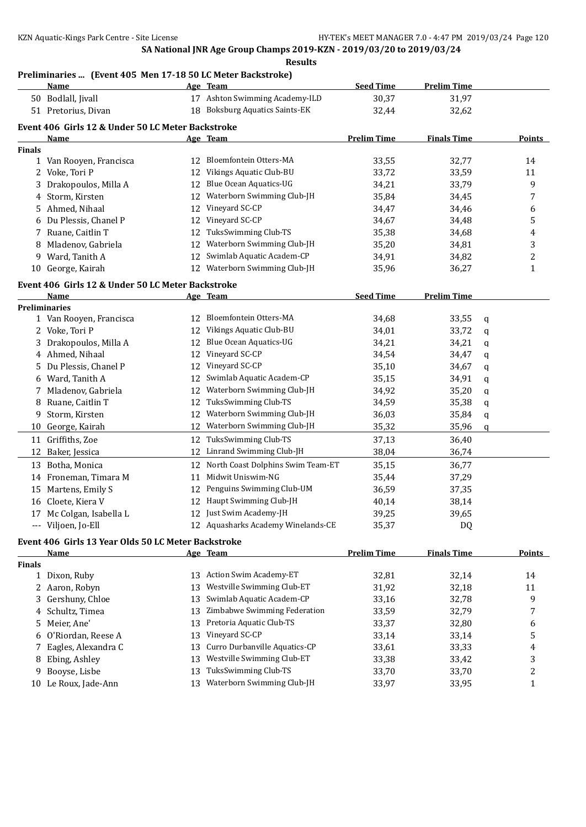## **Preliminaries ... (Event 405 Men 17-18 50 LC Meter Backstroke)**

|               | Name                                                |    | Age Team                           | <b>Seed Time</b>   | <b>Prelim Time</b> |   |                  |
|---------------|-----------------------------------------------------|----|------------------------------------|--------------------|--------------------|---|------------------|
|               | 50 Bodlall, Jivall                                  |    | 17 Ashton Swimming Academy-ILD     | 30,37              | 31,97              |   |                  |
|               | 51 Pretorius, Divan                                 |    | 18 Boksburg Aquatics Saints-EK     | 32,44              | 32,62              |   |                  |
|               | Event 406 Girls 12 & Under 50 LC Meter Backstroke   |    |                                    |                    |                    |   |                  |
|               | <u>Name</u>                                         |    | Age Team                           | <b>Prelim Time</b> | <b>Finals Time</b> |   | Points           |
| <b>Finals</b> |                                                     |    |                                    |                    |                    |   |                  |
|               | 1 Van Rooyen, Francisca                             |    | 12 Bloemfontein Otters-MA          | 33,55              | 32,77              |   | 14               |
| 2             | Voke, Tori P                                        | 12 | Vikings Aquatic Club-BU            | 33,72              | 33,59              |   | 11               |
| 3             | Drakopoulos, Milla A                                | 12 | Blue Ocean Aquatics-UG             | 34,21              | 33,79              |   | 9                |
| 4             | Storm, Kirsten                                      | 12 | Waterborn Swimming Club-JH         | 35,84              | 34,45              |   | 7                |
| 5             | Ahmed, Nihaal                                       | 12 | Vineyard SC-CP                     | 34,47              | 34,46              |   | 6                |
| 6             | Du Plessis, Chanel P                                | 12 | Vineyard SC-CP                     | 34,67              | 34,48              |   | 5                |
| 7             | Ruane, Caitlin T                                    | 12 | TuksSwimming Club-TS               | 35,38              | 34,68              |   | 4                |
| 8             | Mladenov, Gabriela                                  | 12 | Waterborn Swimming Club-JH         | 35,20              | 34,81              |   | 3                |
| 9             | Ward, Tanith A                                      | 12 | Swimlab Aquatic Academ-CP          | 34,91              | 34,82              |   | 2                |
|               | 10 George, Kairah                                   | 12 | Waterborn Swimming Club-JH         | 35,96              | 36,27              |   | $\mathbf{1}$     |
|               |                                                     |    |                                    |                    |                    |   |                  |
|               | Event 406 Girls 12 & Under 50 LC Meter Backstroke   |    |                                    |                    |                    |   |                  |
|               | Name                                                |    | Age Team                           | <b>Seed Time</b>   | <b>Prelim Time</b> |   |                  |
|               | <b>Preliminaries</b>                                | 12 | Bloemfontein Otters-MA             |                    |                    |   |                  |
|               | 1 Van Rooyen, Francisca                             |    | 12 Vikings Aquatic Club-BU         | 34,68              | 33,55              | q |                  |
|               | 2 Voke, Tori P                                      |    |                                    | 34,01              | 33,72              | q |                  |
| 3             | Drakopoulos, Milla A                                | 12 | Blue Ocean Aquatics-UG             | 34,21              | 34,21              | q |                  |
|               | 4 Ahmed, Nihaal                                     | 12 | Vineyard SC-CP                     | 34,54              | 34,47              | q |                  |
| 5             | Du Plessis, Chanel P                                | 12 | Vineyard SC-CP                     | 35,10              | 34,67              | q |                  |
| 6             | Ward, Tanith A                                      | 12 | Swimlab Aquatic Academ-CP          | 35,15              | 34,91              | q |                  |
| 7             | Mladenov, Gabriela                                  | 12 | Waterborn Swimming Club-JH         | 34,92              | 35,20              | q |                  |
| 8             | Ruane, Caitlin T                                    | 12 | TuksSwimming Club-TS               | 34,59              | 35,38              | q |                  |
| 9.            | Storm, Kirsten                                      | 12 | Waterborn Swimming Club-JH         | 36,03              | 35,84              | q |                  |
|               | 10 George, Kairah                                   | 12 | Waterborn Swimming Club-JH         | 35,32              | 35,96              | q |                  |
|               | 11 Griffiths, Zoe                                   | 12 | TuksSwimming Club-TS               | 37,13              | 36,40              |   |                  |
| 12            | Baker, Jessica                                      | 12 | Linrand Swimming Club-JH           | 38,04              | 36,74              |   |                  |
|               | 13 Botha, Monica                                    | 12 | North Coast Dolphins Swim Team-ET  | 35,15              | 36,77              |   |                  |
|               | 14 Froneman, Timara M                               | 11 | Midwit Uniswim-NG                  | 35,44              | 37,29              |   |                  |
|               | 15 Martens, Emily S                                 | 12 | Penguins Swimming Club-UM          | 36,59              | 37,35              |   |                  |
|               | 16 Cloete, Kiera V                                  | 12 | Haupt Swimming Club-JH             | 40,14              | 38,14              |   |                  |
|               | 17 Mc Colgan, Isabella L                            |    | 12 Just Swim Academy-JH            | 39,25              | 39,65              |   |                  |
|               | --- Viljoen, Jo-Ell                                 |    | 12 Aquasharks Academy Winelands-CE | 35,37              | DQ                 |   |                  |
|               | Event 406 Girls 13 Year Olds 50 LC Meter Backstroke |    |                                    |                    |                    |   |                  |
|               | Name                                                |    | Age Team                           | <b>Prelim Time</b> | <b>Finals Time</b> |   | Points           |
| <b>Finals</b> |                                                     |    |                                    |                    |                    |   |                  |
|               | 1 Dixon, Ruby                                       | 13 | <b>Action Swim Academy-ET</b>      | 32,81              | 32,14              |   | 14               |
|               | 2 Aaron, Robyn                                      | 13 | Westville Swimming Club-ET         | 31,92              | 32,18              |   | 11               |
| 3             | Gershuny, Chloe                                     | 13 | Swimlab Aquatic Academ-CP          | 33,16              | 32,78              |   | 9                |
| 4             | Schultz, Timea                                      | 13 | Zimbabwe Swimming Federation       | 33,59              | 32,79              |   | 7                |
| 5.            | Meier, Ane'                                         | 13 | Pretoria Aquatic Club-TS           | 33,37              | 32,80              |   | 6                |
| 6             | O'Riordan, Reese A                                  | 13 | Vineyard SC-CP                     | 33,14              | 33,14              |   | 5                |
| 7             | Eagles, Alexandra C                                 | 13 | Curro Durbanville Aquatics-CP      | 33,61              | 33,33              |   | 4                |
| 8             | Ebing, Ashley                                       | 13 | Westville Swimming Club-ET         | 33,38              | 33,42              |   | 3                |
| 9             | Booyse, Lisbe                                       | 13 | TuksSwimming Club-TS               | 33,70              | 33,70              |   | $\boldsymbol{2}$ |
|               | 10 Le Roux, Jade-Ann                                | 13 | Waterborn Swimming Club-JH         | 33,97              | 33,95              |   | 1                |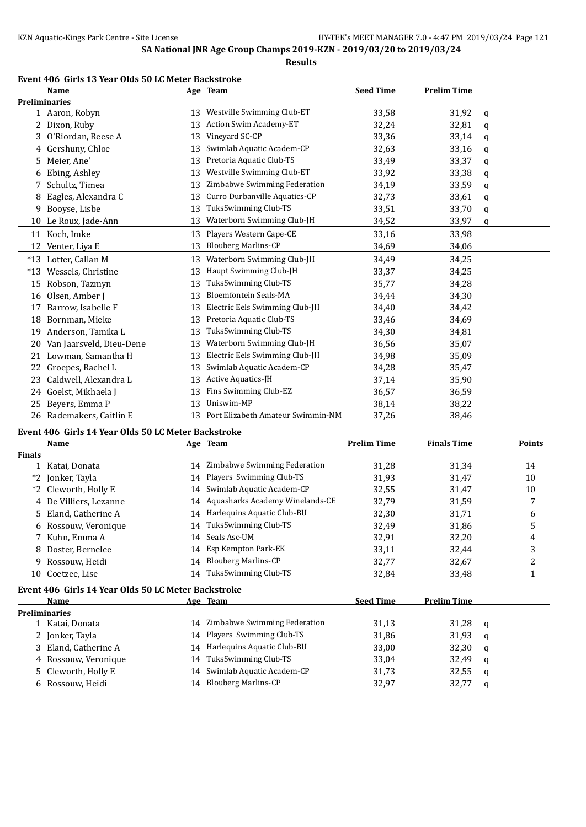**Results**

#### **Event 406 Girls 13 Year Olds 50 LC Meter Backstroke**

|               | Name                                                               |    | Age Team                             | <b>Seed Time</b>   | <b>Prelim Time</b> |   |                |
|---------------|--------------------------------------------------------------------|----|--------------------------------------|--------------------|--------------------|---|----------------|
|               | <b>Preliminaries</b>                                               |    |                                      |                    |                    |   |                |
|               | 1 Aaron, Robyn                                                     | 13 | Westville Swimming Club-ET           | 33,58              | 31,92              | q |                |
|               | 2 Dixon, Ruby                                                      | 13 | Action Swim Academy-ET               | 32,24              | 32,81              | q |                |
|               | 3 O'Riordan, Reese A                                               | 13 | Vineyard SC-CP                       | 33,36              | 33,14              | q |                |
|               | 4 Gershuny, Chloe                                                  | 13 | Swimlab Aquatic Academ-CP            | 32,63              | 33,16              | q |                |
| 5.            | Meier, Ane'                                                        | 13 | Pretoria Aquatic Club-TS             | 33,49              | 33,37              | q |                |
| 6             | Ebing, Ashley                                                      | 13 | Westville Swimming Club-ET           | 33,92              | 33,38              | q |                |
| 7             | Schultz, Timea                                                     | 13 | Zimbabwe Swimming Federation         | 34,19              | 33,59              | q |                |
| 8             | Eagles, Alexandra C                                                | 13 | Curro Durbanville Aquatics-CP        | 32,73              | 33,61              | q |                |
| 9             | Booyse, Lisbe                                                      | 13 | TuksSwimming Club-TS                 | 33,51              | 33,70              | q |                |
|               | 10 Le Roux, Jade-Ann                                               | 13 | Waterborn Swimming Club-JH           | 34,52              | 33,97              | q |                |
|               |                                                                    |    | Players Western Cape-CE              |                    |                    |   |                |
|               | 11 Koch, Imke                                                      | 13 | <b>Blouberg Marlins-CP</b>           | 33,16              | 33,98              |   |                |
|               | 12 Venter, Liya E                                                  | 13 |                                      | 34,69              | 34,06              |   |                |
|               | *13 Lotter, Callan M                                               | 13 | Waterborn Swimming Club-JH           | 34,49              | 34,25              |   |                |
|               | *13 Wessels, Christine                                             | 13 | Haupt Swimming Club-JH               | 33,37              | 34,25              |   |                |
| 15            | Robson, Tazmyn                                                     | 13 | TuksSwimming Club-TS                 | 35,77              | 34,28              |   |                |
|               | 16 Olsen, Amber J                                                  | 13 | <b>Bloemfontein Seals-MA</b>         | 34,44              | 34,30              |   |                |
|               | 17 Barrow, Isabelle F                                              | 13 | Electric Eels Swimming Club-JH       | 34,40              | 34,42              |   |                |
|               | 18 Bornman, Mieke                                                  | 13 | Pretoria Aquatic Club-TS             | 33,46              | 34,69              |   |                |
|               | 19 Anderson, Tamika L                                              | 13 | TuksSwimming Club-TS                 | 34,30              | 34,81              |   |                |
|               | 20 Van Jaarsveld, Dieu-Dene                                        | 13 | Waterborn Swimming Club-JH           | 36,56              | 35,07              |   |                |
|               | 21 Lowman, Samantha H                                              | 13 | Electric Eels Swimming Club-JH       | 34,98              | 35,09              |   |                |
|               | 22 Groepes, Rachel L                                               | 13 | Swimlab Aquatic Academ-CP            | 34,28              | 35,47              |   |                |
| 23            | Caldwell, Alexandra L                                              | 13 | Active Aquatics-JH                   | 37,14              | 35,90              |   |                |
| 24            | Goelst, Mikhaela J                                                 | 13 | Fins Swimming Club-EZ                | 36,57              | 36,59              |   |                |
| 25            | Beyers, Emma P                                                     | 13 | Uniswim-MP                           | 38,14              | 38,22              |   |                |
|               | 26 Rademakers, Caitlin E                                           |    | 13 Port Elizabeth Amateur Swimmin-NM | 37,26              | 38,46              |   |                |
|               |                                                                    |    |                                      |                    |                    |   |                |
|               | Event 406 Girls 14 Year Olds 50 LC Meter Backstroke<br><b>Name</b> |    | Age Team                             | <b>Prelim Time</b> | <b>Finals Time</b> |   | <b>Points</b>  |
| <b>Finals</b> |                                                                    |    |                                      |                    |                    |   |                |
|               | 1 Katai, Donata                                                    |    | 14 Zimbabwe Swimming Federation      | 31,28              | 31,34              |   | 14             |
|               | *2 Jonker, Tayla                                                   | 14 | Players Swimming Club-TS             | 31,93              | 31,47              |   | 10             |
|               | *2 Cleworth, Holly E                                               | 14 | Swimlab Aquatic Academ-CP            | 32,55              | 31,47              |   | 10             |
|               | 4 De Villiers, Lezanne                                             |    | 14 Aquasharks Academy Winelands-CE   | 32,79              | 31,59              |   | 7              |
|               | Eland, Catherine A                                                 |    | 14 Harlequins Aquatic Club-BU        | 32,30              | 31,71              |   |                |
| 5.            |                                                                    |    | 14 TuksSwimming Club-TS              |                    |                    |   | 6              |
|               | 6 Rossouw, Veronique                                               |    | 14 Seals Asc-UM                      | 32,49              | 31,86              |   | 5              |
|               | 7 Kuhn, Emma A                                                     |    |                                      | 32,91              | 32,20              |   | 4              |
|               | 8 Doster, Bernelee                                                 |    | 14 Esp Kempton Park-EK               | 33,11              | 32,44              |   | 3              |
| 9             | Rossouw, Heidi                                                     |    | 14 Blouberg Marlins-CP               | 32,77              | 32,67              |   | $\overline{c}$ |
|               | 10 Coetzee, Lise                                                   |    | 14 TuksSwimming Club-TS              | 32,84              | 33,48              |   | $\mathbf{1}$   |
|               | Event 406 Girls 14 Year Olds 50 LC Meter Backstroke                |    |                                      |                    |                    |   |                |
|               | Name                                                               |    | Age Team                             | <b>Seed Time</b>   | <b>Prelim Time</b> |   |                |
|               | <b>Preliminaries</b>                                               |    |                                      |                    |                    |   |                |
|               | 1 Katai, Donata                                                    |    | 14 Zimbabwe Swimming Federation      | 31,13              | 31,28              | q |                |
|               | 2 Jonker, Tayla                                                    |    | 14 Players Swimming Club-TS          | 31,86              | 31,93              | q |                |
|               | 3 Eland, Catherine A                                               |    | 14 Harlequins Aquatic Club-BU        | 33,00              | 32,30              | q |                |
|               | 4 Rossouw, Veronique                                               | 14 | TuksSwimming Club-TS                 | 33,04              | 32,49              | q |                |
| 5.            | Cleworth, Holly E                                                  | 14 | Swimlab Aquatic Academ-CP            | 31,73              | 32,55              | q |                |
|               | 6 Rossouw, Heidi                                                   |    | 14 Blouberg Marlins-CP               | 32,97              | 32,77              | q |                |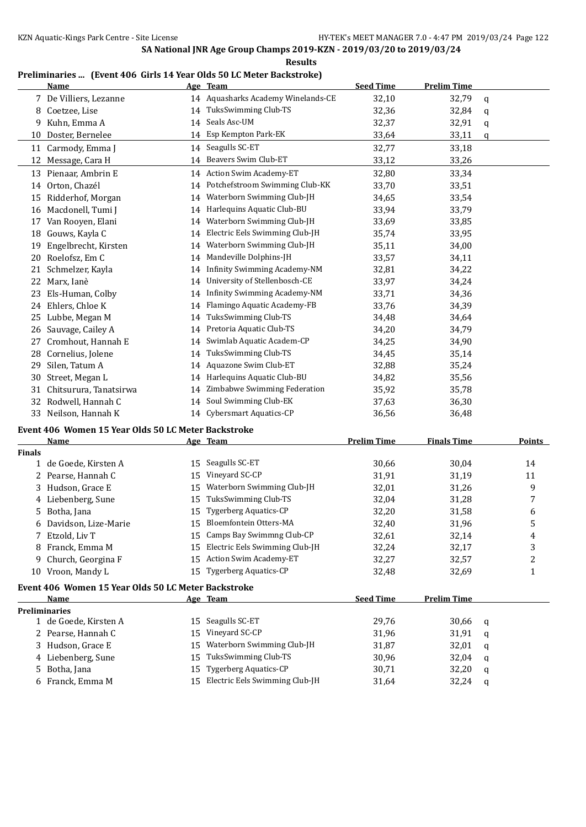**Results**

#### **Preliminaries ... (Event 406 Girls 14 Year Olds 50 LC Meter Backstroke)**

|               | <u>Name</u>                                         |    | Age Team                           | <b>Seed Time</b>   | <b>Prelim Time</b> |   |        |
|---------------|-----------------------------------------------------|----|------------------------------------|--------------------|--------------------|---|--------|
|               | 7 De Villiers, Lezanne                              |    | 14 Aquasharks Academy Winelands-CE | 32,10              | 32,79              | q |        |
|               | 8 Coetzee, Lise                                     |    | 14 TuksSwimming Club-TS            | 32,36              | 32,84              | q |        |
| 9.            | Kuhn, Emma A                                        |    | 14 Seals Asc-UM                    | 32,37              | 32,91              | q |        |
| 10            | Doster, Bernelee                                    |    | 14 Esp Kempton Park-EK             | 33,64              | 33,11              | q |        |
|               | 11 Carmody, Emma J                                  | 14 | Seagulls SC-ET                     | 32,77              | 33,18              |   |        |
|               | 12 Message, Cara H                                  |    | 14 Beavers Swim Club-ET            | 33,12              | 33,26              |   |        |
|               | 13 Pienaar, Ambrin E                                |    | 14 Action Swim Academy-ET          | 32,80              | 33,34              |   |        |
|               | 14 Orton, Chazél                                    | 14 | Potchefstroom Swimming Club-KK     | 33,70              | 33,51              |   |        |
|               | 15 Ridderhof, Morgan                                | 14 | Waterborn Swimming Club-JH         | 34,65              | 33,54              |   |        |
|               | 16 Macdonell, Tumi J                                | 14 | Harlequins Aquatic Club-BU         | 33,94              | 33,79              |   |        |
| 17            | Van Rooyen, Elani                                   | 14 | Waterborn Swimming Club-JH         | 33,69              | 33,85              |   |        |
|               | 18 Gouws, Kayla C                                   | 14 | Electric Eels Swimming Club-JH     | 35,74              | 33,95              |   |        |
| 19            | Engelbrecht, Kirsten                                | 14 | Waterborn Swimming Club-JH         | 35,11              | 34,00              |   |        |
| 20            | Roelofsz, Em C                                      | 14 | Mandeville Dolphins-JH             | 33,57              | 34,11              |   |        |
|               | 21 Schmelzer, Kayla                                 | 14 | Infinity Swimming Academy-NM       | 32,81              | 34,22              |   |        |
|               | 22 Marx, Ianè                                       | 14 | University of Stellenbosch-CE      | 33,97              | 34,24              |   |        |
| 23            | Els-Human, Colby                                    | 14 | Infinity Swimming Academy-NM       | 33,71              | 34,36              |   |        |
|               | 24 Ehlers, Chloe K                                  | 14 | Flamingo Aquatic Academy-FB        | 33,76              | 34,39              |   |        |
| 25            | Lubbe, Megan M                                      | 14 | TuksSwimming Club-TS               | 34,48              | 34,64              |   |        |
|               | 26 Sauvage, Cailey A                                | 14 | Pretoria Aquatic Club-TS           | 34,20              | 34,79              |   |        |
| 27            | Cromhout, Hannah E                                  | 14 | Swimlab Aquatic Academ-CP          | 34,25              | 34,90              |   |        |
| 28            | Cornelius, Jolene                                   | 14 | TuksSwimming Club-TS               | 34,45              | 35,14              |   |        |
| 29            | Silen, Tatum A                                      | 14 | Aquazone Swim Club-ET              | 32,88              | 35,24              |   |        |
| 30            | Street, Megan L                                     | 14 | Harlequins Aquatic Club-BU         | 34,82              | 35,56              |   |        |
| 31            | Chitsurura, Tanatsirwa                              | 14 | Zimbabwe Swimming Federation       | 35,92              | 35,78              |   |        |
| 32            | Rodwell, Hannah C                                   | 14 | Soul Swimming Club-EK              | 37,63              | 36,30              |   |        |
|               | 33 Neilson, Hannah K                                |    | 14 Cybersmart Aquatics-CP          | 36,56              | 36,48              |   |        |
|               | Event 406 Women 15 Year Olds 50 LC Meter Backstroke |    |                                    |                    |                    |   |        |
|               | Name                                                |    | <u>Age Team</u>                    | <b>Prelim Time</b> | <b>Finals Time</b> |   | Points |
| <b>Finals</b> |                                                     |    |                                    |                    |                    |   |        |
|               | 1 de Goede, Kirsten A                               | 15 | Seagulls SC-ET                     | 30,66              | 30,04              |   | 14     |
|               | 2 Pearse, Hannah C                                  | 15 | Vineyard SC-CP                     | 31,91              | 31,19              |   | 11     |
| 3             | Hudson, Grace E                                     | 15 | Waterborn Swimming Club-JH         | 32,01              | 31,26              |   | 9      |
|               | 4 Liebenberg, Sune                                  | 15 | TuksSwimming Club-TS               | 32,04              | 31,28              |   | 7      |
|               | 5 Botha, Jana                                       |    | 15 Tygerberg Aquatics-CP           | 32,20              | 31,58              |   | 6      |
| b             | Davidson, Lize-Marie                                | 15 | Bloemfontein Otters-MA             | 32,40              | 31,96              |   | 5      |
| 7             | Etzold, Liv T                                       | 15 | Camps Bay Swimmng Club-CP          | 32,61              | 32,14              |   | 4      |
| 8             | Franck, Emma M                                      | 15 | Electric Eels Swimming Club-JH     | 32,24              | 32,17              |   | 3      |
| 9.            | Church, Georgina F                                  |    | 15 Action Swim Academy-ET          | 32,27              | 32,57              |   | 2      |
|               | 10 Vroon, Mandy L                                   | 15 | Tygerberg Aquatics-CP              | 32,48              | 32,69              |   | 1      |
|               | Event 406 Women 15 Year Olds 50 LC Meter Backstroke |    |                                    |                    |                    |   |        |
|               | Name                                                |    | Age Team                           | <b>Seed Time</b>   | <b>Prelim Time</b> |   |        |
|               | <b>Preliminaries</b>                                |    |                                    |                    |                    |   |        |
|               | 1 de Goede, Kirsten A                               | 15 | Seagulls SC-ET                     | 29,76              | 30,66              | q |        |
|               | 2 Pearse, Hannah C                                  | 15 | Vineyard SC-CP                     | 31,96              | 31,91              | q |        |
|               | 3 Hudson, Grace E                                   | 15 | Waterborn Swimming Club-JH         | 31,87              | 32,01              | q |        |
|               | 4 Liebenberg, Sune                                  | 15 | TuksSwimming Club-TS               | 30,96              | 32,04              | q |        |
| 5             | Botha, Jana                                         | 15 | <b>Tygerberg Aquatics-CP</b>       | 30,71              | 32,20              | q |        |
|               |                                                     |    |                                    |                    |                    |   |        |
|               | 6 Franck, Emma M                                    | 15 | Electric Eels Swimming Club-JH     | 31,64              | 32,24              | q |        |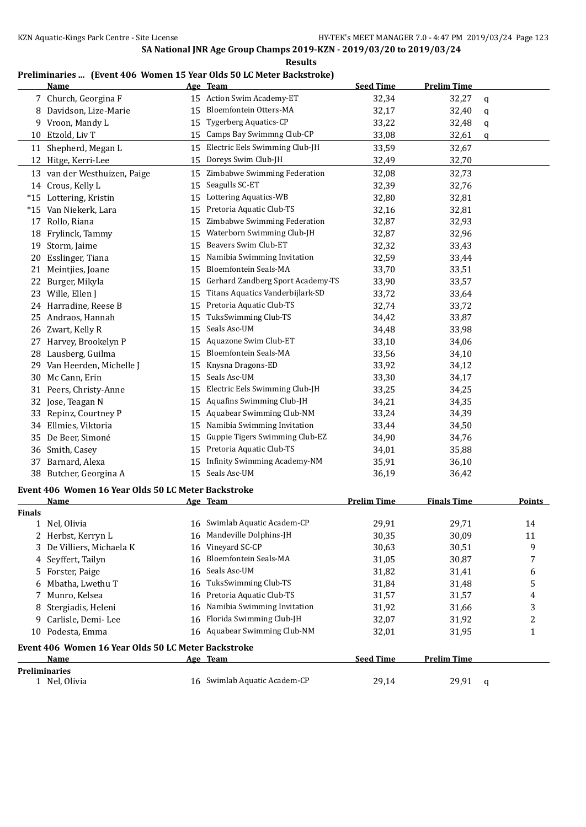**Results**

#### **Preliminaries ... (Event 406 Women 15 Year Olds 50 LC Meter Backstroke)**

|               | <b>Name</b>                                         |    | Age Team                          | <b>Seed Time</b>   | <b>Prelim Time</b> |    |               |
|---------------|-----------------------------------------------------|----|-----------------------------------|--------------------|--------------------|----|---------------|
|               | 7 Church, Georgina F                                |    | 15 Action Swim Academy-ET         | 32,34              | 32,27              | q  |               |
|               | 8 Davidson, Lize-Marie                              | 15 | Bloemfontein Otters-MA            | 32,17              | 32,40              | q  |               |
|               | 9 Vroon, Mandy L                                    | 15 | <b>Tygerberg Aquatics-CP</b>      | 33,22              | 32,48              | q  |               |
|               | 10 Etzold, Liv T                                    | 15 | Camps Bay Swimmng Club-CP         | 33,08              | 32,61              | q  |               |
|               | 11 Shepherd, Megan L                                | 15 | Electric Eels Swimming Club-JH    | 33,59              | 32,67              |    |               |
|               | 12 Hitge, Kerri-Lee                                 | 15 | Doreys Swim Club-JH               | 32,49              | 32,70              |    |               |
|               | 13 van der Westhuizen, Paige                        | 15 | Zimbabwe Swimming Federation      | 32,08              | 32,73              |    |               |
|               | 14 Crous, Kelly L                                   | 15 | Seagulls SC-ET                    | 32,39              | 32,76              |    |               |
|               | *15 Lottering, Kristin                              | 15 | Lottering Aquatics-WB             | 32,80              | 32,81              |    |               |
|               | *15 Van Niekerk, Lara                               | 15 | Pretoria Aquatic Club-TS          | 32,16              | 32,81              |    |               |
|               | 17 Rollo, Riana                                     | 15 | Zimbabwe Swimming Federation      | 32,87              | 32,93              |    |               |
|               | 18 Frylinck, Tammy                                  | 15 | Waterborn Swimming Club-JH        | 32,87              | 32,96              |    |               |
| 19            | Storm, Jaime                                        | 15 | Beavers Swim Club-ET              | 32,32              | 33,43              |    |               |
| 20            | Esslinger, Tiana                                    | 15 | Namibia Swimming Invitation       | 32,59              | 33,44              |    |               |
| 21            | Meintjies, Joane                                    | 15 | <b>Bloemfontein Seals-MA</b>      | 33,70              | 33,51              |    |               |
| 22            | Burger, Mikyla                                      | 15 | Gerhard Zandberg Sport Academy-TS | 33,90              | 33,57              |    |               |
|               | 23 Wille, Ellen J                                   | 15 | Titans Aquatics Vanderbijlark-SD  | 33,72              | 33,64              |    |               |
|               | 24 Harradine, Reese B                               | 15 | Pretoria Aquatic Club-TS          | 32,74              | 33,72              |    |               |
| 25            | Andraos, Hannah                                     | 15 | TuksSwimming Club-TS              | 34,42              | 33,87              |    |               |
|               | 26 Zwart, Kelly R                                   | 15 | Seals Asc-UM                      | 34,48              | 33,98              |    |               |
| 27            | Harvey, Brookelyn P                                 | 15 | Aquazone Swim Club-ET             | 33,10              | 34,06              |    |               |
| 28            | Lausberg, Guilma                                    | 15 | <b>Bloemfontein Seals-MA</b>      | 33,56              | 34,10              |    |               |
| 29.           | Van Heerden, Michelle J                             | 15 | Knysna Dragons-ED                 | 33,92              | 34,12              |    |               |
| 30            | Mc Cann, Erin                                       | 15 | Seals Asc-UM                      | 33,30              | 34,17              |    |               |
| 31            | Peers, Christy-Anne                                 | 15 | Electric Eels Swimming Club-JH    | 33,25              | 34,25              |    |               |
| 32            | Jose, Teagan N                                      | 15 | Aquafins Swimming Club-JH         | 34,21              | 34,35              |    |               |
| 33            | Repinz, Courtney P                                  | 15 | Aquabear Swimming Club-NM         | 33,24              | 34,39              |    |               |
|               | 34 Ellmies, Viktoria                                | 15 | Namibia Swimming Invitation       | 33,44              | 34,50              |    |               |
|               | De Beer, Simoné                                     | 15 | Guppie Tigers Swimming Club-EZ    | 34,90              |                    |    |               |
| 35            |                                                     | 15 | Pretoria Aquatic Club-TS          |                    | 34,76<br>35,88     |    |               |
|               | 36 Smith, Casey                                     | 15 | Infinity Swimming Academy-NM      | 34,01              |                    |    |               |
| 37            | Barnard, Alexa                                      |    | 15 Seals Asc-UM                   | 35,91              | 36,10              |    |               |
|               | 38 Butcher, Georgina A                              |    |                                   | 36,19              | 36,42              |    |               |
|               | Event 406 Women 16 Year Olds 50 LC Meter Backstroke |    |                                   |                    |                    |    |               |
|               | <b>Name</b>                                         |    | Age Team                          | <b>Prelim Time</b> | <b>Finals Time</b> |    | <b>Points</b> |
| <b>Finals</b> |                                                     |    |                                   |                    |                    |    |               |
|               | 1 Nel, Olivia                                       |    | 16 Swimlab Aquatic Academ-CP      | 29,91              | 29,71              | 14 |               |
|               | 2 Herbst, Kerryn L                                  | 16 | Mandeville Dolphins-JH            | 30,35              | 30,09              | 11 |               |
| 3             | De Villiers, Michaela K                             | 16 | Vineyard SC-CP                    | 30,63              | 30,51              |    | 9             |
|               | 4 Seyffert, Tailyn                                  | 16 | <b>Bloemfontein Seals-MA</b>      | 31,05              | 30,87              |    | 7             |
| 5.            | Forster, Paige                                      | 16 | Seals Asc-UM                      | 31,82              | 31,41              |    | 6             |
| 6             | Mbatha, Lwethu T                                    | 16 | TuksSwimming Club-TS              | 31,84              | 31,48              |    | 5             |
| 7             | Munro, Kelsea                                       | 16 | Pretoria Aquatic Club-TS          | 31,57              | 31,57              |    | 4             |
| 8             | Stergiadis, Heleni                                  | 16 | Namibia Swimming Invitation       | 31,92              | 31,66              |    | 3             |
| 9             | Carlisle, Demi-Lee                                  | 16 | Florida Swimming Club-JH          | 32,07              | 31,92              |    | 2             |
|               | 10 Podesta, Emma                                    |    | 16 Aquabear Swimming Club-NM      | 32,01              | 31,95              |    | 1             |
|               | Event 406 Women 16 Year Olds 50 LC Meter Backstroke |    |                                   |                    |                    |    |               |
|               | <u>Name</u>                                         |    | Age Team                          | <b>Seed Time</b>   | <b>Prelim Time</b> |    |               |
|               | <b>Preliminaries</b>                                |    |                                   |                    |                    |    |               |
|               | 1 Nel, Olivia                                       |    | 16 Swimlab Aquatic Academ-CP      | 29,14              | 29,91              | q  |               |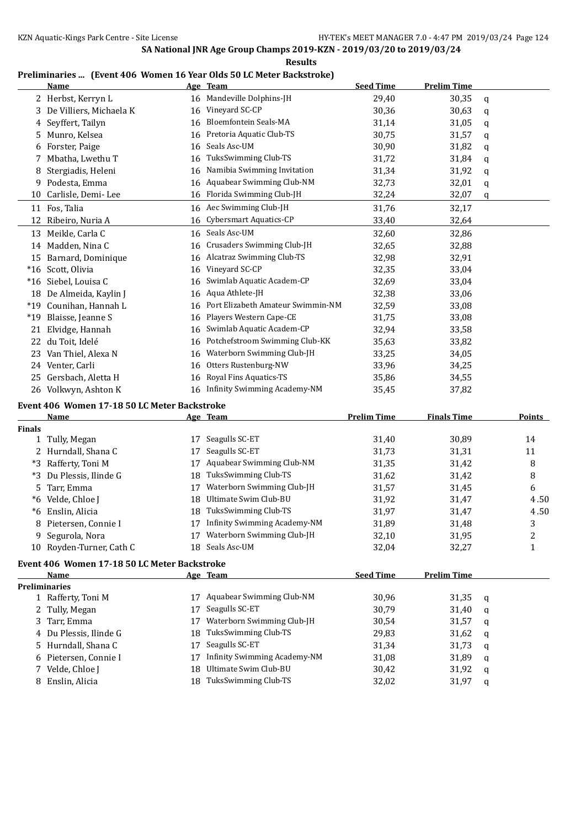#### **Preliminaries ... (Event 406 Women 16 Year Olds 50 LC Meter Backstroke)**

|               | <b>Name</b>                                  |    | Age Team                            | <b>Seed Time</b>   | <b>Prelim Time</b> |   |               |
|---------------|----------------------------------------------|----|-------------------------------------|--------------------|--------------------|---|---------------|
|               | 2 Herbst, Kerryn L                           | 16 | Mandeville Dolphins-JH              | 29,40              | 30,35              | q |               |
| 3             | De Villiers, Michaela K                      | 16 | Vineyard SC-CP                      | 30,36              | 30,63              | q |               |
| 4             | Seyffert, Tailyn                             | 16 | Bloemfontein Seals-MA               | 31,14              | 31,05              | q |               |
| 5             | Munro, Kelsea                                | 16 | Pretoria Aquatic Club-TS            | 30,75              | 31,57              | q |               |
|               | 6 Forster, Paige                             | 16 | Seals Asc-UM                        | 30,90              | 31,82              | q |               |
| 7.            | Mbatha, Lwethu T                             | 16 | TuksSwimming Club-TS                | 31,72              | 31,84              | q |               |
| 8             | Stergiadis, Heleni                           | 16 | Namibia Swimming Invitation         | 31,34              | 31,92              | q |               |
| 9.            | Podesta, Emma                                | 16 | Aquabear Swimming Club-NM           | 32,73              | 32,01              | q |               |
| 10            | Carlisle, Demi-Lee                           | 16 | Florida Swimming Club-JH            | 32,24              | 32,07              | q |               |
|               | 11 Fos, Talia                                | 16 | Aec Swimming Club-JH                | 31,76              | 32,17              |   |               |
|               | 12 Ribeiro, Nuria A                          | 16 | <b>Cybersmart Aquatics-CP</b>       | 33,40              | 32,64              |   |               |
|               |                                              |    | Seals Asc-UM                        |                    |                    |   |               |
|               | 13 Meikle, Carla C                           | 16 |                                     | 32,60              | 32,86              |   |               |
|               | 14 Madden, Nina C                            | 16 | Crusaders Swimming Club-JH          | 32,65              | 32,88              |   |               |
|               | 15 Barnard, Dominique                        | 16 | Alcatraz Swimming Club-TS           | 32,98              | 32,91              |   |               |
|               | *16 Scott, Olivia                            | 16 | Vineyard SC-CP                      | 32,35              | 33,04              |   |               |
|               | *16 Siebel, Louisa C                         | 16 | Swimlab Aquatic Academ-CP           | 32,69              | 33,04              |   |               |
|               | 18 De Almeida, Kaylin J                      | 16 | Aqua Athlete-JH                     | 32,38              | 33,06              |   |               |
|               | *19 Counihan, Hannah L                       | 16 | Port Elizabeth Amateur Swimmin-NM   | 32,59              | 33,08              |   |               |
|               | *19 Blaisse, Jeanne S                        | 16 | Players Western Cape-CE             | 31,75              | 33,08              |   |               |
|               | 21 Elvidge, Hannah                           | 16 | Swimlab Aquatic Academ-CP           | 32,94              | 33,58              |   |               |
|               | 22 du Toit, Idelé                            | 16 | Potchefstroom Swimming Club-KK      | 35,63              | 33,82              |   |               |
|               | 23 Van Thiel, Alexa N                        | 16 | Waterborn Swimming Club-JH          | 33,25              | 34,05              |   |               |
|               | 24 Venter, Carli                             | 16 | Otters Rustenburg-NW                | 33,96              | 34,25              |   |               |
|               | 25 Gersbach, Aletta H                        | 16 | Royal Fins Aquatics-TS              | 35,86              | 34,55              |   |               |
|               | 26 Volkwyn, Ashton K                         |    | 16 Infinity Swimming Academy-NM     | 35,45              | 37,82              |   |               |
|               | Event 406 Women 17-18 50 LC Meter Backstroke |    |                                     |                    |                    |   |               |
|               | Name                                         |    | <u>Age Team</u>                     | <b>Prelim Time</b> | <b>Finals Time</b> |   | <b>Points</b> |
| <b>Finals</b> |                                              |    |                                     |                    |                    |   |               |
|               | 1 Tully, Megan                               | 17 | Seagulls SC-ET                      | 31,40              | 30,89              |   | 14            |
|               | 2 Hurndall, Shana C                          | 17 | Seagulls SC-ET                      | 31,73              | 31,31              |   | 11            |
| *3            | Rafferty, Toni M                             | 17 | Aquabear Swimming Club-NM           | 31,35              | 31,42              |   | 8             |
| *3            | Du Plessis, Ilinde G                         | 18 | TuksSwimming Club-TS                | 31,62              | 31,42              |   | 8             |
|               | 5 Tarr, Emma                                 | 17 | Waterborn Swimming Club-JH          | 31,57              | 31,45              |   | 6             |
|               | *6 Velde, Chloe J                            | 18 | Ultimate Swim Club-BU               | 31,92              | 31,47              |   | 4.50          |
|               | *6 Enslin, Alicia                            | 18 | TuksSwimming Club-TS                | 31,97              | 31,47              |   | 4.50          |
|               | 8 Pietersen, Connie I                        |    | 17 Infinity Swimming Academy-NM     | 31,89              | 31,48              |   | 3             |
|               | 9 Segurola, Nora                             | 17 | Waterborn Swimming Club-JH          | 32,10              | 31,95              |   | 2             |
|               | 10 Royden-Turner, Cath C                     | 18 | Seals Asc-UM                        | 32,04              | 32,27              |   | $\mathbf{1}$  |
|               | Event 406 Women 17-18 50 LC Meter Backstroke |    |                                     |                    |                    |   |               |
|               | Name                                         |    | Age Team                            | <b>Seed Time</b>   | <b>Prelim Time</b> |   |               |
|               | <b>Preliminaries</b>                         |    |                                     |                    |                    |   |               |
|               | 1 Rafferty, Toni M                           | 17 | Aquabear Swimming Club-NM           | 30,96              | 31,35              | q |               |
| 2             | Tully, Megan                                 | 17 | Seagulls SC-ET                      | 30,79              | 31,40              | q |               |
| 3             | Tarr, Emma                                   | 17 | Waterborn Swimming Club-JH          | 30,54              | 31,57              | q |               |
| 4             | Du Plessis, Ilinde G                         | 18 | TuksSwimming Club-TS                | 29,83              | 31,62              | q |               |
| 5             | Hurndall, Shana C                            | 17 | Seagulls SC-ET                      | 31,34              | 31,73              | q |               |
| 6             | Pietersen, Connie I                          | 17 | <b>Infinity Swimming Academy-NM</b> | 31,08              | 31,89              | q |               |
|               | 7 Velde, Chloe J                             | 18 | Ultimate Swim Club-BU               | 30,42              | 31,92              | q |               |
|               |                                              |    |                                     |                    |                    |   |               |
|               | 8 Enslin, Alicia                             | 18 | TuksSwimming Club-TS                | 32,02              | 31,97              | q |               |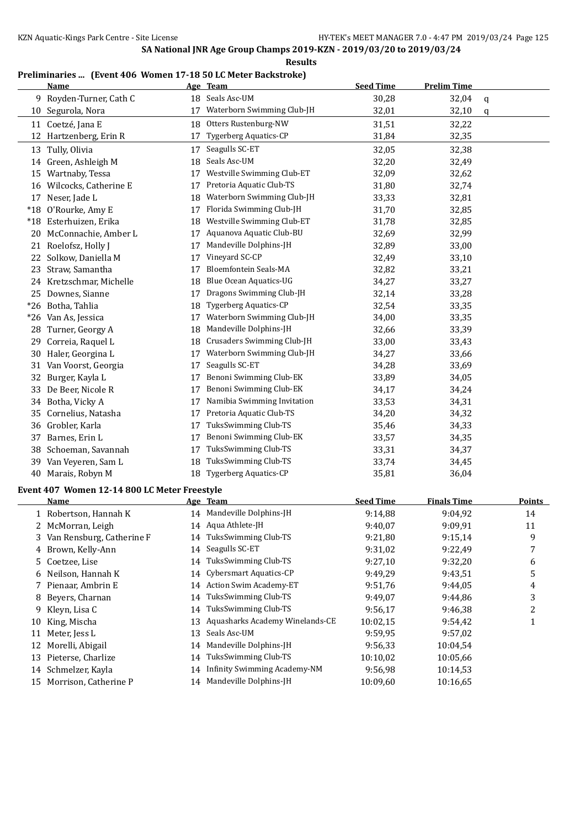### **Preliminaries ... (Event 406 Women 17-18 50 LC Meter Backstroke)**

|    | <b>Name</b>                                  |    | Age Team                            | <b>Seed Time</b> | <b>Prelim Time</b> |        |
|----|----------------------------------------------|----|-------------------------------------|------------------|--------------------|--------|
|    | 9 Royden-Turner, Cath C                      |    | 18 Seals Asc-UM                     | 30,28            | 32,04              | q      |
|    | 10 Segurola, Nora                            | 17 | Waterborn Swimming Club-JH          | 32,01            | 32,10              | q      |
|    | 11 Coetzé, Jana E                            | 18 | Otters Rustenburg-NW                | 31,51            | 32,22              |        |
| 12 | Hartzenberg, Erin R                          | 17 | <b>Tygerberg Aquatics-CP</b>        | 31,84            | 32,35              |        |
|    | 13 Tully, Olivia                             | 17 | Seagulls SC-ET                      | 32,05            | 32,38              |        |
|    | 14 Green, Ashleigh M                         | 18 | Seals Asc-UM                        | 32,20            | 32,49              |        |
|    | 15 Wartnaby, Tessa                           | 17 | Westville Swimming Club-ET          | 32,09            | 32,62              |        |
|    | 16 Wilcocks, Catherine E                     | 17 | Pretoria Aquatic Club-TS            | 31,80            | 32,74              |        |
|    | 17 Neser, Jade L                             | 18 | Waterborn Swimming Club-JH          | 33,33            | 32,81              |        |
|    | *18 O'Rourke, Amy E                          | 17 | Florida Swimming Club-JH            | 31,70            | 32,85              |        |
|    | *18 Esterhuizen, Erika                       | 18 | Westville Swimming Club-ET          | 31,78            | 32,85              |        |
|    | 20 McConnachie, Amber L                      | 17 | Aquanova Aquatic Club-BU            | 32,69            | 32,99              |        |
|    | 21 Roelofsz, Holly J                         | 17 | Mandeville Dolphins-JH              | 32,89            | 33,00              |        |
| 22 | Solkow, Daniella M                           | 17 | Vineyard SC-CP                      | 32,49            | 33,10              |        |
| 23 | Straw, Samantha                              | 17 | Bloemfontein Seals-MA               | 32,82            | 33,21              |        |
|    | 24 Kretzschmar, Michelle                     | 18 | Blue Ocean Aquatics-UG              | 34,27            | 33,27              |        |
|    | 25 Downes, Sianne                            | 17 | Dragons Swimming Club-JH            | 32,14            | 33,28              |        |
|    | *26 Botha, Tahlia                            | 18 | <b>Tygerberg Aquatics-CP</b>        | 32,54            | 33,35              |        |
|    | *26 Van As, Jessica                          | 17 | Waterborn Swimming Club-JH          | 34,00            | 33,35              |        |
|    | 28 Turner, Georgy A                          | 18 | Mandeville Dolphins-JH              | 32,66            | 33,39              |        |
| 29 | Correia, Raquel L                            | 18 | Crusaders Swimming Club-JH          | 33,00            | 33,43              |        |
|    | 30 Haler, Georgina L                         | 17 | Waterborn Swimming Club-JH          | 34,27            | 33,66              |        |
| 31 | Van Voorst, Georgia                          | 17 | Seagulls SC-ET                      | 34,28            | 33,69              |        |
| 32 | Burger, Kayla L                              | 17 | Benoni Swimming Club-EK             | 33,89            | 34,05              |        |
| 33 | De Beer, Nicole R                            | 17 | Benoni Swimming Club-EK             | 34,17            | 34,24              |        |
|    | 34 Botha, Vicky A                            | 17 | Namibia Swimming Invitation         | 33,53            | 34,31              |        |
| 35 | Cornelius, Natasha                           | 17 | Pretoria Aquatic Club-TS            | 34,20            | 34,32              |        |
|    | 36 Grobler, Karla                            | 17 | TuksSwimming Club-TS                | 35,46            | 34,33              |        |
| 37 | Barnes, Erin L                               | 17 | Benoni Swimming Club-EK             | 33,57            | 34,35              |        |
|    | 38 Schoeman, Savannah                        | 17 | TuksSwimming Club-TS                | 33,31            | 34,37              |        |
|    | 39 Van Veyeren, Sam L                        | 18 | TuksSwimming Club-TS                | 33,74            | 34,45              |        |
|    | 40 Marais, Robyn M                           |    | 18 Tygerberg Aquatics-CP            | 35,81            | 36,04              |        |
|    | Event 407 Women 12-14 800 LC Meter Freestyle |    |                                     |                  |                    |        |
|    | Name                                         |    | Age Team                            | <b>Seed Time</b> | <b>Finals Time</b> | Points |
|    | 1 Robertson, Hannah K                        |    | 14 Mandeville Dolphins-JH           | 9:14,88          | 9:04,92            | 14     |
| 2  | McMorran, Leigh                              |    | 14 Aqua Athlete-JH                  | 9:40,07          | 9:09,91            | 11     |
| 3  | Van Rensburg, Catherine F                    | 14 | TuksSwimming Club-TS                | 9:21,80          | 9:15,14            | 9      |
| 4  | Brown, Kelly-Ann                             | 14 | Seagulls SC-ET                      | 9:31,02          | 9:22,49            | 7      |
| 5. | Coetzee, Lise                                | 14 | TuksSwimming Club-TS                | 9:27,10          | 9:32,20            | 6      |
| 6  | Neilson, Hannah K                            | 14 | Cybersmart Aquatics-CP              | 9:49,29          | 9:43,51            | 5      |
| 7  | Pienaar, Ambrin E                            | 14 | Action Swim Academy-ET              | 9:51,76          | 9:44,05            | 4      |
| 8  | Beyers, Charnan                              | 14 | TuksSwimming Club-TS                | 9:49,07          | 9:44,86            | 3      |
| 9  | Kleyn, Lisa C                                | 14 | TuksSwimming Club-TS                | 9:56,17          | 9:46,38            | 2      |
| 10 | King, Mischa                                 | 13 | Aquasharks Academy Winelands-CE     | 10:02,15         | 9:54,42            | 1      |
| 11 | Meter, Jess L                                | 13 | Seals Asc-UM                        | 9:59,95          | 9:57,02            |        |
| 12 | Morelli, Abigail                             | 14 | Mandeville Dolphins-JH              | 9:56,33          | 10:04,54           |        |
| 13 | Pieterse, Charlize                           | 14 | TuksSwimming Club-TS                | 10:10,02         | 10:05,66           |        |
|    | 14 Schmelzer, Kayla                          | 14 | <b>Infinity Swimming Academy-NM</b> | 9:56,98          | 10:14,53           |        |
|    | 15 Morrison, Catherine P                     |    | 14 Mandeville Dolphins-JH           | 10:09,60         | 10:16,65           |        |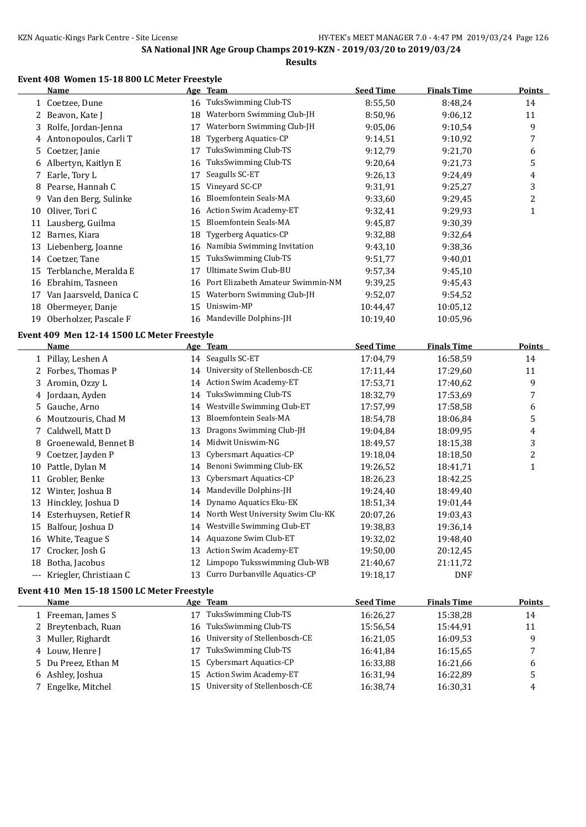## **Results**

## **Event 408 Women 15-18 800 LC Meter Freestyle**

|    | <b>Name</b>                                 |    | Age Team                          | <b>Seed Time</b> | <b>Finals Time</b> | <b>Points</b>           |
|----|---------------------------------------------|----|-----------------------------------|------------------|--------------------|-------------------------|
|    | 1 Coetzee, Dune                             |    | 16 TuksSwimming Club-TS           | 8:55,50          | 8:48,24            | 14                      |
|    | 2 Beavon, Kate J                            |    | 18 Waterborn Swimming Club-JH     | 8:50,96          | 9:06,12            | 11                      |
| 3  | Rolfe, Jordan-Jenna                         | 17 | Waterborn Swimming Club-JH        | 9:05,06          | 9:10,54            | 9                       |
| 4  | Antonopoulos, Carli T                       | 18 | <b>Tygerberg Aquatics-CP</b>      | 9:14,51          | 9:10,92            | $\boldsymbol{7}$        |
| 5  | Coetzer, Janie                              | 17 | TuksSwimming Club-TS              | 9:12,79          | 9:21,70            | 6                       |
| 6  | Albertyn, Kaitlyn E                         | 16 | TuksSwimming Club-TS              | 9:20.64          | 9:21,73            | 5                       |
| 7  | Earle, Tory L                               | 17 | Seagulls SC-ET                    | 9:26,13          | 9:24,49            | 4                       |
| 8  | Pearse, Hannah C                            | 15 | Vineyard SC-CP                    | 9:31,91          | 9:25,27            | 3                       |
| 9. | Van den Berg, Sulinke                       | 16 | Bloemfontein Seals-MA             | 9:33,60          | 9:29,45            | $\overline{c}$          |
| 10 | Oliver, Tori C                              | 16 | Action Swim Academy-ET            | 9:32,41          | 9:29,93            | $\mathbf{1}$            |
|    | 11 Lausberg, Guilma                         | 15 | Bloemfontein Seals-MA             | 9:45,87          | 9:30,39            |                         |
|    | 12 Barnes, Kiara                            | 18 | <b>Tygerberg Aquatics-CP</b>      | 9:32,88          | 9:32,64            |                         |
|    | 13 Liebenberg, Joanne                       |    | 16 Namibia Swimming Invitation    | 9:43,10          | 9:38,36            |                         |
|    | 14 Coetzer, Tane                            | 15 | TuksSwimming Club-TS              | 9:51,77          | 9:40,01            |                         |
| 15 | Terblanche, Meralda E                       | 17 | Ultimate Swim Club-BU             | 9:57,34          | 9:45,10            |                         |
| 16 | Ebrahim, Tasneen                            | 16 | Port Elizabeth Amateur Swimmin-NM | 9:39,25          | 9:45,43            |                         |
|    | 17 Van Jaarsveld, Danica C                  | 15 | Waterborn Swimming Club-JH        | 9:52,07          | 9:54,52            |                         |
| 18 | Obermeyer, Danje                            | 15 | Uniswim-MP                        | 10:44,47         | 10:05,12           |                         |
|    | 19 Oberholzer, Pascale F                    |    | 16 Mandeville Dolphins-JH         | 10:19,40         | 10:05,96           |                         |
|    | Event 409 Men 12-14 1500 LC Meter Freestyle |    |                                   |                  |                    |                         |
|    | <b>Name</b>                                 |    | Age Team                          | <b>Seed Time</b> | <b>Finals Time</b> | <b>Points</b>           |
|    | 1 Pillay, Leshen A                          |    | 14 Seagulls SC-ET                 | 17:04,79         | 16:58,59           | 14                      |
| 2  | Forbes, Thomas P                            | 14 | University of Stellenbosch-CE     | 17:11,44         | 17:29,60           | 11                      |
| 3  | Aromin, Ozzy L                              | 14 | <b>Action Swim Academy-ET</b>     | 17:53,71         | 17:40,62           | 9                       |
| 4  | Jordaan, Ayden                              | 14 | TuksSwimming Club-TS              | 18:32,79         | 17:53,69           | 7                       |
| 5  | Gauche, Arno                                | 14 | Westville Swimming Club-ET        | 17:57,99         | 17:58,58           | 6                       |
| 6  | Moutzouris, Chad M                          | 13 | Bloemfontein Seals-MA             | 18:54,78         | 18:06,84           | 5                       |
| 7  | Caldwell, Matt D                            | 13 | Dragons Swimming Club-JH          | 19:04,84         | 18:09,95           | 4                       |
| 8  | Groenewald, Bennet B                        | 14 | Midwit Uniswim-NG                 | 18:49,57         | 18:15,38           | 3                       |
| 9  | Coetzer, Jayden P                           | 13 | Cybersmart Aquatics-CP            | 19:18,04         | 18:18,50           | $\overline{\mathbf{c}}$ |
| 10 | Pattle, Dylan M                             | 14 | Benoni Swimming Club-EK           | 19:26,52         | 18:41,71           | $\mathbf{1}$            |
| 11 | Grobler, Benke                              | 13 | Cybersmart Aquatics-CP            | 18:26,23         | 18:42,25           |                         |
|    | 12 Winter, Joshua B                         | 14 | Mandeville Dolphins-JH            | 19:24,40         | 18:49,40           |                         |
|    | 13 Hinckley, Joshua D                       | 14 | Dynamo Aquatics Eku-EK            | 18:51,34         | 19:01,44           |                         |
| 14 | Esterhuysen, Retief R                       | 14 | North West University Swim Clu-KK | 20:07,26         | 19:03,43           |                         |
| 15 | Balfour, Joshua D                           | 14 | Westville Swimming Club-ET        | 19:38,83         | 19:36,14           |                         |
|    | 16 White, Teague S                          | 14 | Aquazone Swim Club-ET             | 19:32,02         | 19:48,40           |                         |
|    | 17 Crocker, Josh G                          |    | 13 Action Swim Academy-ET         | 19:50,00         | 20:12,45           |                         |
| 18 | Botha, Jacobus                              | 12 | Limpopo Tuksswimming Club-WB      | 21:40,67         | 21:11,72           |                         |
|    | --- Kriegler, Christiaan C                  |    | 13 Curro Durbanville Aquatics-CP  | 19:18,17         | <b>DNF</b>         |                         |

#### **Event 410 Men 15-18 1500 LC Meter Freestyle**

| Name                | Age Team                             | <b>Seed Time</b> | <b>Finals Time</b> | <b>Points</b> |
|---------------------|--------------------------------------|------------------|--------------------|---------------|
| 1 Freeman, James S  | TuksSwimming Club-TS<br>17           | 16:26,27         | 15:38.28           | 14            |
| 2 Breytenbach, Ruan | TuksSwimming Club-TS<br>16           | 15:56.54         | 15:44.91           | 11            |
| 3 Muller, Righardt  | 16 University of Stellenbosch-CE     | 16:21,05         | 16:09.53           | 9             |
| 4 Louw, Henre J     | TuksSwimming Club-TS<br>17           | 16:41.84         | 16:15.65           |               |
| 5 Du Preez, Ethan M | 15 Cybersmart Aquatics-CP            | 16:33,88         | 16:21.66           | 6             |
| 6 Ashley, Joshua    | 15 Action Swim Academy-ET            | 16:31,94         | 16:22.89           | 5             |
| 7 Engelke, Mitchel  | University of Stellenbosch-CE<br>15. | 16:38,74         | 16:30,31           | 4             |
|                     |                                      |                  |                    |               |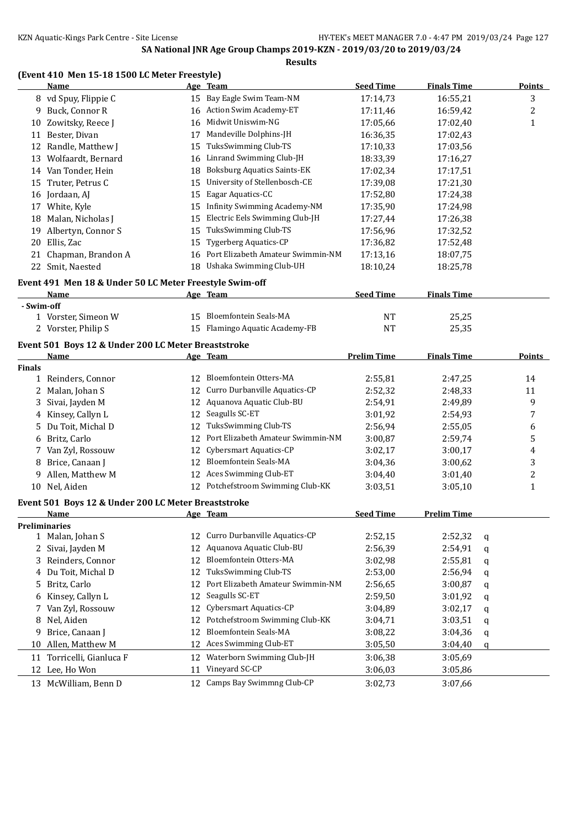### **(Event 410 Men 15-18 1500 LC Meter Freestyle)**

|               | <u>Name</u>                                             |    | Age Team                             | <b>Seed Time</b>   | <b>Finals Time</b> |   | <b>Points</b> |
|---------------|---------------------------------------------------------|----|--------------------------------------|--------------------|--------------------|---|---------------|
|               | 8 vd Spuy, Flippie C                                    |    | 15 Bay Eagle Swim Team-NM            | 17:14,73           | 16:55,21           |   | 3             |
|               | 9 Buck, Connor R                                        |    | 16 Action Swim Academy-ET            | 17:11,46           | 16:59,42           |   | 2             |
|               | 10 Zowitsky, Reece J                                    | 16 | Midwit Uniswim-NG                    | 17:05,66           | 17:02,40           |   | 1             |
|               | 11 Bester, Divan                                        | 17 | Mandeville Dolphins-JH               | 16:36,35           | 17:02,43           |   |               |
|               | 12 Randle, Matthew J                                    | 15 | TuksSwimming Club-TS                 | 17:10,33           | 17:03,56           |   |               |
|               | 13 Wolfaardt, Bernard                                   |    | 16 Linrand Swimming Club-JH          | 18:33,39           | 17:16,27           |   |               |
|               | 14 Van Tonder, Hein                                     | 18 | <b>Boksburg Aquatics Saints-EK</b>   | 17:02,34           | 17:17,51           |   |               |
|               | 15 Truter, Petrus C                                     | 15 | University of Stellenbosch-CE        | 17:39,08           | 17:21,30           |   |               |
|               | 16 Jordaan, AJ                                          | 15 | Eagar Aquatics-CC                    | 17:52,80           | 17:24,38           |   |               |
|               | 17 White, Kyle                                          | 15 | Infinity Swimming Academy-NM         | 17:35,90           | 17:24,98           |   |               |
|               | 18 Malan, Nicholas J                                    | 15 | Electric Eels Swimming Club-JH       | 17:27,44           | 17:26,38           |   |               |
|               | 19 Albertyn, Connor S                                   | 15 | TuksSwimming Club-TS                 | 17:56,96           | 17:32,52           |   |               |
|               | 20 Ellis, Zac                                           | 15 | Tygerberg Aquatics-CP                | 17:36,82           | 17:52,48           |   |               |
|               | 21 Chapman, Brandon A                                   |    | 16 Port Elizabeth Amateur Swimmin-NM | 17:13,16           | 18:07,75           |   |               |
|               | 22 Smit, Naested                                        | 18 | Ushaka Swimming Club-UH              | 18:10,24           | 18:25,78           |   |               |
|               |                                                         |    |                                      |                    |                    |   |               |
|               | Event 491 Men 18 & Under 50 LC Meter Freestyle Swim-off |    |                                      | <b>Seed Time</b>   |                    |   |               |
| - Swim-off    | Name                                                    |    | Age Team                             |                    | <b>Finals Time</b> |   |               |
|               | 1 Vorster, Simeon W                                     |    | 15 Bloemfontein Seals-MA             | NT                 | 25,25              |   |               |
|               | 2 Vorster, Philip S                                     |    | 15 Flamingo Aquatic Academy-FB       | NT                 | 25,35              |   |               |
|               |                                                         |    |                                      |                    |                    |   |               |
|               | Event 501 Boys 12 & Under 200 LC Meter Breaststroke     |    |                                      |                    |                    |   |               |
|               | Name                                                    |    | Age Team                             | <b>Prelim Time</b> | <b>Finals Time</b> |   | <b>Points</b> |
| <b>Finals</b> |                                                         |    | 12 Bloemfontein Otters-MA            |                    |                    |   |               |
|               | 1 Reinders, Connor                                      |    | 12 Curro Durbanville Aquatics-CP     | 2:55,81            | 2:47,25            |   | 14            |
|               | 2 Malan, Johan S                                        |    | 12 Aquanova Aquatic Club-BU          | 2:52,32            | 2:48,33            |   | 11            |
|               | 3 Sivai, Jayden M                                       |    | 12 Seagulls SC-ET                    | 2:54,91            | 2:49,89            |   | 9             |
|               | 4 Kinsey, Callyn L                                      |    |                                      | 3:01,92            | 2:54,93            |   | 7             |
| 5.            | Du Toit, Michal D                                       | 12 | TuksSwimming Club-TS                 | 2:56,94            | 2:55,05            |   | 6             |
|               | 6 Britz, Carlo                                          | 12 | Port Elizabeth Amateur Swimmin-NM    | 3:00,87            | 2:59,74            |   | 5             |
|               | 7 Van Zyl, Rossouw                                      | 12 | Cybersmart Aquatics-CP               | 3:02,17            | 3:00,17            |   | 4             |
|               | 8 Brice, Canaan J                                       | 12 | <b>Bloemfontein Seals-MA</b>         | 3:04,36            | 3:00,62            |   | 3             |
| 9.            | Allen, Matthew M                                        | 12 | Aces Swimming Club-ET                | 3:04,40            | 3:01,40            |   | 2             |
|               | 10 Nel, Aiden                                           |    | 12 Potchefstroom Swimming Club-KK    | 3:03,51            | 3:05,10            |   | $\mathbf{1}$  |
|               | Event 501 Boys 12 & Under 200 LC Meter Breaststroke     |    |                                      |                    |                    |   |               |
|               | Name                                                    |    | Age Team                             | <b>Seed Time</b>   | <b>Prelim Time</b> |   |               |
|               | <b>Preliminaries</b>                                    |    |                                      |                    |                    |   |               |
|               | 1 Malan, Johan S                                        |    | 12 Curro Durbanville Aquatics-CP     | 2:52,15            | 2:52,32            | q |               |
| 2             | Sivai, Jayden M                                         | 12 | Aquanova Aquatic Club-BU             | 2:56,39            | 2:54,91            | q |               |
|               | 3 Reinders, Connor                                      | 12 | Bloemfontein Otters-MA               | 3:02,98            | 2:55,81            | q |               |
|               | 4 Du Toit, Michal D                                     | 12 | TuksSwimming Club-TS                 | 2:53,00            | 2:56,94            | q |               |
| 5             | Britz, Carlo                                            | 12 | Port Elizabeth Amateur Swimmin-NM    | 2:56,65            | 3:00,87            | q |               |
|               | 6 Kinsey, Callyn L                                      | 12 | Seagulls SC-ET                       | 2:59,50            | 3:01,92            | q |               |
|               | 7 Van Zyl, Rossouw                                      | 12 | Cybersmart Aquatics-CP               | 3:04,89            | 3:02,17            | q |               |
|               | 8 Nel, Aiden                                            | 12 | Potchefstroom Swimming Club-KK       | 3:04,71            | 3:03,51            | q |               |
|               |                                                         |    |                                      |                    |                    |   |               |
|               | 9 Brice, Canaan J                                       | 12 | Bloemfontein Seals-MA                | 3:08,22            | 3:04,36            | q |               |
|               | 10 Allen, Matthew M                                     | 12 | Aces Swimming Club-ET                | 3:05,50            | 3:04,40            | q |               |

12 Lee, Ho Won 11 Vineyard SC-CP 3:06,03 3:05,86

13 McWilliam, Benn D 12 Camps Bay Swimmng Club-CP 3:02,73 3:07,66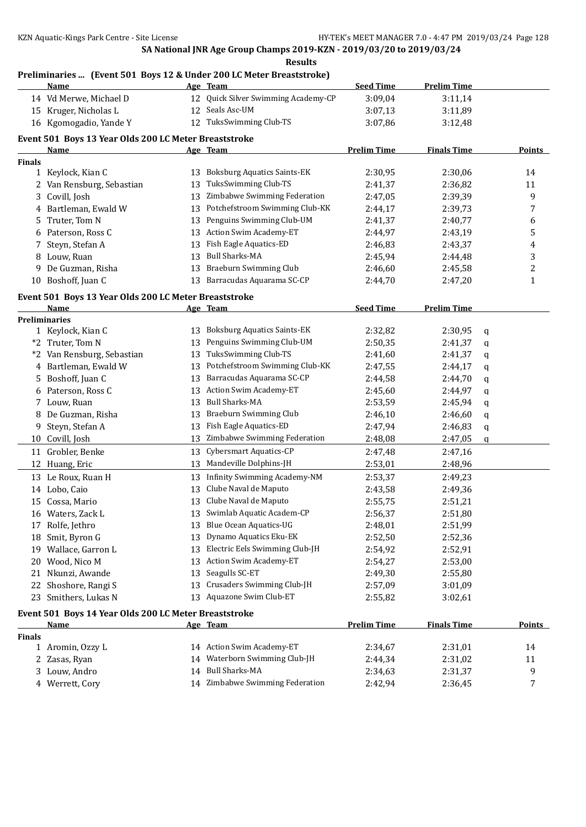### **Preliminaries ... (Event 501 Boys 12 & Under 200 LC Meter Breaststroke)**

|               | <u>Name</u>                                           |    | Age Team                            | <b>Seed Time</b>   | <b>Prelim Time</b> |             |               |
|---------------|-------------------------------------------------------|----|-------------------------------------|--------------------|--------------------|-------------|---------------|
|               | 14 Vd Merwe, Michael D                                |    | 12 Quick Silver Swimming Academy-CP | 3:09,04            | 3:11,14            |             |               |
|               | 15 Kruger, Nicholas L                                 |    | 12 Seals Asc-UM                     | 3:07,13            | 3:11,89            |             |               |
|               | 16 Kgomogadio, Yande Y                                |    | 12 TuksSwimming Club-TS             | 3:07,86            | 3:12,48            |             |               |
|               | Event 501 Boys 13 Year Olds 200 LC Meter Breaststroke |    |                                     |                    |                    |             |               |
|               | Name                                                  |    | Age Team                            | <b>Prelim Time</b> | <b>Finals Time</b> |             | Points        |
| <b>Finals</b> |                                                       |    |                                     |                    |                    |             |               |
|               | 1 Keylock, Kian C                                     | 13 | <b>Boksburg Aquatics Saints-EK</b>  | 2:30,95            | 2:30,06            |             | 14            |
|               | 2 Van Rensburg, Sebastian                             | 13 | TuksSwimming Club-TS                | 2:41,37            | 2:36,82            |             | 11            |
| 3             | Covill, Josh                                          | 13 | Zimbabwe Swimming Federation        | 2:47,05            | 2:39,39            |             | 9             |
| 4             | Bartleman, Ewald W                                    | 13 | Potchefstroom Swimming Club-KK      | 2:44,17            | 2:39,73            |             | 7             |
| 5.            | Truter, Tom N                                         | 13 | Penguins Swimming Club-UM           | 2:41,37            | 2:40,77            |             | 6             |
| 6             | Paterson, Ross C                                      | 13 | Action Swim Academy-ET              | 2:44,97            | 2:43,19            |             | 5             |
| 7             | Steyn, Stefan A                                       | 13 | Fish Eagle Aquatics-ED              | 2:46,83            | 2:43,37            |             | 4             |
| 8             | Louw, Ruan                                            | 13 | <b>Bull Sharks-MA</b>               | 2:45,94            | 2:44,48            |             | 3             |
| 9             | De Guzman, Risha                                      | 13 | <b>Braeburn Swimming Club</b>       | 2:46,60            | 2:45,58            |             | 2             |
| 10            | Boshoff, Juan C                                       | 13 | Barracudas Aquarama SC-CP           | 2:44,70            | 2:47,20            |             | 1             |
|               |                                                       |    |                                     |                    |                    |             |               |
|               | Event 501 Boys 13 Year Olds 200 LC Meter Breaststroke |    |                                     |                    |                    |             |               |
|               | Name                                                  |    | Age Team                            | <b>Seed Time</b>   | <b>Prelim Time</b> |             |               |
|               | <b>Preliminaries</b><br>1 Keylock, Kian C             |    | 13 Boksburg Aquatics Saints-EK      | 2:32,82            | 2:30,95            | $\mathbf q$ |               |
|               | *2 Truter, Tom N                                      | 13 | Penguins Swimming Club-UM           | 2:50,35            | 2:41,37            | q           |               |
|               | *2 Van Rensburg, Sebastian                            | 13 | TuksSwimming Club-TS                | 2:41,60            | 2:41,37            | q           |               |
|               | 4 Bartleman, Ewald W                                  | 13 | Potchefstroom Swimming Club-KK      | 2:47,55            | 2:44,17            |             |               |
| 5             | Boshoff, Juan C                                       | 13 | Barracudas Aquarama SC-CP           | 2:44,58            | 2:44,70            | q<br>q      |               |
| 6             | Paterson, Ross C                                      | 13 | Action Swim Academy-ET              | 2:45,60            | 2:44,97            |             |               |
|               | 7 Louw, Ruan                                          | 13 | <b>Bull Sharks-MA</b>               | 2:53,59            | 2:45,94            | q           |               |
|               | De Guzman, Risha                                      | 13 | <b>Braeburn Swimming Club</b>       | 2:46,10            | 2:46,60            | q           |               |
| 9             | Steyn, Stefan A                                       | 13 | Fish Eagle Aquatics-ED              | 2:47,94            | 2:46,83            | q           |               |
|               | 10 Covill, Josh                                       | 13 | Zimbabwe Swimming Federation        | 2:48,08            | 2:47,05            | q<br>q      |               |
|               | 11 Grobler, Benke                                     | 13 | Cybersmart Aquatics-CP              |                    |                    |             |               |
|               |                                                       |    | Mandeville Dolphins-JH              | 2:47,48            | 2:47,16            |             |               |
|               | 12 Huang, Eric                                        | 13 |                                     | 2:53,01            | 2:48,96            |             |               |
|               | 13 Le Roux, Ruan H                                    | 13 | <b>Infinity Swimming Academy-NM</b> | 2:53,37            | 2:49,23            |             |               |
|               | 14 Lobo, Caio                                         | 13 | Clube Naval de Maputo               | 2:43,58            | 2:49,36            |             |               |
| 15            | Cossa, Mario                                          | 13 | Clube Naval de Maputo               | 2:55,75            | 2:51,21            |             |               |
|               | 16 Waters, Zack L                                     |    | 13 Swimlab Aquatic Academ-CP        | 2:56,37            | 2:51,80            |             |               |
|               | 17 Rolfe, Jethro                                      | 13 | Blue Ocean Aquatics-UG              | 2:48,01            | 2:51,99            |             |               |
|               | 18 Smit, Byron G                                      | 13 | Dynamo Aquatics Eku-EK              | 2:52,50            | 2:52,36            |             |               |
| 19            | Wallace, Garron L                                     | 13 | Electric Eels Swimming Club-JH      | 2:54,92            | 2:52,91            |             |               |
| 20            | Wood, Nico M                                          | 13 | Action Swim Academy-ET              | 2:54,27            | 2:53,00            |             |               |
|               | 21 Nkunzi, Awande                                     | 13 | Seagulls SC-ET                      | 2:49,30            | 2:55,80            |             |               |
|               | 22 Shoshore, Rangi S                                  | 13 | Crusaders Swimming Club-JH          | 2:57,09            | 3:01,09            |             |               |
|               | 23 Smithers, Lukas N                                  | 13 | Aquazone Swim Club-ET               | 2:55,82            | 3:02,61            |             |               |
|               | Event 501 Boys 14 Year Olds 200 LC Meter Breaststroke |    |                                     |                    |                    |             |               |
|               | <b>Name</b>                                           |    | Age Team                            | <b>Prelim Time</b> | <b>Finals Time</b> |             | <b>Points</b> |
| <b>Finals</b> |                                                       |    |                                     |                    |                    |             |               |
|               | 1 Aromin, Ozzy L                                      |    | 14 Action Swim Academy-ET           | 2:34,67            | 2:31,01            |             | 14            |
|               | 2 Zasas, Ryan                                         | 14 | Waterborn Swimming Club-JH          | 2:44,34            | 2:31,02            |             | 11            |
|               | 3 Louw, Andro                                         | 14 | <b>Bull Sharks-MA</b>               | 2:34,63            | 2:31,37            |             | 9             |
|               | 4 Werrett, Cory                                       |    | 14 Zimbabwe Swimming Federation     | 2:42,94            | 2:36,45            |             | 7             |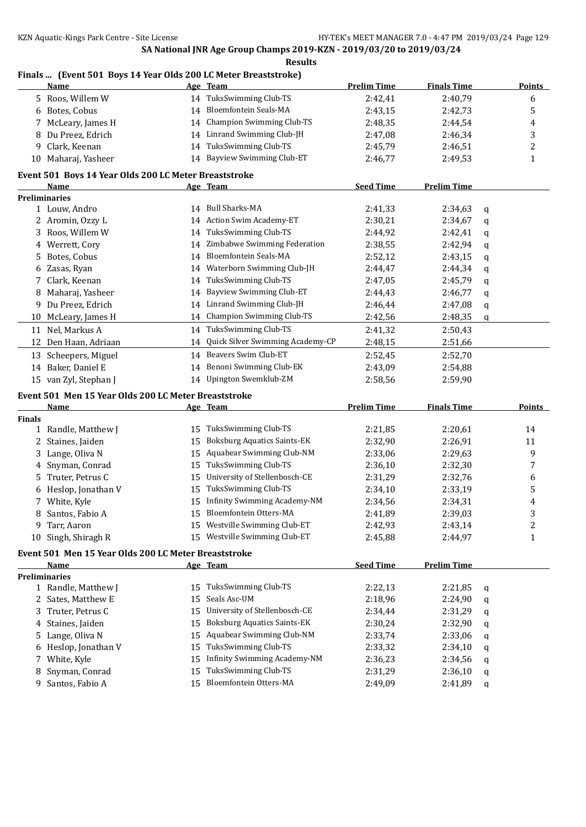### **Finals ... (Event 501 Boys 14 Year Olds 200 LC Meter Breaststroke)**

|               | <u>Name</u>                                           |          | Age Team                                       | <b>Prelim Time</b> | <b>Finals Time</b> |        | <b>Points</b> |
|---------------|-------------------------------------------------------|----------|------------------------------------------------|--------------------|--------------------|--------|---------------|
|               | 5 Roos, Willem W                                      |          | 14 TuksSwimming Club-TS                        | 2:42,41            | 2:40,79            |        | 6             |
|               | 6 Botes, Cobus                                        | 14       | <b>Bloemfontein Seals-MA</b>                   | 2:43,15            | 2:42,73            |        | 5             |
| 7             | McLeary, James H                                      | 14       | <b>Champion Swimming Club-TS</b>               | 2:48,35            | 2:44,54            |        | 4             |
| 8             | Du Preez, Edrich                                      |          | 14 Linrand Swimming Club-JH                    | 2:47,08            | 2:46,34            |        | 3             |
| 9             | Clark, Keenan                                         | 14       | TuksSwimming Club-TS                           | 2:45,79            | 2:46,51            |        | 2             |
|               | 10 Maharaj, Yasheer                                   |          | 14 Bayview Swimming Club-ET                    | 2:46,77            | 2:49,53            |        | 1             |
|               | Event 501 Boys 14 Year Olds 200 LC Meter Breaststroke |          |                                                |                    |                    |        |               |
|               | Name                                                  |          | Age Team                                       | <b>Seed Time</b>   | <b>Prelim Time</b> |        |               |
|               | <b>Preliminaries</b>                                  |          |                                                |                    |                    |        |               |
|               | 1 Louw, Andro                                         | 14       | <b>Bull Sharks-MA</b>                          | 2:41,33            | 2:34,63            | q      |               |
|               | 2 Aromin, Ozzy L                                      | 14       | Action Swim Academy-ET                         | 2:30,21            | 2:34,67            | q      |               |
| 3             | Roos, Willem W                                        | 14       | TuksSwimming Club-TS                           | 2:44,92            | 2:42,41            | q      |               |
|               | 4 Werrett, Cory                                       | 14       | Zimbabwe Swimming Federation                   | 2:38,55            | 2:42,94            | q      |               |
| 5             | Botes, Cobus                                          | 14       | <b>Bloemfontein Seals-MA</b>                   | 2:52,12            | 2:43,15            | q      |               |
| 6             | Zasas, Ryan                                           | 14       | Waterborn Swimming Club-JH                     | 2:44,47            | 2:44,34            | q      |               |
| 7             | Clark, Keenan                                         | 14       | TuksSwimming Club-TS                           | 2:47,05            | 2:45,79            | q      |               |
| 8             | Maharaj, Yasheer                                      | 14       | Bayview Swimming Club-ET                       | 2:44,43            | 2:46,77            | q      |               |
| 9             | Du Preez, Edrich                                      | 14       | Linrand Swimming Club-JH                       | 2:46,44            | 2:47,08            | q      |               |
| 10            | McLeary, James H                                      | 14       | <b>Champion Swimming Club-TS</b>               | 2:42,56            | 2:48,35            | q      |               |
| 11            | Nel, Markus A                                         | 14       | TuksSwimming Club-TS                           | 2:41,32            | 2:50,43            |        |               |
|               | 12 Den Haan, Adriaan                                  | 14       | Quick Silver Swimming Academy-CP               | 2:48,15            | 2:51,66            |        |               |
|               | 13 Scheepers, Miguel                                  | 14       | Beavers Swim Club-ET                           | 2:52,45            | 2:52,70            |        |               |
|               | 14 Baker, Daniel E                                    | 14       | Benoni Swimming Club-EK                        | 2:43,09            | 2:54,88            |        |               |
|               | 15 van Zyl, Stephan J                                 |          | 14 Upington Swemklub-ZM                        | 2:58,56            | 2:59,90            |        |               |
|               |                                                       |          |                                                |                    |                    |        |               |
|               | Event 501 Men 15 Year Olds 200 LC Meter Breaststroke  |          |                                                |                    | <b>Finals Time</b> |        |               |
|               |                                                       |          |                                                |                    |                    |        |               |
|               | <b>Name</b>                                           | Age Team |                                                | <b>Prelim Time</b> |                    |        | <b>Points</b> |
| <b>Finals</b> |                                                       |          |                                                |                    |                    |        |               |
|               | 1 Randle, Matthew J                                   |          | 15 TuksSwimming Club-TS                        | 2:21,85            | 2:20,61            |        | 14            |
| 2             | Staines, Jaiden                                       | 15       | <b>Boksburg Aquatics Saints-EK</b>             | 2:32,90            | 2:26,91            |        | 11            |
| 3             | Lange, Oliva N                                        | 15       | Aquabear Swimming Club-NM                      | 2:33,06            | 2:29,63            |        | 9             |
| 4             | Snyman, Conrad                                        | 15       | TuksSwimming Club-TS                           | 2:36,10            | 2:32,30            |        | 7             |
| 5             | Truter, Petrus C                                      | 15       | University of Stellenbosch-CE                  | 2:31,29            | 2:32,76            |        | 6             |
| 6             | Heslop, Jonathan V                                    | 15       | TuksSwimming Club-TS                           | 2:34,10            | 2:33,19            |        | 5             |
| 7             | White, Kyle                                           | 15       | <b>Infinity Swimming Academy-NM</b>            | 2:34,56            | 2:34,31            |        | 4             |
| 8             | Santos, Fabio A                                       |          | 15 Bloemfontein Otters-MA                      | 2:41,89            | 2:39,03            |        | 3             |
| 9.            | Tarr, Aaron                                           |          | 15 Westville Swimming Club-ET                  | 2:42,93            | 2:43,14            |        | 2             |
|               | 10 Singh, Shiragh R                                   |          | 15 Westville Swimming Club-ET                  | 2:45,88            | 2:44,97            |        | $\mathbf{1}$  |
|               | Event 501 Men 15 Year Olds 200 LC Meter Breaststroke  |          |                                                |                    |                    |        |               |
|               | Name                                                  |          | Age Team                                       | <b>Seed Time</b>   | <b>Prelim Time</b> |        |               |
|               | <b>Preliminaries</b>                                  |          |                                                |                    |                    |        |               |
|               | 1 Randle, Matthew J                                   | 15       | TuksSwimming Club-TS                           | 2:22,13            | 2:21,85            | q      |               |
|               | 2 Sates, Matthew E                                    | 15       | Seals Asc-UM                                   | 2:18,96            | 2:24,90            | q      |               |
| 3             | Truter, Petrus C                                      | 15       | University of Stellenbosch-CE                  | 2:34,44            | 2:31,29            | q      |               |
| 4             | Staines, Jaiden                                       | 15       | <b>Boksburg Aquatics Saints-EK</b>             | 2:30,24            | 2:32,90            | q      |               |
| 5             | Lange, Oliva N                                        | 15       | Aquabear Swimming Club-NM                      | 2:33,74            | 2:33,06            | q      |               |
|               | 6 Heslop, Jonathan V                                  | 15       | TuksSwimming Club-TS                           | 2:33,32            | 2:34,10            | q      |               |
|               | 7 White, Kyle                                         | 15       | <b>Infinity Swimming Academy-NM</b>            | 2:36,23            | 2:34,56            | q      |               |
| 8             | Snyman, Conrad<br>9 Santos, Fabio A                   | 15<br>15 | TuksSwimming Club-TS<br>Bloemfontein Otters-MA | 2:31,29<br>2:49,09 | 2:36,10<br>2:41,89 | q<br>q |               |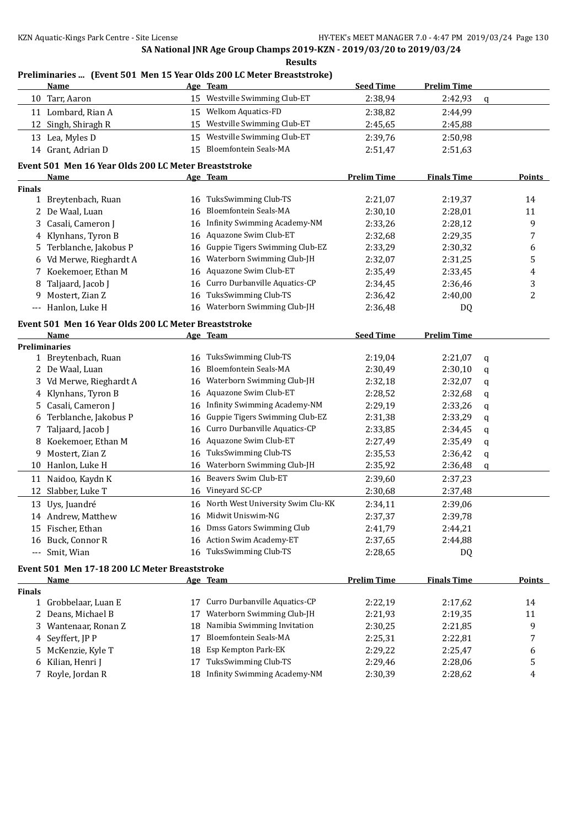### **SA National JNR Age Group Champs 2019-KZN - 2019/03/20 to 2019/03/24 Results Preliminaries ... (Event 501 Men 15 Year Olds 200 LC Meter Breaststroke) Name Age Team Seed Time Prelim Time** Tarr, Aaron 15 Westville Swimming Club-ET 2:38,94 2:42,93 q Lombard, Rian A 15 Welkom Aquatics-FD 2:38,82 2:44,99 Singh, Shiragh R 15 Westville Swimming Club-ET 2:45,65 2:45,88 Lea, Myles D 15 Westville Swimming Club-ET 2:39,76 2:50,98 Grant, Adrian D 15 Bloemfontein Seals-MA 2:51,47 2:51,63 **Event 501 Men 16 Year Olds 200 LC Meter Breaststroke Name Age Team Prelim Time Finals Time Points Finals** Breytenbach, Ruan 16 TuksSwimming Club-TS 2:21,07 2:19,37 14 De Waal, Luan 16 Bloemfontein Seals-MA 2:30,10 2:28,01 11 Casali, Cameron J 16 Infinity Swimming Academy-NM 2:33,26 2:28,12 9 Klynhans, Tyron B 16 Aquazone Swim Club-ET 2:32,68 2:29,35 7 Terblanche, Jakobus P 16 Guppie Tigers Swimming Club-EZ 2:33,29 2:30,32 6 Vd Merwe, Rieghardt A 16 Waterborn Swimming Club-JH 2:32,07 2:31,25 5 Koekemoer, Ethan M 16 Aquazone Swim Club-ET 2:35,49 2:33,45 4 8 Taljaard, Jacob J 16 Curro Durbanville Aquatics-CP 2:34,45 2:36,46 3 Mostert, Zian Z 16 TuksSwimming Club-TS 2:36,42 2:40,00 2 Hanlon, Luke H 16 Waterborn Swimming Club-JH 2:36,48 DQ **Event 501 Men 16 Year Olds 200 LC Meter Breaststroke Name Age Team Seed Time Prelim Time Preliminaries** Breytenbach, Ruan 16 TuksSwimming Club-TS 2:19,04 2:21,07 q De Waal, Luan 16 Bloemfontein Seals-MA 2:30,49 2:30,10 q Vd Merwe, Rieghardt A 16 Waterborn Swimming Club-JH 2:32,18 2:32,07 q Klynhans, Tyron B 16 Aquazone Swim Club-ET 2:28,52 2:32,68 q 5 Casali, Cameron J 16 Infinity Swimming Academy-NM 2:29,19 2:33,26 q Terblanche, Jakobus P 16 Guppie Tigers Swimming Club-EZ 2:31,38 2:33,29 q 7 Taljaard, Jacob J 16 Curro Durbanville Aquatics-CP 2:33,85 2:34,45 q Koekemoer, Ethan M 16 Aquazone Swim Club-ET 2:27,49 2:35,49 q Mostert, Zian Z 16 TuksSwimming Club-TS 2:35,53 2:36,42 q Hanlon, Luke H 16 Waterborn Swimming Club-JH 2:35,92 2:36,48 q Naidoo, Kaydn K 16 Beavers Swim Club-ET 2:39,60 2:37,23 Slabber, Luke T 16 Vineyard SC-CP 2:30,68 2:37,48 Uys, Juandreé 16 North West University Swim Clu-KK 2:34,11 2:39,06 Andrew, Matthew 16 Midwit Uniswim-NG 2:37,37 2:39,78 Fischer, Ethan 16 Dmss Gators Swimming Club 2:41,79 2:44,21 Buck, Connor R 16 Action Swim Academy-ET 2:37,65 2:44,88 --- Smit, Wian 16 TuksSwimming Club-TS 2:28,65 DQ **Event 501 Men 17-18 200 LC Meter Breaststroke Name Age Team Prelim Time Finals Time Points Finals** Grobbelaar, Luan E 17 Curro Durbanville Aquatics-CP 2:22,19 2:17,62 14 2 Deans, Michael B 17 Waterborn Swimming Club-JH 2:21,93 2:19,35 11 Wantenaar, Ronan Z 18 Namibia Swimming Invitation 2:30,25 2:21,85 9 Seyffert, JP P 17 Bloemfontein Seals-MA 2:25,31 2:22,81 7 McKenzie, Kyle T 18 Esp Kempton Park-EK 2:29,22 2:25,47 6 6 Kilian, Henri J 17 TuksSwimming Club-TS 2:29,46 2:28,06 5 Royle, Jordan R 18 Infinity Swimming Academy-NM 2:30,39 2:28,62 4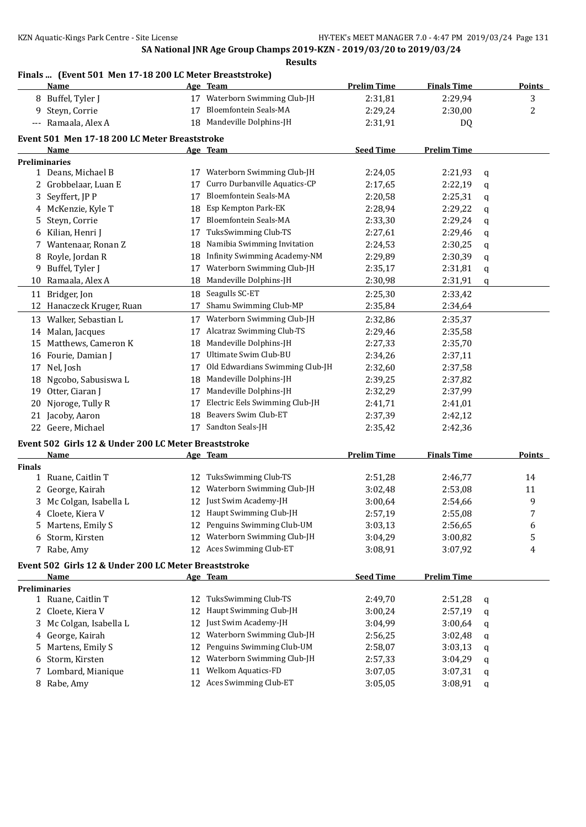### **Finals ... (Event 501 Men 17-18 200 LC Meter Breaststroke)**

|               | <b>Name</b>                                          |    | Age Team                            | <b>Prelim Time</b> | <b>Finals Time</b> |   | <b>Points</b>  |
|---------------|------------------------------------------------------|----|-------------------------------------|--------------------|--------------------|---|----------------|
|               | 8 Buffel, Tyler J                                    |    | Waterborn Swimming Club-JH          | 2:31,81            | 2:29,94            |   | 3              |
|               | 9 Steyn, Corrie                                      | 17 | <b>Bloemfontein Seals-MA</b>        | 2:29,24            | 2:30,00            |   | $\overline{c}$ |
|               | --- Ramaala, Alex A                                  | 18 | Mandeville Dolphins-JH              | 2:31,91            | DQ                 |   |                |
|               |                                                      |    |                                     |                    |                    |   |                |
|               | Event 501 Men 17-18 200 LC Meter Breaststroke        |    |                                     |                    |                    |   |                |
|               | Name                                                 |    | Age Team                            | <b>Seed Time</b>   | <b>Prelim Time</b> |   |                |
|               | <b>Preliminaries</b><br>1 Deans, Michael B           |    | 17 Waterborn Swimming Club-JH       | 2:24,05            | 2:21,93            |   |                |
|               | 2 Grobbelaar, Luan E                                 | 17 | Curro Durbanville Aquatics-CP       | 2:17,65            | 2:22,19            | q |                |
|               | Seyffert, JP P                                       | 17 | Bloemfontein Seals-MA               | 2:20,58            | 2:25,31            | q |                |
| 3             |                                                      |    | Esp Kempton Park-EK                 | 2:28,94            |                    | q |                |
|               | 4 McKenzie, Kyle T                                   | 18 | <b>Bloemfontein Seals-MA</b>        |                    | 2:29,22            | q |                |
| 5             | Steyn, Corrie                                        | 17 |                                     | 2:33,30            | 2:29,24            | q |                |
| 6             | Kilian, Henri J                                      | 17 | TuksSwimming Club-TS                | 2:27,61            | 2:29,46            | q |                |
| 7             | Wantenaar, Ronan Z                                   | 18 | Namibia Swimming Invitation         | 2:24,53            | 2:30,25            | q |                |
| 8             | Royle, Jordan R                                      | 18 | <b>Infinity Swimming Academy-NM</b> | 2:29,89            | 2:30,39            | q |                |
|               | 9 Buffel, Tyler J                                    | 17 | Waterborn Swimming Club-JH          | 2:35,17            | 2:31,81            | q |                |
|               | 10 Ramaala, Alex A                                   | 18 | Mandeville Dolphins-JH              | 2:30,98            | 2:31,91            | q |                |
|               | 11 Bridger, Jon                                      | 18 | Seagulls SC-ET                      | 2:25,30            | 2:33,42            |   |                |
| 12            | Hanaczeck Kruger, Ruan                               | 17 | Shamu Swimming Club-MP              | 2:35,84            | 2:34,64            |   |                |
|               | 13 Walker, Sebastian L                               |    | 17 Waterborn Swimming Club-JH       | 2:32,86            | 2:35,37            |   |                |
|               | 14 Malan, Jacques                                    | 17 | Alcatraz Swimming Club-TS           | 2:29,46            | 2:35,58            |   |                |
|               | 15 Matthews, Cameron K                               | 18 | Mandeville Dolphins-JH              | 2:27,33            | 2:35,70            |   |                |
|               | 16 Fourie, Damian J                                  | 17 | Ultimate Swim Club-BU               | 2:34,26            | 2:37,11            |   |                |
| 17            | Nel, Josh                                            | 17 | Old Edwardians Swimming Club-JH     | 2:32,60            | 2:37,58            |   |                |
|               | 18 Ngcobo, Sabusiswa L                               | 18 | Mandeville Dolphins-JH              | 2:39,25            | 2:37,82            |   |                |
| 19            | Otter, Ciaran J                                      | 17 | Mandeville Dolphins-JH              | 2:32,29            | 2:37,99            |   |                |
| 20            | Njoroge, Tully R                                     | 17 | Electric Eels Swimming Club-JH      | 2:41,71            | 2:41,01            |   |                |
|               | 21 Jacoby, Aaron                                     | 18 | Beavers Swim Club-ET                | 2:37,39            | 2:42,12            |   |                |
|               | 22 Geere, Michael                                    |    | 17 Sandton Seals-JH                 | 2:35,42            | 2:42,36            |   |                |
|               |                                                      |    |                                     |                    |                    |   |                |
|               | Event 502 Girls 12 & Under 200 LC Meter Breaststroke |    |                                     |                    |                    |   |                |
|               | Name                                                 |    | Age Team                            | <b>Prelim Time</b> | <b>Finals Time</b> |   | Points         |
| <b>Finals</b> |                                                      |    |                                     |                    |                    |   |                |
|               | 1 Ruane, Caitlin T                                   | 12 | TuksSwimming Club-TS                | 2:51,28            | 2:46,77            |   | 14             |
| 2             | George, Kairah                                       | 12 | Waterborn Swimming Club-JH          | 3:02,48            | 2:53,08            |   | 11             |
|               | Mc Colgan, Isabella L                                | 12 | Just Swim Academy-JH                | 3:00,64            | 2:54,66            |   | 9              |
|               | 4 Cloete, Kiera V                                    |    | 12 Haupt Swimming Club-JH           | 2:57,19            | 2:55,08            |   | 7              |
|               | 5 Martens, Emily S                                   |    | 12 Penguins Swimming Club-UM        | 3:03,13            | 2:56,65            |   | 6              |
|               | 6 Storm, Kirsten                                     |    | 12 Waterborn Swimming Club-JH       | 3:04,29            | 3:00,82            |   | 5              |
|               | 7 Rabe, Amy                                          |    | 12 Aces Swimming Club-ET            | 3:08,91            | 3:07,92            |   | 4              |
|               | Event 502 Girls 12 & Under 200 LC Meter Breaststroke |    |                                     |                    |                    |   |                |
|               | Name                                                 |    | Age Team                            | <b>Seed Time</b>   | <b>Prelim Time</b> |   |                |
|               | <b>Preliminaries</b>                                 |    |                                     |                    |                    |   |                |
|               | 1 Ruane, Caitlin T                                   | 12 | TuksSwimming Club-TS                | 2:49,70            | 2:51,28            | q |                |
|               | 2 Cloete, Kiera V                                    | 12 | Haupt Swimming Club-JH              | 3:00,24            | 2:57,19            | q |                |
|               | 3 Mc Colgan, Isabella L                              | 12 | Just Swim Academy-JH                | 3:04,99            | 3:00,64            | q |                |
| 4             | George, Kairah                                       | 12 | Waterborn Swimming Club-JH          | 2:56,25            | 3:02,48            | q |                |
| 5.            | Martens, Emily S                                     | 12 | Penguins Swimming Club-UM           | 2:58,07            | 3:03,13            | q |                |
| 6             | Storm, Kirsten                                       | 12 | Waterborn Swimming Club-JH          | 2:57,33            | 3:04,29            | q |                |
|               | 7 Lombard, Mianique                                  | 11 | Welkom Aquatics-FD                  | 3:07,05            | 3:07,31            | q |                |
|               | 8 Rabe, Amy                                          |    | 12 Aces Swimming Club-ET            | 3:05,05            | 3:08,91            | q |                |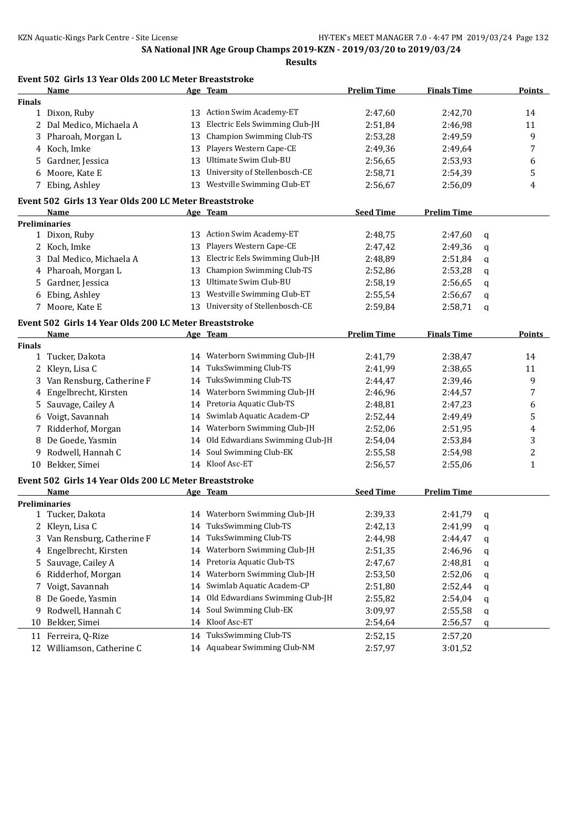|               | Event 502 Girls 13 Year Olds 200 LC Meter Breaststroke         |    |                                    |                    |                    |   |               |
|---------------|----------------------------------------------------------------|----|------------------------------------|--------------------|--------------------|---|---------------|
|               | Name                                                           |    | Age Team                           | <b>Prelim Time</b> | <b>Finals Time</b> |   | <b>Points</b> |
| <b>Finals</b> |                                                                |    |                                    |                    |                    |   |               |
|               | 1 Dixon, Ruby                                                  | 13 | Action Swim Academy-ET             | 2:47,60            | 2:42,70            |   | 14            |
|               | 2 Dal Medico, Michaela A                                       | 13 | Electric Eels Swimming Club-JH     | 2:51,84            | 2:46,98            |   | 11            |
|               | 3 Pharoah, Morgan L                                            | 13 | <b>Champion Swimming Club-TS</b>   | 2:53,28            | 2:49,59            |   | 9             |
| 4             | Koch, Imke                                                     | 13 | Players Western Cape-CE            | 2:49,36            | 2:49,64            |   | 7             |
| 5             | Gardner, Jessica                                               | 13 | Ultimate Swim Club-BU              | 2:56,65            | 2:53,93            |   | 6             |
| 6             | Moore, Kate E                                                  | 13 | University of Stellenbosch-CE      | 2:58,71            | 2:54,39            |   | 5             |
|               | 7 Ebing, Ashley                                                | 13 | Westville Swimming Club-ET         | 2:56,67            | 2:56,09            |   | 4             |
|               | Event 502 Girls 13 Year Olds 200 LC Meter Breaststroke         |    |                                    |                    |                    |   |               |
|               | Name                                                           |    | Age Team                           | <b>Seed Time</b>   | <b>Prelim Time</b> |   |               |
|               | <b>Preliminaries</b>                                           |    |                                    |                    |                    |   |               |
|               | 1 Dixon, Ruby                                                  |    | 13 Action Swim Academy-ET          | 2:48,75            | 2:47,60            | q |               |
|               | 2 Koch, Imke                                                   | 13 | Players Western Cape-CE            | 2:47,42            | 2:49,36            | q |               |
|               | 3 Dal Medico, Michaela A                                       |    | 13 Electric Eels Swimming Club-JH  | 2:48,89            | 2:51,84            | q |               |
| 4             | Pharoah, Morgan L                                              | 13 | <b>Champion Swimming Club-TS</b>   | 2:52,86            | 2:53,28            | q |               |
| 5.            | Gardner, Jessica                                               | 13 | Ultimate Swim Club-BU              | 2:58,19            | 2:56,65            | q |               |
| 6             | Ebing, Ashley                                                  | 13 | Westville Swimming Club-ET         | 2:55,54            | 2:56,67            | q |               |
|               | 7 Moore, Kate E                                                | 13 | University of Stellenbosch-CE      | 2:59,84            | 2:58,71            | q |               |
|               | Event 502 Girls 14 Year Olds 200 LC Meter Breaststroke         |    |                                    |                    |                    |   |               |
|               | <b>Name</b>                                                    |    | Age Team                           | <b>Prelim Time</b> | <b>Finals Time</b> |   | <b>Points</b> |
| <b>Finals</b> |                                                                |    |                                    |                    |                    |   |               |
|               | 1 Tucker, Dakota                                               |    | 14 Waterborn Swimming Club-JH      | 2:41,79            | 2:38,47            |   | 14            |
| 2             | Kleyn, Lisa C                                                  | 14 | TuksSwimming Club-TS               | 2:41,99            | 2:38,65            |   | 11            |
| 3             | Van Rensburg, Catherine F                                      | 14 | TuksSwimming Club-TS               | 2:44,47            | 2:39,46            |   | 9             |
| 4             | Engelbrecht, Kirsten                                           | 14 | Waterborn Swimming Club-JH         | 2:46,96            | 2:44,57            |   | 7             |
| 5             | Sauvage, Cailey A                                              | 14 | Pretoria Aquatic Club-TS           | 2:48,81            | 2:47,23            |   | 6             |
| 6             | Voigt, Savannah                                                | 14 | Swimlab Aquatic Academ-CP          | 2:52,44            | 2:49,49            |   | 5             |
|               | 7 Ridderhof, Morgan                                            | 14 | Waterborn Swimming Club-JH         | 2:52,06            | 2:51,95            |   | 4             |
| 8             | De Goede, Yasmin                                               |    | 14 Old Edwardians Swimming Club-JH | 2:54,04            | 2:53,84            |   | 3             |
| 9.            | Rodwell, Hannah C                                              |    | 14 Soul Swimming Club-EK           | 2:55,58            | 2:54,98            |   | 2             |
|               | 10 Bekker, Simei                                               |    | 14 Kloof Asc-ET                    | 2:56,57            | 2:55,06            |   | $\mathbf{1}$  |
|               |                                                                |    |                                    |                    |                    |   |               |
|               | Event 502 Girls 14 Year Olds 200 LC Meter Breaststroke<br>Name |    | Age Team                           | <b>Seed Time</b>   | <b>Prelim Time</b> |   |               |
|               | <b>Preliminaries</b>                                           |    |                                    |                    |                    |   |               |
|               | 1 Tucker, Dakota                                               |    | 14 Waterborn Swimming Club-JH      | 2:39,33            | 2:41,79            | q |               |
| 2             | Kleyn, Lisa C                                                  | 14 | TuksSwimming Club-TS               | 2:42,13            | 2:41,99            | q |               |
| 3             | Van Rensburg, Catherine F                                      | 14 | TuksSwimming Club-TS               | 2:44,98            | 2:44,47            |   |               |
| 4             | Engelbrecht, Kirsten                                           | 14 | Waterborn Swimming Club-JH         | 2:51,35            | 2:46,96            | q |               |
|               | Sauvage, Cailey A                                              | 14 | Pretoria Aquatic Club-TS           |                    | 2:48,81            | q |               |
| 5             |                                                                |    | Waterborn Swimming Club-JH         | 2:47,67            |                    | q |               |
| 6             | Ridderhof, Morgan                                              | 14 | Swimlab Aquatic Academ-CP          | 2:53,50            | 2:52,06            | q |               |
| 7             | Voigt, Savannah                                                | 14 |                                    | 2:51,80            | 2:52,44            | q |               |
| 8             | De Goede, Yasmin                                               | 14 | Old Edwardians Swimming Club-JH    | 2:55,82            | 2:54,04            | q |               |
| 9             | Rodwell, Hannah C                                              | 14 | Soul Swimming Club-EK              | 3:09,97            | 2:55,58            | q |               |
| 10            | Bekker, Simei                                                  | 14 | Kloof Asc-ET                       | 2:54,64            | 2:56,57            | q |               |
| 11            | Ferreira, Q-Rize                                               |    | 14 TuksSwimming Club-TS            | 2:52,15            | 2:57,20            |   |               |
|               | 12 Williamson, Catherine C                                     |    | 14 Aquabear Swimming Club-NM       | 2:57,97            | 3:01,52            |   |               |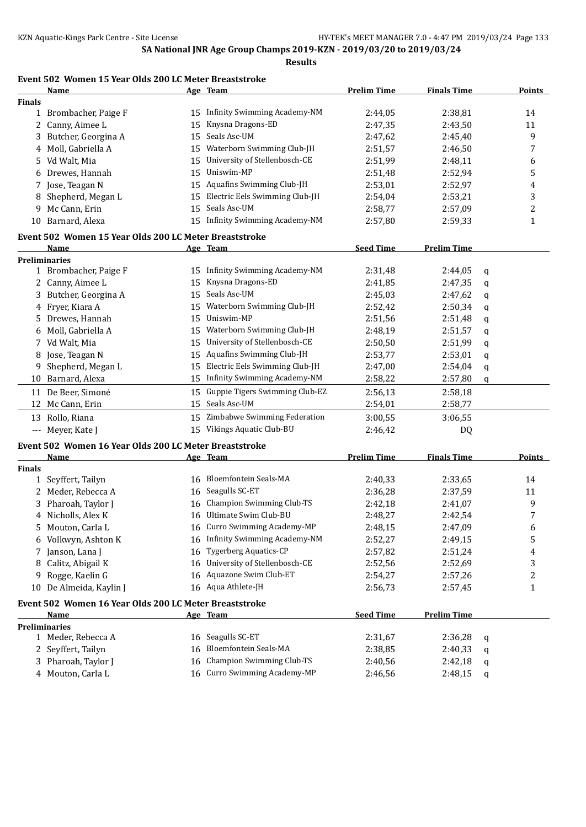**Results**

### **Event 502 Women 15 Year Olds 200 LC Meter Breaststroke**

|                                          | <b>Name</b>                                            |    | Age Team                         | <b>Prelim Time</b> | <b>Finals Time</b> |   | <b>Points</b> |
|------------------------------------------|--------------------------------------------------------|----|----------------------------------|--------------------|--------------------|---|---------------|
| <b>Finals</b>                            |                                                        |    |                                  |                    |                    |   |               |
|                                          | 1 Brombacher, Paige F                                  |    | 15 Infinity Swimming Academy-NM  | 2:44,05            | 2:38,81            |   | 14            |
|                                          | 2 Canny, Aimee L                                       | 15 | Knysna Dragons-ED                | 2:47,35            | 2:43,50            |   | 11            |
| 3                                        | Butcher, Georgina A                                    | 15 | Seals Asc-UM                     | 2:47,62            | 2:45,40            |   | 9             |
|                                          | 4 Moll, Gabriella A                                    |    | 15 Waterborn Swimming Club-JH    | 2:51,57            | 2:46,50            |   | 7             |
|                                          | 5 Vd Walt, Mia                                         | 15 | University of Stellenbosch-CE    | 2:51,99            | 2:48,11            |   | 6             |
| 6                                        | Drewes, Hannah                                         | 15 | Uniswim-MP                       | 2:51,48            | 2:52,94            |   | 5             |
|                                          | 7 Jose, Teagan N                                       | 15 | Aquafins Swimming Club-JH        | 2:53,01            | 2:52,97            |   | 4             |
| 8                                        | Shepherd, Megan L                                      | 15 | Electric Eels Swimming Club-JH   | 2:54,04            | 2:53,21            |   | 3             |
| 9.                                       | Mc Cann, Erin                                          | 15 | Seals Asc-UM                     | 2:58,77            | 2:57,09            |   | 2             |
|                                          | 10 Barnard, Alexa                                      | 15 | Infinity Swimming Academy-NM     | 2:57,80            | 2:59,33            |   | $\mathbf{1}$  |
|                                          | Event 502 Women 15 Year Olds 200 LC Meter Breaststroke |    |                                  |                    |                    |   |               |
|                                          | <b>Name</b>                                            |    | Age Team                         | <b>Seed Time</b>   | <b>Prelim Time</b> |   |               |
|                                          | <b>Preliminaries</b>                                   |    |                                  |                    |                    |   |               |
|                                          | 1 Brombacher, Paige F                                  |    | 15 Infinity Swimming Academy-NM  | 2:31,48            | 2:44,05            | q |               |
|                                          | 2 Canny, Aimee L                                       | 15 | Knysna Dragons-ED                | 2:41,85            | 2:47,35            | q |               |
|                                          | 3 Butcher, Georgina A                                  | 15 | Seals Asc-UM                     | 2:45,03            | 2:47,62            | q |               |
|                                          | 4 Fryer, Kiara A                                       | 15 | Waterborn Swimming Club-JH       | 2:52,42            | 2:50,34            | q |               |
|                                          | Drewes, Hannah                                         | 15 | Uniswim-MP                       | 2:51,56            | 2:51,48            | q |               |
| 6                                        | Moll, Gabriella A                                      | 15 | Waterborn Swimming Club-JH       | 2:48,19            | 2:51,57            | q |               |
|                                          | 7 Vd Walt, Mia                                         | 15 | University of Stellenbosch-CE    | 2:50,50            | 2:51,99            | q |               |
|                                          | 8 Jose, Teagan N                                       | 15 | Aquafins Swimming Club-JH        | 2:53,77            | 2:53,01            | q |               |
| 9                                        | Shepherd, Megan L                                      | 15 | Electric Eels Swimming Club-JH   | 2:47,00            | 2:54,04            | q |               |
|                                          | 10 Barnard, Alexa                                      | 15 | Infinity Swimming Academy-NM     | 2:58,22            | 2:57,80            | q |               |
|                                          | 11 De Beer, Simoné                                     | 15 | Guppie Tigers Swimming Club-EZ   | 2:56,13            | 2:58,18            |   |               |
|                                          | 12 Mc Cann, Erin                                       |    | 15 Seals Asc-UM                  | 2:54,01            | 2:58,77            |   |               |
|                                          | 13 Rollo, Riana                                        |    | 15 Zimbabwe Swimming Federation  | 3:00,55            | 3:06,55            |   |               |
| $\hspace{0.05cm} \ldots \hspace{0.05cm}$ | Meyer, Kate J                                          | 15 | Vikings Aquatic Club-BU          | 2:46,42            | DQ                 |   |               |
|                                          | Event 502 Women 16 Year Olds 200 LC Meter Breaststroke |    |                                  |                    |                    |   |               |
|                                          | Name                                                   |    | Age Team                         | <b>Prelim Time</b> | <b>Finals Time</b> |   | Points        |
| <b>Finals</b>                            |                                                        |    |                                  |                    |                    |   |               |
|                                          | 1 Seyffert, Tailyn                                     |    | 16 Bloemfontein Seals-MA         | 2:40,33            | 2:33,65            |   | 14            |
|                                          | 2 Meder, Rebecca A                                     |    | 16 Seagulls SC-ET                | 2:36,28            | 2:37,59            |   | 11            |
|                                          | 3 Pharoah, Taylor J                                    |    | 16 Champion Swimming Club-TS     | 2:42,18            | 2:41,07            |   | 9             |
|                                          | 4 Nicholls, Alex K                                     |    | 16 Ultimate Swim Club-BU         | 2:48,27            | 2:42,54            |   | 7             |
|                                          | 5 Mouton, Carla L                                      |    | 16 Curro Swimming Academy-MP     | 2:48,15            | 2:47,09            |   | 6             |
|                                          | 6 Volkwyn, Ashton K                                    |    | 16 Infinity Swimming Academy-NM  | 2:52,27            | 2:49,15            |   | 5             |
|                                          | 7 Janson, Lana J                                       |    | 16 Tygerberg Aquatics-CP         | 2:57,82            | 2:51,24            |   | 4             |
|                                          | 8 Calitz, Abigail K                                    |    | 16 University of Stellenbosch-CE | 2:52,56            | 2:52,69            |   | 3             |
|                                          | 9 Rogge, Kaelin G                                      |    | 16 Aquazone Swim Club-ET         | 2:54,27            | 2:57,26            |   | 2             |
|                                          | 10 De Almeida, Kaylin J                                |    | 16 Aqua Athlete-JH               | 2:56,73            | 2:57,45            |   | $\mathbf{1}$  |
|                                          | Event 502 Women 16 Year Olds 200 LC Meter Breaststroke |    |                                  |                    |                    |   |               |
|                                          | Name                                                   |    | Age Team                         | <b>Seed Time</b>   | <b>Prelim Time</b> |   |               |
|                                          | <b>Preliminaries</b>                                   |    |                                  |                    |                    |   |               |
|                                          | 1 Meder, Rebecca A                                     |    | 16 Seagulls SC-ET                | 2:31,67            | 2:36,28            | q |               |
|                                          | 2 Seyffert, Tailyn                                     | 16 | <b>Bloemfontein Seals-MA</b>     | 2:38,85            | 2:40,33            | q |               |
|                                          | 3 Pharoah, Taylor J                                    |    | 16 Champion Swimming Club-TS     | 2:40,56            | 2:42,18            | q |               |
|                                          | 4 Mouton, Carla L                                      |    | 16 Curro Swimming Academy-MP     | 2:46,56            | 2:48,15            | q |               |
|                                          |                                                        |    |                                  |                    |                    |   |               |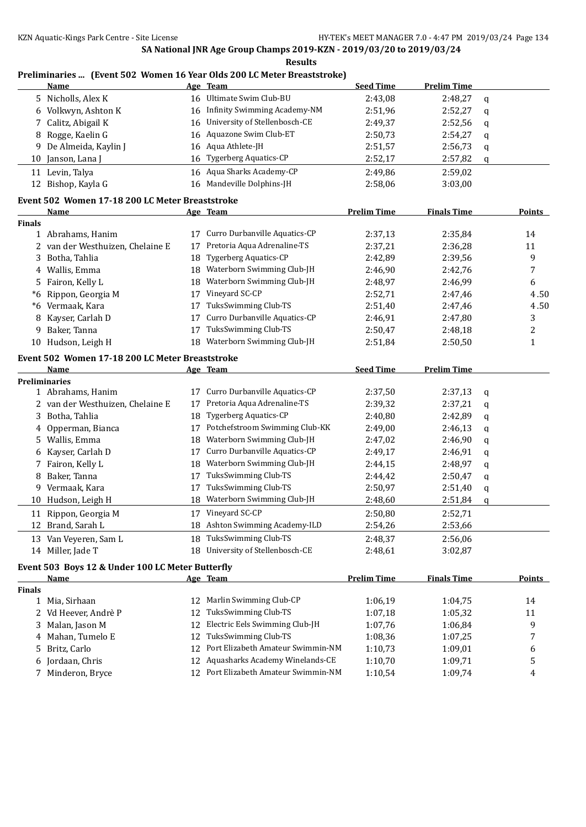|               |                                                  |          | Preliminaries  (Event 502 Women 16 Year Olds 200 LC Meter Breaststroke) |                    |                    |   |                |
|---------------|--------------------------------------------------|----------|-------------------------------------------------------------------------|--------------------|--------------------|---|----------------|
|               | Name                                             |          | Age Team<br>16 Ultimate Swim Club-BU                                    | <b>Seed Time</b>   | <b>Prelim Time</b> |   |                |
| 5             | Nicholls, Alex K                                 |          |                                                                         | 2:43,08            | 2:48,27            | q |                |
| 6             | Volkwyn, Ashton K                                | 16       | Infinity Swimming Academy-NM                                            | 2:51,96            | 2:52,27            | q |                |
| 7             | Calitz, Abigail K                                | 16       | University of Stellenbosch-CE                                           | 2:49,37            | 2:52,56            | q |                |
| 8             | Rogge, Kaelin G                                  | 16       | Aquazone Swim Club-ET                                                   | 2:50,73            | 2:54,27            | q |                |
| 9             | De Almeida, Kaylin J                             | 16       | Aqua Athlete-JH                                                         | 2:51,57            | 2:56,73            | q |                |
| 10            | Janson, Lana J                                   | 16       | <b>Tygerberg Aquatics-CP</b>                                            | 2:52,17            | 2:57,82            | q |                |
|               | 11 Levin, Talya                                  | 16       | Aqua Sharks Academy-CP                                                  | 2:49,86            | 2:59,02            |   |                |
|               | 12 Bishop, Kayla G                               |          | 16 Mandeville Dolphins-JH                                               | 2:58,06            | 3:03,00            |   |                |
|               | Event 502 Women 17-18 200 LC Meter Breaststroke  |          |                                                                         |                    |                    |   |                |
|               | <b>Name</b>                                      |          | Age Team                                                                | <b>Prelim Time</b> | <b>Finals Time</b> |   | <b>Points</b>  |
| <b>Finals</b> |                                                  | 17       | Curro Durbanville Aquatics-CP                                           |                    |                    |   |                |
|               | 1 Abrahams, Hanim                                | 17       | Pretoria Aqua Adrenaline-TS                                             | 2:37,13            | 2:35,84            |   | 14             |
| 2             | van der Westhuizen, Chelaine E                   |          | <b>Tygerberg Aquatics-CP</b>                                            | 2:37,21            | 2:36,28            |   | 11             |
| 3             | Botha, Tahlia                                    | 18       | Waterborn Swimming Club-JH                                              | 2:42,89            | 2:39,56            |   | 9              |
| 4             | Wallis, Emma                                     | 18       | Waterborn Swimming Club-JH                                              | 2:46,90            | 2:42,76            |   | 7              |
| 5             | Fairon, Kelly L<br>Rippon, Georgia M             | 18       | Vineyard SC-CP                                                          | 2:48,97            | 2:46,99            |   | 6              |
| *6            |                                                  | 17       | TuksSwimming Club-TS                                                    | 2:52,71            | 2:47,46            |   | 4.50           |
| *6            | Vermaak, Kara                                    | 17       | Curro Durbanville Aquatics-CP                                           | 2:51,40            | 2:47,46            |   | 4.50           |
| 8             | Kayser, Carlah D                                 | 17       | TuksSwimming Club-TS                                                    | 2:46,91            | 2:47,80            |   | 3              |
| 9             | Baker, Tanna                                     | 17       |                                                                         | 2:50,47            | 2:48,18            |   | $\overline{c}$ |
|               | 10 Hudson, Leigh H                               | 18       | Waterborn Swimming Club-JH                                              | 2:51,84            | 2:50,50            |   | 1              |
|               | Event 502 Women 17-18 200 LC Meter Breaststroke  |          |                                                                         |                    |                    |   |                |
|               | Name                                             |          | Age Team                                                                | <b>Seed Time</b>   | <b>Prelim Time</b> |   |                |
|               | <b>Preliminaries</b>                             |          | Curro Durbanville Aquatics-CP                                           |                    |                    |   |                |
|               | 1 Abrahams, Hanim                                | 17       | Pretoria Aqua Adrenaline-TS                                             | 2:37,50            | 2:37,13            | q |                |
| 2             | van der Westhuizen, Chelaine E                   | 17       | <b>Tygerberg Aquatics-CP</b>                                            | 2:39,32            | 2:37,21            | q |                |
| 3             | Botha, Tahlia                                    | 18       | Potchefstroom Swimming Club-KK                                          | 2:40,80            | 2:42,89            | q |                |
| 4             | Opperman, Bianca                                 | 17       | Waterborn Swimming Club-JH                                              | 2:49,00            | 2:46,13            | q |                |
| 5             | Wallis, Emma                                     | 18<br>17 | Curro Durbanville Aquatics-CP                                           | 2:47,02            | 2:46,90            | q |                |
| 6             | Kayser, Carlah D                                 | 18       | Waterborn Swimming Club-JH                                              | 2:49,17            | 2:46,91            | q |                |
| 7             | Fairon, Kelly L                                  | 17       | TuksSwimming Club-TS                                                    | 2:44,15            | 2:48,97            | q |                |
| 8             | Baker, Tanna<br>Vermaak, Kara                    |          | TuksSwimming Club-TS                                                    | 2:44,42            | 2:50,47            | q |                |
| 9             |                                                  | 17<br>18 | Waterborn Swimming Club-JH                                              | 2:50,97            | 2:51,40            | q |                |
|               | 10 Hudson, Leigh H                               |          |                                                                         | 2:48,60            | 2:51,84            | q |                |
|               | 11 Rippon, Georgia M                             |          | 17 Vineyard SC-CP                                                       | 2:50,80            | 2:52,71            |   |                |
|               | 12 Brand, Sarah L                                | 18       | Ashton Swimming Academy-ILD                                             | 2:54,26            | 2:53,66            |   |                |
| 13            | Van Veyeren, Sam L                               | 18       | TuksSwimming Club-TS                                                    | 2:48,37            | 2:56,06            |   |                |
|               | 14 Miller, Jade T                                | 18       | University of Stellenbosch-CE                                           | 2:48,61            | 3:02,87            |   |                |
|               | Event 503 Boys 12 & Under 100 LC Meter Butterfly |          |                                                                         |                    |                    |   |                |
|               | <u>Name</u>                                      |          | Age Team                                                                | <b>Prelim Time</b> | <b>Finals Time</b> |   | Points         |
| <b>Finals</b> |                                                  |          |                                                                         |                    |                    |   |                |
|               | 1 Mia, Sirhaan                                   | 12       | Marlin Swimming Club-CP                                                 | 1:06,19            | 1:04,75            |   | 14             |
| 2             | Vd Heever, Andrè P                               | 12       | TuksSwimming Club-TS                                                    | 1:07,18            | 1:05,32            |   | 11             |
| 3             | Malan, Jason M                                   | 12       | Electric Eels Swimming Club-JH                                          | 1:07,76            | 1:06,84            |   | 9              |
| 4             | Mahan, Tumelo E                                  | 12       | TuksSwimming Club-TS                                                    | 1:08,36            | 1:07,25            |   | 7              |
| 5             | Britz, Carlo                                     | 12       | Port Elizabeth Amateur Swimmin-NM                                       | 1:10,73            | 1:09,01            |   | 6              |
| 6             | Jordaan, Chris                                   | 12       | Aquasharks Academy Winelands-CE                                         | 1:10,70            | 1:09,71            |   | 5              |
|               | 7 Minderon, Bryce                                |          | 12 Port Elizabeth Amateur Swimmin-NM                                    | 1:10,54            | 1:09,74            |   | 4              |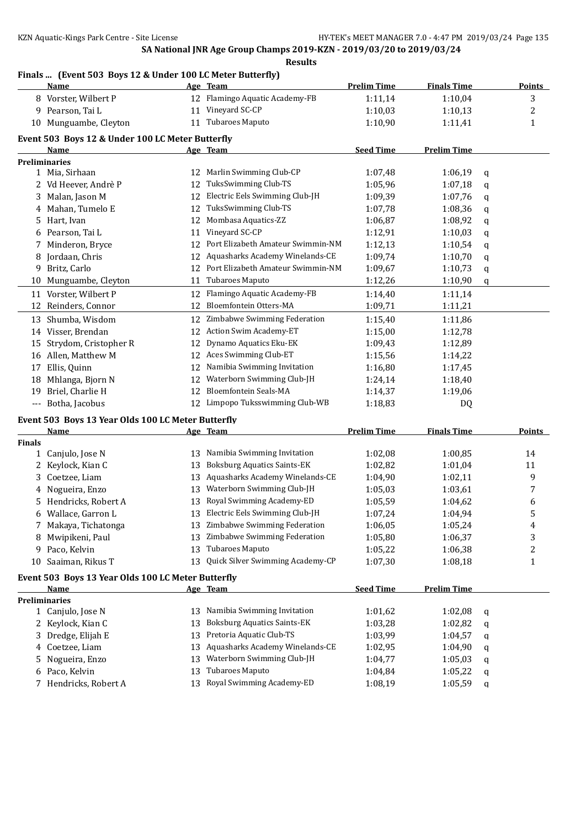# **Finals ... (Event 503 Boys 12 & Under 100 LC Meter Butterfly)**

|               | <b>Name</b>                                        |     | Age Team                           | <b>Prelim Time</b> | <b>Finals Time</b> |   | <b>Points</b> |
|---------------|----------------------------------------------------|-----|------------------------------------|--------------------|--------------------|---|---------------|
|               | 8 Vorster, Wilbert P                               |     | Flamingo Aquatic Academy-FB        | 1:11,14            | 1:10,04            |   | 3             |
|               | 9 Pearson, Tai L                                   | 11  | Vineyard SC-CP                     | 1:10,03            | 1:10,13            |   | 2             |
|               | 10 Munguambe, Cleyton                              |     | 11 Tubaroes Maputo                 | 1:10,90            | 1:11,41            |   | 1             |
|               | Event 503 Boys 12 & Under 100 LC Meter Butterfly   |     |                                    |                    |                    |   |               |
|               | <b>Name</b>                                        |     | Age Team                           | <b>Seed Time</b>   | <b>Prelim Time</b> |   |               |
|               | <b>Preliminaries</b>                               |     |                                    |                    |                    |   |               |
|               | 1 Mia, Sirhaan                                     | 12  | Marlin Swimming Club-CP            | 1:07,48            | 1:06,19            | q |               |
|               | 2 Vd Heever, Andrè P                               | 12  | TuksSwimming Club-TS               | 1:05,96            | 1:07,18            | q |               |
| 3             | Malan, Jason M                                     | 12  | Electric Eels Swimming Club-JH     | 1:09,39            | 1:07,76            | q |               |
| 4             | Mahan, Tumelo E                                    | 12  | TuksSwimming Club-TS               | 1:07,78            | 1:08,36            | q |               |
| 5             | Hart, Ivan                                         | 12  | Mombasa Aquatics-ZZ                | 1:06,87            | 1:08,92            | q |               |
| 6             | Pearson, Tai L                                     | 11  | Vineyard SC-CP                     | 1:12,91            | 1:10,03            | q |               |
| 7             | Minderon, Bryce                                    | 12  | Port Elizabeth Amateur Swimmin-NM  | 1:12,13            | 1:10,54            | q |               |
| 8             | Jordaan, Chris                                     | 12  | Aquasharks Academy Winelands-CE    | 1:09,74            | 1:10,70            | q |               |
| 9             | Britz, Carlo                                       | 12  | Port Elizabeth Amateur Swimmin-NM  | 1:09,67            | 1:10,73            | q |               |
| 10            | Munguambe, Cleyton                                 | 11  | Tubaroes Maputo                    | 1:12,26            | 1:10,90            | q |               |
|               | 11 Vorster, Wilbert P                              | 12  | Flamingo Aquatic Academy-FB        | 1:14,40            | 1:11,14            |   |               |
| 12            | Reinders, Connor                                   | 12  | Bloemfontein Otters-MA             | 1:09,71            | 1:11,21            |   |               |
|               |                                                    |     | 12 Zimbabwe Swimming Federation    |                    |                    |   |               |
|               | 13 Shumba, Wisdom                                  |     | Action Swim Academy-ET             | 1:15,40            | 1:11,86            |   |               |
|               | 14 Visser, Brendan                                 | 12  |                                    | 1:15,00            | 1:12,78            |   |               |
| 15            | Strydom, Cristopher R                              | 12  | Dynamo Aquatics Eku-EK             | 1:09,43            | 1:12,89            |   |               |
|               | 16 Allen, Matthew M                                | 12  | Aces Swimming Club-ET              | 1:15,56            | 1:14,22            |   |               |
| 17            | Ellis, Quinn                                       | 12  | Namibia Swimming Invitation        | 1:16,80            | 1:17,45            |   |               |
| 18            | Mhlanga, Bjorn N                                   | 12  | Waterborn Swimming Club-JH         | 1:24,14            | 1:18,40            |   |               |
| 19            | Briel, Charlie H                                   | 12  | Bloemfontein Seals-MA              | 1:14,37            | 1:19,06            |   |               |
|               | --- Botha, Jacobus                                 |     | 12 Limpopo Tuksswimming Club-WB    | 1:18,83            | DQ                 |   |               |
|               | Event 503 Boys 13 Year Olds 100 LC Meter Butterfly |     |                                    |                    |                    |   |               |
|               | <u>Name</u>                                        |     | Age Team                           | <b>Prelim Time</b> | <b>Finals Time</b> |   | <b>Points</b> |
| <b>Finals</b> |                                                    |     |                                    |                    |                    |   |               |
|               | 1 Canjulo, Jose N                                  | 13  | Namibia Swimming Invitation        | 1:02,08            | 1:00,85            |   | 14            |
| 2             | Keylock, Kian C                                    | 13  | <b>Boksburg Aquatics Saints-EK</b> | 1:02,82            | 1:01,04            |   | 11            |
| 3             | Coetzee, Liam                                      | 13  | Aquasharks Academy Winelands-CE    | 1:04,90            | 1:02,11            |   | 9             |
|               | 4 Nogueira, Enzo                                   |     | 13 Waterborn Swimming Club-JH      | 1:05,03            | 1:03,61            |   | 7             |
| 5.            | Hendricks, Robert A                                | 13  | Royal Swimming Academy-ED          | 1:05,59            | 1:04,62            |   | 6             |
|               | 6 Wallace, Garron L                                |     | 13 Electric Eels Swimming Club-JH  | 1:07,24            | 1:04,94            |   | 5             |
| 7.            | Makaya, Tichatonga                                 | 13. | Zimbabwe Swimming Federation       | 1:06,05            | 1:05,24            |   | 4             |
| 8             | Mwipikeni, Paul                                    | 13  | Zimbabwe Swimming Federation       | 1:05,80            | 1:06,37            |   | 3             |
| 9.            | Paco, Kelvin                                       | 13  | Tubaroes Maputo                    | 1:05,22            | 1:06,38            |   | 2             |
| 10            | Saaiman, Rikus T                                   | 13  | Quick Silver Swimming Academy-CP   | 1:07,30            | 1:08,18            |   | 1             |
|               | Event 503 Boys 13 Year Olds 100 LC Meter Butterfly |     |                                    |                    |                    |   |               |
|               | <u>Name</u>                                        |     | Age Team                           | <b>Seed Time</b>   | <b>Prelim Time</b> |   |               |
|               | <b>Preliminaries</b>                               |     |                                    |                    |                    |   |               |
|               | 1 Canjulo, Jose N                                  | 13  | Namibia Swimming Invitation        | 1:01,62            | 1:02,08            | q |               |
|               | 2 Keylock, Kian C                                  | 13  | <b>Boksburg Aquatics Saints-EK</b> | 1:03,28            | 1:02,82            | q |               |
| 3             | Dredge, Elijah E                                   | 13  | Pretoria Aquatic Club-TS           | 1:03,99            | 1:04,57            | q |               |
| 4             | Coetzee, Liam                                      | 13  | Aquasharks Academy Winelands-CE    | 1:02,95            | 1:04,90            | q |               |
| 5             | Nogueira, Enzo                                     | 13  | Waterborn Swimming Club-JH         | 1:04,77            | 1:05,03            | q |               |
| 6             | Paco, Kelvin                                       | 13  | Tubaroes Maputo                    | 1:04,84            | 1:05,22            | q |               |
| 7             | Hendricks, Robert A                                | 13  | Royal Swimming Academy-ED          | 1:08,19            | 1:05,59            | q |               |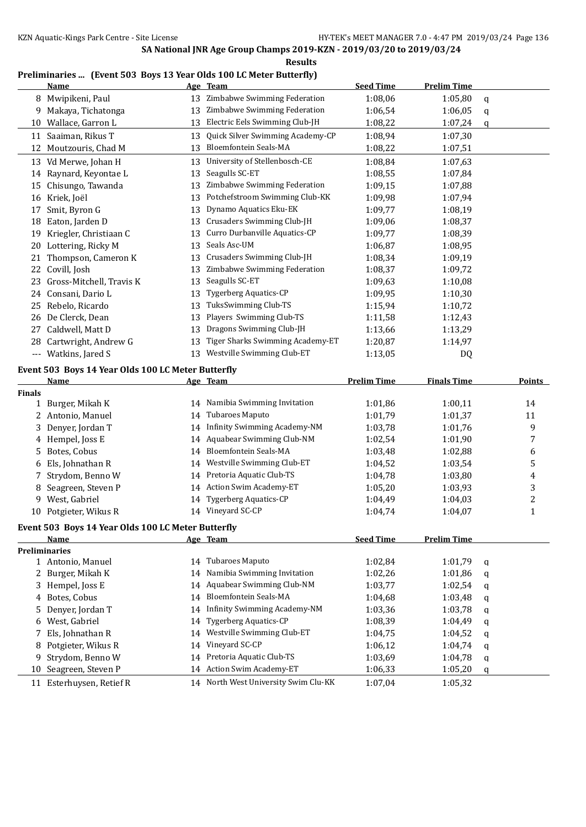**Results**

#### **Preliminaries ... (Event 503 Boys 13 Year Olds 100 LC Meter Butterfly)**

|               | <b>Name</b>                                                       |    | Age Team                             | <b>Seed Time</b>   | <b>Prelim Time</b> |   |               |
|---------------|-------------------------------------------------------------------|----|--------------------------------------|--------------------|--------------------|---|---------------|
|               | 8 Mwipikeni, Paul                                                 | 13 | Zimbabwe Swimming Federation         | 1:08,06            | 1:05,80            | q |               |
| 9.            | Makaya, Tichatonga                                                | 13 | Zimbabwe Swimming Federation         | 1:06,54            | 1:06,05            | q |               |
| 10            | Wallace, Garron L                                                 | 13 | Electric Eels Swimming Club-JH       | 1:08,22            | 1:07,24            | q |               |
| 11            | Saaiman, Rikus T                                                  | 13 | Quick Silver Swimming Academy-CP     | 1:08,94            | 1:07,30            |   |               |
| 12            | Moutzouris, Chad M                                                | 13 | <b>Bloemfontein Seals-MA</b>         | 1:08,22            | 1:07,51            |   |               |
|               | 13 Vd Merwe, Johan H                                              | 13 | University of Stellenbosch-CE        | 1:08,84            | 1:07,63            |   |               |
|               | 14 Raynard, Keyontae L                                            | 13 | Seagulls SC-ET                       | 1:08,55            | 1:07,84            |   |               |
|               | 15 Chisungo, Tawanda                                              | 13 | Zimbabwe Swimming Federation         | 1:09,15            | 1:07,88            |   |               |
|               | 16 Kriek, Joël                                                    | 13 | Potchefstroom Swimming Club-KK       | 1:09,98            | 1:07,94            |   |               |
| 17            | Smit, Byron G                                                     | 13 | Dynamo Aquatics Eku-EK               | 1:09,77            | 1:08,19            |   |               |
|               | 18 Eaton, Jarden D                                                | 13 | Crusaders Swimming Club-JH           | 1:09,06            | 1:08,37            |   |               |
|               | 19 Kriegler, Christiaan C                                         | 13 | Curro Durbanville Aquatics-CP        | 1:09,77            | 1:08,39            |   |               |
|               | 20 Lottering, Ricky M                                             | 13 | Seals Asc-UM                         | 1:06,87            | 1:08,95            |   |               |
| 21            | Thompson, Cameron K                                               | 13 | Crusaders Swimming Club-JH           | 1:08,34            | 1:09,19            |   |               |
| 22            | Covill, Josh                                                      | 13 | Zimbabwe Swimming Federation         | 1:08,37            | 1:09,72            |   |               |
| 23            | Gross-Mitchell, Travis K                                          | 13 | Seagulls SC-ET                       | 1:09,63            | 1:10,08            |   |               |
| 24            | Consani, Dario L                                                  | 13 | Tygerberg Aquatics-CP                | 1:09,95            | 1:10,30            |   |               |
| 25            | Rebelo, Ricardo                                                   | 13 | TuksSwimming Club-TS                 | 1:15,94            | 1:10,72            |   |               |
| 26            | De Clerck, Dean                                                   | 13 | Players Swimming Club-TS             | 1:11,58            | 1:12,43            |   |               |
| 27            | Caldwell, Matt D                                                  | 13 | Dragons Swimming Club-JH             | 1:13,66            | 1:13,29            |   |               |
|               | 28 Cartwright, Andrew G                                           | 13 | Tiger Sharks Swimming Academy-ET     | 1:20,87            | 1:14,97            |   |               |
| $---$         | Watkins, Jared S                                                  | 13 | Westville Swimming Club-ET           | 1:13,05            | DQ                 |   |               |
|               |                                                                   |    |                                      |                    |                    |   |               |
|               | Event 503 Boys 14 Year Olds 100 LC Meter Butterfly<br><u>Name</u> |    | Age Team                             | <b>Prelim Time</b> | <b>Finals Time</b> |   | <b>Points</b> |
| <b>Finals</b> |                                                                   |    |                                      |                    |                    |   |               |
|               | 1 Burger, Mikah K                                                 | 14 | Namibia Swimming Invitation          | 1:01,86            | 1:00,11            |   | 14            |
|               | 2 Antonio, Manuel                                                 | 14 | Tubaroes Maputo                      | 1:01,79            | 1:01,37            |   | 11            |
| 3             | Denyer, Jordan T                                                  | 14 | <b>Infinity Swimming Academy-NM</b>  | 1:03,78            | 1:01,76            |   | 9             |
| 4             | Hempel, Joss E                                                    | 14 | Aquabear Swimming Club-NM            | 1:02,54            | 1:01,90            |   | 7             |
| 5             | Botes, Cobus                                                      | 14 | Bloemfontein Seals-MA                | 1:03,48            | 1:02,88            |   | 6             |
| 6             | Els, Johnathan R                                                  | 14 | Westville Swimming Club-ET           | 1:04,52            | 1:03,54            |   | 5             |
| 7             | Strydom, Benno W                                                  | 14 | Pretoria Aquatic Club-TS             | 1:04,78            | 1:03,80            |   | 4             |
| 8             | Seagreen, Steven P                                                | 14 | Action Swim Academy-ET               | 1:05,20            | 1:03,93            |   | 3             |
| 9             | West, Gabriel                                                     | 14 | <b>Tygerberg Aquatics-CP</b>         | 1:04,49            | 1:04,03            |   | 2             |
|               | 10 Potgieter, Wikus R                                             |    | 14 Vineyard SC-CP                    | 1:04,74            | 1:04,07            |   | $\mathbf{1}$  |
|               | Event 503 Boys 14 Year Olds 100 LC Meter Butterfly                |    |                                      |                    |                    |   |               |
|               | Name                                                              |    | Age Team                             | <b>Seed Time</b>   | <b>Prelim Time</b> |   |               |
|               | <b>Preliminaries</b>                                              |    |                                      |                    |                    |   |               |
|               | 1 Antonio, Manuel                                                 |    | 14 Tubaroes Maputo                   | 1:02,84            | 1:01,79            | q |               |
| 2             | Burger, Mikah K                                                   | 14 | Namibia Swimming Invitation          | 1:02,26            | 1:01,86            | q |               |
| 3             | Hempel, Joss E                                                    | 14 | Aquabear Swimming Club-NM            | 1:03,77            | 1:02,54            | q |               |
| 4             | Botes, Cobus                                                      | 14 | Bloemfontein Seals-MA                | 1:04,68            | 1:03,48            | q |               |
| 5             | Denyer, Jordan T                                                  | 14 | <b>Infinity Swimming Academy-NM</b>  | 1:03,36            | 1:03,78            | q |               |
| 6             | West, Gabriel                                                     | 14 | <b>Tygerberg Aquatics-CP</b>         | 1:08,39            | 1:04,49            | q |               |
| 7             | Els, Johnathan R                                                  | 14 | Westville Swimming Club-ET           | 1:04,75            | 1:04,52            | q |               |
| 8             | Potgieter, Wikus R                                                | 14 | Vineyard SC-CP                       | 1:06,12            | 1:04,74            | q |               |
| 9             | Strydom, Benno W                                                  | 14 | Pretoria Aquatic Club-TS             | 1:03,69            | 1:04,78            | q |               |
|               | 10 Seagreen, Steven P                                             | 14 | Action Swim Academy-ET               | 1:06,33            | 1:05,20            | q |               |
|               | 11 Esterhuysen, Retief R                                          |    | 14 North West University Swim Clu-KK | 1:07,04            | 1:05,32            |   |               |
|               |                                                                   |    |                                      |                    |                    |   |               |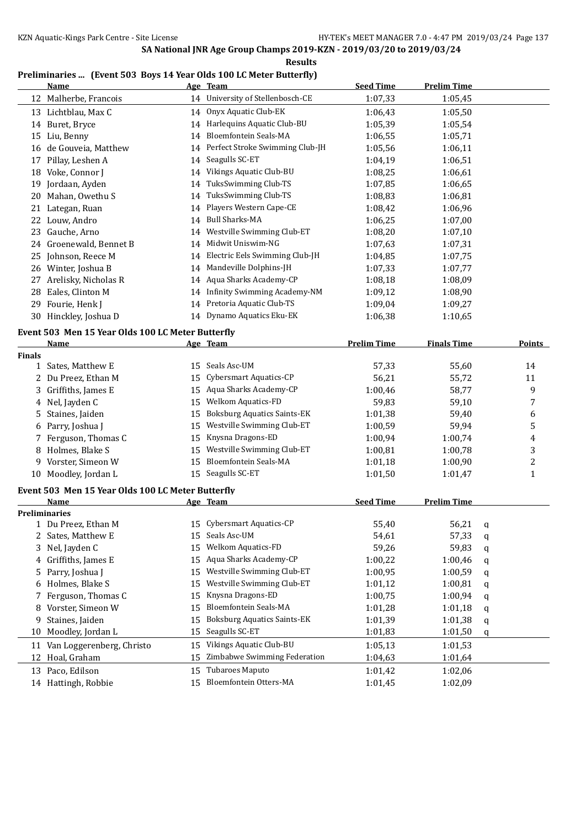#### **Results**

### **Preliminaries ... (Event 503 Boys 14 Year Olds 100 LC Meter Butterfly)**

|    | Name                                              |    | Age Team                            | <b>Seed Time</b>   | <b>Prelim Time</b> |               |
|----|---------------------------------------------------|----|-------------------------------------|--------------------|--------------------|---------------|
| 12 | Malherbe, Francois                                | 14 | University of Stellenbosch-CE       | 1:07,33            | 1:05,45            |               |
| 13 | Lichtblau, Max C                                  | 14 | Onyx Aquatic Club-EK                | 1:06.43            | 1:05,50            |               |
| 14 | Buret, Bryce                                      | 14 | Harlequins Aquatic Club-BU          | 1:05,39            | 1:05,54            |               |
| 15 | Liu, Benny                                        | 14 | <b>Bloemfontein Seals-MA</b>        | 1:06,55            | 1:05,71            |               |
| 16 | de Gouveia, Matthew                               | 14 | Perfect Stroke Swimming Club-JH     | 1:05.56            | 1:06,11            |               |
| 17 | Pillay, Leshen A                                  | 14 | Seagulls SC-ET                      | 1:04,19            | 1:06,51            |               |
| 18 | Voke, Connor J                                    | 14 | Vikings Aquatic Club-BU             | 1:08.25            | 1:06,61            |               |
| 19 | Jordaan, Ayden                                    | 14 | TuksSwimming Club-TS                | 1:07,85            | 1:06,65            |               |
| 20 | Mahan, Owethu S                                   | 14 | TuksSwimming Club-TS                | 1:08,83            | 1:06.81            |               |
| 21 | Lategan, Ruan                                     | 14 | Players Western Cape-CE             | 1:08,42            | 1:06,96            |               |
| 22 | Louw, Andro                                       | 14 | <b>Bull Sharks-MA</b>               | 1:06,25            | 1:07,00            |               |
| 23 | Gauche, Arno                                      | 14 | Westville Swimming Club-ET          | 1:08,20            | 1:07,10            |               |
| 24 | Groenewald, Bennet B                              | 14 | Midwit Uniswim-NG                   | 1:07,63            | 1:07,31            |               |
| 25 | Johnson, Reece M                                  | 14 | Electric Eels Swimming Club-JH      | 1:04.85            | 1:07.75            |               |
| 26 | Winter, Joshua B                                  | 14 | Mandeville Dolphins-JH              | 1:07,33            | 1:07,77            |               |
| 27 | Arelisky, Nicholas R                              | 14 | Aqua Sharks Academy-CP              | 1:08,18            | 1:08,09            |               |
| 28 | Eales, Clinton M                                  | 14 | <b>Infinity Swimming Academy-NM</b> | 1:09,12            | 1:08,90            |               |
| 29 | Fourie, Henk J                                    | 14 | Pretoria Aquatic Club-TS            | 1:09,04            | 1:09,27            |               |
| 30 | Hinckley, Joshua D                                | 14 | Dynamo Aquatics Eku-EK              | 1:06,38            | 1:10,65            |               |
|    | Event 503 Men 15 Year Olds 100 LC Meter Butterfly |    |                                     |                    |                    |               |
|    | Name                                              |    | Age Team                            | <b>Prelim Time</b> | <b>Finals Time</b> | <b>Points</b> |
|    |                                                   |    |                                     |                    |                    |               |

|               | ічаше                                             | <u>Age</u> | теаш                               | <u>гтении тише</u> | <u>гшаіз і шіе</u> |              | <u>rviilts</u> |
|---------------|---------------------------------------------------|------------|------------------------------------|--------------------|--------------------|--------------|----------------|
| <b>Finals</b> |                                                   |            |                                    |                    |                    |              |                |
| $\mathbf 1$   | Sates, Matthew E                                  | 15         | Seals Asc-UM                       | 57,33              | 55,60              |              | 14             |
| 2             | Du Preez, Ethan M                                 | 15         | Cybersmart Aquatics-CP             | 56,21              | 55,72              |              | 11             |
| 3             | Griffiths, James E                                | 15         | Aqua Sharks Academy-CP             | 1:00,46            | 58,77              |              | 9              |
| 4             | Nel, Jayden C                                     | 15         | <b>Welkom Aquatics-FD</b>          | 59,83              | 59,10              |              | 7              |
| 5             | Staines, Jaiden                                   | 15         | <b>Boksburg Aquatics Saints-EK</b> | 1:01,38            | 59,40              |              | 6              |
| 6             | Parry, Joshua J                                   | 15         | Westville Swimming Club-ET         | 1:00,59            | 59,94              |              | 5              |
|               | Ferguson, Thomas C                                | 15         | Knysna Dragons-ED                  | 1:00,94            | 1:00,74            |              | 4              |
|               | Holmes, Blake S                                   | 15         | Westville Swimming Club-ET         | 1:00,81            | 1:00,78            |              | 3              |
| 9             | Vorster, Simeon W                                 | 15         | <b>Bloemfontein Seals-MA</b>       | 1:01,18            | 1:00,90            |              | 2              |
| 10            | Moodley, Jordan L                                 | 15         | Seagulls SC-ET                     | 1:01.50            | 1:01,47            |              | $\mathbf{1}$   |
|               | Event 503 Men 15 Year Olds 100 LC Meter Butterfly |            |                                    |                    |                    |              |                |
|               | Name                                              |            | Age Team                           | <b>Seed Time</b>   | <b>Prelim Time</b> |              |                |
|               | <b>Preliminaries</b>                              |            |                                    |                    |                    |              |                |
|               | 1 Du Preez, Ethan M                               | 15         | Cybersmart Aquatics-CP             | 55,40              | 56,21              | $\mathsf{q}$ |                |
|               | Sates, Matthew E                                  | 15         | Seals Asc-UM                       | 54,61              | 57,33              | $\mathbf q$  |                |
| 3             | Nel, Jayden C                                     | 15         | <b>Welkom Aquatics-FD</b>          | 59,26              | 59,83              | a            |                |
| 4             | Griffiths, James E                                | 15         | Aqua Sharks Academy-CP             | 1:00,22            | 1:00,46            | q            |                |
| 5             | Parry, Joshua J                                   | 15         | Westville Swimming Club-ET         | 1:00,95            | 1:00,59            | $\mathbf q$  |                |
|               | Holmes, Blake S                                   | 15         | Westville Swimming Club-ET         | 1:01,12            | 1:00,81            | q            |                |
|               | Ferguson, Thomas C                                | 15         | Knysna Dragons-ED                  | 1:00,75            | 1:00,94            | q            |                |
| 8             | Vorster, Simeon W                                 | 15         | <b>Bloemfontein Seals-MA</b>       | 1:01,28            | 1:01,18            | q            |                |
| 9             | Staines, Jaiden                                   | 15         | <b>Boksburg Aquatics Saints-EK</b> | 1:01,39            | 1:01,38            | q            |                |
| 10            | Moodley, Jordan L                                 | 15         | Seagulls SC-ET                     | 1:01,83            | 1:01,50            | $\mathbf q$  |                |
| 11            | Van Loggerenberg, Christo                         | 15         | Vikings Aquatic Club-BU            | 1:05,13            | 1:01,53            |              |                |
| 12            | Hoal, Graham                                      | 15         | Zimbabwe Swimming Federation       | 1:04,63            | 1:01,64            |              |                |
| 13            | Paco, Edilson                                     | 15         | Tubaroes Maputo                    | 1:01,42            | 1:02,06            |              |                |
|               | 14 Hattingh, Robbie                               | 15         | Bloemfontein Otters-MA             | 1:01,45            | 1:02,09            |              |                |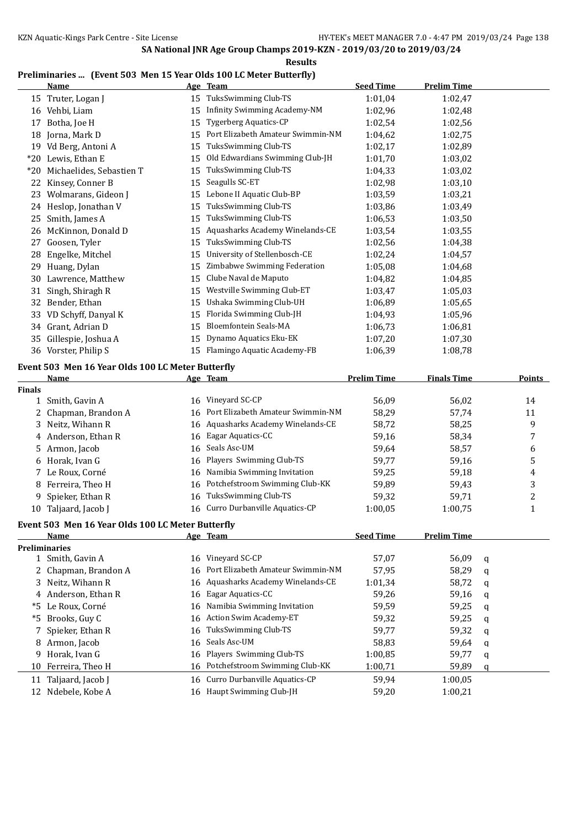#### **Results**

## **Preliminaries ... (Event 503 Men 15 Year Olds 100 LC Meter Butterfly)**

|               | <b>Name</b>                                       |    | Age Team                             | <b>Seed Time</b>   | <b>Prelim Time</b> |   |               |
|---------------|---------------------------------------------------|----|--------------------------------------|--------------------|--------------------|---|---------------|
|               | 15 Truter, Logan J                                |    | 15 TuksSwimming Club-TS              | 1:01,04            | 1:02,47            |   |               |
|               | 16 Vehbi, Liam                                    |    | 15 Infinity Swimming Academy-NM      | 1:02,96            | 1:02,48            |   |               |
| 17            | Botha, Joe H                                      | 15 | <b>Tygerberg Aquatics-CP</b>         | 1:02,54            | 1:02,56            |   |               |
|               | 18 Jorna, Mark D                                  | 15 | Port Elizabeth Amateur Swimmin-NM    | 1:04,62            | 1:02,75            |   |               |
|               | 19 Vd Berg, Antoni A                              | 15 | TuksSwimming Club-TS                 | 1:02,17            | 1:02,89            |   |               |
|               | *20 Lewis, Ethan E                                | 15 | Old Edwardians Swimming Club-JH      | 1:01,70            | 1:03,02            |   |               |
|               | *20 Michaelides, Sebastien T                      | 15 | TuksSwimming Club-TS                 | 1:04,33            | 1:03,02            |   |               |
|               | 22 Kinsey, Conner B                               | 15 | Seagulls SC-ET                       | 1:02,98            | 1:03,10            |   |               |
|               | 23 Wolmarans, Gideon J                            | 15 | Lebone II Aquatic Club-BP            | 1:03,59            | 1:03,21            |   |               |
|               | 24 Heslop, Jonathan V                             | 15 | TuksSwimming Club-TS                 | 1:03,86            | 1:03,49            |   |               |
| 25            | Smith, James A                                    | 15 | TuksSwimming Club-TS                 | 1:06,53            | 1:03,50            |   |               |
| 26            | McKinnon, Donald D                                | 15 | Aquasharks Academy Winelands-CE      | 1:03,54            | 1:03,55            |   |               |
|               | 27 Goosen, Tyler                                  | 15 | TuksSwimming Club-TS                 | 1:02,56            | 1:04,38            |   |               |
| 28            | Engelke, Mitchel                                  | 15 | University of Stellenbosch-CE        | 1:02,24            | 1:04,57            |   |               |
| 29            | Huang, Dylan                                      | 15 | Zimbabwe Swimming Federation         | 1:05,08            | 1:04,68            |   |               |
|               | 30 Lawrence, Matthew                              | 15 | Clube Naval de Maputo                | 1:04,82            | 1:04,85            |   |               |
|               | 31 Singh, Shiragh R                               | 15 | Westville Swimming Club-ET           | 1:03,47            | 1:05,03            |   |               |
|               | 32 Bender, Ethan                                  | 15 | Ushaka Swimming Club-UH              | 1:06,89            | 1:05,65            |   |               |
|               | 33 VD Schyff, Danyal K                            | 15 | Florida Swimming Club-JH             | 1:04,93            | 1:05,96            |   |               |
|               | 34 Grant, Adrian D                                | 15 | <b>Bloemfontein Seals-MA</b>         | 1:06,73            | 1:06,81            |   |               |
|               | 35 Gillespie, Joshua A                            | 15 | Dynamo Aquatics Eku-EK               | 1:07,20            | 1:07,30            |   |               |
|               | 36 Vorster, Philip S                              |    | 15 Flamingo Aquatic Academy-FB       | 1:06,39            | 1:08,78            |   |               |
|               |                                                   |    |                                      |                    |                    |   |               |
|               | Event 503 Men 16 Year Olds 100 LC Meter Butterfly |    |                                      |                    |                    |   |               |
|               | <u>Name</u>                                       |    | Age Team                             | <b>Prelim Time</b> | <b>Finals Time</b> |   | <b>Points</b> |
| <b>Finals</b> |                                                   |    |                                      |                    |                    |   |               |
|               | 1 Smith, Gavin A                                  |    | 16 Vineyard SC-CP                    | 56,09              | 56,02              |   | 14            |
|               | 2 Chapman, Brandon A                              |    | 16 Port Elizabeth Amateur Swimmin-NM | 58,29              | 57,74              |   | 11            |
|               | 3 Neitz, Wihann R                                 |    | 16 Aquasharks Academy Winelands-CE   | 58,72              | 58,25              |   | 9             |
|               | 4 Anderson, Ethan R                               |    | 16 Eagar Aquatics-CC                 | 59,16              | 58,34              |   | 7             |
|               | 5 Armon, Jacob                                    | 16 | Seals Asc-UM                         | 59,64              | 58,57              |   | 6             |
|               | 6 Horak, Ivan G                                   | 16 | Players Swimming Club-TS             | 59,77              | 59,16              |   | 5             |
|               | 7 Le Roux, Corné                                  | 16 | Namibia Swimming Invitation          | 59,25              | 59,18              |   | 4             |
| 8             | Ferreira, Theo H                                  | 16 | Potchefstroom Swimming Club-KK       | 59,89              | 59,43              |   | 3             |
| 9             | Spieker, Ethan R                                  | 16 | TuksSwimming Club-TS                 | 59,32              | 59,71              |   | 2             |
|               | 10 Taljaard, Jacob J                              |    | 16 Curro Durbanville Aquatics-CP     | 1:00,05            | 1:00,75            |   | $\mathbf{1}$  |
|               | Event 503 Men 16 Year Olds 100 LC Meter Butterfly |    |                                      |                    |                    |   |               |
|               | <u>Name</u>                                       |    | Age Team                             | <b>Seed Time</b>   | <b>Prelim Time</b> |   |               |
|               | <b>Preliminaries</b>                              |    |                                      |                    |                    |   |               |
|               | 1 Smith, Gavin A                                  |    | 16 Vineyard SC-CP                    | 57,07              | 56,09              | q |               |
| 2             | Chapman, Brandon A                                | 16 | Port Elizabeth Amateur Swimmin-NM    | 57,95              | 58,29              | q |               |
| 3             | Neitz, Wihann R                                   | 16 | Aquasharks Academy Winelands-CE      | 1:01,34            | 58,72              | q |               |
|               | 4 Anderson, Ethan R                               | 16 | Eagar Aquatics-CC                    | 59,26              | 59,16              | q |               |
|               | *5 Le Roux, Corné                                 | 16 | Namibia Swimming Invitation          | 59,59              | 59,25              | q |               |
| *5            | Brooks, Guy C                                     | 16 | Action Swim Academy-ET               | 59,32              | 59,25              | q |               |
|               | 7 Spieker, Ethan R                                | 16 | <b>TuksSwimming Club-TS</b>          | 59,77              | 59,32              | q |               |
|               | 8 Armon, Jacob                                    | 16 | Seals Asc-UM                         | 58,83              | 59,64              | q |               |
| 9             | Horak, Ivan G                                     | 16 | Players Swimming Club-TS             | 1:00,85            | 59,77              | q |               |
| 10            | Ferreira, Theo H                                  |    | 16 Potchefstroom Swimming Club-KK    | 1:00,71            | 59,89              | q |               |
|               | 11 Taljaard, Jacob J                              | 16 | Curro Durbanville Aquatics-CP        | 59,94              | 1:00,05            |   |               |
| 12            | Ndebele, Kobe A                                   |    | 16 Haupt Swimming Club-JH            | 59,20              | 1:00,21            |   |               |
|               |                                                   |    |                                      |                    |                    |   |               |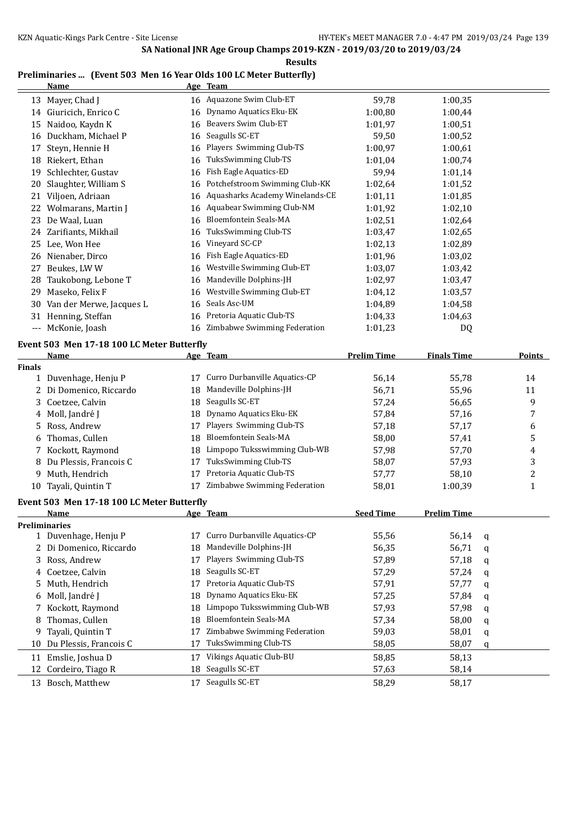### **Preliminaries ... (Event 503 Men 16 Year Olds 100 LC Meter Butterfly)**

|               | <b>Name</b>                                |    | Age Team                        |                    |                    |   |               |
|---------------|--------------------------------------------|----|---------------------------------|--------------------|--------------------|---|---------------|
|               | 13 Mayer, Chad J                           |    | 16 Aquazone Swim Club-ET        | 59,78              | 1:00,35            |   |               |
|               | 14 Giuricich, Enrico C                     | 16 | Dynamo Aquatics Eku-EK          | 1:00,80            | 1:00,44            |   |               |
| 15            | Naidoo, Kaydn K                            | 16 | Beavers Swim Club-ET            | 1:01,97            | 1:00,51            |   |               |
| 16            | Duckham, Michael P                         | 16 | Seagulls SC-ET                  | 59,50              | 1:00,52            |   |               |
| 17            | Steyn, Hennie H                            | 16 | Players Swimming Club-TS        | 1:00,97            | 1:00,61            |   |               |
| 18            | Riekert, Ethan                             | 16 | TuksSwimming Club-TS            | 1:01,04            | 1:00,74            |   |               |
| 19            | Schlechter, Gustav                         | 16 | Fish Eagle Aquatics-ED          | 59,94              | 1:01,14            |   |               |
| 20            | Slaughter, William S                       | 16 | Potchefstroom Swimming Club-KK  | 1:02,64            | 1:01,52            |   |               |
| 21            | Viljoen, Adriaan                           | 16 | Aquasharks Academy Winelands-CE | 1:01,11            | 1:01,85            |   |               |
| 22            | Wolmarans, Martin J                        | 16 | Aquabear Swimming Club-NM       | 1:01,92            | 1:02,10            |   |               |
| 23            | De Waal, Luan                              | 16 | Bloemfontein Seals-MA           | 1:02,51            | 1:02,64            |   |               |
| 24            | Zarifiants, Mikhail                        | 16 | TuksSwimming Club-TS            | 1:03,47            | 1:02,65            |   |               |
| 25            | Lee, Won Hee                               | 16 | Vineyard SC-CP                  | 1:02,13            | 1:02,89            |   |               |
|               | 26 Nienaber, Dirco                         | 16 | Fish Eagle Aquatics-ED          | 1:01,96            | 1:03,02            |   |               |
|               | Beukes, LWW                                | 16 | Westville Swimming Club-ET      | 1:03,07            | 1:03,42            |   |               |
| 27            |                                            |    | Mandeville Dolphins-JH          |                    | 1:03,47            |   |               |
| 28            | Taukobong, Lebone T                        | 16 | Westville Swimming Club-ET      | 1:02,97            |                    |   |               |
| 29            | Maseko, Felix F                            | 16 | Seals Asc-UM                    | 1:04,12            | 1:03,57            |   |               |
| 30            | Van der Merwe, Jacques L                   | 16 |                                 | 1:04,89            | 1:04,58            |   |               |
|               | 31 Henning, Steffan                        | 16 | Pretoria Aquatic Club-TS        | 1:04,33            | 1:04,63            |   |               |
|               | --- McKonie, Joash                         | 16 | Zimbabwe Swimming Federation    | 1:01,23            | DQ                 |   |               |
|               | Event 503 Men 17-18 100 LC Meter Butterfly |    |                                 |                    |                    |   |               |
|               | <b>Name</b>                                |    | Age Team                        | <b>Prelim Time</b> | <b>Finals Time</b> |   | <b>Points</b> |
| <b>Finals</b> |                                            |    |                                 |                    |                    |   |               |
| $\mathbf{1}$  | Duvenhage, Henju P                         | 17 | Curro Durbanville Aquatics-CP   | 56,14              | 55,78              |   | 14            |
| 2             | Di Domenico, Riccardo                      | 18 | Mandeville Dolphins-JH          | 56,71              | 55,96              |   | 11            |
| 3             | Coetzee, Calvin                            | 18 | Seagulls SC-ET                  | 57,24              | 56,65              |   | 9             |
| 4             | Moll, Jandré J                             | 18 | Dynamo Aquatics Eku-EK          | 57,84              | 57,16              |   | 7             |
| 5             | Ross, Andrew                               | 17 | Players Swimming Club-TS        | 57,18              | 57,17              |   | 6             |
| 6             | Thomas, Cullen                             | 18 | Bloemfontein Seals-MA           | 58,00              | 57,41              |   | 5             |
|               | Kockott, Raymond                           | 18 | Limpopo Tuksswimming Club-WB    | 57,98              | 57,70              |   | 4             |
| 8             | Du Plessis, Francois C                     | 17 | TuksSwimming Club-TS            | 58,07              | 57,93              |   | 3             |
| 9             | Muth, Hendrich                             | 17 | Pretoria Aquatic Club-TS        | 57,77              | 58,10              |   | 2             |
| 10            | Tayali, Quintin T                          | 17 | Zimbabwe Swimming Federation    | 58,01              | 1:00,39            |   | 1             |
|               | Event 503 Men 17-18 100 LC Meter Butterfly |    |                                 |                    |                    |   |               |
|               | <u>Name</u>                                |    | <u>Age Team</u>                 | <b>Seed Time</b>   | <b>Prelim Time</b> |   |               |
|               | <b>Preliminaries</b>                       |    |                                 |                    |                    |   |               |
|               | 1 Duvenhage, Henju P                       | 17 | Curro Durbanville Aquatics-CP   | 55,56              | 56,14              | q |               |
| 2             | Di Domenico, Riccardo                      | 18 | Mandeville Dolphins-JH          | 56,35              | 56,71              | q |               |
| 3             | Ross, Andrew                               | 17 | Players Swimming Club-TS        | 57,89              | 57,18              | q |               |
| 4             | Coetzee, Calvin                            | 18 | Seagulls SC-ET                  | 57,29              | 57,24              | q |               |
| 5             | Muth, Hendrich                             | 17 | Pretoria Aquatic Club-TS        | 57,91              | 57,77              | q |               |
| 6             | Moll, Jandré J                             | 18 | Dynamo Aquatics Eku-EK          | 57,25              | 57,84              | q |               |
| 7             | Kockott, Raymond                           | 18 | Limpopo Tuksswimming Club-WB    | 57,93              | 57,98              | q |               |
| 8             | Thomas, Cullen                             | 18 | Bloemfontein Seals-MA           | 57,34              | 58,00              | q |               |
| 9             | Tayali, Quintin T                          | 17 | Zimbabwe Swimming Federation    | 59,03              | 58,01              | q |               |
| 10            | Du Plessis, Francois C                     | 17 | TuksSwimming Club-TS            | 58,05              | 58,07              | q |               |
|               | 11 Emslie, Joshua D                        | 17 | Vikings Aquatic Club-BU         | 58,85              | 58,13              |   |               |
| 12            | Cordeiro, Tiago R                          | 18 | Seagulls SC-ET                  | 57,63              | 58,14              |   |               |
|               | 13 Bosch, Matthew                          | 17 | Seagulls SC-ET                  | 58,29              | 58,17              |   |               |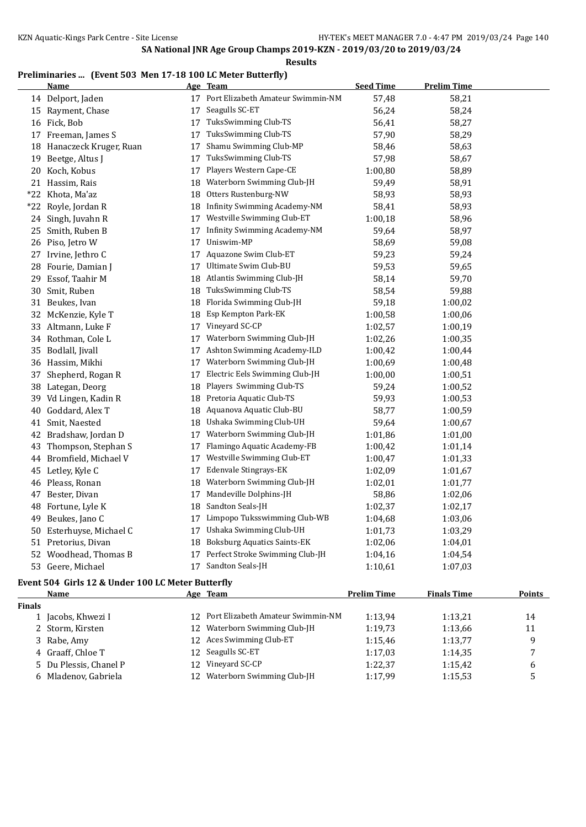**Results**

## **Preliminaries ... (Event 503 Men 17-18 100 LC Meter Butterfly)**

|    | <b>Name</b>                                       |    | <u>Age Team</u>                      | <b>Seed Time</b> | <b>Prelim Time</b> |  |  |  |
|----|---------------------------------------------------|----|--------------------------------------|------------------|--------------------|--|--|--|
|    | 14 Delport, Jaden                                 |    | 17 Port Elizabeth Amateur Swimmin-NM | 57,48            | 58,21              |  |  |  |
|    | 15 Rayment, Chase                                 | 17 | Seagulls SC-ET                       | 56,24            | 58,24              |  |  |  |
|    | 16 Fick, Bob                                      | 17 | TuksSwimming Club-TS                 | 56,41            | 58,27              |  |  |  |
|    | 17 Freeman, James S                               | 17 | TuksSwimming Club-TS                 | 57,90            | 58,29              |  |  |  |
|    | 18 Hanaczeck Kruger, Ruan                         | 17 | Shamu Swimming Club-MP               | 58,46            | 58,63              |  |  |  |
| 19 | Beetge, Altus J                                   | 17 | TuksSwimming Club-TS                 | 57,98            | 58,67              |  |  |  |
|    | 20 Koch, Kobus                                    | 17 | Players Western Cape-CE              | 1:00,80          | 58,89              |  |  |  |
|    | 21 Hassim, Rais                                   | 18 | Waterborn Swimming Club-JH           | 59,49            | 58,91              |  |  |  |
|    | *22 Khota, Ma'az                                  | 18 | Otters Rustenburg-NW                 | 58,93            | 58,93              |  |  |  |
|    | *22 Royle, Jordan R                               | 18 | Infinity Swimming Academy-NM         | 58,41            | 58,93              |  |  |  |
|    | 24 Singh, Juvahn R                                | 17 | Westville Swimming Club-ET           | 1:00,18          | 58,96              |  |  |  |
|    | 25 Smith, Ruben B                                 | 17 | Infinity Swimming Academy-NM         | 59,64            | 58,97              |  |  |  |
|    | 26 Piso, Jetro W                                  | 17 | Uniswim-MP                           | 58,69            | 59,08              |  |  |  |
|    | 27 Irvine, Jethro C                               | 17 | Aquazone Swim Club-ET                | 59,23            | 59,24              |  |  |  |
|    | 28 Fourie, Damian J                               | 17 | Ultimate Swim Club-BU                | 59,53            | 59,65              |  |  |  |
| 29 | Essof, Taahir M                                   | 18 | Atlantis Swimming Club-JH            | 58,14            | 59,70              |  |  |  |
| 30 | Smit, Ruben                                       | 18 | TuksSwimming Club-TS                 | 58,54            | 59,88              |  |  |  |
|    | 31 Beukes, Ivan                                   | 18 | Florida Swimming Club-JH             | 59,18            | 1:00,02            |  |  |  |
|    | 32 McKenzie, Kyle T                               | 18 | Esp Kempton Park-EK                  | 1:00,58          | 1:00,06            |  |  |  |
|    | 33 Altmann, Luke F                                | 17 | Vineyard SC-CP                       | 1:02,57          | 1:00,19            |  |  |  |
|    | 34 Rothman, Cole L                                | 17 | Waterborn Swimming Club-JH           | 1:02,26          | 1:00,35            |  |  |  |
|    | 35 Bodlall, Jivall                                | 17 | Ashton Swimming Academy-ILD          | 1:00,42          | 1:00,44            |  |  |  |
|    | 36 Hassim, Mikhi                                  | 17 | Waterborn Swimming Club-JH           | 1:00,69          | 1:00,48            |  |  |  |
| 37 | Shepherd, Rogan R                                 | 17 | Electric Eels Swimming Club-JH       | 1:00,00          | 1:00,51            |  |  |  |
|    | 38 Lategan, Deorg                                 | 18 | Players Swimming Club-TS             | 59,24            | 1:00,52            |  |  |  |
|    | 39 Vd Lingen, Kadin R                             | 18 | Pretoria Aquatic Club-TS             | 59,93            | 1:00,53            |  |  |  |
| 40 | Goddard, Alex T                                   | 18 | Aquanova Aquatic Club-BU             | 58,77            | 1:00,59            |  |  |  |
| 41 | Smit, Naested                                     | 18 | Ushaka Swimming Club-UH              | 59,64            | 1:00,67            |  |  |  |
|    | 42 Bradshaw, Jordan D                             | 17 | Waterborn Swimming Club-JH           | 1:01,86          | 1:01,00            |  |  |  |
| 43 | Thompson, Stephan S                               | 17 | Flamingo Aquatic Academy-FB          | 1:00,42          | 1:01,14            |  |  |  |
|    | 44 Bromfield, Michael V                           | 17 | Westville Swimming Club-ET           | 1:00,47          | 1:01,33            |  |  |  |
|    | 45 Letley, Kyle C                                 | 17 | Edenvale Stingrays-EK                | 1:02,09          | 1:01,67            |  |  |  |
|    | 46 Pleass, Ronan                                  | 18 | Waterborn Swimming Club-JH           | 1:02,01          | 1:01,77            |  |  |  |
|    | 47 Bester, Divan                                  | 17 | Mandeville Dolphins-JH               | 58,86            | 1:02,06            |  |  |  |
|    | 48 Fortune, Lyle K                                | 18 | Sandton Seals-JH                     | 1:02,37          | 1:02,17            |  |  |  |
| 49 | Beukes, Jano C                                    | 17 | Limpopo Tuksswimming Club-WB         | 1:04,68          | 1:03,06            |  |  |  |
|    | 50 Esterhuyse, Michael C                          | 17 | Ushaka Swimming Club-UH              | 1:01,73          | 1:03,29            |  |  |  |
|    | 51 Pretorius, Divan                               | 18 | <b>Boksburg Aquatics Saints-EK</b>   | 1:02,06          | 1:04,01            |  |  |  |
|    | 52 Woodhead, Thomas B                             | 17 | Perfect Stroke Swimming Club-JH      | 1:04,16          | 1:04,54            |  |  |  |
|    | 53 Geere, Michael                                 |    | 17 Sandton Seals-JH                  | 1:10,61          | 1:07,03            |  |  |  |
|    | Event 504 Girls 12 & Under 100 LC Meter Butterfly |    |                                      |                  |                    |  |  |  |

|               | Name                   |     | Age Team                             | <b>Prelim Time</b> | <b>Finals Time</b> | <b>Points</b> |
|---------------|------------------------|-----|--------------------------------------|--------------------|--------------------|---------------|
| <b>Finals</b> |                        |     |                                      |                    |                    |               |
|               | 1 Jacobs, Khwezi I     |     | 12 Port Elizabeth Amateur Swimmin-NM | 1:13.94            | 1:13,21            | 14            |
|               | 2 Storm, Kirsten       |     | 12 Waterborn Swimming Club-JH        | 1:19.73            | 1:13,66            | 11            |
|               | 3 Rabe, Amy            |     | 12 Aces Swimming Club-ET             | 1:15.46            | 1:13.77            | a             |
|               | 4 Graaff, Chloe T      |     | 12 Seagulls SC-ET                    | 1:17.03            | 1:14.35            | 7             |
|               | 5 Du Plessis, Chanel P | 12. | Vineyard SC-CP                       | 1:22.37            | 1:15.42            | b             |
|               | 6 Mladenov, Gabriela   |     | 12 Waterborn Swimming Club-JH        | 1:17.99            | 1:15.53            | . .           |
|               |                        |     |                                      |                    |                    |               |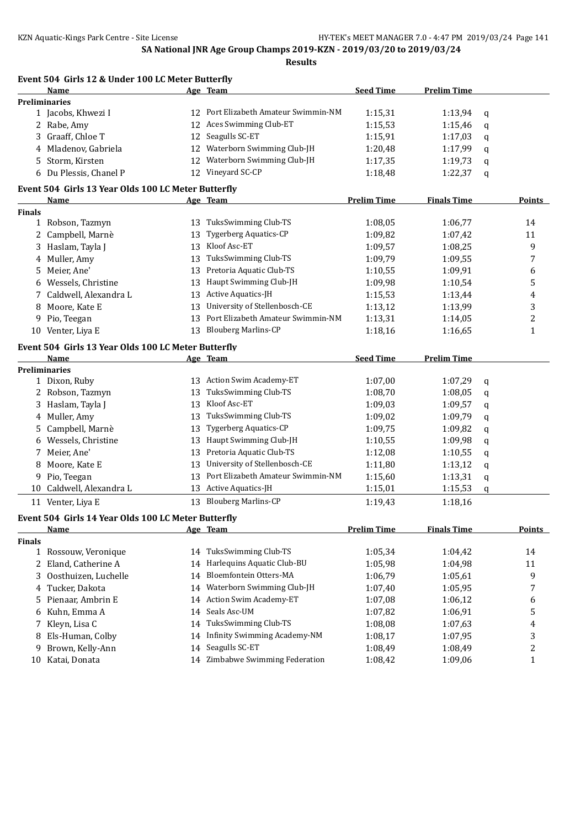|               | Event 504 Girls 12 & Under 100 LC Meter Butterfly   |    |                                     |                    |                    |   |                         |
|---------------|-----------------------------------------------------|----|-------------------------------------|--------------------|--------------------|---|-------------------------|
|               | Name                                                |    | Age Team                            | <b>Seed Time</b>   | <b>Prelim Time</b> |   |                         |
|               | <b>Preliminaries</b>                                |    |                                     |                    |                    |   |                         |
|               | 1 Jacobs, Khwezi I                                  | 12 | Port Elizabeth Amateur Swimmin-NM   | 1:15,31            | 1:13,94            | q |                         |
|               | 2 Rabe, Amy                                         | 12 | Aces Swimming Club-ET               | 1:15,53            | 1:15,46            | q |                         |
|               | 3 Graaff, Chloe T                                   | 12 | Seagulls SC-ET                      | 1:15,91            | 1:17,03            | q |                         |
|               | 4 Mladenov, Gabriela                                | 12 | Waterborn Swimming Club-JH          | 1:20,48            | 1:17,99            | q |                         |
| 5             | Storm, Kirsten                                      | 12 | Waterborn Swimming Club-JH          | 1:17,35            | 1:19,73            | q |                         |
|               | 6 Du Plessis, Chanel P                              |    | 12 Vineyard SC-CP                   | 1:18,48            | 1:22,37            | q |                         |
|               | Event 504 Girls 13 Year Olds 100 LC Meter Butterfly |    |                                     |                    |                    |   |                         |
|               | Name                                                |    | Age Team                            | <b>Prelim Time</b> | <b>Finals Time</b> |   | Points                  |
| Finals        |                                                     |    |                                     |                    |                    |   |                         |
|               | 1 Robson, Tazmyn                                    | 13 | TuksSwimming Club-TS                | 1:08,05            | 1:06,77            |   | 14                      |
|               | 2 Campbell, Marnè                                   | 13 | Tygerberg Aquatics-CP               | 1:09,82            | 1:07,42            |   | 11                      |
| 3             | Haslam, Tayla J                                     | 13 | Kloof Asc-ET                        | 1:09,57            | 1:08,25            |   | 9                       |
|               | 4 Muller, Amy                                       | 13 | TuksSwimming Club-TS                | 1:09,79            | 1:09,55            |   | 7                       |
| 5.            | Meier, Ane'                                         | 13 | Pretoria Aquatic Club-TS            | 1:10,55            | 1:09,91            |   | 6                       |
|               | 6 Wessels, Christine                                | 13 | Haupt Swimming Club-JH              | 1:09,98            | 1:10,54            |   | 5                       |
| 7             | Caldwell, Alexandra L                               | 13 | Active Aquatics-JH                  | 1:15,53            | 1:13,44            |   | 4                       |
| 8             | Moore, Kate E                                       | 13 | University of Stellenbosch-CE       | 1:13,12            | 1:13,99            |   | 3                       |
| 9             | Pio, Teegan                                         | 13 | Port Elizabeth Amateur Swimmin-NM   | 1:13,31            | 1:14,05            |   | $\overline{c}$          |
|               | 10 Venter, Liya E                                   | 13 | <b>Blouberg Marlins-CP</b>          | 1:18,16            | 1:16,65            |   | $\mathbf{1}$            |
|               | Event 504 Girls 13 Year Olds 100 LC Meter Butterfly |    |                                     |                    |                    |   |                         |
|               | Name                                                |    | Age Team                            | <b>Seed Time</b>   | <b>Prelim Time</b> |   |                         |
|               | <b>Preliminaries</b>                                |    |                                     |                    |                    |   |                         |
|               | 1 Dixon, Ruby                                       | 13 | Action Swim Academy-ET              | 1:07,00            | 1:07,29            | q |                         |
|               | 2 Robson, Tazmyn                                    | 13 | TuksSwimming Club-TS                | 1:08,70            | 1:08,05            | q |                         |
| 3             | Haslam, Tayla J                                     | 13 | Kloof Asc-ET                        | 1:09,03            | 1:09,57            | q |                         |
| 4             | Muller, Amy                                         | 13 | TuksSwimming Club-TS                | 1:09,02            | 1:09,79            | q |                         |
| 5             | Campbell, Marnè                                     | 13 | Tygerberg Aquatics-CP               | 1:09,75            | 1:09,82            | q |                         |
| 6             | Wessels, Christine                                  | 13 | Haupt Swimming Club-JH              | 1:10,55            | 1:09,98            | q |                         |
| 7             | Meier, Ane'                                         | 13 | Pretoria Aquatic Club-TS            | 1:12,08            | 1:10,55            | q |                         |
| 8             | Moore, Kate E                                       | 13 | University of Stellenbosch-CE       | 1:11,80            | 1:13,12            | q |                         |
| 9             | Pio, Teegan                                         | 13 | Port Elizabeth Amateur Swimmin-NM   | 1:15,60            | 1:13,31            | q |                         |
| 10            | Caldwell, Alexandra L                               | 13 | Active Aquatics-JH                  | 1:15,01            | 1:15,53            | q |                         |
|               | 11 Venter, Liya E                                   |    | 13 Blouberg Marlins-CP              | 1:19,43            | 1:18,16            |   |                         |
|               | Event 504 Girls 14 Year Olds 100 LC Meter Butterfly |    |                                     |                    |                    |   |                         |
|               | <u>Name</u>                                         |    | Age Team                            | <b>Prelim Time</b> | <b>Finals Time</b> |   | <b>Points</b>           |
| <b>Finals</b> |                                                     |    |                                     |                    |                    |   |                         |
|               | 1 Rossouw, Veronique                                |    | 14 TuksSwimming Club-TS             | 1:05,34            | 1:04,42            |   | 14                      |
| 2             | Eland, Catherine A                                  | 14 | Harlequins Aquatic Club-BU          | 1:05,98            | 1:04,98            |   | 11                      |
| 3             | Oosthuizen, Luchelle                                | 14 | Bloemfontein Otters-MA              | 1:06,79            | 1:05,61            |   | 9                       |
| 4             | Tucker, Dakota                                      | 14 | Waterborn Swimming Club-JH          | 1:07,40            | 1:05,95            |   | 7                       |
| 5             | Pienaar, Ambrin E                                   | 14 | Action Swim Academy-ET              | 1:07,08            | 1:06,12            |   | 6                       |
| 6             | Kuhn, Emma A                                        | 14 | Seals Asc-UM                        | 1:07,82            | 1:06,91            |   | 5                       |
| 7             | Kleyn, Lisa C                                       | 14 | TuksSwimming Club-TS                | 1:08,08            | 1:07,63            |   | 4                       |
| 8             | Els-Human, Colby                                    | 14 | <b>Infinity Swimming Academy-NM</b> | 1:08,17            | 1:07,95            |   | 3                       |
| 9             | Brown, Kelly-Ann                                    | 14 | Seagulls SC-ET                      | 1:08,49            | 1:08,49            |   | $\overline{\mathbf{c}}$ |
| 10            | Katai, Donata                                       | 14 | Zimbabwe Swimming Federation        | 1:08,42            | 1:09,06            |   | 1                       |
|               |                                                     |    |                                     |                    |                    |   |                         |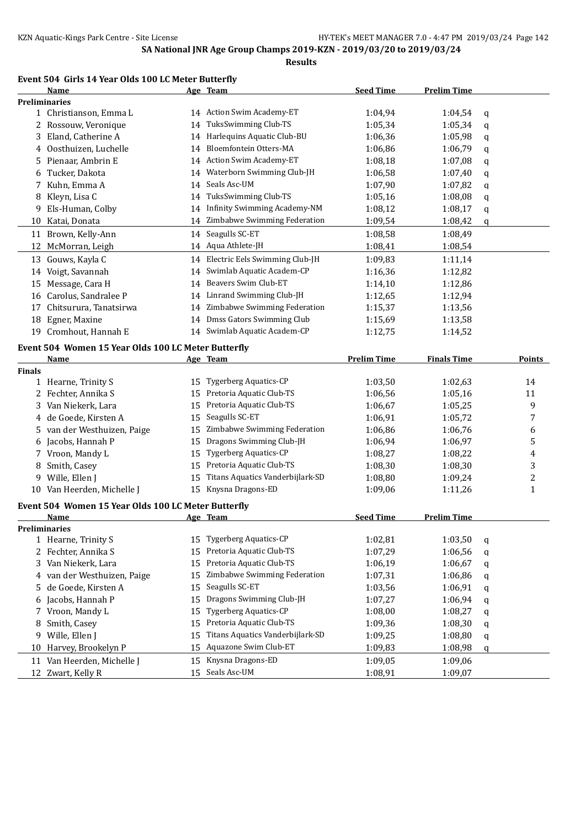#### **Event 504 Girls 14 Year Olds 100 LC Meter Butterfly**

|               | Name                                                        |    | Age Team                            | <b>Seed Time</b>   | <b>Prelim Time</b> |   |                |
|---------------|-------------------------------------------------------------|----|-------------------------------------|--------------------|--------------------|---|----------------|
|               | <b>Preliminaries</b>                                        |    |                                     |                    |                    |   |                |
|               | 1 Christianson, Emma L                                      |    | 14 Action Swim Academy-ET           | 1:04,94            | 1:04,54            | q |                |
|               | 2 Rossouw, Veronique                                        | 14 | TuksSwimming Club-TS                | 1:05,34            | 1:05,34            | q |                |
| 3             | Eland, Catherine A                                          | 14 | Harlequins Aquatic Club-BU          | 1:06,36            | 1:05,98            | q |                |
| 4             | Oosthuizen, Luchelle                                        | 14 | Bloemfontein Otters-MA              | 1:06,86            | 1:06,79            | q |                |
| 5.            | Pienaar, Ambrin E                                           | 14 | Action Swim Academy-ET              | 1:08,18            | 1:07,08            | q |                |
| 6             | Tucker, Dakota                                              | 14 | Waterborn Swimming Club-JH          | 1:06,58            | 1:07,40            | q |                |
| 7             | Kuhn, Emma A                                                | 14 | Seals Asc-UM                        | 1:07,90            | 1:07,82            | q |                |
| 8             | Kleyn, Lisa C                                               | 14 | TuksSwimming Club-TS                | 1:05,16            | 1:08,08            | q |                |
| 9             | Els-Human, Colby                                            | 14 | <b>Infinity Swimming Academy-NM</b> | 1:08,12            | 1:08,17            | q |                |
| 10            | Katai, Donata                                               | 14 | Zimbabwe Swimming Federation        | 1:09,54            | 1:08,42            | q |                |
|               | 11 Brown, Kelly-Ann                                         | 14 | Seagulls SC-ET                      | 1:08,58            | 1:08,49            |   |                |
| 12            | McMorran, Leigh                                             |    | 14 Aqua Athlete-JH                  | 1:08,41            | 1:08,54            |   |                |
|               | 13 Gouws, Kayla C                                           |    | 14 Electric Eels Swimming Club-JH   | 1:09,83            | 1:11,14            |   |                |
| 14            | Voigt, Savannah                                             | 14 | Swimlab Aquatic Academ-CP           | 1:16,36            | 1:12,82            |   |                |
|               | 15 Message, Cara H                                          | 14 | Beavers Swim Club-ET                | 1:14,10            | 1:12,86            |   |                |
|               | 16 Carolus, Sandralee P                                     | 14 | Linrand Swimming Club-JH            | 1:12,65            | 1:12,94            |   |                |
| 17            | Chitsurura, Tanatsirwa                                      | 14 | Zimbabwe Swimming Federation        | 1:15,37            | 1:13,56            |   |                |
| 18            | Egner, Maxine                                               | 14 | Dmss Gators Swimming Club           | 1:15,69            | 1:13,58            |   |                |
|               | 19 Cromhout, Hannah E                                       |    | 14 Swimlab Aquatic Academ-CP        | 1:12,75            | 1:14,52            |   |                |
|               |                                                             |    |                                     |                    |                    |   |                |
|               | Event 504 Women 15 Year Olds 100 LC Meter Butterfly<br>Name |    | Age Team                            | <b>Prelim Time</b> | <b>Finals Time</b> |   | Points         |
| <b>Finals</b> |                                                             |    |                                     |                    |                    |   |                |
|               | 1 Hearne, Trinity S                                         | 15 | <b>Tygerberg Aquatics-CP</b>        | 1:03,50            | 1:02,63            |   | 14             |
|               | 2 Fechter, Annika S                                         | 15 | Pretoria Aquatic Club-TS            | 1:06,56            | 1:05,16            |   | 11             |
| 3.            | Van Niekerk, Lara                                           | 15 | Pretoria Aquatic Club-TS            | 1:06,67            | 1:05,25            |   | 9              |
| 4             | de Goede, Kirsten A                                         | 15 | Seagulls SC-ET                      | 1:06,91            | 1:05,72            |   | 7              |
| 5.            | van der Westhuizen, Paige                                   | 15 | Zimbabwe Swimming Federation        | 1:06,86            | 1:06,76            |   | 6              |
| 6             | Jacobs, Hannah P                                            | 15 | Dragons Swimming Club-JH            | 1:06,94            | 1:06,97            |   | 5              |
| 7             | Vroon, Mandy L                                              | 15 | <b>Tygerberg Aquatics-CP</b>        | 1:08,27            | 1:08,22            |   | 4              |
| 8             | Smith, Casey                                                | 15 | Pretoria Aquatic Club-TS            | 1:08,30            | 1:08,30            |   | 3              |
| 9             | Wille, Ellen J                                              | 15 | Titans Aquatics Vanderbijlark-SD    | 1:08,80            | 1:09,24            |   | $\overline{c}$ |
|               | 10 Van Heerden, Michelle J                                  | 15 | Knysna Dragons-ED                   | 1:09,06            | 1:11,26            |   | $\mathbf{1}$   |
|               |                                                             |    |                                     |                    |                    |   |                |
|               | Event 504 Women 15 Year Olds 100 LC Meter Butterfly         |    |                                     |                    |                    |   |                |
|               | Name                                                        |    | Age Team                            | <b>Seed Time</b>   | <b>Prelim Time</b> |   |                |
|               | <b>Preliminaries</b>                                        |    | <b>Tygerberg Aquatics-CP</b>        |                    |                    |   |                |
|               | 1 Hearne, Trinity S                                         | 15 |                                     | 1:02,81            | 1:03,50            | q |                |
| 2             | Fechter, Annika S                                           | 15 | Pretoria Aquatic Club-TS            | 1:07,29            | 1:06,56            | q |                |
| 3             | Van Niekerk, Lara                                           | 15 | Pretoria Aquatic Club-TS            | 1:06,19            | 1:06,67            | q |                |
| 4             | van der Westhuizen, Paige                                   | 15 | Zimbabwe Swimming Federation        | 1:07,31            | 1:06,86            | q |                |
| 5             | de Goede, Kirsten A                                         | 15 | Seagulls SC-ET                      | 1:03,56            | 1:06,91            | q |                |
| 6             | Jacobs, Hannah P                                            | 15 | Dragons Swimming Club-JH            | 1:07,27            | 1:06,94            | q |                |
| 7             | Vroon, Mandy L                                              | 15 | <b>Tygerberg Aquatics-CP</b>        | 1:08,00            | 1:08,27            | q |                |
| 8             | Smith, Casey                                                | 15 | Pretoria Aquatic Club-TS            | 1:09,36            | 1:08,30            | q |                |
| 9             | Wille, Ellen J                                              | 15 | Titans Aquatics Vanderbijlark-SD    | 1:09,25            | 1:08,80            | q |                |
| 10            | Harvey, Brookelyn P                                         | 15 | Aquazone Swim Club-ET               | 1:09,83            | 1:08,98            | q |                |
|               | 11 Van Heerden, Michelle J                                  | 15 | Knysna Dragons-ED                   | 1:09,05            | 1:09,06            |   |                |
|               | 12 Zwart, Kelly R                                           | 15 | Seals Asc-UM                        | 1:08,91            | 1:09,07            |   |                |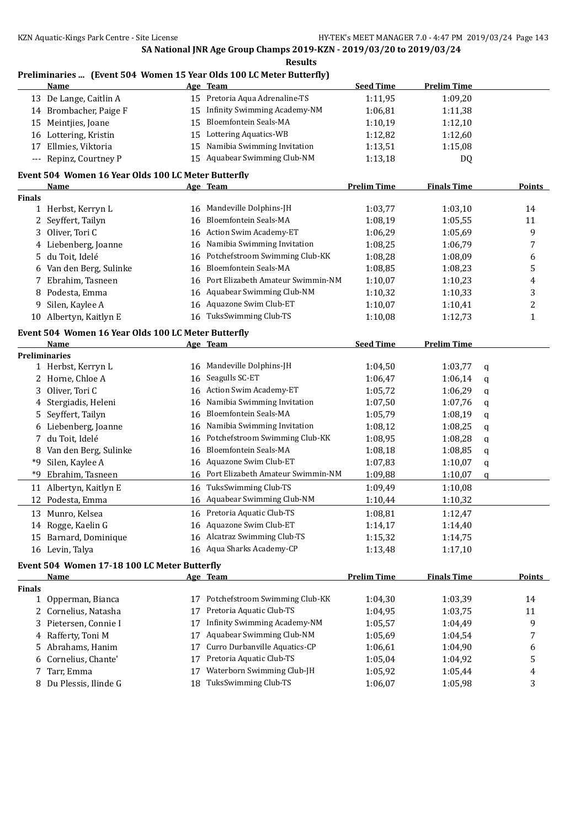#### **Preliminaries ... (Event 504 Women 15 Year Olds 100 LC Meter Butterfly) Name Age Team Seed Time Prelim Time**

|               | <u>name</u>                                         | <u>Age</u> | <b>ream</b>                         | <u>seea rime</u>   | <u>Prelim Time</u> |   |               |
|---------------|-----------------------------------------------------|------------|-------------------------------------|--------------------|--------------------|---|---------------|
|               | 13 De Lange, Caitlin A                              |            | 15 Pretoria Aqua Adrenaline-TS      | 1:11,95            | 1:09,20            |   |               |
|               | 14 Brombacher, Paige F                              | 15         | <b>Infinity Swimming Academy-NM</b> | 1:06,81            | 1:11,38            |   |               |
| 15            | Meintjies, Joane                                    | 15         | Bloemfontein Seals-MA               | 1:10,19            | 1:12,10            |   |               |
|               | 16 Lottering, Kristin                               | 15         | Lottering Aquatics-WB               | 1:12,82            | 1:12,60            |   |               |
| 17            | Ellmies, Viktoria                                   | 15         | Namibia Swimming Invitation         | 1:13,51            | 1:15,08            |   |               |
| $---$         | Repinz, Courtney P                                  |            | 15 Aquabear Swimming Club-NM        | 1:13,18            | DQ                 |   |               |
|               | Event 504 Women 16 Year Olds 100 LC Meter Butterfly |            |                                     |                    |                    |   |               |
|               | Name                                                |            | Age Team                            | <b>Prelim Time</b> | <b>Finals Time</b> |   | <b>Points</b> |
| <b>Finals</b> |                                                     |            |                                     |                    |                    |   |               |
|               | 1 Herbst, Kerryn L                                  | 16         | Mandeville Dolphins-JH              | 1:03,77            | 1:03,10            |   | 14            |
|               | 2 Seyffert, Tailyn                                  | 16         | <b>Bloemfontein Seals-MA</b>        | 1:08,19            | 1:05,55            |   | 11            |
| 3             | Oliver, Tori C                                      | 16         | Action Swim Academy-ET              | 1:06,29            | 1:05,69            |   | 9             |
| 4             | Liebenberg, Joanne                                  | 16         | Namibia Swimming Invitation         | 1:08,25            | 1:06,79            |   | 7             |
| 5.            | du Toit, Idelé                                      | 16         | Potchefstroom Swimming Club-KK      | 1:08,28            | 1:08,09            |   | 6             |
|               | Van den Berg, Sulinke                               | 16         | Bloemfontein Seals-MA               | 1:08,85            | 1:08,23            |   | 5             |
| 7             | Ebrahim, Tasneen                                    | 16         | Port Elizabeth Amateur Swimmin-NM   | 1:10,07            | 1:10,23            |   | 4             |
| 8             | Podesta, Emma                                       | 16         | Aquabear Swimming Club-NM           | 1:10,32            | 1:10,33            |   | 3             |
| 9             | Silen, Kaylee A                                     | 16         | Aquazone Swim Club-ET               | 1:10,07            | 1:10,41            |   | 2             |
|               | 10 Albertyn, Kaitlyn E                              | 16         | TuksSwimming Club-TS                | 1:10,08            | 1:12,73            |   | $\mathbf{1}$  |
|               | Event 504 Women 16 Year Olds 100 LC Meter Butterfly |            |                                     |                    |                    |   |               |
|               | <b>Name</b>                                         |            | Age Team                            | <b>Seed Time</b>   | <b>Prelim Time</b> |   |               |
|               | <b>Preliminaries</b>                                |            |                                     |                    |                    |   |               |
|               | 1 Herbst, Kerryn L                                  | 16         | Mandeville Dolphins-JH              | 1:04,50            | 1:03,77            | q |               |
|               | 2 Horne, Chloe A                                    | 16         | Seagulls SC-ET                      | 1:06,47            | 1:06,14            | q |               |
| 3             | Oliver, Tori C                                      | 16         | Action Swim Academy-ET              | 1:05,72            | 1:06,29            | q |               |
| 4             | Stergiadis, Heleni                                  | 16         | Namibia Swimming Invitation         | 1:07,50            | 1:07,76            | q |               |
| 5             | Seyffert, Tailyn                                    | 16         | <b>Bloemfontein Seals-MA</b>        | 1:05,79            | 1:08,19            | q |               |
| 6             | Liebenberg, Joanne                                  | 16         | Namibia Swimming Invitation         | 1:08,12            | 1:08,25            | q |               |
| 7             | du Toit, Idelé                                      | 16         | Potchefstroom Swimming Club-KK      | 1:08,95            | 1:08,28            | q |               |
| 8             | Van den Berg, Sulinke                               | 16         | Bloemfontein Seals-MA               | 1:08,18            | 1:08,85            | q |               |
| *9            | Silen, Kaylee A                                     | 16         | Aquazone Swim Club-ET               | 1:07,83            | 1:10,07            | q |               |
| *9            | Ebrahim, Tasneen                                    | 16         | Port Elizabeth Amateur Swimmin-NM   | 1:09,88            | 1:10,07            | q |               |
|               | 11 Albertyn, Kaitlyn E                              | 16         | TuksSwimming Club-TS                | 1:09,49            | 1:10,08            |   |               |
| 12            | Podesta, Emma                                       | 16         | Aquabear Swimming Club-NM           | 1:10,44            | 1:10,32            |   |               |
|               | 13 Munro, Kelsea                                    |            | 16 Pretoria Aquatic Club-TS         | 1:08,81            | 1:12,47            |   |               |
|               | 14 Rogge, Kaelin G                                  |            | 16 Aquazone Swim Club-ET            | 1:14,17            | 1:14,40            |   |               |
|               | 15 Barnard, Dominique                               |            | 16 Alcatraz Swimming Club-TS        | 1:15,32            | 1:14,75            |   |               |
|               | 16 Levin, Talya                                     |            | 16 Aqua Sharks Academy-CP           | 1:13,48            | 1:17,10            |   |               |
|               | Event 504 Women 17-18 100 LC Meter Butterfly        |            |                                     |                    |                    |   |               |
|               | <u>Name</u>                                         |            | Age Team                            | <b>Prelim Time</b> | <b>Finals Time</b> |   | <b>Points</b> |
| <b>Finals</b> |                                                     |            |                                     |                    |                    |   |               |
|               | 1 Opperman, Bianca                                  |            | 17 Potchefstroom Swimming Club-KK   | 1:04,30            | 1:03,39            |   | 14            |
|               | 2 Cornelius, Natasha                                | 17         | Pretoria Aquatic Club-TS            | 1:04,95            | 1:03,75            |   | 11            |
| 3             | Pietersen, Connie I                                 | 17         | <b>Infinity Swimming Academy-NM</b> | 1:05,57            | 1:04,49            |   | 9             |
|               | 4 Rafferty, Toni M                                  | 17         | Aquabear Swimming Club-NM           | 1:05,69            | 1:04,54            |   | 7             |
| 5.            | Abrahams, Hanim                                     | 17         | Curro Durbanville Aquatics-CP       | 1:06,61            | 1:04,90            |   | 6             |
|               | Cornelius, Chante'                                  | 17         | Pretoria Aquatic Club-TS            | 1:05,04            | 1:04,92            |   | 5             |
| 7.            | Tarr, Emma                                          | 17         | Waterborn Swimming Club-JH          | 1:05,92            | 1:05,44            |   | 4             |
|               | 8 Du Plessis, Ilinde G                              | 18         | TuksSwimming Club-TS                | 1:06,07            | 1:05,98            |   | 3             |
|               |                                                     |            |                                     |                    |                    |   |               |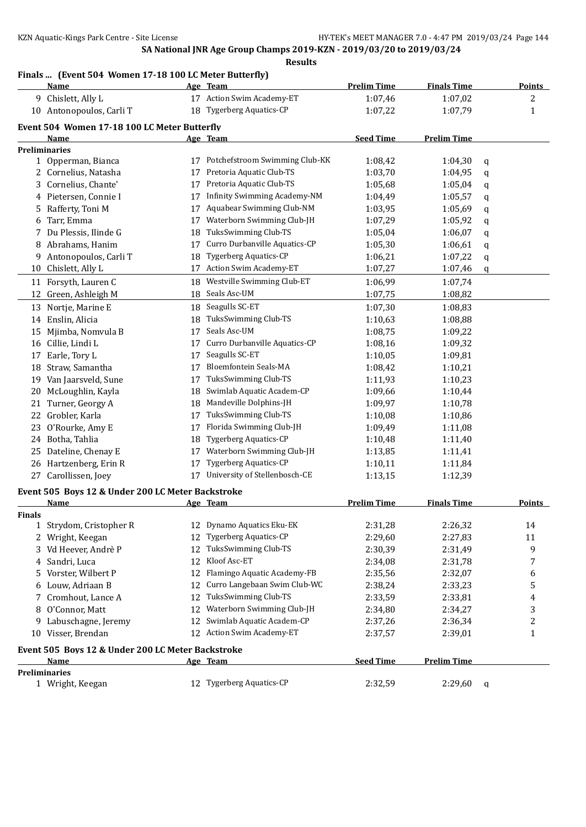## **Finals ... (Event 504 Women 17-18 100 LC Meter Butterfly)**

|        | <u>Name</u>                                       |    | Age Team                                                  | <b>Prelim Time</b> | <b>Finals Time</b> |   | <b>Points</b>  |
|--------|---------------------------------------------------|----|-----------------------------------------------------------|--------------------|--------------------|---|----------------|
|        | 9 Chislett, Ally L                                |    | 17 Action Swim Academy-ET                                 | 1:07,46            | 1:07,02            |   | 2              |
|        | 10 Antonopoulos, Carli T                          |    | 18 Tygerberg Aquatics-CP                                  | 1:07,22            | 1:07,79            |   | 1              |
|        | Event 504 Women 17-18 100 LC Meter Butterfly      |    |                                                           |                    |                    |   |                |
|        | Name                                              |    | Age Team                                                  | <b>Seed Time</b>   | <b>Prelim Time</b> |   |                |
|        | <b>Preliminaries</b>                              |    |                                                           |                    |                    |   |                |
|        | 1 Opperman, Bianca                                |    | 17 Potchefstroom Swimming Club-KK                         | 1:08,42            | 1:04,30            | q |                |
|        | 2 Cornelius, Natasha                              | 17 | Pretoria Aquatic Club-TS                                  | 1:03,70            | 1:04,95            | q |                |
| 3      | Cornelius, Chante'                                | 17 | Pretoria Aquatic Club-TS                                  | 1:05,68            | 1:05,04            | q |                |
|        | 4 Pietersen, Connie I                             | 17 | Infinity Swimming Academy-NM                              | 1:04,49            | 1:05,57            | q |                |
| 5.     | Rafferty, Toni M                                  | 17 | Aquabear Swimming Club-NM                                 | 1:03,95            | 1:05,69            | q |                |
| 6      | Tarr, Emma                                        | 17 | Waterborn Swimming Club-JH                                | 1:07,29            | 1:05,92            | q |                |
| 7      | Du Plessis, Ilinde G                              | 18 | TuksSwimming Club-TS                                      | 1:05,04            | 1:06,07            | q |                |
|        | 8 Abrahams, Hanim                                 | 17 | Curro Durbanville Aquatics-CP                             | 1:05,30            | 1:06,61            | q |                |
| 9.     | Antonopoulos, Carli T                             | 18 | <b>Tygerberg Aquatics-CP</b>                              | 1:06,21            | 1:07,22            | q |                |
| 10     | Chislett, Ally L                                  | 17 | Action Swim Academy-ET                                    | 1:07,27            | 1:07,46            | q |                |
| 11     | Forsyth, Lauren C                                 | 18 | Westville Swimming Club-ET                                | 1:06,99            | 1:07,74            |   |                |
| 12     | Green, Ashleigh M                                 | 18 | Seals Asc-UM                                              | 1:07,75            | 1:08,82            |   |                |
|        | 13 Nortje, Marine E                               | 18 | Seagulls SC-ET                                            | 1:07,30            | 1:08,83            |   |                |
|        | 14 Enslin, Alicia                                 | 18 | TuksSwimming Club-TS                                      | 1:10,63            | 1:08,88            |   |                |
| 15     | Mjimba, Nomvula B                                 | 17 | Seals Asc-UM                                              | 1:08,75            | 1:09,22            |   |                |
| 16     | Cillie, Lindi L                                   | 17 | Curro Durbanville Aquatics-CP                             | 1:08,16            | 1:09,32            |   |                |
| 17     | Earle, Tory L                                     | 17 | Seagulls SC-ET                                            | 1:10,05            | 1:09,81            |   |                |
| 18     | Straw, Samantha                                   | 17 | Bloemfontein Seals-MA                                     | 1:08,42            | 1:10,21            |   |                |
| 19     | Van Jaarsveld, Sune                               | 17 | TuksSwimming Club-TS                                      | 1:11,93            | 1:10,23            |   |                |
| 20     | McLoughlin, Kayla                                 | 18 | Swimlab Aquatic Academ-CP                                 | 1:09,66            | 1:10,44            |   |                |
| 21     | Turner, Georgy A                                  | 18 | Mandeville Dolphins-JH                                    | 1:09,97            | 1:10,78            |   |                |
| 22     | Grobler, Karla                                    | 17 | TuksSwimming Club-TS                                      | 1:10,08            | 1:10,86            |   |                |
| 23     | O'Rourke, Amy E                                   | 17 | Florida Swimming Club-JH                                  | 1:09,49            | 1:11,08            |   |                |
|        | 24 Botha, Tahlia                                  | 18 | Tygerberg Aquatics-CP                                     | 1:10,48            | 1:11,40            |   |                |
| 25     | Dateline, Chenay E                                | 17 | Waterborn Swimming Club-JH                                | 1:13,85            | 1:11,41            |   |                |
|        | 26 Hartzenberg, Erin R                            | 17 | <b>Tygerberg Aquatics-CP</b>                              |                    |                    |   |                |
|        |                                                   |    | 17 University of Stellenbosch-CE                          | 1:10,11            | 1:11,84            |   |                |
|        | 27 Carollissen, Joey                              |    |                                                           | 1:13,15            | 1:12,39            |   |                |
|        | Event 505 Boys 12 & Under 200 LC Meter Backstroke |    |                                                           |                    |                    |   |                |
|        | Name                                              |    | Age Team                                                  | <b>Prelim Time</b> | <b>Finals Time</b> |   | Points         |
| Finals |                                                   |    |                                                           |                    |                    |   |                |
|        | 1 Strydom, Cristopher R                           |    | 12 Dynamo Aquatics Eku-EK<br><b>Tygerberg Aquatics-CP</b> | 2:31,28            | 2:26,32            |   | 14             |
|        | 2 Wright, Keegan                                  | 12 |                                                           | 2:29,60            | 2:27,83            |   | 11             |
|        | 3 Vd Heever, Andrè P                              | 12 | TuksSwimming Club-TS                                      | 2:30,39            | 2:31,49            |   | 9              |
| 4      | Sandri, Luca                                      | 12 | Kloof Asc-ET                                              | 2:34,08            | 2:31,78            |   | 7              |
| 5.     | Vorster, Wilbert P                                | 12 | Flamingo Aquatic Academy-FB                               | 2:35,56            | 2:32,07            |   | 6              |
|        | 6 Louw, Adriaan B                                 | 12 | Curro Langebaan Swim Club-WC                              | 2:38,24            | 2:33,23            |   | 5              |
|        | 7 Cromhout, Lance A                               | 12 | TuksSwimming Club-TS<br>Waterborn Swimming Club-JH        | 2:33,59            | 2:33,81            |   | 4              |
|        | 8 O'Connor, Matt                                  | 12 |                                                           | 2:34,80            | 2:34,27            |   | 3              |
|        | 9 Labuschagne, Jeremy                             | 12 | Swimlab Aquatic Academ-CP                                 | 2:37,26            | 2:36,34            |   | $\overline{c}$ |
|        | 10 Visser, Brendan                                |    | 12 Action Swim Academy-ET                                 | 2:37,57            | 2:39,01            |   | $\mathbf{1}$   |
|        | Event 505 Boys 12 & Under 200 LC Meter Backstroke |    |                                                           |                    |                    |   |                |
|        | <u>Name</u>                                       |    | Age Team                                                  | <b>Seed Time</b>   | <b>Prelim Time</b> |   |                |
|        | Preliminaries                                     |    |                                                           |                    |                    |   |                |
|        | 1 Wright, Keegan                                  |    | 12 Tygerberg Aquatics-CP                                  | 2:32,59            | 2:29,60            | q |                |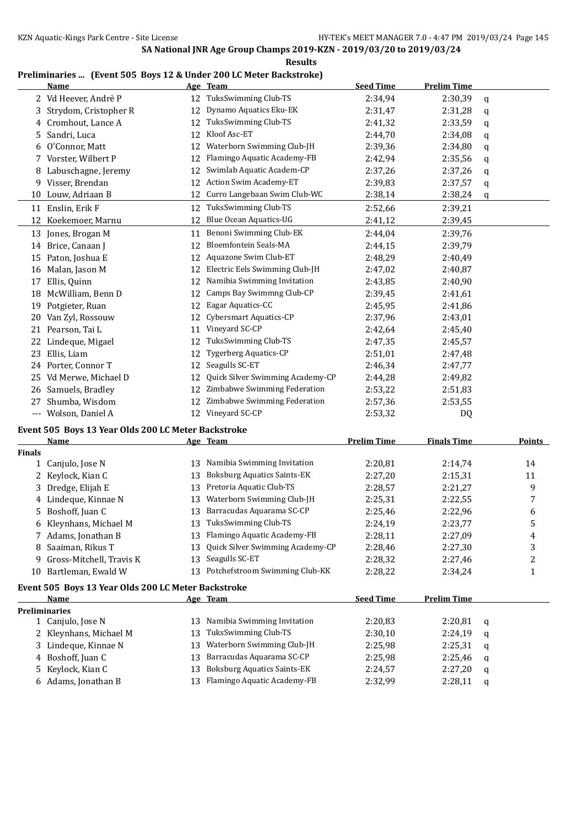# **Preliminaries ... (Event 505 Boys 12 & Under 200 LC Meter Backstroke)**

|               | <b>Name</b>                                         |    | Age Team                           | <b>Seed Time</b>   | <b>Prelim Time</b> |   |               |
|---------------|-----------------------------------------------------|----|------------------------------------|--------------------|--------------------|---|---------------|
|               | 2 Vd Heever, Andrè P                                |    | 12 TuksSwimming Club-TS            | 2:34,94            | 2:30,39            | q |               |
| 3             | Strydom, Cristopher R                               |    | 12 Dynamo Aquatics Eku-EK          | 2:31,47            | 2:31,28            | q |               |
| 4             | Cromhout, Lance A                                   |    | 12 TuksSwimming Club-TS            | 2:41,32            | 2:33,59            | q |               |
| 5             | Sandri, Luca                                        |    | 12 Kloof Asc-ET                    | 2:44,70            | 2:34,08            | q |               |
| 6             | O'Connor, Matt                                      |    | 12 Waterborn Swimming Club-JH      | 2:39,36            | 2:34,80            | q |               |
| 7             | Vorster, Wilbert P                                  | 12 | Flamingo Aquatic Academy-FB        | 2:42,94            | 2:35,56            | q |               |
| 8             | Labuschagne, Jeremy                                 | 12 | Swimlab Aquatic Academ-CP          | 2:37,26            | 2:37,26            | q |               |
| 9             | Visser, Brendan                                     | 12 | <b>Action Swim Academy-ET</b>      | 2:39,83            | 2:37,57            | q |               |
| 10            | Louw, Adriaan B                                     | 12 | Curro Langebaan Swim Club-WC       | 2:38,14            | 2:38,24            | q |               |
|               | 11 Enslin, Erik F                                   | 12 | TuksSwimming Club-TS               | 2:52,66            | 2:39,21            |   |               |
|               | 12 Koekemoer, Marnu                                 | 12 | Blue Ocean Aquatics-UG             | 2:41,12            | 2:39,45            |   |               |
|               | 13 Jones, Brogan M                                  | 11 | Benoni Swimming Club-EK            | 2:44,04            | 2:39,76            |   |               |
| 14            | Brice, Canaan J                                     | 12 | Bloemfontein Seals-MA              | 2:44,15            | 2:39,79            |   |               |
|               | 15 Paton, Joshua E                                  | 12 | Aquazone Swim Club-ET              | 2:48,29            | 2:40,49            |   |               |
| 16            | Malan, Jason M                                      | 12 | Electric Eels Swimming Club-JH     | 2:47,02            | 2:40,87            |   |               |
| 17            | Ellis, Quinn                                        | 12 | Namibia Swimming Invitation        | 2:43,85            | 2:40,90            |   |               |
| 18            | McWilliam, Benn D                                   | 12 | Camps Bay Swimmng Club-CP          | 2:39,45            | 2:41,61            |   |               |
| 19            | Potgieter, Ruan                                     | 12 | Eagar Aquatics-CC                  | 2:45,95            | 2:41,86            |   |               |
| 20            | Van Zyl, Rossouw                                    | 12 | <b>Cybersmart Aquatics-CP</b>      | 2:37,96            | 2:43,01            |   |               |
| 21            | Pearson, Tai L                                      | 11 | Vineyard SC-CP                     | 2:42,64            | 2:45,40            |   |               |
| 22            | Lindeque, Migael                                    | 12 | TuksSwimming Club-TS               | 2:47,35            | 2:45,57            |   |               |
| 23            | Ellis, Liam                                         | 12 | Tygerberg Aquatics-CP              | 2:51,01            | 2:47,48            |   |               |
|               | 24 Porter, Connor T                                 | 12 | Seagulls SC-ET                     | 2:46,34            | 2:47,77            |   |               |
| 25.           | Vd Merwe, Michael D                                 | 12 | Quick Silver Swimming Academy-CP   | 2:44,28            | 2:49,82            |   |               |
| 26            | Samuels, Bradley                                    | 12 | Zimbabwe Swimming Federation       | 2:53,22            | 2:51,83            |   |               |
| 27            | Shumba, Wisdom                                      | 12 | Zimbabwe Swimming Federation       | 2:57,36            | 2:53,55            |   |               |
|               | --- Wolson, Daniel A                                |    | 12 Vineyard SC-CP                  | 2:53,32            | DQ                 |   |               |
|               | Event 505 Boys 13 Year Olds 200 LC Meter Backstroke |    |                                    |                    |                    |   |               |
|               | <u>Name</u>                                         |    | Age Team                           | <b>Prelim Time</b> | <b>Finals Time</b> |   | <b>Points</b> |
| <b>Finals</b> |                                                     |    |                                    |                    |                    |   |               |
|               | 1 Canjulo, Jose N                                   | 13 | Namibia Swimming Invitation        | 2:20,81            | 2:14,74            |   | 14            |
| 2             | Keylock, Kian C                                     | 13 | <b>Boksburg Aquatics Saints-EK</b> | 2:27,20            | 2:15,31            |   | 11            |
|               | Dredge, Elijah E                                    | 13 | Pretoria Aquatic Club-TS           | 2:28,57            | 2:21,27            |   | 9             |
| 4             | Lindeque, Kinnae N                                  | 13 | Waterborn Swimming Club-JH         | 2:25,31            | 2:22,55            |   | 7             |
|               | 5 Boshoff, Juan C                                   |    | 13 Barracudas Aquarama SC-CP       | 2:25,46            | 2:22,96            |   | 6             |
|               | 6 Kleynhans, Michael M                              |    | 13 TuksSwimming Club-TS            | 2:24,19            | 2:23,77            |   | 5             |
|               | 7 Adams, Jonathan B                                 | 13 | Flamingo Aquatic Academy-FB        | 2:28,11            | 2:27,09            |   | 4             |
| 8             | Saaiman, Rikus T                                    | 13 | Quick Silver Swimming Academy-CP   | 2:28,46            | 2:27,30            |   | 3             |
| 9             | Gross-Mitchell, Travis K                            | 13 | Seagulls SC-ET                     | 2:28,32            | 2:27,46            |   | 2             |
| 10            | Bartleman, Ewald W                                  |    | 13 Potchefstroom Swimming Club-KK  | 2:28,22            | 2:34,24            |   | 1             |
|               | Event 505 Boys 13 Year Olds 200 LC Meter Backstroke |    |                                    |                    |                    |   |               |
|               | Name                                                |    | Age Team                           | <b>Seed Time</b>   | <b>Prelim Time</b> |   |               |
|               | <b>Preliminaries</b>                                |    |                                    |                    |                    |   |               |
|               | 1 Canjulo, Jose N                                   | 13 | Namibia Swimming Invitation        | 2:20,83            | 2:20,81            | q |               |
|               | Kleynhans, Michael M                                | 13 | TuksSwimming Club-TS               | 2:30,10            | 2:24,19            | q |               |
|               | Lindeque, Kinnae N                                  | 13 | Waterborn Swimming Club-JH         | 2:25,98            | 2:25,31            | q |               |
| 4             | Boshoff, Juan C                                     | 13 | Barracudas Aquarama SC-CP          | 2:25,98            | 2:25,46            | q |               |
| 5             | Keylock, Kian C                                     | 13 | <b>Boksburg Aquatics Saints-EK</b> | 2:24,57            | 2:27,20            | q |               |
|               |                                                     |    | Flamingo Aquatic Academy-FB        |                    |                    |   |               |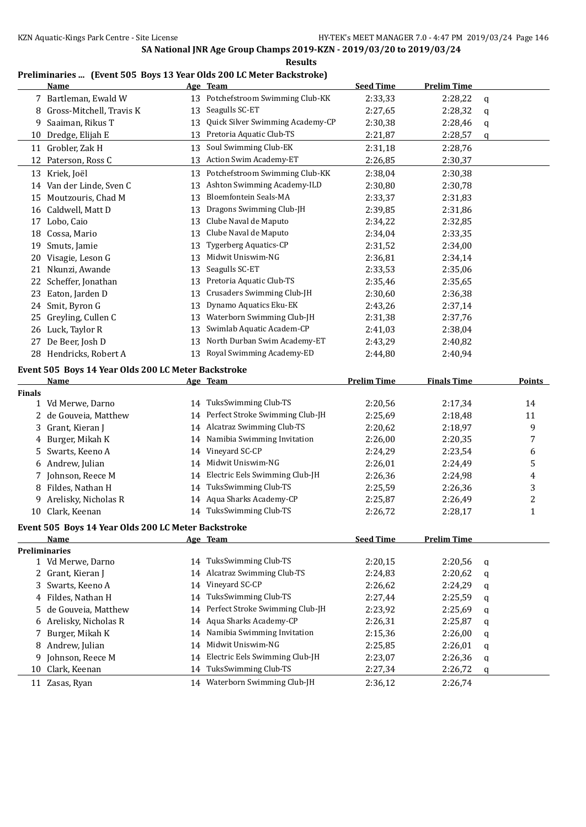# **Preliminaries ... (Event 505 Boys 13 Year Olds 200 LC Meter Backstroke)**

|               | <u>Name</u>                                         |    | Age Team                          | <b>Seed Time</b>   | <b>Prelim Time</b> |   |                         |
|---------------|-----------------------------------------------------|----|-----------------------------------|--------------------|--------------------|---|-------------------------|
|               | 7 Bartleman, Ewald W                                |    | 13 Potchefstroom Swimming Club-KK | 2:33,33            | 2:28,22            | q |                         |
|               | 8 Gross-Mitchell, Travis K                          | 13 | Seagulls SC-ET                    | 2:27,65            | 2:28,32            | q |                         |
| 9             | Saaiman, Rikus T                                    | 13 | Quick Silver Swimming Academy-CP  | 2:30,38            | 2:28,46            | q |                         |
| 10            | Dredge, Elijah E                                    | 13 | Pretoria Aquatic Club-TS          | 2:21,87            | 2:28,57            | q |                         |
|               | 11 Grobler, Zak H                                   | 13 | Soul Swimming Club-EK             | 2:31,18            | 2:28,76            |   |                         |
|               | 12 Paterson, Ross C                                 | 13 | Action Swim Academy-ET            | 2:26,85            | 2:30,37            |   |                         |
|               | 13 Kriek, Joël                                      | 13 | Potchefstroom Swimming Club-KK    | 2:38,04            | 2:30,38            |   |                         |
|               | 14 Van der Linde, Sven C                            | 13 | Ashton Swimming Academy-ILD       | 2:30,80            | 2:30,78            |   |                         |
|               | 15 Moutzouris, Chad M                               | 13 | Bloemfontein Seals-MA             | 2:33,37            | 2:31,83            |   |                         |
|               | 16 Caldwell, Matt D                                 | 13 | Dragons Swimming Club-JH          | 2:39,85            | 2:31,86            |   |                         |
| 17            | Lobo, Caio                                          | 13 | Clube Naval de Maputo             | 2:34,22            | 2:32,85            |   |                         |
|               | 18 Cossa, Mario                                     | 13 | Clube Naval de Maputo             | 2:34,04            | 2:33,35            |   |                         |
| 19            | Smuts, Jamie                                        | 13 | Tygerberg Aquatics-CP             | 2:31,52            | 2:34,00            |   |                         |
|               | 20 Visagie, Leson G                                 | 13 | Midwit Uniswim-NG                 | 2:36,81            | 2:34,14            |   |                         |
| 21            | Nkunzi, Awande                                      | 13 | Seagulls SC-ET                    | 2:33,53            | 2:35,06            |   |                         |
| 22            | Scheffer, Jonathan                                  | 13 | Pretoria Aquatic Club-TS          | 2:35,46            | 2:35,65            |   |                         |
|               | 23 Eaton, Jarden D                                  | 13 | Crusaders Swimming Club-JH        | 2:30,60            | 2:36,38            |   |                         |
| 24            | Smit, Byron G                                       | 13 | Dynamo Aquatics Eku-EK            | 2:43,26            | 2:37,14            |   |                         |
| 25            | Greyling, Cullen C                                  | 13 | Waterborn Swimming Club-JH        | 2:31,38            | 2:37,76            |   |                         |
|               | 26 Luck, Taylor R                                   | 13 | Swimlab Aquatic Academ-CP         | 2:41,03            | 2:38,04            |   |                         |
| 27            | De Beer, Josh D                                     | 13 | North Durban Swim Academy-ET      | 2:43,29            | 2:40,82            |   |                         |
|               | 28 Hendricks, Robert A                              | 13 | Royal Swimming Academy-ED         | 2:44,80            | 2:40,94            |   |                         |
|               |                                                     |    |                                   |                    |                    |   |                         |
|               | Event 505 Boys 14 Year Olds 200 LC Meter Backstroke |    |                                   |                    |                    |   |                         |
| <b>Finals</b> | Name                                                |    | Age Team                          | <b>Prelim Time</b> | <b>Finals Time</b> |   | <b>Points</b>           |
|               | 1 Vd Merwe, Darno                                   | 14 | TuksSwimming Club-TS              | 2:20,56            | 2:17,34            |   | 14                      |
| 2             | de Gouveia, Matthew                                 | 14 | Perfect Stroke Swimming Club-JH   | 2:25,69            | 2:18,48            |   | 11                      |
| 3             | Grant, Kieran J                                     | 14 | Alcatraz Swimming Club-TS         | 2:20,62            | 2:18,97            |   | 9                       |
| 4             | Burger, Mikah K                                     | 14 | Namibia Swimming Invitation       | 2:26,00            | 2:20,35            |   | 7                       |
| 5             | Swarts, Keeno A                                     | 14 | Vineyard SC-CP                    | 2:24,29            | 2:23,54            |   | 6                       |
|               | 6 Andrew, Julian                                    | 14 | Midwit Uniswim-NG                 | 2:26,01            | 2:24,49            |   | 5                       |
| 7             | Johnson, Reece M                                    | 14 | Electric Eels Swimming Club-JH    | 2:26,36            | 2:24,98            |   | 4                       |
|               | 8 Fildes, Nathan H                                  | 14 | TuksSwimming Club-TS              | 2:25,59            | 2:26,36            |   | 3                       |
|               | 9 Arelisky, Nicholas R                              | 14 | Aqua Sharks Academy-CP            | 2:25,87            | 2:26,49            |   | $\overline{\mathbf{c}}$ |
|               | 10 Clark, Keenan                                    |    | 14 TuksSwimming Club-TS           | 2:26,72            | 2:28,17            |   | $\mathbf{1}$            |
|               |                                                     |    |                                   |                    |                    |   |                         |
|               | Event 505 Boys 14 Year Olds 200 LC Meter Backstroke |    |                                   |                    |                    |   |                         |
|               | Name<br><b>Preliminaries</b>                        |    | Age Team                          | <b>Seed Time</b>   | <b>Prelim Time</b> |   |                         |
|               | 1 Vd Merwe, Darno                                   | 14 | TuksSwimming Club-TS              | 2:20,15            | 2:20,56            | q |                         |
|               | 2 Grant, Kieran J                                   | 14 | <b>Alcatraz Swimming Club-TS</b>  | 2:24,83            | 2:20,62            | q |                         |
|               | 3 Swarts, Keeno A                                   | 14 | Vineyard SC-CP                    | 2:26,62            | 2:24,29            | q |                         |
|               | 4 Fildes, Nathan H                                  | 14 | TuksSwimming Club-TS              | 2:27,44            | 2:25,59            |   |                         |
| 5             | de Gouveia, Matthew                                 | 14 | Perfect Stroke Swimming Club-JH   | 2:23,92            | 2:25,69            | q |                         |
|               | 6 Arelisky, Nicholas R                              | 14 | Aqua Sharks Academy-CP            | 2:26,31            | 2:25,87            | q |                         |
|               | 7 Burger, Mikah K                                   | 14 | Namibia Swimming Invitation       | 2:15,36            | 2:26,00            | q |                         |
|               | 8 Andrew, Julian                                    | 14 | Midwit Uniswim-NG                 | 2:25,85            | 2:26,01            | q |                         |
| 9             | Johnson, Reece M                                    | 14 | Electric Eels Swimming Club-JH    | 2:23,07            | 2:26,36            | q |                         |
| 10            | Clark, Keenan                                       | 14 | TuksSwimming Club-TS              | 2:27,34            | 2:26,72            | q |                         |
|               |                                                     |    | 14 Waterborn Swimming Club-JH     |                    |                    | q |                         |
| 11            | Zasas, Ryan                                         |    |                                   | 2:36,12            | 2:26,74            |   |                         |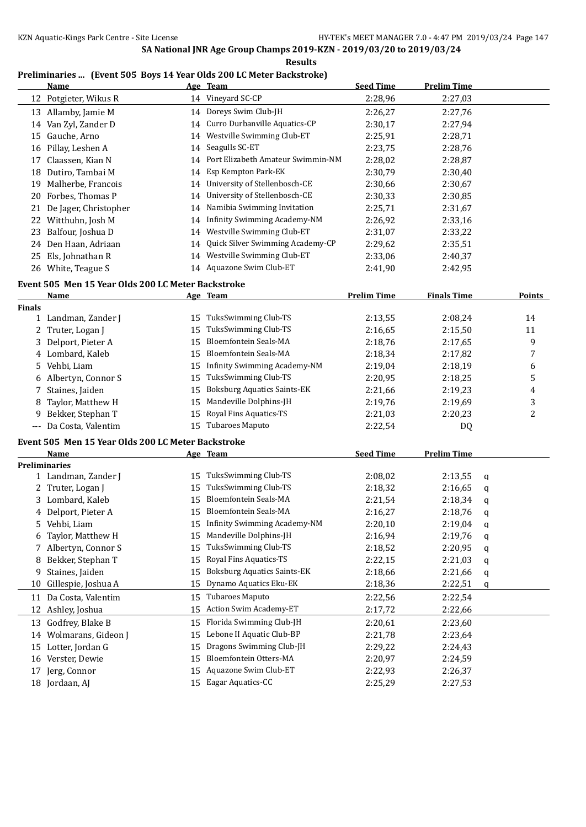**Results**

# **Preliminaries ... (Event 505 Boys 14 Year Olds 200 LC Meter Backstroke)**

|               | <b>Name</b>                                        |    | Age Team                             | <b>Seed Time</b>   | <b>Prelim Time</b> |   |               |
|---------------|----------------------------------------------------|----|--------------------------------------|--------------------|--------------------|---|---------------|
|               | 12 Potgieter, Wikus R                              |    | 14 Vineyard SC-CP                    | 2:28,96            | 2:27,03            |   |               |
|               | 13 Allamby, Jamie M                                |    | 14 Doreys Swim Club-JH               | 2:26,27            | 2:27,76            |   |               |
|               | 14 Van Zyl, Zander D                               | 14 | Curro Durbanville Aquatics-CP        | 2:30,17            | 2:27,94            |   |               |
| 15            | Gauche, Arno                                       |    | 14 Westville Swimming Club-ET        | 2:25,91            | 2:28,71            |   |               |
|               | 16 Pillay, Leshen A                                | 14 | Seagulls SC-ET                       | 2:23,75            | 2:28,76            |   |               |
| 17            | Claassen, Kian N                                   |    | 14 Port Elizabeth Amateur Swimmin-NM | 2:28,02            | 2:28,87            |   |               |
| 18            | Dutiro, Tambai M                                   | 14 | Esp Kempton Park-EK                  | 2:30,79            | 2:30,40            |   |               |
|               | 19 Malherbe, Francois                              |    | 14 University of Stellenbosch-CE     | 2:30,66            | 2:30,67            |   |               |
|               | 20 Forbes, Thomas P                                | 14 | University of Stellenbosch-CE        | 2:30,33            | 2:30,85            |   |               |
| 21            | De Jager, Christopher                              |    | 14 Namibia Swimming Invitation       | 2:25,71            | 2:31,67            |   |               |
|               | 22 Witthuhn, Josh M                                |    | 14 Infinity Swimming Academy-NM      | 2:26,92            | 2:33,16            |   |               |
| 23            | Balfour, Joshua D                                  |    | 14 Westville Swimming Club-ET        | 2:31,07            | 2:33,22            |   |               |
|               | 24 Den Haan, Adriaan                               | 14 | Quick Silver Swimming Academy-CP     | 2:29,62            | 2:35,51            |   |               |
| 25            | Els, Johnathan R                                   |    | 14 Westville Swimming Club-ET        | 2:33,06            | 2:40,37            |   |               |
|               | 26 White, Teague S                                 |    | 14 Aquazone Swim Club-ET             | 2:41,90            | 2:42,95            |   |               |
|               |                                                    |    |                                      |                    |                    |   |               |
|               | Event 505 Men 15 Year Olds 200 LC Meter Backstroke |    |                                      |                    |                    |   |               |
|               | <u>Name</u>                                        |    | Age Team                             | <b>Prelim Time</b> | <b>Finals Time</b> |   | <b>Points</b> |
| <b>Finals</b> | 1 Landman, Zander J                                |    | 15 TuksSwimming Club-TS              | 2:13,55            | 2:08,24            |   | 14            |
|               | 2 Truter, Logan J                                  | 15 | TuksSwimming Club-TS                 | 2:16,65            | 2:15,50            |   | 11            |
|               | 3 Delport, Pieter A                                | 15 | <b>Bloemfontein Seals-MA</b>         | 2:18,76            | 2:17,65            |   | 9             |
|               | 4 Lombard, Kaleb                                   | 15 | <b>Bloemfontein Seals-MA</b>         |                    |                    |   |               |
|               | Vehbi, Liam                                        |    | 15 Infinity Swimming Academy-NM      | 2:18,34            | 2:17,82            |   | 7             |
| 5             |                                                    |    | TuksSwimming Club-TS                 | 2:19,04            | 2:18,19            |   | 6             |
|               | 6 Albertyn, Connor S                               | 15 |                                      | 2:20,95            | 2:18,25            |   | 5             |
| 7             | Staines, Jaiden                                    | 15 | <b>Boksburg Aquatics Saints-EK</b>   | 2:21,66            | 2:19,23            |   | 4             |
| 8             | Taylor, Matthew H                                  | 15 | Mandeville Dolphins-JH               | 2:19,76            | 2:19,69            |   | 3             |
| 9             | Bekker, Stephan T                                  | 15 | Royal Fins Aquatics-TS               | 2:21,03            | 2:20,23            |   | 2             |
|               | --- Da Costa, Valentim                             |    | 15 Tubaroes Maputo                   | 2:22,54            | DQ                 |   |               |
|               | Event 505 Men 15 Year Olds 200 LC Meter Backstroke |    |                                      |                    |                    |   |               |
|               | Name                                               |    | Age Team                             | <b>Seed Time</b>   | <b>Prelim Time</b> |   |               |
|               | <b>Preliminaries</b>                               |    |                                      |                    |                    |   |               |
|               | 1 Landman, Zander J                                | 15 | TuksSwimming Club-TS                 | 2:08,02            | 2:13,55            | q |               |
|               | 2 Truter, Logan J                                  | 15 | TuksSwimming Club-TS                 | 2:18,32            | 2:16,65            | q |               |
|               | 3 Lombard, Kaleb                                   | 15 | Bloemfontein Seals-MA                | 2:21,54            | 2:18,34            | q |               |
|               | 4 Delport, Pieter A                                |    | 15 Bloemfontein Seals-MA             | 2:16,27            | 2:18,76            | q |               |
| 5             | Vehbi, Liam                                        |    | <b>Infinity Swimming Academy-NM</b>  | 2:20,10            | 2:19,04            | q |               |
| 6             | Taylor, Matthew H                                  | 15 | Mandeville Dolphins-JH               | 2:16,94            | 2:19,76            | q |               |
| 7             | Albertyn, Connor S                                 | 15 | TuksSwimming Club-TS                 | 2:18,52            | 2:20,95            | q |               |
| 8             | Bekker, Stephan T                                  | 15 | Royal Fins Aquatics-TS               | 2:22,15            | 2:21,03            | q |               |
| 9             | Staines, Jaiden                                    | 15 | <b>Boksburg Aquatics Saints-EK</b>   | 2:18,66            | 2:21,66            | q |               |
| 10            | Gillespie, Joshua A                                | 15 | Dynamo Aquatics Eku-EK               | 2:18,36            | 2:22,51            | q |               |
| 11            | Da Costa, Valentim                                 | 15 | Tubaroes Maputo                      | 2:22,56            | 2:22,54            |   |               |
| 12            | Ashley, Joshua                                     | 15 | <b>Action Swim Academy-ET</b>        | 2:17,72            | 2:22,66            |   |               |
| 13            | Godfrey, Blake B                                   | 15 | Florida Swimming Club-JH             | 2:20,61            | 2:23,60            |   |               |
| 14            | Wolmarans, Gideon J                                | 15 | Lebone II Aquatic Club-BP            | 2:21,78            | 2:23,64            |   |               |
| 15            | Lotter, Jordan G                                   | 15 | Dragons Swimming Club-JH             | 2:29,22            | 2:24,43            |   |               |
| 16            | Verster, Dewie                                     | 15 | Bloemfontein Otters-MA               | 2:20,97            | 2:24,59            |   |               |
| 17            | Jerg, Connor                                       | 15 | Aquazone Swim Club-ET                | 2:22,93            | 2:26,37            |   |               |
|               | 18 Jordaan, AJ                                     | 15 | Eagar Aquatics-CC                    | 2:25,29            | 2:27,53            |   |               |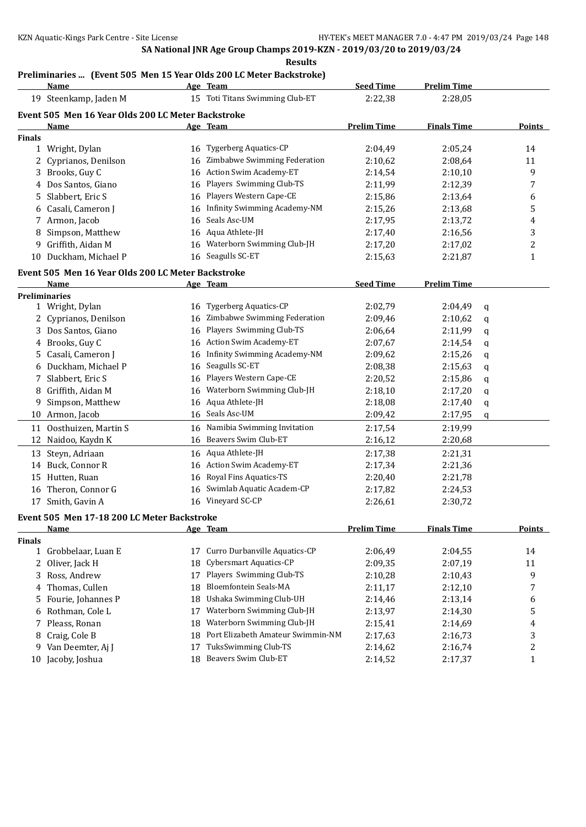# **Preliminaries ... (Event 505 Men 15 Year Olds 200 LC Meter Backstroke)**

|               | <b>Name</b>                                        |    | Age Team                          | <b>Seed Time</b>   | <b>Prelim Time</b> |   |                |
|---------------|----------------------------------------------------|----|-----------------------------------|--------------------|--------------------|---|----------------|
|               | 19 Steenkamp, Jaden M                              |    | 15 Toti Titans Swimming Club-ET   | 2:22,38            | 2:28,05            |   |                |
|               | Event 505 Men 16 Year Olds 200 LC Meter Backstroke |    |                                   |                    |                    |   |                |
|               | Name                                               |    | Age Team                          | <b>Prelim Time</b> | <b>Finals Time</b> |   | <b>Points</b>  |
| <b>Finals</b> |                                                    |    |                                   |                    |                    |   |                |
|               | 1 Wright, Dylan                                    |    | 16 Tygerberg Aquatics-CP          | 2:04,49            | 2:05,24            |   | 14             |
|               | 2 Cyprianos, Denilson                              | 16 | Zimbabwe Swimming Federation      | 2:10,62            | 2:08,64            |   | 11             |
| 3             | Brooks, Guy C                                      |    | 16 Action Swim Academy-ET         | 2:14,54            | 2:10,10            |   | 9              |
|               | 4 Dos Santos, Giano                                |    | 16 Players Swimming Club-TS       | 2:11,99            | 2:12,39            |   | 7              |
| 5.            | Slabbert, Eric S                                   |    | 16 Players Western Cape-CE        | 2:15,86            | 2:13,64            |   | 6              |
|               | 6 Casali, Cameron J                                |    | 16 Infinity Swimming Academy-NM   | 2:15,26            | 2:13,68            |   | 5              |
|               | 7 Armon, Jacob                                     | 16 | Seals Asc-UM                      | 2:17,95            | 2:13,72            |   | 4              |
|               | 8 Simpson, Matthew                                 |    | 16 Aqua Athlete-JH                | 2:17,40            | 2:16,56            |   | 3              |
|               | 9 Griffith, Aidan M                                |    | 16 Waterborn Swimming Club-JH     | 2:17,20            | 2:17,02            |   | $\overline{c}$ |
|               | 10 Duckham, Michael P                              |    | 16 Seagulls SC-ET                 | 2:15,63            | 2:21,87            |   | $\mathbf{1}$   |
|               | Event 505 Men 16 Year Olds 200 LC Meter Backstroke |    |                                   |                    |                    |   |                |
|               | Name                                               |    | Age Team                          | <b>Seed Time</b>   | <b>Prelim Time</b> |   |                |
|               | <b>Preliminaries</b>                               |    |                                   |                    |                    |   |                |
|               | 1 Wright, Dylan                                    |    | 16 Tygerberg Aquatics-CP          | 2:02,79            | 2:04,49            | q |                |
|               | 2 Cyprianos, Denilson                              | 16 | Zimbabwe Swimming Federation      | 2:09,46            | 2:10,62            | q |                |
|               | 3 Dos Santos, Giano                                |    | 16 Players Swimming Club-TS       | 2:06,64            | 2:11,99            | q |                |
| 4             | Brooks, Guy C                                      |    | 16 Action Swim Academy-ET         | 2:07,67            | 2:14,54            | q |                |
| 5             | Casali, Cameron J                                  |    | 16 Infinity Swimming Academy-NM   | 2:09,62            | 2:15,26            | q |                |
| 6             | Duckham, Michael P                                 | 16 | Seagulls SC-ET                    | 2:08,38            | 2:15,63            |   |                |
|               | 7 Slabbert, Eric S                                 | 16 | Players Western Cape-CE           | 2:20,52            | 2:15,86            | q |                |
| 8             | Griffith, Aidan M                                  | 16 | Waterborn Swimming Club-JH        | 2:18,10            | 2:17,20            | q |                |
| 9             | Simpson, Matthew                                   |    | 16 Aqua Athlete-JH                | 2:18,08            | 2:17,40            | q |                |
|               |                                                    |    | 16 Seals Asc-UM                   |                    |                    | q |                |
|               | 10 Armon, Jacob                                    |    |                                   | 2:09,42            | 2:17,95            | q |                |
|               | 11 Oosthuizen, Martin S                            |    | 16 Namibia Swimming Invitation    | 2:17,54            | 2:19,99            |   |                |
|               | 12 Naidoo, Kaydn K                                 |    | 16 Beavers Swim Club-ET           | 2:16,12            | 2:20,68            |   |                |
|               | 13 Steyn, Adriaan                                  |    | 16 Aqua Athlete-JH                | 2:17,38            | 2:21,31            |   |                |
|               | 14 Buck, Connor R                                  |    | 16 Action Swim Academy-ET         | 2:17,34            | 2:21,36            |   |                |
|               | 15 Hutten, Ruan                                    | 16 | Royal Fins Aquatics-TS            | 2:20,40            | 2:21,78            |   |                |
|               | 16 Theron, Connor G                                | 16 | Swimlab Aquatic Academ-CP         | 2:17,82            | 2:24,53            |   |                |
|               | 17 Smith, Gavin A                                  |    | 16 Vineyard SC-CP                 | 2:26,61            | 2:30,72            |   |                |
|               | Event 505 Men 17-18 200 LC Meter Backstroke        |    |                                   |                    |                    |   |                |
|               | <b>Name</b>                                        |    | Age Team                          | <b>Prelim Time</b> | <b>Finals Time</b> |   | <b>Points</b>  |
| Finals        |                                                    |    |                                   |                    |                    |   |                |
|               | 1 Grobbelaar, Luan E                               | 17 | Curro Durbanville Aquatics-CP     | 2:06,49            | 2:04,55            |   | 14             |
|               | 2 Oliver, Jack H                                   | 18 | Cybersmart Aquatics-CP            | 2:09,35            | 2:07,19            |   | 11             |
| 3             | Ross, Andrew                                       | 17 | Players Swimming Club-TS          | 2:10,28            | 2:10,43            |   | 9              |
| 4             | Thomas, Cullen                                     | 18 | Bloemfontein Seals-MA             | 2:11,17            | 2:12,10            |   | 7              |
| 5             | Fourie, Johannes P                                 | 18 | Ushaka Swimming Club-UH           | 2:14,46            | 2:13,14            |   | 6              |
| 6             | Rothman, Cole L                                    | 17 | Waterborn Swimming Club-JH        | 2:13,97            | 2:14,30            |   | 5              |
| 7             | Pleass, Ronan                                      | 18 | Waterborn Swimming Club-JH        | 2:15,41            | 2:14,69            |   | 4              |
| 8             | Craig, Cole B                                      | 18 | Port Elizabeth Amateur Swimmin-NM | 2:17,63            | 2:16,73            |   | 3              |
|               | 9 Van Deemter, Aj J                                | 17 | TuksSwimming Club-TS              | 2:14,62            | 2:16,74            |   | $\overline{c}$ |
|               | 10 Jacoby, Joshua                                  | 18 | Beavers Swim Club-ET              | 2:14,52            | 2:17,37            |   | 1              |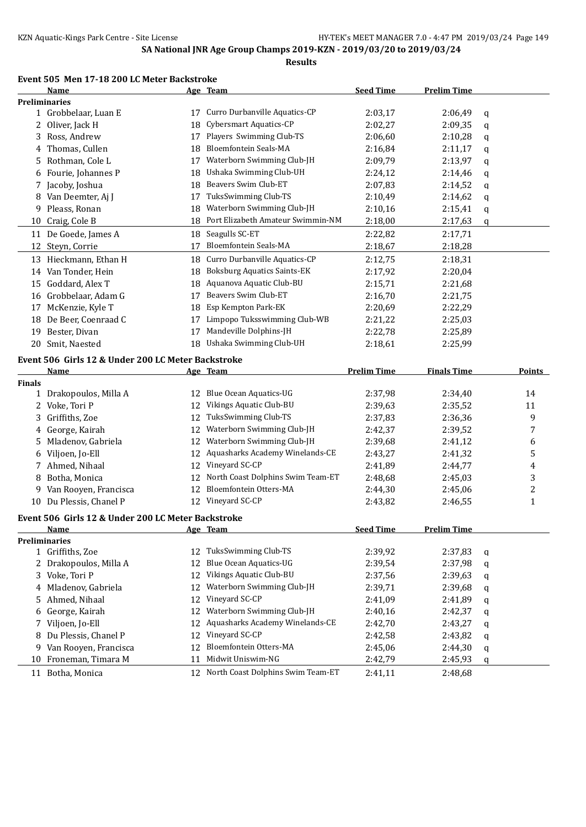### **Event 505 Men 17-18 200 LC Meter Backstroke**

|               | Name                                               |    | Age Team                                                  | <b>Seed Time</b>   | <b>Prelim Time</b> |   |                |
|---------------|----------------------------------------------------|----|-----------------------------------------------------------|--------------------|--------------------|---|----------------|
|               | <b>Preliminaries</b>                               |    |                                                           |                    |                    |   |                |
|               | 1 Grobbelaar, Luan E                               |    | 17 Curro Durbanville Aquatics-CP                          | 2:03,17            | 2:06,49            | q |                |
|               | 2 Oliver, Jack H                                   | 18 | Cybersmart Aquatics-CP                                    | 2:02,27            | 2:09,35            | q |                |
| 3             | Ross, Andrew                                       | 17 | Players Swimming Club-TS                                  | 2:06,60            | 2:10,28            | q |                |
| 4             | Thomas, Cullen                                     | 18 | <b>Bloemfontein Seals-MA</b>                              | 2:16,84            | 2:11,17            | q |                |
| 5.            | Rothman, Cole L                                    | 17 | Waterborn Swimming Club-JH                                | 2:09,79            | 2:13,97            | q |                |
| 6             | Fourie, Johannes P                                 | 18 | Ushaka Swimming Club-UH                                   | 2:24,12            | 2:14,46            | q |                |
| 7             | Jacoby, Joshua                                     | 18 | Beavers Swim Club-ET                                      | 2:07,83            | 2:14,52            | q |                |
| 8             | Van Deemter, Aj J                                  | 17 | TuksSwimming Club-TS                                      | 2:10,49            | 2:14,62            | q |                |
| 9             | Pleass, Ronan                                      | 18 | Waterborn Swimming Club-JH                                | 2:10,16            | 2:15,41            | q |                |
| 10            | Craig, Cole B                                      |    | 18 Port Elizabeth Amateur Swimmin-NM                      | 2:18,00            | 2:17,63            | q |                |
|               | 11 De Goede, James A                               |    | 18 Seagulls SC-ET                                         | 2:22,82            | 2:17,71            |   |                |
|               | 12 Steyn, Corrie                                   | 17 | <b>Bloemfontein Seals-MA</b>                              | 2:18,67            | 2:18,28            |   |                |
|               | 13 Hieckmann, Ethan H                              | 18 | Curro Durbanville Aquatics-CP                             | 2:12,75            | 2:18,31            |   |                |
|               | 14 Van Tonder, Hein                                | 18 | <b>Boksburg Aquatics Saints-EK</b>                        | 2:17,92            | 2:20,04            |   |                |
| 15            | Goddard, Alex T                                    | 18 | Aquanova Aquatic Club-BU                                  | 2:15,71            | 2:21,68            |   |                |
|               | 16 Grobbelaar, Adam G                              | 17 | Beavers Swim Club-ET                                      | 2:16,70            | 2:21,75            |   |                |
| 17            | McKenzie, Kyle T                                   | 18 | Esp Kempton Park-EK                                       | 2:20,69            | 2:22,29            |   |                |
|               | 18 De Beer, Coenraad C                             | 17 | Limpopo Tuksswimming Club-WB                              | 2:21,22            | 2:25,03            |   |                |
| 19            | Bester, Divan                                      | 17 | Mandeville Dolphins-JH                                    | 2:22,78            | 2:25,89            |   |                |
| 20            | Smit, Naested                                      |    | 18 Ushaka Swimming Club-UH                                | 2:18,61            | 2:25,99            |   |                |
|               |                                                    |    |                                                           |                    |                    |   |                |
|               | Event 506 Girls 12 & Under 200 LC Meter Backstroke |    |                                                           |                    |                    |   |                |
| <b>Finals</b> | <u>Name</u>                                        |    | Age Team                                                  | <b>Prelim Time</b> | <b>Finals Time</b> |   | <b>Points</b>  |
|               | 1 Drakopoulos, Milla A                             | 12 | <b>Blue Ocean Aquatics-UG</b>                             | 2:37,98            | 2:34,40            |   | 14             |
|               | 2 Voke, Tori P                                     | 12 | Vikings Aquatic Club-BU                                   | 2:39,63            | 2:35,52            |   | 11             |
| 3             | Griffiths, Zoe                                     | 12 | TuksSwimming Club-TS                                      | 2:37,83            | 2:36,36            |   | 9              |
| 4             | George, Kairah                                     | 12 | Waterborn Swimming Club-JH                                | 2:42,37            | 2:39,52            |   | 7              |
| 5.            | Mladenov, Gabriela                                 | 12 | Waterborn Swimming Club-JH                                | 2:39,68            | 2:41,12            |   | 6              |
| 6             | Viljoen, Jo-Ell                                    | 12 | Aquasharks Academy Winelands-CE                           | 2:43,27            | 2:41,32            |   | 5              |
| 7             | Ahmed, Nihaal                                      | 12 | Vineyard SC-CP                                            | 2:41,89            | 2:44,77            |   | 4              |
| 8             | Botha, Monica                                      | 12 | North Coast Dolphins Swim Team-ET                         | 2:48,68            | 2:45,03            |   | 3              |
|               | Van Rooyen, Francisca                              | 12 | Bloemfontein Otters-MA                                    | 2:44,30            | 2:45,06            |   | $\overline{c}$ |
| 9             | 10 Du Plessis, Chanel P                            |    | 12 Vineyard SC-CP                                         | 2:43,82            | 2:46,55            |   | $\mathbf{1}$   |
|               |                                                    |    |                                                           |                    |                    |   |                |
|               | Event 506 Girls 12 & Under 200 LC Meter Backstroke |    |                                                           |                    |                    |   |                |
|               | <b>Name</b>                                        |    | Age Team                                                  | <b>Seed Time</b>   | <b>Prelim Time</b> |   |                |
|               | <b>Preliminaries</b>                               |    |                                                           |                    |                    |   |                |
|               | 1 Griffiths, Zoe                                   | 12 | TuksSwimming Club-TS                                      | 2:39,92            | 2:37,83            | q |                |
| 2             | Drakopoulos, Milla A                               | 12 | <b>Blue Ocean Aquatics-UG</b>                             | 2:39,54            | 2:37,98            | q |                |
| 3             | Voke, Tori P                                       | 12 | Vikings Aquatic Club-BU                                   | 2:37,56            | 2:39,63            | q |                |
| 4             | Mladenov, Gabriela                                 | 12 | Waterborn Swimming Club-JH                                | 2:39,71            | 2:39,68            | q |                |
| 5.            | Ahmed, Nihaal                                      | 12 | Vineyard SC-CP                                            | 2:41,09            | 2:41,89            | q |                |
| 6             | George, Kairah                                     | 12 | Waterborn Swimming Club-JH                                | 2:40,16            | 2:42,37            | q |                |
| 7             | Viljoen, Jo-Ell                                    | 12 | Aquasharks Academy Winelands-CE                           | 2:42,70            | 2:43,27            | q |                |
| 8             | Du Plessis, Chanel P                               | 12 | Vineyard SC-CP                                            | 2:42,58            | 2:43,82            | q |                |
|               |                                                    |    |                                                           |                    |                    |   |                |
| 9             | Van Rooyen, Francisca                              | 12 | Bloemfontein Otters-MA                                    | 2:45,06            | 2:44,30            | q |                |
| 10            | Froneman, Timara M                                 | 11 | Midwit Uniswim-NG<br>12 North Coast Dolphins Swim Team-ET | 2:42,79            | 2:45,93            | q |                |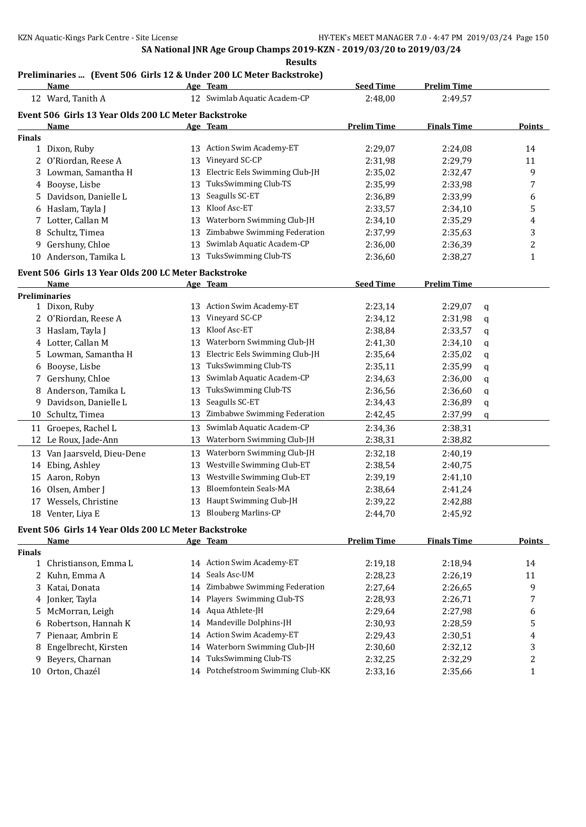#### **Results**

# **Preliminaries ... (Event 506 Girls 12 & Under 200 LC Meter Backstroke)**

|               | <b>Name</b>                                                         |    | Age Team                          | <b>Seed Time</b>   | <b>Prelim Time</b> |   |                  |
|---------------|---------------------------------------------------------------------|----|-----------------------------------|--------------------|--------------------|---|------------------|
|               | 12 Ward, Tanith A                                                   |    | 12 Swimlab Aquatic Academ-CP      | 2:48,00            | 2:49,57            |   |                  |
|               | Event 506 Girls 13 Year Olds 200 LC Meter Backstroke                |    |                                   |                    |                    |   |                  |
|               | Name                                                                |    | Age Team                          | <b>Prelim Time</b> | <b>Finals Time</b> |   | Points           |
| <b>Finals</b> |                                                                     |    |                                   |                    |                    |   |                  |
|               | 1 Dixon, Ruby                                                       |    | 13 Action Swim Academy-ET         | 2:29,07            | 2:24,08            |   | 14               |
| 2             | O'Riordan, Reese A                                                  | 13 | Vineyard SC-CP                    | 2:31,98            | 2:29,79            |   | 11               |
|               | 3 Lowman, Samantha H                                                | 13 | Electric Eels Swimming Club-JH    | 2:35,02            | 2:32,47            |   | 9                |
|               | 4 Booyse, Lisbe                                                     | 13 | TuksSwimming Club-TS              | 2:35,99            | 2:33,98            |   | 7                |
| 5.            | Davidson, Danielle L                                                | 13 | Seagulls SC-ET                    | 2:36,89            | 2:33,99            |   | 6                |
| 6             | Haslam, Tayla J                                                     | 13 | Kloof Asc-ET                      | 2:33,57            | 2:34,10            |   | 5                |
|               | 7 Lotter, Callan M                                                  | 13 | Waterborn Swimming Club-JH        | 2:34,10            | 2:35,29            |   | 4                |
| 8             | Schultz, Timea                                                      | 13 | Zimbabwe Swimming Federation      | 2:37,99            | 2:35,63            |   | 3                |
| 9             | Gershuny, Chloe                                                     | 13 | Swimlab Aquatic Academ-CP         | 2:36,00            | 2:36,39            |   | 2                |
|               | 10 Anderson, Tamika L                                               | 13 | TuksSwimming Club-TS              | 2:36,60            | 2:38,27            |   | 1                |
|               |                                                                     |    |                                   |                    |                    |   |                  |
|               | Event 506 Girls 13 Year Olds 200 LC Meter Backstroke<br><b>Name</b> |    | Age Team                          | <b>Seed Time</b>   | <b>Prelim Time</b> |   |                  |
|               | <b>Preliminaries</b>                                                |    |                                   |                    |                    |   |                  |
|               | 1 Dixon, Ruby                                                       | 13 | Action Swim Academy-ET            | 2:23,14            | 2:29,07            | q |                  |
|               | 2 O'Riordan, Reese A                                                | 13 | Vineyard SC-CP                    | 2:34,12            | 2:31,98            | q |                  |
|               | 3 Haslam, Tayla J                                                   | 13 | Kloof Asc-ET                      | 2:38,84            | 2:33,57            | q |                  |
|               | 4 Lotter, Callan M                                                  | 13 | Waterborn Swimming Club-JH        | 2:41,30            | 2:34,10            | q |                  |
|               | 5 Lowman, Samantha H                                                | 13 | Electric Eels Swimming Club-JH    | 2:35,64            | 2:35,02            | q |                  |
| 6             | Booyse, Lisbe                                                       | 13 | TuksSwimming Club-TS              | 2:35,11            | 2:35,99            | q |                  |
| 7             | Gershuny, Chloe                                                     | 13 | Swimlab Aquatic Academ-CP         | 2:34,63            | 2:36,00            | q |                  |
| 8             | Anderson, Tamika L                                                  | 13 | TuksSwimming Club-TS              | 2:36,56            | 2:36,60            | q |                  |
| 9.            | Davidson, Danielle L                                                | 13 | Seagulls SC-ET                    | 2:34,43            | 2:36,89            | q |                  |
| 10            | Schultz, Timea                                                      | 13 | Zimbabwe Swimming Federation      | 2:42,45            | 2:37,99            | q |                  |
|               | 11 Groepes, Rachel L                                                | 13 | Swimlab Aquatic Academ-CP         | 2:34,36            | 2:38,31            |   |                  |
|               | 12 Le Roux, Jade-Ann                                                | 13 | Waterborn Swimming Club-JH        | 2:38,31            | 2:38,82            |   |                  |
|               |                                                                     |    |                                   |                    |                    |   |                  |
|               | 13 Van Jaarsveld, Dieu-Dene                                         | 13 | Waterborn Swimming Club-JH        | 2:32,18            | 2:40,19            |   |                  |
|               | 14 Ebing, Ashley                                                    | 13 | Westville Swimming Club-ET        | 2:38,54            | 2:40,75            |   |                  |
|               | 15 Aaron, Robyn                                                     | 13 | Westville Swimming Club-ET        | 2:39,19            | 2:41,10            |   |                  |
| 16            | Olsen, Amber J                                                      | 13 | Bloemfontein Seals-MA             | 2:38,64            | 2:41,24            |   |                  |
| 17            | Wessels, Christine                                                  | 13 | Haupt Swimming Club-JH            | 2:39,22            | 2:42,88            |   |                  |
|               | 18 Venter, Liya E                                                   |    | 13 Blouberg Marlins-CP            | 2:44,70            | 2:45,92            |   |                  |
|               | Event 506 Girls 14 Year Olds 200 LC Meter Backstroke                |    |                                   |                    |                    |   |                  |
|               | <b>Name</b>                                                         |    | Age Team                          | <b>Prelim Time</b> | <b>Finals Time</b> |   | <b>Points</b>    |
| <b>Finals</b> |                                                                     |    |                                   |                    |                    |   |                  |
| $\mathbf{1}$  | Christianson, Emma L                                                |    | 14 Action Swim Academy-ET         | 2:19,18            | 2:18,94            |   | 14               |
| 2             | Kuhn, Emma A                                                        | 14 | Seals Asc-UM                      | 2:28,23            | 2:26,19            |   | 11               |
| 3             | Katai, Donata                                                       | 14 | Zimbabwe Swimming Federation      | 2:27,64            | 2:26,65            |   | 9                |
| 4             | Jonker, Tayla                                                       | 14 | Players Swimming Club-TS          | 2:28,93            | 2:26,71            |   | 7                |
| 5.            | McMorran, Leigh                                                     | 14 | Aqua Athlete-JH                   | 2:29,64            | 2:27,98            |   | 6                |
| 6             | Robertson, Hannah K                                                 | 14 | Mandeville Dolphins-JH            | 2:30,93            | 2:28,59            |   | 5                |
| 7             | Pienaar, Ambrin E                                                   | 14 | Action Swim Academy-ET            | 2:29,43            | 2:30,51            |   | 4                |
| 8             | Engelbrecht, Kirsten                                                | 14 | Waterborn Swimming Club-JH        | 2:30,60            | 2:32,12            |   | 3                |
| 9             | Beyers, Charnan                                                     | 14 | TuksSwimming Club-TS              | 2:32,25            | 2:32,29            |   | $\boldsymbol{2}$ |
|               | 10 Orton, Chazél                                                    |    | 14 Potchefstroom Swimming Club-KK | 2:33,16            | 2:35,66            |   | 1                |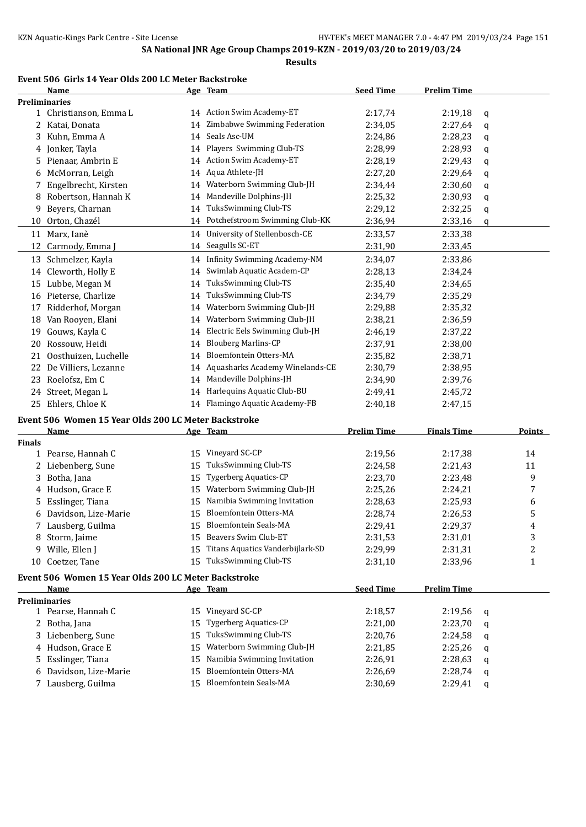**Results**

# **Event 506 Girls 14 Year Olds 200 LC Meter Backstroke**

|               | Name                                                 |    | Age Team                            | <b>Seed Time</b>   | <b>Prelim Time</b> |   |               |
|---------------|------------------------------------------------------|----|-------------------------------------|--------------------|--------------------|---|---------------|
|               | <b>Preliminaries</b>                                 |    |                                     |                    |                    |   |               |
|               | 1 Christianson, Emma L                               |    | 14 Action Swim Academy-ET           | 2:17,74            | 2:19,18            | q |               |
| 2             | Katai, Donata                                        | 14 | Zimbabwe Swimming Federation        | 2:34,05            | 2:27,64            | q |               |
| 3             | Kuhn, Emma A                                         | 14 | Seals Asc-UM                        | 2:24,86            | 2:28,23            | q |               |
|               | 4 Jonker, Tayla                                      | 14 | Players Swimming Club-TS            | 2:28,99            | 2:28,93            | q |               |
| 5.            | Pienaar, Ambrin E                                    | 14 | Action Swim Academy-ET              | 2:28,19            | 2:29,43            | q |               |
| 6             | McMorran, Leigh                                      | 14 | Aqua Athlete-JH                     | 2:27,20            | 2:29,64            | q |               |
| 7             | Engelbrecht, Kirsten                                 | 14 | Waterborn Swimming Club-JH          | 2:34,44            | 2:30,60            | q |               |
| 8             | Robertson, Hannah K                                  | 14 | Mandeville Dolphins-JH              | 2:25,32            | 2:30,93            | q |               |
| 9             | Beyers, Charnan                                      | 14 | TuksSwimming Club-TS                | 2:29,12            | 2:32,25            | q |               |
| 10            | Orton, Chazél                                        |    | 14 Potchefstroom Swimming Club-KK   | 2:36,94            | 2:33,16            | q |               |
|               | 11 Marx, Ianè                                        |    | 14 University of Stellenbosch-CE    | 2:33,57            | 2:33,38            |   |               |
| 12            | Carmody, Emma J                                      |    | 14 Seagulls SC-ET                   | 2:31,90            | 2:33,45            |   |               |
| 13            | Schmelzer, Kayla                                     |    | 14 Infinity Swimming Academy-NM     | 2:34,07            | 2:33,86            |   |               |
|               | 14 Cleworth, Holly E                                 | 14 | Swimlab Aquatic Academ-CP           | 2:28,13            | 2:34,24            |   |               |
|               | 15 Lubbe, Megan M                                    | 14 | TuksSwimming Club-TS                | 2:35,40            | 2:34,65            |   |               |
|               | 16 Pieterse, Charlize                                | 14 | TuksSwimming Club-TS                | 2:34,79            | 2:35,29            |   |               |
| 17            | Ridderhof, Morgan                                    | 14 | Waterborn Swimming Club-JH          | 2:29,88            | 2:35,32            |   |               |
|               | 18 Van Rooyen, Elani                                 | 14 | Waterborn Swimming Club-JH          | 2:38,21            | 2:36,59            |   |               |
|               | 19 Gouws, Kayla C                                    | 14 | Electric Eels Swimming Club-JH      | 2:46,19            | 2:37,22            |   |               |
|               | 20 Rossouw, Heidi                                    | 14 | <b>Blouberg Marlins-CP</b>          | 2:37,91            | 2:38,00            |   |               |
|               | 21 Oosthuizen, Luchelle                              | 14 | Bloemfontein Otters-MA              | 2:35,82            | 2:38,71            |   |               |
|               |                                                      | 14 | Aquasharks Academy Winelands-CE     |                    |                    |   |               |
|               | 22 De Villiers, Lezanne                              |    | 14 Mandeville Dolphins-JH           | 2:30,79            | 2:38,95            |   |               |
|               | 23 Roelofsz, Em C                                    |    | 14 Harlequins Aquatic Club-BU       | 2:34,90            | 2:39,76            |   |               |
|               | 24 Street, Megan L                                   |    |                                     | 2:49,41            | 2:45,72            |   |               |
| 25            | Ehlers, Chloe K                                      |    | 14 Flamingo Aquatic Academy-FB      | 2:40,18            | 2:47,15            |   |               |
|               | Event 506 Women 15 Year Olds 200 LC Meter Backstroke |    |                                     |                    |                    |   |               |
|               | Name                                                 |    | Age Team                            | <b>Prelim Time</b> | <b>Finals Time</b> |   | <b>Points</b> |
| <b>Finals</b> |                                                      |    |                                     |                    |                    |   |               |
|               | 1 Pearse, Hannah C                                   |    | 15 Vineyard SC-CP                   | 2:19,56            | 2:17,38            |   | 14            |
| 2             | Liebenberg, Sune                                     | 15 | TuksSwimming Club-TS                | 2:24,58            | 2:21,43            |   | 11            |
| 3             | Botha, Jana                                          | 15 | <b>Tygerberg Aquatics-CP</b>        | 2:23,70            | 2:23,48            |   | 9             |
| 4             | Hudson, Grace E                                      | 15 | Waterborn Swimming Club-JH          | 2:25,26            | 2:24,21            |   | 7             |
| 5.            | Esslinger, Tiana                                     | 15 | Namibia Swimming Invitation         | 2:28,63            | 2:25,93            |   | 6             |
| 6             | Davidson, Lize-Marie                                 |    | 15 Bloemfontein Otters-MA           | 2:28,74            | 2:26,53            |   | 5             |
|               | 7 Lausberg, Guilma                                   |    | 15 Bloemfontein Seals-MA            | 2:29,41            | 2:29,37            |   | 4             |
|               | 8 Storm, Jaime                                       |    | 15 Beavers Swim Club-ET             | 2:31,53            | 2:31,01            |   | 3             |
|               | 9 Wille, Ellen J                                     |    | 15 Titans Aquatics Vanderbijlark-SD | 2:29,99            | 2:31,31            |   | 2             |
|               | 10 Coetzer, Tane                                     |    | 15 TuksSwimming Club-TS             | 2:31,10            | 2:33,96            |   | $\mathbf{1}$  |
|               | Event 506 Women 15 Year Olds 200 LC Meter Backstroke |    |                                     |                    |                    |   |               |
|               | Name                                                 |    | Age Team                            | <b>Seed Time</b>   | <b>Prelim Time</b> |   |               |
|               | <b>Preliminaries</b>                                 |    |                                     |                    |                    |   |               |
|               | 1 Pearse, Hannah C                                   |    | 15 Vineyard SC-CP                   | 2:18,57            | 2:19,56            | q |               |
|               | 2 Botha, Jana                                        | 15 | <b>Tygerberg Aquatics-CP</b>        | 2:21,00            | 2:23,70            | q |               |
|               | 3 Liebenberg, Sune                                   | 15 | <b>TuksSwimming Club-TS</b>         | 2:20,76            | 2:24,58            | q |               |
|               | 4 Hudson, Grace E                                    | 15 | Waterborn Swimming Club-JH          | 2:21,85            | 2:25,26            | q |               |
| 5.            | Esslinger, Tiana                                     | 15 | Namibia Swimming Invitation         | 2:26,91            | 2:28,63            | q |               |
|               | 6 Davidson, Lize-Marie                               | 15 | Bloemfontein Otters-MA              | 2:26,69            | 2:28,74            | q |               |
|               | 7 Lausberg, Guilma                                   |    | 15 Bloemfontein Seals-MA            | 2:30,69            | 2:29,41            | q |               |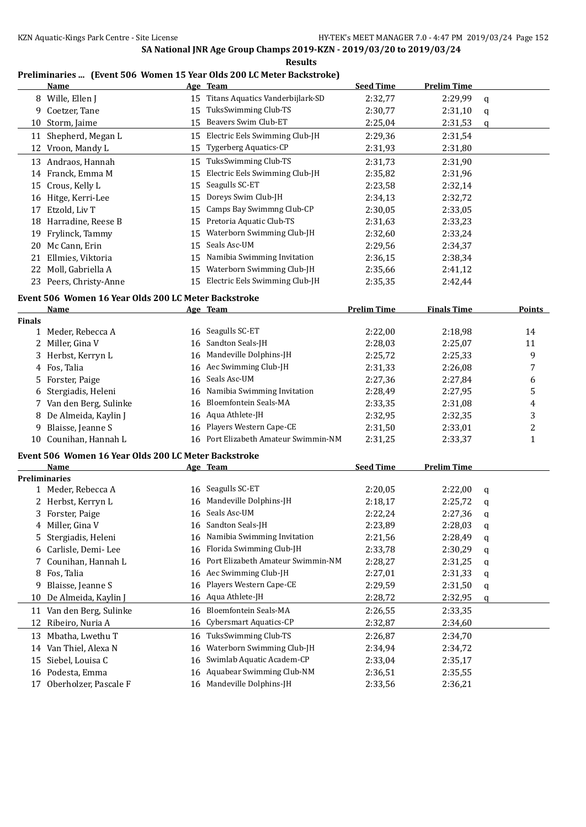#### **Results**

### **Preliminaries ... (Event 506 Women 15 Year Olds 200 LC Meter Backstroke)**

| Name                     | Age Team                             | <b>Seed Time</b> | Prelim Time |   |
|--------------------------|--------------------------------------|------------------|-------------|---|
| 8 Wille, Ellen J         | 15 Titans Aquatics Vanderbijlark-SD  | 2:32,77          | 2:29,99     | q |
| Coetzer, Tane<br>9       | TuksSwimming Club-TS<br>15           | 2:30,77          | 2:31,10     | q |
| 10 Storm, Jaime          | Beavers Swim Club-ET<br>15           | 2:25,04          | 2:31,53     | q |
| Shepherd, Megan L<br>11  | Electric Eels Swimming Club-JH<br>15 | 2:29,36          | 2:31,54     |   |
| Vroon, Mandy L<br>12     | 15 Tygerberg Aquatics-CP             | 2:31,93          | 2:31,80     |   |
| Andraos, Hannah<br>13    | TuksSwimming Club-TS<br>15           | 2:31,73          | 2:31,90     |   |
| 14 Franck, Emma M        | Electric Eels Swimming Club-JH<br>15 | 2:35,82          | 2:31,96     |   |
| Crous, Kelly L<br>15     | Seagulls SC-ET<br>15                 | 2:23,58          | 2:32,14     |   |
| Hitge, Kerri-Lee<br>16   | Doreys Swim Club-JH<br>15            | 2:34,13          | 2:32,72     |   |
| Etzold, Liv T<br>17      | Camps Bay Swimmng Club-CP<br>15      | 2:30.05          | 2:33,05     |   |
| Harradine, Reese B<br>18 | Pretoria Aquatic Club-TS<br>15       | 2:31,63          | 2:33,23     |   |
| Frylinck, Tammy<br>19    | Waterborn Swimming Club-JH<br>15     | 2:32,60          | 2:33,24     |   |
| Mc Cann, Erin<br>20      | Seals Asc-UM<br>15                   | 2:29.56          | 2:34,37     |   |
| Ellmies, Viktoria<br>21  | Namibia Swimming Invitation<br>15    | 2:36,15          | 2:38,34     |   |
| 22 Moll, Gabriella A     | Waterborn Swimming Club-JH<br>15     | 2:35,66          | 2:41,12     |   |
| 23 Peers, Christy-Anne   | Electric Eels Swimming Club-JH<br>15 | 2:35,35          | 2:42,44     |   |
|                          |                                      |                  |             |   |

## **Event 506 Women 16 Year Olds 200 LC Meter Backstroke**

|               | <b>Name</b>             | Age Team                             | <b>Prelim Time</b> | <b>Finals Time</b> | Points |
|---------------|-------------------------|--------------------------------------|--------------------|--------------------|--------|
| <b>Finals</b> |                         |                                      |                    |                    |        |
|               | 1 Meder, Rebecca A      | 16 Seagulls SC-ET                    | 2:22.00            | 2:18.98            | 14     |
|               | 2 Miller, Gina V        | 16 Sandton Seals-JH                  | 2:28.03            | 2:25,07            | 11     |
|               | 3 Herbst, Kerryn L      | 16 Mandeville Dolphins-JH            | 2:25.72            | 2:25,33            | 9      |
|               | 4 Fos, Talia            | 16 Aec Swimming Club-JH              | 2:31,33            | 2:26,08            |        |
|               | 5 Forster, Paige        | 16 Seals Asc-UM                      | 2:27.36            | 2:27,84            | 6      |
|               | 6 Stergiadis, Heleni    | 16 Namibia Swimming Invitation       | 2:28.49            | 2:27,95            | 5      |
|               | 7 Van den Berg, Sulinke | 16 Bloemfontein Seals-MA             | 2:33,35            | 2:31,08            | 4      |
|               | 8 De Almeida, Kaylin J  | 16 Aqua Athlete-JH                   | 2:32,95            | 2:32,35            | 3      |
|               | 9 Blaisse, Jeanne S     | 16 Players Western Cape-CE           | 2:31,50            | 2:33,01            | າ      |
| 10            | Counihan, Hannah L      | 16 Port Elizabeth Amateur Swimmin-NM | 2:31.25            | 2:33.37            |        |

#### **Event 506 Women 16 Year Olds 200 LC Meter Backstroke**

|    | Name                  |    | Age Team                          | <b>Seed Time</b> | <b>Prelim Time</b> |   |
|----|-----------------------|----|-----------------------------------|------------------|--------------------|---|
|    | <b>Preliminaries</b>  |    |                                   |                  |                    |   |
|    | 1 Meder, Rebecca A    |    | 16 Seagulls SC-ET                 | 2:20,05          | 2:22,00            | a |
|    | 2 Herbst, Kerryn L    | 16 | Mandeville Dolphins-JH            | 2:18,17          | 2:25,72            | a |
| 3  | Forster, Paige        | 16 | Seals Asc-UM                      | 2:22,24          | 2:27,36            | a |
| 4  | Miller, Gina V        | 16 | Sandton Seals-JH                  | 2:23.89          | 2:28.03            | a |
| 5. | Stergiadis, Heleni    | 16 | Namibia Swimming Invitation       | 2:21,56          | 2:28,49            | q |
| 6  | Carlisle, Demi-Lee    | 16 | Florida Swimming Club-JH          | 2:33,78          | 2:30,29            | a |
|    | Counihan, Hannah L    | 16 | Port Elizabeth Amateur Swimmin-NM | 2:28,27          | 2:31,25            | q |
| 8  | Fos, Talia            |    | 16 Aec Swimming Club-JH           | 2:27,01          | 2:31,33            | a |
| 9  | Blaisse, Jeanne S     | 16 | Players Western Cape-CE           | 2:29.59          | 2:31,50            | q |
| 10 | De Almeida, Kaylin J  |    | 16 Aqua Athlete-JH                | 2:28,72          | 2:32,95            | q |
| 11 | Van den Berg, Sulinke | 16 | Bloemfontein Seals-MA             | 2:26,55          | 2:33,35            |   |
| 12 | Ribeiro, Nuria A      |    | 16 Cybersmart Aquatics-CP         | 2:32,87          | 2:34,60            |   |
| 13 | Mbatha, Lwethu T      | 16 | TuksSwimming Club-TS              | 2:26,87          | 2:34,70            |   |
| 14 | Van Thiel, Alexa N    | 16 | Waterborn Swimming Club-JH        | 2:34,94          | 2:34,72            |   |
| 15 | Siebel, Louisa C      | 16 | Swimlab Aquatic Academ-CP         | 2:33,04          | 2:35,17            |   |
| 16 | Podesta, Emma         |    | 16 Aquabear Swimming Club-NM      | 2:36,51          | 2:35,55            |   |
| 17 | Oberholzer, Pascale F |    | 16 Mandeville Dolphins-JH         | 2:33,56          | 2:36,21            |   |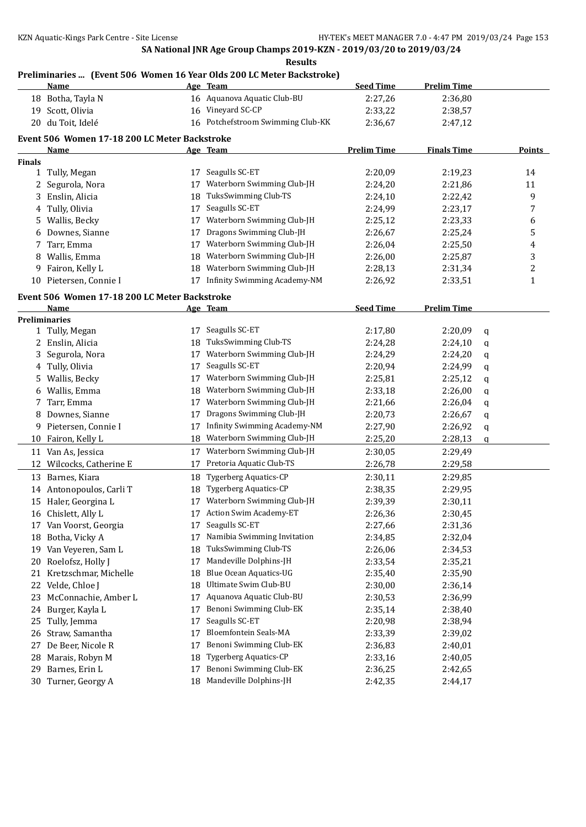# **Preliminaries ... (Event 506 Women 16 Year Olds 200 LC Meter Backstroke)**

|               | <u>Name</u>                                           |    | <u>Age Team</u>                     | <b>Seed Time</b>   | <b>Prelim Time</b> |   |               |
|---------------|-------------------------------------------------------|----|-------------------------------------|--------------------|--------------------|---|---------------|
|               | 18 Botha, Tayla N                                     |    | 16 Aquanova Aquatic Club-BU         | 2:27,26            | 2:36,80            |   |               |
|               | 19 Scott, Olivia                                      | 16 | Vineyard SC-CP                      | 2:33,22            | 2:38,57            |   |               |
|               | 20 du Toit, Idelé                                     |    | 16 Potchefstroom Swimming Club-KK   | 2:36,67            | 2:47,12            |   |               |
|               | Event 506 Women 17-18 200 LC Meter Backstroke         |    |                                     |                    |                    |   |               |
|               | <u>Name</u>                                           |    | Age Team                            | <b>Prelim Time</b> | <b>Finals Time</b> |   | <b>Points</b> |
| <b>Finals</b> |                                                       |    |                                     |                    |                    |   |               |
| $\mathbf{1}$  | Tully, Megan                                          | 17 | Seagulls SC-ET                      | 2:20,09            | 2:19,23            |   | 14            |
|               | 2 Segurola, Nora                                      | 17 | Waterborn Swimming Club-JH          | 2:24,20            | 2:21,86            |   | 11            |
| 3             | Enslin, Alicia                                        | 18 | TuksSwimming Club-TS                | 2:24,10            | 2:22,42            |   | 9             |
| 4             | Tully, Olivia                                         | 17 | Seagulls SC-ET                      | 2:24,99            | 2:23,17            |   | 7             |
| 5             | Wallis, Becky                                         | 17 | Waterborn Swimming Club-JH          | 2:25,12            | 2:23,33            |   | 6             |
| 6             | Downes, Sianne                                        | 17 | Dragons Swimming Club-JH            | 2:26,67            | 2:25,24            |   | 5             |
| 7             | Tarr, Emma                                            | 17 | Waterborn Swimming Club-JH          | 2:26,04            | 2:25,50            |   | 4             |
| 8             | Wallis, Emma                                          | 18 | Waterborn Swimming Club-JH          | 2:26,00            | 2:25,87            |   | 3             |
| 9.            | Fairon, Kelly L                                       | 18 | Waterborn Swimming Club-JH          | 2:28,13            | 2:31,34            |   | 2             |
|               | 10 Pietersen, Connie I                                | 17 | <b>Infinity Swimming Academy-NM</b> | 2:26,92            | 2:33,51            |   | $\mathbf{1}$  |
|               |                                                       |    |                                     |                    |                    |   |               |
|               | Event 506 Women 17-18 200 LC Meter Backstroke<br>Name |    | Age Team                            | <b>Seed Time</b>   | <b>Prelim Time</b> |   |               |
|               | <b>Preliminaries</b>                                  |    |                                     |                    |                    |   |               |
|               | 1 Tully, Megan                                        | 17 | Seagulls SC-ET                      | 2:17,80            | 2:20,09            | q |               |
| 2             | Enslin, Alicia                                        | 18 | TuksSwimming Club-TS                | 2:24,28            | 2:24,10            | q |               |
| 3             | Segurola, Nora                                        | 17 | Waterborn Swimming Club-JH          | 2:24,29            | 2:24,20            | q |               |
| 4             | Tully, Olivia                                         | 17 | Seagulls SC-ET                      | 2:20,94            | 2:24,99            | q |               |
| 5.            | Wallis, Becky                                         | 17 | Waterborn Swimming Club-JH          | 2:25,81            | 2:25,12            | q |               |
| 6             | Wallis, Emma                                          | 18 | Waterborn Swimming Club-JH          | 2:33,18            | 2:26,00            | q |               |
| 7             | Tarr, Emma                                            | 17 | Waterborn Swimming Club-JH          | 2:21,66            | 2:26,04            | q |               |
| 8             | Downes, Sianne                                        | 17 | Dragons Swimming Club-JH            | 2:20,73            | 2:26,67            | q |               |
|               | 9 Pietersen, Connie I                                 | 17 | <b>Infinity Swimming Academy-NM</b> | 2:27,90            | 2:26,92            | q |               |
|               | 10 Fairon, Kelly L                                    | 18 | Waterborn Swimming Club-JH          | 2:25,20            | 2:28,13            | q |               |
|               | 11 Van As, Jessica                                    |    | 17 Waterborn Swimming Club-JH       | 2:30,05            | 2:29,49            |   |               |
| 12            | Wilcocks, Catherine E                                 | 17 | Pretoria Aquatic Club-TS            | 2:26,78            | 2:29,58            |   |               |
|               | 13 Barnes, Kiara                                      | 18 | Tygerberg Aquatics-CP               | 2:30,11            | 2:29,85            |   |               |
|               | 14 Antonopoulos, Carli T                              | 18 | <b>Tygerberg Aquatics-CP</b>        | 2:38,35            | 2:29,95            |   |               |
| 15            | Haler, Georgina L                                     | 17 | Waterborn Swimming Club-JH          | 2:39,39            | 2:30,11            |   |               |
|               | 16 Chislett, Ally L                                   |    | 17 Action Swim Academy-ET           | 2:26,36            | 2:30,45            |   |               |
|               | 17 Van Voorst, Georgia                                | 17 | Seagulls SC-ET                      | 2:27,66            | 2:31,36            |   |               |
| 18            | Botha, Vicky A                                        | 17 | Namibia Swimming Invitation         | 2:34,85            | 2:32,04            |   |               |
| 19            | Van Veyeren, Sam L                                    | 18 | TuksSwimming Club-TS                | 2:26,06            | 2:34,53            |   |               |
| 20            | Roelofsz, Holly J                                     | 17 | Mandeville Dolphins-JH              | 2:33,54            | 2:35,21            |   |               |
| 21            | Kretzschmar, Michelle                                 | 18 | Blue Ocean Aquatics-UG              | 2:35,40            | 2:35,90            |   |               |
| 22            | Velde, Chloe J                                        | 18 | Ultimate Swim Club-BU               | 2:30,00            | 2:36,14            |   |               |
| 23            | McConnachie, Amber L                                  | 17 | Aquanova Aquatic Club-BU            | 2:30,53            | 2:36,99            |   |               |
| 24            | Burger, Kayla L                                       | 17 | Benoni Swimming Club-EK             | 2:35,14            | 2:38,40            |   |               |
| 25            | Tully, Jemma                                          | 17 | Seagulls SC-ET                      | 2:20,98            | 2:38,94            |   |               |
| 26            | Straw, Samantha                                       | 17 | Bloemfontein Seals-MA               | 2:33,39            | 2:39,02            |   |               |
| 27            | De Beer, Nicole R                                     | 17 | Benoni Swimming Club-EK             | 2:36,83            | 2:40,01            |   |               |
| 28            | Marais, Robyn M                                       | 18 | <b>Tygerberg Aquatics-CP</b>        | 2:33,16            | 2:40,05            |   |               |
| 29            | Barnes, Erin L                                        | 17 | Benoni Swimming Club-EK             | 2:36,25            | 2:42,65            |   |               |
| 30            | Turner, Georgy A                                      | 18 | Mandeville Dolphins-JH              | 2:42,35            | 2:44,17            |   |               |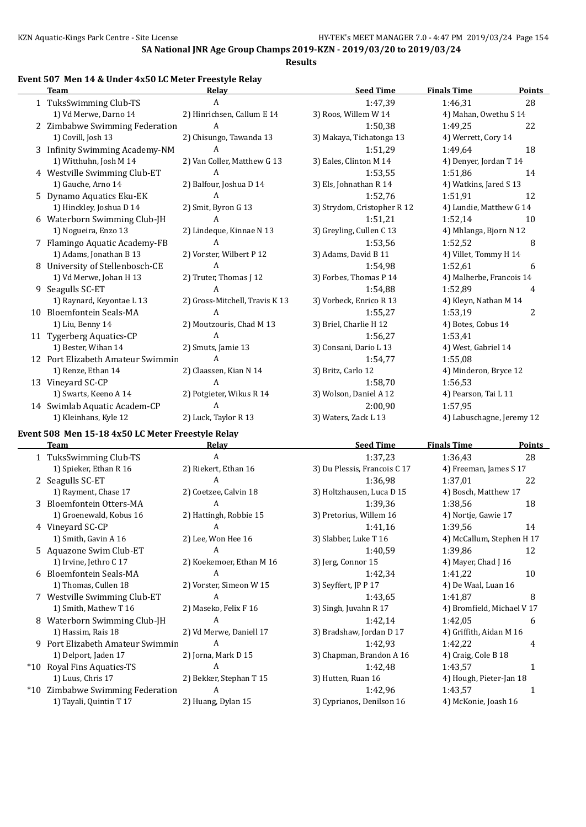### **Event 507 Men 14 & Under 4x50 LC Meter Freestyle Relay**

| <b>Team</b>                       | Relay                          | <b>Seed Time</b>            | <b>Finals Time</b>        | Points |
|-----------------------------------|--------------------------------|-----------------------------|---------------------------|--------|
| 1 TuksSwimming Club-TS            | A                              | 1:47,39                     | 1:46,31                   | 28     |
| 1) Vd Merwe, Darno 14             | 2) Hinrichsen, Callum E 14     | 3) Roos, Willem W 14        | 4) Mahan, Owethu S 14     |        |
| 2 Zimbabwe Swimming Federation    | A                              | 1:50,38                     | 1:49,25                   | 22     |
| 1) Covill, Josh 13                | 2) Chisungo, Tawanda 13        | 3) Makaya, Tichatonga 13    | 4) Werrett, Cory 14       |        |
| 3 Infinity Swimming Academy-NM    | A                              | 1:51,29                     | 1:49,64                   | 18     |
| 1) Witthuhn, Josh M 14            | 2) Van Coller, Matthew G 13    | 3) Eales, Clinton M 14      | 4) Denyer, Jordan T 14    |        |
| 4 Westville Swimming Club-ET      | A                              | 1:53,55                     | 1:51.86                   | 14     |
| 1) Gauche, Arno 14                | 2) Balfour, Joshua D 14        | 3) Els, Johnathan R 14      | 4) Watkins, Jared S 13    |        |
| 5 Dynamo Aquatics Eku-EK          | A                              | 1:52,76                     | 1:51,91                   | 12     |
| 1) Hinckley, Joshua D 14          | 2) Smit, Byron G 13            | 3) Strydom, Cristopher R 12 | 4) Lundie, Matthew G 14   |        |
| 6 Waterborn Swimming Club-JH      | A                              | 1:51,21                     | 1:52,14                   | 10     |
| 1) Nogueira, Enzo 13              | 2) Lindeque, Kinnae N 13       | 3) Greyling, Cullen C 13    | 4) Mhlanga, Bjorn N 12    |        |
| 7 Flamingo Aquatic Academy-FB     | A                              | 1:53,56                     | 1:52,52                   | 8      |
| 1) Adams, Jonathan B 13           | 2) Vorster, Wilbert P 12       | 3) Adams, David B 11        | 4) Villet, Tommy H 14     |        |
| 8 University of Stellenbosch-CE   | $\mathbf{A}$                   | 1:54,98                     | 1:52,61                   | 6      |
| 1) Vd Merwe, Johan H 13           | 2) Truter, Thomas J 12         | 3) Forbes, Thomas P 14      | 4) Malherbe, Francois 14  |        |
| 9 Seagulls SC-ET                  | A                              | 1:54.88                     | 1:52.89                   | 4      |
| 1) Raynard, Keyontae L 13         | 2) Gross-Mitchell, Travis K 13 | 3) Vorbeck, Enrico R 13     | 4) Kleyn, Nathan M 14     |        |
| 10 Bloemfontein Seals-MA          | A                              | 1:55,27                     | 1:53,19                   | 2      |
| 1) Liu, Benny 14                  | 2) Moutzouris, Chad M 13       | 3) Briel, Charlie H 12      | 4) Botes, Cobus 14        |        |
| 11 Tygerberg Aquatics-CP          | A                              | 1:56,27                     | 1:53,41                   |        |
| 1) Bester, Wihan 14               | 2) Smuts, Jamie 13             | 3) Consani, Dario L 13      | 4) West, Gabriel 14       |        |
| 12 Port Elizabeth Amateur Swimmin | A                              | 1:54,77                     | 1:55,08                   |        |
| 1) Renze, Ethan 14                | 2) Claassen, Kian N 14         | 3) Britz, Carlo 12          | 4) Minderon, Bryce 12     |        |
| 13 Vineyard SC-CP                 | $\mathbf{A}$                   | 1:58,70                     | 1:56,53                   |        |
| 1) Swarts, Keeno A 14             | 2) Potgieter, Wikus R 14       | 3) Wolson, Daniel A 12      | 4) Pearson, Tai L 11      |        |
| 14 Swimlab Aquatic Academ-CP      | A                              | 2:00,90                     | 1:57.95                   |        |
| 1) Kleinhans, Kyle 12             | 2) Luck, Taylor R 13           | 3) Waters, Zack L 13        | 4) Labuschagne, Jeremy 12 |        |

# **Event 508 Men 15-18 4x50 LC Meter Freestyle Relay**

|      | Team                           | Relay                    | <b>Seed Time</b>             | <b>Finals Time</b>        | <b>Points</b>              |  |
|------|--------------------------------|--------------------------|------------------------------|---------------------------|----------------------------|--|
|      | 1 TuksSwimming Club-TS         | A                        | 1:37,23                      | 1:36.43                   | 28                         |  |
|      | 1) Spieker, Ethan R 16         | 2) Riekert, Ethan 16     | 3) Du Plessis, Francois C 17 | 4) Freeman, James S 17    |                            |  |
|      | 2 Seagulls SC-ET               | A                        | 1:36,98                      | 1:37,01                   | 22                         |  |
|      | 1) Rayment, Chase 17           | 2) Coetzee, Calvin 18    | 3) Holtzhausen, Luca D 15    | 4) Bosch, Matthew 17      |                            |  |
|      | 3 Bloemfontein Otters-MA       | A                        | 1:39,36                      | 1:38,56                   | 18                         |  |
|      | 1) Groenewald, Kobus 16        | 2) Hattingh, Robbie 15   | 3) Pretorius, Willem 16      | 4) Nortje, Gawie 17       |                            |  |
|      | 4 Vineyard SC-CP               | A                        | 1:41,16                      | 1:39,56                   | 14                         |  |
|      | 1) Smith, Gavin A 16           | 2) Lee, Won Hee 16       | 3) Slabber, Luke T 16        | 4) McCallum, Stephen H 17 |                            |  |
|      | 5 Aquazone Swim Club-ET        | A                        | 1:40.59                      | 1:39,86                   | 12                         |  |
|      | 1) Irvine, Jethro C 17         | 2) Koekemoer, Ethan M 16 | 3) Jerg, Connor 15           | 4) Mayer, Chad $\vert$ 16 |                            |  |
|      | 6 Bloemfontein Seals-MA        | A                        | 1:42,34                      | 1:41,22                   | 10                         |  |
|      | 1) Thomas, Cullen 18           | 2) Vorster, Simeon W 15  | 3) Seyffert, JP P 17         | 4) De Waal, Luan 16       |                            |  |
|      | 7 Westville Swimming Club-ET   | A                        | 1:43.65                      | 1:41,87                   | 8                          |  |
|      | 1) Smith, Mathew T 16          | 2) Maseko, Felix F 16    | 3) Singh, Juvahn R 17        |                           | 4) Bromfield, Michael V 17 |  |
| 8    | Waterborn Swimming Club-JH     | A                        | 1:42,14                      | 1:42,05                   | 6                          |  |
|      | 1) Hassim, Rais 18             | 2) Vd Merwe, Daniell 17  | 3) Bradshaw, Jordan D 17     |                           | 4) Griffith, Aidan M 16    |  |
| 9    | Port Elizabeth Amateur Swimmin | A                        | 1:42,93                      | 1:42,22                   | 4                          |  |
|      | 1) Delport, Jaden 17           | 2) Jorna, Mark D 15      | 3) Chapman, Brandon A 16     | 4) Craig, Cole B 18       |                            |  |
| *10  | Royal Fins Aquatics-TS         | A                        | 1:42,48                      | 1:43,57                   |                            |  |
|      | 1) Luus, Chris 17              | 2) Bekker, Stephan T 15  | 3) Hutten, Ruan 16           | 4) Hough, Pieter-Jan 18   |                            |  |
| *10- | Zimbabwe Swimming Federation   | A                        | 1:42,96                      | 1:43,57                   | 1                          |  |
|      | 1) Tayali, Quintin T 17        | 2) Huang, Dylan 15       | 3) Cyprianos, Denilson 16    | 4) McKonie, Joash 16      |                            |  |
|      |                                |                          |                              |                           |                            |  |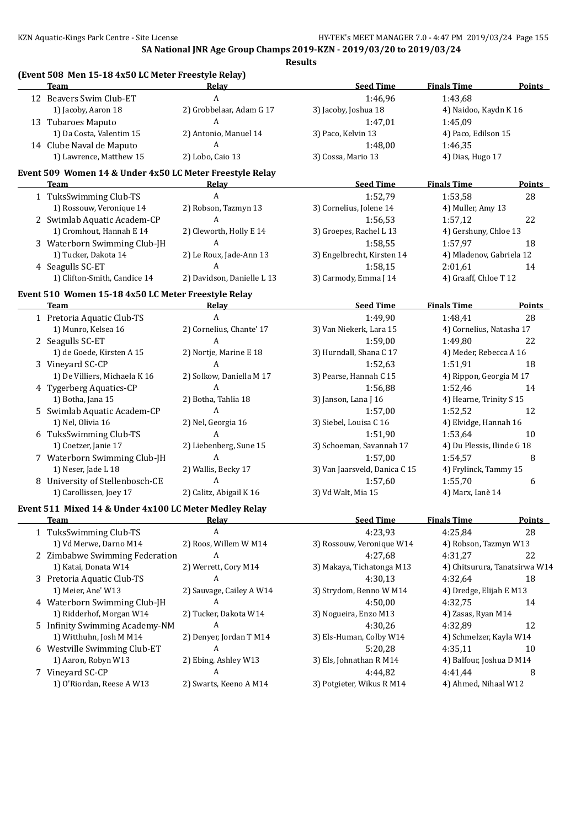**(Event 508 Men 15-18 4x50 LC Meter Freestyle Relay)**

**SA National JNR Age Group Champs 2019-KZN - 2019/03/20 to 2019/03/24 Results**

| <b>Team</b>                                              | <b>Relay</b>               | <b>Seed Time</b>              | <b>Finals Time</b>         | <b>Points</b>                 |
|----------------------------------------------------------|----------------------------|-------------------------------|----------------------------|-------------------------------|
| 12 Beavers Swim Club-ET                                  | A                          | 1:46,96                       | 1:43,68                    |                               |
| 1) Jacoby, Aaron 18                                      | 2) Grobbelaar, Adam G 17   | 3) Jacoby, Joshua 18          | 4) Naidoo, Kaydn K 16      |                               |
| 13 Tubaroes Maputo                                       | A                          | 1:47,01                       | 1:45,09                    |                               |
| 1) Da Costa, Valentim 15                                 | 2) Antonio, Manuel 14      | 3) Paco, Kelvin 13            | 4) Paco, Edilson 15        |                               |
| 14 Clube Naval de Maputo                                 | A                          | 1:48,00                       | 1:46,35                    |                               |
| 1) Lawrence, Matthew 15                                  | 2) Lobo, Caio 13           | 3) Cossa, Mario 13            | 4) Dias, Hugo 17           |                               |
| Event 509 Women 14 & Under 4x50 LC Meter Freestyle Relay |                            |                               |                            |                               |
| Team                                                     | <u>Relav</u>               | <b>Seed Time</b>              | <b>Finals Time</b>         | <b>Points</b>                 |
| 1 TuksSwimming Club-TS                                   | A                          | 1:52,79                       | 1:53,58                    | 28                            |
| 1) Rossouw, Veronique 14                                 | 2) Robson, Tazmyn 13       | 3) Cornelius, Jolene 14       | 4) Muller, Amy 13          |                               |
| 2 Swimlab Aquatic Academ-CP                              | A                          | 1:56,53                       | 1:57,12                    | 22                            |
| 1) Cromhout, Hannah E 14                                 | 2) Cleworth, Holly E 14    | 3) Groepes, Rachel L 13       | 4) Gershuny, Chloe 13      |                               |
| 3 Waterborn Swimming Club-JH                             | A                          | 1:58,55                       | 1:57,97                    | 18                            |
| 1) Tucker, Dakota 14                                     | 2) Le Roux, Jade-Ann 13    | 3) Engelbrecht, Kirsten 14    | 4) Mladenov, Gabriela 12   |                               |
| 4 Seagulls SC-ET                                         | A                          | 1:58,15                       | 2:01,61                    | 14                            |
| 1) Clifton-Smith, Candice 14                             | 2) Davidson, Danielle L 13 | 3) Carmody, Emma J 14         | 4) Graaff, Chloe T 12      |                               |
|                                                          |                            |                               |                            |                               |
| Event 510 Women 15-18 4x50 LC Meter Freestyle Relay      |                            |                               |                            |                               |
| <b>Team</b>                                              | Relay                      | <b>Seed Time</b>              | <b>Finals Time</b>         | <b>Points</b>                 |
| 1 Pretoria Aquatic Club-TS                               | A                          | 1:49,90                       | 1:48,41                    | 28                            |
| 1) Munro, Kelsea 16                                      | 2) Cornelius, Chante' 17   | 3) Van Niekerk, Lara 15       | 4) Cornelius, Natasha 17   |                               |
| 2 Seagulls SC-ET                                         | A                          | 1:59,00                       | 1:49,80                    | 22                            |
| 1) de Goede, Kirsten A 15                                | 2) Nortje, Marine E 18     | 3) Hurndall, Shana C 17       | 4) Meder, Rebecca A 16     |                               |
| 3 Vineyard SC-CP                                         | A                          | 1:52,63                       | 1:51,91                    | 18                            |
| 1) De Villiers, Michaela K 16                            | 2) Solkow, Daniella M 17   | 3) Pearse, Hannah C 15        | 4) Rippon, Georgia M 17    |                               |
| 4 Tygerberg Aquatics-CP                                  | A                          | 1:56,88                       | 1:52,46<br>14              |                               |
| 1) Botha, Jana 15                                        | 2) Botha, Tahlia 18        | 3) Janson, Lana J 16          | 4) Hearne, Trinity S 15    |                               |
| 5 Swimlab Aquatic Academ-CP                              | A                          | 1:57,00                       | 12<br>1:52,52              |                               |
| 1) Nel, Olivia 16                                        | 2) Nel, Georgia 16         | 3) Siebel, Louisa C 16        | 4) Elvidge, Hannah 16      |                               |
| 6 TuksSwimming Club-TS                                   | A                          | 1:51,90                       | 1:53,64                    | 10                            |
| 1) Coetzer, Janie 17                                     | 2) Liebenberg, Sune 15     | 3) Schoeman, Savannah 17      | 4) Du Plessis, Ilinde G 18 |                               |
| 7 Waterborn Swimming Club-JH                             | A                          | 1:57,00                       | 1:54,57                    | 8                             |
| 1) Neser, Jade L 18                                      | 2) Wallis, Becky 17        | 3) Van Jaarsveld, Danica C 15 | 4) Frylinck, Tammy 15      |                               |
| 8 University of Stellenbosch-CE                          | A                          | 1:57,60                       | 1:55,70                    | 6                             |
| 1) Carollissen, Joey 17                                  | 2) Calitz, Abigail K 16    | 3) Vd Walt, Mia 15            | 4) Marx, Ianè 14           |                               |
| Event 511 Mixed 14 & Under 4x100 LC Meter Medley Relay   |                            |                               |                            |                               |
| <b>Team</b>                                              | <b>Relay</b>               | <b>Seed Time</b>              | <b>Finals Time</b>         | <b>Points</b>                 |
| 1 TuksSwimming Club-TS                                   | A                          | 4:23,93                       | 4:25,84                    | 28                            |
| 1) Vd Merwe, Darno M14                                   | 2) Roos, Willem W M14      | 3) Rossouw, Veronique W14     | 4) Robson, Tazmyn W13      |                               |
| 2 Zimbabwe Swimming Federation                           | A                          | 4:27,68                       | 4:31,27                    | 22                            |
| 1) Katai, Donata W14                                     | 2) Werrett, Cory M14       | 3) Makaya, Tichatonga M13     |                            | 4) Chitsurura, Tanatsirwa W14 |
| 3 Pretoria Aquatic Club-TS                               | A                          | 4:30,13                       | 4:32,64                    | 18                            |
| 1) Meier, Ane' W13                                       | 2) Sauvage, Cailey A W14   | 3) Strydom, Benno W M14       | 4) Dredge, Elijah E M13    |                               |
| 4 Waterborn Swimming Club-JH                             | A                          | 4:50,00                       | 4:32,75                    | 14                            |
| 1) Ridderhof, Morgan W14                                 | 2) Tucker, Dakota W14      | 3) Nogueira, Enzo M13         | 4) Zasas, Ryan M14         |                               |
| 5 Infinity Swimming Academy-NM                           | A                          | 4:30,26                       | 4:32,89                    | 12                            |
| 1) Witthuhn, Josh M M14                                  | 2) Denyer, Jordan T M14    | 3) Els-Human, Colby W14       | 4) Schmelzer, Kayla W14    |                               |
| 6 Westville Swimming Club-ET                             | A                          | 5:20,28                       | 4:35,11                    | 10                            |
| 1) Aaron, Robyn W13                                      | 2) Ebing, Ashley W13       | 3) Els, Johnathan R M14       | 4) Balfour, Joshua D M14   |                               |
| 7 Vineyard SC-CP                                         | A                          | 4:44,82                       | 4:41,44                    | 8                             |
| 1) O'Riordan, Reese A W13                                |                            |                               |                            |                               |
|                                                          | 2) Swarts, Keeno A M14     | 3) Potgieter, Wikus R M14     | 4) Ahmed, Nihaal W12       |                               |